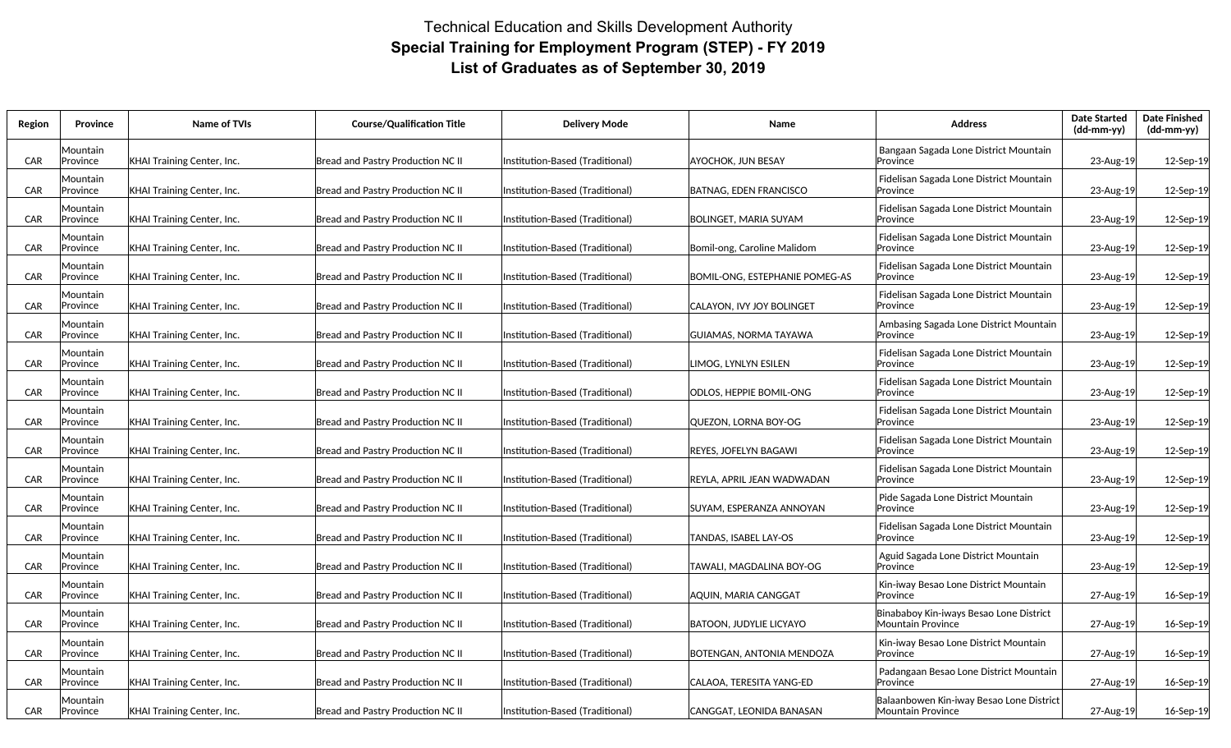## Technical Education and Skills Development Authority **Special Training for Employment Program (STEP) - FY 2019 List of Graduates as of September 30, 2019**

| Region     | Province             | Name of TVIs                      | <b>Course/Qualification Title</b>        | <b>Delivery Mode</b>             | Name                           | <b>Address</b>                                                 | <b>Date Started</b><br>(dd-mm-yy) | <b>Date Finished</b><br>(dd-mm-yy) |
|------------|----------------------|-----------------------------------|------------------------------------------|----------------------------------|--------------------------------|----------------------------------------------------------------|-----------------------------------|------------------------------------|
| <b>CAR</b> | Mountain<br>Province | <b>KHAI Training Center, Inc.</b> | Bread and Pastry Production NC II        | Institution-Based (Traditional)  | AYOCHOK. JUN BESAY             | Bangaan Sagada Lone District Mountain<br>Province              | 23-Aug-19                         | 12-Sep-19                          |
| <b>CAR</b> | Mountain<br>Province | <b>KHAI Training Center, Inc.</b> | Bread and Pastry Production NC II        | Institution-Based (Traditional)  | <b>BATNAG, EDEN FRANCISCO</b>  | Fidelisan Sagada Lone District Mountain<br>Province            | 23-Aug-19                         | 12-Sep-19                          |
| CAR        | √ountain<br>Province | KHAI Training Center, Inc.        | <b>Bread and Pastry Production NC II</b> | Institution-Based (Traditional)  | <b>BOLINGET, MARIA SUYAM</b>   | Fidelisan Sagada Lone District Mountain<br>Province            | 23-Aug-19                         | 12-Sep-19                          |
| CAR        | Mountain<br>Province | <b>KHAI Training Center, Inc.</b> | Bread and Pastry Production NC II        | Institution-Based (Traditional)  | Bomil-ong, Caroline Malidom    | Fidelisan Sagada Lone District Mountain<br>Province            | 23-Aug-19                         | 12-Sep-19                          |
| CAR        | Mountain<br>Province | KHAI Training Center, Inc.        | <b>Bread and Pastry Production NC II</b> | Institution-Based (Traditional)  | BOMIL-ONG, ESTEPHANIE POMEG-AS | Fidelisan Sagada Lone District Mountain<br><b>Province</b>     | 23-Aug-19                         | 12-Sep-19                          |
| <b>CAR</b> | Mountain<br>Province | <b>KHAI Training Center, Inc.</b> | Bread and Pastry Production NC II        | Institution-Based (Traditional)  | CALAYON, IVY JOY BOLINGET      | Fidelisan Sagada Lone District Mountain<br><b>Province</b>     | 23-Aug-19                         | 12-Sep-19                          |
| CAR        | Mountain<br>Province | KHAI Training Center, Inc.        | <b>Bread and Pastry Production NC II</b> | Institution-Based (Traditional)  | <b>GUIAMAS, NORMA TAYAWA</b>   | Ambasing Sagada Lone District Mountain<br>Province             | 23-Aug-19                         | 12-Sep-19                          |
| <b>CAR</b> | Mountain<br>Province | <b>KHAI Training Center, Inc.</b> | Bread and Pastry Production NC II        | Institution-Based (Traditional)  | LIMOG, LYNLYN ESILEN           | Fidelisan Sagada Lone District Mountain<br>Province            | 23-Aug-19                         | 12-Sep-19                          |
| CAR        | Mountain<br>Province | KHAI Training Center, Inc.        | Bread and Pastry Production NC II        | Institution-Based (Traditional)  | ODLOS, HEPPIE BOMIL-ONG        | Fidelisan Sagada Lone District Mountain<br>Province            | 23-Aug-19                         | 12-Sep-19                          |
| CAR        | Mountain<br>Province | KHAI Training Center, Inc.        | Bread and Pastry Production NC II        | Institution-Based (Traditional)  | QUEZON, LORNA BOY-OG           | Fidelisan Sagada Lone District Mountain<br><b>Province</b>     | 23-Aug-19                         | 12-Sep-19                          |
| CAR        | Mountain<br>Province | <b>KHAI Training Center, Inc.</b> | Bread and Pastry Production NC II        | Institution-Based (Traditional)  | REYES, JOFELYN BAGAWI          | Fidelisan Sagada Lone District Mountain<br>Province            | 23-Aug-19                         | 12-Sep-19                          |
| CAR        | Mountain<br>Province | <b>KHAI Training Center, Inc.</b> | <b>Bread and Pastry Production NC II</b> | Institution-Based (Traditional)  | REYLA, APRIL JEAN WADWADAN     | Fidelisan Sagada Lone District Mountain<br>Province            | 23-Aug-19                         | 12-Sep-19                          |
| <b>CAR</b> | Mountain<br>Province | <b>KHAI Training Center, Inc.</b> | Bread and Pastry Production NC II        | Institution-Based (Traditional)  | SUYAM, ESPERANZA ANNOYAN       | Pide Sagada Lone District Mountain<br><b>Province</b>          | 23-Aug-19                         | 12-Sep-19                          |
| CAR        | √ountain<br>Province | KHAI Training Center, Inc.        | <b>Bread and Pastry Production NC II</b> | Institution-Based (Traditional)  | TANDAS, ISABEL LAY-OS          | Fidelisan Sagada Lone District Mountain<br>Province            | 23-Aug-19                         | 12-Sep-19                          |
| CAR        | Mountain<br>Province | <b>KHAI Training Center, Inc.</b> | Bread and Pastry Production NC II        | Institution-Based (Traditional)  | TAWALI, MAGDALINA BOY-OG       | Aguid Sagada Lone District Mountain<br>lProvince               | 23-Aug-19                         | 12-Sep-19                          |
| CAR        | Mountain<br>Province | KHAI Training Center, Inc.        | Bread and Pastry Production NC II        | Institution-Based (Traditional)  | AQUIN, MARIA CANGGAT           | Kin-iway Besao Lone District Mountain<br>Province              | 27-Aug-19                         | 16-Sep-19                          |
| <b>CAR</b> | Mountain<br>Province | KHAI Training Center, Inc.        | Bread and Pastry Production NC II        | Institution-Based (Traditional)  | BATOON, JUDYLIE LICYAYO        | Binababoy Kin-iways Besao Lone District<br>lMountain Province  | 27-Aug-19                         | 16-Sep-19                          |
| <b>CAR</b> | Mountain<br>Province | KHAI Training Center, Inc.        | <b>Bread and Pastry Production NC II</b> | Institution-Based (Traditional)  | BOTENGAN, ANTONIA MENDOZA      | Kin-iway Besao Lone District Mountain<br>Province              | 27-Aug-19                         | 16-Sep-19                          |
| CAR        | Mountain<br>Province | <b>KHAI Training Center, Inc.</b> | <b>Bread and Pastry Production NC II</b> | Institution-Based (Traditional)  | CALAOA, TERESITA YANG-ED       | Padangaan Besao Lone District Mountain<br><b>Province</b>      | 27-Aug-19                         | 16-Sep-19                          |
| <b>CAR</b> | Mountain<br>Province | KHAI Training Center, Inc.        | Bread and Pastry Production NC II        | lInstitution-Based (Traditional) | CANGGAT. LEONIDA BANASAN       | Balaanbowen Kin-iway Besao Lone District<br>lMountain Province | 27-Aug-19                         | 16-Sep-19                          |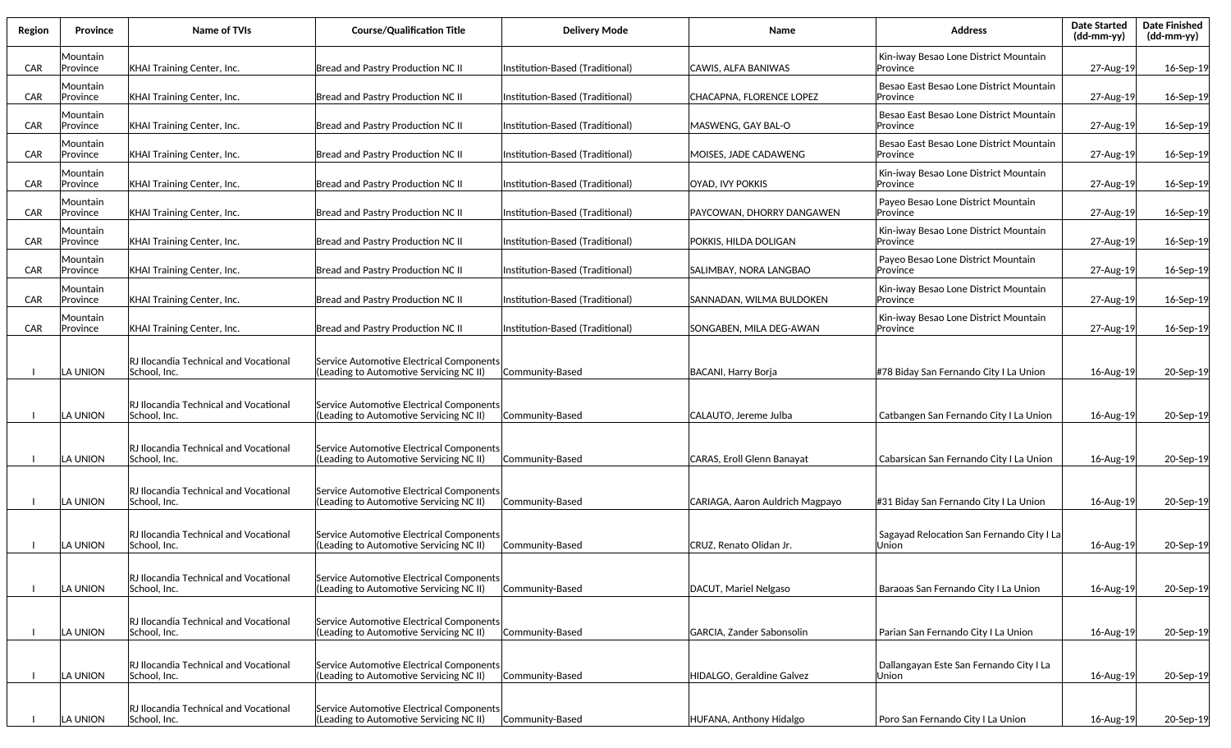| Region     | Province             | Name of TVIs                                          | <b>Course/Qualification Title</b>                                                   | <b>Delivery Mode</b>            | Name                            | <b>Address</b>                                           | <b>Date Started</b><br>(dd-mm-yy) | <b>Date Finished</b><br>$(dd\text{-}mm\text{-}vy)$ |
|------------|----------------------|-------------------------------------------------------|-------------------------------------------------------------------------------------|---------------------------------|---------------------------------|----------------------------------------------------------|-----------------------------------|----------------------------------------------------|
| <b>CAR</b> | Mountain<br>Province | KHAI Training Center, Inc.                            | Bread and Pastry Production NC II                                                   | Institution-Based (Traditional) | CAWIS, ALFA BANIWAS             | Kin-iway Besao Lone District Mountain<br>Province        | 27-Aug-19                         | 16-Sep-19                                          |
| <b>CAR</b> | ∨ountain<br>Province | KHAI Training Center, Inc.                            | Bread and Pastry Production NC II                                                   | Institution-Based (Traditional) | CHACAPNA, FLORENCE LOPEZ        | Besao East Besao Lone District Mountain<br>lProvince     | 27-Aug-19                         | 16-Sep-19                                          |
| <b>CAR</b> | Mountain<br>Province | <b>KHAI Training Center, Inc.</b>                     | Bread and Pastry Production NC II                                                   | Institution-Based (Traditional) | MASWENG, GAY BAL-O              | Besao East Besao Lone District Mountain<br>Province      | 27-Aug-19                         | 16-Sep-19                                          |
| <b>CAR</b> | Mountain<br>Province | <b>KHAI Training Center, Inc.</b>                     | Bread and Pastry Production NC II                                                   | Institution-Based (Traditional) | MOISES, JADE CADAWENG           | Besao East Besao Lone District Mountain<br>Province      | 27-Aug-19                         | 16-Sep-19                                          |
| <b>CAR</b> | Mountain<br>Province | <b>KHAI Training Center, Inc.</b>                     | Bread and Pastry Production NC II                                                   | Institution-Based (Traditional) | OYAD, IVY POKKIS                | Kin-iway Besao Lone District Mountain<br>Province        | 27-Aug-19                         | 16-Sep-19                                          |
| <b>CAR</b> | Mountain<br>Province | <b>KHAI Training Center, Inc.</b>                     | Bread and Pastry Production NC II                                                   | Institution-Based (Traditional) | PAYCOWAN, DHORRY DANGAWEN       | Payeo Besao Lone District Mountain<br><b>Province</b>    | 27-Aug-19                         | 16-Sep-19                                          |
| <b>CAR</b> | Mountain<br>Province | <b>KHAI Training Center, Inc.</b>                     | Bread and Pastry Production NC II                                                   | Institution-Based (Traditional) | POKKIS, HILDA DOLIGAN           | Kin-iway Besao Lone District Mountain<br><b>Province</b> | 27-Aug-19                         | 16-Sep-19                                          |
| <b>CAR</b> | ∨ountain<br>Province | <b>KHAI Training Center, Inc.</b>                     | Bread and Pastry Production NC II                                                   | Institution-Based (Traditional) | SALIMBAY, NORA LANGBAO          | Payeo Besao Lone District Mountain<br><b>Province</b>    | 27-Aug-19                         | 16-Sep-19                                          |
| <b>CAR</b> | Mountain<br>Province | <b>KHAI Training Center, Inc.</b>                     | Bread and Pastry Production NC II                                                   | Institution-Based (Traditional) | SANNADAN, WILMA BULDOKEN        | Kin-iway Besao Lone District Mountain<br>Province        | 27-Aug-19                         | 16-Sep-19                                          |
| <b>CAR</b> | Mountain<br>Province | <b>KHAI Training Center, Inc.</b>                     | Bread and Pastry Production NC II                                                   | Institution-Based (Traditional) | SONGABEN, MILA DEG-AWAN         | Kin-iway Besao Lone District Mountain<br>Province        | 27-Aug-19                         | 16-Sep-19                                          |
|            | LA UNION             | RJ Ilocandia Technical and Vocational<br>School. Inc. | Service Automotive Electrical Components<br>Leading to Automotive Servicing NC II)  | Community-Based                 | BACANI, Harry Borja             | #78 Biday San Fernando City I La Union                   | 16-Aug-19                         | 20-Sep-19                                          |
|            | LA UNION             | RJ Ilocandia Technical and Vocational<br>School, Inc. | Service Automotive Electrical Components<br>(Leading to Automotive Servicing NC II) | Community-Based                 | CALAUTO, Jereme Julba           | Catbangen San Fernando City I La Union                   | 16-Aug-19                         | 20-Sep-19                                          |
|            | A UNION              | RJ Ilocandia Technical and Vocational<br>School, Inc. | Service Automotive Electrical Components<br>(Leading to Automotive Servicing NC II) | Community-Based                 | CARAS, Eroll Glenn Banayat      | Cabarsican San Fernando City I La Union                  | 16-Aug-19                         | 20-Sep-19                                          |
|            | LA UNION             | RJ Ilocandia Technical and Vocational<br>School, Inc. | Service Automotive Electrical Components<br>(Leading to Automotive Servicing NC II) | Community-Based                 | CARIAGA, Aaron Auldrich Magpayo | #31 Biday San Fernando City I La Union                   | 16-Aug-19                         | 20-Sep-19                                          |
|            | A UNION.             | RJ Ilocandia Technical and Vocational<br>School, Inc. | Service Automotive Electrical Components<br>(Leading to Automotive Servicing NC II) | Community-Based                 | CRUZ, Renato Olidan Jr.         | Sagayad Relocation San Fernando City I La<br>Union       | 16-Aug-19                         | 20-Sep-19                                          |
|            | LA UNION             | RJ Ilocandia Technical and Vocational<br>School, Inc. | Service Automotive Electrical Components<br>(Leading to Automotive Servicing NC II) | Community-Based                 | DACUT, Mariel Nelgaso           | Baraoas San Fernando City I La Union                     | 16-Aug-19                         | 20-Sep-19                                          |
|            | LA UNION             | RJ Ilocandia Technical and Vocational<br>School, Inc. | Service Automotive Electrical Components<br>(Leading to Automotive Servicing NC II) | Community-Based                 | GARCIA, Zander Sabonsolin       | Parian San Fernando City I La Union                      | 16-Aug-19                         | 20-Sep-19                                          |
|            | LA UNION             | RJ Ilocandia Technical and Vocational<br>School, Inc. | Service Automotive Electrical Components<br>(Leading to Automotive Servicing NC II) | Community-Based                 | HIDALGO, Geraldine Galvez       | Dallangayan Este San Fernando City I La<br>Union         | 16-Aug-19                         | 20-Sep-19                                          |
|            | LA UNION             | RJ Ilocandia Technical and Vocational<br>School, Inc. | Service Automotive Electrical Components<br>(Leading to Automotive Servicing NC II) | Community-Based                 | HUFANA, Anthony Hidalgo         | Poro San Fernando City I La Union                        | 16-Aug-19                         | 20-Sep-19                                          |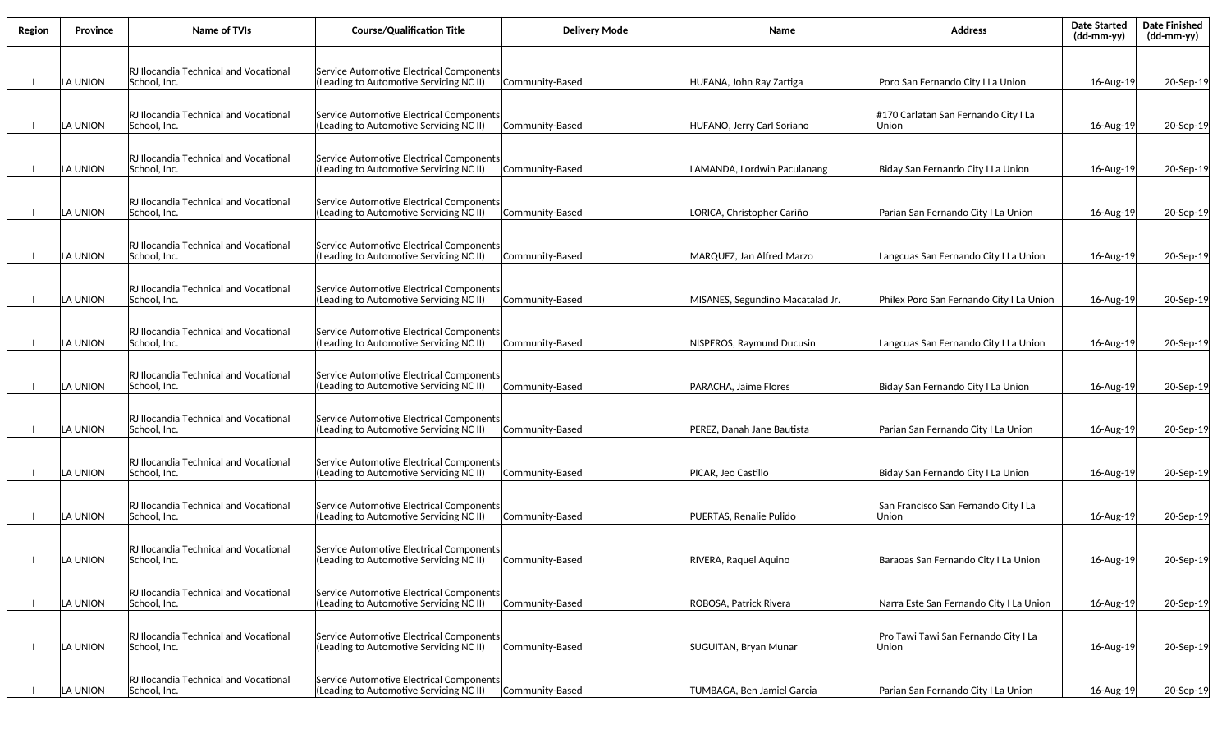| Region | <b>Province</b> | Name of TVIs                                                  | <b>Course/Qualification Title</b>                                                   | <b>Delivery Mode</b> | Name                             | <b>Address</b>                                | <b>Date Started</b><br>(dd-mm-yy) | <b>Date Finished</b><br>(dd-mm-yy) |
|--------|-----------------|---------------------------------------------------------------|-------------------------------------------------------------------------------------|----------------------|----------------------------------|-----------------------------------------------|-----------------------------------|------------------------------------|
|        | ILA UNION       | RJ Ilocandia Technical and Vocational<br>School, Inc.         | Service Automotive Electrical Components<br>(Leading to Automotive Servicing NC II) | Community-Based      | HUFANA, John Ray Zartiga         | Poro San Fernando City I La Union             | 16-Aug-19                         | 20-Sep-19                          |
|        |                 |                                                               |                                                                                     |                      |                                  |                                               |                                   |                                    |
|        | ILA UNION       | RJ Ilocandia Technical and Vocational<br>School, Inc.         | Service Automotive Electrical Components<br>(Leading to Automotive Servicing NC II) | Community-Based      | HUFANO, Jerry Carl Soriano       | #170 Carlatan San Fernando City I La<br>Union | 16-Aug-19                         | 20-Sep-19                          |
|        | ILA UNION       | RJ Ilocandia Technical and Vocational<br> School, Inc.        | Service Automotive Electrical Components<br>(Leading to Automotive Servicing NC II) | Community-Based      | LAMANDA, Lordwin Paculanang      | Biday San Fernando City I La Union            | 16-Aug-19                         | 20-Sep-19                          |
|        | LA UNION        | RJ Ilocandia Technical and Vocational<br>School, Inc.         | Service Automotive Electrical Components<br>(Leading to Automotive Servicing NC II) | Community-Based      | LORICA, Christopher Cariño       | Parian San Fernando City I La Union           | 16-Aug-19                         | 20-Sep-19                          |
|        | LA UNION        | RJ Ilocandia Technical and Vocational<br>School. Inc.         | Service Automotive Electrical Components<br>(Leading to Automotive Servicing NC II) | Community-Based      | MARQUEZ, Jan Alfred Marzo        | Langcuas San Fernando City I La Union         | 16-Aug-19                         | 20-Sep-19                          |
|        | LA UNION        | RJ Ilocandia Technical and Vocational<br>School, Inc.         | Service Automotive Electrical Components<br>(Leading to Automotive Servicing NC II) | Community-Based      | MISANES, Segundino Macatalad Jr. | Philex Poro San Fernando City I La Union      | 16-Aug-19                         | 20-Sep-19                          |
|        | LA UNION        | RJ Ilocandia Technical and Vocational<br>School, Inc.         | Service Automotive Electrical Components<br>(Leading to Automotive Servicing NC II) | Community-Based      | NISPEROS, Raymund Ducusin        | Langcuas San Fernando City I La Union         | 16-Aug-19                         | 20-Sep-19                          |
|        | ILA UNION       | RJ Ilocandia Technical and Vocational<br> School, Inc.        | Service Automotive Electrical Components<br>(Leading to Automotive Servicing NC II) | Community-Based      | PARACHA, Jaime Flores            | Biday San Fernando City I La Union            | 16-Aug-19                         | 20-Sep-19                          |
|        | ILA UNION       | RJ Ilocandia Technical and Vocational<br> School, Inc.        | Service Automotive Electrical Components<br>(Leading to Automotive Servicing NC II) | Community-Based      | PEREZ, Danah Jane Bautista       | Parian San Fernando City I La Union           | 16-Aug-19                         | 20-Sep-19                          |
|        | ILA UNION       | RJ Ilocandia Technical and Vocational<br> School, Inc.        | Service Automotive Electrical Components<br>(Leading to Automotive Servicing NC II) | Community-Based      | PICAR, Jeo Castillo              | Biday San Fernando City I La Union            | 16-Aug-19                         | 20-Sep-19                          |
|        | LA UNION        | RJ Ilocandia Technical and Vocational<br> School, Inc.        | Service Automotive Electrical Components<br>(Leading to Automotive Servicing NC II) | Community-Based      | PUERTAS, Renalie Pulido          | San Francisco San Fernando City I La<br>Union | 16-Aug-19                         | 20-Sep-19                          |
|        | LA UNION        | <b>RJ Ilocandia Technical and Vocational</b><br> School, Inc. | Service Automotive Electrical Components<br>(Leading to Automotive Servicing NC II) | Community-Based      | RIVERA, Raquel Aquino            | Baraoas San Fernando City I La Union          | 16-Aug-19                         | 20-Sep-19                          |
|        | LA UNION        | <b>RJ Ilocandia Technical and Vocational</b><br>School, Inc.  | Service Automotive Electrical Components<br>(Leading to Automotive Servicing NC II) | Community-Based      | ROBOSA, Patrick Rivera           | Narra Este San Fernando City I La Union       | 16-Aug-19                         | 20-Sep-19                          |
|        | LA UNION        | RJ Ilocandia Technical and Vocational<br>School, Inc.         | Service Automotive Electrical Components<br>(Leading to Automotive Servicing NC II) | Community-Based      | SUGUITAN, Bryan Munar            | Pro Tawi Tawi San Fernando City I La<br>Union | 16-Aug-19                         | 20-Sep-19                          |
|        | LA UNION        | RJ Ilocandia Technical and Vocational<br>School, Inc.         | Service Automotive Electrical Components<br>(Leading to Automotive Servicing NC II) | Community-Based      | TUMBAGA, Ben Jamiel Garcia       | Parian San Fernando City I La Union           | 16-Aug-19                         | 20-Sep-19                          |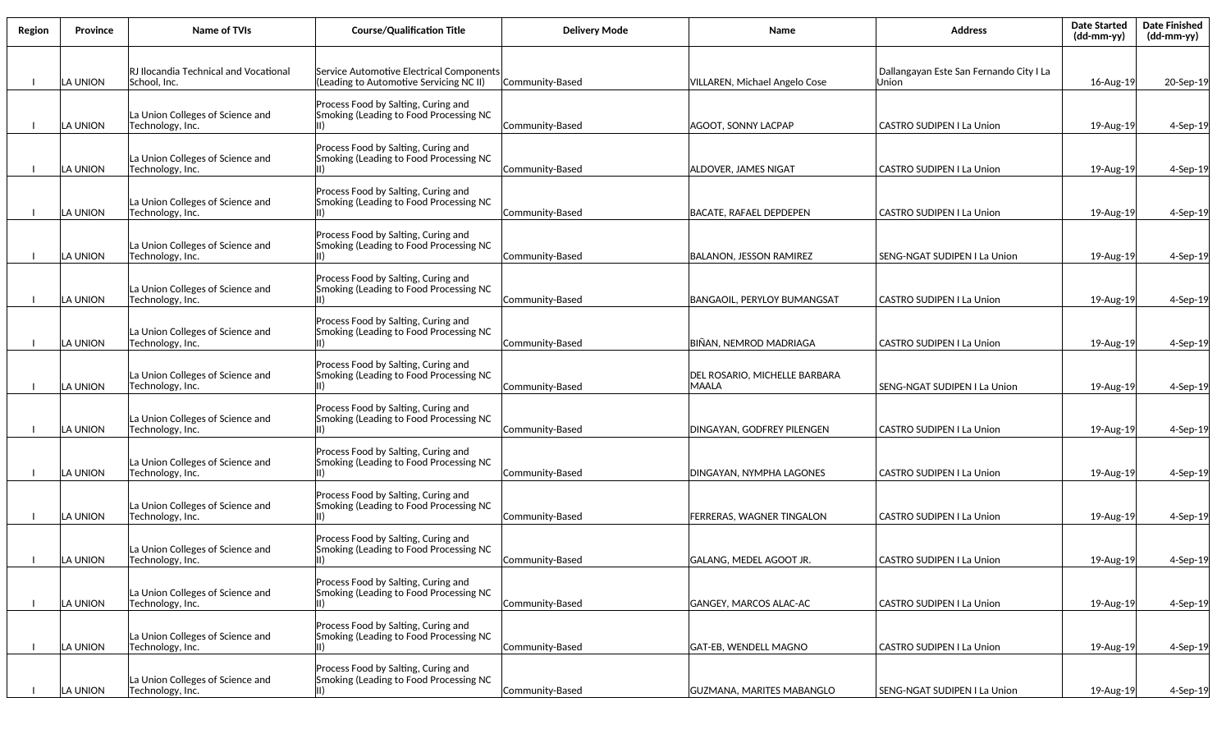| Region | <b>Province</b> | <b>Name of TVIs</b>                                   | <b>Course/Qualification Title</b>                                                   | <b>Deliverv Mode</b> | Name                                          | <b>Address</b>                                   | <b>Date Started</b><br>$(dd-mm-yy)$ | <b>Date Finished</b><br>(dd-mm-yy) |
|--------|-----------------|-------------------------------------------------------|-------------------------------------------------------------------------------------|----------------------|-----------------------------------------------|--------------------------------------------------|-------------------------------------|------------------------------------|
|        | LA UNION        | RJ Ilocandia Technical and Vocational<br>School, Inc. | Service Automotive Electrical Components<br>(Leading to Automotive Servicing NC II) | Community-Based      | VILLAREN, Michael Angelo Cose                 | Dallangayan Este San Fernando City I La<br>Union | 16-Aug-19                           | 20-Sep-19                          |
|        | LA UNION        | La Union Colleges of Science and<br>Technology, Inc.  | Process Food by Salting, Curing and<br>Smoking (Leading to Food Processing NC       | Community-Based      | AGOOT, SONNY LACPAP                           | <b>CASTRO SUDIPEN I La Union</b>                 | 19-Aug-19                           | 4-Sep-19                           |
|        | LA UNION        | La Union Colleges of Science and<br>Technology, Inc.  | Process Food by Salting, Curing and<br>Smoking (Leading to Food Processing NC       | Community-Based      | <b>ALDOVER, JAMES NIGAT</b>                   | <b>CASTRO SUDIPEN I La Union</b>                 | 19-Aug-19                           | $4-$ Sep $-19$                     |
|        | LA UNION        | La Union Colleges of Science and<br>Technology, Inc.  | Process Food by Salting, Curing and<br>Smoking (Leading to Food Processing NC       | Community-Based      | BACATE, RAFAEL DEPDEPEN                       | <b>CASTRO SUDIPEN I La Union</b>                 | 19-Aug-19                           | $4-$ Sep $-19$                     |
|        | LA UNION        | La Union Colleges of Science and<br>Technology, Inc.  | Process Food by Salting, Curing and<br>Smoking (Leading to Food Processing NC       | Community-Based      | <b>BALANON, JESSON RAMIREZ</b>                | SENG-NGAT SUDIPEN I La Union                     | 19-Aug-19                           | 4-Sep-19                           |
|        | LA UNION        | La Union Colleges of Science and<br>Technology, Inc.  | Process Food by Salting, Curing and<br>Smoking (Leading to Food Processing NC       | Communitv-Based      | BANGAOIL, PERYLOY BUMANGSAT                   | <b>CASTRO SUDIPEN I La Union</b>                 | 19-Aug-19                           | $4-Sep-19$                         |
|        | LA UNION        | La Union Colleges of Science and<br>Technology, Inc.  | Process Food by Salting, Curing and<br>Smoking (Leading to Food Processing NC       | Community-Based      | BIÑAN, NEMROD MADRIAGA                        | <b>CASTRO SUDIPEN I La Union</b>                 | 19-Aug-19                           | $4-$ Sep $-19$                     |
|        | LA UNION        | La Union Colleges of Science and<br>Technology, Inc.  | Process Food by Salting, Curing and<br>Smoking (Leading to Food Processing NC       | Community-Based      | DEL ROSARIO, MICHELLE BARBARA<br><b>MAALA</b> | SENG-NGAT SUDIPEN I La Union                     | 19-Aug-19                           | 4-Sep-19                           |
|        | LA UNION        | La Union Colleges of Science and<br>Technology, Inc.  | Process Food by Salting, Curing and<br>Smoking (Leading to Food Processing NC       | Community-Based      | DINGAYAN, GODFREY PILENGEN                    | <b>CASTRO SUDIPEN I La Union</b>                 | 19-Aug-19                           | 4-Sep-19                           |
|        | LA UNION        | La Union Colleges of Science and<br>Technology, Inc.  | Process Food by Salting, Curing and<br>Smoking (Leading to Food Processing NC       | Community-Based      | DINGAYAN, NYMPHA LAGONES                      | <b>CASTRO SUDIPEN I La Union</b>                 | 19-Aug-19                           | 4-Sep-19                           |
|        | LA UNION        | La Union Colleges of Science and<br>Technology, Inc.  | Process Food by Salting, Curing and<br>Smoking (Leading to Food Processing NC       | Community-Based      | <b>FERRERAS, WAGNER TINGALON</b>              | CASTRO SUDIPEN I La Union                        | 19-Aug-19                           | 4-Sep-19                           |
|        | LA UNION        | La Union Colleges of Science and<br>Technology, Inc.  | Process Food by Salting, Curing and<br>Smoking (Leading to Food Processing NC       | Community-Based      | GALANG, MEDEL AGOOT JR.                       | CASTRO SUDIPEN I La Union                        | 19-Aug-19                           | $4-$ Sep $-19$                     |
|        | LA UNION        | La Union Colleges of Science and<br>Technology, Inc.  | Process Food by Salting, Curing and<br>Smoking (Leading to Food Processing NC       | Community-Based      | GANGEY, MARCOS ALAC-AC                        | CASTRO SUDIPEN I La Union                        | 19-Aug-19                           | 4-Sep-19                           |
|        | LA UNION        | La Union Colleges of Science and<br>Technology, Inc.  | Process Food by Salting, Curing and<br>Smoking (Leading to Food Processing NC       | Community-Based      | GAT-EB, WENDELL MAGNO                         | <b>CASTRO SUDIPEN I La Union</b>                 | 19-Aug-19                           | 4-Sep-19                           |
|        | LA UNION        | La Union Colleges of Science and<br>Technology, Inc.  | Process Food by Salting, Curing and<br>Smoking (Leading to Food Processing NC       | Community-Based      | GUZMANA, MARITES MABANGLO                     | SENG-NGAT SUDIPEN I La Union                     | 19-Aug-19                           | $4-$ Sep $-19$                     |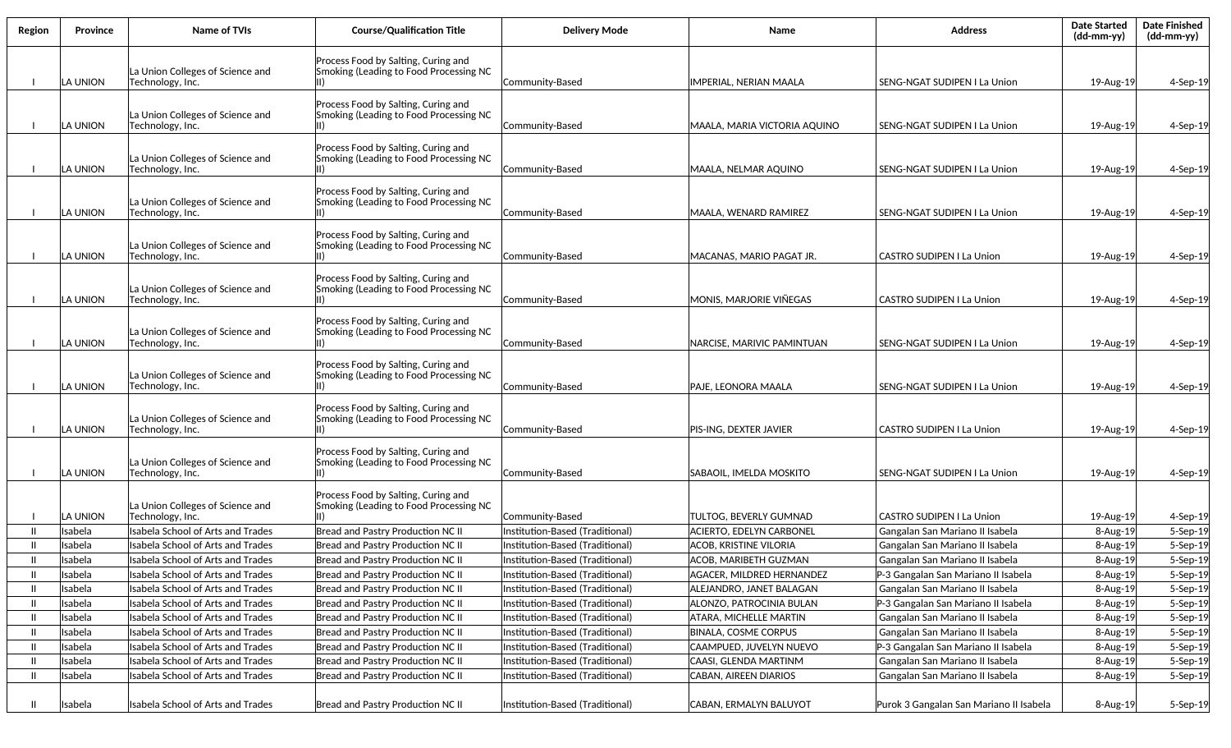| Region | Province           | <b>Name of TVIs</b>                                                    | <b>Course/Qualification Title</b>                                             | <b>Delivery Mode</b>                                               | Name                                                         | <b>Address</b>                                                         | <b>Date Started</b><br>(dd-mm-yy) | <b>Date Finished</b><br>(dd-mm-yy) |
|--------|--------------------|------------------------------------------------------------------------|-------------------------------------------------------------------------------|--------------------------------------------------------------------|--------------------------------------------------------------|------------------------------------------------------------------------|-----------------------------------|------------------------------------|
|        |                    | La Union Colleges of Science and                                       | Process Food by Salting, Curing and<br>Smoking (Leading to Food Processing NC |                                                                    |                                                              |                                                                        |                                   |                                    |
|        | LA UNION           | Technology, Inc.                                                       |                                                                               | Community-Based                                                    | <b>IMPERIAL, NERIAN MAALA</b>                                | SENG-NGAT SUDIPEN I La Union                                           | 19-Aug-19                         | $4-$ Sep $-19$                     |
|        |                    |                                                                        | Process Food by Salting, Curing and                                           |                                                                    |                                                              |                                                                        |                                   |                                    |
|        | LA UNION           | La Union Colleges of Science and<br>Technology, Inc.                   | Smoking (Leading to Food Processing NC                                        | Community-Based                                                    | MAALA, MARIA VICTORIA AQUINO                                 | SENG-NGAT SUDIPEN I La Union                                           | 19-Aug-19                         | $4-$ Sep $-19$                     |
|        |                    |                                                                        |                                                                               |                                                                    |                                                              |                                                                        |                                   |                                    |
|        |                    |                                                                        | Process Food by Salting, Curing and                                           |                                                                    |                                                              |                                                                        |                                   |                                    |
|        | LA UNION           | La Union Colleges of Science and<br>Technology, Inc.                   | Smoking (Leading to Food Processing NC                                        | Community-Based                                                    | MAALA, NELMAR AQUINO                                         | SENG-NGAT SUDIPEN I La Union                                           | 19-Aug-19                         | 4-Sep-19                           |
|        |                    |                                                                        |                                                                               |                                                                    |                                                              |                                                                        |                                   |                                    |
|        |                    | La Union Colleges of Science and                                       | Process Food by Salting, Curing and<br>Smoking (Leading to Food Processing NC |                                                                    |                                                              |                                                                        |                                   |                                    |
|        | LA UNION           | Technology, Inc.                                                       |                                                                               | Community-Based                                                    | MAALA, WENARD RAMIREZ                                        | SENG-NGAT SUDIPEN I La Union                                           | 19-Aug-19                         | 4-Sep-19                           |
|        |                    |                                                                        | Process Food by Salting, Curing and                                           |                                                                    |                                                              |                                                                        |                                   |                                    |
|        |                    | La Union Colleges of Science and                                       | Smoking (Leading to Food Processing NC                                        |                                                                    |                                                              |                                                                        |                                   |                                    |
|        | LA UNION           | Technology, Inc.                                                       |                                                                               | Community-Based                                                    | IMACANAS. MARIO PAGAT JR.                                    | <b>CASTRO SUDIPEN I La Union</b>                                       | 19-Aug-19                         | 4-Sep-19                           |
|        |                    |                                                                        | Process Food by Salting, Curing and                                           |                                                                    |                                                              |                                                                        |                                   |                                    |
|        |                    | La Union Colleges of Science and                                       | Smoking (Leading to Food Processing NC                                        |                                                                    |                                                              |                                                                        |                                   |                                    |
|        | LA UNION           | Technology, Inc.                                                       |                                                                               | Community-Based                                                    | MONIS, MARJORIE VIÑEGAS                                      | <b>CASTRO SUDIPEN I La Union</b>                                       | 19-Aug-19                         | 4-Sep-19                           |
|        |                    |                                                                        | Process Food by Salting, Curing and                                           |                                                                    |                                                              |                                                                        |                                   |                                    |
|        | LA UNION           | La Union Colleges of Science and                                       | Smoking (Leading to Food Processing NC                                        | Communitv-Based                                                    | <b>NARCISE, MARIVIC PAMINTUAN</b>                            |                                                                        |                                   |                                    |
|        |                    | Technology, Inc.                                                       |                                                                               |                                                                    |                                                              | SENG-NGAT SUDIPEN I La Union                                           | 19-Aug-19                         | $4-Sep-19$                         |
|        |                    |                                                                        | Process Food by Salting, Curing and                                           |                                                                    |                                                              |                                                                        |                                   |                                    |
|        | LA UNION           | La Union Colleges of Science and<br>Technology, Inc.                   | Smoking (Leading to Food Processing NC                                        | Community-Based                                                    | PAJE, LEONORA MAALA                                          | SENG-NGAT SUDIPEN I La Union                                           | 19-Aug-19                         | $4-$ Sep $-19$                     |
|        |                    |                                                                        |                                                                               |                                                                    |                                                              |                                                                        |                                   |                                    |
|        |                    | La Union Colleges of Science and                                       | Process Food by Salting, Curing and<br>Smoking (Leading to Food Processing NC |                                                                    |                                                              |                                                                        |                                   |                                    |
|        | LA UNION           | Technology, Inc.                                                       |                                                                               | Community-Based                                                    | PIS-ING, DEXTER JAVIER                                       | <b>CASTRO SUDIPEN I La Union</b>                                       | 19-Aug-19                         | 4-Sep-19                           |
|        |                    |                                                                        |                                                                               |                                                                    |                                                              |                                                                        |                                   |                                    |
|        |                    | La Union Colleges of Science and                                       | Process Food by Salting, Curing and<br>Smoking (Leading to Food Processing NC |                                                                    |                                                              |                                                                        |                                   |                                    |
|        | LA UNION           | Technology, Inc.                                                       |                                                                               | Community-Based                                                    | SABAOIL, IMELDA MOSKITO                                      | SENG-NGAT SUDIPEN I La Union                                           | 19-Aug-19                         | $4-$ Sep $-19$                     |
|        |                    |                                                                        | Process Food by Salting, Curing and                                           |                                                                    |                                                              |                                                                        |                                   |                                    |
|        |                    | La Union Colleges of Science and                                       | Smoking (Leading to Food Processing NC                                        |                                                                    |                                                              |                                                                        |                                   |                                    |
|        | LA UNION           | Technology, Inc.                                                       |                                                                               | Community-Based                                                    | TULTOG. BEVERLY GUMNAD                                       | <b>CASTRO SUDIPEN I La Union</b>                                       | 19-Aug-19                         | 4-Sep-19                           |
| H      | Isabela            | Isabela School of Arts and Trades                                      | Bread and Pastry Production NC II                                             | Institution-Based (Traditional)                                    | <b>ACIERTO, EDELYN CARBONEL</b>                              | Gangalan San Mariano II Isabela                                        | $8 - Aug-19$                      | 5-Sep-19                           |
| Ш      | Isabela            | Isabela School of Arts and Trades                                      | Bread and Pastry Production NC II                                             | Institution-Based (Traditional)                                    | <b>ACOB, KRISTINE VILORIA</b>                                | Gangalan San Mariano II Isabela                                        | $8 - Aug-19$                      | 5-Sep-19                           |
| Ш      | Isabela            | lIsabela School of Arts and Trades                                     | Bread and Pastry Production NC II                                             | Institution-Based (Traditional)                                    | ACOB, MARIBETH GUZMAN                                        | Gangalan San Mariano II Isabela                                        | 8-Aug-19                          | 5-Sep-19                           |
| H      | Isabela            | Isabela School of Arts and Trades                                      | Bread and Pastry Production NC II                                             | Institution-Based (Traditional)                                    | <b>AGACER, MILDRED HERNANDEZ</b>                             | P-3 Gangalan San Mariano II Isabela                                    | 8-Aug-19                          | 5-Sep-19                           |
| H      | Isabela            | Isabela School of Arts and Trades                                      | Bread and Pastry Production NC II                                             | Institution-Based (Traditional)                                    | ALEJANDRO, JANET BALAGAN                                     | Gangalan San Mariano II Isabela                                        | 8-Aug-19                          | 5-Sep-19                           |
| H      | Isabela            | Isabela School of Arts and Trades                                      | Bread and Pastry Production NC II                                             | Institution-Based (Traditional)                                    | ALONZO, PATROCINIA BULAN                                     | P-3 Gangalan San Mariano II Isabela                                    | 8-Aug-19                          | 5-Sep-19                           |
| H<br>H | Isabela            | Isabela School of Arts and Trades                                      | Bread and Pastry Production NC II<br>Bread and Pastry Production NC II        | Institution-Based (Traditional)                                    | <b>ATARA, MICHELLE MARTIN</b><br><b>BINALA, COSME CORPUS</b> | Gangalan San Mariano II Isabela<br>Gangalan San Mariano II Isabela     | 8-Aug-19                          | 5-Sep-19                           |
| H      | Isabela<br>Isabela | Isabela School of Arts and Trades<br>Isabela School of Arts and Trades | Bread and Pastry Production NC II                                             | Institution-Based (Traditional)                                    |                                                              |                                                                        | 8-Aug-19                          | 5-Sep-19                           |
| H      | Isabela            | Isabela School of Arts and Trades                                      | Bread and Pastry Production NC II                                             | Institution-Based (Traditional)<br>Institution-Based (Traditional) | CAAMPUED, JUVELYN NUEVO<br>CAASI, GLENDA MARTINM             | P-3 Gangalan San Mariano II Isabela<br>Gangalan San Mariano II Isabela | 8-Aug-19<br>8-Aug-19              | 5-Sep-19<br>5-Sep-19               |
| H      | Isabela            | Isabela School of Arts and Trades                                      | Bread and Pastry Production NC II                                             | Institution-Based (Traditional)                                    | CABAN, AIREEN DIARIOS                                        | Gangalan San Mariano II Isabela                                        | 8-Aug-19                          | 5-Sep-19                           |
|        |                    |                                                                        |                                                                               |                                                                    |                                                              |                                                                        |                                   |                                    |
| Ш      | Isabela            | Isabela School of Arts and Trades                                      | Bread and Pastry Production NC II                                             | Institution-Based (Traditional)                                    | CABAN, ERMALYN BALUYOT                                       | Purok 3 Gangalan San Mariano II Isabela                                | 8-Aug-19                          | 5-Sep-19                           |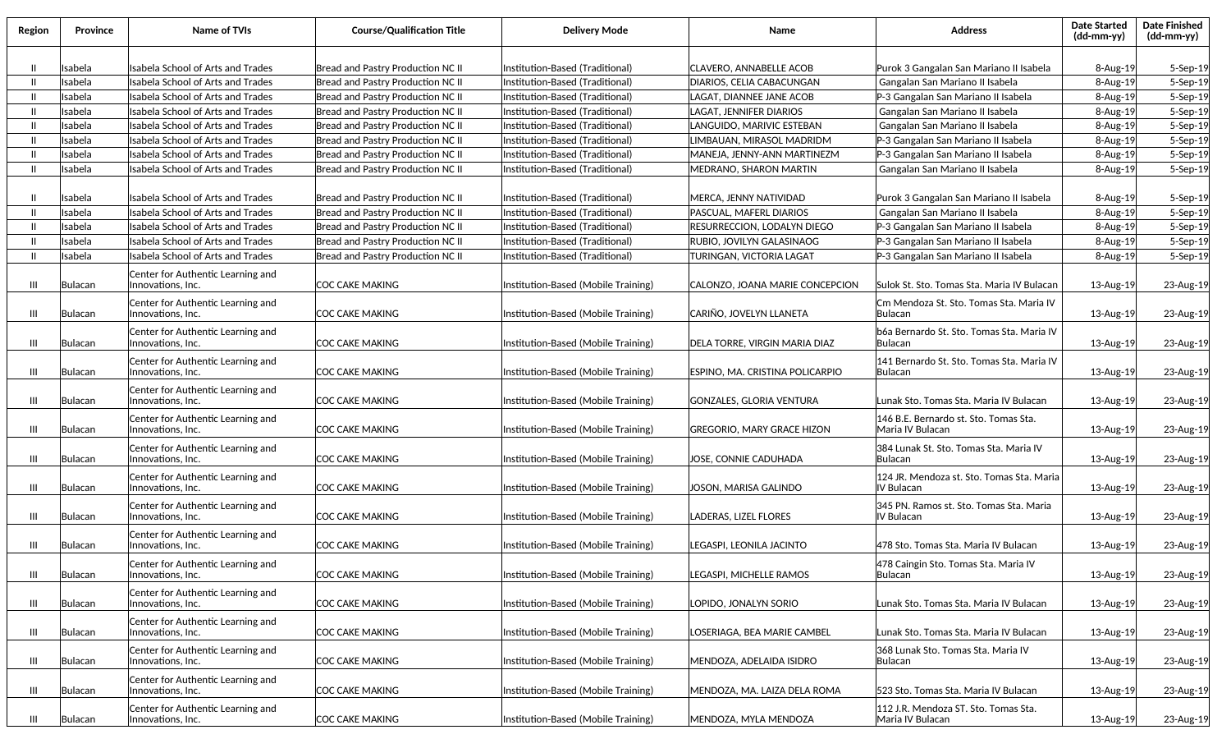| Region | Province | Name of TVIs                                            | <b>Course/Qualification Title</b>        | <b>Delivery Mode</b>                | Name                               | Address                                                   | <b>Date Started</b><br>$(dd\text{-}mm\text{-}yy)$ | <b>Date Finished</b><br>(dd-mm-yy) |
|--------|----------|---------------------------------------------------------|------------------------------------------|-------------------------------------|------------------------------------|-----------------------------------------------------------|---------------------------------------------------|------------------------------------|
|        |          |                                                         |                                          |                                     |                                    |                                                           |                                                   |                                    |
|        | Isabela  | Isabela School of Arts and Trades                       | Bread and Pastry Production NC II        | Institution-Based (Traditional)     | <b>CLAVERO, ANNABELLE ACOB</b>     | Purok 3 Gangalan San Mariano II Isabela                   | 8-Aug-19                                          | 5-Sep-19                           |
|        | Isabela  | Isabela School of Arts and Trades                       | Bread and Pastry Production NC II        | Institution-Based (Traditional)     | DIARIOS, CELIA CABACUNGAN          | Gangalan San Mariano II Isabela                           | 8-Aug-19                                          | 5-Sep-19                           |
|        | Isabela  | Isabela School of Arts and Trades                       | Bread and Pastry Production NC II        | Institution-Based (Traditional)     | LAGAT, DIANNEE JANE ACOB           | P-3 Gangalan San Mariano II Isabela                       | 8-Aug-19                                          | $5-Sep-19$                         |
|        | Isabela  | Isabela School of Arts and Trades                       | <b>Bread and Pastry Production NC II</b> | Institution-Based (Traditional)     | LAGAT, JENNIFER DIARIOS            | Gangalan San Mariano II Isabela                           | 8-Aug-19                                          | 5-Sep-19                           |
|        | Isabela  | Isabela School of Arts and Trades                       | Bread and Pastry Production NC II        | Institution-Based (Traditional)     | LANGUIDO, MARIVIC ESTEBAN          | Gangalan San Mariano II Isabela                           | 8-Aug-19                                          | 5-Sep-19                           |
|        | Isabela  | sabela School of Arts and Trades                        | Bread and Pastry Production NC II        | Institution-Based (Traditional)     | IMBAUAN, MIRASOL MADRIDM.          | P-3 Gangalan San Mariano II Isabela                       | 8-Aug-19                                          | $5-Sep-19$                         |
|        | Isabela  | sabela School of Arts and Trades                        | <b>Bread and Pastry Production NC II</b> | Institution-Based (Traditional)     | MANEJA, JENNY-ANN MARTINEZM        | P-3 Gangalan San Mariano II Isabela                       | 8-Aug-19                                          | 5-Sep-19                           |
|        | Isabela  | <b>Isabela School of Arts and Trades</b>                | <b>Bread and Pastry Production NC II</b> | Institution-Based (Traditional)     | MEDRANO, SHARON MARTIN             | Gangalan San Mariano II Isabela                           | 8-Aug-19                                          | 5-Sep-19                           |
|        | Isabela  | Isabela School of Arts and Trades                       | Bread and Pastry Production NC II        | Institution-Based (Traditional)     | MERCA, JENNY NATIVIDAD             | Purok 3 Gangalan San Mariano II Isabela                   | 8-Aug-19                                          | 5-Sep-19                           |
|        | Isabela  | <b>Isabela School of Arts and Trades</b>                | Bread and Pastry Production NC II        | Institution-Based (Traditional)     | PASCUAL, MAFERL DIARIOS            | Gangalan San Mariano II Isabela                           | 8-Aug-19                                          | 5-Sep-19                           |
|        | Isabela  | Isabela School of Arts and Trades                       | Bread and Pastry Production NC II        | Institution-Based (Traditional)     | <b>RESURRECCION, LODALYN DIEGO</b> | P-3 Gangalan San Mariano II Isabela                       | 8-Aug-19                                          | 5-Sep-19                           |
|        | Isabela  | Isabela School of Arts and Trades                       | Bread and Pastry Production NC II        | Institution-Based (Traditional)     | RUBIO, JOVILYN GALASINAOG          | P-3 Gangalan San Mariano II Isabela                       | 8-Aug-19                                          | 5-Sep-19                           |
|        | Isabela  | Isabela School of Arts and Trades                       | <b>Bread and Pastry Production NC II</b> | Institution-Based (Traditional)     | TURINGAN. VICTORIA LAGAT           | P-3 Gangalan San Mariano II Isabela                       | 8-Aug-19                                          | 5-Sep-19                           |
|        |          |                                                         |                                          |                                     |                                    |                                                           |                                                   |                                    |
| Ш      | Bulacan  | Center for Authentic Learning and<br>Innovations, Inc.  | COC CAKE MAKING                          | Institution-Based (Mobile Training) | CALONZO, JOANA MARIE CONCEPCION    | Sulok St. Sto. Tomas Sta. Maria IV Bulacan                | 13-Aug-19                                         | 23-Aug-19                          |
| Ш      | Bulacan  | Center for Authentic Learning and<br>Innovations, Inc.  | COC CAKE MAKING                          | Institution-Based (Mobile Training) | CARIÑO, JOVELYN LLANETA            | Cm Mendoza St. Sto. Tomas Sta. Maria IV<br> Bulacan       | 13-Aug-19                                         | 23-Aug-19                          |
| Ш      | Bulacan  | Center for Authentic Learning and<br>Innovations, Inc.  | COC CAKE MAKING                          | Institution-Based (Mobile Training) | DELA TORRE, VIRGIN MARIA DIAZ      | b6a Bernardo St. Sto. Tomas Sta. Maria IV<br>lBulacan     | 13-Aug-19                                         | 23-Aug-19                          |
| Ш      | Bulacan  | Center for Authentic Learning and<br>Innovations, Inc.  | COC CAKE MAKING                          | Institution-Based (Mobile Training) | ESPINO, MA. CRISTINA POLICARPIO    | 141 Bernardo St. Sto. Tomas Sta. Maria IV<br> Bulacan     | 13-Aug-19                                         | 23-Aug-19                          |
| Ш      | Bulacan  | Center for Authentic Learning and<br> Innovations, Inc. | COC CAKE MAKING                          | Institution-Based (Mobile Training) | GONZALES, GLORIA VENTURA           | Lunak Sto. Tomas Sta. Maria IV Bulacan                    | 13-Aug-19                                         | 23-Aug-19                          |
| Ш      | Bulacan  | Center for Authentic Learning and<br>Innovations, Inc.  | COC CAKE MAKING                          | Institution-Based (Mobile Training) | <b>GREGORIO, MARY GRACE HIZON</b>  | 146 B.E. Bernardo st. Sto. Tomas Sta.<br>Maria IV Bulacan | 13-Aug-19                                         | 23-Aug-19                          |
| Ш      | Bulacan  | Center for Authentic Learning and<br> Innovations, Inc. | COC CAKE MAKING                          | Institution-Based (Mobile Training) | JOSE, CONNIE CADUHADA              | 384 Lunak St. Sto. Tomas Sta. Maria IV<br>Bulacan         | 13-Aug-19                                         | 23-Aug-19                          |
| Ш      | Bulacan  | Center for Authentic Learning and<br> Innovations, Inc. | ICOC CAKE MAKING                         | Institution-Based (Mobile Training) | JOSON, MARISA GALINDO              | 124 JR. Mendoza st. Sto. Tomas Sta. Maria<br>IIV Bulacan  | 13-Aug-19                                         | 23-Aug-19                          |
| Ш      | Bulacan  | Center for Authentic Learning and<br>lInnovations. Inc. | COC CAKE MAKING                          | Institution-Based (Mobile Training) | LADERAS, LIZEL FLORES              | 345 PN. Ramos st. Sto. Tomas Sta. Maria<br>IV Bulacan     | 13-Aug-19                                         | 23-Aug-19                          |
| Ш      | Bulacan  | Center for Authentic Learning and<br>Innovations, Inc.  | COC CAKE MAKING                          | Institution-Based (Mobile Training) | LEGASPI, LEONILA JACINTO           | 478 Sto. Tomas Sta. Maria IV Bulacan                      | 13-Aug-19                                         | 23-Aug-19                          |
| Ш      | Bulacan  | Center for Authentic Learning and<br>Innovations, Inc.  | COC CAKE MAKING                          | Institution-Based (Mobile Training) | LEGASPI, MICHELLE RAMOS            | 478 Caingin Sto. Tomas Sta. Maria IV<br> Bulacan          | 13-Aug-19                                         | 23-Aug-19                          |
| Ш      | Bulacan  | Center for Authentic Learning and<br>Innovations, Inc.  | COC CAKE MAKING                          | Institution-Based (Mobile Training) | LOPIDO, JONALYN SORIO              | Lunak Sto. Tomas Sta. Maria IV Bulacan                    | 13-Aug-19                                         | 23-Aug-19                          |
| Ш      | Bulacan  | Center for Authentic Learning and<br>Innovations, Inc.  | COC CAKE MAKING                          | Institution-Based (Mobile Training) | LOSERIAGA, BEA MARIE CAMBEL        | Lunak Sto. Tomas Sta. Maria IV Bulacan                    | 13-Aug-19                                         | 23-Aug-19                          |
| Ш      | Bulacan  | Center for Authentic Learning and<br>Innovations, Inc.  | COC CAKE MAKING                          | Institution-Based (Mobile Training) | MENDOZA, ADELAIDA ISIDRO           | 368 Lunak Sto. Tomas Sta. Maria IV<br> Bulacan            | 13-Aug-19                                         | 23-Aug-19                          |
| Ш      | Bulacan  | Center for Authentic Learning and<br>Innovations, Inc.  | COC CAKE MAKING                          | Institution-Based (Mobile Training) | MENDOZA, MA. LAIZA DELA ROMA       | 523 Sto. Tomas Sta. Maria IV Bulacan                      | 13-Aug-19                                         | 23-Aug-19                          |
| Ш      | Bulacan  | Center for Authentic Learning and<br>Innovations, Inc.  | COC CAKE MAKING                          | Institution-Based (Mobile Training) | MENDOZA, MYLA MENDOZA              | 112 J.R. Mendoza ST. Sto. Tomas Sta.<br>Maria IV Bulacan  | 13-Aug-19                                         | 23-Aug-19                          |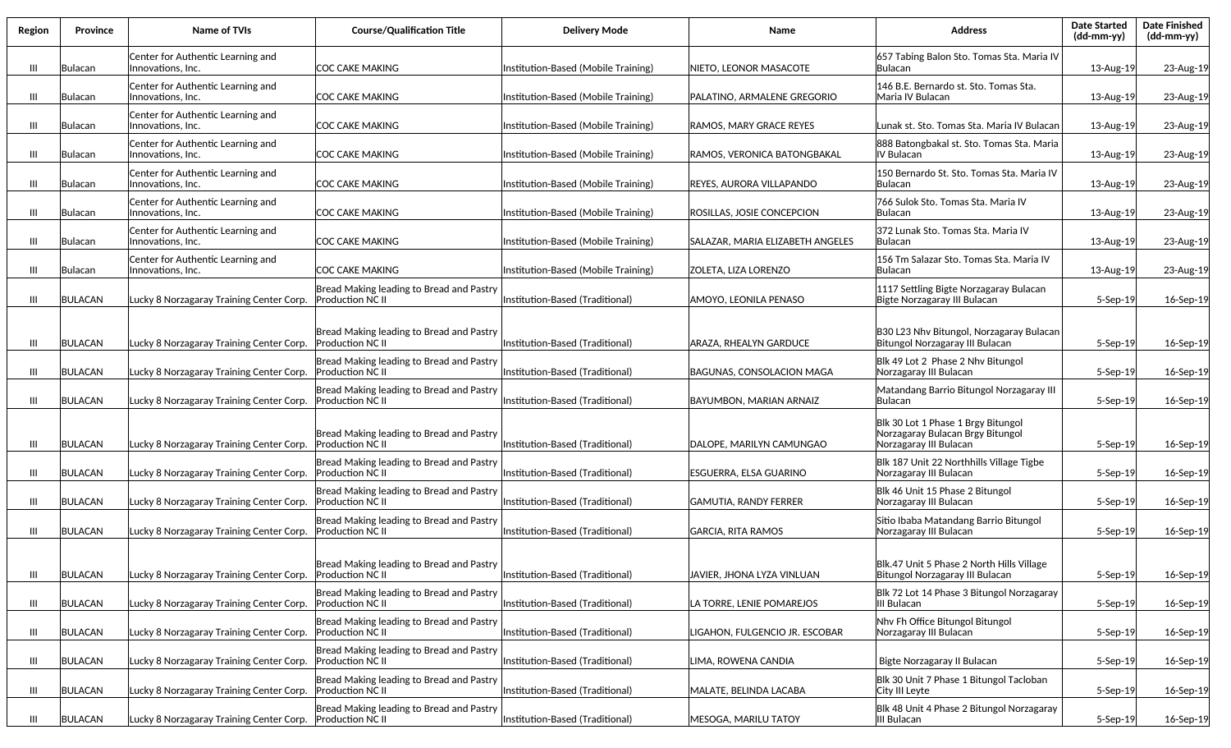| Region         | Province       | Name of TVIs                                              | <b>Course/Qualification Title</b>                                   | <b>Delivery Mode</b>                | Name                             | <b>Address</b>                                                                                   | <b>Date Started</b><br>(dd-mm-yy) | <b>Date Finished</b><br>(dd-mm-yy) |
|----------------|----------------|-----------------------------------------------------------|---------------------------------------------------------------------|-------------------------------------|----------------------------------|--------------------------------------------------------------------------------------------------|-----------------------------------|------------------------------------|
| Ш              | Bulacan        | Center for Authentic Learning and<br>Innovations, Inc.    | COC CAKE MAKING                                                     | Institution-Based (Mobile Training) | NIETO, LEONOR MASACOTE           | 657 Tabing Balon Sto. Tomas Sta. Maria IV<br>lBulacan                                            | 13-Aug-19                         | 23-Aug-19                          |
| $\mathbf{III}$ | Bulacan        | Center for Authentic Learning and<br>Innovations, Inc.    | COC CAKE MAKING                                                     | Institution-Based (Mobile Training) | PALATINO. ARMALENE GREGORIO      | 146 B.E. Bernardo st. Sto. Tomas Sta.<br>Maria IV Bulacan                                        | 13-Aug-19                         | 23-Aug-19                          |
| Ш              | Bulacan        | Center for Authentic Learning and<br>Innovations, Inc.    | ICOC CAKE MAKING                                                    | Institution-Based (Mobile Training) | RAMOS, MARY GRACE REYES          | Lunak st. Sto. Tomas Sta. Maria IV Bulacan                                                       | 13-Aug-19                         | 23-Aug-19                          |
| Ш              | Bulacan        | Center for Authentic Learning and<br>Innovations, Inc.    | COC CAKE MAKING                                                     | Institution-Based (Mobile Training) | RAMOS, VERONICA BATONGBAKAL      | 888 Batongbakal st. Sto. Tomas Sta. Maria<br>IV Bulacan                                          | 13-Aug-19                         | 23-Aug-19                          |
| Ш              | Bulacan        | Center for Authentic Learning and<br>Innovations, Inc.    | ICOC CAKE MAKING                                                    | Institution-Based (Mobile Training) | REYES, AURORA VILLAPANDO         | 150 Bernardo St. Sto. Tomas Sta. Maria IV<br><b>Bulacan</b>                                      | 13-Aug-19                         | 23-Aug-19                          |
| Ш              | Bulacan        | Center for Authentic Learning and<br>Innovations, Inc.    | COC CAKE MAKING                                                     | Institution-Based (Mobile Training) | ROSILLAS, JOSIE CONCEPCION       | 766 Sulok Sto. Tomas Sta. Maria IV<br><b>Bulacan</b>                                             | 13-Aug-19                         | 23-Aug-19                          |
| Ш              | Bulacan        | Center for Authentic Learning and<br>Innovations, Inc.    | COC CAKE MAKING                                                     | Institution-Based (Mobile Training) | SALAZAR, MARIA ELIZABETH ANGELES | 372 Lunak Sto. Tomas Sta. Maria IV<br>lBulacan                                                   | 13-Aug-19                         | 23-Aug-19                          |
| $\mathbf{III}$ | Bulacan        | Center for Authentic Learning and<br>Innovations, Inc.    | ICOC CAKE MAKING                                                    | Institution-Based (Mobile Training) | <b>ZOLETA, LIZA LORENZO</b>      | 156 Tm Salazar Sto. Tomas Sta. Maria IV<br>lBulacan                                              | 13-Aug-19                         | 23-Aug-19                          |
| Ш              | <b>BULACAN</b> | Lucky 8 Norzagaray Training Center Corp.                  | Bread Making leading to Bread and Pastry<br>Production NC II        | Institution-Based (Traditional)     | AMOYO, LEONILA PENASO            | 1117 Settling Bigte Norzagaray Bulacan<br>Bigte Norzagaray III Bulacan                           | 5-Sep-19                          | 16-Sep-19                          |
| Ш              | <b>BULACAN</b> | Lucky 8 Norzagaray Training Center Corp.                  | Bread Making leading to Bread and Pastry<br><b>Production NC II</b> | Institution-Based (Traditional)     | ARAZA, RHEALYN GARDUCE           | B30 L23 Nhv Bitungol, Norzagaray Bulacan<br>Bitungol Norzagaray III Bulacan                      | $5-$ Sep $-19$                    | 16-Sep-19                          |
| Ш              | <b>BULACAN</b> | Lucky 8 Norzagaray Training Center Corp.                  | Bread Making leading to Bread and Pastry<br><b>Production NC II</b> | Institution-Based (Traditional)     | BAGUNAS, CONSOLACION MAGA        | Blk 49 Lot 2 Phase 2 Nhv Bitungol<br>Norzagaray III Bulacan                                      | $5-$ Sep $-19$                    | 16-Sep-19                          |
| Ш              | <b>BULACAN</b> | Lucky 8 Norzagaray Training Center Corp.                  | Bread Making leading to Bread and Pastry<br><b>Production NC II</b> | Institution-Based (Traditional)     | BAYUMBON, MARIAN ARNAIZ          | Matandang Barrio Bitungol Norzagaray III<br><b>Bulacan</b>                                       | $5-$ Sep $-19$                    | 16-Sep-19                          |
| Ш              | <b>BULACAN</b> | Lucky 8 Norzagaray Training Center Corp.                  | Bread Making leading to Bread and Pastry<br><b>Production NC II</b> | Institution-Based (Traditional)     | DALOPE, MARILYN CAMUNGAO         | Blk 30 Lot 1 Phase 1 Brgy Bitungol<br>Norzagaray Bulacan Brgy Bitungol<br>Norzagaray III Bulacan | 5-Sep-19                          | 16-Sep-19                          |
| Ш              | <b>BULACAN</b> | Lucky 8 Norzagaray Training Center Corp. Production NC II | Bread Making leading to Bread and Pastry                            | Institution-Based (Traditional)     | ESGUERRA, ELSA GUARINO           | Blk 187 Unit 22 Northhills Village Tigbe<br>Norzagaray III Bulacan                               | 5-Sep-19                          | 16-Sep-19                          |
| Ш              | <b>BULACAN</b> | Lucky 8 Norzagaray Training Center Corp. Production NC II | Bread Making leading to Bread and Pastry                            | Institution-Based (Traditional)     | GAMUTIA, RANDY FERRER            | Blk 46 Unit 15 Phase 2 Bitungol<br>Norzagaray III Bulacan                                        | 5-Sep-19                          | 16-Sep-19                          |
| $\mathbf{III}$ | <b>BULACAN</b> | Lucky 8 Norzagaray Training Center Corp.                  | Bread Making leading to Bread and Pastry<br>Production NC II        | Institution-Based (Traditional)     | GARCIA, RITA RAMOS               | Sitio Ibaba Matandang Barrio Bitungol<br>Norzagaray III Bulacan                                  | 5-Sep-19                          | 16-Sep-19                          |
| $\mathbf{III}$ | BULACAN        | Lucky 8 Norzagaray Training Center Corp.                  | Bread Making leading to Bread and Pastry<br>Production NC II        | Institution-Based (Traditional)     | JAVIER, JHONA LYZA VINLUAN       | Blk.47 Unit 5 Phase 2 North Hills Village<br>Bitungol Norzagaray III Bulacan                     | 5-Sep-19                          | 16-Sep-19                          |
| Ш              | <b>BULACAN</b> | Lucky 8 Norzagaray Training Center Corp.                  | Bread Making leading to Bread and Pastry<br>Production NC II        | Institution-Based (Traditional)     | LA TORRE, LENIE POMAREJOS        | Blk 72 Lot 14 Phase 3 Bitungol Norzagaray<br> III Bulacan                                        | 5-Sep-19                          | 16-Sep-19                          |
| Ш              | <b>BULACAN</b> | Lucky 8 Norzagaray Training Center Corp.                  | Bread Making leading to Bread and Pastry<br><b>Production NC II</b> | Institution-Based (Traditional)     | LIGAHON, FULGENCIO JR. ESCOBAR   | Nhv Fh Office Bitungol Bitungol<br>Norzagaray III Bulacan                                        | 5-Sep-19                          | 16-Sep-19                          |
| Ш              | <b>BULACAN</b> | Lucky 8 Norzagaray Training Center Corp.                  | Bread Making leading to Bread and Pastry<br><b>Production NC II</b> | Institution-Based (Traditional)     | LIMA, ROWENA CANDIA              | Bigte Norzagaray II Bulacan                                                                      | $5-$ Sep $-19$                    | 16-Sep-19                          |
| Ш              | <b>BULACAN</b> | Lucky 8 Norzagaray Training Center Corp.                  | Bread Making leading to Bread and Pastry<br>Production NC II        | Institution-Based (Traditional)     | MALATE, BELINDA LACABA           | Blk 30 Unit 7 Phase 1 Bitungol Tacloban<br>City III Leyte                                        | 5-Sep-19                          | 16-Sep-19                          |
| Ш              | BULACAN        | Lucky 8 Norzagaray Training Center Corp. Production NC II | Bread Making leading to Bread and Pastry                            | Institution-Based (Traditional)     | MESOGA, MARILU TATOY             | Blk 48 Unit 4 Phase 2 Bitungol Norzagaray<br>III Bulacan                                         | 5-Sep-19                          | 16-Sep-19                          |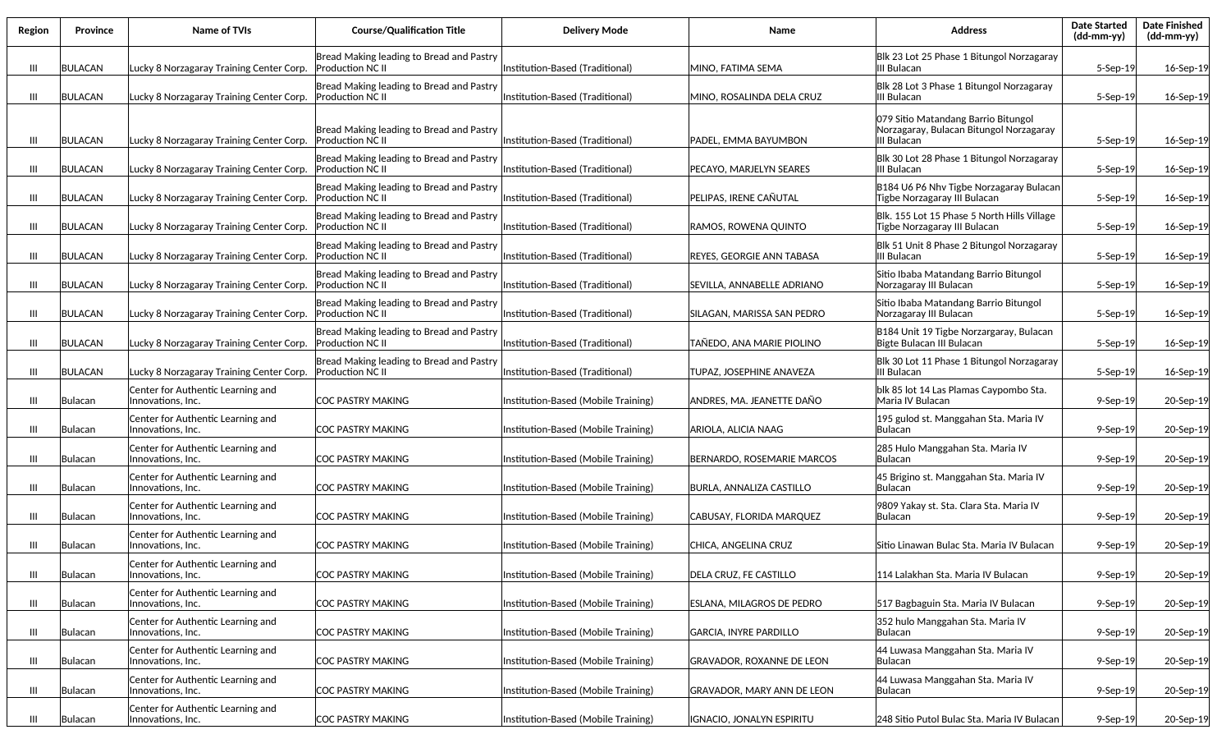| Region | <b>Province</b> | Name of TVIs                                           | <b>Course/Qualification Title</b>                                   | <b>Delivery Mode</b>                | Name                              | <b>Address</b>                                                                                | Date Started<br>(dd-mm-yy) | <b>Date Finished</b><br>(dd-mm-yy) |
|--------|-----------------|--------------------------------------------------------|---------------------------------------------------------------------|-------------------------------------|-----------------------------------|-----------------------------------------------------------------------------------------------|----------------------------|------------------------------------|
| Ш      | <b>BULACAN</b>  | Lucky 8 Norzagaray Training Center Corp.               | Bread Making leading to Bread and Pastry<br><b>Production NC II</b> | Institution-Based (Traditional)     | MINO, FATIMA SEMA                 | Blk 23 Lot 25 Phase 1 Bitungol Norzagaray<br>III Bulacan                                      | 5-Sep-19                   | 16-Sep-19                          |
| Ш      | <b>BULACAN</b>  | Lucky 8 Norzagaray Training Center Corp.               | Bread Making leading to Bread and Pastry<br><b>Production NC II</b> | Institution-Based (Traditional)     | MINO. ROSALINDA DELA CRUZ         | Blk 28 Lot 3 Phase 1 Bitungol Norzagaray<br>III Bulacan                                       | 5-Sep-19                   | 16-Sep-19                          |
| Ш      | <b>BULACAN</b>  | Lucky 8 Norzagaray Training Center Corp.               | Bread Making leading to Bread and Pastry<br><b>Production NC II</b> | Institution-Based (Traditional)     | PADEL, EMMA BAYUMBON              | 079 Sitio Matandang Barrio Bitungol<br>Norzagaray, Bulacan Bitungol Norzagaray<br>III Bulacan | $5-$ Sep $-19$             | 16-Sep-19                          |
| Ш      | <b>BULACAN</b>  | Lucky 8 Norzagaray Training Center Corp.               | Bread Making leading to Bread and Pastry<br><b>Production NC II</b> | Institution-Based (Traditional)     | PECAYO, MARJELYN SEARES           | Blk 30 Lot 28 Phase 1 Bitungol Norzagaray<br>III Bulacan                                      | $5-$ Sep $-19$             | 16-Sep-19                          |
| Ш      | <b>BULACAN</b>  | Lucky 8 Norzagaray Training Center Corp.               | Bread Making leading to Bread and Pastry<br><b>Production NC II</b> | Institution-Based (Traditional)     | PELIPAS, IRENE CAÑUTAL            | B184 U6 P6 Nhv Tigbe Norzagaray Bulacan<br>Tigbe Norzagaray III Bulacan                       | 5-Sep-19                   | 16-Sep-19                          |
| Ш      | <b>BULACAN</b>  | Lucky 8 Norzagaray Training Center Corp.               | Bread Making leading to Bread and Pastry<br><b>Production NC II</b> | Institution-Based (Traditional)     | RAMOS, ROWENA QUINTO              | Blk. 155 Lot 15 Phase 5 North Hills Village<br>Tigbe Norzagaray III Bulacan                   | 5-Sep-19                   | 16-Sep-19                          |
| Ш      | <b>BULACAN</b>  | Lucky 8 Norzagaray Training Center Corp.               | Bread Making leading to Bread and Pastry<br><b>Production NC II</b> | Institution-Based (Traditional)     | REYES, GEORGIE ANN TABASA         | Blk 51 Unit 8 Phase 2 Bitungol Norzagaray<br>III Bulacan                                      | 5-Sep-19                   | 16-Sep-19                          |
| Ш      | <b>BULACAN</b>  | Lucky 8 Norzagaray Training Center Corp.               | Bread Making leading to Bread and Pastry<br><b>Production NC II</b> | Institution-Based (Traditional)     | SEVILLA, ANNABELLE ADRIANO        | Sitio Ibaba Matandang Barrio Bitungol<br>Norzagaray III Bulacan                               | $5-$ Sep $-19$             | 16-Sep-19                          |
| Ш      | <b>BULACAN</b>  | Lucky 8 Norzagaray Training Center Corp.               | Bread Making leading to Bread and Pastry<br><b>Production NC II</b> | Institution-Based (Traditional)     | <b>SILAGAN. MARISSA SAN PEDRO</b> | Sitio Ibaba Matandang Barrio Bitungol<br>Norzagaray III Bulacan                               | 5-Sep-19                   | 16-Sep-19                          |
| Ш      | <b>BULACAN</b>  | Lucky 8 Norzagaray Training Center Corp.               | Bread Making leading to Bread and Pastry<br><b>Production NC II</b> | Institution-Based (Traditional)     | TAÑEDO, ANA MARIE PIOLINO         | B184 Unit 19 Tigbe Norzargaray, Bulacan<br>Bigte Bulacan III Bulacan                          | 5-Sep-19                   | 16-Sep-19                          |
| Ш      | <b>BULACAN</b>  | Lucky 8 Norzagaray Training Center Corp.               | Bread Making leading to Bread and Pastry<br><b>Production NC II</b> | Institution-Based (Traditional)     | TUPAZ, JOSEPHINE ANAVEZA          | Blk 30 Lot 11 Phase 1 Bitungol Norzagaray<br>III Bulacan                                      | 5-Sep-19                   | 16-Sep-19                          |
| Ш      | Bulacan         | Center for Authentic Learning and<br>Innovations, Inc. | ICOC PASTRY MAKING                                                  | Institution-Based (Mobile Training) | ANDRES, MA. JEANETTE DAÑO         | blk 85 lot 14 Las Plamas Caypombo Sta.<br>Maria IV Bulacan                                    | $9-$ Sep $-19$             | 20-Sep-19                          |
| Ш      | Bulacan         | Center for Authentic Learning and<br>Innovations, Inc. | <b>ICOC PASTRY MAKING</b>                                           | Institution-Based (Mobile Training) | ARIOLA, ALICIA NAAG               | 195 gulod st. Manggahan Sta. Maria IV<br><b>Bulacan</b>                                       | $9-$ Sep $-19$             | 20-Sep-19                          |
| Ш      | Bulacan         | Center for Authentic Learning and<br>Innovations, Inc. | <b>COC PASTRY MAKING</b>                                            | Institution-Based (Mobile Training) | BERNARDO, ROSEMARIE MARCOS        | 285 Hulo Manggahan Sta. Maria IV<br><b>Bulacan</b>                                            | 9-Sep-19                   | 20-Sep-19                          |
| Ш      | Bulacan         | Center for Authentic Learning and<br>Innovations, Inc. | COC PASTRY MAKING                                                   | Institution-Based (Mobile Training) | <b>BURLA, ANNALIZA CASTILLO</b>   | 45 Brigino st. Manggahan Sta. Maria IV<br><b>Bulacan</b>                                      | $9-$ Sep $-19$             | 20-Sep-19                          |
| Ш      | Bulacan         | Center for Authentic Learning and<br>Innovations, Inc. | COC PASTRY MAKING                                                   | Institution-Based (Mobile Training) | CABUSAY, FLORIDA MARQUEZ          | 9809 Yakay st. Sta. Clara Sta. Maria IV<br>Bulacan                                            | $9-$ Sep $-19$             | 20-Sep-19                          |
| Ш      | Bulacan         | Center for Authentic Learning and<br>Innovations, Inc. | COC PASTRY MAKING                                                   | Institution-Based (Mobile Training) | CHICA, ANGELINA CRUZ              | Sitio Linawan Bulac Sta. Maria IV Bulacan                                                     | $9-$ Sep $-19$             | 20-Sep-19                          |
| Ш      | Bulacan         | Center for Authentic Learning and<br>Innovations, Inc. | COC PASTRY MAKING                                                   | Institution-Based (Mobile Training) | DELA CRUZ, FE CASTILLO            | 114 Lalakhan Sta. Maria IV Bulacan                                                            | 9-Sep-19                   | 20-Sep-19                          |
| Ш      | Bulacan         | Center for Authentic Learning and<br>Innovations, Inc. | <b>COC PASTRY MAKING</b>                                            | Institution-Based (Mobile Training) | <b>ESLANA, MILAGROS DE PEDRO</b>  | 517 Bagbaguin Sta. Maria IV Bulacan                                                           | $9-$ Sep $-19$             | 20-Sep-19                          |
| Ш      | Bulacan         | Center for Authentic Learning and<br>Innovations, Inc. | <b>COC PASTRY MAKING</b>                                            | Institution-Based (Mobile Training) | GARCIA, INYRE PARDILLO            | 352 hulo Manggahan Sta. Maria IV<br> Bulacan                                                  | 9-Sep-19                   | 20-Sep-19                          |
| Ш      | Bulacan         | Center for Authentic Learning and<br>Innovations, Inc. | COC PASTRY MAKING                                                   | Institution-Based (Mobile Training) | <b>GRAVADOR, ROXANNE DE LEON</b>  | 44 Luwasa Manggahan Sta. Maria IV<br> Bulacan                                                 | 9-Sep-19                   | 20-Sep-19                          |
| Ш      | Bulacan         | Center for Authentic Learning and<br>Innovations, Inc. | COC PASTRY MAKING                                                   | Institution-Based (Mobile Training) | GRAVADOR, MARY ANN DE LEON        | 44 Luwasa Manggahan Sta. Maria IV<br> Bulacan                                                 | $9-$ Sep $-19$             | 20-Sep-19                          |
| Ш      | Bulacan         | Center for Authentic Learning and<br>Innovations, Inc. | <b>COC PASTRY MAKING</b>                                            | Institution-Based (Mobile Training) | IGNACIO, JONALYN ESPIRITU         | 248 Sitio Putol Bulac Sta. Maria IV Bulacan                                                   | $9-$ Sep $-19$             | 20-Sep-19                          |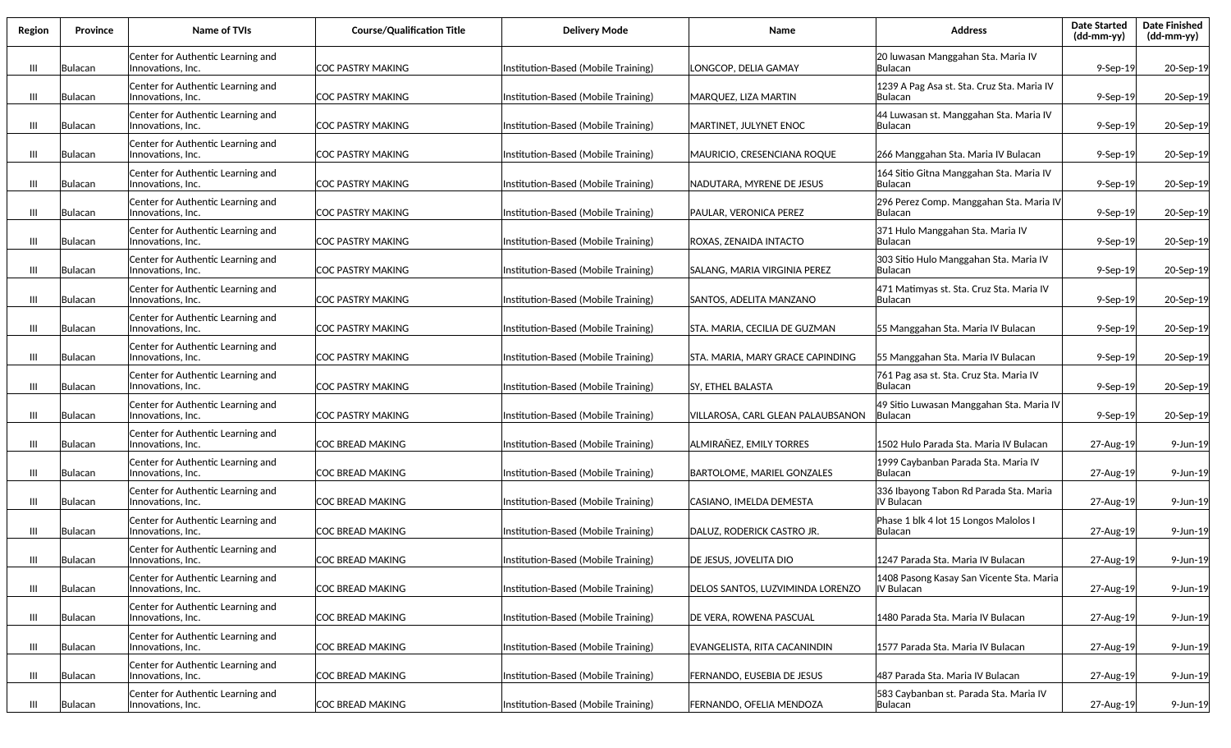| Region         | <b>Province</b> | Name of TVIs                                           | <b>Course/Qualification Title</b> | <b>Delivery Mode</b>                | Name                              | <b>Address</b>                                             | <b>Date Started</b><br>(dd-mm-yy) | <b>Date Finished</b><br>$(dd-mm-yy)$ |
|----------------|-----------------|--------------------------------------------------------|-----------------------------------|-------------------------------------|-----------------------------------|------------------------------------------------------------|-----------------------------------|--------------------------------------|
| $\mathbf{m}$   | Bulacan         | Center for Authentic Learning and<br>Innovations, Inc. | COC PASTRY MAKING                 | Institution-Based (Mobile Training) | LONGCOP, DELIA GAMAY              | 20 luwasan Manggahan Sta. Maria IV<br> Bulacan             | $9-$ Sep $-19$                    | 20-Sep-19                            |
| Ш              | Bulacan         | Center for Authentic Learning and<br>Innovations, Inc. | COC PASTRY MAKING                 | Institution-Based (Mobile Training) | MARQUEZ, LIZA MARTIN              | 1239 A Pag Asa st. Sta. Cruz Sta. Maria IV<br>Bulacan      | $9-$ Sep $-19$                    | 20-Sep-19                            |
| Ш              | Bulacan         | Center for Authentic Learning and<br>Innovations, Inc. | COC PASTRY MAKING                 | Institution-Based (Mobile Training) | MARTINET, JULYNET ENOC            | 44 Luwasan st. Manggahan Sta. Maria IV<br>lBulacan         | $9-$ Sep $-19$                    | 20-Sep-19                            |
| $\mathbf{III}$ | Bulacan         | Center for Authentic Learning and<br>Innovations, Inc. | COC PASTRY MAKING                 | Institution-Based (Mobile Training) | MAURICIO, CRESENCIANA ROQUE       | 266 Manggahan Sta. Maria IV Bulacan                        | $9-$ Sep $-19$                    | 20-Sep-19                            |
| Ш              | Bulacan         | Center for Authentic Learning and<br>Innovations, Inc. | COC PASTRY MAKING                 | Institution-Based (Mobile Training) | NADUTARA, MYRENE DE JESUS         | 164 Sitio Gitna Manggahan Sta. Maria IV<br>lBulacan        | $9-$ Sep $-19$                    | 20-Sep-19                            |
| Ш              | Bulacan         | Center for Authentic Learning and<br>Innovations, Inc. | COC PASTRY MAKING                 | Institution-Based (Mobile Training) | PAULAR, VERONICA PEREZ            | 296 Perez Comp. Manggahan Sta. Maria IV<br>lBulacan        | 9-Sep-19                          | 20-Sep-19                            |
| Ш              | Bulacan         | Center for Authentic Learning and<br>Innovations, Inc. | <b>COC PASTRY MAKING</b>          | Institution-Based (Mobile Training) | ROXAS, ZENAIDA INTACTO            | 371 Hulo Manggahan Sta. Maria IV<br> Bulacan               | $9-$ Sep $-19$                    | 20-Sep-19                            |
| $\mathbf{m}$   | Bulacan         | Center for Authentic Learning and<br>Innovations, Inc. | ICOC PASTRY MAKING                | Institution-Based (Mobile Training) | SALANG, MARIA VIRGINIA PEREZ      | 303 Sitio Hulo Manggahan Sta. Maria IV<br>lBulacan         | $9-$ Sep $-19$                    | 20-Sep-19                            |
| $\mathbf{m}$   | Bulacan         | Center for Authentic Learning and<br>Innovations, Inc. | ICOC PASTRY MAKING                | Institution-Based (Mobile Training) | SANTOS, ADELITA MANZANO           | 471 Matimyas st. Sta. Cruz Sta. Maria IV<br>lBulacan       | $9-$ Sep $-19$                    | 20-Sep-19                            |
| $\mathbf{m}$   | Bulacan         | Center for Authentic Learning and<br>Innovations, Inc. | COC PASTRY MAKING                 | Institution-Based (Mobile Training) | STA. MARIA, CECILIA DE GUZMAN     | 55 Manggahan Sta. Maria IV Bulacan                         | $9-$ Sep $-19$                    | 20-Sep-19                            |
| $\mathbf{m}$   | Bulacan         | Center for Authentic Learning and<br>Innovations, Inc. | COC PASTRY MAKING                 | Institution-Based (Mobile Training) | STA. MARIA, MARY GRACE CAPINDING  | 55 Manggahan Sta. Maria IV Bulacan                         | 9-Sep-19                          | 20-Sep-19                            |
| Ш              | Bulacan         | Center for Authentic Learning and<br>Innovations, Inc. | COC PASTRY MAKING                 | Institution-Based (Mobile Training) | SY, ETHEL BALASTA                 | 761 Pag asa st. Sta. Cruz Sta. Maria IV<br> Bulacan        | $9-$ Sep $-19$                    | 20-Sep-19                            |
| Ш              | Bulacan         | Center for Authentic Learning and<br>Innovations, Inc. | COC PASTRY MAKING                 | Institution-Based (Mobile Training) | VILLAROSA, CARL GLEAN PALAUBSANON | 49 Sitio Luwasan Manggahan Sta. Maria IV<br><b>Bulacan</b> | $9-$ Sep $-19$                    | 20-Sep-19                            |
| Ш              | Bulacan         | Center for Authentic Learning and<br>Innovations, Inc. | COC BREAD MAKING                  | Institution-Based (Mobile Training) | ALMIRAÑEZ, EMILY TORRES           | 1502 Hulo Parada Sta. Maria IV Bulacan                     | 27-Aug-19                         | 9-Jun-19                             |
| Ш              | Bulacan         | Center for Authentic Learning and<br>Innovations, Inc. | COC BREAD MAKING                  | Institution-Based (Mobile Training) | <b>BARTOLOME, MARIEL GONZALES</b> | 1999 Caybanban Parada Sta. Maria IV<br> Bulacan            | 27-Aug-19                         | 9-Jun-19                             |
| Ш              | Bulacan         | Center for Authentic Learning and<br>Innovations, Inc. | COC BREAD MAKING                  | Institution-Based (Mobile Training) | CASIANO, IMELDA DEMESTA           | 336 Ibayong Tabon Rd Parada Sta. Maria<br>IV Bulacan       | 27-Aug-19                         | 9-Jun-19                             |
| Ш              | Bulacan         | Center for Authentic Learning and<br>Innovations, Inc. | ICOC BREAD MAKING                 | Institution-Based (Mobile Training) | DALUZ, RODERICK CASTRO JR.        | Phase 1 blk 4 lot 15 Longos Malolos I<br> Bulacan          | 27-Aug-19                         | 9-Jun-19                             |
| $\mathbf{m}$   | Bulacan         | Center for Authentic Learning and<br>Innovations, Inc. | ICOC BREAD MAKING                 | Institution-Based (Mobile Training) | DE JESUS, JOVELITA DIO            | 1247 Parada Sta. Maria IV Bulacan                          | 27-Aug-19                         | 9-Jun-19                             |
| $\mathbf{m}$   | Bulacan         | Center for Authentic Learning and<br>Innovations, Inc. | COC BREAD MAKING                  | Institution-Based (Mobile Training) | DELOS SANTOS, LUZVIMINDA LORENZO  | 1408 Pasong Kasay San Vicente Sta. Maria<br>IV Bulacan     | 27-Aug-19                         | 9-Jun-19                             |
| III            | Bulacan         | Center for Authentic Learning and<br>Innovations, Inc. | <b>COC BREAD MAKING</b>           | Institution-Based (Mobile Training) | DE VERA, ROWENA PASCUAL           | 1480 Parada Sta. Maria IV Bulacan                          | 27-Aug-19                         | 9-Jun-19                             |
| Ш              | Bulacan         | Center for Authentic Learning and<br>Innovations, Inc. | COC BREAD MAKING                  | Institution-Based (Mobile Training) | EVANGELISTA, RITA CACANINDIN      | 1577 Parada Sta. Maria IV Bulacan                          | 27-Aug-19                         | 9-Jun-19                             |
| Ш              | Bulacan         | Center for Authentic Learning and<br>Innovations, Inc. | COC BREAD MAKING                  | Institution-Based (Mobile Training) | FERNANDO, EUSEBIA DE JESUS        | 487 Parada Sta. Maria IV Bulacan                           | 27-Aug-19                         | 9-Jun-19                             |
| Ш              | Bulacan         | Center for Authentic Learning and<br>Innovations, Inc. | COC BREAD MAKING                  | Institution-Based (Mobile Training) | FERNANDO, OFELIA MENDOZA          | 583 Caybanban st. Parada Sta. Maria IV<br>Bulacan          | 27-Aug-19                         | 9-Jun-19                             |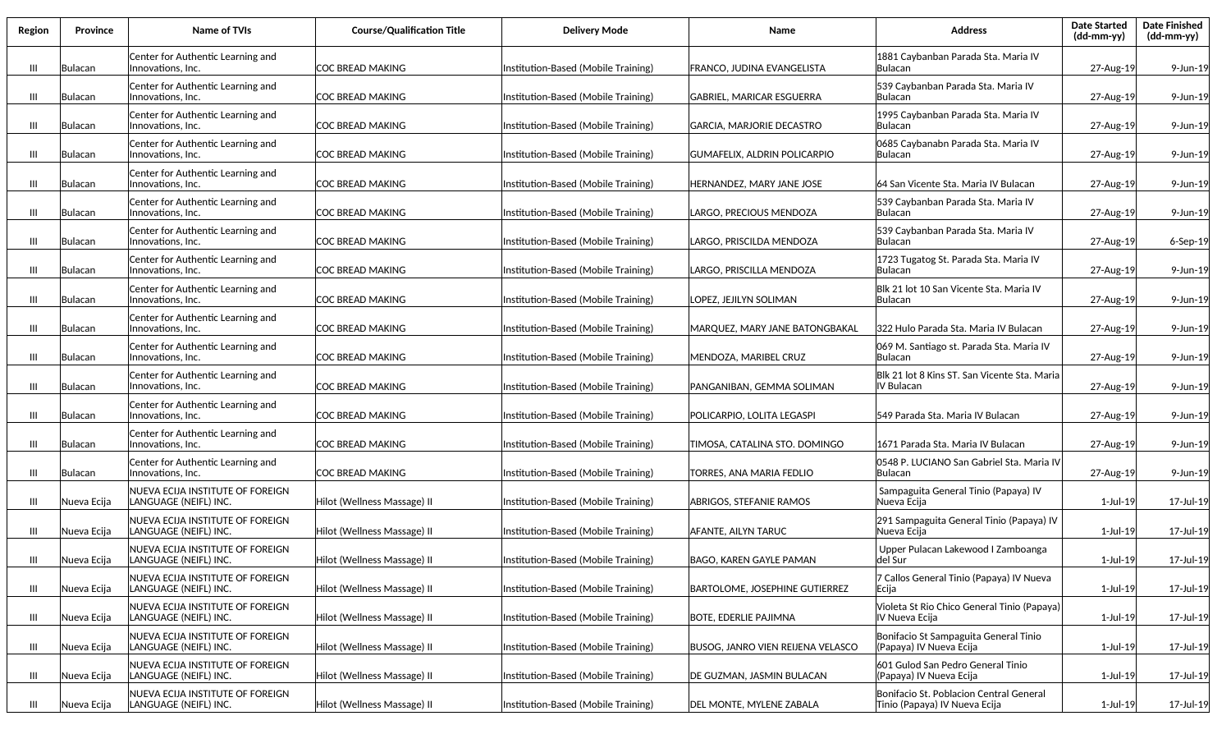| Region        | <b>Province</b> | Name of TVIs                                              | <b>Course/Qualification Title</b> | <b>Delivery Mode</b>                | Name                                     | <b>Address</b>                                                           | <b>Date Started</b><br>(dd-mm-yy) | <b>Date Finished</b><br>(dd-mm-yy) |
|---------------|-----------------|-----------------------------------------------------------|-----------------------------------|-------------------------------------|------------------------------------------|--------------------------------------------------------------------------|-----------------------------------|------------------------------------|
| $\mathbf{m}$  | Bulacan         | Center for Authentic Learning and<br>Innovations, Inc.    | COC BREAD MAKING                  | Institution-Based (Mobile Training) | FRANCO, JUDINA EVANGELISTA               | 1881 Caybanban Parada Sta. Maria IV<br>lBulacan                          | 27-Aug-19                         | 9-Jun-19                           |
| Ш             | Bulacan         | Center for Authentic Learning and<br>Innovations, Inc.    | COC BREAD MAKING                  | Institution-Based (Mobile Training) | GABRIEL, MARICAR ESGUERRA                | 539 Caybanban Parada Sta. Maria IV<br> Bulacan                           | 27-Aug-19                         | 9-Jun-19                           |
| Ш             | Bulacan         | Center for Authentic Learning and<br>Innovations, Inc.    | COC BREAD MAKING                  | Institution-Based (Mobile Training) | GARCIA, MARJORIE DECASTRO                | 1995 Caybanban Parada Sta. Maria IV<br> Bulacan                          | 27-Aug-19                         | 9-Jun-19                           |
| Ш             | Bulacan         | Center for Authentic Learning and<br>Innovations, Inc.    | ICOC BREAD MAKING                 | Institution-Based (Mobile Training) | GUMAFELIX, ALDRIN POLICARPIO             | 0685 Caybanabn Parada Sta. Maria IV<br> Bulacan                          | 27-Aug-19                         | 9-Jun-19                           |
| Ш             | Bulacan         | Center for Authentic Learning and<br>Innovations, Inc.    | COC BREAD MAKING                  | Institution-Based (Mobile Training) | HERNANDEZ, MARY JANE JOSE                | 64 San Vicente Sta. Maria IV Bulacan                                     | 27-Aug-19                         | 9-Jun-19                           |
| Ш             | Bulacan         | Center for Authentic Learning and<br>Innovations, Inc.    | ICOC BREAD MAKING                 | Institution-Based (Mobile Training) | LARGO, PRECIOUS MENDOZA                  | 539 Caybanban Parada Sta. Maria IV<br> Bulacan                           | 27-Aug-19                         | 9-Jun-19                           |
| Ш             | Bulacan         | Center for Authentic Learning and<br>Innovations, Inc.    | ICOC BREAD MAKING                 | Institution-Based (Mobile Training) | .ARGO, PRISCILDA MENDOZA                 | 539 Caybanban Parada Sta. Maria IV<br>lBulacan                           | 27-Aug-19                         | 6-Sep-19                           |
| Ш             | Bulacan         | Center for Authentic Learning and<br>Innovations, Inc.    | <b>COC BREAD MAKING</b>           | Institution-Based (Mobile Training) | ARGO, PRISCILLA MENDOZA.                 | 1723 Tugatog St. Parada Sta. Maria IV<br>lBulacan                        | 27-Aug-19                         | 9-Jun-19                           |
| Ш             | Bulacan         | Center for Authentic Learning and<br>Innovations, Inc.    | <b>COC BREAD MAKING</b>           | Institution-Based (Mobile Training) | LOPEZ, JEJILYN SOLIMAN                   | Blk 21 lot 10 San Vicente Sta. Maria IV<br>lBulacan                      | 27-Aug-19                         | 9-Jun-19                           |
| $\mathbf{  }$ | Bulacan         | Center for Authentic Learning and<br>Innovations, Inc.    | COC BREAD MAKING                  | Institution-Based (Mobile Training) | MARQUEZ, MARY JANE BATONGBAKAL           | l322 Hulo Parada Sta. Maria IV Bulacan                                   | 27-Aug-19                         | 9-Jun-19                           |
| Ш             | Bulacan         | Center for Authentic Learning and<br>Innovations, Inc.    | COC BREAD MAKING                  | nstitution-Based (Mobile Training)  | MENDOZA, MARIBEL CRUZ                    | 069 M. Santiago st. Parada Sta. Maria IV<br> Bulacan                     | 27-Aug-19                         | 9-Jun-19                           |
| Ш             | Bulacan         | Center for Authentic Learning and<br>Innovations, Inc.    | COC BREAD MAKING                  | Institution-Based (Mobile Training) | PANGANIBAN, GEMMA SOLIMAN                | Blk 21 lot 8 Kins ST. San Vicente Sta. Maria<br>IV Bulacan               | 27-Aug-19                         | 9-Jun-19                           |
| Ш             | Bulacan         | Center for Authentic Learning and<br>Innovations, Inc.    | COC BREAD MAKING                  | Institution-Based (Mobile Training) | POLICARPIO, LOLITA LEGASPI               | 549 Parada Sta. Maria IV Bulacan                                         | 27-Aug-19                         | 9-Jun-19                           |
| Ш             | Bulacan         | Center for Authentic Learning and<br>Innovations, Inc.    | COC BREAD MAKING                  | Institution-Based (Mobile Training) | TIMOSA, CATALINA STO. DOMINGO            | 1671 Parada Sta. Maria IV Bulacan                                        | 27-Aug-19                         | 9-Jun-19                           |
| Ш             | Bulacan         | Center for Authentic Learning and<br>Innovations, Inc.    | COC BREAD MAKING                  | Institution-Based (Mobile Training) | TORRES, ANA MARIA FEDLIO                 | 0548 P. LUCIANO San Gabriel Sta. Maria IV<br> Bulacan                    | 27-Aug-19                         | 9-Jun-19                           |
| Ш             | Nueva Ecija     | NUEVA ECIJA INSTITUTE OF FOREIGN<br>LANGUAGE (NEIFL) INC. | Hilot (Wellness Massage) II       | Institution-Based (Mobile Training) | <b>ABRIGOS, STEFANIE RAMOS</b>           | Sampaguita General Tinio (Papaya) IV<br> Nueva Ecija                     | 1-Jul-19                          | 17-Jul-19                          |
| Ш             | Nueva Ecija     | NUEVA ECIJA INSTITUTE OF FOREIGN<br>LANGUAGE (NEIFL) INC. | Hilot (Wellness Massage) II       | Institution-Based (Mobile Training) | AFANTE, AILYN TARUC                      | 291 Sampaguita General Tinio (Papaya) IV<br> Nueva Ecija                 | 1-Jul-19                          | 17-Jul-19                          |
| Ш             | Nueva Ecija     | NUEVA ECIJA INSTITUTE OF FOREIGN<br>LANGUAGE (NEIFL) INC. | Hilot (Wellness Massage) II       | Institution-Based (Mobile Training) | BAGO, KAREN GAYLE PAMAN                  | Upper Pulacan Lakewood I Zamboanga<br> del Sur                           | 1-Jul-19                          | 17-Jul-19                          |
| $\mathbf{m}$  | Nueva Ecija     | NUEVA ECIJA INSTITUTE OF FOREIGN<br>LANGUAGE (NEIFL) INC. | Hilot (Wellness Massage) II       | Institution-Based (Mobile Training) | <b>BARTOLOME, JOSEPHINE GUTIERREZ</b>    | 7 Callos General Tinio (Papaya) IV Nueva<br> Ecija                       | 1-Jul-19                          | 17-Jul-19                          |
| Ш             | Nueva Ecija     | NUEVA ECIJA INSTITUTE OF FOREIGN<br>LANGUAGE (NEIFL) INC. | Hilot (Wellness Massage) II       | Institution-Based (Mobile Training) | <b>BOTE, EDERLIE PAJIMNA</b>             | Violeta St Rio Chico General Tinio (Papaya)<br>IV Nueva Ecija            | 1-Jul-19                          | 17-Jul-19                          |
| Ш             | Nueva Ecija     | NUEVA ECIJA INSTITUTE OF FOREIGN<br>LANGUAGE (NEIFL) INC. | Hilot (Wellness Massage) II       | Institution-Based (Mobile Training) | <b>BUSOG, JANRO VIEN REIJENA VELASCO</b> | Bonifacio St Sampaguita General Tinio<br>(Papaya) IV Nueva Ecija         | $1$ -Jul-19                       | 17-Jul-19                          |
| Ш             | Nueva Ecija     | NUEVA ECIJA INSTITUTE OF FOREIGN<br>LANGUAGE (NEIFL) INC. | Hilot (Wellness Massage) II       | Institution-Based (Mobile Training) | DE GUZMAN, JASMIN BULACAN                | 601 Gulod San Pedro General Tinio<br>(Papaya) IV Nueva Ecija             | 1-Jul-19                          | 17-Jul-19                          |
| Ш             | Nueva Ecija     | NUEVA ECIJA INSTITUTE OF FOREIGN<br>LANGUAGE (NEIFL) INC. | Hilot (Wellness Massage) II       | Institution-Based (Mobile Training) | DEL MONTE, MYLENE ZABALA                 | Bonifacio St. Poblacion Central General<br>Tinio (Papaya) IV Nueva Ecija | 1-Jul-19                          | 17-Jul-19                          |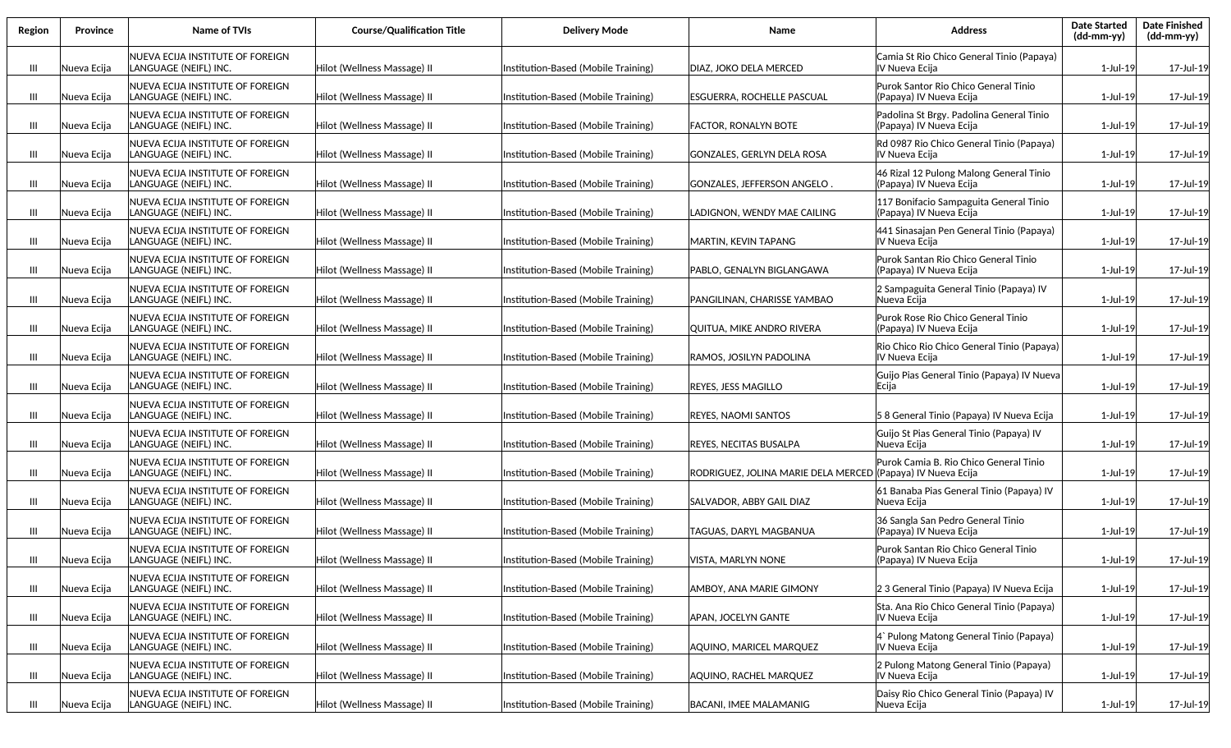| Region         | <b>Province</b> | Name of TVIs                                               | <b>Course/Qualification Title</b> | <b>Delivery Mode</b>                | Name                                                         | <b>Address</b>                                                      | <b>Date Started</b><br>$(dd-mm-yy)$ | <b>Date Finished</b><br>(dd-mm-yy) |
|----------------|-----------------|------------------------------------------------------------|-----------------------------------|-------------------------------------|--------------------------------------------------------------|---------------------------------------------------------------------|-------------------------------------|------------------------------------|
| $\mathbf{m}$   | Nueva Ecija     | NUEVA ECIJA INSTITUTE OF FOREIGN<br>LANGUAGE (NEIFL) INC.  | Hilot (Wellness Massage) II       | Institution-Based (Mobile Training) | DIAZ, JOKO DELA MERCED                                       | Camia St Rio Chico General Tinio (Papaya)<br>IV Nueva Ecija         | 1-Jul-19                            | 17-Jul-19                          |
| Ш              | Nueva Ecija     | NUEVA ECIJA INSTITUTE OF FOREIGN<br>LANGUAGE (NEIFL) INC.  | Hilot (Wellness Massage) II       | Institution-Based (Mobile Training) | ESGUERRA, ROCHELLE PASCUAL                                   | Purok Santor Rio Chico General Tinio<br>(Papaya) IV Nueva Ecija     | 1-Jul-19                            | 17-Jul-19                          |
| Ш              | Nueva Ecija     | NUEVA ECIJA INSTITUTE OF FOREIGN<br>LANGUAGE (NEIFL) INC.  | Hilot (Wellness Massage) II       | Institution-Based (Mobile Training) | <b>FACTOR, RONALYN BOTE</b>                                  | Padolina St Brgy. Padolina General Tinio<br>(Papaya) IV Nueva Ecija | 1-Jul-19                            | 17-Jul-19                          |
| Ш              | Nueva Ecija     | NUEVA ECIJA INSTITUTE OF FOREIGN<br>LANGUAGE (NEIFL) INC.  | Hilot (Wellness Massage) II       | Institution-Based (Mobile Training) | GONZALES, GERLYN DELA ROSA                                   | Rd 0987 Rio Chico General Tinio (Papaya)<br>IV Nueva Ecija          | 1-Jul-19                            | 17-Jul-19                          |
| Ш              | Nueva Ecija     | NUEVA ECIJA INSTITUTE OF FOREIGN<br> LANGUAGE (NEIFL) INC. | Hilot (Wellness Massage) II       | Institution-Based (Mobile Training) | GONZALES, JEFFERSON ANGELO                                   | 46 Rizal 12 Pulong Malong General Tinio<br>(Papaya) IV Nueva Ecija  | 1-Jul-19                            | 17-Jul-19                          |
| Ш              | Nueva Ecija     | NUEVA ECIJA INSTITUTE OF FOREIGN<br> LANGUAGE (NEIFL) INC. | Hilot (Wellness Massage) II       | Institution-Based (Mobile Training) | ADIGNON, WENDY MAE CAILING.                                  | 117 Bonifacio Sampaguita General Tinio<br>(Papaya) IV Nueva Ecija   | 1-Jul-19                            | 17-Jul-19                          |
| Ш              | Nueva Ecija     | NUEVA ECIJA INSTITUTE OF FOREIGN<br>LANGUAGE (NEIFL) INC.  | Hilot (Wellness Massage) II       | Institution-Based (Mobile Training) | MARTIN, KEVIN TAPANG                                         | 441 Sinasajan Pen General Tinio (Papaya)<br>IV Nueva Ecija          | 1-Jul-19                            | 17-Jul-19                          |
| Ш              | Nueva Ecija     | NUEVA ECIJA INSTITUTE OF FOREIGN<br>LANGUAGE (NEIFL) INC.  | Hilot (Wellness Massage) II       | Institution-Based (Mobile Training) | PABLO, GENALYN BIGLANGAWA                                    | Purok Santan Rio Chico General Tinio<br>(Papaya) IV Nueva Ecija     | 1-Jul-19                            | 17-Jul-19                          |
| Ш              | Nueva Ecija     | NUEVA ECIJA INSTITUTE OF FOREIGN<br>LANGUAGE (NEIFL) INC.  | Hilot (Wellness Massage) II       | Institution-Based (Mobile Training) | PANGILINAN, CHARISSE YAMBAO                                  | 2 Sampaguita General Tinio (Papaya) IV<br>Nueva Ecija               | 1-Jul-19                            | 17-Jul-19                          |
| Ш              | Nueva Ecija     | NUEVA ECIJA INSTITUTE OF FOREIGN<br>LANGUAGE (NEIFL) INC.  | Hilot (Wellness Massage) II       | Institution-Based (Mobile Training) | QUITUA, MIKE ANDRO RIVERA                                    | Purok Rose Rio Chico General Tinio<br>(Papaya) IV Nueva Ecija       | 1-Jul-19                            | 17-Jul-19                          |
| Ш              | Nueva Ecija     | NUEVA ECIJA INSTITUTE OF FOREIGN<br>LANGUAGE (NEIFL) INC.  | Hilot (Wellness Massage) II       | Institution-Based (Mobile Training) | RAMOS. JOSILYN PADOLINA                                      | Rio Chico Rio Chico General Tinio (Papaya)<br>IV Nueva Ecija        | 1-Jul-19                            | 17-Jul-19                          |
| $\mathbf{m}$   | Nueva Ecija     | NUEVA ECIJA INSTITUTE OF FOREIGN<br>LANGUAGE (NEIFL) INC.  | Hilot (Wellness Massage) II       | Institution-Based (Mobile Training) | REYES, JESS MAGILLO                                          | Guijo Pias General Tinio (Papaya) IV Nueva<br>Ecija                 | 1-Jul-19                            | 17-Jul-19                          |
| Ш              | Nueva Ecija     | NUEVA ECIJA INSTITUTE OF FOREIGN<br>LANGUAGE (NEIFL) INC.  | Hilot (Wellness Massage) II       | Institution-Based (Mobile Training) | <b>REYES, NAOMI SANTOS</b>                                   | 58 General Tinio (Papaya) IV Nueva Ecija                            | 1-Jul-19                            | 17-Jul-19                          |
| Ш              | Nueva Ecija     | NUEVA ECIJA INSTITUTE OF FOREIGN<br>LANGUAGE (NEIFL) INC.  | Hilot (Wellness Massage) II       | Institution-Based (Mobile Training) | <b>REYES, NECITAS BUSALPA</b>                                | Guijo St Pias General Tinio (Papaya) IV<br>Nueva Ecija              | 1-Jul-19                            | 17-Jul-19                          |
| Ш              | Nueva Ecija     | NUEVA ECIJA INSTITUTE OF FOREIGN<br>LANGUAGE (NEIFL) INC.  | Hilot (Wellness Massage) II       | Institution-Based (Mobile Training) | RODRIGUEZ, JOLINA MARIE DELA MERCED ((Papaya) IV Nueva Ecija | Purok Camia B. Rio Chico General Tinio                              | 1-Jul-19                            | 17-Jul-19                          |
| $\mathbf{III}$ | Nueva Ecija     | NUEVA ECIJA INSTITUTE OF FOREIGN<br>LANGUAGE (NEIFL) INC.  | Hilot (Wellness Massage) II       | Institution-Based (Mobile Training) | SALVADOR. ABBY GAIL DIAZ                                     | 61 Banaba Pias General Tinio (Papaya) IV<br> Nueva Ecija            | 1-Jul-19                            | 17-Jul-19                          |
| Ш              | Nueva Ecija     | NUEVA ECIJA INSTITUTE OF FOREIGN<br>LANGUAGE (NEIFL) INC.  | Hilot (Wellness Massage) II       | Institution-Based (Mobile Training) | TAGUAS, DARYL MAGBANUA                                       | 36 Sangla San Pedro General Tinio<br>(Papaya) IV Nueva Ecija        | 1-Jul-19                            | 17-Jul-19                          |
| Ш              | Nueva Ecija     | NUEVA ECIJA INSTITUTE OF FOREIGN<br>LANGUAGE (NEIFL) INC.  | Hilot (Wellness Massage) II       | Institution-Based (Mobile Training) | IVISTA. MARLYN NONE                                          | Purok Santan Rio Chico General Tinio<br>(Papaya) IV Nueva Ecija     | 1-Jul-19                            | 17-Jul-19                          |
| $\mathbf{  }$  | Nueva Ecija     | NUEVA ECIJA INSTITUTE OF FOREIGN<br>LANGUAGE (NEIFL) INC.  | Hilot (Wellness Massage) II       | Institution-Based (Mobile Training) | AMBOY, ANA MARIE GIMONY                                      | 2 3 General Tinio (Papaya) IV Nueva Ecija                           | 1-Jul-19                            | 17-Jul-19                          |
| Ш              | Nueva Ecija     | NUEVA ECIJA INSTITUTE OF FOREIGN<br>LANGUAGE (NEIFL) INC.  | Hilot (Wellness Massage) II       | Institution-Based (Mobile Training) | APAN, JOCELYN GANTE                                          | Sta. Ana Rio Chico General Tinio (Papaya)<br>IV Nueva Ecija         | 1-Jul-19                            | 17-Jul-19                          |
| $\mathbf{III}$ | Nueva Ecija     | NUEVA ECIJA INSTITUTE OF FOREIGN<br>LANGUAGE (NEIFL) INC.  | Hilot (Wellness Massage) II       | Institution-Based (Mobile Training) | AQUINO, MARICEL MARQUEZ                                      | 4` Pulong Matong General Tinio (Papaya)<br>IV Nueva Ecija           | 1-Jul-19                            | 17-Jul-19                          |
| III            | Nueva Ecija     | NUEVA ECIJA INSTITUTE OF FOREIGN<br>LANGUAGE (NEIFL) INC.  | Hilot (Wellness Massage) II       | Institution-Based (Mobile Training) | AQUINO, RACHEL MARQUEZ                                       | 2 Pulong Matong General Tinio (Papaya)<br>IV Nueva Ecija            | 1-Jul-19                            | 17-Jul-19                          |
| Ш              | Nueva Ecija     | NUEVA ECIJA INSTITUTE OF FOREIGN<br>LANGUAGE (NEIFL) INC.  | Hilot (Wellness Massage) II       | Institution-Based (Mobile Training) | BACANI, IMEE MALAMANIG                                       | Daisy Rio Chico General Tinio (Papaya) IV<br>Nueva Ecija            | 1-Jul-19                            | 17-Jul-19                          |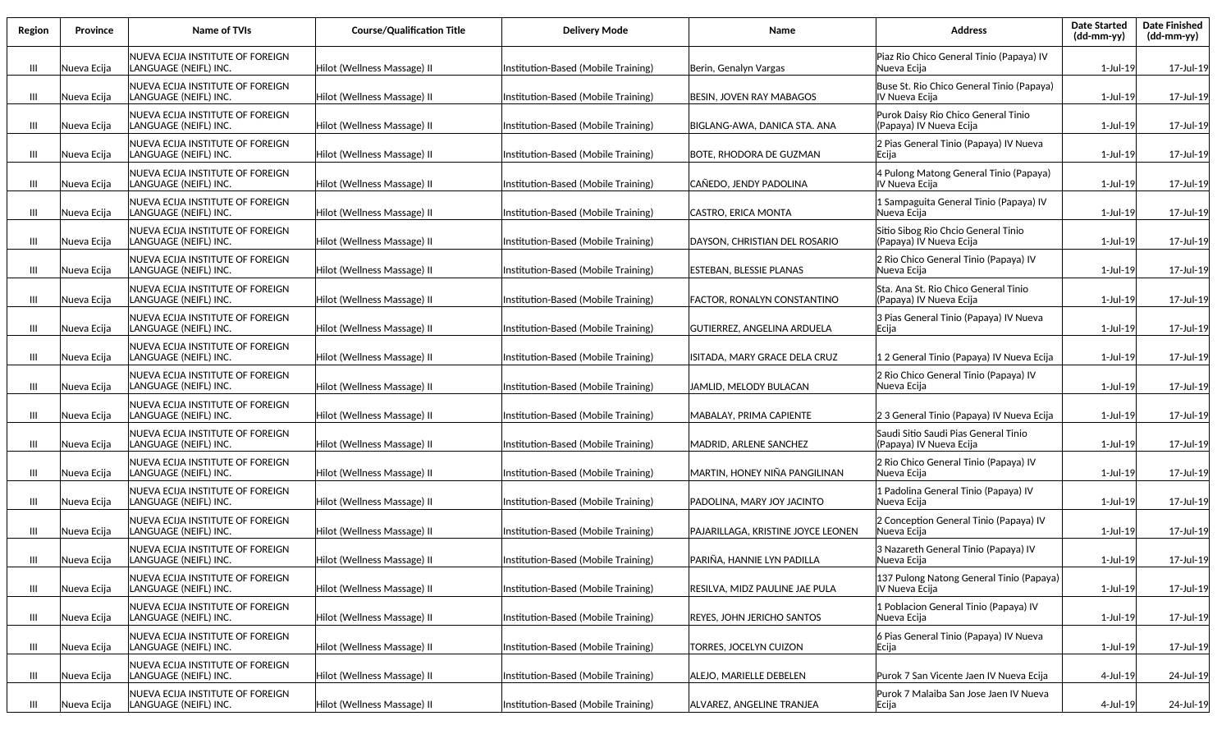| Region         | <b>Province</b> | Name of TVIs                                               | <b>Course/Qualification Title</b> | <b>Delivery Mode</b>                | Name                               | <b>Address</b>                                                  | <b>Date Started</b><br>(dd-mm-yy) | <b>Date Finished</b><br>(dd-mm-yy) |
|----------------|-----------------|------------------------------------------------------------|-----------------------------------|-------------------------------------|------------------------------------|-----------------------------------------------------------------|-----------------------------------|------------------------------------|
| $\mathbf{m}$   | Nueva Ecija     | NUEVA ECIJA INSTITUTE OF FOREIGN<br>LANGUAGE (NEIFL) INC.  | Hilot (Wellness Massage) II       | Institution-Based (Mobile Training) | Berin, Genalyn Vargas              | Piaz Rio Chico General Tinio (Papaya) IV<br>Nueva Ecija         | 1-Jul-19                          | 17-Jul-19                          |
| Ш              | Nueva Ecija     | NUEVA ECIJA INSTITUTE OF FOREIGN<br>LANGUAGE (NEIFL) INC.  | Hilot (Wellness Massage) II       | Institution-Based (Mobile Training) | <b>BESIN. JOVEN RAY MABAGOS</b>    | Buse St. Rio Chico General Tinio (Papaya)<br>IV Nueva Ecija     | 1-Jul-19                          | 17-Jul-19                          |
| Ш              | Nueva Ecija     | NUEVA ECIJA INSTITUTE OF FOREIGN<br> LANGUAGE (NEIFL) INC. | Hilot (Wellness Massage) II       | Institution-Based (Mobile Training) | BIGLANG-AWA, DANICA STA. ANA       | Purok Daisy Rio Chico General Tinio<br>(Papaya) IV Nueva Ecija  | 1-Jul-19                          | 17-Jul-19                          |
| Ш              | Nueva Ecija     | NUEVA ECIJA INSTITUTE OF FOREIGN<br> LANGUAGE (NEIFL) INC. | Hilot (Wellness Massage) II       | Institution-Based (Mobile Training) | BOTE, RHODORA DE GUZMAN            | 2 Pias General Tinio (Papaya) IV Nueva<br>Ecija                 | 1-Jul-19                          | 17-Jul-19                          |
| Ш              | Nueva Ecija     | NUEVA ECIJA INSTITUTE OF FOREIGN<br>lLANGUAGE (NEIFL) INC. | Hilot (Wellness Massage) II       | Institution-Based (Mobile Training) | CAÑEDO, JENDY PADOLINA             | 4 Pulong Matong General Tinio (Papaya)<br>IV Nueva Ecija        | 1-Jul-19                          | 17-Jul-19                          |
| Ш              | Nueva Ecija     | NUEVA ECIJA INSTITUTE OF FOREIGN<br> LANGUAGE (NEIFL) INC. | Hilot (Wellness Massage) II       | Institution-Based (Mobile Training) | CASTRO, ERICA MONTA                | 1 Sampaguita General Tinio (Papaya) IV<br> Nueva Ecija          | $1$ -Jul-19                       | 17-Jul-19                          |
| Ш              | Nueva Ecija     | NUEVA ECIJA INSTITUTE OF FOREIGN<br>LANGUAGE (NEIFL) INC.  | Hilot (Wellness Massage) II       | Institution-Based (Mobile Training) | DAYSON, CHRISTIAN DEL ROSARIO      | Sitio Sibog Rio Chcio General Tinio<br>(Papaya) IV Nueva Ecija  | 1-Jul-19                          | 17-Jul-19                          |
| Ш              | Nueva Ecija     | NUEVA ECIJA INSTITUTE OF FOREIGN<br>LANGUAGE (NEIFL) INC.  | Hilot (Wellness Massage) II       | Institution-Based (Mobile Training) | ESTEBAN, BLESSIE PLANAS            | 2 Rio Chico General Tinio (Papaya) IV<br>Nueva Ecija            | 1-Jul-19                          | 17-Jul-19                          |
| Ш              | Nueva Ecija     | NUEVA ECIJA INSTITUTE OF FOREIGN<br>LANGUAGE (NEIFL) INC.  | Hilot (Wellness Massage) II       | Institution-Based (Mobile Training) | FACTOR, RONALYN CONSTANTINO        | Sta. Ana St. Rio Chico General Tinio<br>(Papaya) IV Nueva Ecija | 1-Jul-19                          | 17-Jul-19                          |
| Ш              | Nueva Ecija     | NUEVA ECIJA INSTITUTE OF FOREIGN<br>LANGUAGE (NEIFL) INC.  | Hilot (Wellness Massage) II       | Institution-Based (Mobile Training) | GUTIERREZ, ANGELINA ARDUELA        | 3 Pias General Tinio (Papaya) IV Nueva<br> Ecija                | 1-Jul-19                          | 17-Jul-19                          |
| $\mathbf{  }$  | Nueva Ecija     | NUEVA ECIJA INSTITUTE OF FOREIGN<br>LANGUAGE (NEIFL) INC.  | Hilot (Wellness Massage) II       | Institution-Based (Mobile Training) | ISITADA, MARY GRACE DELA CRUZ      | 1 2 General Tinio (Papaya) IV Nueva Ecija                       | 1-Jul-19                          | 17-Jul-19                          |
| Ш              | Nueva Ecija     | NUEVA ECIJA INSTITUTE OF FOREIGN<br>LANGUAGE (NEIFL) INC.  | Hilot (Wellness Massage) II       | Institution-Based (Mobile Training) | JAMLID, MELODY BULACAN             | 2 Rio Chico General Tinio (Papaya) IV<br>Nueva Ecija            | 1-Jul-19                          | 17-Jul-19                          |
| Ш              | Nueva Ecija     | NUEVA ECIJA INSTITUTE OF FOREIGN<br>LANGUAGE (NEIFL) INC.  | Hilot (Wellness Massage) II       | Institution-Based (Mobile Training) | MABALAY, PRIMA CAPIENTE            | 2 3 General Tinio (Papaya) IV Nueva Ecija                       | 1-Jul-19                          | 17-Jul-19                          |
| Ш              | Nueva Ecija     | NUEVA ECIJA INSTITUTE OF FOREIGN<br>LANGUAGE (NEIFL) INC.  | Hilot (Wellness Massage) II       | Institution-Based (Mobile Training) | MADRID, ARLENE SANCHEZ             | Saudi Sitio Saudi Pias General Tinio<br>(Papaya) IV Nueva Ecija | 1-Jul-19                          | 17-Jul-19                          |
| Ш              | Nueva Ecija     | NUEVA ECIJA INSTITUTE OF FOREIGN<br>LANGUAGE (NEIFL) INC.  | Hilot (Wellness Massage) II       | Institution-Based (Mobile Training) | MARTIN, HONEY NIÑA PANGILINAN      | 2 Rio Chico General Tinio (Papaya) IV<br> Nueva Ecija           | 1-Jul-19                          | 17-Jul-19                          |
| Ш              | Nueva Ecija     | NUEVA ECIJA INSTITUTE OF FOREIGN<br>LANGUAGE (NEIFL) INC.  | Hilot (Wellness Massage) II       | Institution-Based (Mobile Training) | PADOLINA, MARY JOY JACINTO         | 1 Padolina General Tinio (Papaya) IV<br>Nueva Ecija             | 1-Jul-19                          | 17-Jul-19                          |
| Ш              | Nueva Ecija     | NUEVA ECIJA INSTITUTE OF FOREIGN<br>LANGUAGE (NEIFL) INC.  | Hilot (Wellness Massage) II       | Institution-Based (Mobile Training) | PAJARILLAGA, KRISTINE JOYCE LEONEN | 2 Conception General Tinio (Papaya) IV<br>Nueva Ecija           | 1-Jul-19                          | 17-Jul-19                          |
| Ш              | Nueva Ecija     | NUEVA ECIJA INSTITUTE OF FOREIGN<br>LANGUAGE (NEIFL) INC.  | Hilot (Wellness Massage) II       | Institution-Based (Mobile Training) | PARIÑA, HANNIE LYN PADILLA         | 3 Nazareth General Tinio (Papaya) IV<br>Nueva Ecija             | 1-Jul-19                          | 17-Jul-19                          |
| $\mathbf{III}$ | Nueva Ecija     | NUEVA ECIJA INSTITUTE OF FOREIGN<br>LANGUAGE (NEIFL) INC.  | Hilot (Wellness Massage) II       | Institution-Based (Mobile Training) | RESILVA, MIDZ PAULINE JAE PULA     | 137 Pulong Natong General Tinio (Papaya)<br>IV Nueva Ecija      | 1-Jul-19                          | 17-Jul-19                          |
| $\mathbf{III}$ | Nueva Ecija     | NUEVA ECIJA INSTITUTE OF FOREIGN<br>LANGUAGE (NEIFL) INC.  | Hilot (Wellness Massage) II       | Institution-Based (Mobile Training) | <b>REYES, JOHN JERICHO SANTOS</b>  | 1 Poblacion General Tinio (Papaya) IV<br>Nueva Ecija            | 1-Jul-19                          | 17-Jul-19                          |
| Ш              | Nueva Ecija     | NUEVA ECIJA INSTITUTE OF FOREIGN<br>LANGUAGE (NEIFL) INC.  | Hilot (Wellness Massage) II       | Institution-Based (Mobile Training) | TORRES, JOCELYN CUIZON             | 6 Pias General Tinio (Papaya) IV Nueva<br> Ecija                | 1-Jul-19                          | 17-Jul-19                          |
| Ш              | Nueva Ecija     | NUEVA ECIJA INSTITUTE OF FOREIGN<br>LANGUAGE (NEIFL) INC.  | Hilot (Wellness Massage) II       | Institution-Based (Mobile Training) | ALEJO, MARIELLE DEBELEN            | Purok 7 San Vicente Jaen IV Nueva Ecija                         | 4-Jul-19                          | 24-Jul-19                          |
| Ш              | Nueva Ecija     | NUEVA ECIJA INSTITUTE OF FOREIGN<br>LANGUAGE (NEIFL) INC.  | Hilot (Wellness Massage) II       | Institution-Based (Mobile Training) | ALVAREZ, ANGELINE TRANJEA          | Purok 7 Malaiba San Jose Jaen IV Nueva<br>Ecija                 | 4-Jul-19                          | 24-Jul-19                          |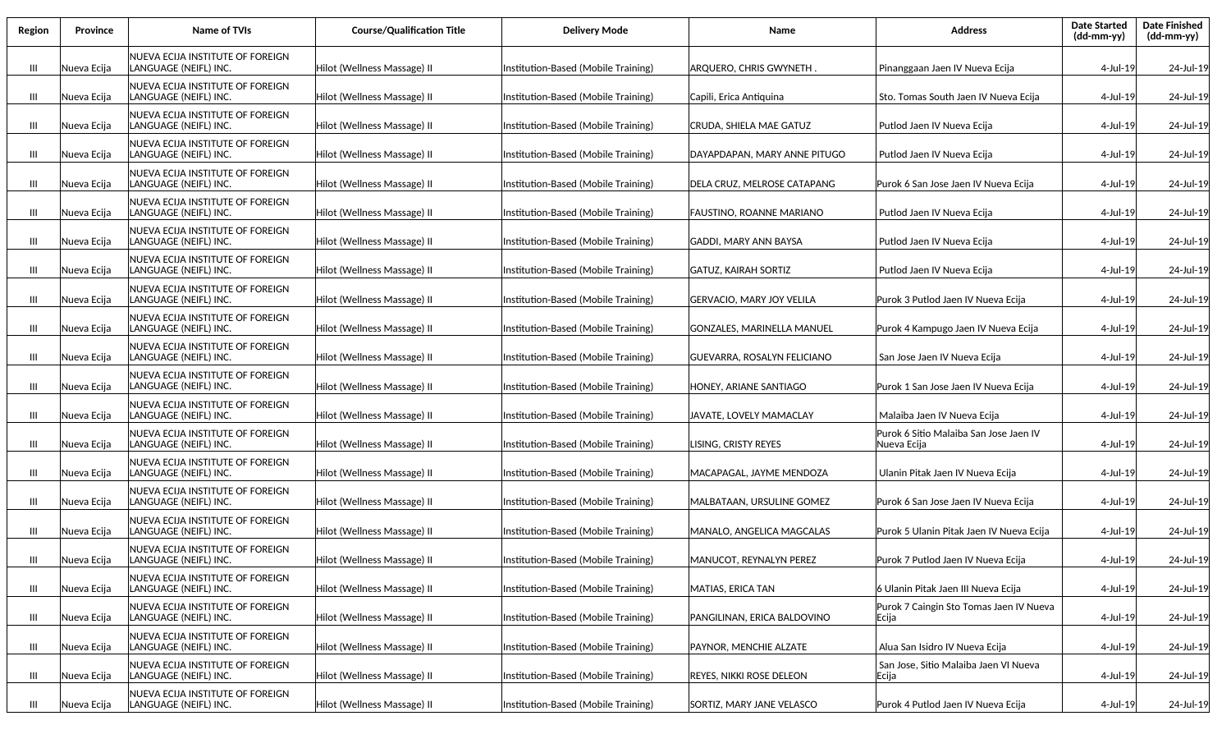| Region | Province    | Name of TVIs                                              | <b>Course/Qualification Title</b> | <b>Delivery Mode</b>                | Name                             | <b>Address</b>                                        | <b>Date Started</b><br>(dd-mm-yy) | <b>Date Finished</b><br>(dd-mm-yy) |
|--------|-------------|-----------------------------------------------------------|-----------------------------------|-------------------------------------|----------------------------------|-------------------------------------------------------|-----------------------------------|------------------------------------|
| Ш      | Nueva Ecija | NUEVA ECIJA INSTITUTE OF FOREIGN<br>LANGUAGE (NEIFL) INC. | Hilot (Wellness Massage) II       | Institution-Based (Mobile Training) | ARQUERO, CHRIS GWYNETH           | Pinanggaan Jaen IV Nueva Ecija                        | 4-Jul-19                          | 24-Jul-19                          |
| Ш      | Nueva Ecija | NUEVA ECIJA INSTITUTE OF FOREIGN<br>LANGUAGE (NEIFL) INC. | Hilot (Wellness Massage) II       | Institution-Based (Mobile Training) | Capili, Erica Antiquina          | Sto. Tomas South Jaen IV Nueva Ecija                  | 4-Jul-19                          | 24-Jul-19                          |
| Ш      | Nueva Ecija | NUEVA ECIJA INSTITUTE OF FOREIGN<br>LANGUAGE (NEIFL) INC. | Hilot (Wellness Massage) II       | Institution-Based (Mobile Training) | CRUDA, SHIELA MAE GATUZ          | Putlod Jaen IV Nueva Ecija                            | 4-Jul-19                          | 24-Jul-19                          |
| Ш      | Nueva Ecija | NUEVA ECIJA INSTITUTE OF FOREIGN<br>LANGUAGE (NEIFL) INC. | Hilot (Wellness Massage) II       | Institution-Based (Mobile Training) | DAYAPDAPAN, MARY ANNE PITUGO     | Putlod Jaen IV Nueva Ecija                            | 4-Jul-19                          | 24-Jul-19                          |
| Ш      | Nueva Ecija | NUEVA ECIJA INSTITUTE OF FOREIGN<br>LANGUAGE (NEIFL) INC. | Hilot (Wellness Massage) II       | Institution-Based (Mobile Training) | DELA CRUZ. MELROSE CATAPANG      | Purok 6 San Jose Jaen IV Nueva Ecija                  | 4-Jul-19                          | 24-Jul-19                          |
| Ш      | Nueva Ecija | NUEVA ECIJA INSTITUTE OF FOREIGN<br>LANGUAGE (NEIFL) INC. | Hilot (Wellness Massage) II       | Institution-Based (Mobile Training) | FAUSTINO, ROANNE MARIANO         | Putlod Jaen IV Nueva Ecija                            | 4-Jul-19                          | 24-Jul-19                          |
| Ш      | Nueva Ecija | NUEVA ECIJA INSTITUTE OF FOREIGN<br>LANGUAGE (NEIFL) INC. | Hilot (Wellness Massage) II       | Institution-Based (Mobile Training) | GADDI. MARY ANN BAYSA            | Putlod Jaen IV Nueva Ecija                            | 4-Jul-19                          | 24-Jul-19                          |
| Ш      | Nueva Ecija | NUEVA ECIJA INSTITUTE OF FOREIGN<br>LANGUAGE (NEIFL) INC. | Hilot (Wellness Massage) II       | Institution-Based (Mobile Training) | GATUZ, KAIRAH SORTIZ             | Putlod Jaen IV Nueva Ecija                            | 4-Jul-19                          | 24-Jul-19                          |
| Ш      | Nueva Ecija | NUEVA ECIJA INSTITUTE OF FOREIGN<br>LANGUAGE (NEIFL) INC. | Hilot (Wellness Massage) II       | Institution-Based (Mobile Training) | <b>GERVACIO, MARY JOY VELILA</b> | Purok 3 Putlod Jaen IV Nueva Ecija                    | 4-Jul-19                          | 24-Jul-19                          |
| Ш      | Nueva Ecija | NUEVA ECIJA INSTITUTE OF FOREIGN<br>LANGUAGE (NEIFL) INC. | Hilot (Wellness Massage) II       | Institution-Based (Mobile Training) | lgonzales. Marinella Manuel      | Purok 4 Kampugo Jaen IV Nueva Ecija                   | 4-Jul-19                          | 24-Jul-19                          |
| Ш      | Nueva Ecija | NUEVA ECIJA INSTITUTE OF FOREIGN<br>LANGUAGE (NEIFL) INC. | Hilot (Wellness Massage) II       | Institution-Based (Mobile Training) | GUEVARRA, ROSALYN FELICIANO      | San Jose Jaen IV Nueva Ecija                          | 4-Jul-19                          | 24-Jul-19                          |
| Ш      | Nueva Ecija | NUEVA ECIJA INSTITUTE OF FOREIGN<br>LANGUAGE (NEIFL) INC. | Hilot (Wellness Massage) II       | Institution-Based (Mobile Training) | HONEY, ARIANE SANTIAGO           | Purok 1 San Jose Jaen IV Nueva Ecija                  | 4-Jul-19                          | 24-Jul-19                          |
| Ш      | Nueva Ecija | NUEVA ECIJA INSTITUTE OF FOREIGN<br>LANGUAGE (NEIFL) INC. | Hilot (Wellness Massage) II       | Institution-Based (Mobile Training) | JAVATE, LOVELY MAMACLAY          | Malaiba Jaen IV Nueva Ecija                           | 4-Jul-19                          | 24-Jul-19                          |
| Ш      | Nueva Ecija | NUEVA ECIJA INSTITUTE OF FOREIGN<br>LANGUAGE (NEIFL) INC. | Hilot (Wellness Massage) II       | Institution-Based (Mobile Training) | LISING, CRISTY REYES             | Purok 6 Sitio Malaiba San Jose Jaen IV<br>Nueva Ecija | 4-Jul-19                          | 24-Jul-19                          |
| Ш      | Nueva Ecija | NUEVA ECIJA INSTITUTE OF FOREIGN<br>LANGUAGE (NEIFL) INC. | Hilot (Wellness Massage) II       | Institution-Based (Mobile Training) | MACAPAGAL, JAYME MENDOZA         | Ulanin Pitak Jaen IV Nueva Ecija                      | 4-Jul-19                          | 24-Jul-19                          |
| Ш      | Nueva Ecija | NUEVA ECIJA INSTITUTE OF FOREIGN<br>LANGUAGE (NEIFL) INC. | Hilot (Wellness Massage) II       | Institution-Based (Mobile Training) | MALBATAAN, URSULINE GOMEZ        | Purok 6 San Jose Jaen IV Nueva Ecija                  | 4-Jul-19                          | 24-Jul-19                          |
| Ш      | Nueva Ecija | NUEVA ECIJA INSTITUTE OF FOREIGN<br>LANGUAGE (NEIFL) INC. | Hilot (Wellness Massage) II       | Institution-Based (Mobile Training) | MANALO, ANGELICA MAGCALAS        | Purok 5 Ulanin Pitak Jaen IV Nueva Ecija              | 4-Jul-19                          | 24-Jul-19                          |
| Ш      | Nueva Ecija | NUEVA ECIJA INSTITUTE OF FOREIGN<br>LANGUAGE (NEIFL) INC. | Hilot (Wellness Massage) II       | Institution-Based (Mobile Training) | MANUCOT, REYNALYN PEREZ          | Purok 7 Putlod Jaen IV Nueva Ecija                    | 4-Jul-19                          | 24-Jul-19                          |
| Ш      | Nueva Ecija | NUEVA ECIJA INSTITUTE OF FOREIGN<br>LANGUAGE (NEIFL) INC. | Hilot (Wellness Massage) II       | Institution-Based (Mobile Training) | MATIAS, ERICA TAN                | 6 Ulanin Pitak Jaen III Nueva Ecija                   | 4-Jul-19                          | 24-Jul-19                          |
| Ш      | Nueva Ecija | NUEVA ECIJA INSTITUTE OF FOREIGN<br>LANGUAGE (NEIFL) INC. | Hilot (Wellness Massage) II       | Institution-Based (Mobile Training) | PANGILINAN, ERICA BALDOVINO      | Purok 7 Caingin Sto Tomas Jaen IV Nueva<br> Ecija     | 4-Jul-19                          | 24-Jul-19                          |
| Ш      | Nueva Ecija | NUEVA ECIJA INSTITUTE OF FOREIGN<br>LANGUAGE (NEIFL) INC. | Hilot (Wellness Massage) II       | Institution-Based (Mobile Training) | PAYNOR, MENCHIE ALZATE           | Alua San Isidro IV Nueva Ecija                        | 4-Jul-19                          | 24-Jul-19                          |
| Ш      | Nueva Ecija | NUEVA ECIJA INSTITUTE OF FOREIGN<br>LANGUAGE (NEIFL) INC. | Hilot (Wellness Massage) II       | Institution-Based (Mobile Training) | <b>REYES, NIKKI ROSE DELEON</b>  | San Jose, Sitio Malaiba Jaen VI Nueva<br><b>Ecija</b> | 4-Jul-19                          | 24-Jul-19                          |
| Ш      | Nueva Ecija | NUEVA ECIJA INSTITUTE OF FOREIGN<br>LANGUAGE (NEIFL) INC. | Hilot (Wellness Massage) II       | Institution-Based (Mobile Training) | SORTIZ, MARY JANE VELASCO        | Purok 4 Putlod Jaen IV Nueva Ecija                    | 4-Jul-19                          | 24-Jul-19                          |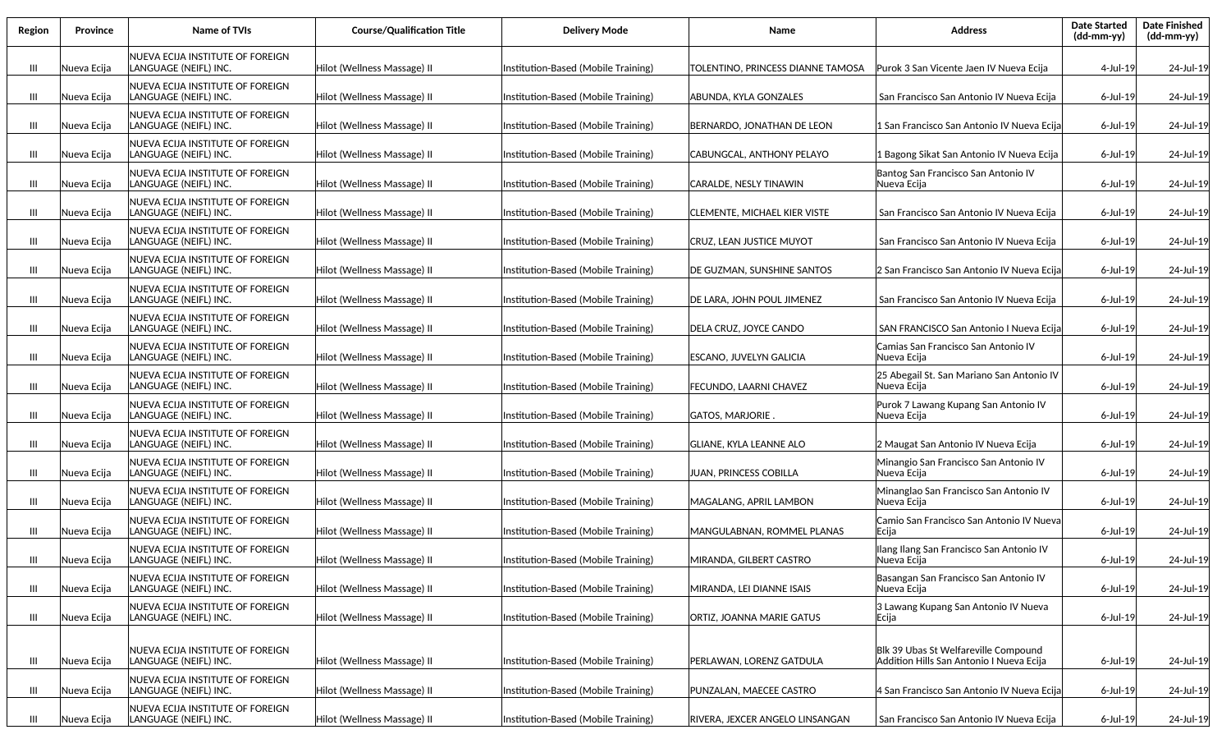| Region | Province    | Name of TVIs                                              | <b>Course/Qualification Title</b> | <b>Delivery Mode</b>                | Name                              | <b>Address</b>                                                                   | <b>Date Started</b><br>$(dd-mm-yy)$ | <b>Date Finished</b><br>(dd-mm-yy) |
|--------|-------------|-----------------------------------------------------------|-----------------------------------|-------------------------------------|-----------------------------------|----------------------------------------------------------------------------------|-------------------------------------|------------------------------------|
| Ш      | Nueva Ecija | NUEVA ECIJA INSTITUTE OF FOREIGN<br>LANGUAGE (NEIFL) INC. | Hilot (Wellness Massage) II       | Institution-Based (Mobile Training) | TOLENTINO, PRINCESS DIANNE TAMOSA | Purok 3 San Vicente Jaen IV Nueva Ecija                                          | 4-Jul-19                            | 24-Jul-19                          |
| Ш      | Nueva Ecija | NUEVA ECIJA INSTITUTE OF FOREIGN<br>LANGUAGE (NEIFL) INC. | Hilot (Wellness Massage) II       | Institution-Based (Mobile Training) | ABUNDA, KYLA GONZALES             | San Francisco San Antonio IV Nueva Ecija                                         | 6-Jul-19                            | 24-Jul-19                          |
| Ш      | Nueva Ecija | NUEVA ECIJA INSTITUTE OF FOREIGN<br>LANGUAGE (NEIFL) INC. | Hilot (Wellness Massage) II       | Institution-Based (Mobile Training) | BERNARDO, JONATHAN DE LEON        | 1 San Francisco San Antonio IV Nueva Ecija                                       | 6-Jul-19                            | 24-Jul-19                          |
| Ш      | Nueva Ecija | NUEVA ECIJA INSTITUTE OF FOREIGN<br>LANGUAGE (NEIFL) INC. | Hilot (Wellness Massage) II       | Institution-Based (Mobile Training) | CABUNGCAL, ANTHONY PELAYO         | 1 Bagong Sikat San Antonio IV Nueva Ecija                                        | 6-Jul-19                            | 24-Jul-19                          |
| Ш      | Nueva Ecija | NUEVA ECIJA INSTITUTE OF FOREIGN<br>LANGUAGE (NEIFL) INC. | Hilot (Wellness Massage) II       | Institution-Based (Mobile Training) | CARALDE, NESLY TINAWIN            | Bantog San Francisco San Antonio IV<br>Nueva Ecija                               | 6-Jul-19                            | 24-Jul-19                          |
| Ш      | Nueva Ecija | NUEVA ECIJA INSTITUTE OF FOREIGN<br>LANGUAGE (NEIFL) INC. | Hilot (Wellness Massage) II       | Institution-Based (Mobile Training) | CLEMENTE, MICHAEL KIER VISTE      | San Francisco San Antonio IV Nueva Ecija                                         | $6$ -Jul-19                         | 24-Jul-19                          |
| Ш      | Nueva Ecija | NUEVA ECIJA INSTITUTE OF FOREIGN<br>LANGUAGE (NEIFL) INC. | Hilot (Wellness Massage) II       | Institution-Based (Mobile Training) | CRUZ, LEAN JUSTICE MUYOT          | San Francisco San Antonio IV Nueva Ecija                                         | $6$ -Jul-19                         | 24-Jul-19                          |
| Ш      | Nueva Ecija | NUEVA ECIJA INSTITUTE OF FOREIGN<br>LANGUAGE (NEIFL) INC. | Hilot (Wellness Massage) II       | Institution-Based (Mobile Training) | IDE GUZMAN. SUNSHINE SANTOS       | 2 San Francisco San Antonio IV Nueva Ecija                                       | 6-Jul-19                            | 24-Jul-19                          |
| Ш      | Nueva Ecija | NUEVA ECIJA INSTITUTE OF FOREIGN<br>LANGUAGE (NEIFL) INC. | Hilot (Wellness Massage) II       | Institution-Based (Mobile Training) | DE LARA, JOHN POUL JIMENEZ        | San Francisco San Antonio IV Nueva Ecija                                         | $6$ -Jul-19                         | 24-Jul-19                          |
| Ш      | Nueva Ecija | NUEVA ECIJA INSTITUTE OF FOREIGN<br>LANGUAGE (NEIFL) INC. | Hilot (Wellness Massage) II       | Institution-Based (Mobile Training) | DELA CRUZ, JOYCE CANDO            | SAN FRANCISCO San Antonio I Nueva Ecija                                          | $6$ -Jul-19                         | 24-Jul-19                          |
| Ш      | Nueva Ecija | NUEVA ECIJA INSTITUTE OF FOREIGN<br>LANGUAGE (NEIFL) INC. | Hilot (Wellness Massage) II       | Institution-Based (Mobile Training) | ESCANO, JUVELYN GALICIA           | Camias San Francisco San Antonio IV<br>Nueva Eciia                               | $6$ -Jul-19                         | 24-Jul-19                          |
| Ш      | Nueva Ecija | NUEVA ECIJA INSTITUTE OF FOREIGN<br>LANGUAGE (NEIFL) INC. | Hilot (Wellness Massage) II       | Institution-Based (Mobile Training) | FECUNDO, LAARNI CHAVEZ            | 25 Abegail St. San Mariano San Antonio IV<br>Nueva Ecija                         | $6$ -Jul-19                         | 24-Jul-19                          |
| Ш      | Nueva Ecija | NUEVA ECIJA INSTITUTE OF FOREIGN<br>LANGUAGE (NEIFL) INC. | Hilot (Wellness Massage) II       | Institution-Based (Mobile Training) | GATOS, MARJORIE .                 | Purok 7 Lawang Kupang San Antonio IV<br>Nueva Ecija                              | 6-Jul-19                            | 24-Jul-19                          |
| Ш      | Nueva Ecija | NUEVA ECIJA INSTITUTE OF FOREIGN<br>LANGUAGE (NEIFL) INC. | Hilot (Wellness Massage) II       | Institution-Based (Mobile Training) | GLIANE, KYLA LEANNE ALO           | 2 Maugat San Antonio IV Nueva Ecija                                              | 6-Jul-19                            | 24-Jul-19                          |
| Ш      | Nueva Ecija | NUEVA ECIJA INSTITUTE OF FOREIGN<br>LANGUAGE (NEIFL) INC. | Hilot (Wellness Massage) II       | Institution-Based (Mobile Training) | JUAN, PRINCESS COBILLA            | Minangio San Francisco San Antonio IV<br>Nueva Ecija                             | $6$ -Jul-19                         | 24-Jul-19                          |
| Ш      | Nueva Ecija | NUEVA ECIJA INSTITUTE OF FOREIGN<br>LANGUAGE (NEIFL) INC. | Hilot (Wellness Massage) II       | Institution-Based (Mobile Training) | MAGALANG, APRIL LAMBON            | Minanglao San Francisco San Antonio IV<br>Nueva Ecija                            | $6$ -Jul-19                         | 24-Jul-19                          |
| Ш      | Nueva Ecija | NUEVA ECIJA INSTITUTE OF FOREIGN<br>LANGUAGE (NEIFL) INC. | Hilot (Wellness Massage) II       | Institution-Based (Mobile Training) | MANGULABNAN, ROMMEL PLANAS        | Camio San Francisco San Antonio IV Nueva<br>Ecija                                | $6$ -Jul-19                         | 24-Jul-19                          |
| Ш      | Nueva Ecija | NUEVA ECIJA INSTITUTE OF FOREIGN<br>LANGUAGE (NEIFL) INC. | Hilot (Wellness Massage) II       | Institution-Based (Mobile Training) | MIRANDA, GILBERT CASTRO           | Ilang Ilang San Francisco San Antonio IV<br>Nueva Ecija                          | $6$ -Jul-19                         | 24-Jul-19                          |
| Ш      | Nueva Ecija | NUEVA ECIJA INSTITUTE OF FOREIGN<br>LANGUAGE (NEIFL) INC. | Hilot (Wellness Massage) II       | Institution-Based (Mobile Training) | MIRANDA, LEI DIANNE ISAIS         | Basangan San Francisco San Antonio IV<br>Nueva Ecija                             | 6-Jul-19                            | 24-Jul-19                          |
| Ш      | Nueva Ecija | NUEVA ECIJA INSTITUTE OF FOREIGN<br>LANGUAGE (NEIFL) INC. | Hilot (Wellness Massage) II       | Institution-Based (Mobile Training) | ORTIZ, JOANNA MARIE GATUS         | 3 Lawang Kupang San Antonio IV Nueva<br>Ecija                                    | 6-Jul-19                            | 24-Jul-19                          |
| Ш      | Nueva Ecija | NUEVA ECIJA INSTITUTE OF FOREIGN<br>LANGUAGE (NEIFL) INC. | Hilot (Wellness Massage) II       | Institution-Based (Mobile Training) | PERLAWAN, LORENZ GATDULA          | Blk 39 Ubas St Welfareville Compound<br>Addition Hills San Antonio I Nueva Ecija | 6-Jul-19                            | 24-Jul-19                          |
| Ш      | Nueva Ecija | NUEVA ECIJA INSTITUTE OF FOREIGN<br>LANGUAGE (NEIFL) INC. | Hilot (Wellness Massage) II       | Institution-Based (Mobile Training) | PUNZALAN, MAECEE CASTRO           | 4 San Francisco San Antonio IV Nueva Ecija                                       | 6-Jul-19                            | 24-Jul-19                          |
| Ш      | Nueva Ecija | NUEVA ECIJA INSTITUTE OF FOREIGN<br>LANGUAGE (NEIFL) INC. | Hilot (Wellness Massage) II       | Institution-Based (Mobile Training) | RIVERA, JEXCER ANGELO LINSANGAN   | San Francisco San Antonio IV Nueva Ecija                                         | 6-Jul-19                            | 24-Jul-19                          |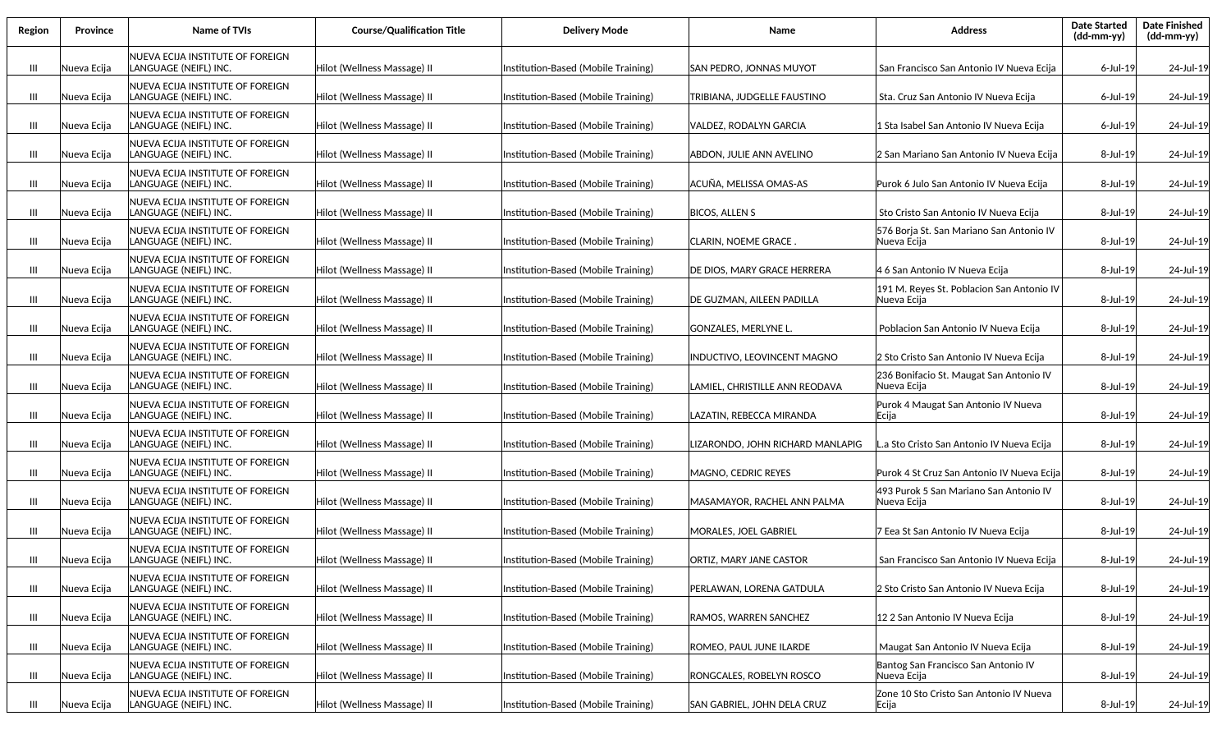| Region | Province    | <b>Name of TVIs</b>                                       | <b>Course/Qualification Title</b> | <b>Delivery Mode</b>                | Name                               | <b>Address</b>                                           | <b>Date Started</b><br>$(dd-mm-yy)$ | <b>Date Finished</b><br>(dd-mm-yy) |
|--------|-------------|-----------------------------------------------------------|-----------------------------------|-------------------------------------|------------------------------------|----------------------------------------------------------|-------------------------------------|------------------------------------|
| Ш      | Nueva Ecija | NUEVA ECIJA INSTITUTE OF FOREIGN<br>LANGUAGE (NEIFL) INC. | Hilot (Wellness Massage) II       | Institution-Based (Mobile Training) | SAN PEDRO, JONNAS MUYOT            | San Francisco San Antonio IV Nueva Ecija                 | $6$ -Jul-19                         | 24-Jul-19                          |
| Ш      | Nueva Ecija | NUEVA ECIJA INSTITUTE OF FOREIGN<br>LANGUAGE (NEIFL) INC. | Hilot (Wellness Massage) II       | Institution-Based (Mobile Training) | TRIBIANA, JUDGELLE FAUSTINO        | Sta. Cruz San Antonio IV Nueva Ecija                     | $6$ -Jul-19                         | 24-Jul-19                          |
| Ш      | Nueva Ecija | NUEVA ECIJA INSTITUTE OF FOREIGN<br>LANGUAGE (NEIFL) INC. | Hilot (Wellness Massage) II       | Institution-Based (Mobile Training) | VALDEZ, RODALYN GARCIA             | 1 Sta Isabel San Antonio IV Nueva Ecija                  | 6-Jul-19                            | 24-Jul-19                          |
| Ш      | Nueva Ecija | NUEVA ECIJA INSTITUTE OF FOREIGN<br>LANGUAGE (NEIFL) INC. | Hilot (Wellness Massage) II       | Institution-Based (Mobile Training) | ABDON, JULIE ANN AVELINO           | 2 San Mariano San Antonio IV Nueva Ecija                 | 8-Jul-19                            | 24-Jul-19                          |
| Ш      | Nueva Ecija | NUEVA ECIJA INSTITUTE OF FOREIGN<br>LANGUAGE (NEIFL) INC. | Hilot (Wellness Massage) II       | Institution-Based (Mobile Training) | ACUÑA, MELISSA OMAS-AS             | Purok 6 Julo San Antonio IV Nueva Ecija                  | 8-Jul-19                            | 24-Jul-19                          |
| Ш      | Nueva Ecija | NUEVA ECIJA INSTITUTE OF FOREIGN<br>LANGUAGE (NEIFL) INC. | Hilot (Wellness Massage) II       | Institution-Based (Mobile Training) | <b>BICOS, ALLEN S</b>              | Sto Cristo San Antonio IV Nueva Ecija                    | 8-Jul-19                            | 24-Jul-19                          |
| Ш      | Nueva Ecija | NUEVA ECIJA INSTITUTE OF FOREIGN<br>LANGUAGE (NEIFL) INC. | Hilot (Wellness Massage) II       | Institution-Based (Mobile Training) | CLARIN, NOEME GRACE .              | 576 Borja St. San Mariano San Antonio IV<br>Nueva Ecija  | 8-Jul-19                            | 24-Jul-19                          |
| Ш      | Nueva Ecija | NUEVA ECIJA INSTITUTE OF FOREIGN<br>LANGUAGE (NEIFL) INC. | Hilot (Wellness Massage) II       | Institution-Based (Mobile Training) | DE DIOS. MARY GRACE HERRERA        | 4 6 San Antonio IV Nueva Ecija                           | 8-Jul-19                            | 24-Jul-19                          |
| Ш      | Nueva Ecija | NUEVA ECIJA INSTITUTE OF FOREIGN<br>LANGUAGE (NEIFL) INC. | Hilot (Wellness Massage) II       | Institution-Based (Mobile Training) | DE GUZMAN, AILEEN PADILLA          | 191 M. Reyes St. Poblacion San Antonio IV<br>Nueva Ecija | 8-Jul-19                            | 24-Jul-19                          |
| Ш      | Nueva Ecija | NUEVA ECIJA INSTITUTE OF FOREIGN<br>LANGUAGE (NEIFL) INC. | Hilot (Wellness Massage) II       | Institution-Based (Mobile Training) | GONZALES, MERLYNE L.               | Poblacion San Antonio IV Nueva Ecija                     | 8-Jul-19                            | 24-Jul-19                          |
| Ш      | Nueva Ecija | NUEVA ECIJA INSTITUTE OF FOREIGN<br>LANGUAGE (NEIFL) INC. | Hilot (Wellness Massage) II       | Institution-Based (Mobile Training) | <b>INDUCTIVO, LEOVINCENT MAGNO</b> | 2 Sto Cristo San Antonio IV Nueva Ecija                  | 8-Jul-19                            | 24-Jul-19                          |
| Ш      | Nueva Ecija | NUEVA ECIJA INSTITUTE OF FOREIGN<br>LANGUAGE (NEIFL) INC. | Hilot (Wellness Massage) II       | Institution-Based (Mobile Training) | LAMIEL, CHRISTILLE ANN REODAVA     | 236 Bonifacio St. Maugat San Antonio IV<br>Nueva Ecija   | 8-Jul-19                            | 24-Jul-19                          |
| Ш      | Nueva Ecija | NUEVA ECIJA INSTITUTE OF FOREIGN<br>LANGUAGE (NEIFL) INC. | Hilot (Wellness Massage) II       | Institution-Based (Mobile Training) | LAZATIN, REBECCA MIRANDA           | Purok 4 Maugat San Antonio IV Nueva<br>Ecija             | 8-Jul-19                            | 24-Jul-19                          |
| Ш      | Nueva Ecija | NUEVA ECIJA INSTITUTE OF FOREIGN<br>LANGUAGE (NEIFL) INC. | Hilot (Wellness Massage) II       | Institution-Based (Mobile Training) | LIZARONDO, JOHN RICHARD MANLAPIG   | L.a Sto Cristo San Antonio IV Nueva Ecija                | 8-Jul-19                            | 24-Jul-19                          |
| Ш      | Nueva Ecija | NUEVA ECIJA INSTITUTE OF FOREIGN<br>LANGUAGE (NEIFL) INC. | Hilot (Wellness Massage) II       | Institution-Based (Mobile Training) | MAGNO, CEDRIC REYES                | Purok 4 St Cruz San Antonio IV Nueva Ecija               | 8-Jul-19                            | 24-Jul-19                          |
| Ш      | Nueva Ecija | NUEVA ECIJA INSTITUTE OF FOREIGN<br>LANGUAGE (NEIFL) INC. | Hilot (Wellness Massage) II       | Institution-Based (Mobile Training) | MASAMAYOR, RACHEL ANN PALMA        | 493 Purok 5 San Mariano San Antonio IV<br>Nueva Ecija    | 8-Jul-19                            | 24-Jul-19                          |
| Ш      | Nueva Ecija | NUEVA ECIJA INSTITUTE OF FOREIGN<br>LANGUAGE (NEIFL) INC. | Hilot (Wellness Massage) II       | Institution-Based (Mobile Training) | MORALES, JOEL GABRIEL              | 7 Eea St San Antonio IV Nueva Ecija                      | 8-Jul-19                            | 24-Jul-19                          |
| Ш      | Nueva Ecija | NUEVA ECIJA INSTITUTE OF FOREIGN<br>LANGUAGE (NEIFL) INC. | Hilot (Wellness Massage) II       | Institution-Based (Mobile Training) | ORTIZ, MARY JANE CASTOR            | San Francisco San Antonio IV Nueva Ecija                 | 8-Jul-19                            | 24-Jul-19                          |
| Ш      | Nueva Ecija | NUEVA ECIJA INSTITUTE OF FOREIGN<br>LANGUAGE (NEIFL) INC. | Hilot (Wellness Massage) II       | Institution-Based (Mobile Training) | PERLAWAN, LORENA GATDULA           | 2 Sto Cristo San Antonio IV Nueva Ecija                  | 8-Jul-19                            | 24-Jul-19                          |
| Ш      | Nueva Ecija | NUEVA ECIJA INSTITUTE OF FOREIGN<br>LANGUAGE (NEIFL) INC. | Hilot (Wellness Massage) II       | Institution-Based (Mobile Training) | RAMOS, WARREN SANCHEZ              | 12 2 San Antonio IV Nueva Ecija                          | 8-Jul-19                            | 24-Jul-19                          |
| Ш      | Nueva Ecija | NUEVA ECIJA INSTITUTE OF FOREIGN<br>LANGUAGE (NEIFL) INC. | Hilot (Wellness Massage) II       | Institution-Based (Mobile Training) | ROMEO, PAUL JUNE ILARDE            | Maugat San Antonio IV Nueva Ecija                        | 8-Jul-19                            | 24-Jul-19                          |
| Ш      | Nueva Ecija | NUEVA ECIJA INSTITUTE OF FOREIGN<br>LANGUAGE (NEIFL) INC. | Hilot (Wellness Massage) II       | Institution-Based (Mobile Training) | RONGCALES, ROBELYN ROSCO           | Bantog San Francisco San Antonio IV<br>Nueva Ecija       | 8-Jul-19                            | 24-Jul-19                          |
| Ш      | Nueva Ecija | NUEVA ECIJA INSTITUTE OF FOREIGN<br>LANGUAGE (NEIFL) INC. | Hilot (Wellness Massage) II       | Institution-Based (Mobile Training) | SAN GABRIEL, JOHN DELA CRUZ        | Zone 10 Sto Cristo San Antonio IV Nueva<br>Ecija         | 8-Jul-19                            | 24-Jul-19                          |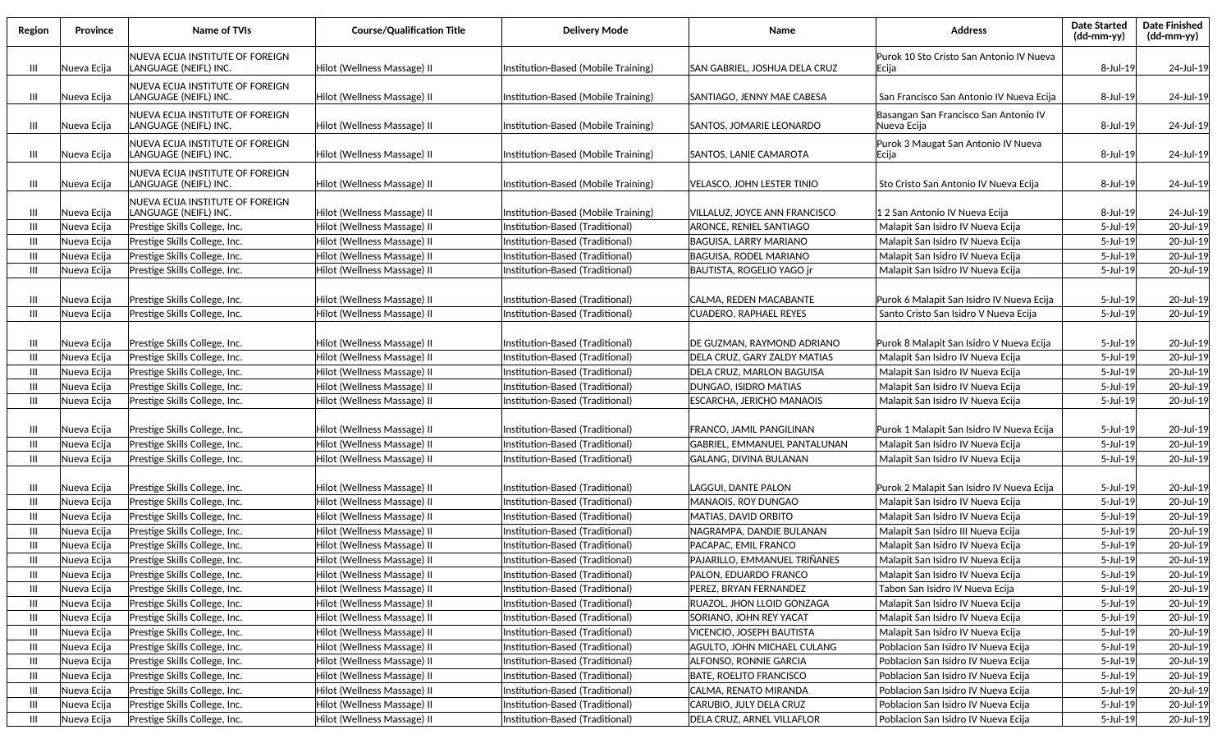| Region | Province    | Name of TVIs                                              | <b>Course/Qualification Title</b> | <b>Delivery Mode</b>                | Name                           | Address                                               | <b>Date Started</b><br>$(dd\text{-}mm\text{-}yy)$ | <b>Date Finished</b><br>(dd-mm-yy) |
|--------|-------------|-----------------------------------------------------------|-----------------------------------|-------------------------------------|--------------------------------|-------------------------------------------------------|---------------------------------------------------|------------------------------------|
| Ш      | Nueva Ecija | NUEVA ECIJA INSTITUTE OF FOREIGN<br>LANGUAGE (NEIFL) INC. | Hilot (Wellness Massage) II       | Institution-Based (Mobile Training) | SAN GABRIEL, JOSHUA DELA CRUZ  | Purok 10 Sto Cristo San Antonio IV Nueva<br> Ecija    | 8-Jul-19                                          | 24-Jul-19                          |
| Ш      | Nueva Ecija | NUEVA ECIJA INSTITUTE OF FOREIGN<br>LANGUAGE (NEIFL) INC. | Hilot (Wellness Massage) II       | Institution-Based (Mobile Training) | SANTIAGO, JENNY MAE CABESA     | San Francisco San Antonio IV Nueva Ecija              | 8-Jul-19                                          | 24-Jul-19                          |
| Ш      | Nueva Ecija | NUEVA ECIJA INSTITUTE OF FOREIGN<br>LANGUAGE (NEIFL) INC. | Hilot (Wellness Massage) II       | Institution-Based (Mobile Training) | SANTOS, JOMARIE LEONARDO       | Basangan San Francisco San Antonio IV<br> Nueva Ecija | 8-Jul-19                                          | 24-Jul-19                          |
| Ш      | Nueva Ecija | NUEVA ECIJA INSTITUTE OF FOREIGN<br>LANGUAGE (NEIFL) INC. | Hilot (Wellness Massage) II       | Institution-Based (Mobile Training) | lSANTOS. LANIE CAMAROTA        | Purok 3 Maugat San Antonio IV Nueva<br> Ecija         | 8-Jul-19                                          | 24-Jul-19                          |
| Ш      | Nueva Ecija | NUEVA ECIJA INSTITUTE OF FOREIGN<br>LANGUAGE (NEIFL) INC. | Hilot (Wellness Massage) II       | Institution-Based (Mobile Training) | VELASCO. JOHN LESTER TINIO     | Sto Cristo San Antonio IV Nueva Ecija                 | 8-Jul-19                                          | 24-Jul-19                          |
| Ш      | Nueva Ecija | NUEVA ECIJA INSTITUTE OF FOREIGN<br>LANGUAGE (NEIFL) INC. | Hilot (Wellness Massage) II       | Institution-Based (Mobile Training) | VILLALUZ, JOYCE ANN FRANCISCO  | 12 San Antonio IV Nueva Ecija                         | 8-Jul-19                                          | 24-Jul-19                          |
| Ш      | Nueva Ecija | Prestige Skills College, Inc.                             | Hilot (Wellness Massage) II       | Institution-Based (Traditional)     | ARONCE, RENIEL SANTIAGO        | Malapit San Isidro IV Nueva Ecija                     | 5-Jul-19                                          | 20-Jul-19                          |
| Ш      | Nueva Ecija | Prestige Skills College, Inc.                             | Hilot (Wellness Massage) II       | Institution-Based (Traditional)     | BAGUISA, LARRY MARIANO         | Malapit San Isidro IV Nueva Ecija                     | 5-Jul-19                                          | 20-Jul-19                          |
| Ш      | Nueva Ecija | Prestige Skills College, Inc.                             | Hilot (Wellness Massage) II       | Institution-Based (Traditional)     | BAGUISA. RODEL MARIANO         | Malapit San Isidro IV Nueva Ecija                     | 5-Jul-19                                          | 20-Jul-19                          |
| Ш      | Nueva Ecija | Prestige Skills College, Inc.                             | Hilot (Wellness Massage) II       | Institution-Based (Traditional)     | BAUTISTA, ROGELIO YAGO jr      | Malapit San Isidro IV Nueva Ecija                     | 5-Jul-19                                          | 20-Jul-19                          |
|        |             |                                                           |                                   |                                     |                                |                                                       |                                                   |                                    |
| Ш      | Nueva Ecija | Prestige Skills College, Inc.                             | Hilot (Wellness Massage) II       | Institution-Based (Traditional)     | CALMA, REDEN MACABANTE         | Purok 6 Malapit San Isidro IV Nueva Ecija             | 5-Jul-19                                          | 20-Jul-19                          |
| Ш      | Nueva Ecija | Prestige Skills College, Inc.                             | Hilot (Wellness Massage) II       | Institution-Based (Traditional)     | <b>CUADERO, RAPHAEL REYES</b>  | Santo Cristo San Isidro V Nueva Ecija                 | 5-Jul-19                                          | 20-Jul-19                          |
|        |             |                                                           |                                   |                                     |                                |                                                       |                                                   |                                    |
| Ш      | Nueva Ecija | Prestige Skills College, Inc.                             | Hilot (Wellness Massage) II       | Institution-Based (Traditional)     | IDE GUZMAN, RAYMOND ADRIANO    | Purok 8 Malapit San Isidro V Nueva Ecija              | 5-Jul-19                                          | 20-Jul-19                          |
| Ш      | Nueva Ecija | Prestige Skills College, Inc.                             | Hilot (Wellness Massage) II       | Institution-Based (Traditional)     | DELA CRUZ, GARY ZALDY MATIAS   | Malapit San Isidro IV Nueva Ecija                     | 5-Jul-19                                          | 20-Jul-19                          |
| Ш      | Nueva Ecija | Prestige Skills College, Inc.                             | Hilot (Wellness Massage) II       | Institution-Based (Traditional)     | DELA CRUZ, MARLON BAGUISA      | Malapit San Isidro IV Nueva Ecija                     | 5-Jul-19                                          | 20-Jul-19                          |
| Ш      | Nueva Ecija | Prestige Skills College, Inc.                             | Hilot (Wellness Massage) II       | Institution-Based (Traditional)     | DUNGAO, ISIDRO MATIAS          | Malapit San Isidro IV Nueva Ecija                     | 5-Jul-19                                          | 20-Jul-19                          |
| Ш      | Nueva Ecija | Prestige Skills College, Inc.                             | Hilot (Wellness Massage) II       | Institution-Based (Traditional)     | ESCARCHA, JERICHO MANAOIS      | Malapit San Isidro IV Nueva Ecija                     | 5-Jul-19                                          | 20-Jul-19                          |
| Ш      | Nueva Ecija | Prestige Skills College, Inc.                             | Hilot (Wellness Massage) II       | Institution-Based (Traditional)     | FRANCO, JAMIL PANGILINAN       | Purok 1 Malapit San Isidro IV Nueva Ecija             | 5-Jul-19                                          | 20-Jul-19                          |
| Ш      | Nueva Ecija | Prestige Skills College, Inc.                             | Hilot (Wellness Massage) II       | Institution-Based (Traditional)     | GABRIEL, EMMANUEL PANTALUNAN   | Malapit San Isidro IV Nueva Ecija                     | 5-Jul-19                                          | 20-Jul-19                          |
| Ш      | Nueva Ecija | Prestige Skills College, Inc.                             | Hilot (Wellness Massage) II       | Institution-Based (Traditional)     | GALANG, DIVINA BULANAN         | Malapit San Isidro IV Nueva Ecija                     | 5-Jul-19                                          | 20-Jul-19                          |
| Ш      | Nueva Ecija | Prestige Skills College, Inc.                             | Hilot (Wellness Massage) II       | Institution-Based (Traditional)     | LAGGUI, DANTE PALON            | Purok 2 Malapit San Isidro IV Nueva Ecija             | 5-Jul-19                                          | 20-Jul-19                          |
| Ш      | Nueva Ecija | Prestige Skills College, Inc.                             | Hilot (Wellness Massage) II       | Institution-Based (Traditional)     | <b>MANAOIS, ROY DUNGAO</b>     | Malapit San Isidro IV Nueva Ecija                     | 5-Jul-19                                          | 20-Jul-19                          |
| Ш      | Nueva Ecija | Prestige Skills College, Inc.                             | Hilot (Wellness Massage) II       | Institution-Based (Traditional)     | MATIAS, DAVID ORBITO           | Malapit San Isidro IV Nueva Ecija                     | 5-Jul-19                                          | 20-Jul-19                          |
| Ш      | Nueva Ecija | Prestige Skills College, Inc.                             | Hilot (Wellness Massage) II       | Institution-Based (Traditional)     | NAGRAMPA. DANDIE BULANAN       | Malapit San Isidro III Nueva Ecija                    | 5-Jul-19                                          | 20-Jul-19                          |
| Ш      | Nueva Ecija | Prestige Skills College, Inc.                             | Hilot (Wellness Massage) II       | Institution-Based (Traditional)     | PACAPAC, EMIL FRANCO           | Malapit San Isidro IV Nueva Ecija                     | 5-Jul-19                                          | 20-Jul-19                          |
| Ш      | Nueva Ecija | Prestige Skills College, Inc.                             | Hilot (Wellness Massage) II       | Institution-Based (Traditional)     | lPAJARILLO. EMMANUEL TRIÑANES  | Malapit San Isidro IV Nueva Ecija                     | $5$ -Jul-19                                       | 20-Jul-19                          |
| Ш      | Nueva Ecija | Prestige Skills College, Inc.                             | Hilot (Wellness Massage) II       | Institution-Based (Traditional)     | PALON, EDUARDO FRANCO          | Malapit San Isidro IV Nueva Ecija                     | 5-Jul-19                                          | 20-Jul-19                          |
| Ш      | Nueva Ecija | Prestige Skills College, Inc.                             | Hilot (Wellness Massage) II       | Institution-Based (Traditional)     | PEREZ, BRYAN FERNANDEZ         | Tabon San Isidro IV Nueva Ecija                       | 5-Jul-19                                          | 20-Jul-19                          |
| Ш      | Nueva Ecija | Prestige Skills College, Inc.                             | Hilot (Wellness Massage) II       | Institution-Based (Traditional)     | RUAZOL, JHON LLOID GONZAGA     | Malapit San Isidro IV Nueva Ecija                     | 5-Jul-19                                          | 20-Jul-19                          |
| Ш      | Nueva Ecija | Prestige Skills College, Inc.                             | Hilot (Wellness Massage) II       | Institution-Based (Traditional)     | SORIANO, JOHN REY YACAT        | Malapit San Isidro IV Nueva Ecija                     | 5-Jul-19                                          | 20-Jul-19                          |
| Ш      | Nueva Ecija | Prestige Skills College, Inc.                             | Hilot (Wellness Massage) II       | Institution-Based (Traditional)     | VICENCIO, JOSEPH BAUTISTA      | Malapit San Isidro IV Nueva Ecija                     | 5-Jul-19                                          | 20-Jul-19                          |
| Ш      | Nueva Ecija | Prestige Skills College, Inc.                             | Hilot (Wellness Massage) II       | Institution-Based (Traditional)     | AGULTO, JOHN MICHAEL CULANG    | Poblacion San Isidro IV Nueva Ecija                   | 5-Jul-19                                          | 20-Jul-19                          |
| Ш      | Nueva Ecija | Prestige Skills College, Inc.                             | Hilot (Wellness Massage) II       | Institution-Based (Traditional)     | ALFONSO, RONNIE GARCIA         | Poblacion San Isidro IV Nueva Ecija                   | 5-Jul-19                                          | 20-Jul-19                          |
| Ш      | Nueva Ecija | Prestige Skills College, Inc.                             | Hilot (Wellness Massage) II       | Institution-Based (Traditional)     | <b>BATE, ROELITO FRANCISCO</b> | Poblacion San Isidro IV Nueva Ecija                   | 5-Jul-19                                          | 20-Jul-19                          |
| Ш      | Nueva Ecija | Prestige Skills College, Inc.                             | Hilot (Wellness Massage) II       | Institution-Based (Traditional)     | CALMA, RENATO MIRANDA          | Poblacion San Isidro IV Nueva Ecija                   | 5-Jul-19                                          | 20-Jul-19                          |
| Ш      | Nueva Ecija | Prestige Skills College, Inc.                             | Hilot (Wellness Massage) II       | Institution-Based (Traditional)     | CARUBIO, JULY DELA CRUZ        | Poblacion San Isidro IV Nueva Ecija                   | 5-Jul-19                                          | 20-Jul-19                          |
| Ш      | Nueva Ecija | Prestige Skills College, Inc.                             | Hilot (Wellness Massage) II       | Institution-Based (Traditional)     | DELA CRUZ, ARNEL VILLAFLOR     | Poblacion San Isidro IV Nueva Ecija                   | 5-Jul-19                                          | 20-Jul-19                          |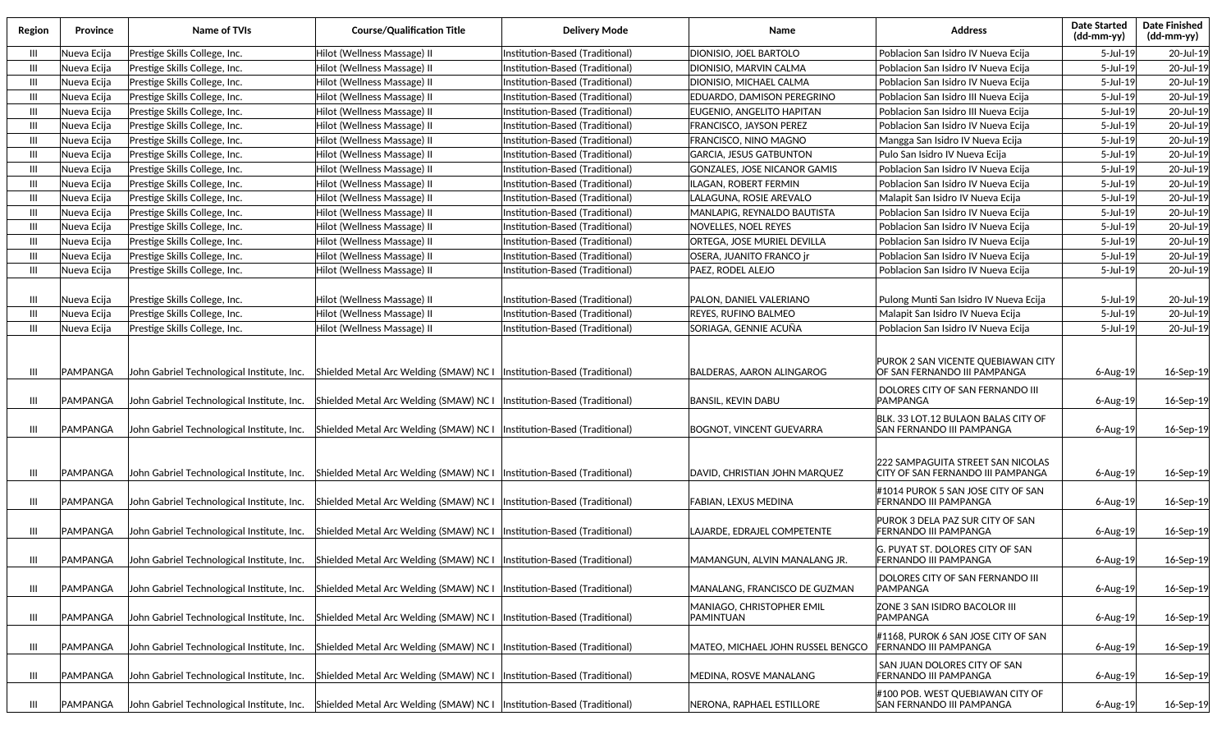| Region         | Province             | <b>Name of TVIs</b>                                                                      | <b>Course/Qualification Title</b>                                                                                     | Delivery Mode                                                      | Name                                                          | Address                                                                                                             | <b>Date Started</b><br>(dd-mm-yy) | <b>Date Finished</b><br>(dd-mm-yy) |
|----------------|----------------------|------------------------------------------------------------------------------------------|-----------------------------------------------------------------------------------------------------------------------|--------------------------------------------------------------------|---------------------------------------------------------------|---------------------------------------------------------------------------------------------------------------------|-----------------------------------|------------------------------------|
| Ш              | Nueva Ecija          | Prestige Skills College, Inc.                                                            | Hilot (Wellness Massage) II                                                                                           | Institution-Based (Traditional)                                    | DIONISIO, JOEL BARTOLO                                        | Poblacion San Isidro IV Nueva Ecija                                                                                 | 5-Jul-19                          | 20-Jul-19                          |
| Ш              | Nueva Ecija          | Prestige Skills College, Inc.                                                            | Hilot (Wellness Massage) II                                                                                           | Institution-Based (Traditional)                                    | DIONISIO, MARVIN CALMA                                        | Poblacion San Isidro IV Nueva Ecija                                                                                 | 5-Jul-19                          | 20-Jul-19                          |
| $\mathbf{III}$ | Nueva Ecija          | Prestige Skills College, Inc.                                                            | Hilot (Wellness Massage) II                                                                                           | Institution-Based (Traditional)                                    | DIONISIO, MICHAEL CALMA                                       | Poblacion San Isidro IV Nueva Ecija                                                                                 | $5$ -Jul-19                       | 20-Jul-19                          |
| Ш              | Nueva Ecija          | Prestige Skills College, Inc.                                                            | Hilot (Wellness Massage) II                                                                                           | Institution-Based (Traditional)                                    | EDUARDO, DAMISON PEREGRINO                                    | Poblacion San Isidro III Nueva Ecija                                                                                | 5-Jul-19                          | 20-Jul-19                          |
| Ш              | Nueva Ecija          | Prestige Skills College, Inc.                                                            | Hilot (Wellness Massage) II                                                                                           | Institution-Based (Traditional)                                    | EUGENIO, ANGELITO HAPITAN                                     | Poblacion San Isidro III Nueva Ecija                                                                                | 5-Jul-19                          | 20-Jul-19                          |
| Ш              | Nueva Ecija          | Prestige Skills College, Inc.                                                            | Hilot (Wellness Massage) II                                                                                           | Institution-Based (Traditional)                                    | FRANCISCO, JAYSON PEREZ                                       | Poblacion San Isidro IV Nueva Ecija                                                                                 | 5-Jul-19                          | 20-Jul-19                          |
| Ш              | Nueva Ecija          | Prestige Skills College, Inc.                                                            | Hilot (Wellness Massage) II                                                                                           | Institution-Based (Traditional)                                    | FRANCISCO, NINO MAGNO                                         | Mangga San Isidro IV Nueva Ecija                                                                                    | $5$ -Jul-19                       | 20-Jul-19                          |
| Ш              | Nueva Ecija          | Prestige Skills College, Inc.                                                            | Hilot (Wellness Massage) II                                                                                           | Institution-Based (Traditional)                                    | <b>GARCIA, JESUS GATBUNTON</b>                                | Pulo San Isidro IV Nueva Ecija                                                                                      | 5-Jul-19                          | 20-Jul-19                          |
| Ш              | Nueva Ecija          | Prestige Skills College, Inc.                                                            | Hilot (Wellness Massage) II                                                                                           | Institution-Based (Traditional)                                    | <b>GONZALES, JOSE NICANOR GAMIS</b>                           | Poblacion San Isidro IV Nueva Ecija                                                                                 | 5-Jul-19                          | 20-Jul-19                          |
| Ш              | Nueva Ecija          | Prestige Skills College, Inc.                                                            | Hilot (Wellness Massage) II                                                                                           | Institution-Based (Traditional)                                    | ILAGAN, ROBERT FERMIN                                         | Poblacion San Isidro IV Nueva Ecija                                                                                 | 5-Jul-19                          | 20-Jul-19                          |
| Ш              | Nueva Ecija          | Prestige Skills College, Inc.                                                            | Hilot (Wellness Massage) II                                                                                           | Institution-Based (Traditional)                                    | LALAGUNA, ROSIE AREVALO                                       | Malapit San Isidro IV Nueva Ecija                                                                                   | 5-Jul-19                          | 20-Jul-19                          |
| Ш              | Nueva Ecija          | Prestige Skills College, Inc.                                                            | Hilot (Wellness Massage) II                                                                                           | Institution-Based (Traditional)                                    | MANLAPIG, REYNALDO BAUTISTA                                   | Poblacion San Isidro IV Nueva Ecija                                                                                 | 5-Jul-19                          | 20-Jul-19                          |
| Ш              | Nueva Ecija          | Prestige Skills College, Inc.                                                            | Hilot (Wellness Massage) II                                                                                           | Institution-Based (Traditional)                                    | NOVELLES, NOEL REYES                                          | Poblacion San Isidro IV Nueva Ecija                                                                                 | 5-Jul-19                          | 20-Jul-19                          |
| Ш              | Nueva Ecija          | Prestige Skills College, Inc.                                                            | Hilot (Wellness Massage) II                                                                                           | Institution-Based (Traditional)                                    | ORTEGA, JOSE MURIEL DEVILLA                                   | Poblacion San Isidro IV Nueva Ecija                                                                                 | 5-Jul-19                          | 20-Jul-19                          |
| Ш              | Nueva Ecija          | Prestige Skills College, Inc.                                                            | Hilot (Wellness Massage) II                                                                                           | Institution-Based (Traditional)                                    | OSERA, JUANITO FRANCO jr                                      | Poblacion San Isidro IV Nueva Ecija                                                                                 | 5-Jul-19                          | 20-Jul-19                          |
| Ш              | Nueva Ecija          | Prestige Skills College, Inc.                                                            | Hilot (Wellness Massage) II                                                                                           | Institution-Based (Traditional)                                    | PAEZ, RODEL ALEJO                                             | Poblacion San Isidro IV Nueva Ecija                                                                                 | 5-Jul-19                          | 20-Jul-19                          |
|                |                      |                                                                                          |                                                                                                                       |                                                                    |                                                               |                                                                                                                     |                                   |                                    |
| Ш              | Nueva Ecija          | Prestige Skills College, Inc.                                                            | Hilot (Wellness Massage) II                                                                                           | Institution-Based (Traditional)                                    | PALON, DANIEL VALERIANO                                       | Pulong Munti San Isidro IV Nueva Ecija                                                                              | 5-Jul-19                          | 20-Jul-19                          |
| $\mathbf{m}$   | Nueva Ecija          | Prestige Skills College, Inc.                                                            | Hilot (Wellness Massage) II                                                                                           | Institution-Based (Traditional)                                    | REYES, RUFINO BALMEO                                          | Malapit San Isidro IV Nueva Ecija                                                                                   | 5-Jul-19                          | 20-Jul-19                          |
| Ш              | Nueva Ecija          | Prestige Skills College, Inc.                                                            | Hilot (Wellness Massage) II                                                                                           | Institution-Based (Traditional)                                    | SORIAGA, GENNIE ACUÑA                                         | Poblacion San Isidro IV Nueva Ecija                                                                                 | $5$ -Jul-19                       | 20-Jul-19                          |
| Ш<br>Ш         | PAMPANGA<br>PAMPANGA | John Gabriel Technological Institute, Inc.<br>John Gabriel Technological Institute, Inc. | Shielded Metal Arc Welding (SMAW) NC I<br>Shielded Metal Arc Welding (SMAW) NC I                                      | Institution-Based (Traditional)<br>Institution-Based (Traditional) | <b>BALDERAS, AARON ALINGAROG</b><br><b>BANSIL, KEVIN DABU</b> | PUROK 2 SAN VICENTE QUEBIAWAN CITY<br>OF SAN FERNANDO III PAMPANGA<br>DOLORES CITY OF SAN FERNANDO III<br> PAMPANGA | $6 - Aug-19$<br>6-Aug-19          | 16-Sep-19<br>16-Sep-19             |
|                |                      |                                                                                          |                                                                                                                       |                                                                    |                                                               |                                                                                                                     |                                   |                                    |
| Ш              | PAMPANGA             | John Gabriel Technological Institute, Inc.                                               | Shielded Metal Arc Welding (SMAW) NC I                                                                                | (Institution-Based (Traditional)                                   | <b>BOGNOT, VINCENT GUEVARRA</b>                               | BLK. 33 LOT.12 BULAON BALAS CITY OF<br>SAN FERNANDO III PAMPANGA                                                    | $6 - Aug-19$                      | 16-Sep-19                          |
| Ш              | PAMPANGA             | John Gabriel Technological Institute, Inc.                                               | Shielded Metal Arc Welding (SMAW) NC I                                                                                | (Institution-Based (Traditional)                                   | DAVID, CHRISTIAN JOHN MARQUEZ                                 | 222 SAMPAGUITA STREET SAN NICOLAS<br>CITY OF SAN FERNANDO III PAMPANGA                                              | $6 - Aug-19$                      | 16-Sep-19                          |
|                |                      |                                                                                          |                                                                                                                       |                                                                    |                                                               | #1014 PUROK 5 SAN JOSE CITY OF SAN                                                                                  |                                   |                                    |
| Ш              | PAMPANGA             | John Gabriel Technological Institute, Inc.                                               | Shielded Metal Arc Welding (SMAW) NC I                                                                                | (Institution-Based (Traditional)                                   | FABIAN, LEXUS MEDINA                                          | FERNANDO III PAMPANGA                                                                                               | $6 - Aug-19$                      | 16-Sep-19                          |
| Ш              | PAMPANGA             | John Gabriel Technological Institute, Inc.                                               | Shielded Metal Arc Welding (SMAW) NC    Institution-Based (Traditional)                                               |                                                                    | LAJARDE. EDRAJEL COMPETENTE                                   | PUROK 3 DELA PAZ SUR CITY OF SAN<br><b>FERNANDO III PAMPANGA</b>                                                    | $6 - Aug-19$                      | 16-Sep-19                          |
|                |                      |                                                                                          |                                                                                                                       |                                                                    |                                                               | G. PUYAT ST. DOLORES CITY OF SAN                                                                                    |                                   |                                    |
| Ш              | PAMPANGA             |                                                                                          | [John Gabriel Technological Institute, Inc.   Shielded Metal Arc Welding (SMAW) NC   [Institution-Based (Traditional) |                                                                    | MAMANGUN, ALVIN MANALANG JR.                                  | <b>FERNANDO III PAMPANGA</b>                                                                                        | $6 - Aug-19$                      | 16-Sep-19                          |
|                |                      |                                                                                          |                                                                                                                       |                                                                    |                                                               | DOLORES CITY OF SAN FERNANDO III                                                                                    |                                   |                                    |
| Ш              | PAMPANGA             | John Gabriel Technological Institute, Inc.                                               | Shielded Metal Arc Welding (SMAW) NC I                                                                                | lInstitution-Based (Traditional)                                   | MANALANG, FRANCISCO DE GUZMAN                                 | PAMPANGA                                                                                                            | 6-Aug-19                          | 16-Sep-19                          |
| Ш              | PAMPANGA             | John Gabriel Technological Institute, Inc.                                               | Shielded Metal Arc Welding (SMAW) NC I                                                                                | (Institution-Based (Traditional)                                   | MANIAGO, CHRISTOPHER EMIL<br>PAMINTUAN                        | ZONE 3 SAN ISIDRO BACOLOR III<br><b>PAMPANGA</b>                                                                    | 6-Aug-19                          | 16-Sep-19                          |
| Ш              | PAMPANGA             | John Gabriel Technological Institute, Inc.                                               | Shielded Metal Arc Welding (SMAW) NC I                                                                                | (Institution-Based (Traditional)                                   | MATEO, MICHAEL JOHN RUSSEL BENGCO                             | #1168, PUROK 6 SAN JOSE CITY OF SAN<br><b>FERNANDO III PAMPANGA</b>                                                 | 6-Aug-19                          | 16-Sep-19                          |
| Ш              | PAMPANGA             | John Gabriel Technological Institute, Inc.                                               | Shielded Metal Arc Welding (SMAW) NC I                                                                                | Institution-Based (Traditional)                                    | MEDINA, ROSVE MANALANG                                        | SAN JUAN DOLORES CITY OF SAN<br><b>FERNANDO III PAMPANGA</b>                                                        | 6-Aug-19                          | 16-Sep-19                          |
| Ш              | PAMPANGA             |                                                                                          | John Gabriel Technological Institute, Inc. Shielded Metal Arc Welding (SMAW) NC I                                     | (Institution-Based (Traditional)                                   | NERONA, RAPHAEL ESTILLORE                                     | #100 POB. WEST QUEBIAWAN CITY OF<br>SAN FERNANDO III PAMPANGA                                                       | 6-Aug-19                          | 16-Sep-19                          |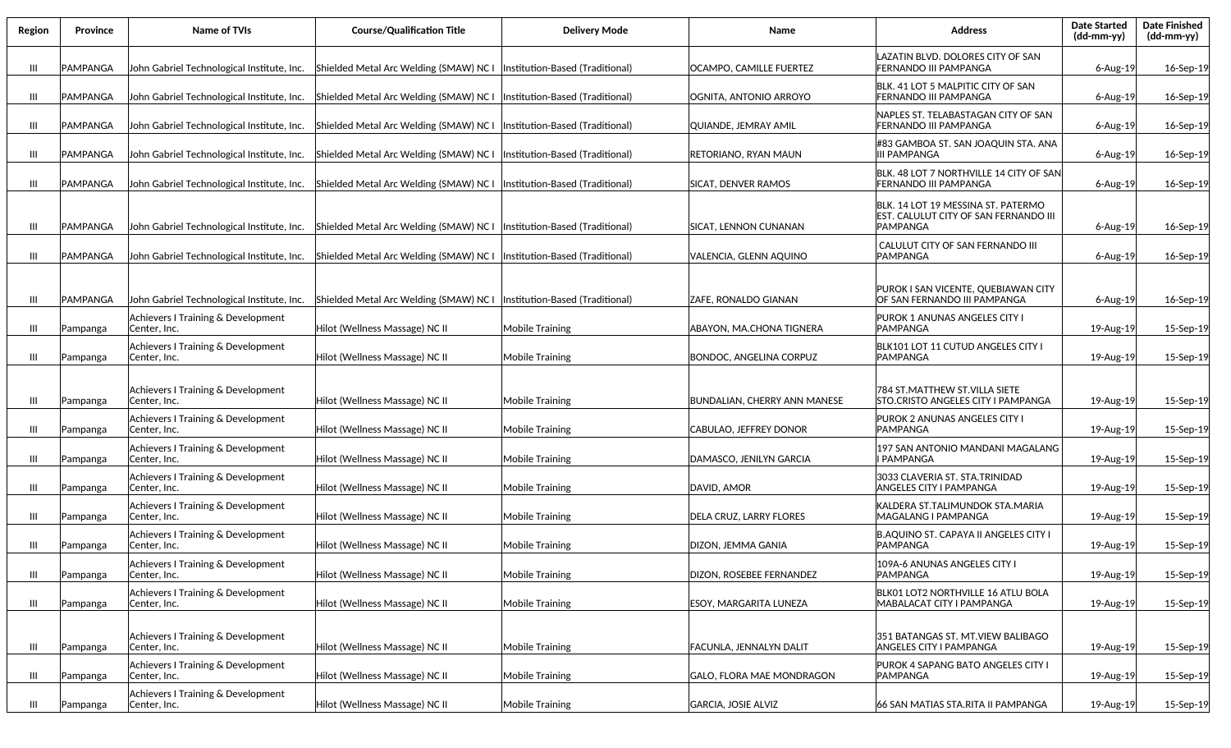| Region | Province | <b>Name of TVIs</b>                                 | <b>Course/Qualification Title</b>                                                                                  | <b>Delivery Mode</b>   | Name                                | <b>Address</b>                                                                           | <b>Date Started</b><br>(dd-mm-yy) | <b>Date Finished</b><br>$(dd-mm-yy)$ |
|--------|----------|-----------------------------------------------------|--------------------------------------------------------------------------------------------------------------------|------------------------|-------------------------------------|------------------------------------------------------------------------------------------|-----------------------------------|--------------------------------------|
| Ш      | PAMPANGA | John Gabriel Technological Institute, Inc.          | Shielded Metal Arc Welding (SMAW) NC I   Institution-Based (Traditional)                                           |                        | OCAMPO, CAMILLE FUERTEZ             | LAZATIN BLVD. DOLORES CITY OF SAN<br>FERNANDO III PAMPANGA                               | 6-Aug-19                          | 16-Sep-19                            |
| Ш      | PAMPANGA | John Gabriel Technological Institute, Inc.          | Shielded Metal Arc Welding (SMAW) NC I   Institution-Based (Traditional)                                           |                        | OGNITA, ANTONIO ARROYO              | BLK. 41 LOT 5 MALPITIC CITY OF SAN<br><b>FERNANDO III PAMPANGA</b>                       | 6-Aug-19                          | 16-Sep-19                            |
| Ш      | PAMPANGA | John Gabriel Technological Institute, Inc.          | Shielded Metal Arc Welding (SMAW) NC I  Institution-Based (Traditional)                                            |                        | QUIANDE, JEMRAY AMIL                | NAPLES ST. TELABASTAGAN CITY OF SAN<br> FERNANDO III PAMPANGA                            | $6 - Aug-19$                      | 16-Sep-19                            |
| Ш      | PAMPANGA | John Gabriel Technological Institute, Inc.          | Shielded Metal Arc Welding (SMAW) NC I  Institution-Based (Traditional)                                            |                        | RETORIANO, RYAN MAUN                | #83 GAMBOA ST. SAN JOAQUIN STA. ANA<br><b>III PAMPANGA</b>                               | 6-Aug-19                          | 16-Sep-19                            |
| Ш      | PAMPANGA | John Gabriel Technological Institute, Inc.          | Shielded Metal Arc Welding (SMAW) NC I   Institution-Based (Traditional)                                           |                        | <b>SICAT, DENVER RAMOS</b>          | BLK. 48 LOT 7 NORTHVILLE 14 CITY OF SAN<br><b>FERNANDO III PAMPANGA</b>                  | 6-Aug-19                          | 16-Sep-19                            |
| Ш      | PAMPANGA | John Gabriel Technological Institute, Inc.          | Shielded Metal Arc Welding (SMAW) NC I   Institution-Based (Traditional)                                           |                        | SICAT, LENNON CUNANAN               | BLK. 14 LOT 19 MESSINA ST. PATERMO<br>EST. CALULUT CITY OF SAN FERNANDO III<br>IPAMPANGA | 6-Aug-19                          | 16-Sep-19                            |
| Ш      | PAMPANGA | John Gabriel Technological Institute, Inc.          | Shielded Metal Arc Welding (SMAW) NC I   Institution-Based (Traditional)                                           |                        | VALENCIA, GLENN AQUINO              | CALULUT CITY OF SAN FERNANDO III<br><b>PAMPANGA</b>                                      | 6-Aug-19                          | 16-Sep-19                            |
| Ш      | PAMPANGA |                                                     | John Gabriel Technological Institute, Inc. Shielded Metal Arc Welding (SMAW) NC I  Institution-Based (Traditional) |                        | ZAFE, RONALDO GIANAN                | PUROK I SAN VICENTE, QUEBIAWAN CITY<br>OF SAN FERNANDO III PAMPANGA                      | $6 - Aug-19$                      | 16-Sep-19                            |
| Ш      | Pampanga | Achievers I Training & Development<br>Center, Inc.  | Hilot (Wellness Massage) NC II                                                                                     | Mobile Training        | ABAYON, MA.CHONA TIGNERA            | PUROK 1 ANUNAS ANGELES CITY I<br>PAMPANGA                                                | 19-Aug-19                         | 15-Sep-19                            |
| Ш      | Pampanga | Achievers I Training & Development<br>Center, Inc.  | Hilot (Wellness Massage) NC II                                                                                     | <b>Mobile Training</b> | <b>BONDOC, ANGELINA CORPUZ</b>      | BLK101 LOT 11 CUTUD ANGELES CITY I<br>PAMPANGA                                           | 19-Aug-19                         | 15-Sep-19                            |
| Ш      | Pampanga | Achievers I Training & Development<br>Center, Inc.  | Hilot (Wellness Massage) NC II                                                                                     | Mobile Training        | <b>BUNDALIAN, CHERRY ANN MANESE</b> | 784 ST.MATTHEW ST.VILLA SIETE<br>STO.CRISTO ANGELES CITY I PAMPANGA                      | 19-Aug-19                         | 15-Sep-19                            |
| Ш      | Pampanga | Achievers I Training & Development<br> Center, Inc. | Hilot (Wellness Massage) NC II                                                                                     | <b>Mobile Training</b> | CABULAO, JEFFREY DONOR              | <b>PUROK 2 ANUNAS ANGELES CITY I</b><br><b>PAMPANGA</b>                                  | 19-Aug-19                         | 15-Sep-19                            |
| Ш      | Pampanga | Achievers I Training & Development<br> Center, Inc. | Hilot (Wellness Massage) NC II                                                                                     | Mobile Training        | DAMASCO, JENILYN GARCIA             | 197 SAN ANTONIO MANDANI MAGALANG<br>I PAMPANGA                                           | 19-Aug-19                         | 15-Sep-19                            |
| Ш      | Pampanga | Achievers I Training & Development<br>Center, Inc.  | Hilot (Wellness Massage) NC II                                                                                     | Mobile Training        | DAVID, AMOR                         | 3033 CLAVERIA ST. STA.TRINIDAD<br><b>ANGELES CITY I PAMPANGA</b>                         | 19-Aug-19                         | 15-Sep-19                            |
| Ш      | Pampanga | Achievers I Training & Development<br>Center, Inc.  | Hilot (Wellness Massage) NC II                                                                                     | Mobile Training        | <b>DELA CRUZ, LARRY FLORES</b>      | İKALDERA ST.TALIMUNDOK STA.MARIA<br>MAGALANG I PAMPANGA                                  | 19-Aug-19                         | 15-Sep-19                            |
| Ш      | Pampanga | Achievers I Training & Development<br>Center, Inc.  | Hilot (Wellness Massage) NC II                                                                                     | Mobile Training        | DIZON, JEMMA GANIA                  | B.AQUINO ST. CAPAYA II ANGELES CITY I<br><b>PAMPANGA</b>                                 | 19-Aug-19                         | 15-Sep-19                            |
| Ш      | Pampanga | Achievers I Training & Development<br>Center, Inc.  | Hilot (Wellness Massage) NC II                                                                                     | Mobile Training        | DIZON, ROSEBEE FERNANDEZ            | 109A-6 ANUNAS ANGELES CITY I<br>PAMPANGA                                                 | 19-Aug-19                         | 15-Sep-19                            |
| Ш      | Pampanga | Achievers I Training & Development<br> Center, Inc. | Hilot (Wellness Massage) NC II                                                                                     | Mobile Training        | <b>ESOY, MARGARITA LUNEZA</b>       | BLK01 LOT2 NORTHVILLE 16 ATLU BOLA<br>MABALACAT CITY I PAMPANGA                          | 19-Aug-19                         | 15-Sep-19                            |
| Ш      | Pampanga | Achievers I Training & Development<br>Center, Inc.  | Hilot (Wellness Massage) NC II                                                                                     | Mobile Training        | FACUNLA, JENNALYN DALIT             | 351 BATANGAS ST. MT. VIEW BALIBAGO<br><b>ANGELES CITY I PAMPANGA</b>                     | 19-Aug-19                         | 15-Sep-19                            |
| Ш      | Pampanga | Achievers I Training & Development<br>Center, Inc.  | Hilot (Wellness Massage) NC II                                                                                     | Mobile Training        | GALO. FLORA MAE MONDRAGON           | PUROK 4 SAPANG BATO ANGELES CITY I<br><b>PAMPANGA</b>                                    | 19-Aug-19                         | 15-Sep-19                            |
| III    | Pampanga | Achievers I Training & Development<br>Center, Inc.  | Hilot (Wellness Massage) NC II                                                                                     | Mobile Training        | <b>GARCIA, JOSIE ALVIZ</b>          | 66 SAN MATIAS STA.RITA II PAMPANGA                                                       | 19-Aug-19                         | 15-Sep-19                            |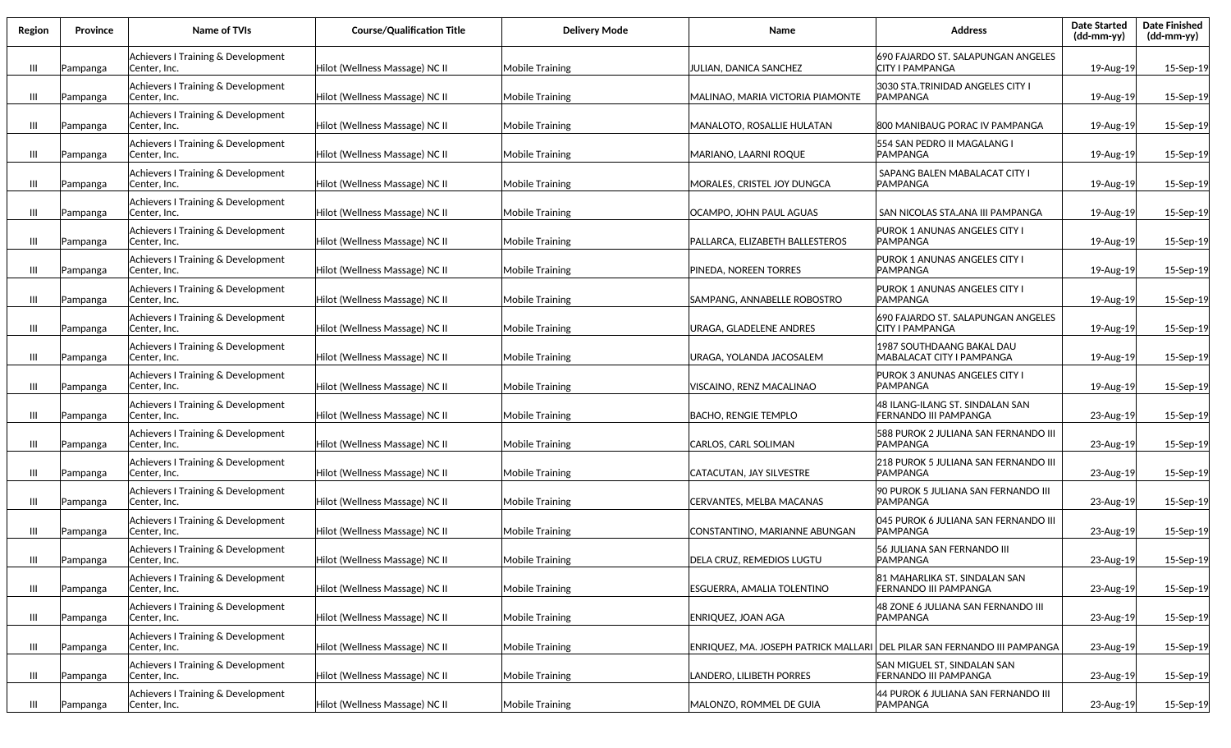| Region | <b>Province</b> | Name of TVIs                                        | <b>Course/Qualification Title</b> | <b>Delivery Mode</b>   | Name                                                                       | <b>Address</b>                                                  | <b>Date Started</b><br>(dd-mm-yy) | <b>Date Finished</b><br>(dd-mm-yy) |
|--------|-----------------|-----------------------------------------------------|-----------------------------------|------------------------|----------------------------------------------------------------------------|-----------------------------------------------------------------|-----------------------------------|------------------------------------|
| Ш      | Pampanga        | Achievers I Training & Development<br> Center, Inc. | Hilot (Wellness Massage) NC II    | Mobile Training        | JULIAN, DANICA SANCHEZ                                                     | 690 FAJARDO ST. SALAPUNGAN ANGELES<br><b>CITY I PAMPANGA</b>    | 19-Aug-19                         | 15-Sep-19                          |
| Ш      | Pampanga        | Achievers I Training & Development<br> Center, Inc. | Hilot (Wellness Massage) NC II    | Mobile Training        | MALINAO, MARIA VICTORIA PIAMONTE                                           | 3030 STA.TRINIDAD ANGELES CITY I<br><b>PAMPANGA</b>             | 19-Aug-19                         | 15-Sep-19                          |
| Ш      | Pampanga        | Achievers I Training & Development<br>Center, Inc.  | Hilot (Wellness Massage) NC II    | <b>Mobile Training</b> | MANALOTO, ROSALLIE HULATAN                                                 | 1800 MANIBAUG PORAC IV PAMPANGA                                 | 19-Aug-19                         | 15-Sep-19                          |
| Ш      | Pampanga        | Achievers I Training & Development<br> Center, Inc. | Hilot (Wellness Massage) NC II    | <b>Mobile Training</b> | MARIANO, LAARNI ROQUE                                                      | 554 SAN PEDRO II MAGALANG I<br><b>PAMPANGA</b>                  | 19-Aug-19                         | 15-Sep-19                          |
| Ш      | Pampanga        | Achievers I Training & Development<br> Center, Inc. | Hilot (Wellness Massage) NC II    | <b>Mobile Training</b> | MORALES. CRISTEL JOY DUNGCA                                                | SAPANG BALEN MABALACAT CITY I<br><b>PAMPANGA</b>                | 19-Aug-19                         | 15-Sep-19                          |
| Ш      | Pampanga        | Achievers I Training & Development<br> Center, Inc. | Hilot (Wellness Massage) NC II    | Mobile Training        | OCAMPO, JOHN PAUL AGUAS                                                    | SAN NICOLAS STA.ANA III PAMPANGA                                | 19-Aug-19                         | 15-Sep-19                          |
| Ш      | Pampanga        | Achievers I Training & Development<br> Center, Inc. | Hilot (Wellness Massage) NC II    | Mobile Training        | PALLARCA, ELIZABETH BALLESTEROS                                            | PUROK 1 ANUNAS ANGELES CITY I<br>IPAMPANGA                      | 19-Aug-19                         | 15-Sep-19                          |
| Ш      | Pampanga        | Achievers I Training & Development<br> Center, Inc. | Hilot (Wellness Massage) NC II    | Mobile Training        | PINEDA, NOREEN TORRES                                                      | PUROK 1 ANUNAS ANGELES CITY I<br>IPAMPANGA                      | 19-Aug-19                         | 15-Sep-19                          |
| Ш      | Pampanga        | Achievers I Training & Development<br> Center, Inc. | Hilot (Wellness Massage) NC II    | Mobile Training        | SAMPANG. ANNABELLE ROBOSTRO                                                | PUROK 1 ANUNAS ANGELES CITY I<br>IPAMPANGA                      | 19-Aug-19                         | 15-Sep-19                          |
| Ш      | Pampanga        | Achievers I Training & Development<br> Center, Inc. | Hilot (Wellness Massage) NC II    | Mobile Training        | URAGA, GLADELENE ANDRES                                                    | 690 FAJARDO ST. SALAPUNGAN ANGELES<br><b>CITY I PAMPANGA</b>    | 19-Aug-19                         | 15-Sep-19                          |
| Ш      | Pampanga        | Achievers I Training & Development<br>lCenter. Inc. | Hilot (Wellness Massage) NC II    | Mobile Training        | URAGA, YOLANDA JACOSALEM                                                   | <b>1987 SOUTHDAANG BAKAL DAU</b><br>MABALACAT CITY I PAMPANGA   | 19-Aug-19                         | 15-Sep-19                          |
| Ш      | Pampanga        | Achievers I Training & Development<br>Center, Inc.  | Hilot (Wellness Massage) NC II    | Mobile Training        | VISCAINO, RENZ MACALINAO                                                   | PUROK 3 ANUNAS ANGELES CITY I<br>IPAMPANGA                      | 19-Aug-19                         | 15-Sep-19                          |
| Ш      | Pampanga        | Achievers I Training & Development<br> Center, Inc. | Hilot (Wellness Massage) NC II    | <b>Mobile Training</b> | <b>BACHO, RENGIE TEMPLO</b>                                                | 48 ILANG-ILANG ST. SINDALAN SAN<br><b>FERNANDO III PAMPANGA</b> | 23-Aug-19                         | 15-Sep-19                          |
| Ш      | Pampanga        | Achievers I Training & Development<br> Center, Inc. | Hilot (Wellness Massage) NC II    | <b>Mobile Training</b> | CARLOS, CARL SOLIMAN                                                       | 588 PUROK 2 JULIANA SAN FERNANDO III<br><b>PAMPANGA</b>         | 23-Aug-19                         | 15-Sep-19                          |
| Ш      | Pampanga        | Achievers I Training & Development<br> Center, Inc. | Hilot (Wellness Massage) NC II    | <b>Mobile Training</b> | CATACUTAN, JAY SILVESTRE                                                   | 218 PUROK 5 JULIANA SAN FERNANDO III<br><b>PAMPANGA</b>         | 23-Aug-19                         | 15-Sep-19                          |
| Ш      | Pampanga        | Achievers I Training & Development<br> Center, Inc. | Hilot (Wellness Massage) NC II    | Mobile Training        | CERVANTES, MELBA MACANAS                                                   | 90 PUROK 5 JULIANA SAN FERNANDO III<br><b>PAMPANGA</b>          | 23-Aug-19                         | 15-Sep-19                          |
| Ш      | Pampanga        | Achievers I Training & Development<br> Center, Inc. | Hilot (Wellness Massage) NC II    | Mobile Training        | CONSTANTINO, MARIANNE ABUNGAN                                              | 045 PUROK 6 JULIANA SAN FERNANDO III<br><b>PAMPANGA</b>         | 23-Aug-19                         | 15-Sep-19                          |
| Ш      | Pampanga        | Achievers I Training & Development<br> Center, Inc. | Hilot (Wellness Massage) NC II    | Mobile Training        | DELA CRUZ, REMEDIOS LUGTU                                                  | 56 JULIANA SAN FERNANDO III<br><b>PAMPANGA</b>                  | 23-Aug-19                         | 15-Sep-19                          |
| Ш      | Pampanga        | Achievers I Training & Development<br> Center, Inc. | Hilot (Wellness Massage) NC II    | Mobile Training        | ESGUERRA, AMALIA TOLENTINO                                                 | 181 MAHARLIKA ST. SINDALAN SAN<br><b>FERNANDO III PAMPANGA</b>  | 23-Aug-19                         | 15-Sep-19                          |
| Ш      | Pampanga        | Achievers I Training & Development<br> Center, Inc. | Hilot (Wellness Massage) NC II    | Mobile Training        | <b>ENRIQUEZ, JOAN AGA</b>                                                  | 48 ZONE 6 JULIANA SAN FERNANDO III<br><b>PAMPANGA</b>           | 23-Aug-19                         | 15-Sep-19                          |
| Ш      | Pampanga        | Achievers I Training & Development<br> Center, Inc. | Hilot (Wellness Massage) NC II    | Mobile Training        | ENRIQUEZ, MA. JOSEPH PATRICK MALLARI   DEL PILAR SAN FERNANDO III PAMPANGA |                                                                 | 23-Aug-19                         | 15-Sep-19                          |
| Ш      | Pampanga        | Achievers I Training & Development<br> Center, Inc. | Hilot (Wellness Massage) NC II    | Mobile Training        | LANDERO, LILIBETH PORRES                                                   | SAN MIGUEL ST, SINDALAN SAN<br><b>FERNANDO III PAMPANGA</b>     | 23-Aug-19                         | 15-Sep-19                          |
| Ш      | Pampanga        | Achievers I Training & Development<br>Center, Inc.  | Hilot (Wellness Massage) NC II    | Mobile Training        | MALONZO, ROMMEL DE GUIA                                                    | 44 PUROK 6 JULIANA SAN FERNANDO III<br>PAMPANGA                 | 23-Aug-19                         | 15-Sep-19                          |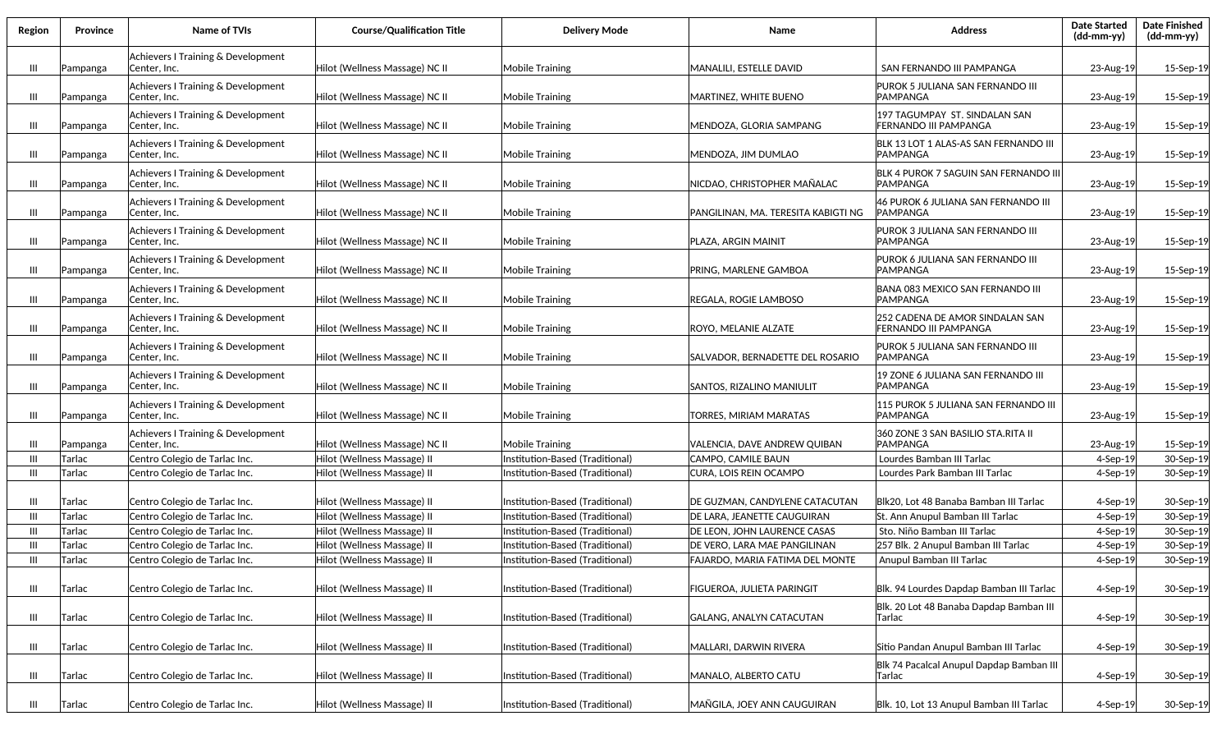| Region         | Province | Name of TVIs                                        | <b>Course/Qualification Title</b> | <b>Delivery Mode</b>            | Name                                | <b>Address</b>                                           | <b>Date Started</b><br>$(dd-mm-yy)$ | <b>Date Finished</b><br>$(dd-mm-yy)$ |
|----------------|----------|-----------------------------------------------------|-----------------------------------|---------------------------------|-------------------------------------|----------------------------------------------------------|-------------------------------------|--------------------------------------|
| $\mathbf{m}$   | Pampanga | Achievers I Training & Development<br>Center, Inc.  | Hilot (Wellness Massage) NC II    | <b>Mobile Training</b>          | MANALILI, ESTELLE DAVID             | SAN FERNANDO III PAMPANGA                                | 23-Aug-19                           | 15-Sep-19                            |
| Ш              | Pampanga | Achievers I Training & Development<br>Center, Inc.  | Hilot (Wellness Massage) NC II    | <b>Mobile Training</b>          | MARTINEZ, WHITE BUENO               | PUROK 5 JULIANA SAN FERNANDO III<br>IPAMPANGA            | 23-Aug-19                           | 15-Sep-19                            |
| Ш              | Pampanga | Achievers I Training & Development<br>Center, Inc.  | Hilot (Wellness Massage) NC II    | <b>Mobile Training</b>          | MENDOZA, GLORIA SAMPANG             | 197 TAGUMPAY ST. SINDALAN SAN<br>FERNANDO III PAMPANGA   | 23-Aug-19                           | 15-Sep-19                            |
| Ш              | Pampanga | Achievers I Training & Development<br>Center, Inc.  | Hilot (Wellness Massage) NC II    | <b>Mobile Training</b>          | MENDOZA, JIM DUMLAO                 | BLK 13 LOT 1 ALAS-AS SAN FERNANDO III<br><b>PAMPANGA</b> | 23-Aug-19                           | 15-Sep-19                            |
| Ш              | Pampanga | Achievers I Training & Development<br>Center, Inc.  | Hilot (Wellness Massage) NC II    | <b>Mobile Training</b>          | NICDAO, CHRISTOPHER MAÑALAC         | BLK 4 PUROK 7 SAGUIN SAN FERNANDO III<br><b>PAMPANGA</b> | 23-Aug-19                           | 15-Sep-19                            |
| Ш              | Pampanga | Achievers I Training & Development<br>Center, Inc.  | Hilot (Wellness Massage) NC II    | <b>Mobile Training</b>          | PANGILINAN, MA. TERESITA KABIGTI NG | 46 PUROK 6 JULIANA SAN FERNANDO III<br>IPAMPANGA         | 23-Aug-19                           | 15-Sep-19                            |
| Ш              | Pampanga | Achievers I Training & Development<br> Center, Inc. | Hilot (Wellness Massage) NC II    | <b>Mobile Training</b>          | PLAZA, ARGIN MAINIT                 | PUROK 3 JULIANA SAN FERNANDO III<br>IPAMPANGA            | 23-Aug-19                           | 15-Sep-19                            |
| Ш              | Pampanga | Achievers I Training & Development<br>Center, Inc.  | Hilot (Wellness Massage) NC II    | <b>Mobile Training</b>          | PRING, MARLENE GAMBOA               | PUROK 6 JULIANA SAN FERNANDO III<br>IPAMPANGA            | 23-Aug-19                           | 15-Sep-19                            |
| Ш              | Pampanga | Achievers I Training & Development<br>Center, Inc.  | Hilot (Wellness Massage) NC II    | <b>Mobile Training</b>          | REGALA, ROGIE LAMBOSO               | BANA 083 MEXICO SAN FERNANDO III<br>IPAMPANGA            | 23-Aug-19                           | 15-Sep-19                            |
| Ш              | Pampanga | Achievers I Training & Development<br> Center, Inc. | Hilot (Wellness Massage) NC II    | <b>Mobile Training</b>          | ROYO, MELANIE ALZATE                | 252 CADENA DE AMOR SINDALAN SAN<br>FERNANDO III PAMPANGA | 23-Aug-19                           | 15-Sep-19                            |
| Ш              | Pampanga | Achievers I Training & Development<br> Center, Inc. | Hilot (Wellness Massage) NC II    | <b>Mobile Training</b>          | SALVADOR, BERNADETTE DEL ROSARIO    | PUROK 5 JULIANA SAN FERNANDO III<br>IPAMPANGA            | 23-Aug-19                           | 15-Sep-19                            |
| $\mathbf{  }$  | Pampanga | Achievers I Training & Development<br> Center, Inc. | Hilot (Wellness Massage) NC II    | <b>Mobile Training</b>          | SANTOS, RIZALINO MANIULIT           | 19 ZONE 6 JULIANA SAN FERNANDO III<br>IPAMPANGA          | 23-Aug-19                           | 15-Sep-19                            |
| $\mathbf{  }$  | Pampanga | Achievers I Training & Development<br>Center, Inc.  | Hilot (Wellness Massage) NC II    | <b>Mobile Training</b>          | TORRES, MIRIAM MARATAS              | 115 PUROK 5 JULIANA SAN FERNANDO III<br>IPAMPANGA        | 23-Aug-19                           | 15-Sep-19                            |
| Ш              | Pampanga | Achievers I Training & Development<br> Center, Inc. | Hilot (Wellness Massage) NC II    | <b>Mobile Training</b>          | VALENCIA, DAVE ANDREW QUIBAN        | 360 ZONE 3 SAN BASILIO STA.RITA II<br><b>PAMPANGA</b>    | 23-Aug-19                           | 15-Sep-19                            |
| Ш              | Tarlac   | Centro Colegio de Tarlac Inc.                       | Hilot (Wellness Massage) II       | Institution-Based (Traditional) | CAMPO, CAMILE BAUN                  | Lourdes Bamban III Tarlac                                | $4-Sep-19$                          | 30-Sep-19                            |
| -III           | Tarlac   | Centro Colegio de Tarlac Inc.                       | Hilot (Wellness Massage) II       | nstitution-Based (Traditional)  | CURA, LOIS REIN OCAMPO              | Lourdes Park Bamban III Tarlac                           | $4-Sep-19$                          | 30-Sep-19                            |
| Ш              | Tarlac   | Centro Colegio de Tarlac Inc.                       | Hilot (Wellness Massage) II       | nstitution-Based (Traditional)  | DE GUZMAN, CANDYLENE CATACUTAN      | Blk20, Lot 48 Banaba Bamban III Tarlac                   | $4-$ Sep $-19$                      | 30-Sep-19                            |
| -III           | Tarlac   | Centro Colegio de Tarlac Inc.                       | Hilot (Wellness Massage) II       | Institution-Based (Traditional) | DE LARA, JEANETTE CAUGUIRAN         | St. Ann Anupul Bamban III Tarlac                         | $4-Sep-19$                          | 30-Sep-19                            |
| Ш              | Tarlac   | Centro Colegio de Tarlac Inc.                       | Hilot (Wellness Massage) II       | Institution-Based (Traditional) | DE LEON, JOHN LAURENCE CASAS        | Sto. Niño Bamban III Tarlac                              | 4-Sep-19                            | 30-Sep-19                            |
| Ш              | Tarlac   | Centro Colegio de Tarlac Inc.                       | Iilot (Wellness Massage) II       | Institution-Based (Traditional) | DE VERO, LARA MAE PANGILINAN        | 257 Blk. 2 Anupul Bamban III Tarlac                      | 4-Sep-19                            | 30-Sep-19                            |
| Ш              | Tarlac   | Centro Colegio de Tarlac Inc.                       | Hilot (Wellness Massage) II       | Institution-Based (Traditional) | FAJARDO, MARIA FATIMA DEL MONTE     | Anupul Bamban III Tarlac                                 | $4-Sep-19$                          | 30-Sep-19                            |
| $\mathbf{m}$   | Tarlac   | Centro Colegio de Tarlac Inc.                       | Hilot (Wellness Massage) II       | Institution-Based (Traditional) | FIGUEROA, JULIETA PARINGIT          | Blk. 94 Lourdes Dapdap Bamban III Tarlac                 | 4-Sep-19                            | 30-Sep-19                            |
| Ш              | Tarlac   | Centro Colegio de Tarlac Inc.                       | Hilot (Wellness Massage) II       | Institution-Based (Traditional) | GALANG, ANALYN CATACUTAN            | Blk. 20 Lot 48 Banaba Dapdap Bamban III<br>Tarlac        | 4-Sep-19                            | 30-Sep-19                            |
| $\mathbf{III}$ | Tarlac   | Centro Colegio de Tarlac Inc.                       | Hilot (Wellness Massage) II       | Institution-Based (Traditional) | MALLARI, DARWIN RIVERA              | Sitio Pandan Anupul Bamban III Tarlac                    | $4-Sep-19$                          | 30-Sep-19                            |
| $\mathbf{III}$ | Tarlac   | Centro Colegio de Tarlac Inc.                       | Hilot (Wellness Massage) II       | Institution-Based (Traditional) | MANALO, ALBERTO CATU                | Blk 74 Pacalcal Anupul Dapdap Bamban III<br> Tarlac      | 4-Sep-19                            | 30-Sep-19                            |
| Ш              | Tarlac   | Centro Colegio de Tarlac Inc.                       | Hilot (Wellness Massage) II       | Institution-Based (Traditional) | MAÑGILA, JOEY ANN CAUGUIRAN         | Blk. 10, Lot 13 Anupul Bamban III Tarlac                 | 4-Sep-19                            | 30-Sep-19                            |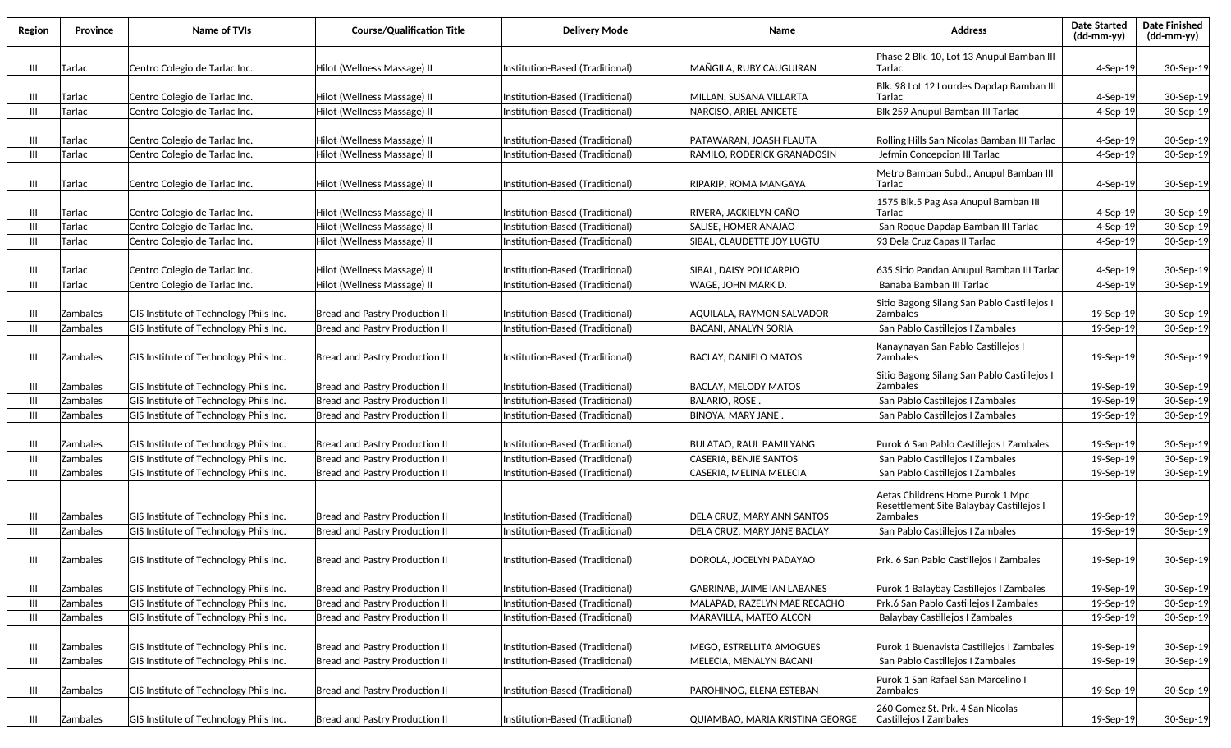| Region | Province | Name of TVIs                           | <b>Course/Qualification Title</b>     | <b>Delivery Mode</b>            | Name                               | <b>Address</b>                                                                                  | <b>Date Started</b><br>(dd-mm-yy) | <b>Date Finished</b><br>$(dd\text{-}\text{mm-}yy)$ |
|--------|----------|----------------------------------------|---------------------------------------|---------------------------------|------------------------------------|-------------------------------------------------------------------------------------------------|-----------------------------------|----------------------------------------------------|
| Ш      | Tarlac   | Centro Colegio de Tarlac Inc.          | Hilot (Wellness Massage) II           | Institution-Based (Traditional) | MAÑGILA, RUBY CAUGUIRAN            | Phase 2 Blk. 10, Lot 13 Anupul Bamban III<br>Tarlac                                             | 4-Sep-19                          | 30-Sep-19                                          |
| Ш      | Tarlac   | Centro Colegio de Tarlac Inc.          | Hilot (Wellness Massage) II           | Institution-Based (Traditional) | MILLAN, SUSANA VILLARTA            | Blk. 98 Lot 12 Lourdes Dapdap Bamban III<br>Tarlac                                              | $4-$ Sep $-19$                    | 30-Sep-19                                          |
| Ш      | Tarlac   | Centro Colegio de Tarlac Inc.          | Hilot (Wellness Massage) II           | Institution-Based (Traditional) | NARCISO, ARIEL ANICETE             | Blk 259 Anupul Bamban III Tarlac                                                                | $4-$ Sep $-19$                    | 30-Sep-19                                          |
|        |          |                                        |                                       |                                 |                                    |                                                                                                 |                                   |                                                    |
| Ш      | Tarlac   | Centro Colegio de Tarlac Inc.          | Hilot (Wellness Massage) II           | Institution-Based (Traditional) | PATAWARAN, JOASH FLAUTA            | Rolling Hills San Nicolas Bamban III Tarlac                                                     | 4-Sep-19                          | 30-Sep-19                                          |
| Ш      | Tarlac   | Centro Colegio de Tarlac Inc.          | Hilot (Wellness Massage) II           | Institution-Based (Traditional) | RAMILO, RODERICK GRANADOSIN        | Jefmin Concepcion III Tarlac                                                                    | 4-Sep-19                          | 30-Sep-19                                          |
|        |          |                                        |                                       |                                 |                                    | Metro Bamban Subd., Anupul Bamban III                                                           |                                   |                                                    |
| Ш      | Tarlac   | Centro Colegio de Tarlac Inc.          | Hilot (Wellness Massage) II           | Institution-Based (Traditional) | RIPARIP, ROMA MANGAYA              | Tarlac                                                                                          | 4-Sep-19                          | 30-Sep-19                                          |
|        |          |                                        |                                       |                                 |                                    | 1575 Blk.5 Pag Asa Anupul Bamban III                                                            |                                   |                                                    |
| Ш      | Tarlac   | Centro Colegio de Tarlac Inc.          | Hilot (Wellness Massage) II           | Institution-Based (Traditional) | RIVERA, JACKIELYN CAÑO             | Tarlac                                                                                          | $4-$ Sep $-19$                    | 30-Sep-19                                          |
| Ш      | Tarlac   | Centro Colegio de Tarlac Inc.          | Hilot (Wellness Massage) II           | Institution-Based (Traditional) | SALISE, HOMER ANAJAO               | San Roque Dapdap Bamban III Tarlac                                                              | $4-Sep-19$                        | 30-Sep-19                                          |
| Ш      | Tarlac   | Centro Colegio de Tarlac Inc.          | Hilot (Wellness Massage) II           | Institution-Based (Traditional) | SIBAL, CLAUDETTE JOY LUGTU         | 93 Dela Cruz Capas II Tarlac                                                                    | $4-Sep-19$                        | 30-Sep-19                                          |
|        |          |                                        |                                       |                                 |                                    |                                                                                                 |                                   |                                                    |
| Ш      | Tarlac   | Centro Colegio de Tarlac Inc.          | Hilot (Wellness Massage) II           | Institution-Based (Traditional) | SIBAL, DAISY POLICARPIO            | 635 Sitio Pandan Anupul Bamban III Tarlac                                                       | 4-Sep-19                          | 30-Sep-19                                          |
| Ш      | Tarlac   | Centro Colegio de Tarlac Inc.          | Hilot (Wellness Massage) II           | Institution-Based (Traditional) | WAGE, JOHN MARK D.                 | Banaba Bamban III Tarlac                                                                        | $4-Sep-19$                        | 30-Sep-19                                          |
| Ш      | Zambales | GIS Institute of Technology Phils Inc. | Bread and Pastry Production II        | Institution-Based (Traditional) | AQUILALA, RAYMON SALVADOR          | Sitio Bagong Silang San Pablo Castillejos I<br><b>Zambales</b>                                  | 19-Sep-19                         | 30-Sep-19                                          |
| Ш      | Zambales | GIS Institute of Technology Phils Inc. | <b>Bread and Pastry Production II</b> | Institution-Based (Traditional) | BACANI, ANALYN SORIA               | San Pablo Castillejos I Zambales                                                                | 19-Sep-19                         | 30-Sep-19                                          |
| Ш      | Zambales | GIS Institute of Technology Phils Inc. | Bread and Pastry Production II        | Institution-Based (Traditional) | BACLAY, DANIELO MATOS              | Kanaynayan San Pablo Castillejos I<br>Zambales                                                  | 19-Sep-19                         | 30-Sep-19                                          |
| Ш      | Zambales | GIS Institute of Technology Phils Inc. | Bread and Pastry Production II        | Institution-Based (Traditional) | <b>BACLAY, MELODY MATOS</b>        | Sitio Bagong Silang San Pablo Castillejos I<br>Zambales                                         | 19-Sep-19                         | 30-Sep-19                                          |
| Ш      | Zambales | GIS Institute of Technology Phils Inc. | Bread and Pastry Production II        | Institution-Based (Traditional) | <b>BALARIO, ROSE</b>               | San Pablo Castillejos I Zambales                                                                | 19-Sep-19                         | 30-Sep-19                                          |
| Ш      | Zambales | GIS Institute of Technology Phils Inc. | Bread and Pastry Production II        | Institution-Based (Traditional) | BINOYA, MARY JANE.                 | San Pablo Castillejos I Zambales                                                                | 19-Sep-19                         | 30-Sep-19                                          |
| Ш      | Zambales | GIS Institute of Technology Phils Inc. | Bread and Pastry Production II        | Institution-Based (Traditional) | <b>BULATAO, RAUL PAMILYANG</b>     | Purok 6 San Pablo Castillejos I Zambales                                                        | 19-Sep-19                         | 30-Sep-19                                          |
| Ш      | Zambales | GIS Institute of Technology Phils Inc. | Bread and Pastry Production II        | Institution-Based (Traditional) | CASERIA, BENJIE SANTOS             | San Pablo Castillejos I Zambales                                                                | 19-Sep-19                         | 30-Sep-19                                          |
| Ш      | Zambales | GIS Institute of Technology Phils Inc. | Bread and Pastry Production II        | Institution-Based (Traditional) | CASERIA, MELINA MELECIA            | San Pablo Castillejos I Zambales                                                                | 19-Sep-19                         | 30-Sep-19                                          |
| Ш      | Zambales | GIS Institute of Technology Phils Inc. | Bread and Pastry Production II        | Institution-Based (Traditional) | DELA CRUZ, MARY ANN SANTOS         | Aetas Childrens Home Purok 1 Mpc<br>Resettlement Site Balaybay Castillejos I<br><b>Zambales</b> | 19-Sep-19                         | 30-Sep-19                                          |
| Ш      | Zambales | GIS Institute of Technology Phils Inc. | Bread and Pastry Production II        | Institution-Based (Traditional) | DELA CRUZ, MARY JANE BACLAY        | San Pablo Castillejos I Zambales                                                                | 19-Sep-19                         | 30-Sep-19                                          |
| Ш      | Zambales | GIS Institute of Technology Phils Inc. | Bread and Pastry Production II        | Institution-Based (Traditional) | DOROLA, JOCELYN PADAYAO            | Prk. 6 San Pablo Castillejos I Zambales                                                         | 19-Sep-19                         | 30-Sep-19                                          |
| Ш      | Zambales | GIS Institute of Technology Phils Inc. | Bread and Pastry Production II        | Institution-Based (Traditional) | <b>GABRINAB, JAIME IAN LABANES</b> | Purok 1 Balaybay Castillejos I Zambales                                                         | 19-Sep-19                         | 30-Sep-19                                          |
| Ш      | Zambales | GIS Institute of Technology Phils Inc. | Bread and Pastry Production II        | Institution-Based (Traditional) | MALAPAD, RAZELYN MAE RECACHO       | Prk.6 San Pablo Castillejos I Zambales                                                          | 19-Sep-19                         | 30-Sep-19                                          |
| Ш      | Zambales | GIS Institute of Technology Phils Inc. | Bread and Pastry Production II        | Institution-Based (Traditional) | MARAVILLA, MATEO ALCON             | Balaybay Castillejos I Zambales                                                                 | 19-Sep-19                         | 30-Sep-19                                          |
| Ш      | Zambales | GIS Institute of Technology Phils Inc. | Bread and Pastry Production II        | Institution-Based (Traditional) | MEGO, ESTRELLITA AMOGUES           | Purok 1 Buenavista Castillejos I Zambales                                                       | 19-Sep-19                         | 30-Sep-19                                          |
| Ш      | Zambales | GIS Institute of Technology Phils Inc. | Bread and Pastry Production II        | Institution-Based (Traditional) | MELECIA, MENALYN BACANI            | San Pablo Castillejos I Zambales                                                                | 19-Sep-19                         | 30-Sep-19                                          |
| Ш      | Zambales | GIS Institute of Technology Phils Inc. | Bread and Pastry Production II        | Institution-Based (Traditional) | PAROHINOG, ELENA ESTEBAN           | Purok 1 San Rafael San Marcelino I<br><b>Zambales</b>                                           | 19-Sep-19                         | 30-Sep-19                                          |
| Ш      | Zambales | GIS Institute of Technology Phils Inc. | Bread and Pastry Production II        | Institution-Based (Traditional) | QUIAMBAO, MARIA KRISTINA GEORGE    | 260 Gomez St. Prk. 4 San Nicolas<br>Castillejos I Zambales                                      | 19-Sep-19                         | 30-Sep-19                                          |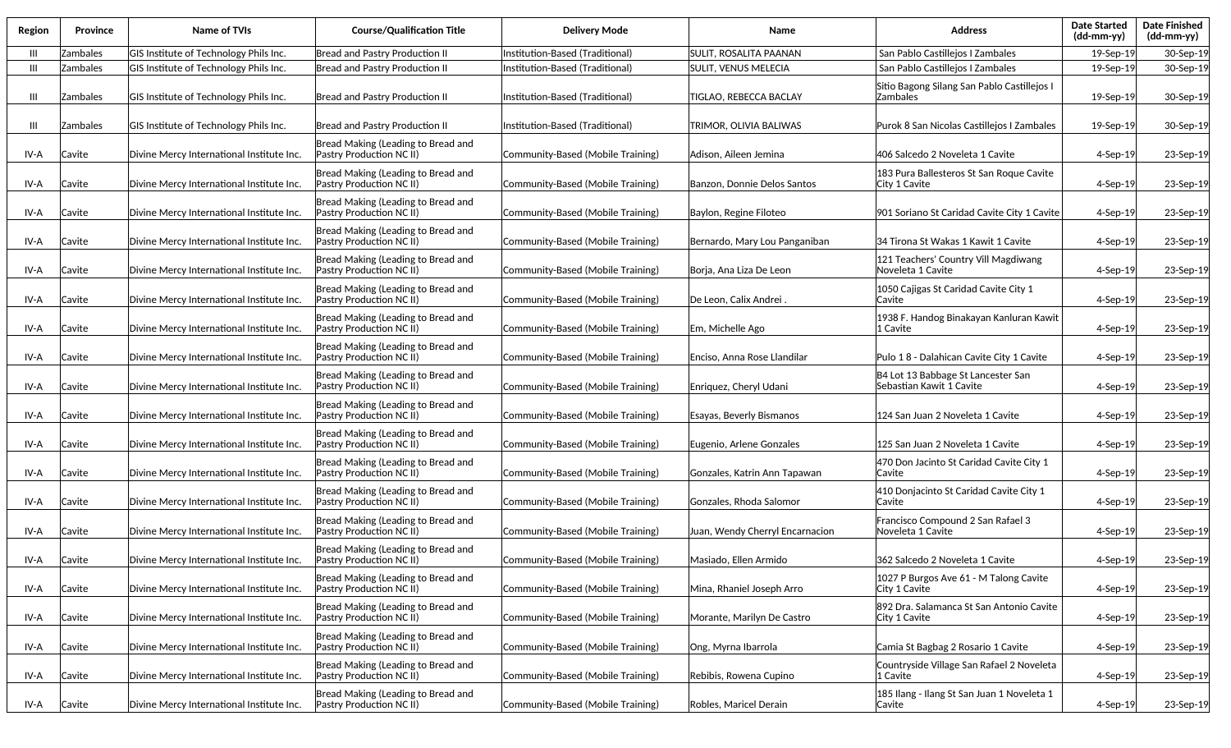| Region | Province | Name of TVIs                              | <b>Course/Qualification Title</b>                              | <b>Delivery Mode</b>              | Name                            | <b>Address</b>                                                 | <b>Date Started</b><br>(dd-mm-yy) | <b>Date Finished</b><br>(dd-mm-yy) |
|--------|----------|-------------------------------------------|----------------------------------------------------------------|-----------------------------------|---------------------------------|----------------------------------------------------------------|-----------------------------------|------------------------------------|
| - III  | Zambales | GIS Institute of Technology Phils Inc.    | Bread and Pastry Production II                                 | Institution-Based (Traditional)   | <b>SULIT, ROSALITA PAANAN</b>   | San Pablo Castillejos I Zambales                               | 19-Sep-19                         | 30-Sep-19                          |
| -III   | Zambales | GIS Institute of Technology Phils Inc.    | Bread and Pastry Production II                                 | Institution-Based (Traditional)   | <b>SULIT, VENUS MELECIA</b>     | San Pablo Castillejos I Zambales                               | 19-Sep-19                         | 30-Sep-19                          |
| Ш      | Zambales | GIS Institute of Technology Phils Inc.    | Bread and Pastry Production II                                 | Institution-Based (Traditional)   | TIGLAO, REBECCA BACLAY          | Sitio Bagong Silang San Pablo Castillejos I<br>Zambales        | 19-Sep-19                         | 30-Sep-19                          |
| Ш      | Zambales | GIS Institute of Technology Phils Inc.    | Bread and Pastry Production II                                 | Institution-Based (Traditional)   | TRIMOR, OLIVIA BALIWAS          | Purok 8 San Nicolas Castillejos I Zambales                     | 19-Sep-19                         | 30-Sep-19                          |
| IV-A   | Cavite   | Divine Mercy International Institute Inc. | Bread Making (Leading to Bread and<br>Pastry Production NC II) | Community-Based (Mobile Training) | Adison, Aileen Jemina           | 406 Salcedo 2 Noveleta 1 Cavite                                | $4-$ Sep $-19$                    | 23-Sep-19                          |
| IV-A   | Cavite   | Divine Mercy International Institute Inc. | Bread Making (Leading to Bread and<br>Pastry Production NC II) | Community-Based (Mobile Training) | Banzon, Donnie Delos Santos     | 183 Pura Ballesteros St San Roque Cavite<br>City 1 Cavite      | 4-Sep-19                          | 23-Sep-19                          |
| IV-A   | Cavite   | Divine Mercy International Institute Inc. | Bread Making (Leading to Bread and<br>Pastry Production NC II) | Community-Based (Mobile Training) | Baylon, Regine Filoteo          | 901 Soriano St Caridad Cavite City 1 Cavite                    | $4-Sep-19$                        | 23-Sep-19                          |
| IV-A   | Cavite   | Divine Mercy International Institute Inc. | Bread Making (Leading to Bread and<br>Pastry Production NC II) | Community-Based (Mobile Training) | Bernardo, Mary Lou Panganiban   | 34 Tirona St Wakas 1 Kawit 1 Cavite                            | 4-Sep-19                          | 23-Sep-19                          |
| IV-A   | Cavite   | Divine Mercy International Institute Inc. | Bread Making (Leading to Bread and<br>Pastry Production NC II) | Community-Based (Mobile Training) | Borja, Ana Liza De Leon         | 121 Teachers' Country Vill Magdiwang<br>Noveleta 1 Cavite      | 4-Sep-19                          | 23-Sep-19                          |
| IV-A   | Cavite   | Divine Mercy International Institute Inc. | Bread Making (Leading to Bread and<br>Pastry Production NC II) | Community-Based (Mobile Training) | De Leon, Calix Andrei           | 1050 Cajigas St Caridad Cavite City 1<br><b>Cavite</b>         | 4-Sep-19                          | 23-Sep-19                          |
| IV-A   | Cavite   | Divine Mercy International Institute Inc. | Bread Making (Leading to Bread and<br>Pastry Production NC II) | Community-Based (Mobile Training) | Em, Michelle Ago                | 1938 F. Handog Binakayan Kanluran Kawit<br>1 Cavite            | 4-Sep-19                          | 23-Sep-19                          |
| IV-A   | Cavite   | Divine Mercy International Institute Inc. | Bread Making (Leading to Bread and<br>Pastry Production NC II) | Community-Based (Mobile Training) | Enciso. Anna Rose Llandilar     | Pulo 18 - Dalahican Cavite City 1 Cavite                       | $4-$ Sep $-19$                    | 23-Sep-19                          |
| IV-A   | Cavite   | Divine Mercy International Institute Inc. | Bread Making (Leading to Bread and<br>Pastry Production NC II) | Community-Based (Mobile Training) | Enriquez, Cheryl Udani          | B4 Lot 13 Babbage St Lancester San<br>Sebastian Kawit 1 Cavite | $4-$ Sep $-19$                    | 23-Sep-19                          |
| IV-A   | Cavite   | Divine Mercy International Institute Inc. | Bread Making (Leading to Bread and<br>Pastry Production NC II) | Community-Based (Mobile Training) | Esayas, Beverly Bismanos        | 124 San Juan 2 Noveleta 1 Cavite                               | 4-Sep-19                          | 23-Sep-19                          |
| IV-A   | Cavite   | Divine Mercy International Institute Inc. | Bread Making (Leading to Bread and<br>Pastry Production NC II) | Community-Based (Mobile Training) | Eugenio, Arlene Gonzales        | 125 San Juan 2 Noveleta 1 Cavite                               | 4-Sep-19                          | 23-Sep-19                          |
| IV-A   | Cavite   | Divine Mercy International Institute Inc. | Bread Making (Leading to Bread and<br>Pastry Production NC II) | Community-Based (Mobile Training) | Gonzales, Katrin Ann Tapawan    | 470 Don Jacinto St Caridad Cavite City 1<br> Cavite            | 4-Sep-19                          | 23-Sep-19                          |
| IV-A   | Cavite   | Divine Mercy International Institute Inc. | Bread Making (Leading to Bread and<br>Pastry Production NC II) | Community-Based (Mobile Training) | Gonzales, Rhoda Salomor         | 410 Donjacinto St Caridad Cavite City 1<br><b>Cavite</b>       | $4-Sep-19$                        | 23-Sep-19                          |
| IV-A   | Cavite   | Divine Mercy International Institute Inc. | Bread Making (Leading to Bread and<br>Pastry Production NC II) | Community-Based (Mobile Training) | Juan, Wendy Cherryl Encarnacion | Francisco Compound 2 San Rafael 3<br>Noveleta 1 Cavite         | $4-Sep-19$                        | 23-Sep-19                          |
| IV-A   | Cavite   | Divine Mercy International Institute Inc. | Bread Making (Leading to Bread and<br>Pastry Production NC II) | Community-Based (Mobile Training) | Masiado, Ellen Armido           | 362 Salcedo 2 Noveleta 1 Cavite                                | $4-Sep-19$                        | 23-Sep-19                          |
| IV-A   | Cavite   | Divine Mercy International Institute Inc. | Bread Making (Leading to Bread and<br>Pastry Production NC II) | Community-Based (Mobile Training) | Mina, Rhaniel Joseph Arro       | 1027 P Burgos Ave 61 - M Talong Cavite<br>City 1 Cavite        | $4-Sep-19$                        | 23-Sep-19                          |
| IV-A   | Cavite   | Divine Mercy International Institute Inc. | Bread Making (Leading to Bread and<br>Pastry Production NC II) | Community-Based (Mobile Training) | Morante, Marilyn De Castro      | 892 Dra. Salamanca St San Antonio Cavite<br>City 1 Cavite      | 4-Sep-19                          | 23-Sep-19                          |
| IV-A   | Cavite   | Divine Mercy International Institute Inc. | Bread Making (Leading to Bread and<br>Pastry Production NC II) | Community-Based (Mobile Training) | Ong, Myrna Ibarrola             | Camia St Bagbag 2 Rosario 1 Cavite                             | $4-Sep-19$                        | 23-Sep-19                          |
| IV-A   | Cavite   | Divine Mercy International Institute Inc. | Bread Making (Leading to Bread and<br>Pastry Production NC II) | Community-Based (Mobile Training) | Rebibis, Rowena Cupino          | Countryside Village San Rafael 2 Noveleta<br>1 Cavite          | 4-Sep-19                          | 23-Sep-19                          |
| IV-A   | Cavite   | Divine Mercy International Institute Inc. | Bread Making (Leading to Bread and<br>Pastry Production NC II) | Community-Based (Mobile Training) | Robles, Maricel Derain          | 185 Ilang - Ilang St San Juan 1 Noveleta 1<br> Cavite          | 4-Sep-19                          | 23-Sep-19                          |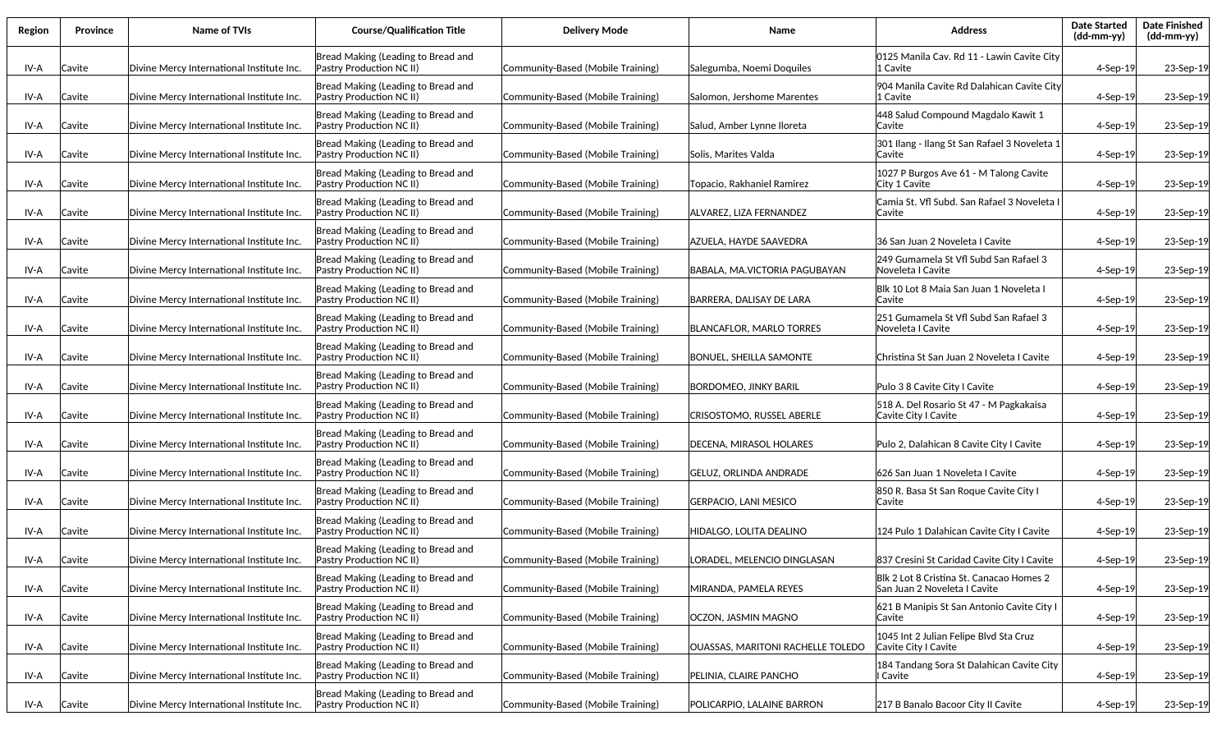| Region | <b>Province</b> | Name of TVIs                              | <b>Course/Qualification Title</b>                                     | <b>Delivery Mode</b>              | Name                              | <b>Address</b>                                                           | <b>Date Started</b><br>$(dd\text{-}\text{mm-}yy)$ | <b>Date Finished</b><br>(dd-mm-yy) |
|--------|-----------------|-------------------------------------------|-----------------------------------------------------------------------|-----------------------------------|-----------------------------------|--------------------------------------------------------------------------|---------------------------------------------------|------------------------------------|
| IV-A   | Cavite          | Divine Mercy International Institute Inc. | Bread Making (Leading to Bread and<br><b>Pastry Production NC II)</b> | Community-Based (Mobile Training) | Salegumba, Noemi Doquiles         | l0125 Manila Cav. Rd 11 - Lawin Cavite Citv<br>1 Cavite                  | $4-$ Sep $-19$                                    | 23-Sep-19                          |
| IV-A   | Cavite          | Divine Mercy International Institute Inc. | Bread Making (Leading to Bread and<br>Pastry Production NC II)        | Community-Based (Mobile Training) | Salomon, Jershome Marentes        | 904 Manila Cavite Rd Dalahican Cavite City<br>1 Cavite                   | $4-$ Sep $-19$                                    | 23-Sep-19                          |
| IV-A   | Cavite          | Divine Mercy International Institute Inc. | Bread Making (Leading to Bread and<br>Pastry Production NC II)        | Community-Based (Mobile Training) | Salud, Amber Lynne Iloreta        | 448 Salud Compound Magdalo Kawit 1<br>lCavite                            | $4-Sep-19$                                        | 23-Sep-19                          |
| IV-A   | Cavite          | Divine Mercy International Institute Inc. | Bread Making (Leading to Bread and<br>Pastry Production NC II)        | Community-Based (Mobile Training) | Solis, Marites Valda              | 301 Ilang - Ilang St San Rafael 3 Noveleta 1<br>lCavite                  | 4-Sep-19                                          | 23-Sep-19                          |
| IV-A   | Cavite          | Divine Mercy International Institute Inc. | Bread Making (Leading to Bread and<br>Pastry Production NC II)        | Community-Based (Mobile Training) | Topacio. Rakhaniel Ramirez        | 1027 P Burgos Ave 61 - M Talong Cavite<br>lCity 1 Cavite                 | $4-Sep-19$                                        | 23-Sep-19                          |
| IV-A   | Cavite          | Divine Mercy International Institute Inc. | Bread Making (Leading to Bread and<br>Pastry Production NC II)        | Community-Based (Mobile Training) | ALVAREZ, LIZA FERNANDEZ           | Camia St. Vfl Subd. San Rafael 3 Noveleta<br> Cavite                     | $4-$ Sep $-19$                                    | 23-Sep-19                          |
| IV-A   | Cavite          | Divine Mercy International Institute Inc. | Bread Making (Leading to Bread and<br>Pastry Production NC II)        | Community-Based (Mobile Training) | AZUELA, HAYDE SAAVEDRA            | 36 San Juan 2 Noveleta I Cavite                                          | $4-Sep-19$                                        | 23-Sep-19                          |
| IV-A   | Cavite          | Divine Mercy International Institute Inc. | Bread Making (Leading to Bread and<br>Pastry Production NC II)        | Community-Based (Mobile Training) | BABALA. MA.VICTORIA PAGUBAYAN     | 249 Gumamela St Vfl Subd San Rafael 3<br>Noveleta I Cavite               | $4-$ Sep $-19$                                    | 23-Sep-19                          |
| IV-A   | Cavite          | Divine Mercy International Institute Inc. | Bread Making (Leading to Bread and<br>Pastry Production NC II)        | Community-Based (Mobile Training) | BARRERA, DALISAY DE LARA          | Blk 10 Lot 8 Maia San Juan 1 Noveleta  <br><b>Cavite</b>                 | $4-$ Sep $-19$                                    | 23-Sep-19                          |
| IV-A   | Cavite          | Divine Mercy International Institute Inc. | Bread Making (Leading to Bread and<br>Pastry Production NC II)        | Community-Based (Mobile Training) | <b>BLANCAFLOR, MARLO TORRES</b>   | 251 Gumamela St Vfl Subd San Rafael 3<br>Noveleta I Cavite               | $4-$ Sep $-19$                                    | 23-Sep-19                          |
| IV-A   | Cavite          | Divine Mercy International Institute Inc. | Bread Making (Leading to Bread and<br>Pastry Production NC II)        | Community-Based (Mobile Training) | <b>BONUEL, SHEILLA SAMONTE</b>    | Christina St San Juan 2 Noveleta I Cavite                                | $4-$ Sep $-19$                                    | 23-Sep-19                          |
| IV-A   | Cavite          | Divine Mercy International Institute Inc. | Bread Making (Leading to Bread and<br>Pastry Production NC II)        | Community-Based (Mobile Training) | <b>BORDOMEO, JINKY BARIL</b>      | Pulo 3 8 Cavite City I Cavite                                            | $4-$ Sep $-19$                                    | 23-Sep-19                          |
| IV-A   | Cavite          | Divine Mercy International Institute Inc. | Bread Making (Leading to Bread and<br>Pastry Production NC II)        | Community-Based (Mobile Training) | CRISOSTOMO, RUSSEL ABERLE         | 518 A. Del Rosario St 47 - M Pagkakaisa<br>Cavite City I Cavite          | $4-$ Sep $-19$                                    | 23-Sep-19                          |
| IV-A   | Cavite          | Divine Mercy International Institute Inc. | Bread Making (Leading to Bread and<br>Pastry Production NC II)        | Community-Based (Mobile Training) | DECENA, MIRASOL HOLARES           | Pulo 2, Dalahican 8 Cavite City I Cavite                                 | $4-$ Sep $-19$                                    | 23-Sep-19                          |
| IV-A   | Cavite          | Divine Mercy International Institute Inc. | Bread Making (Leading to Bread and<br>Pastry Production NC II)        | Community-Based (Mobile Training) | <b>GELUZ, ORLINDA ANDRADE</b>     | 626 San Juan 1 Noveleta I Cavite                                         | $4-$ Sep $-19$                                    | 23-Sep-19                          |
| IV-A   | Cavite          | Divine Mercy International Institute Inc. | Bread Making (Leading to Bread and<br>Pastry Production NC II)        | Community-Based (Mobile Training) | <b>GERPACIO, LANI MESICO</b>      | 850 R. Basa St San Roque Cavite City I<br> Cavite                        | $4-$ Sep $-19$                                    | 23-Sep-19                          |
| IV-A   | Cavite          | Divine Mercy International Institute Inc. | Bread Making (Leading to Bread and<br>Pastry Production NC II)        | Community-Based (Mobile Training) | HIDALGO, LOLITA DEALINO           | 124 Pulo 1 Dalahican Cavite City I Cavite                                | 4-Sep-19                                          | 23-Sep-19                          |
| IV-A   | Cavite          | Divine Mercy International Institute Inc. | Bread Making (Leading to Bread and<br>Pastry Production NC II)        | Community-Based (Mobile Training) | LORADEL, MELENCIO DINGLASAN       | 837 Cresini St Caridad Cavite City I Cavite                              | $4-$ Sep $-19$                                    | 23-Sep-19                          |
| IV-A   | Cavite          | Divine Mercy International Institute Inc. | Bread Making (Leading to Bread and<br>Pastry Production NC II)        | Community-Based (Mobile Training) | MIRANDA, PAMELA REYES             | Blk 2 Lot 8 Cristina St. Canacao Homes 2<br>San Juan 2 Noveleta I Cavite | $4-Sep-19$                                        | 23-Sep-19                          |
| IV-A   | Cavite          | Divine Mercy International Institute Inc. | Bread Making (Leading to Bread and<br>Pastry Production NC II)        | Community-Based (Mobile Training) | OCZON, JASMIN MAGNO               | 621 B Manipis St San Antonio Cavite City I<br>Cavite                     | $4-$ Sep $-19$                                    | 23-Sep-19                          |
| IV-A   | Cavite          | Divine Mercy International Institute Inc. | Bread Making (Leading to Bread and<br>Pastry Production NC II)        | Community-Based (Mobile Training) | OUASSAS, MARITONI RACHELLE TOLEDO | 1045 Int 2 Julian Felipe Blvd Sta Cruz<br>Cavite City I Cavite           | $4-$ Sep $-19$                                    | 23-Sep-19                          |
| IV-A   | Cavite          | Divine Mercy International Institute Inc. | Bread Making (Leading to Bread and<br>Pastry Production NC II)        | Community-Based (Mobile Training) | PELINIA, CLAIRE PANCHO            | 184 Tandang Sora St Dalahican Cavite City<br>I Cavite                    | 4-Sep-19                                          | 23-Sep-19                          |
| IV-A   | Cavite          | Divine Mercy International Institute Inc. | Bread Making (Leading to Bread and<br><b>Pastry Production NC II)</b> | Community-Based (Mobile Training) | POLICARPIO, LALAINE BARRON        | 217 B Banalo Bacoor City II Cavite                                       | 4-Sep-19                                          | 23-Sep-19                          |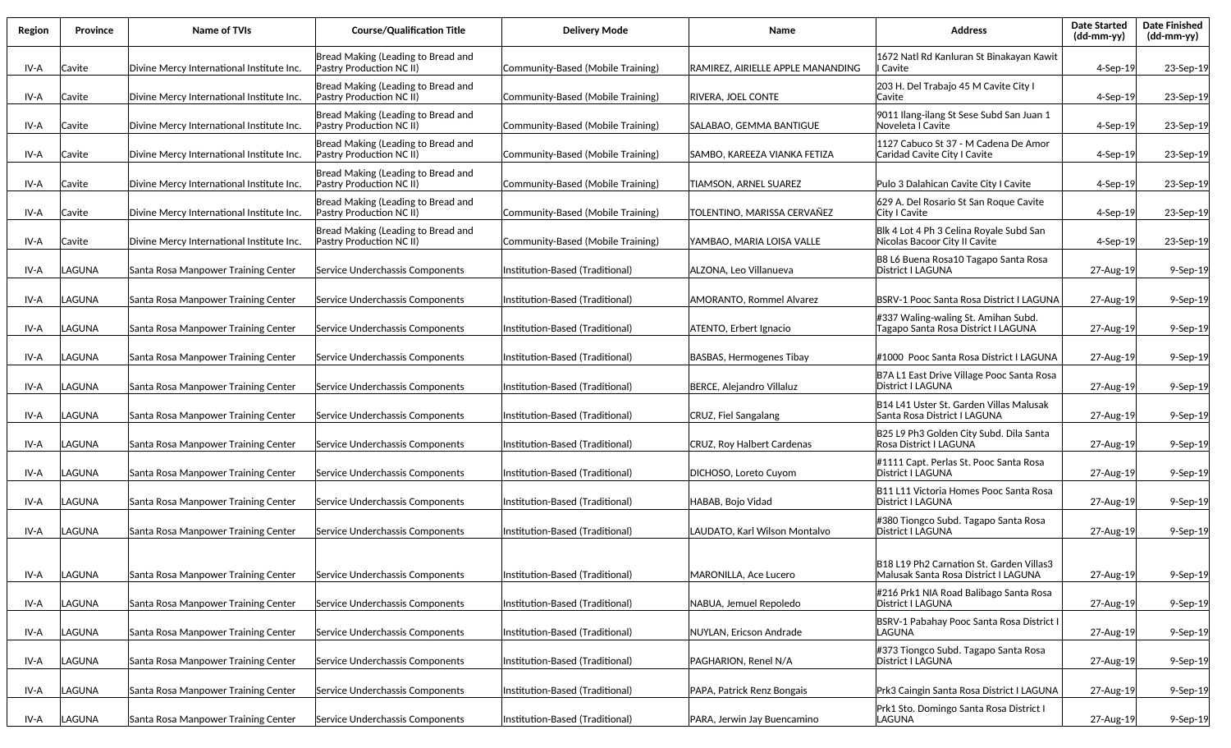| Region | Province | <b>Name of TVIs</b>                       | <b>Course/Qualification Title</b>                              | <b>Delivery Mode</b>              | Name                              | <b>Address</b>                                                                 | <b>Date Started</b><br>(dd-mm-yy) | <b>Date Finished</b><br>(dd-mm-yy) |
|--------|----------|-------------------------------------------|----------------------------------------------------------------|-----------------------------------|-----------------------------------|--------------------------------------------------------------------------------|-----------------------------------|------------------------------------|
| IV-A   | Cavite   | Divine Mercy International Institute Inc. | Bread Making (Leading to Bread and<br>Pastry Production NC II) | Community-Based (Mobile Training) | RAMIREZ, AIRIELLE APPLE MANANDING | 1672 Natl Rd Kanluran St Binakayan Kawit<br>I Cavite                           | 4-Sep-19                          | 23-Sep-19                          |
| IV-A   | Cavite   | Divine Mercy International Institute Inc. | Bread Making (Leading to Bread and<br>Pastry Production NC II) | Community-Based (Mobile Training) | RIVERA, JOEL CONTE                | 203 H. Del Trabajo 45 M Cavite City I<br>lCavite                               | $4-Sep-19$                        | 23-Sep-19                          |
| IV-A   | Cavite   | Divine Mercy International Institute Inc. | Bread Making (Leading to Bread and<br>Pastry Production NC II) | Community-Based (Mobile Training) | SALABAO, GEMMA BANTIGUE           | 9011 Ilang-ilang St Sese Subd San Juan 1<br>Noveleta I Cavite                  | $4-Sep-19$                        | 23-Sep-19                          |
| IV-A   | Cavite   | Divine Mercy International Institute Inc. | Bread Making (Leading to Bread and<br>Pastry Production NC II) | Community-Based (Mobile Training) | SAMBO. KAREEZA VIANKA FETIZA      | 1127 Cabuco St 37 - M Cadena De Amor<br>Caridad Cavite City I Cavite           | $4-$ Sep $-19$                    | 23-Sep-19                          |
| IV-A   | Cavite   | Divine Mercy International Institute Inc. | Bread Making (Leading to Bread and<br>Pastry Production NC II) | Community-Based (Mobile Training) | TIAMSON, ARNEL SUAREZ             | Pulo 3 Dalahican Cavite City I Cavite                                          | $4-$ Sep $-19$                    | 23-Sep-19                          |
| IV-A   | Cavite   | Divine Mercy International Institute Inc. | Bread Making (Leading to Bread and<br>Pastry Production NC II) | Community-Based (Mobile Training) | TOLENTINO, MARISSA CERVAÑEZ       | 629 A. Del Rosario St San Roque Cavite<br>City I Cavite                        | $4-$ Sep $-19$                    | 23-Sep-19                          |
| IV-A   | Cavite   | Divine Mercy International Institute Inc. | Bread Making (Leading to Bread and<br>Pastry Production NC II) | Community-Based (Mobile Training) | YAMBAO, MARIA LOISA VALLE         | Blk 4 Lot 4 Ph 3 Celina Royale Subd San<br>Nicolas Bacoor City II Cavite       | $4-$ Sep $-19$                    | 23-Sep-19                          |
| IV-A   | LAGUNA   | Santa Rosa Manpower Training Center       | Service Underchassis Components                                | Institution-Based (Traditional)   | ALZONA, Leo Villanueva            | B8 L6 Buena Rosa10 Tagapo Santa Rosa<br>District I LAGUNA                      | 27-Aug-19                         | $9-Sep-19$                         |
| IV-A   | LAGUNA   | Santa Rosa Manpower Training Center       | Service Underchassis Components                                | Institution-Based (Traditional)   | <b>AMORANTO, Rommel Alvarez</b>   | BSRV-1 Pooc Santa Rosa District I LAGUNA                                       | 27-Aug-19                         | $9-Sep-19$                         |
| IV-A   | LAGUNA   | Santa Rosa Manpower Training Center       | Service Underchassis Components                                | (Institution-Based (Traditional)  | ATENTO, Erbert Ignacio            | #337 Waling-waling St. Amihan Subd.<br>Tagapo Santa Rosa District I LAGUNA     | 27-Aug-19                         | $9-Sep-19$                         |
| IV-A   | .AGUNA   | Santa Rosa Manpower Training Center       | Service Underchassis Components                                | (Institution-Based (Traditional)  | BASBAS, Hermogenes Tibay          | #1000  Pooc Santa Rosa District I LAGUNA                                       | 27-Aug-19                         | $9-Sep-19$                         |
| IV-A   | LAGUNA   | Santa Rosa Manpower Training Center       | Service Underchassis Components                                | Institution-Based (Traditional)   | BERCE, Alejandro Villaluz         | B7A L1 East Drive Village Pooc Santa Rosa<br>District I LAGUNA                 | 27-Aug-19                         | $9-Sep-19$                         |
| IV-A   | LAGUNA   | Santa Rosa Manpower Training Center       | Service Underchassis Components                                | Institution-Based (Traditional)   | CRUZ, Fiel Sangalang              | B14 L41 Uster St. Garden Villas Malusak<br>Santa Rosa District I LAGUNA        | 27-Aug-19                         | $9-Sep-19$                         |
| IV-A   | LAGUNA   | Santa Rosa Manpower Training Center       | Service Underchassis Components                                | Institution-Based (Traditional)   | <b>CRUZ, Roy Halbert Cardenas</b> | B25 L9 Ph3 Golden City Subd. Dila Santa<br>Rosa District I LAGUNA              | 27-Aug-19                         | $9-Sep-19$                         |
| IV-A   | LAGUNA   | Santa Rosa Manpower Training Center       | Service Underchassis Components                                | Institution-Based (Traditional)   | DICHOSO, Loreto Cuyom             | #1111 Capt. Perlas St. Pooc Santa Rosa<br> District   LAGUNA                   | 27-Aug-19                         | $9-Sep-19$                         |
| IV-A   | LAGUNA   | Santa Rosa Manpower Training Center       | Service Underchassis Components                                | Institution-Based (Traditional)   | HABAB, Bojo Vidad                 | B11 L11 Victoria Homes Pooc Santa Rosa<br> District I LAGUNA                   | 27-Aug-19                         | 9-Sep-19                           |
| IV-A   | LAGUNA   | Santa Rosa Manpower Training Center       | Service Underchassis Components                                | Institution-Based (Traditional)   | LAUDATO, Karl Wilson Montalvo     | #380 Tiongco Subd. Tagapo Santa Rosa<br>District I LAGUNA                      | 27-Aug-19                         | 9-Sep-19                           |
|        |          |                                           |                                                                |                                   |                                   | B18 L19 Ph2 Carnation St. Garden Villas3                                       |                                   |                                    |
| IV-A   | LAGUNA   | Santa Rosa Manpower Training Center       | Service Underchassis Components                                | Institution-Based (Traditional)   | MARONILLA, Ace Lucero             | Malusak Santa Rosa District I LAGUNA<br>#216 Prk1 NIA Road Balibago Santa Rosa | 27-Aug-19                         | 9-Sep-19                           |
| IV-A   | LAGUNA   | Santa Rosa Manpower Training Center       | Service Underchassis Components                                | Institution-Based (Traditional)   | NABUA, Jemuel Repoledo            | District I LAGUNA<br>BSRV-1 Pabahay Pooc Santa Rosa District I                 | 27-Aug-19                         | 9-Sep-19                           |
| IV-A   | LAGUNA   | Santa Rosa Manpower Training Center       | Service Underchassis Components                                | Institution-Based (Traditional)   | NUYLAN, Ericson Andrade           | LAGUNA<br>#373 Tiongco Subd. Tagapo Santa Rosa                                 | 27-Aug-19                         | 9-Sep-19                           |
| IV-A   | LAGUNA   | Santa Rosa Manpower Training Center       | Service Underchassis Components                                | Institution-Based (Traditional)   | PAGHARION, Renel N/A              | District I LAGUNA                                                              | 27-Aug-19                         | 9-Sep-19                           |
| IV-A   | LAGUNA   | Santa Rosa Manpower Training Center       | Service Underchassis Components                                | Institution-Based (Traditional)   | PAPA, Patrick Renz Bongais        | Prk3 Caingin Santa Rosa District I LAGUNA                                      | 27-Aug-19                         | 9-Sep-19                           |
| IV-A   | LAGUNA   | Santa Rosa Manpower Training Center       | Service Underchassis Components                                | Institution-Based (Traditional)   | PARA, Jerwin Jay Buencamino       | Prk1 Sto. Domingo Santa Rosa District I<br>LAGUNA                              | 27-Aug-19                         | 9-Sep-19                           |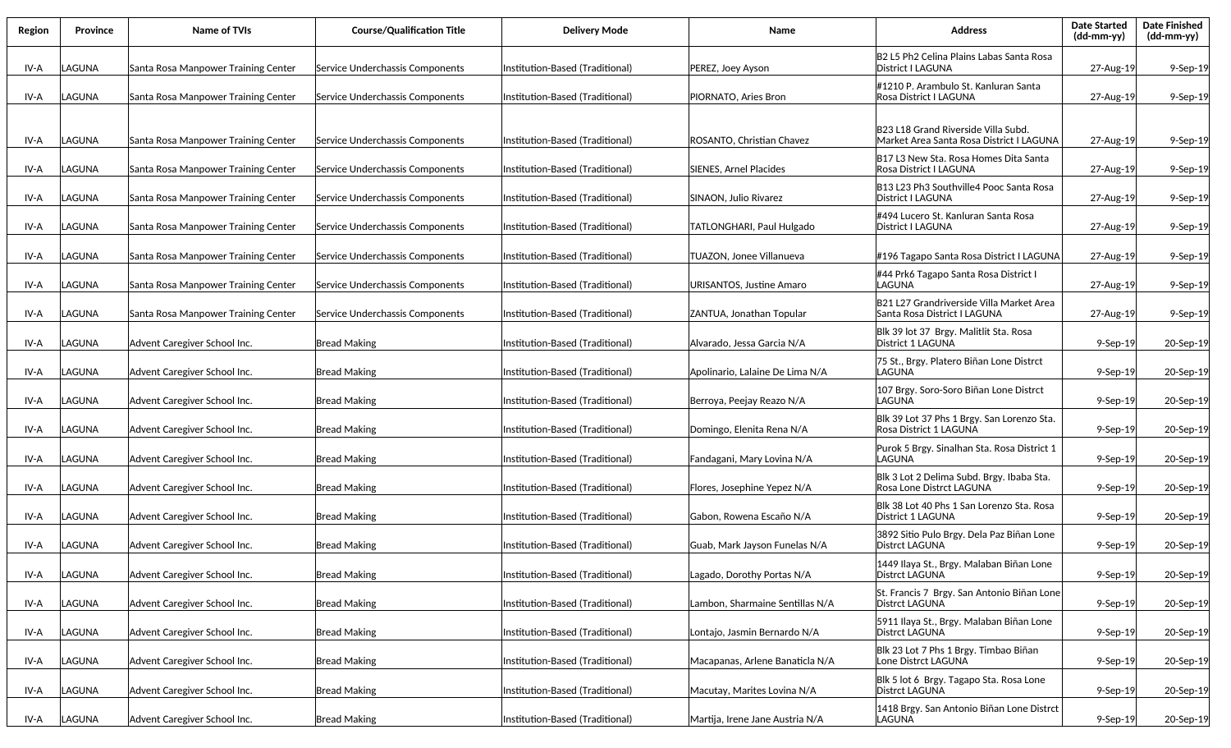| Region | <b>Province</b> | Name of TVIs                        | <b>Course/Qualification Title</b> | <b>Delivery Mode</b>            | Name                            | <b>Address</b>                                                                  | <b>Date Started</b><br>(dd-mm-yy) | <b>Date Finished</b><br>(dd-mm-yy) |
|--------|-----------------|-------------------------------------|-----------------------------------|---------------------------------|---------------------------------|---------------------------------------------------------------------------------|-----------------------------------|------------------------------------|
| IV-A   | LAGUNA          | Santa Rosa Manpower Training Center | Service Underchassis Components   | Institution-Based (Traditional) | PEREZ, Joey Ayson               | B2 L5 Ph2 Celina Plains Labas Santa Rosa<br> District   LAGUNA                  | 27-Aug-19                         | 9-Sep-19                           |
| IV-A   | LAGUNA          | Santa Rosa Manpower Training Center | Service Underchassis Components   | Institution-Based (Traditional) | PIORNATO. Aries Bron            | #1210 P. Arambulo St. Kanluran Santa<br>Rosa District I LAGUNA                  | 27-Aug-19                         | 9-Sep-19                           |
| IV-A   | LAGUNA          | Santa Rosa Manpower Training Center | Service Underchassis Components   | Institution-Based (Traditional) | ROSANTO, Christian Chavez       | B23 L18 Grand Riverside Villa Subd.<br>Market Area Santa Rosa District I LAGUNA | 27-Aug-19                         | 9-Sep-19                           |
| IV-A   | LAGUNA          | Santa Rosa Manpower Training Center | Service Underchassis Components   | Institution-Based (Traditional) | SIENES, Arnel Placides          | B17 L3 New Sta. Rosa Homes Dita Santa<br>Rosa District I LAGUNA                 | 27-Aug-19                         | 9-Sep-19                           |
| IV-A   | LAGUNA          | Santa Rosa Manpower Training Center | Service Underchassis Components   | Institution-Based (Traditional) | SINAON, Julio Rivarez           | B13 L23 Ph3 Southville4 Pooc Santa Rosa<br>District I LAGUNA                    | 27-Aug-19                         | 9-Sep-19                           |
| IV-A   | LAGUNA          | Santa Rosa Manpower Training Center | Service Underchassis Components   | Institution-Based (Traditional) | TATLONGHARI, Paul Hulgado       | #494 Lucero St. Kanluran Santa Rosa<br> District   LAGUNA                       | 27-Aug-19                         | 9-Sep-19                           |
| IV-A   | LAGUNA          | Santa Rosa Manpower Training Center | Service Underchassis Components   | Institution-Based (Traditional) | TUAZON, Jonee Villanueva        | #196 Tagapo Santa Rosa District I LAGUNA                                        | 27-Aug-19                         | 9-Sep-19                           |
| IV-A   | LAGUNA          | Santa Rosa Manpower Training Center | Service Underchassis Components   | Institution-Based (Traditional) | URISANTOS, Justine Amaro        | #44 Prk6 Tagapo Santa Rosa District I<br><b>LAGUNA</b>                          | 27-Aug-19                         | 9-Sep-19                           |
| IV-A   | LAGUNA          | Santa Rosa Manpower Training Center | Service Underchassis Components   | Institution-Based (Traditional) | ZANTUA, Jonathan Topular        | B21 L27 Grandriverside Villa Market Area<br>Santa Rosa District I LAGUNA        | 27-Aug-19                         | $9-Sep-19$                         |
| IV-A   | LAGUNA          | Advent Caregiver School Inc.        | <b>Bread Making</b>               | Institution-Based (Traditional) | Alvarado, Jessa Garcia N/A      | Blk 39 lot 37 Brgy. Malitlit Sta. Rosa<br>District 1 LAGUNA                     | $9-$ Sep $-19$                    | 20-Sep-19                          |
| IV-A   | LAGUNA          | Advent Caregiver School Inc.        | <b>Bread Making</b>               | Institution-Based (Traditional) | Apolinario, Lalaine De Lima N/A | 75 St., Brgy. Platero Biñan Lone Distrct<br>llaguna                             | $9-$ Sep $-19$                    | 20-Sep-19                          |
| IV-A   | LAGUNA          | Advent Caregiver School Inc.        | Bread Making                      | Institution-Based (Traditional) | Berroya, Peejay Reazo N/A       | 107 Brgy. Soro-Soro Biñan Lone Distrct<br>LAGUNA                                | $9-$ Sep $-19$                    | 20-Sep-19                          |
| IV-A   | LAGUNA          | Advent Caregiver School Inc.        | Bread Making                      | Institution-Based (Traditional) | Domingo, Elenita Rena N/A       | Blk 39 Lot 37 Phs 1 Brgy. San Lorenzo Sta.<br>Rosa District 1 LAGUNA            | $9-$ Sep $-19$                    | 20-Sep-19                          |
| IV-A   | LAGUNA          | Advent Caregiver School Inc.        | <b>Bread Making</b>               | Institution-Based (Traditional) | Fandagani, Mary Lovina N/A      | Purok 5 Brgy. Sinalhan Sta. Rosa District 1<br>LAGUNA                           | 9-Sep-19                          | 20-Sep-19                          |
| IV-A   | LAGUNA          | Advent Caregiver School Inc.        | <b>Bread Making</b>               | Institution-Based (Traditional) | Flores, Josephine Yepez N/A     | Blk 3 Lot 2 Delima Subd. Brgy. Ibaba Sta.<br>Rosa Lone Distrct LAGUNA           | $9-$ Sep $-19$                    | 20-Sep-19                          |
| IV-A   | LAGUNA          | Advent Caregiver School Inc.        | <b>Bread Making</b>               | Institution-Based (Traditional) | Gabon, Rowena Escaño N/A        | Blk 38 Lot 40 Phs 1 San Lorenzo Sta. Rosa<br>District 1 LAGUNA                  | 9-Sep-19                          | 20-Sep-19                          |
| IV-A   | LAGUNA          | Advent Caregiver School Inc.        | <b>Bread Making</b>               | Institution-Based (Traditional) | Guab, Mark Jayson Funelas N/A   | 3892 Sitio Pulo Brgy. Dela Paz Biñan Lone<br>Distrct LAGUNA                     | $9-$ Sep $-19$                    | 20-Sep-19                          |
| IV-A   | LAGUNA          | Advent Caregiver School Inc.        | <b>Bread Making</b>               | Institution-Based (Traditional) | Lagado, Dorothy Portas N/A      | 1449 Ilaya St., Brgy. Malaban Biñan Lone<br>Distrct LAGUNA                      | $9-$ Sep $-19$                    | 20-Sep-19                          |
| IV-A   | LAGUNA          | Advent Caregiver School Inc.        | <b>Bread Making</b>               | Institution-Based (Traditional) | Lambon, Sharmaine Sentillas N/A | St. Francis 7 Brgy. San Antonio Biñan Lone<br>Distrct LAGUNA                    | $9-$ Sep $-19$                    | 20-Sep-19                          |
| IV-A   | LAGUNA          | Advent Caregiver School Inc.        | <b>Bread Making</b>               | Institution-Based (Traditional) | Lontajo, Jasmin Bernardo N/A    | 5911 Ilaya St., Brgy. Malaban Biñan Lone<br>Distrct LAGUNA                      | $9-Sep-19$                        | 20-Sep-19                          |
| IV-A   | LAGUNA          | Advent Caregiver School Inc.        | <b>Bread Making</b>               | Institution-Based (Traditional) | Macapanas, Arlene Banaticla N/A | Blk 23 Lot 7 Phs 1 Brgy. Timbao Biñan<br>Lone Distrct LAGUNA                    | $9-Sep-19$                        | 20-Sep-19                          |
| IV-A   | LAGUNA          | Advent Caregiver School Inc.        | <b>Bread Making</b>               | Institution-Based (Traditional) | Macutay, Marites Lovina N/A     | Blk 5 lot 6 Brgy. Tagapo Sta. Rosa Lone<br>Distrct LAGUNA                       | $9-$ Sep $-19$                    | 20-Sep-19                          |
| IV-A   | LAGUNA          | Advent Caregiver School Inc.        | <b>Bread Making</b>               | Institution-Based (Traditional) | Martija, Irene Jane Austria N/A | 1418 Brgy. San Antonio Biñan Lone Distrct<br>LAGUNA                             | 9-Sep-19                          | 20-Sep-19                          |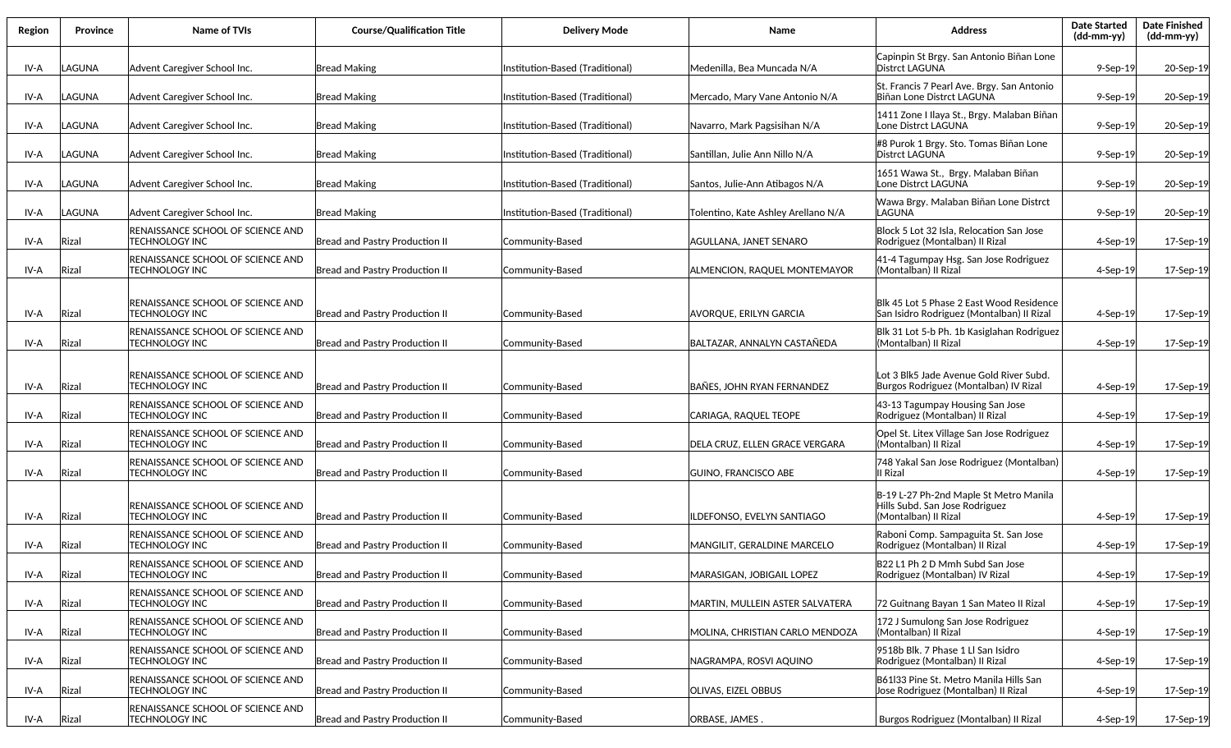| Region | Province | Name of TVIs                                                       | <b>Course/Qualification Title</b>     | <b>Delivery Mode</b>            | Name                                | <b>Address</b>                                                                                   | <b>Date Started</b><br>(dd-mm-yy) | <b>Date Finished</b><br>$(dd\text{-}\text{mm-}yy)$ |
|--------|----------|--------------------------------------------------------------------|---------------------------------------|---------------------------------|-------------------------------------|--------------------------------------------------------------------------------------------------|-----------------------------------|----------------------------------------------------|
| IV-A   | LAGUNA   | Advent Caregiver School Inc.                                       | Bread Making                          | Institution-Based (Traditional) | Medenilla, Bea Muncada N/A          | Capinpin St Brgy. San Antonio Biñan Lone<br>Distrct LAGUNA                                       | $9-$ Sep $-19$                    | 20-Sep-19                                          |
| IV-A   | LAGUNA   | Advent Caregiver School Inc.                                       | <b>Bread Making</b>                   | Institution-Based (Traditional) | Mercado, Mary Vane Antonio N/A      | St. Francis 7 Pearl Ave. Brgy. San Antonio<br>Biñan Lone Distrct LAGUNA                          | $9-$ Sep $-19$                    | 20-Sep-19                                          |
| IV-A   | LAGUNA   | Advent Caregiver School Inc.                                       | <b>Bread Making</b>                   | Institution-Based (Traditional) | Navarro, Mark Pagsisihan N/A        | 1411 Zone I Ilaya St., Brgy. Malaban Biñan<br>Lone Distrct LAGUNA                                | $9-$ Sep $-19$                    | 20-Sep-19                                          |
| IV-A   | LAGUNA   | Advent Caregiver School Inc.                                       | <b>Bread Making</b>                   | Institution-Based (Traditional) | Santillan. Julie Ann Nillo N/A      | #8 Purok 1 Brgy. Sto. Tomas Biñan Lone<br>Distrct LAGUNA                                         | 9-Sep-19                          | 20-Sep-19                                          |
| IV-A   | LAGUNA   | Advent Caregiver School Inc.                                       | Bread Making                          | Institution-Based (Traditional) | Santos, Julie-Ann Atibagos N/A      | 1651 Wawa St., Brgy. Malaban Biñan<br>Lone Distrct LAGUNA                                        | $9-$ Sep $-19$                    | 20-Sep-19                                          |
| IV-A   | LAGUNA   | Advent Caregiver School Inc.                                       | <b>Bread Making</b>                   | Institution-Based (Traditional) | Tolentino, Kate Ashley Arellano N/A | Wawa Brgy. Malaban Biñan Lone Distrct<br>LAGUNA                                                  | $9-$ Sep $-19$                    | 20-Sep-19                                          |
| IV-A   | Rizal    | RENAISSANCE SCHOOL OF SCIENCE AND<br>TECHNOLOGY INC                | Bread and Pastry Production II        | Community-Based                 | AGULLANA, JANET SENARO              | Block 5 Lot 32 Isla, Relocation San Jose<br>Rodriguez (Montalban) II Rizal                       | $4-Sep-19$                        | 17-Sep-19                                          |
| IV-A   | Rizal    | RENAISSANCE SCHOOL OF SCIENCE AND<br><b>TECHNOLOGY INC</b>         | <b>Bread and Pastry Production II</b> | Community-Based                 | ALMENCION, RAQUEL MONTEMAYOR        | 41-4 Tagumpay Hsg. San Jose Rodriguez<br>l(Montalban) II Rizal                                   | $4-Sep-19$                        | 17-Sep-19                                          |
| IV-A   | Rizal    | RENAISSANCE SCHOOL OF SCIENCE AND<br><b>TECHNOLOGY INC</b>         | <b>Bread and Pastry Production II</b> | Community-Based                 | <b>AVORQUE, ERILYN GARCIA</b>       | Blk 45 Lot 5 Phase 2 East Wood Residence<br> San Isidro Rodriguez (Montalban) II Rizal           | $4-Sep-19$                        | 17-Sep-19                                          |
| IV-A   | Rizal    | RENAISSANCE SCHOOL OF SCIENCE AND<br>TECHNOLOGY INC                | <b>Bread and Pastry Production II</b> | Community-Based                 | BALTAZAR, ANNALYN CASTAÑEDA         | Blk 31 Lot 5-b Ph. 1b Kasiglahan Rodriguez<br>(Montalban) II Rizal                               | $4-$ Sep $-19$                    | 17-Sep-19                                          |
| IV-A   | Rizal    | RENAISSANCE SCHOOL OF SCIENCE AND<br><b>TECHNOLOGY INC</b>         | <b>Bread and Pastry Production II</b> | Community-Based                 | <b>BAÑES, JOHN RYAN FERNANDEZ</b>   | Lot 3 Blk5 Jade Avenue Gold River Subd.<br>Burgos Rodriguez (Montalban) IV Rizal                 | 4-Sep-19                          | 17-Sep-19                                          |
| IV-A   | Rizal    | RENAISSANCE SCHOOL OF SCIENCE AND<br><b>TECHNOLOGY INC</b>         | Bread and Pastry Production II        | Community-Based                 | CARIAGA, RAQUEL TEOPE               | 43-13 Tagumpay Housing San Jose<br>Rodriguez (Montalban) II Rizal                                | $4-Sep-19$                        | 17-Sep-19                                          |
| IV-A   | Rizal    | RENAISSANCE SCHOOL OF SCIENCE AND<br>TECHNOLOGY INC                | Bread and Pastry Production II        | Community-Based                 | DELA CRUZ, ELLEN GRACE VERGARA      | Opel St. Litex Village San Jose Rodriguez<br>(Montalban) II Rizal                                | 4-Sep-19                          | 17-Sep-19                                          |
| IV-A   | Rizal    | RENAISSANCE SCHOOL OF SCIENCE AND<br>TECHNOLOGY INC                | <b>Bread and Pastry Production II</b> | Community-Based                 | GUINO, FRANCISCO ABE                | 748 Yakal San Jose Rodriguez (Montalban)<br>III Rizal                                            | $4-Sep-19$                        | 17-Sep-19                                          |
| IV-A   | Rizal    | <b>IRENAISSANCE SCHOOL OF SCIENCE AND</b><br>TECHNOLOGY INC        | <b>Bread and Pastry Production II</b> | Community-Based                 | ILDEFONSO, EVELYN SANTIAGO          | B-19 L-27 Ph-2nd Maple St Metro Manila<br>Hills Subd. San Jose Rodriguez<br>(Montalban) II Rizal | $4-Sep-19$                        | 17-Sep-19                                          |
| IV-A   | Rizal    | <b>IRENAISSANCE SCHOOL OF SCIENCE AND</b><br>TECHNOLOGY INC        | <b>Bread and Pastry Production II</b> | Community-Based                 | MANGILIT, GERALDINE MARCELO         | Raboni Comp. Sampaguita St. San Jose<br>Rodriguez (Montalban) II Rizal                           | $4-Sep-19$                        | 17-Sep-19                                          |
| IV-A   | Rizal    | RENAISSANCE SCHOOL OF SCIENCE AND<br><b>TECHNOLOGY INC</b>         | Bread and Pastry Production II        | Community-Based                 | MARASIGAN, JOBIGAIL LOPEZ           | B22 L1 Ph 2 D Mmh Subd San Jose<br>Rodriguez (Montalban) IV Rizal                                | 4-Sep-19                          | 17-Sep-19                                          |
| IV-A   | Rizal    | RENAISSANCE SCHOOL OF SCIENCE AND<br><b>TECHNOLOGY INC</b>         | Bread and Pastry Production II        | Community-Based                 | MARTIN, MULLEIN ASTER SALVATERA     | 72 Guitnang Bayan 1 San Mateo II Rizal                                                           | 4-Sep-19                          | 17-Sep-19                                          |
| IV-A   | Rizal    | <b>IRENAISSANCE SCHOOL OF SCIENCE AND</b><br><b>TECHNOLOGY INC</b> | Bread and Pastry Production II        | Community-Based                 | MOLINA, CHRISTIAN CARLO MENDOZA     | 172 J Sumulong San Jose Rodriguez<br>(Montalban) II Rizal                                        | 4-Sep-19                          | 17-Sep-19                                          |
| IV-A   | Rizal    | <b>RENAISSANCE SCHOOL OF SCIENCE AND</b><br><b>TECHNOLOGY INC</b>  | Bread and Pastry Production II        | Community-Based                 | NAGRAMPA, ROSVI AQUINO              | 9518b Blk. 7 Phase 1 Ll San Isidro<br>Rodriguez (Montalban) II Rizal                             | $4-Sep-19$                        | 17-Sep-19                                          |
| IV-A   | Rizal    | RENAISSANCE SCHOOL OF SCIENCE AND<br><b>TECHNOLOGY INC</b>         | Bread and Pastry Production II        | Community-Based                 | <b>OLIVAS, EIZEL OBBUS</b>          | B61133 Pine St. Metro Manila Hills San<br>Jose Rodriguez (Montalban) II Rizal                    | 4-Sep-19                          | 17-Sep-19                                          |
| IV-A   | Rizal    | RENAISSANCE SCHOOL OF SCIENCE AND<br><b>TECHNOLOGY INC</b>         | Bread and Pastry Production II        | Community-Based                 | ORBASE, JAMES.                      | Burgos Rodriguez (Montalban) II Rizal                                                            | 4-Sep-19                          | 17-Sep-19                                          |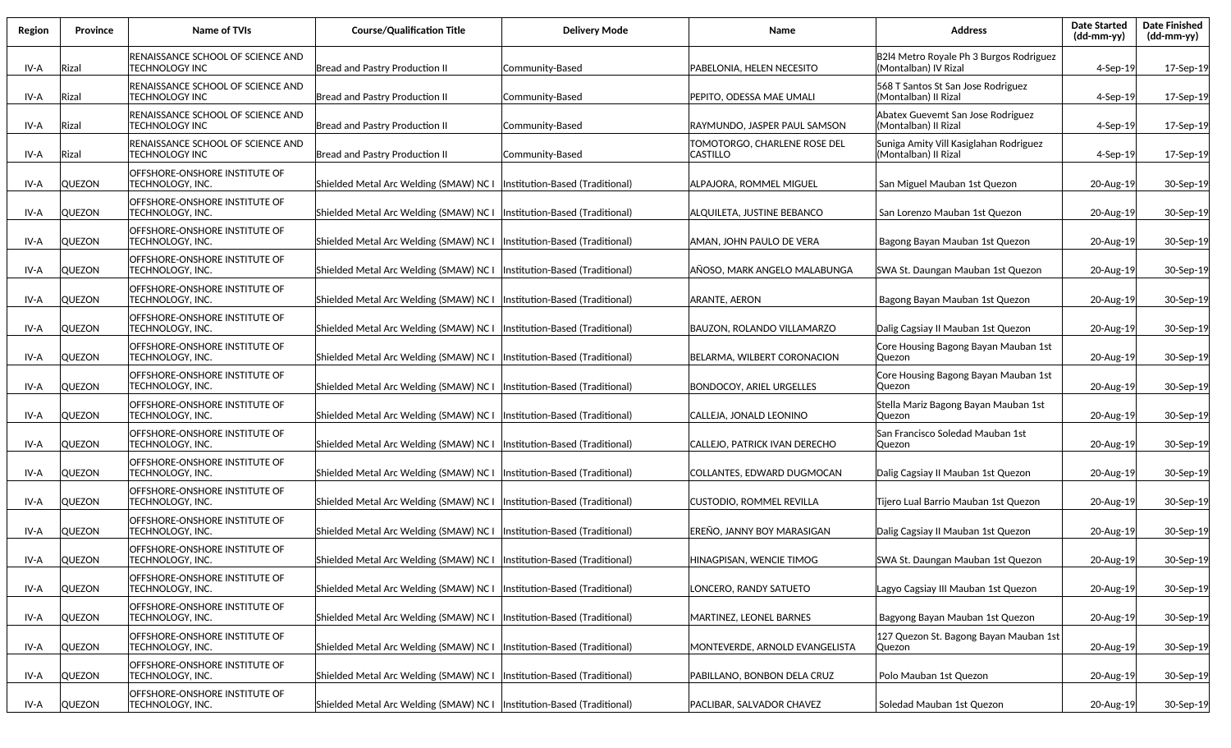| Region | <b>Province</b> | Name of TVIs                                                       | <b>Course/Qualification Title</b>                                        | <b>Delivery Mode</b>             | Name                                            | <b>Address</b>                                                  | <b>Date Started</b><br>(dd-mm-yy) | <b>Date Finished</b><br>(dd-mm-yy) |
|--------|-----------------|--------------------------------------------------------------------|--------------------------------------------------------------------------|----------------------------------|-------------------------------------------------|-----------------------------------------------------------------|-----------------------------------|------------------------------------|
| IV-A   | Rizal           | RENAISSANCE SCHOOL OF SCIENCE AND<br><b>TECHNOLOGY INC</b>         | <b>Bread and Pastry Production II</b>                                    | Community-Based                  | PABELONIA, HELEN NECESITO                       | B2l4 Metro Royale Ph 3 Burgos Rodriguez<br>(Montalban) IV Rizal | $4-$ Sep $-19$                    | 17-Sep-19                          |
| IV-A   | Rizal           | <b>IRENAISSANCE SCHOOL OF SCIENCE AND</b><br><b>TECHNOLOGY INC</b> | <b>Bread and Pastry Production II</b>                                    | Community-Based                  | PEPITO, ODESSA MAE UMALI                        | 568 T Santos St San Jose Rodriguez<br>(Montalban) II Rizal      | 4-Sep-19                          | 17-Sep-19                          |
| IV-A   | Rizal           | RENAISSANCE SCHOOL OF SCIENCE AND<br><b>TECHNOLOGY INC</b>         | Bread and Pastry Production II                                           | Community-Based                  | RAYMUNDO, JASPER PAUL SAMSON                    | Abatex Guevemt San Jose Rodriguez<br>(Montalban) II Rizal       | 4-Sep-19                          | 17-Sep-19                          |
| IV-A   | Rizal           | RENAISSANCE SCHOOL OF SCIENCE AND<br><b>TECHNOLOGY INC</b>         | Bread and Pastry Production II                                           | Community-Based                  | TOMOTORGO, CHARLENE ROSE DEL<br><b>CASTILLO</b> | Suniga Amity Vill Kasiglahan Rodriguez<br>(Montalban) II Rizal  | 4-Sep-19                          | 17-Sep-19                          |
| IV-A   | <b>QUEZON</b>   | OFFSHORE-ONSHORE INSTITUTE OF<br><b>TECHNOLOGY, INC.</b>           | Shielded Metal Arc Welding (SMAW) NC I   Institution-Based (Traditional) |                                  | ALPAJORA, ROMMEL MIGUEL                         | San Miguel Mauban 1st Quezon                                    | 20-Aug-19                         | 30-Sep-19                          |
| IV-A   | <b>QUEZON</b>   | OFFSHORE-ONSHORE INSTITUTE OF<br>TECHNOLOGY, INC.                  | Shielded Metal Arc Welding (SMAW) NC I                                   | (Institution-Based (Traditional) | ALQUILETA, JUSTINE BEBANCO                      | San Lorenzo Mauban 1st Quezon                                   | 20-Aug-19                         | 30-Sep-19                          |
| IV-A   | <b>QUEZON</b>   | OFFSHORE-ONSHORE INSTITUTE OF<br>TECHNOLOGY, INC.                  | Shielded Metal Arc Welding (SMAW) NC I                                   | Institution-Based (Traditional)  | AMAN, JOHN PAULO DE VERA                        | Bagong Bayan Mauban 1st Quezon                                  | 20-Aug-19                         | 30-Sep-19                          |
| IV-A   | <b>QUEZON</b>   | OFFSHORE-ONSHORE INSTITUTE OF<br><b>TECHNOLOGY, INC.</b>           | Shielded Metal Arc Welding (SMAW) NC I                                   | (Institution-Based (Traditional) | AÑOSO, MARK ANGELO MALABUNGA                    | SWA St. Daungan Mauban 1st Quezon                               | 20-Aug-19                         | 30-Sep-19                          |
| IV-A   | <b>QUEZON</b>   | OFFSHORE-ONSHORE INSTITUTE OF<br>TECHNOLOGY, INC.                  | Shielded Metal Arc Welding (SMAW) NC I                                   | Institution-Based (Traditional)  | <b>ARANTE, AERON</b>                            | Bagong Bayan Mauban 1st Quezon                                  | 20-Aug-19                         | 30-Sep-19                          |
| IV-A   | <b>QUEZON</b>   | OFFSHORE-ONSHORE INSTITUTE OF<br><b>TECHNOLOGY, INC.</b>           | Shielded Metal Arc Welding (SMAW) NC I                                   | (Institution-Based (Traditional) | BAUZON. ROLANDO VILLAMARZO                      | Dalig Cagsiay II Mauban 1st Quezon                              | 20-Aug-19                         | 30-Sep-19                          |
| IV-A   | <b>QUEZON</b>   | OFFSHORE-ONSHORE INSTITUTE OF<br><b>TECHNOLOGY, INC.</b>           | Shielded Metal Arc Welding (SMAW) NC I                                   | Institution-Based (Traditional)  | BELARMA, WILBERT CORONACION                     | Core Housing Bagong Bayan Mauban 1st<br>Quezon                  | 20-Aug-19                         | 30-Sep-19                          |
| IV-A   | <b>QUEZON</b>   | OFFSHORE-ONSHORE INSTITUTE OF<br><b>TECHNOLOGY, INC.</b>           | Shielded Metal Arc Welding (SMAW) NC I  Institution-Based (Traditional)  |                                  | <b>BONDOCOY, ARIEL URGELLES</b>                 | Core Housing Bagong Bayan Mauban 1st<br>Quezon                  | 20-Aug-19                         | 30-Sep-19                          |
| IV-A   | <b>QUEZON</b>   | OFFSHORE-ONSHORE INSTITUTE OF<br>TECHNOLOGY, INC.                  | Shielded Metal Arc Welding (SMAW) NC I  Institution-Based (Traditional)  |                                  | CALLEJA, JONALD LEONINO                         | Stella Mariz Bagong Bayan Mauban 1st<br>Quezon                  | 20-Aug-19                         | 30-Sep-19                          |
| IV-A   | <b>QUEZON</b>   | OFFSHORE-ONSHORE INSTITUTE OF<br>TECHNOLOGY, INC.                  | Shielded Metal Arc Welding (SMAW) NC I  Institution-Based (Traditional)  |                                  | CALLEJO, PATRICK IVAN DERECHO                   | San Francisco Soledad Mauban 1st<br>Quezon                      | 20-Aug-19                         | 30-Sep-19                          |
| IV-A   | <b>QUEZON</b>   | OFFSHORE-ONSHORE INSTITUTE OF<br>TECHNOLOGY, INC.                  | Shielded Metal Arc Welding (SMAW) NC I  Institution-Based (Traditional)  |                                  | COLLANTES, EDWARD DUGMOCAN                      | Dalig Cagsiay II Mauban 1st Quezon                              | 20-Aug-19                         | 30-Sep-19                          |
| IV-A   | <b>QUEZON</b>   | <b>lOFFSHORE-ONSHORE INSTITUTE OF</b><br>TECHNOLOGY, INC.          | Shielded Metal Arc Welding (SMAW) NC I  Institution-Based (Traditional)  |                                  | CUSTODIO, ROMMEL REVILLA                        | Tijero Lual Barrio Mauban 1st Quezon                            | 20-Aug-19                         | 30-Sep-19                          |
| IV-A   | <b>QUEZON</b>   | OFFSHORE-ONSHORE INSTITUTE OF<br>TECHNOLOGY, INC.                  | Shielded Metal Arc Welding (SMAW) NC I                                   | Institution-Based (Traditional)  | EREÑO, JANNY BOY MARASIGAN                      | Dalig Cagsiay II Mauban 1st Quezon                              | 20-Aug-19                         | 30-Sep-19                          |
| IV-A   | <b>QUEZON</b>   | OFFSHORE-ONSHORE INSTITUTE OF<br><b>TECHNOLOGY, INC.</b>           | Shielded Metal Arc Welding (SMAW) NC I  Institution-Based (Traditional)  |                                  | HINAGPISAN, WENCIE TIMOG                        | SWA St. Daungan Mauban 1st Quezon                               | 20-Aug-19                         | 30-Sep-19                          |
| IV-A   | <b>QUEZON</b>   | OFFSHORE-ONSHORE INSTITUTE OF<br><b>TECHNOLOGY, INC.</b>           | Shielded Metal Arc Welding (SMAW) NC I                                   | Institution-Based (Traditional)  | LONCERO, RANDY SATUETO                          | Lagyo Cagsiay III Mauban 1st Quezon                             | 20-Aug-19                         | 30-Sep-19                          |
| IV-A   | <b>QUEZON</b>   | OFFSHORE-ONSHORE INSTITUTE OF<br>TECHNOLOGY, INC.                  | Shielded Metal Arc Welding (SMAW) NC I                                   | Institution-Based (Traditional)  | MARTINEZ, LEONEL BARNES                         | Bagyong Bayan Mauban 1st Quezon                                 | 20-Aug-19                         | 30-Sep-19                          |
| IV-A   | <b>QUEZON</b>   | OFFSHORE-ONSHORE INSTITUTE OF<br>TECHNOLOGY, INC.                  | Shielded Metal Arc Welding (SMAW) NC I                                   | Institution-Based (Traditional)  | MONTEVERDE, ARNOLD EVANGELISTA                  | 127 Quezon St. Bagong Bayan Mauban 1st<br>Quezon                | 20-Aug-19                         | 30-Sep-19                          |
| IV-A   | <b>QUEZON</b>   | OFFSHORE-ONSHORE INSTITUTE OF<br>TECHNOLOGY, INC.                  | Shielded Metal Arc Welding (SMAW) NC I  Institution-Based (Traditional)  |                                  | PABILLANO, BONBON DELA CRUZ                     | Polo Mauban 1st Quezon                                          | 20-Aug-19                         | 30-Sep-19                          |
| IV-A   | QUEZON          | OFFSHORE-ONSHORE INSTITUTE OF<br>TECHNOLOGY, INC.                  | Shielded Metal Arc Welding (SMAW) NC I   Institution-Based (Traditional) |                                  | PACLIBAR, SALVADOR CHAVEZ                       | Soledad Mauban 1st Quezon                                       | 20-Aug-19                         | 30-Sep-19                          |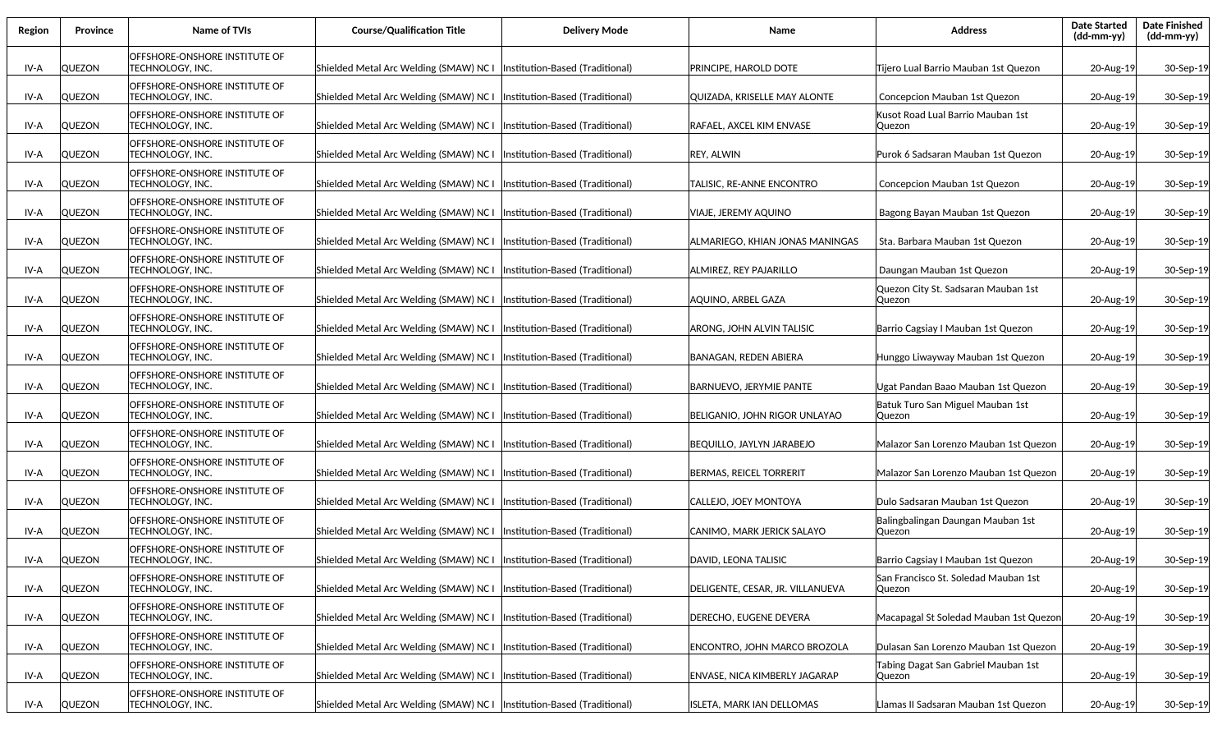| Region | Province      | Name of TVIs                                                    | <b>Course/Qualification Title</b>                                       | <b>Delivery Mode</b>             | Name                             | <b>Address</b>                                  | <b>Date Started</b><br>$(dd-mm-yy)$ | <b>Date Finished</b><br>$(dd\text{-}\text{mm-}yy)$ |
|--------|---------------|-----------------------------------------------------------------|-------------------------------------------------------------------------|----------------------------------|----------------------------------|-------------------------------------------------|-------------------------------------|----------------------------------------------------|
| IV-A   | <b>QUEZON</b> | OFFSHORE-ONSHORE INSTITUTE OF<br>TECHNOLOGY, INC.               | Shielded Metal Arc Welding (SMAW) NC I                                  | (Institution-Based (Traditional) | PRINCIPE, HAROLD DOTE            | Tijero Lual Barrio Mauban 1st Quezon            | 20-Aug-19                           | 30-Sep-19                                          |
| IV-A   | <b>QUEZON</b> | OFFSHORE-ONSHORE INSTITUTE OF<br><b>TECHNOLOGY, INC.</b>        | Shielded Metal Arc Welding (SMAW) NC I                                  | (Institution-Based (Traditional) | QUIZADA, KRISELLE MAY ALONTE     | Concepcion Mauban 1st Quezon                    | 20-Aug-19                           | 30-Sep-19                                          |
| IV-A   | <b>QUEZON</b> | OFFSHORE-ONSHORE INSTITUTE OF<br><b>TECHNOLOGY, INC.</b>        | Shielded Metal Arc Welding (SMAW) NC I                                  | Institution-Based (Traditional)  | RAFAEL, AXCEL KIM ENVASE         | Kusot Road Lual Barrio Mauban 1st<br>Quezon     | 20-Aug-19                           | 30-Sep-19                                          |
| IV-A   | <b>QUEZON</b> | OFFSHORE-ONSHORE INSTITUTE OF<br><b>TECHNOLOGY, INC.</b>        | Shielded Metal Arc Welding (SMAW) NC I                                  | Institution-Based (Traditional)  | <b>REY, ALWIN</b>                | Purok 6 Sadsaran Mauban 1st Quezon              | 20-Aug-19                           | 30-Sep-19                                          |
| IV-A   | <b>QUEZON</b> | OFFSHORE-ONSHORE INSTITUTE OF<br>TECHNOLOGY, INC.               | Shielded Metal Arc Welding (SMAW) NC I                                  | Institution-Based (Traditional)  | TALISIC, RE-ANNE ENCONTRO        | Concepcion Mauban 1st Quezon                    | 20-Aug-19                           | 30-Sep-19                                          |
| IV-A   | <b>QUEZON</b> | OFFSHORE-ONSHORE INSTITUTE OF<br>TECHNOLOGY, INC.               | Shielded Metal Arc Welding (SMAW) NC I                                  | Institution-Based (Traditional)  | VIAJE, JEREMY AQUINO             | Bagong Bayan Mauban 1st Quezon                  | 20-Aug-19                           | 30-Sep-19                                          |
| IV-A   | <b>QUEZON</b> | OFFSHORE-ONSHORE INSTITUTE OF<br>TECHNOLOGY, INC.               | Shielded Metal Arc Welding (SMAW) NC I                                  | Institution-Based (Traditional)  | ALMARIEGO, KHIAN JONAS MANINGAS  | Sta. Barbara Mauban 1st Quezon                  | 20-Aug-19                           | 30-Sep-19                                          |
| IV-A   | <b>QUEZON</b> | <b>OFFSHORE-ONSHORE INSTITUTE OF</b><br><b>TECHNOLOGY, INC.</b> | Shielded Metal Arc Welding (SMAW) NC I                                  | Institution-Based (Traditional)  | ALMIREZ, REY PAJARILLO           | Daungan Mauban 1st Quezon                       | 20-Aug-19                           | 30-Sep-19                                          |
| IV-A   | <b>QUEZON</b> | OFFSHORE-ONSHORE INSTITUTE OF<br>TECHNOLOGY, INC.               | Shielded Metal Arc Welding (SMAW) NC I                                  | Institution-Based (Traditional)  | AQUINO, ARBEL GAZA               | Quezon City St. Sadsaran Mauban 1st<br> Quezon  | 20-Aug-19                           | 30-Sep-19                                          |
| IV-A   | <b>QUEZON</b> | OFFSHORE-ONSHORE INSTITUTE OF<br>TECHNOLOGY, INC.               | Shielded Metal Arc Welding (SMAW) NC I                                  | Institution-Based (Traditional)  | ARONG, JOHN ALVIN TALISIC        | Barrio Cagsiay I Mauban 1st Quezon              | 20-Aug-19                           | 30-Sep-19                                          |
| IV-A   | <b>QUEZON</b> | OFFSHORE-ONSHORE INSTITUTE OF<br>TECHNOLOGY. INC.               | Shielded Metal Arc Welding (SMAW) NC I                                  | (Institution-Based (Traditional) | BANAGAN, REDEN ABIERA            | Hunggo Liwayway Mauban 1st Quezon               | 20-Aug-19                           | 30-Sep-19                                          |
| IV-A   | <b>QUEZON</b> | OFFSHORE-ONSHORE INSTITUTE OF<br>TECHNOLOGY, INC.               | Shielded Metal Arc Welding (SMAW) NC I                                  | (Institution-Based (Traditional) | <b>BARNUEVO, JERYMIE PANTE</b>   | Ugat Pandan Baao Mauban 1st Quezon              | 20-Aug-19                           | 30-Sep-19                                          |
| IV-A   | <b>QUEZON</b> | OFFSHORE-ONSHORE INSTITUTE OF<br><b>TECHNOLOGY, INC.</b>        | Shielded Metal Arc Welding (SMAW) NC I                                  | Institution-Based (Traditional)  | BELIGANIO, JOHN RIGOR UNLAYAO    | Batuk Turo San Miguel Mauban 1st<br> Quezon     | 20-Aug-19                           | 30-Sep-19                                          |
| IV-A   | QUEZON        | OFFSHORE-ONSHORE INSTITUTE OF<br>TECHNOLOGY, INC.               | Shielded Metal Arc Welding (SMAW) NC I                                  | Institution-Based (Traditional)  | <b>BEQUILLO, JAYLYN JARABEJO</b> | Malazor San Lorenzo Mauban 1st Quezon           | 20-Aug-19                           | 30-Sep-19                                          |
| IV-A   | <b>QUEZON</b> | OFFSHORE-ONSHORE INSTITUTE OF<br>TECHNOLOGY, INC.               | Shielded Metal Arc Welding (SMAW) NC I                                  | Institution-Based (Traditional)  | BERMAS, REICEL TORRERIT          | Malazor San Lorenzo Mauban 1st Quezon           | 20-Aug-19                           | 30-Sep-19                                          |
| IV-A   | <b>QUEZON</b> | OFFSHORE-ONSHORE INSTITUTE OF<br>TECHNOLOGY, INC.               | Shielded Metal Arc Welding (SMAW) NC I                                  | Institution-Based (Traditional)  | CALLEJO, JOEY MONTOYA            | Dulo Sadsaran Mauban 1st Quezon                 | 20-Aug-19                           | 30-Sep-19                                          |
| IV-A   | <b>QUEZON</b> | OFFSHORE-ONSHORE INSTITUTE OF<br>TECHNOLOGY, INC.               | Shielded Metal Arc Welding (SMAW) NC I                                  | Institution-Based (Traditional)  | CANIMO, MARK JERICK SALAYO       | Balingbalingan Daungan Mauban 1st<br> Quezon    | 20-Aug-19                           | 30-Sep-19                                          |
| IV-A   | <b>QUEZON</b> | OFFSHORE-ONSHORE INSTITUTE OF<br><b>TECHNOLOGY, INC.</b>        | Shielded Metal Arc Welding (SMAW) NC I  Institution-Based (Traditional) |                                  | DAVID, LEONA TALISIC             | Barrio Cagsiay I Mauban 1st Quezon              | 20-Aug-19                           | 30-Sep-19                                          |
| IV-A   | <b>QUEZON</b> | OFFSHORE-ONSHORE INSTITUTE OF<br><b>TECHNOLOGY, INC.</b>        | Shielded Metal Arc Welding (SMAW) NC I                                  | Institution-Based (Traditional)  | DELIGENTE, CESAR, JR. VILLANUEVA | San Francisco St. Soledad Mauban 1st<br> Quezon | 20-Aug-19                           | 30-Sep-19                                          |
| IV-A   | <b>QUEZON</b> | OFFSHORE-ONSHORE INSTITUTE OF<br>TECHNOLOGY, INC.               | Shielded Metal Arc Welding (SMAW) NC I                                  | Institution-Based (Traditional)  | DERECHO, EUGENE DEVERA           | Macapagal St Soledad Mauban 1st Quezon          | 20-Aug-19                           | 30-Sep-19                                          |
| IV-A   | <b>QUEZON</b> | OFFSHORE-ONSHORE INSTITUTE OF<br><b>TECHNOLOGY, INC.</b>        | Shielded Metal Arc Welding (SMAW) NC I                                  | Institution-Based (Traditional)  | ENCONTRO, JOHN MARCO BROZOLA     | Dulasan San Lorenzo Mauban 1st Quezon           | 20-Aug-19                           | 30-Sep-19                                          |
| IV-A   | QUEZON        | OFFSHORE-ONSHORE INSTITUTE OF<br>TECHNOLOGY, INC.               | Shielded Metal Arc Welding (SMAW) NC I                                  | Institution-Based (Traditional)  | ENVASE, NICA KIMBERLY JAGARAP    | Tabing Dagat San Gabriel Mauban 1st<br> Quezon  | 20-Aug-19                           | 30-Sep-19                                          |
| IV-A   | <b>QUEZON</b> | OFFSHORE-ONSHORE INSTITUTE OF<br><b>TECHNOLOGY, INC.</b>        | Shielded Metal Arc Welding (SMAW) NC I  Institution-Based (Traditional) |                                  | ISLETA, MARK IAN DELLOMAS        | Llamas II Sadsaran Mauban 1st Quezon            | 20-Aug-19                           | 30-Sep-19                                          |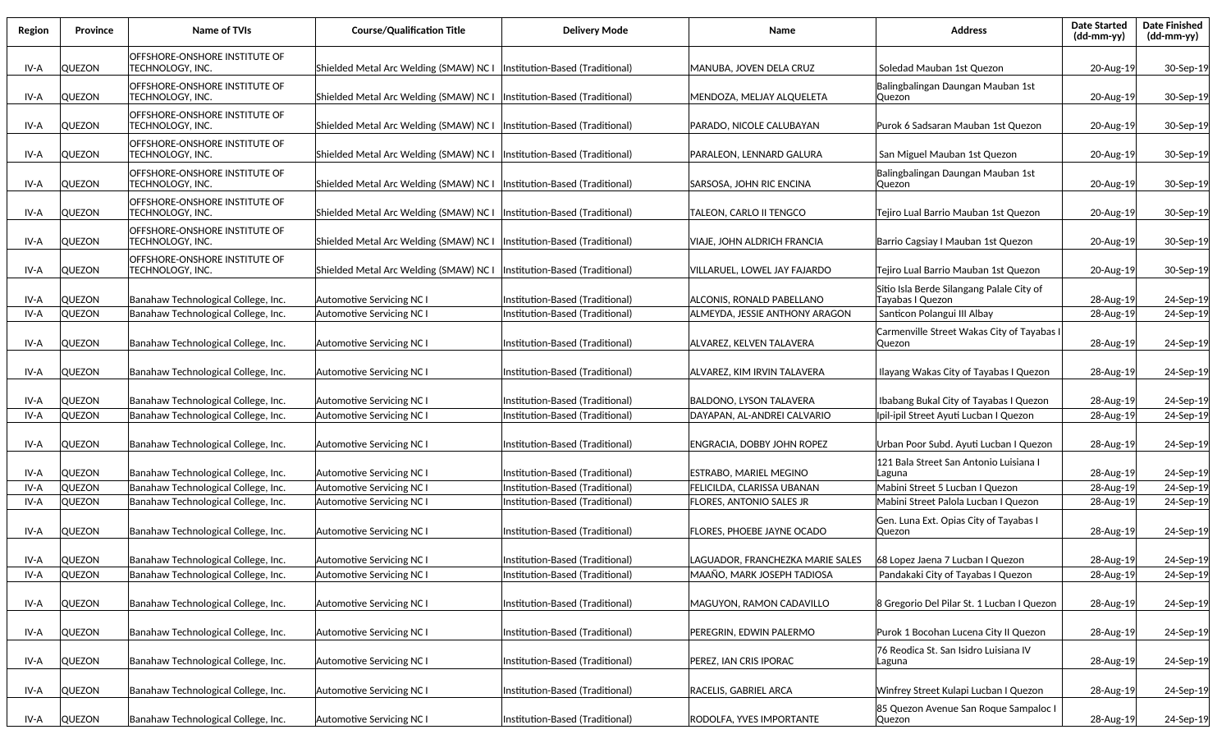| Region       | <b>Province</b>                | Name of TVIs                                                               | <b>Course/Qualification Title</b>                             | <b>Delivery Mode</b>                                               | Name                                                        | <b>Address</b>                                                                               | <b>Date Started</b><br>$(dd\text{-}\mathrm{mm}\text{-}\mathrm{yy})$ | <b>Date Finished</b><br>(dd-mm-yy) |
|--------------|--------------------------------|----------------------------------------------------------------------------|---------------------------------------------------------------|--------------------------------------------------------------------|-------------------------------------------------------------|----------------------------------------------------------------------------------------------|---------------------------------------------------------------------|------------------------------------|
| IV-A         | <b>QUEZON</b>                  | OFFSHORE-ONSHORE INSTITUTE OF<br>TECHNOLOGY, INC.                          | Shielded Metal Arc Welding (SMAW) NC I                        | Institution-Based (Traditional)                                    | MANUBA, JOVEN DELA CRUZ                                     | Soledad Mauban 1st Quezon                                                                    | 20-Aug-19                                                           | 30-Sep-19                          |
| IV-A         | <b>QUEZON</b>                  | OFFSHORE-ONSHORE INSTITUTE OF<br>TECHNOLOGY, INC.                          | Shielded Metal Arc Welding (SMAW) NC I                        | Institution-Based (Traditional)                                    | MENDOZA, MELJAY ALQUELETA                                   | Balingbalingan Daungan Mauban 1st<br> Quezon                                                 | 20-Aug-19                                                           | 30-Sep-19                          |
| IV-A         | QUEZON                         | OFFSHORE-ONSHORE INSTITUTE OF<br>TECHNOLOGY, INC.                          | Shielded Metal Arc Welding (SMAW) NC I                        | Institution-Based (Traditional)                                    | PARADO, NICOLE CALUBAYAN                                    | Purok 6 Sadsaran Mauban 1st Quezon                                                           | 20-Aug-19                                                           | 30-Sep-19                          |
| IV-A         | QUEZON                         | OFFSHORE-ONSHORE INSTITUTE OF<br>TECHNOLOGY, INC.                          | Shielded Metal Arc Welding (SMAW) NC I                        | Institution-Based (Traditional)                                    | PARALEON, LENNARD GALURA                                    | San Miguel Mauban 1st Quezon                                                                 | 20-Aug-19                                                           | 30-Sep-19                          |
| IV-A         | <b>QUEZON</b>                  | OFFSHORE-ONSHORE INSTITUTE OF<br>TECHNOLOGY, INC.                          | Shielded Metal Arc Welding (SMAW) NC I                        | (Institution-Based (Traditional)                                   | SARSOSA, JOHN RIC ENCINA                                    | Balingbalingan Daungan Mauban 1st<br>Quezon                                                  | 20-Aug-19                                                           | 30-Sep-19                          |
| IV-A         | <b>QUEZON</b>                  | OFFSHORE-ONSHORE INSTITUTE OF<br>TECHNOLOGY, INC.                          | Shielded Metal Arc Welding (SMAW) NC I                        | Institution-Based (Traditional)                                    | TALEON, CARLO II TENGCO                                     | Tejiro Lual Barrio Mauban 1st Quezon                                                         | 20-Aug-19                                                           | 30-Sep-19                          |
| IV-A         | <b>QUEZON</b>                  | OFFSHORE-ONSHORE INSTITUTE OF<br>TECHNOLOGY, INC.                          | Shielded Metal Arc Welding (SMAW) NC I                        | (Institution-Based (Traditional)                                   | VIAJE, JOHN ALDRICH FRANCIA                                 | Barrio Cagsiay I Mauban 1st Quezon                                                           | 20-Aug-19                                                           | 30-Sep-19                          |
| IV-A         | <b>QUEZON</b>                  | OFFSHORE-ONSHORE INSTITUTE OF<br>TECHNOLOGY, INC.                          | Shielded Metal Arc Welding (SMAW) NC I                        | (Institution-Based (Traditional)                                   | VILLARUEL. LOWEL JAY FAJARDO                                | Tejiro Lual Barrio Mauban 1st Quezon                                                         | 20-Aug-19                                                           | 30-Sep-19                          |
| IV-A<br>IV-A | <b>QUEZON</b><br><b>QUEZON</b> | Banahaw Technological College, Inc.<br>Banahaw Technological College, Inc. | Automotive Servicing NC I<br>Automotive Servicing NC I        | Institution-Based (Traditional)<br>Institution-Based (Traditional) | ALCONIS, RONALD PABELLANO<br>ALMEYDA. JESSIE ANTHONY ARAGON | Sitio Isla Berde Silangang Palale City of<br>Tayabas I Quezon<br>Santicon Polangui III Albay | 28-Aug-19<br>28-Aug-19                                              | 24-Sep-19<br>24-Sep-19             |
| IV-A         | <b>QUEZON</b>                  | Banahaw Technological College, Inc.                                        | Automotive Servicing NC I                                     | Institution-Based (Traditional)                                    | ALVAREZ. KELVEN TALAVERA                                    | Carmenville Street Wakas City of Tayabas I<br> Quezon                                        | 28-Aug-19                                                           | 24-Sep-19                          |
| IV-A         | <b>QUEZON</b>                  | Banahaw Technological College, Inc.                                        | Automotive Servicing NC I                                     | Institution-Based (Traditional)                                    | ALVAREZ, KIM IRVIN TALAVERA                                 | Ilayang Wakas City of Tayabas I Quezon                                                       | 28-Aug-19                                                           | 24-Sep-19                          |
| IV-A         | <b>QUEZON</b>                  | Banahaw Technological College, Inc.                                        | Automotive Servicing NC I                                     | Institution-Based (Traditional)                                    | <b>BALDONO, LYSON TALAVERA</b>                              | Ibabang Bukal City of Tayabas I Quezon                                                       | 28-Aug-19                                                           | 24-Sep-19                          |
| IV-A         | <b>QUEZON</b>                  | Banahaw Technological College, Inc.                                        | <b>Automotive Servicing NC I</b>                              | nstitution-Based (Traditional)                                     | DAYAPAN, AL-ANDREI CALVARIO                                 | Ipil-ipil Street Ayuti Lucban I Quezon                                                       | 28-Aug-19                                                           | 24-Sep-19                          |
| IV-A         | <b>QUEZON</b>                  | Banahaw Technological College, Inc.                                        | Automotive Servicing NC I                                     | Institution-Based (Traditional)                                    | ENGRACIA, DOBBY JOHN ROPEZ                                  | Urban Poor Subd. Ayuti Lucban I Quezon                                                       | 28-Aug-19                                                           | 24-Sep-19                          |
| IV-A         | <b>QUEZON</b>                  | Banahaw Technological College, Inc.                                        | Automotive Servicing NC I                                     | Institution-Based (Traditional)                                    | ESTRABO, MARIEL MEGINO                                      | 121 Bala Street San Antonio Luisiana I<br>Laguna                                             | 28-Aug-19                                                           | 24-Sep-19                          |
| IV-A<br>IV-A | <b>QUEZON</b><br><b>QUEZON</b> | Banahaw Technological College, Inc.<br>Banahaw Technological College, Inc. | <b>Automotive Servicing NC I</b><br>Automotive Servicing NC I | Institution-Based (Traditional)<br>Institution-Based (Traditional) | FELICILDA, CLARISSA UBANAN<br>FLORES, ANTONIO SALES JR      | Mabini Street 5 Lucban I Quezon<br>Mabini Street Palola Lucban I Quezon                      | 28-Aug-19<br>28-Aug-19                                              | 24-Sep-19<br>24-Sep-19             |
| IV-A         | <b>QUEZON</b>                  | Banahaw Technological College, Inc.                                        | Automotive Servicing NC I                                     | Institution-Based (Traditional)                                    | FLORES, PHOEBE JAYNE OCADO                                  | Gen. Luna Ext. Opias City of Tayabas I<br> Quezon                                            | 28-Aug-19                                                           | 24-Sep-19                          |
| IV-A         | <b>QUEZON</b>                  | Banahaw Technological College, Inc.                                        | Automotive Servicing NC I                                     | Institution-Based (Traditional)                                    | LAGUADOR, FRANCHEZKA MARIE SALES                            | 68 Lopez Jaena 7 Lucban I Quezon                                                             | 28-Aug-19                                                           | 24-Sep-19                          |
| IV-A         | QUEZON                         | Banahaw Technological College, Inc.                                        | Automotive Servicing NC I                                     | Institution-Based (Traditional)                                    | MAAÑO, MARK JOSEPH TADIOSA                                  | Pandakaki City of Tayabas I Quezon                                                           | 28-Aug-19                                                           | 24-Sep-19                          |
| IV-A         | QUEZON                         | Banahaw Technological College, Inc.                                        | Automotive Servicing NC I                                     | Institution-Based (Traditional)                                    | MAGUYON, RAMON CADAVILLO                                    | 8 Gregorio Del Pilar St. 1 Lucban I Quezon                                                   | 28-Aug-19                                                           | 24-Sep-19                          |
| IV-A         | <b>QUEZON</b>                  | Banahaw Technological College, Inc.                                        | Automotive Servicing NC I                                     | Institution-Based (Traditional)                                    | PEREGRIN, EDWIN PALERMO                                     | Purok 1 Bocohan Lucena City II Quezon                                                        | 28-Aug-19                                                           | 24-Sep-19                          |
| IV-A         | <b>QUEZON</b>                  | Banahaw Technological College, Inc.                                        | Automotive Servicing NC I                                     | Institution-Based (Traditional)                                    | PEREZ, IAN CRIS IPORAC                                      | 76 Reodica St. San Isidro Luisiana IV<br>Laguna                                              | 28-Aug-19                                                           | 24-Sep-19                          |
| IV-A         | QUEZON                         | Banahaw Technological College, Inc.                                        | Automotive Servicing NC I                                     | Institution-Based (Traditional)                                    | RACELIS, GABRIEL ARCA                                       | Winfrey Street Kulapi Lucban I Quezon                                                        | 28-Aug-19                                                           | 24-Sep-19                          |
| IV-A         | QUEZON                         | Banahaw Technological College, Inc.                                        | Automotive Servicing NC I                                     | Institution-Based (Traditional)                                    | RODOLFA, YVES IMPORTANTE                                    | 85 Quezon Avenue San Roque Sampaloc I<br> Quezon                                             | 28-Aug-19                                                           | 24-Sep-19                          |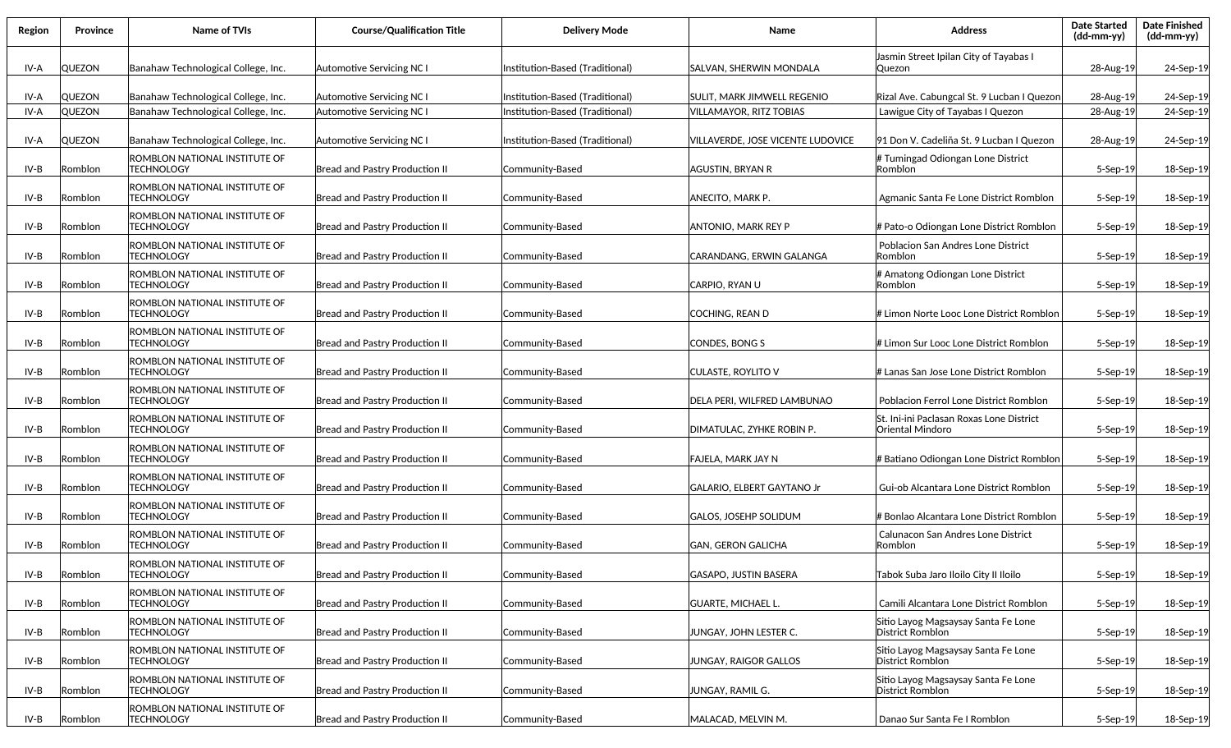| Region | <b>Province</b> | Name of TVIs                                       | <b>Course/Qualification Title</b>     | <b>Delivery Mode</b>            | Name                              | <b>Address</b>                                               | <b>Date Started</b><br>$(dd-mm-yy)$ | <b>Date Finished</b><br>(dd-mm-yy) |
|--------|-----------------|----------------------------------------------------|---------------------------------------|---------------------------------|-----------------------------------|--------------------------------------------------------------|-------------------------------------|------------------------------------|
| IV-A   | <b>QUEZON</b>   | Banahaw Technological College, Inc.                | Automotive Servicing NC               | Institution-Based (Traditional) | SALVAN, SHERWIN MONDALA           | Jasmin Street Ipilan City of Tayabas I<br>Quezon             | 28-Aug-19                           | 24-Sep-19                          |
| IV-A   | <b>QUEZON</b>   | Banahaw Technological College, Inc.                | Automotive Servicing NC               | Institution-Based (Traditional) | SULIT, MARK JIMWELL REGENIO       | Rizal Ave. Cabungcal St. 9 Lucban I Quezon                   | 28-Aug-19                           | 24-Sep-19                          |
| IV-A   | <b>QUEZON</b>   | Banahaw Technological College, Inc.                | Automotive Servicing NC I             | nstitution-Based (Traditional)  | VILLAMAYOR, RITZ TOBIAS           | Lawigue City of Tayabas I Quezon                             | 28-Aug-19                           | 24-Sep-19                          |
| IV-A   | <b>QUEZON</b>   | Banahaw Technological College, Inc.                | Automotive Servicing NC               | Institution-Based (Traditional) | VILLAVERDE, JOSE VICENTE LUDOVICE | 91 Don V. Cadeliña St. 9 Lucban I Quezon                     | 28-Aug-19                           | 24-Sep-19                          |
| IV-B   | Romblon         | ROMBLON NATIONAL INSTITUTE OF<br><b>TECHNOLOGY</b> | <b>Bread and Pastry Production II</b> | Community-Based                 | AGUSTIN, BRYAN R                  | # Tumingad Odiongan Lone District<br> Romblon                | 5-Sep-19                            | 18-Sep-19                          |
| IV-B   | Romblon         | ROMBLON NATIONAL INSTITUTE OF<br><b>TECHNOLOGY</b> | <b>Bread and Pastry Production II</b> | Community-Based                 | ANECITO, MARK P.                  | Agmanic Santa Fe Lone District Romblon                       | 5-Sep-19                            | 18-Sep-19                          |
| IV-B   | Romblon         | ROMBLON NATIONAL INSTITUTE OF<br><b>TECHNOLOGY</b> | <b>Bread and Pastry Production II</b> | Community-Based                 | ANTONIO, MARK REY P               | # Pato-o Odiongan Lone District Romblon                      | 5-Sep-19                            | 18-Sep-19                          |
| IV-B   | Romblon         | ROMBLON NATIONAL INSTITUTE OF<br><b>TECHNOLOGY</b> | <b>Bread and Pastry Production II</b> | Community-Based                 | CARANDANG. ERWIN GALANGA          | Poblacion San Andres Lone District<br><b>Romblon</b>         | 5-Sep-19                            | 18-Sep-19                          |
| IV-B   | Romblon         | ROMBLON NATIONAL INSTITUTE OF<br><b>TECHNOLOGY</b> | Bread and Pastry Production II        | Community-Based                 | CARPIO, RYAN U                    | # Amatong Odiongan Lone District<br><b>Romblon</b>           | 5-Sep-19                            | 18-Sep-19                          |
| IV-B   | Romblon         | ROMBLON NATIONAL INSTITUTE OF<br><b>TECHNOLOGY</b> | Bread and Pastry Production II        | Community-Based                 | COCHING, REAN D                   | # Limon Norte Looc Lone District Romblon                     | 5-Sep-19                            | 18-Sep-19                          |
| IV-B   | Romblon         | ROMBLON NATIONAL INSTITUTE OF<br><b>TECHNOLOGY</b> | Bread and Pastry Production II        | Community-Based                 | CONDES, BONG S                    | # Limon Sur Looc Lone District Romblon                       | 5-Sep-19                            | 18-Sep-19                          |
| IV-B   | Romblon         | ROMBLON NATIONAL INSTITUTE OF<br><b>TECHNOLOGY</b> | <b>Bread and Pastry Production II</b> | Community-Based                 | CULASTE, ROYLITO V                | # Lanas San Jose Lone District Romblon                       | 5-Sep-19                            | 18-Sep-19                          |
| IV-B   | Romblon         | ROMBLON NATIONAL INSTITUTE OF<br><b>TECHNOLOGY</b> | <b>Bread and Pastry Production II</b> | Community-Based                 | DELA PERI, WILFRED LAMBUNAO       | Poblacion Ferrol Lone District Romblon                       | 5-Sep-19                            | 18-Sep-19                          |
| IV-B   | Romblon         | ROMBLON NATIONAL INSTITUTE OF<br><b>TECHNOLOGY</b> | <b>Bread and Pastry Production II</b> | Community-Based                 | DIMATULAC, ZYHKE ROBIN P.         | St. Ini-ini Paclasan Roxas Lone District<br>Oriental Mindoro | $5-$ Sep $-19$                      | 18-Sep-19                          |
| IV-B   | Romblon         | ROMBLON NATIONAL INSTITUTE OF<br><b>TECHNOLOGY</b> | Bread and Pastry Production II        | Community-Based                 | FAJELA, MARK JAY N                | # Batiano Odiongan Lone District Romblon                     | 5-Sep-19                            | 18-Sep-19                          |
| IV-B   | Romblon         | ROMBLON NATIONAL INSTITUTE OF<br><b>TECHNOLOGY</b> | Bread and Pastry Production II        | Community-Based                 | GALARIO, ELBERT GAYTANO Jr        | Gui-ob Alcantara Lone District Romblon                       | 5-Sep-19                            | 18-Sep-19                          |
| IV-B   | Romblon         | ROMBLON NATIONAL INSTITUTE OF<br><b>TECHNOLOGY</b> | Bread and Pastry Production II        | Community-Based                 | GALOS, JOSEHP SOLIDUM             | # Bonlao Alcantara Lone District Romblon                     | 5-Sep-19                            | 18-Sep-19                          |
| IV-B   | Romblon         | ROMBLON NATIONAL INSTITUTE OF<br><b>TECHNOLOGY</b> | <b>Bread and Pastry Production II</b> | Community-Based                 | GAN, GERON GALICHA                | Calunacon San Andres Lone District<br><b>Romblon</b>         | 5-Sep-19                            | 18-Sep-19                          |
| IV-B   | Romblon         | ROMBLON NATIONAL INSTITUTE OF<br><b>TECHNOLOGY</b> | Bread and Pastry Production II        | Community-Based                 | <b>GASAPO, JUSTIN BASERA</b>      | Tabok Suba Jaro Iloilo City II Iloilo                        | 5-Sep-19                            | 18-Sep-19                          |
| IV-B   | Romblon         | ROMBLON NATIONAL INSTITUTE OF<br><b>TECHNOLOGY</b> | Bread and Pastry Production II        | Community-Based                 | <b>GUARTE, MICHAEL L.</b>         | Camili Alcantara Lone District Romblon                       | 5-Sep-19                            | 18-Sep-19                          |
| IV-B   | Romblon         | ROMBLON NATIONAL INSTITUTE OF<br><b>TECHNOLOGY</b> | Bread and Pastry Production II        | Community-Based                 | JUNGAY, JOHN LESTER C.            | Sitio Layog Magsaysay Santa Fe Lone<br>District Romblon      | 5-Sep-19                            | 18-Sep-19                          |
| IV-B   | Romblon         | ROMBLON NATIONAL INSTITUTE OF<br><b>TECHNOLOGY</b> | Bread and Pastry Production II        | Community-Based                 | JUNGAY, RAIGOR GALLOS             | Sitio Layog Magsaysay Santa Fe Lone<br>District Romblon      | 5-Sep-19                            | 18-Sep-19                          |
| IV-B   | Romblon         | ROMBLON NATIONAL INSTITUTE OF<br><b>TECHNOLOGY</b> | Bread and Pastry Production II        | Community-Based                 | JUNGAY, RAMIL G.                  | Sitio Layog Magsaysay Santa Fe Lone<br>District Romblon      | 5-Sep-19                            | 18-Sep-19                          |
| IV-B   | Romblon         | ROMBLON NATIONAL INSTITUTE OF<br><b>TECHNOLOGY</b> | Bread and Pastry Production II        | Community-Based                 | MALACAD, MELVIN M.                | Danao Sur Santa Fe I Romblon                                 | 5-Sep-19                            | 18-Sep-19                          |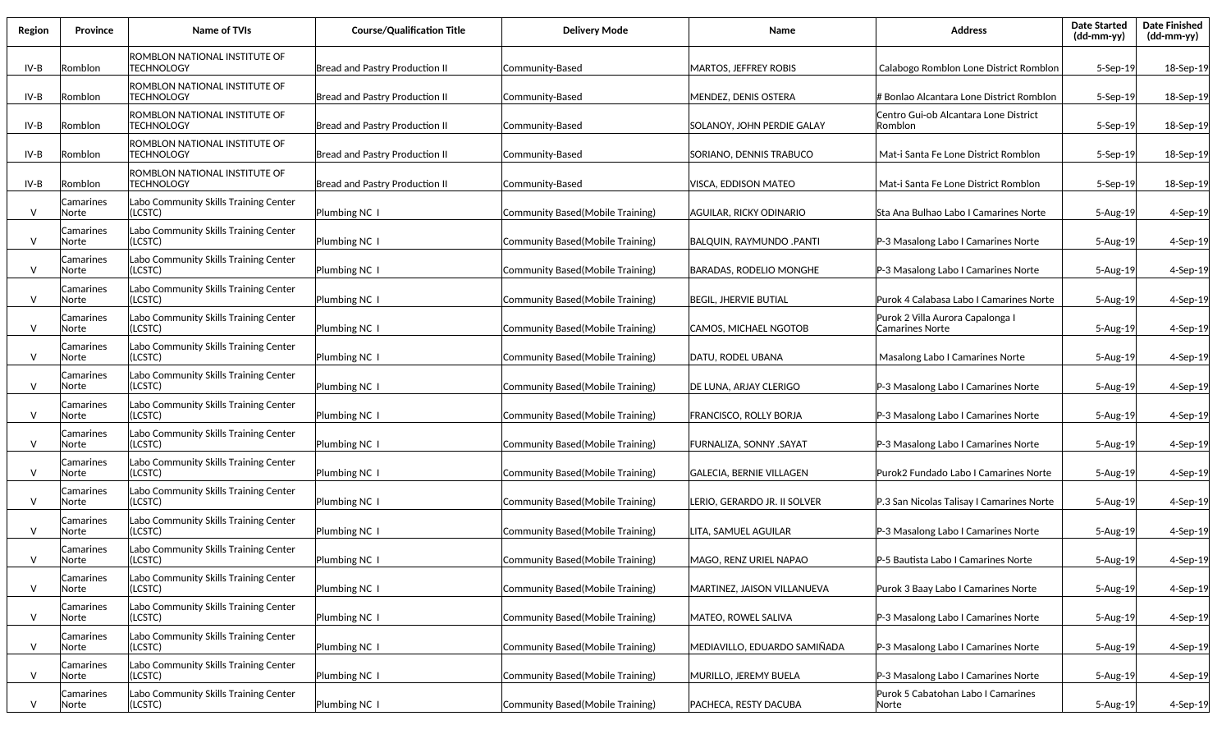| Region       | Province            | Name of TVIs                                       | <b>Course/Qualification Title</b>     | <b>Delivery Mode</b>              | Name                            | <b>Address</b>                                             | <b>Date Started</b><br>(dd-mm-yy) | <b>Date Finished</b><br>(dd-mm-yy) |
|--------------|---------------------|----------------------------------------------------|---------------------------------------|-----------------------------------|---------------------------------|------------------------------------------------------------|-----------------------------------|------------------------------------|
| IV-B         | Romblon             | ROMBLON NATIONAL INSTITUTE OF<br><b>TECHNOLOGY</b> | Bread and Pastry Production II        | Community-Based                   | <b>MARTOS, JEFFREY ROBIS</b>    | Calabogo Romblon Lone District Romblon                     | $5-$ Sep $-19$                    | 18-Sep-19                          |
| IV-B         | Romblon             | ROMBLON NATIONAL INSTITUTE OF<br><b>TECHNOLOGY</b> | <b>Bread and Pastry Production II</b> | Community-Based                   | <b>MENDEZ, DENIS OSTERA</b>     | # Bonlao Alcantara Lone District Romblon                   | 5-Sep-19                          | 18-Sep-19                          |
| IV-B         | Romblon             | ROMBLON NATIONAL INSTITUTE OF<br><b>TECHNOLOGY</b> | <b>Bread and Pastry Production II</b> | Community-Based                   | SOLANOY, JOHN PERDIE GALAY      | Centro Gui-ob Alcantara Lone District<br>Romblon           | 5-Sep-19                          | 18-Sep-19                          |
| IV-B         | Romblon             | ROMBLON NATIONAL INSTITUTE OF<br><b>TECHNOLOGY</b> | Bread and Pastry Production II        | Community-Based                   | SORIANO, DENNIS TRABUCO         | Mat-i Santa Fe Lone District Romblon                       | 5-Sep-19                          | 18-Sep-19                          |
| IV-B         | Romblon             | ROMBLON NATIONAL INSTITUTE OF<br><b>TECHNOLOGY</b> | <b>Bread and Pastry Production II</b> | Community-Based                   | VISCA, EDDISON MATEO            | Mat-i Santa Fe Lone District Romblon                       | 5-Sep-19                          | 18-Sep-19                          |
| $\mathsf{V}$ | Camarines<br>Norte  | Labo Community Skills Training Center<br>(LCSTC)   | Plumbing NC 1                         | Community Based (Mobile Training) | AGUILAR, RICKY ODINARIO         | Sta Ana Bulhao Labo I Camarines Norte                      | 5-Aug-19                          | 4-Sep-19                           |
| $\vee$       | Camarines<br>Norte  | Labo Community Skills Training Center<br>(LCSTC)   | Plumbing NC 1                         | Community Based (Mobile Training) | <b>BALQUIN, RAYMUNDO .PANTI</b> | P-3 Masalong Labo I Camarines Norte                        | 5-Aug-19                          | 4-Sep-19                           |
| $\vee$       | Camarines<br>lNorte | Labo Community Skills Training Center<br>(LCSTC)   | Plumbing NC 1                         | Community Based (Mobile Training) | BARADAS, RODELIO MONGHE         | P-3 Masalong Labo I Camarines Norte                        | 5-Aug-19                          | 4-Sep-19                           |
| $\mathsf{V}$ | Camarines<br>Norte  | Labo Community Skills Training Center<br>(LCSTC)   | Plumbing NC I                         | Community Based (Mobile Training) | <b>BEGIL, JHERVIE BUTIAL</b>    | Purok 4 Calabasa Labo I Camarines Norte                    | 5-Aug-19                          | 4-Sep-19                           |
| $\vee$       | Camarines<br>Norte  | Labo Community Skills Training Center<br>(LCSTC)   | Plumbing NC 1                         | Community Based (Mobile Training) | CAMOS, MICHAEL NGOTOB           | Purok 2 Villa Aurora Capalonga I<br><b>Camarines Norte</b> | 5-Aug-19                          | 4-Sep-19                           |
| $\vee$       | Camarines<br>Norte  | Labo Community Skills Training Center<br>(LCSTC)   | Plumbing NC 1                         | Community Based (Mobile Training) | DATU, RODEL UBANA               | Masalong Labo I Camarines Norte                            | 5-Aug-19                          | 4-Sep-19                           |
| $\vee$       | Camarines<br>Norte  | Labo Community Skills Training Center<br>(LCSTC)   | Plumbing NC 1                         | Community Based (Mobile Training) | DE LUNA, ARJAY CLERIGO          | P-3 Masalong Labo I Camarines Norte                        | 5-Aug-19                          | 4-Sep-19                           |
| V            | Camarines<br>Norte  | Labo Community Skills Training Center<br>(LCSTC)   | Plumbing NC I                         | Community Based (Mobile Training) | FRANCISCO, ROLLY BORJA          | P-3 Masalong Labo I Camarines Norte                        | 5-Aug-19                          | 4-Sep-19                           |
| V            | Camarines<br>Norte  | Labo Community Skills Training Center<br>(LCSTC)   | Plumbing NC I                         | Community Based(Mobile Training)  | FURNALIZA, SONNY .SAYAT         | P-3 Masalong Labo I Camarines Norte                        | 5-Aug-19                          | 4-Sep-19                           |
| V            | Camarines<br>Norte  | Labo Community Skills Training Center<br>(LCSTC)   | Plumbing NC I                         | Community Based(Mobile Training)  | <b>GALECIA, BERNIE VILLAGEN</b> | Purok2 Fundado Labo I Camarines Norte                      | 5-Aug-19                          | 4-Sep-19                           |
| $\vee$       | Camarines<br>Norte  | Labo Community Skills Training Center<br>(LCSTC)   | Plumbing NC 1                         | Community Based (Mobile Training) | Lerio, gerardo Jr. II solver    | P.3 San Nicolas Talisay I Camarines Norte                  | 5-Aug-19                          | 4-Sep-19                           |
| $\vee$       | Camarines<br>Norte  | Labo Community Skills Training Center<br>(LCSTC)   | Plumbing NC 1                         | Community Based (Mobile Training) | LITA, SAMUEL AGUILAR            | P-3 Masalong Labo I Camarines Norte                        | 5-Aug-19                          | 4-Sep-19                           |
| $\mathsf{V}$ | Camarines<br>Norte  | Labo Community Skills Training Center<br>(LCSTC)   | Plumbing NC 1                         | Community Based(Mobile Training)  | MAGO, RENZ URIEL NAPAO          | P-5 Bautista Labo I Camarines Norte                        | 5-Aug-19                          | 4-Sep-19                           |
| $\vee$       | Camarines<br>Norte  | Labo Community Skills Training Center<br>(LCSTC)   | Plumbing NC 1                         | Community Based(Mobile Training)  | MARTINEZ, JAISON VILLANUEVA     | Purok 3 Baay Labo I Camarines Norte                        | 5-Aug-19                          | 4-Sep-19                           |
| $\vee$       | Camarines<br>Norte  | Labo Community Skills Training Center<br>(LCSTC)   | Plumbing NC 1                         | Community Based(Mobile Training)  | MATEO, ROWEL SALIVA             | P-3 Masalong Labo I Camarines Norte                        | 5-Aug-19                          | 4-Sep-19                           |
| $\vee$       | Camarines<br>Norte  | Labo Community Skills Training Center<br>(LCSTC)   | Plumbing NC 1                         | Community Based(Mobile Training)  | MEDIAVILLO, EDUARDO SAMIÑADA    | P-3 Masalong Labo I Camarines Norte                        | 5-Aug-19                          | 4-Sep-19                           |
| $\vee$       | Camarines<br>Norte  | Labo Community Skills Training Center<br>(LCSTC)   | Plumbing NC 1                         | Community Based(Mobile Training)  | MURILLO, JEREMY BUELA           | P-3 Masalong Labo I Camarines Norte                        | 5-Aug-19                          | 4-Sep-19                           |
| V            | Camarines<br>Norte  | Labo Community Skills Training Center<br>(LCSTC)   | Plumbing NC 1                         | Community Based(Mobile Training)  | PACHECA, RESTY DACUBA           | Purok 5 Cabatohan Labo I Camarines<br>Norte                | 5-Aug-19                          | 4-Sep-19                           |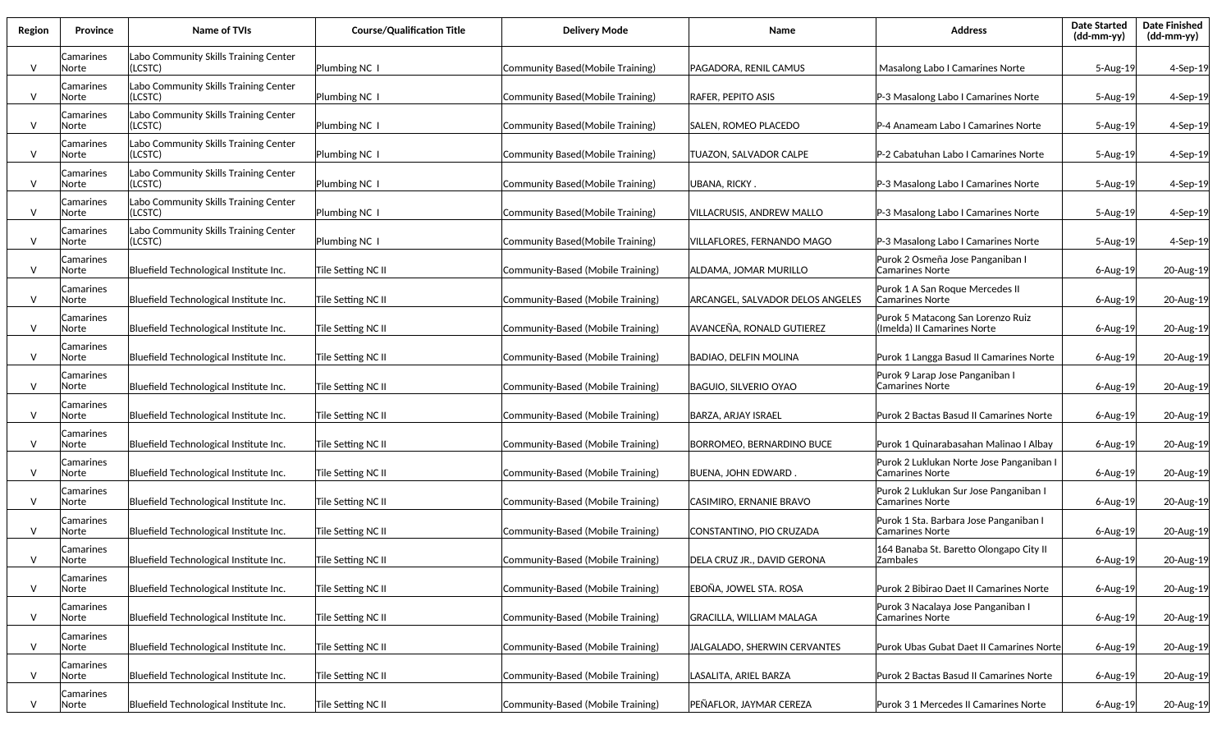| Region | <b>Province</b>    | Name of TVIs                                     | <b>Course/Qualification Title</b> | <b>Delivery Mode</b>              | Name                                    | <b>Address</b>                                                   | <b>Date Started</b><br>$(dd-mm-yy)$ | <b>Date Finished</b><br>(dd-mm-yy) |
|--------|--------------------|--------------------------------------------------|-----------------------------------|-----------------------------------|-----------------------------------------|------------------------------------------------------------------|-------------------------------------|------------------------------------|
| $\vee$ | Camarines<br>Norte | Labo Community Skills Training Center<br>(LCSTC) | Plumbing NC 1                     | Community Based (Mobile Training) | PAGADORA, RENIL CAMUS                   | Masalong Labo I Camarines Norte                                  | 5-Aug-19                            | 4-Sep-19                           |
| V      | Camarines<br>Norte | Labo Community Skills Training Center<br>(LCSTC) | Plumbing NC 1                     | Community Based (Mobile Training) | <b>RAFER, PEPITO ASIS</b>               | P-3 Masalong Labo I Camarines Norte                              | 5-Aug-19                            | 4-Sep-19                           |
| $\vee$ | Camarines<br>Norte | Labo Community Skills Training Center<br>(LCSTC) | Plumbing NC 1                     | Community Based (Mobile Training) | SALEN, ROMEO PLACEDO                    | P-4 Anameam Labo I Camarines Norte                               | 5-Aug-19                            | 4-Sep-19                           |
| $\vee$ | Camarines<br>Norte | Labo Community Skills Training Center<br>(LCSTC) | Plumbing NC 1                     | Community Based (Mobile Training) | TUAZON, SALVADOR CALPE                  | P-2 Cabatuhan Labo I Camarines Norte                             | 5-Aug-19                            | 4-Sep-19                           |
| $\vee$ | Camarines<br>Norte | Labo Community Skills Training Center<br>(LCSTC) | Plumbing NC I                     | Community Based (Mobile Training) | UBANA, RICKY.                           | P-3 Masalong Labo I Camarines Norte                              | 5-Aug-19                            | 4-Sep-19                           |
| $\vee$ | Camarines<br>Norte | Labo Community Skills Training Center<br>(LCSTC) | Plumbing NC I                     | Community Based (Mobile Training) | VILLACRUSIS, ANDREW MALLO               | P-3 Masalong Labo I Camarines Norte                              | 5-Aug-19                            | 4-Sep-19                           |
| $\vee$ | Camarines<br>Norte | Labo Community Skills Training Center<br>(LCSTC) | Plumbing NC I                     | Community Based (Mobile Training) | VILLAFLORES, FERNANDO MAGO              | P-3 Masalong Labo I Camarines Norte                              | 5-Aug-19                            | 4-Sep-19                           |
| $\vee$ | Camarines<br>Norte | Bluefield Technological Institute Inc.           | Tile Setting NC II                | Community-Based (Mobile Training) | ALDAMA, JOMAR MURILLO                   | Purok 2 Osmeña Jose Panganiban I<br>Camarines Norte              | $6 - Aug-19$                        | 20-Aug-19                          |
| $\vee$ | Camarines<br>Norte | Bluefield Technological Institute Inc.           | Tile Setting NC II                | Community-Based (Mobile Training) | <b>ARCANGEL, SALVADOR DELOS ANGELES</b> | Purok 1 A San Roque Mercedes II<br><b>Camarines Norte</b>        | $6 - Aug-19$                        | 20-Aug-19                          |
| V      | Camarines<br>Norte | Bluefield Technological Institute Inc.           | Tile Setting NC II                | Community-Based (Mobile Training) | AVANCEÑA, RONALD GUTIEREZ               | Purok 5 Matacong San Lorenzo Ruiz<br>(Imelda) II Camarines Norte | $6 - Aug-19$                        | 20-Aug-19                          |
| V      | Camarines<br>Norte | Bluefield Technological Institute Inc.           | Tile Setting NC II                | Community-Based (Mobile Training) | <b>BADIAO, DELFIN MOLINA</b>            | Purok 1 Langga Basud II Camarines Norte                          | $6 - Aug-19$                        | 20-Aug-19                          |
| $\vee$ | Camarines<br>Norte | Bluefield Technological Institute Inc.           | Tile Setting NC II                | Community-Based (Mobile Training) | <b>BAGUIO, SILVERIO OYAO</b>            | Purok 9 Larap Jose Panganiban I<br>Camarines Norte               | 6-Aug-19                            | 20-Aug-19                          |
| $\vee$ | Camarines<br>Norte | Bluefield Technological Institute Inc.           | Tile Setting NC II                | Community-Based (Mobile Training) | BARZA, ARJAY ISRAEL                     | Purok 2 Bactas Basud II Camarines Norte                          | 6-Aug-19                            | 20-Aug-19                          |
| $\vee$ | Camarines<br>Norte | Bluefield Technological Institute Inc.           | Tile Setting NC II                | Community-Based (Mobile Training) | BORROMEO, BERNARDINO BUCE               | Purok 1 Quinarabasahan Malinao I Albay                           | 6-Aug-19                            | 20-Aug-19                          |
| $\vee$ | Camarines<br>Norte | Bluefield Technological Institute Inc.           | Tile Setting NC II                | Community-Based (Mobile Training) | <b>BUENA, JOHN EDWARD.</b>              | Purok 2 Luklukan Norte Jose Panganiban I<br>Camarines Norte      | 6-Aug-19                            | 20-Aug-19                          |
| $\vee$ | Camarines<br>Norte | Bluefield Technological Institute Inc.           | Tile Setting NC II                | Community-Based (Mobile Training) | CASIMIRO, ERNANIE BRAVO                 | Purok 2 Luklukan Sur Jose Panganiban I<br><b>Camarines Norte</b> | 6-Aug-19                            | 20-Aug-19                          |
| $\vee$ | Camarines<br>Norte | Bluefield Technological Institute Inc.           | Tile Setting NC II                | Community-Based (Mobile Training) | CONSTANTINO, PIO CRUZADA                | Purok 1 Sta. Barbara Jose Panganiban I<br>Camarines Norte        | 6-Aug-19                            | 20-Aug-19                          |
| V      | Camarines<br>Norte | Bluefield Technological Institute Inc.           | Tile Setting NC II                | Community-Based (Mobile Training) | DELA CRUZ JR., DAVID GERONA             | 164 Banaba St. Baretto Olongapo City II<br>Zambales              | $6 - Aug-19$                        | 20-Aug-19                          |
| $\vee$ | Camarines<br>Norte | Bluefield Technological Institute Inc.           | Tile Setting NC II                | Community-Based (Mobile Training) | EBOÑA, JOWEL STA. ROSA                  | Purok 2 Bibirao Daet II Camarines Norte                          | 6-Aug-19                            | 20-Aug-19                          |
| $\vee$ | Camarines<br>Norte | Bluefield Technological Institute Inc.           | Tile Setting NC II                | Community-Based (Mobile Training) | <b>GRACILLA, WILLIAM MALAGA</b>         | Purok 3 Nacalaya Jose Panganiban I<br>Camarines Norte            | 6-Aug-19                            | 20-Aug-19                          |
| $\vee$ | Camarines<br>Norte | Bluefield Technological Institute Inc.           | Tile Setting NC II                | Community-Based (Mobile Training) | JALGALADO, SHERWIN CERVANTES            | Purok Ubas Gubat Daet II Camarines Norte                         | 6-Aug-19                            | 20-Aug-19                          |
| $\vee$ | Camarines<br>Norte | Bluefield Technological Institute Inc.           | Tile Setting NC II                | Community-Based (Mobile Training) | LASALITA, ARIEL BARZA                   | Purok 2 Bactas Basud II Camarines Norte                          | $6$ -Aug-19                         | 20-Aug-19                          |
| V      | Camarines<br>Norte | Bluefield Technological Institute Inc.           | Tile Setting NC II                | Community-Based (Mobile Training) | PEÑAFLOR, JAYMAR CEREZA                 | Purok 3 1 Mercedes II Camarines Norte                            | $6$ -Aug-19                         | 20-Aug-19                          |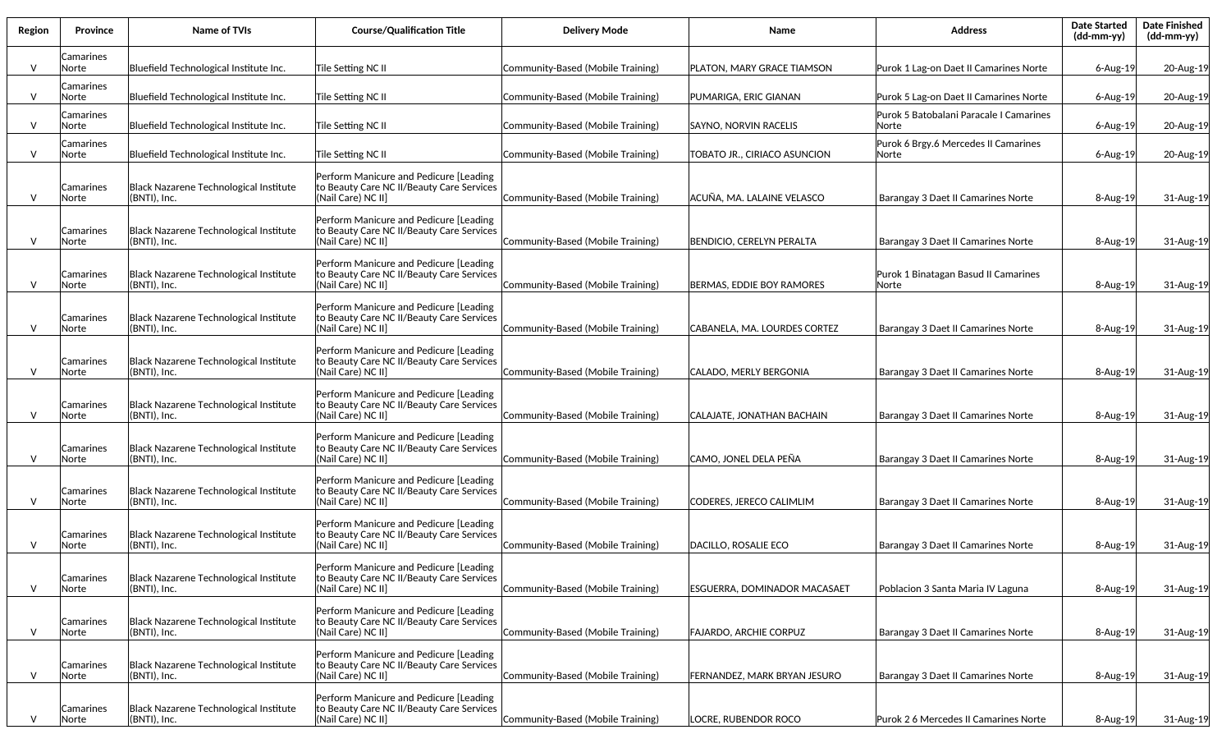| Region       | Province           | Name of TVIs                                           | <b>Course/Qualification Title</b>                                                                          | <b>Delivery Mode</b>              | Name                                | <b>Address</b>                                   | <b>Date Started</b><br>(dd-mm-yy) | <b>Date Finished</b><br>(dd-mm-yy) |
|--------------|--------------------|--------------------------------------------------------|------------------------------------------------------------------------------------------------------------|-----------------------------------|-------------------------------------|--------------------------------------------------|-----------------------------------|------------------------------------|
| $\vee$       | Camarines<br>Norte | Bluefield Technological Institute Inc.                 | Tile Setting NC II                                                                                         | Community-Based (Mobile Training) | PLATON, MARY GRACE TIAMSON          | Purok 1 Lag-on Daet II Camarines Norte           | $6 - Aug-19$                      | 20-Aug-19                          |
| $\mathsf{V}$ | Camarines<br>Norte | Bluefield Technological Institute Inc.                 | Tile Setting NC II                                                                                         | Community-Based (Mobile Training) | PUMARIGA, ERIC GIANAN               | Purok 5 Lag-on Daet II Camarines Norte           | 6-Aug-19                          | 20-Aug-19                          |
| $\mathsf{v}$ | Camarines<br>Norte | Bluefield Technological Institute Inc.                 | Tile Setting NC II                                                                                         | Community-Based (Mobile Training) | SAYNO, NORVIN RACELIS               | Purok 5 Batobalani Paracale I Camarines<br>Norte | 6-Aug-19                          | 20-Aug-19                          |
| $\mathsf{v}$ | Camarines<br>Norte | Bluefield Technological Institute Inc.                 | Tile Setting NC II                                                                                         | Community-Based (Mobile Training) | TOBATO JR., CIRIACO ASUNCION        | Purok 6 Brgy.6 Mercedes II Camarines<br> Norte   | $6 - Aug-19$                      | 20-Aug-19                          |
| $\vee$       | Camarines<br>Norte | Black Nazarene Technological Institute<br>(BNTI), Inc. | Perform Manicure and Pedicure [Leading<br>to Beauty Care NC II/Beauty Care Services<br>(Nail Care) NC II]  | Community-Based (Mobile Training) | ACUÑA, MA. LALAINE VELASCO          | Barangay 3 Daet II Camarines Norte               | 8-Aug-19                          | 31-Aug-19                          |
| $\mathsf{V}$ | Camarines<br>Norte | Black Nazarene Technological Institute<br>(BNTI), Inc. | Perform Manicure and Pedicure [Leading]<br>to Beauty Care NC II/Beauty Care Services<br>(Nail Care) NC II] | Community-Based (Mobile Training) | BENDICIO, CERELYN PERALTA           | Barangay 3 Daet II Camarines Norte               | 8-Aug-19                          | 31-Aug-19                          |
| $\mathsf{V}$ | Camarines<br>Norte | Black Nazarene Technological Institute<br>(BNTI), Inc. | Perform Manicure and Pedicure [Leading]<br>to Beauty Care NC II/Beauty Care Services<br>(Nail Care) NC II] | Community-Based (Mobile Training) | BERMAS, EDDIE BOY RAMORES           | Purok 1 Binatagan Basud II Camarines<br>Norte    | $8 - Aug-19$                      | 31-Aug-19                          |
| $\vee$       | Camarines<br>Norte | Black Nazarene Technological Institute<br>(BNTI), Inc. | Perform Manicure and Pedicure [Leading]<br>to Beauty Care NC II/Beauty Care Services<br>(Nail Care) NC II] | Community-Based (Mobile Training) | CABANELA, MA. LOURDES CORTEZ        | Barangay 3 Daet II Camarines Norte               | 8-Aug-19                          | 31-Aug-19                          |
| $\mathsf{V}$ | Camarines<br>Norte | Black Nazarene Technological Institute<br>(BNTI), Inc. | Perform Manicure and Pedicure [Leading]<br>to Beauty Care NC II/Beauty Care Services<br>(Nail Care) NC II] | Community-Based (Mobile Training) | CALADO, MERLY BERGONIA              | Barangay 3 Daet II Camarines Norte               | $8 - Aug-19$                      | 31-Aug-19                          |
| $\mathsf{V}$ | Camarines<br>Norte | Black Nazarene Technological Institute<br>(BNTI), Inc. | Perform Manicure and Pedicure [Leading<br>to Beauty Care NC II/Beauty Care Services<br>(Nail Care) NC II]  | Community-Based (Mobile Training) | CALAJATE, JONATHAN BACHAIN          | Barangay 3 Daet II Camarines Norte               | $8 - Aug-19$                      | 31-Aug-19                          |
| $\vee$       | Camarines<br>Norte | Black Nazarene Technological Institute<br>(BNTI), Inc. | Perform Manicure and Pedicure [Leading<br>to Beauty Care NC II/Beauty Care Services<br>(Nail Care) NC II]  | Community-Based (Mobile Training) | CAMO, JONEL DELA PEÑA               | Barangay 3 Daet II Camarines Norte               | 8-Aug-19                          | 31-Aug-19                          |
| V            | Camarines<br>Norte | Black Nazarene Technological Institute<br>(BNTI), Inc. | Perform Manicure and Pedicure [Leading<br>to Beauty Care NC II/Beauty Care Services<br>(Nail Care) NC II]  | Community-Based (Mobile Training) | CODERES, JERECO CALIMLIM            | Barangay 3 Daet II Camarines Norte               | 8-Aug-19                          | 31-Aug-19                          |
| $\mathsf{V}$ | Camarines<br>Norte | Black Nazarene Technological Institute<br>(BNTI), Inc. | Perform Manicure and Pedicure [Leading<br>to Beauty Care NC II/Beauty Care Services<br>(Nail Care) NC II]  | Community-Based (Mobile Training) | DACILLO, ROSALIE ECO                | Barangay 3 Daet II Camarines Norte               | 8-Aug-19                          | 31-Aug-19                          |
| $\vee$       | Camarines<br>Norte | Black Nazarene Technological Institute<br>(BNTI), Inc. | Perform Manicure and Pedicure [Leading<br>to Beauty Care NC II/Beauty Care Services<br>(Nail Care) NC II]  | Community-Based (Mobile Training) | <b>ESGUERRA, DOMINADOR MACASAET</b> | Poblacion 3 Santa Maria IV Laguna                | 8-Aug-19                          | 31-Aug-19                          |
| $\vee$       | Camarines<br>Norte | Black Nazarene Technological Institute<br>(BNTI), Inc. | Perform Manicure and Pedicure [Leading<br>to Beauty Care NC II/Beauty Care Services<br>(Nail Care) NC II]  | Community-Based (Mobile Training) | <b>FAJARDO, ARCHIE CORPUZ</b>       | Barangay 3 Daet II Camarines Norte               | 8-Aug-19                          | 31-Aug-19                          |
| $\vee$       | Camarines<br>Norte | Black Nazarene Technological Institute<br>(BNTI), Inc. | Perform Manicure and Pedicure [Leading<br>to Beauty Care NC II/Beauty Care Services<br>(Nail Care) NC II]  | Community-Based (Mobile Training) | FERNANDEZ, MARK BRYAN JESURO        | Barangay 3 Daet II Camarines Norte               | 8-Aug-19                          | 31-Aug-19                          |
| $\mathsf{V}$ | Camarines<br>Norte | Black Nazarene Technological Institute<br>(BNTI), Inc. | Perform Manicure and Pedicure [Leading<br>to Beauty Care NC II/Beauty Care Services<br>(Nail Care) NC II]  | Community-Based (Mobile Training) | LOCRE, RUBENDOR ROCO                | Purok 2 6 Mercedes II Camarines Norte            | 8-Aug-19                          | 31-Aug-19                          |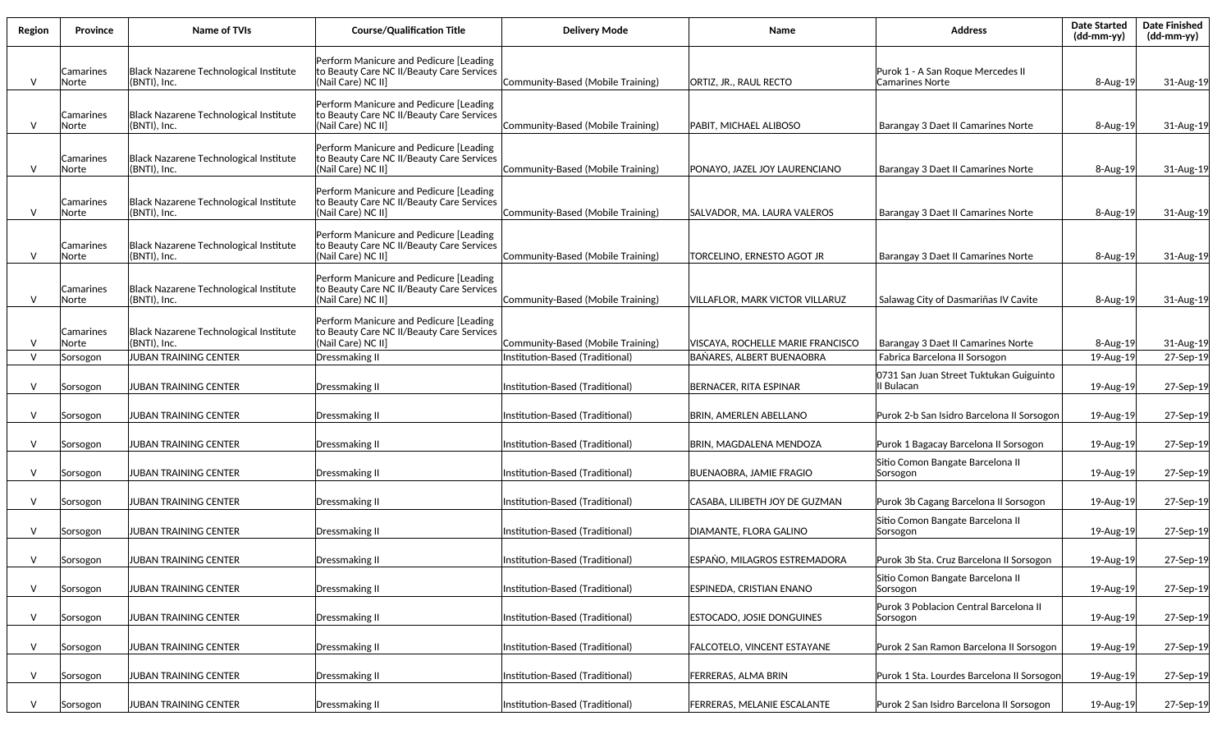| Region       | Province           | Name of TVIs                                               | <b>Course/Qualification Title</b>                                                                          | <b>Delivery Mode</b>              | Name                                | <b>Address</b>                                        | <b>Date Started</b><br>$(dd-mm-yy)$ | <b>Date Finished</b><br>(dd-mm-yy) |
|--------------|--------------------|------------------------------------------------------------|------------------------------------------------------------------------------------------------------------|-----------------------------------|-------------------------------------|-------------------------------------------------------|-------------------------------------|------------------------------------|
| $\mathsf{V}$ | Camarines<br>Norte | Black Nazarene Technological Institute<br>(BNTI), Inc.     | Perform Manicure and Pedicure [Leading<br>to Beauty Care NC II/Beauty Care Services<br>Nail Care) NC II]   | Community-Based (Mobile Training) | <b>ORTIZ. JR., RAUL RECTO</b>       | Purok 1 - A San Roque Mercedes II<br>Camarines Norte  | $8 - Aug-19$                        | 31-Aug-19                          |
| $\vee$       | Camarines<br>Norte | Black Nazarene Technological Institute<br>(BNTI), Inc.     | Perform Manicure and Pedicure [Leading<br>to Beauty Care NC II/Beauty Care Services<br>(Nail Care) NC II]  | Community-Based (Mobile Training) | PABIT, MICHAEL ALIBOSO              | Barangay 3 Daet II Camarines Norte                    | 8-Aug-19                            | 31-Aug-19                          |
| V            | Camarines<br>Norte | Black Nazarene Technological Institute<br>$ $ (BNTI), Inc. | Perform Manicure and Pedicure [Leading<br>to Beauty Care NC II/Beauty Care Services<br>(Nail Care) NC II]  | Community-Based (Mobile Training) | PONAYO, JAZEL JOY LAURENCIANO       | Barangay 3 Daet II Camarines Norte                    | 8-Aug-19                            | 31-Aug-19                          |
| $\vee$       | Camarines<br>Norte | Black Nazarene Technological Institute<br>(BNTI), Inc.     | Perform Manicure and Pedicure [Leading<br>to Beauty Care NC II/Beauty Care Services<br>(Nail Care) NC II]  | Community-Based (Mobile Training) | SALVADOR, MA. LAURA VALEROS         | Barangay 3 Daet II Camarines Norte                    | $8 - Aug-19$                        | 31-Aug-19                          |
| $\vee$       | Camarines<br>Norte | Black Nazarene Technological Institute<br>(BNTI), Inc.     | Perform Manicure and Pedicure [Leading]<br>to Beauty Care NC II/Beauty Care Services<br>(Nail Care) NC II] | Community-Based (Mobile Training) | TORCELINO, ERNESTO AGOT JR          | Barangay 3 Daet II Camarines Norte                    | 8-Aug-19                            | 31-Aug-19                          |
| $\vee$       | Camarines<br>Norte | Black Nazarene Technological Institute<br>(BNTI), Inc.     | Perform Manicure and Pedicure [Leading<br>to Beauty Care NC II/Beauty Care Services<br>(Nail Care) NC II]  | Community-Based (Mobile Training) | VILLAFLOR, MARK VICTOR VILLARUZ     | Salawag City of Dasmariñas IV Cavite                  | 8-Aug-19                            | 31-Aug-19                          |
| $\vee$       | Camarines<br>Norte | Black Nazarene Technological Institute<br>(BNTI), Inc.     | Perform Manicure and Pedicure [Leading<br>to Beauty Care NC II/Beauty Care Services<br>(Nail Care) NC II]  | Community-Based (Mobile Training) | VISCAYA, ROCHELLE MARIE FRANCISCO   | Barangay 3 Daet II Camarines Norte                    | $8 - Aug-19$                        | 31-Aug-19                          |
| $\vee$       | Sorsogon           | JUBAN TRAINING CENTER                                      | Dressmaking II                                                                                             | Institution-Based (Traditional)   | BANARES, ALBERT BUENAOBRA           | Fabrica Barcelona II Sorsogon                         | 19-Aug-19                           | 27-Sep-19                          |
| $\vee$       | Sorsogon           | <b>JUBAN TRAINING CENTER</b>                               | Dressmaking II                                                                                             | Institution-Based (Traditional)   | BERNACER, RITA ESPINAR              | 0731 San Juan Street Tuktukan Guiguinto<br>II Bulacan | 19-Aug-19                           | 27-Sep-19                          |
| V            | Sorsogon           | <b>JUBAN TRAINING CENTER</b>                               | Dressmaking II                                                                                             | Institution-Based (Traditional)   | <b>BRIN, AMERLEN ABELLANO</b>       | Purok 2-b San Isidro Barcelona II Sorsogon            | 19-Aug-19                           | 27-Sep-19                          |
| V            | Sorsogon           | <b>JUBAN TRAINING CENTER</b>                               | Dressmaking II                                                                                             | Institution-Based (Traditional)   | BRIN, MAGDALENA MENDOZA             | Purok 1 Bagacay Barcelona II Sorsogon                 | 19-Aug-19                           | 27-Sep-19                          |
| $\vee$       | Sorsogon           | JUBAN TRAINING CENTER                                      | Dressmaking II                                                                                             | Institution-Based (Traditional)   | <b>BUENAOBRA, JAMIE FRAGIO</b>      | Sitio Comon Bangate Barcelona II<br>Sorsogon          | 19-Aug-19                           | 27-Sep-19                          |
| $\vee$       | Sorsogon           | JUBAN TRAINING CENTER                                      | Dressmaking II                                                                                             | Institution-Based (Traditional)   | CASABA, LILIBETH JOY DE GUZMAN      | Purok 3b Cagang Barcelona II Sorsogon                 | 19-Aug-19                           | 27-Sep-19                          |
| $\vee$       | Sorsogon           | JUBAN TRAINING CENTER                                      | Dressmaking II                                                                                             | Institution-Based (Traditional)   | DIAMANTE, FLORA GALINO              | Sitio Comon Bangate Barcelona II<br>Sorsogon          | 19-Aug-19                           | 27-Sep-19                          |
| V            | Sorsogon           | JUBAN TRAINING CENTER                                      | Dressmaking II                                                                                             | Institution-Based (Traditional)   | <b>ESPANO, MILAGROS ESTREMADORA</b> | Purok 3b Sta. Cruz Barcelona II Sorsogon              | 19-Aug-19                           | 27-Sep-19                          |
| $\mathsf{V}$ | Sorsogon           | <b>JUBAN TRAINING CENTER</b>                               | Dressmaking II                                                                                             | Institution-Based (Traditional)   | ESPINEDA, CRISTIAN ENANO            | Sitio Comon Bangate Barcelona II<br>Sorsogon          | 19-Aug-19                           | 27-Sep-19                          |
| $\vee$       | Sorsogon           | JUBAN TRAINING CENTER                                      | Dressmaking II                                                                                             | Institution-Based (Traditional)   | <b>ESTOCADO, JOSIE DONGUINES</b>    | Purok 3 Poblacion Central Barcelona II<br>Sorsogon    | 19-Aug-19                           | 27-Sep-19                          |
| $\vee$       | Sorsogon           | <b>JUBAN TRAINING CENTER</b>                               | Dressmaking II                                                                                             | Institution-Based (Traditional)   | <b>FALCOTELO, VINCENT ESTAYANE</b>  | Purok 2 San Ramon Barcelona II Sorsogon               | 19-Aug-19                           | 27-Sep-19                          |
| $\vee$       | Sorsogon           | <b>JUBAN TRAINING CENTER</b>                               | Dressmaking II                                                                                             | Institution-Based (Traditional)   | FERRERAS, ALMA BRIN                 | Purok 1 Sta. Lourdes Barcelona II Sorsogon            | 19-Aug-19                           | 27-Sep-19                          |
| V            | Sorsogon           | JUBAN TRAINING CENTER                                      | Dressmaking II                                                                                             | Institution-Based (Traditional)   | FERRERAS, MELANIE ESCALANTE         | Purok 2 San Isidro Barcelona II Sorsogon              | 19-Aug-19                           | 27-Sep-19                          |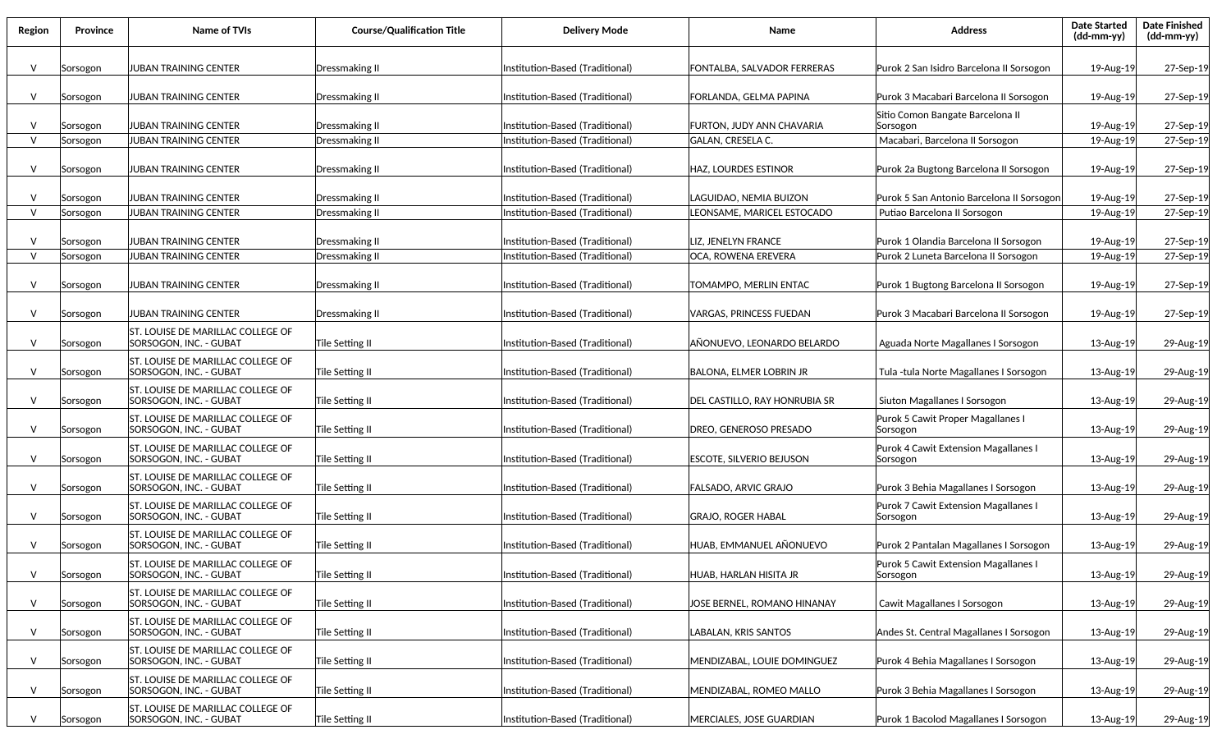| Region       | Province | <b>Name of TVIs</b>                                                | <b>Course/Qualification Title</b> | <b>Delivery Mode</b>            | Name                             | <b>Address</b>                                    | <b>Date Started</b><br>(dd-mm-yy) | <b>Date Finished</b><br>(dd-mm-yy) |
|--------------|----------|--------------------------------------------------------------------|-----------------------------------|---------------------------------|----------------------------------|---------------------------------------------------|-----------------------------------|------------------------------------|
| V            | Sorsogon | JUBAN TRAINING CENTER                                              | Dressmaking II                    | Institution-Based (Traditional) | FONTALBA, SALVADOR FERRERAS      | Purok 2 San Isidro Barcelona II Sorsogon          | 19-Aug-19                         | 27-Sep-19                          |
| V            | Sorsogon | JUBAN TRAINING CENTER                                              | Dressmaking II                    | Institution-Based (Traditional) | FORLANDA, GELMA PAPINA           | Purok 3 Macabari Barcelona II Sorsogon            | 19-Aug-19                         | 27-Sep-19                          |
| $\vee$       | Sorsogon | JUBAN TRAINING CENTER                                              | Dressmaking II                    | Institution-Based (Traditional) | <b>FURTON, JUDY ANN CHAVARIA</b> | Sitio Comon Bangate Barcelona II<br>Sorsogon      | 19-Aug-19                         | 27-Sep-19                          |
| $\vee$       | Sorsogon | JUBAN TRAINING CENTER                                              | <b>Dressmaking II</b>             | Institution-Based (Traditional) | <b>GALAN. CRESELA C.</b>         | Macabari, Barcelona II Sorsogon                   | 19-Aug-19                         | 27-Sep-19                          |
|              |          |                                                                    |                                   |                                 |                                  |                                                   |                                   |                                    |
| $\vee$       | Sorsogon | JUBAN TRAINING CENTER                                              | Dressmaking II                    | Institution-Based (Traditional) | <b>HAZ, LOURDES ESTINOR</b>      | Purok 2a Bugtong Barcelona II Sorsogon            | 19-Aug-19                         | 27-Sep-19                          |
|              |          |                                                                    |                                   |                                 |                                  |                                                   |                                   |                                    |
| V            | Sorsogon | JUBAN TRAINING CENTER                                              | Dressmaking II                    | Institution-Based (Traditional) | LAGUIDAO, NEMIA BUIZON           | Purok 5 San Antonio Barcelona II Sorsogor         | 19-Aug-19                         | 27-Sep-19                          |
| $\vee$       | Sorsogon | JUBAN TRAINING CENTER                                              | Dressmaking II                    | Institution-Based (Traditional) | LEONSAME, MARICEL ESTOCADO       | Putiao Barcelona II Sorsogon                      | 19-Aug-19                         | 27-Sep-19                          |
| $\vee$       | Sorsogon | JUBAN TRAINING CENTER                                              | Dressmaking II                    | Institution-Based (Traditional) | LIZ, JENELYN FRANCE              | Purok 1 Olandia Barcelona II Sorsogon             | 19-Aug-19                         | 27-Sep-19                          |
| $\vee$       | Sorsogon | JUBAN TRAINING CENTER                                              | <b>Dressmaking II</b>             | Institution-Based (Traditional) | OCA, ROWENA EREVERA              | Purok 2 Luneta Barcelona II Sorsogon              | 19-Aug-19                         | 27-Sep-19                          |
|              |          |                                                                    |                                   |                                 |                                  |                                                   |                                   |                                    |
| V            | Sorsogon | JUBAN TRAINING CENTER                                              | Dressmaking II                    | Institution-Based (Traditional) | TOMAMPO, MERLIN ENTAC            | Purok 1 Bugtong Barcelona II Sorsogon             | 19-Aug-19                         | 27-Sep-19                          |
|              |          |                                                                    |                                   |                                 |                                  |                                                   |                                   |                                    |
| $\vee$       | Sorsogon | JUBAN TRAINING CENTER                                              | Dressmaking II                    | Institution-Based (Traditional) | VARGAS, PRINCESS FUEDAN          | Purok 3 Macabari Barcelona II Sorsogon            | 19-Aug-19                         | 27-Sep-19                          |
| $\vee$       | Sorsogon | ST. LOUISE DE MARILLAC COLLEGE OF<br>SORSOGON, INC. - GUBAT        | Tile Setting II                   | Institution-Based (Traditional) | AÑONUEVO, LEONARDO BELARDO       | Aguada Norte Magallanes I Sorsogon                | 13-Aug-19                         | 29-Aug-19                          |
| V            | Sorsogon | ST. LOUISE DE MARILLAC COLLEGE OF<br>SORSOGON, INC. - GUBAT        | Tile Setting II                   | Institution-Based (Traditional) | BALONA, ELMER LOBRIN JR          | Tula -tula Norte Magallanes I Sorsogon            | 13-Aug-19                         | 29-Aug-19                          |
| V            | Sorsogon | ST. LOUISE DE MARILLAC COLLEGE OF<br>SORSOGON, INC. - GUBAT        | Tile Setting II                   | Institution-Based (Traditional) | DEL CASTILLO, RAY HONRUBIA SR    | Siuton Magallanes I Sorsogon                      | 13-Aug-19                         | 29-Aug-19                          |
| $\vee$       | Sorsogon | ST. LOUISE DE MARILLAC COLLEGE OF<br>SORSOGON, INC. - GUBAT        | Tile Setting II                   | Institution-Based (Traditional) | DREO, GENEROSO PRESADO           | Purok 5 Cawit Proper Magallanes I<br>Sorsogon     | 13-Aug-19                         | 29-Aug-19                          |
| $\vee$       | Sorsogon | ST. LOUISE DE MARILLAC COLLEGE OF<br>SORSOGON, INC. - GUBAT        | Tile Setting II                   | Institution-Based (Traditional) | ESCOTE, SILVERIO BEJUSON         | Purok 4 Cawit Extension Magallanes I<br> Sorsogon | 13-Aug-19                         | 29-Aug-19                          |
| V            | Sorsogon | ST. LOUISE DE MARILLAC COLLEGE OF<br>SORSOGON, INC. - GUBAT        | Tile Setting II                   | Institution-Based (Traditional) | FALSADO, ARVIC GRAJO             | Purok 3 Behia Magallanes I Sorsogon               | 13-Aug-19                         | 29-Aug-19                          |
| V            | Sorsogon | ST. LOUISE DE MARILLAC COLLEGE OF<br>SORSOGON, INC. - GUBAT        | Tile Setting II                   | Institution-Based (Traditional) | <b>GRAJO, ROGER HABAL</b>        | Purok 7 Cawit Extension Magallanes I<br>Sorsogon  | 13-Aug-19                         | 29-Aug-19                          |
| V            | Sorsogon | ST. LOUISE DE MARILLAC COLLEGE OF<br>SORSOGON. INC. - GUBAT        | Tile Setting II                   | Institution-Based (Traditional) | HUAB, EMMANUEL AÑONUEVO          | Purok 2 Pantalan Magallanes I Sorsogon            | 13-Aug-19                         | 29-Aug-19                          |
| $\vee$       | Sorsogon | ST. LOUISE DE MARILLAC COLLEGE OF<br>SORSOGON, INC. - GUBAT        | Tile Setting II                   | Institution-Based (Traditional) | HUAB, HARLAN HISITA JR           | Purok 5 Cawit Extension Magallanes I<br>Sorsogon  | 13-Aug-19                         | 29-Aug-19                          |
| $\mathsf{V}$ | Sorsogon | IST. LOUISE DE MARILLAC COLLEGE OF<br>SORSOGON, INC. - GUBAT       | Tile Setting II                   | Institution-Based (Traditional) | JOSE BERNEL, ROMANO HINANAY      | Cawit Magallanes I Sorsogon                       | 13-Aug-19                         | 29-Aug-19                          |
| $\mathsf{V}$ | Sorsogon | <b>ST. LOUISE DE MARILLAC COLLEGE OF</b><br>SORSOGON, INC. - GUBAT | Tile Setting II                   | Institution-Based (Traditional) | LABALAN, KRIS SANTOS             | Andes St. Central Magallanes I Sorsogon           | 13-Aug-19                         | 29-Aug-19                          |
| $\vee$       | Sorsogon | ST. LOUISE DE MARILLAC COLLEGE OF<br>SORSOGON, INC. - GUBAT        | Tile Setting II                   | Institution-Based (Traditional) | MENDIZABAL, LOUIE DOMINGUEZ      | Purok 4 Behia Magallanes I Sorsogon               | 13-Aug-19                         | 29-Aug-19                          |
| $\vee$       | Sorsogon | ST. LOUISE DE MARILLAC COLLEGE OF<br>SORSOGON, INC. - GUBAT        | Tile Setting II                   | Institution-Based (Traditional) | MENDIZABAL, ROMEO MALLO          | Purok 3 Behia Magallanes I Sorsogon               | 13-Aug-19                         | 29-Aug-19                          |
| v            | Sorsogon | ST. LOUISE DE MARILLAC COLLEGE OF<br>SORSOGON, INC. - GUBAT        | Tile Setting II                   | Institution-Based (Traditional) | MERCIALES, JOSE GUARDIAN         | Purok 1 Bacolod Magallanes I Sorsogon             | 13-Aug-19                         | 29-Aug-19                          |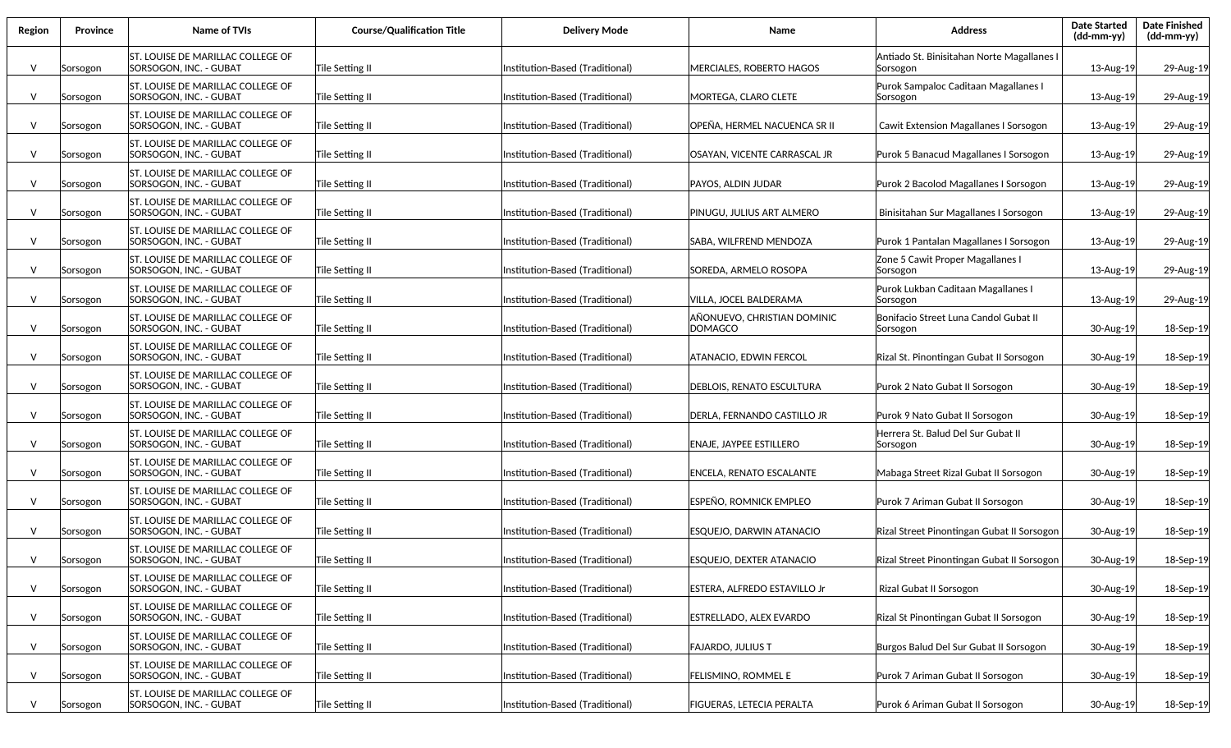| Region       | Province | Name of TVIs                                                | <b>Course/Qualification Title</b> | <b>Delivery Mode</b>            | Name                                   | <b>Address</b>                                         | <b>Date Started</b><br>$(dd-mm-yy)$ | <b>Date Finished</b><br>$(dd\text{-}\text{mm-}yy)$ |
|--------------|----------|-------------------------------------------------------------|-----------------------------------|---------------------------------|----------------------------------------|--------------------------------------------------------|-------------------------------------|----------------------------------------------------|
| $\vee$       | Sorsogon | ST. LOUISE DE MARILLAC COLLEGE OF<br>SORSOGON, INC. - GUBAT | Tile Setting II                   | nstitution-Based (Traditional)  | MERCIALES, ROBERTO HAGOS               | Antiado St. Binisitahan Norte Magallanes I<br>Sorsogon | 13-Aug-19                           | 29-Aug-19                                          |
| V            | Sorsogon | ST. LOUISE DE MARILLAC COLLEGE OF<br>SORSOGON, INC. - GUBAT | Tile Setting II                   | Institution-Based (Traditional) | MORTEGA, CLARO CLETE                   | Purok Sampaloc Caditaan Magallanes I<br>Sorsogon       | 13-Aug-19                           | 29-Aug-19                                          |
| V            | Sorsogon | ST. LOUISE DE MARILLAC COLLEGE OF<br>SORSOGON, INC. - GUBAT | Tile Setting II                   | Institution-Based (Traditional) | OPEÑA, HERMEL NACUENCA SR II           | Cawit Extension Magallanes I Sorsogon                  | 13-Aug-19                           | 29-Aug-19                                          |
| V            | Sorsogon | ST. LOUISE DE MARILLAC COLLEGE OF<br>SORSOGON, INC. - GUBAT | Tile Setting II                   | Institution-Based (Traditional) | OSAYAN, VICENTE CARRASCAL JR           | Purok 5 Banacud Magallanes I Sorsogon                  | 13-Aug-19                           | 29-Aug-19                                          |
| V            | Sorsogon | ST. LOUISE DE MARILLAC COLLEGE OF<br>SORSOGON, INC. - GUBAT | Tile Setting II                   | Institution-Based (Traditional) | PAYOS, ALDIN JUDAR                     | Purok 2 Bacolod Magallanes I Sorsogon                  | 13-Aug-19                           | 29-Aug-19                                          |
| $\vee$       | Sorsogon | ST. LOUISE DE MARILLAC COLLEGE OF<br>SORSOGON, INC. - GUBAT | Tile Setting II                   | Institution-Based (Traditional) | PINUGU, JULIUS ART ALMERO              | Binisitahan Sur Magallanes I Sorsogon                  | 13-Aug-19                           | 29-Aug-19                                          |
| $\vee$       | Sorsogon | ST. LOUISE DE MARILLAC COLLEGE OF<br>SORSOGON, INC. - GUBAT | Tile Setting II                   | Institution-Based (Traditional) | SABA. WILFREND MENDOZA                 | Purok 1 Pantalan Magallanes I Sorsogon                 | 13-Aug-19                           | 29-Aug-19                                          |
| $\vee$       | Sorsogon | ST. LOUISE DE MARILLAC COLLEGE OF<br>SORSOGON, INC. - GUBAT | Tile Setting II                   | Institution-Based (Traditional) | SOREDA, ARMELO ROSOPA                  | Zone 5 Cawit Proper Magallanes I<br> Sorsogon          | 13-Aug-19                           | 29-Aug-19                                          |
| V            | Sorsogon | ST. LOUISE DE MARILLAC COLLEGE OF<br>SORSOGON, INC. - GUBAT | Tile Setting II                   | Institution-Based (Traditional) | VILLA, JOCEL BALDERAMA                 | Purok Lukban Caditaan Magallanes I<br> Sorsogon        | 13-Aug-19                           | 29-Aug-19                                          |
| V            | Sorsogon | ST. LOUISE DE MARILLAC COLLEGE OF<br>SORSOGON. INC. - GUBAT | Tile Setting II                   | Institution-Based (Traditional) | AÑONUEVO, CHRISTIAN DOMINIC<br>DOMAGCO | Bonifacio Street Luna Candol Gubat II<br> Sorsogon     | 30-Aug-19                           | 18-Sep-19                                          |
| V            | Sorsogon | ST. LOUISE DE MARILLAC COLLEGE OF<br>SORSOGON, INC. - GUBAT | Tile Setting II                   | Institution-Based (Traditional) | ATANACIO. EDWIN FERCOL                 | Rizal St. Pinontingan Gubat II Sorsogon                | 30-Aug-19                           | 18-Sep-19                                          |
| V            | Sorsogon | ST. LOUISE DE MARILLAC COLLEGE OF<br>SORSOGON, INC. - GUBAT | Tile Setting II                   | Institution-Based (Traditional) | DEBLOIS, RENATO ESCULTURA              | Purok 2 Nato Gubat II Sorsogon                         | 30-Aug-19                           | 18-Sep-19                                          |
| V            | Sorsogon | ST. LOUISE DE MARILLAC COLLEGE OF<br>SORSOGON, INC. - GUBAT | Tile Setting II                   | Institution-Based (Traditional) | DERLA, FERNANDO CASTILLO JR            | Purok 9 Nato Gubat II Sorsogon                         | 30-Aug-19                           | 18-Sep-19                                          |
| V            | Sorsogon | ST. LOUISE DE MARILLAC COLLEGE OF<br>SORSOGON, INC. - GUBAT | Tile Setting II                   | Institution-Based (Traditional) | ENAJE, JAYPEE ESTILLERO                | Herrera St. Balud Del Sur Gubat II<br>Sorsogon         | 30-Aug-19                           | 18-Sep-19                                          |
| V            | Sorsogon | ST. LOUISE DE MARILLAC COLLEGE OF<br>SORSOGON, INC. - GUBAT | Tile Setting II                   | Institution-Based (Traditional) | ENCELA, RENATO ESCALANTE               | Mabaga Street Rizal Gubat II Sorsogon                  | 30-Aug-19                           | 18-Sep-19                                          |
| V            | Sorsogon | ST. LOUISE DE MARILLAC COLLEGE OF<br>SORSOGON, INC. - GUBAT | Tile Setting II                   | Institution-Based (Traditional) | ESPEÑO. ROMNICK EMPLEO                 | Purok 7 Ariman Gubat II Sorsogon                       | 30-Aug-19                           | 18-Sep-19                                          |
| V            | Sorsogon | ST. LOUISE DE MARILLAC COLLEGE OF<br>SORSOGON, INC. - GUBAT | Tile Setting II                   | Institution-Based (Traditional) | ESQUEJO, DARWIN ATANACIO               | Rizal Street Pinontingan Gubat II Sorsogon             | 30-Aug-19                           | 18-Sep-19                                          |
| $\vee$       | Sorsogon | ST. LOUISE DE MARILLAC COLLEGE OF<br>SORSOGON, INC. - GUBAT | Tile Setting II                   | Institution-Based (Traditional) | <b>ESQUEJO, DEXTER ATANACIO</b>        | Rizal Street Pinontingan Gubat II Sorsogon             | 30-Aug-19                           | 18-Sep-19                                          |
| $\mathsf{V}$ | Sorsogon | ST. LOUISE DE MARILLAC COLLEGE OF<br>SORSOGON, INC. - GUBAT | Tile Setting II                   | Institution-Based (Traditional) | ESTERA, ALFREDO ESTAVILLO Jr           | Rizal Gubat II Sorsogon                                | 30-Aug-19                           | 18-Sep-19                                          |
| V            | Sorsogon | ST. LOUISE DE MARILLAC COLLEGE OF<br>SORSOGON, INC. - GUBAT | Tile Setting II                   | Institution-Based (Traditional) | ESTRELLADO, ALEX EVARDO                | Rizal St Pinontingan Gubat II Sorsogon                 | 30-Aug-19                           | 18-Sep-19                                          |
| $\vee$       | Sorsogon | ST. LOUISE DE MARILLAC COLLEGE OF<br>SORSOGON, INC. - GUBAT | Tile Setting II                   | Institution-Based (Traditional) | FAJARDO. JULIUS T                      | Burgos Balud Del Sur Gubat II Sorsogon                 | 30-Aug-19                           | 18-Sep-19                                          |
| $\vee$       | Sorsogon | ST. LOUISE DE MARILLAC COLLEGE OF<br>SORSOGON, INC. - GUBAT | Tile Setting II                   | Institution-Based (Traditional) | FELISMINO, ROMMEL E                    | Purok 7 Ariman Gubat II Sorsogon                       | 30-Aug-19                           | 18-Sep-19                                          |
| V            | Sorsogon | ST. LOUISE DE MARILLAC COLLEGE OF<br>SORSOGON, INC. - GUBAT | Tile Setting II                   | Institution-Based (Traditional) | FIGUERAS, LETECIA PERALTA              | Purok 6 Ariman Gubat II Sorsogon                       | 30-Aug-19                           | 18-Sep-19                                          |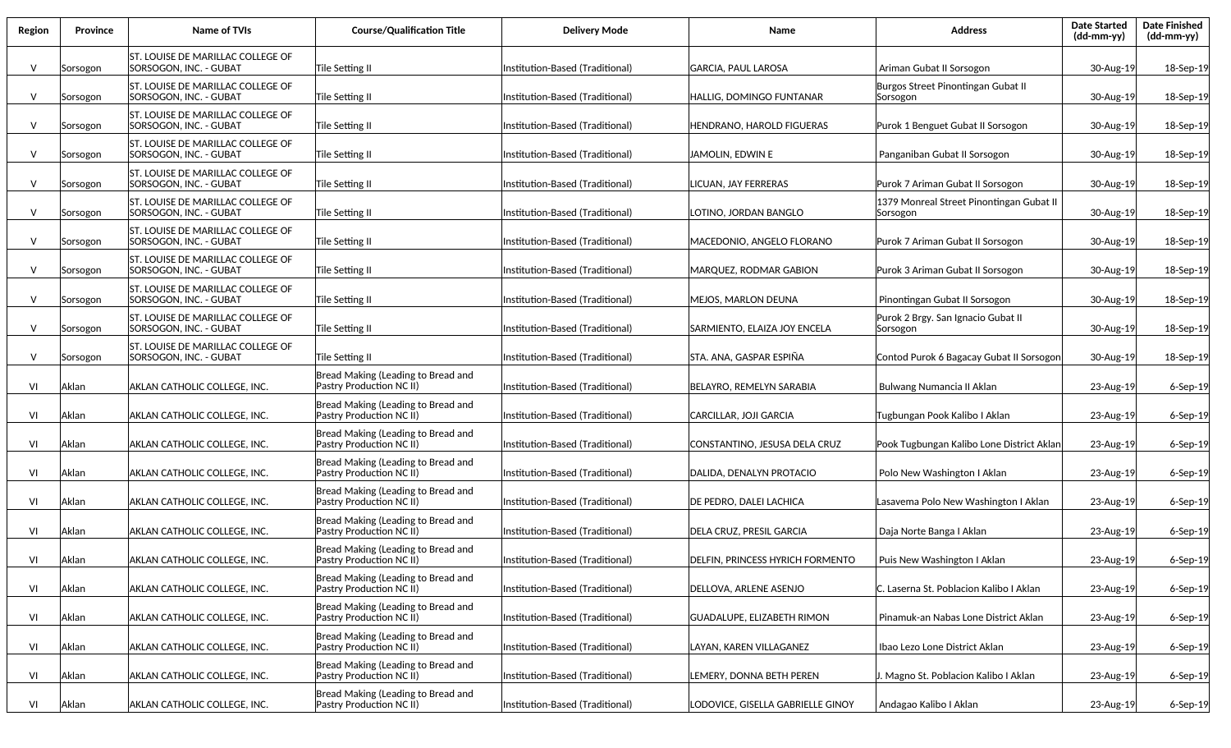| Region | <b>Province</b> | Name of TVIs                                                 | <b>Course/Qualification Title</b>                              | <b>Delivery Mode</b>            | Name                                    | <b>Address</b>                                       | <b>Date Started</b><br>(dd-mm-yy) | <b>Date Finished</b><br>$(dd-mm-yy)$ |
|--------|-----------------|--------------------------------------------------------------|----------------------------------------------------------------|---------------------------------|-----------------------------------------|------------------------------------------------------|-----------------------------------|--------------------------------------|
| $\vee$ | Sorsogon        | ST. LOUISE DE MARILLAC COLLEGE OF<br>SORSOGON, INC. - GUBAT  | Tile Setting II                                                | Institution-Based (Traditional) | GARCIA, PAUL LAROSA                     | Ariman Gubat II Sorsogon                             | 30-Aug-19                         | 18-Sep-19                            |
| $\vee$ | Sorsogon        | lST. LOUISE DE MARILLAC COLLEGE OF<br>SORSOGON, INC. - GUBAT | Tile Setting II                                                | Institution-Based (Traditional) | HALLIG, DOMINGO FUNTANAR                | Burgos Street Pinontingan Gubat II<br>Sorsogon       | 30-Aug-19                         | 18-Sep-19                            |
| $\vee$ | Sorsogon        | ST. LOUISE DE MARILLAC COLLEGE OF<br>SORSOGON, INC. - GUBAT  | Tile Setting II                                                | Institution-Based (Traditional) | HENDRANO, HAROLD FIGUERAS               | Purok 1 Benguet Gubat II Sorsogon                    | 30-Aug-19                         | 18-Sep-19                            |
| $\vee$ | Sorsogon        | ST. LOUISE DE MARILLAC COLLEGE OF<br>SORSOGON, INC. - GUBAT  | Tile Setting II                                                | Institution-Based (Traditional) | JAMOLIN, EDWIN E                        | Panganiban Gubat II Sorsogon                         | 30-Aug-19                         | 18-Sep-19                            |
| V      | Sorsogon        | lST. LOUISE DE MARILLAC COLLEGE OF<br>SORSOGON, INC. - GUBAT | Tile Setting II                                                | Institution-Based (Traditional) | LICUAN, JAY FERRERAS                    | Purok 7 Ariman Gubat II Sorsogon                     | 30-Aug-19                         | 18-Sep-19                            |
| $\vee$ | Sorsogon        | ST. LOUISE DE MARILLAC COLLEGE OF<br> SORSOGON, INC. - GUBAT | Tile Setting II                                                | Institution-Based (Traditional) | LOTINO, JORDAN BANGLO                   | 1379 Monreal Street Pinontingan Gubat II<br>Sorsogon | 30-Aug-19                         | 18-Sep-19                            |
| $\vee$ | Sorsogon        | ST. LOUISE DE MARILLAC COLLEGE OF<br> SORSOGON, INC. - GUBAT | Tile Setting II                                                | Institution-Based (Traditional) | MACEDONIO, ANGELO FLORANO               | Purok 7 Ariman Gubat II Sorsogon                     | 30-Aug-19                         | 18-Sep-19                            |
| $\vee$ | Sorsogon        | ST. LOUISE DE MARILLAC COLLEGE OF<br> SORSOGON. INC. - GUBAT | Tile Setting II                                                | Institution-Based (Traditional) | MARQUEZ, RODMAR GABION                  | Purok 3 Ariman Gubat II Sorsogon                     | 30-Aug-19                         | 18-Sep-19                            |
| $\vee$ | Sorsogon        | ST. LOUISE DE MARILLAC COLLEGE OF<br> SORSOGON, INC. - GUBAT | Tile Setting II                                                | Institution-Based (Traditional) | MEJOS, MARLON DEUNA                     | Pinontingan Gubat II Sorsogon                        | 30-Aug-19                         | 18-Sep-19                            |
| $\vee$ | Sorsogon        | ST. LOUISE DE MARILLAC COLLEGE OF<br>SORSOGON, INC. - GUBAT  | Tile Setting II                                                | Institution-Based (Traditional) | SARMIENTO, ELAIZA JOY ENCELA            | Purok 2 Brgy. San Ignacio Gubat II<br>Sorsogon       | 30-Aug-19                         | 18-Sep-19                            |
| $\vee$ | Sorsogon        | ST. LOUISE DE MARILLAC COLLEGE OF<br>SORSOGON, INC. - GUBAT  | Tile Setting II                                                | Institution-Based (Traditional) | STA. ANA. GASPAR ESPIÑA                 | Contod Purok 6 Bagacay Gubat II Sorsogon             | 30-Aug-19                         | 18-Sep-19                            |
| VI     | Aklan           | AKLAN CATHOLIC COLLEGE, INC.                                 | Bread Making (Leading to Bread and<br>Pastry Production NC II) | Institution-Based (Traditional) | BELAYRO, REMELYN SARABIA                | Bulwang Numancia II Aklan                            | 23-Aug-19                         | $6-$ Sep $-19$                       |
| VI     | Aklan           | AKLAN CATHOLIC COLLEGE, INC.                                 | Bread Making (Leading to Bread and<br>Pastry Production NC II) | Institution-Based (Traditional) | CARCILLAR, JOJI GARCIA                  | Tugbungan Pook Kalibo I Aklan                        | 23-Aug-19                         | $6-$ Sep $-19$                       |
| VI     | Aklan           | AKLAN CATHOLIC COLLEGE, INC.                                 | Bread Making (Leading to Bread and<br>Pastry Production NC II) | Institution-Based (Traditional) | CONSTANTINO, JESUSA DELA CRUZ           | Pook Tugbungan Kalibo Lone District Aklan            | 23-Aug-19                         | $6-$ Sep $-19$                       |
| VI     | Aklan           | AKLAN CATHOLIC COLLEGE, INC.                                 | Bread Making (Leading to Bread and<br>Pastry Production NC II) | Institution-Based (Traditional) | DALIDA, DENALYN PROTACIO                | Polo New Washington I Aklan                          | 23-Aug-19                         | $6-$ Sep $-19$                       |
| VI     | Aklan           | AKLAN CATHOLIC COLLEGE, INC.                                 | Bread Making (Leading to Bread and<br>Pastry Production NC II) | Institution-Based (Traditional) | DE PEDRO, DALEI LACHICA                 | Lasavema Polo New Washington I Aklan                 | 23-Aug-19                         | 6-Sep-19                             |
| VI     | Aklan           | <b>AKLAN CATHOLIC COLLEGE, INC.</b>                          | Bread Making (Leading to Bread and<br>Pastry Production NC II) | Institution-Based (Traditional) | <b>DELA CRUZ, PRESIL GARCIA</b>         | Daja Norte Banga I Aklan                             | 23-Aug-19                         | 6-Sep-19                             |
| VI     | Aklan           | AKLAN CATHOLIC COLLEGE, INC.                                 | Bread Making (Leading to Bread and<br>Pastry Production NC II) | Institution-Based (Traditional) | <b>DELFIN. PRINCESS HYRICH FORMENTO</b> | Puis New Washington I Aklan                          | 23-Aug-19                         | $6-$ Sep $-19$                       |
| VI     | Aklan           | AKLAN CATHOLIC COLLEGE, INC.                                 | Bread Making (Leading to Bread and<br>Pastry Production NC II) | Institution-Based (Traditional) | DELLOVA, ARLENE ASENJO                  | C. Laserna St. Poblacion Kalibo I Aklan              | 23-Aug-19                         | 6-Sep-19                             |
| VI     | Aklan           | AKLAN CATHOLIC COLLEGE, INC.                                 | Bread Making (Leading to Bread and<br>Pastry Production NC II) | Institution-Based (Traditional) | <b>GUADALUPE, ELIZABETH RIMON</b>       | Pinamuk-an Nabas Lone District Aklan                 | 23-Aug-19                         | 6-Sep-19                             |
| VI     | Aklan           | AKLAN CATHOLIC COLLEGE, INC.                                 | Bread Making (Leading to Bread and<br>Pastry Production NC II) | Institution-Based (Traditional) | LAYAN, KAREN VILLAGANEZ                 | Ibao Lezo Lone District Aklan                        | 23-Aug-19                         | $6-$ Sep $-19$                       |
| VI     | Aklan           | AKLAN CATHOLIC COLLEGE, INC.                                 | Bread Making (Leading to Bread and<br>Pastry Production NC II) | Institution-Based (Traditional) | LEMERY, DONNA BETH PEREN                | J. Magno St. Poblacion Kalibo I Aklan                | 23-Aug-19                         | 6-Sep-19                             |
| VI     | Aklan           | AKLAN CATHOLIC COLLEGE, INC.                                 | Bread Making (Leading to Bread and<br>Pastry Production NC II) | Institution-Based (Traditional) | LODOVICE, GISELLA GABRIELLE GINOY       | Andagao Kalibo I Aklan                               | 23-Aug-19                         | 6-Sep-19                             |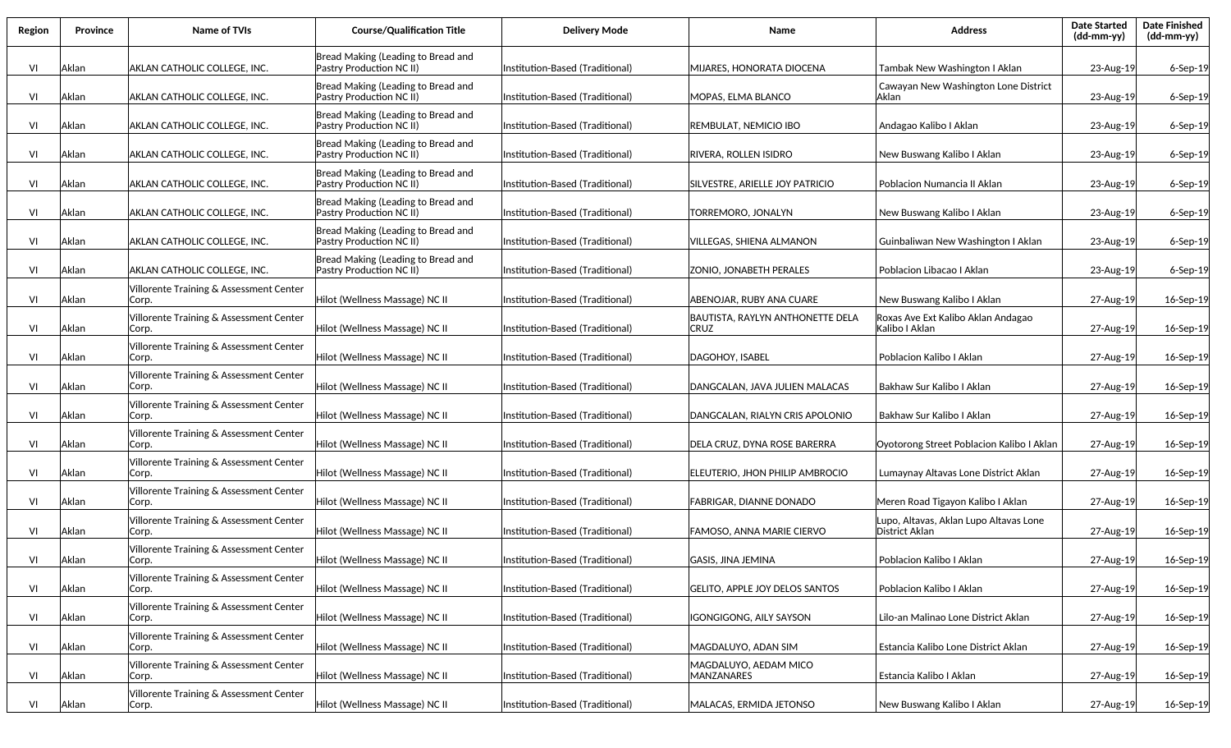| Region | <b>Province</b> | Name of TVIs                                     | <b>Course/Qualification Title</b>                                     | <b>Delivery Mode</b>            | Name                                     | <b>Address</b>                                           | <b>Date Started</b><br>(dd-mm-yy) | <b>Date Finished</b><br>(dd-mm-yy) |
|--------|-----------------|--------------------------------------------------|-----------------------------------------------------------------------|---------------------------------|------------------------------------------|----------------------------------------------------------|-----------------------------------|------------------------------------|
| VI     | Aklan           | AKLAN CATHOLIC COLLEGE, INC.                     | Bread Making (Leading to Bread and<br>Pastry Production NC II)        | nstitution-Based (Traditional)  | MIJARES, HONORATA DIOCENA                | Tambak New Washington I Aklan                            | 23-Aug-19                         | $6-$ Sep $-19$                     |
| VI     | Aklan           | AKLAN CATHOLIC COLLEGE, INC.                     | Bread Making (Leading to Bread and<br>Pastry Production NC II)        | Institution-Based (Traditional) | MOPAS. ELMA BLANCO                       | Cawayan New Washington Lone District<br>lAklan           | 23-Aug-19                         | $6-$ Sep $-19$                     |
| VI     | Aklan           | AKLAN CATHOLIC COLLEGE, INC.                     | Bread Making (Leading to Bread and<br>Pastry Production NC II)        | Institution-Based (Traditional) | REMBULAT, NEMICIO IBO                    | Andagao Kalibo I Aklan                                   | 23-Aug-19                         | 6-Sep-19                           |
| VI     | Aklan           | AKLAN CATHOLIC COLLEGE, INC.                     | Bread Making (Leading to Bread and<br>Pastry Production NC II)        | Institution-Based (Traditional) | RIVERA. ROLLEN ISIDRO                    | New Buswang Kalibo I Aklan                               | 23-Aug-19                         | 6-Sep-19                           |
| VI     | Aklan           | AKLAN CATHOLIC COLLEGE, INC.                     | Bread Making (Leading to Bread and<br>Pastry Production NC II)        | Institution-Based (Traditional) | SILVESTRE, ARIELLE JOY PATRICIO          | Poblacion Numancia II Aklan                              | 23-Aug-19                         | $6-$ Sep $-19$                     |
| VI     | Aklan           | AKLAN CATHOLIC COLLEGE, INC.                     | Bread Making (Leading to Bread and<br>Pastry Production NC II)        | Institution-Based (Traditional) | TORREMORO, JONALYN                       | New Buswang Kalibo I Aklan                               | 23-Aug-19                         | $6-$ Sep $-19$                     |
| VI     | Aklan           | AKLAN CATHOLIC COLLEGE, INC.                     | Bread Making (Leading to Bread and<br>Pastry Production NC II)        | Institution-Based (Traditional) | VILLEGAS, SHIENA ALMANON                 | Guinbaliwan New Washington I Aklan                       | 23-Aug-19                         | $6-$ Sep $-19$                     |
| VI     | Aklan           | AKLAN CATHOLIC COLLEGE, INC.                     | Bread Making (Leading to Bread and<br><b>Pastry Production NC II)</b> | Institution-Based (Traditional) | <b>ZONIO, JONABETH PERALES</b>           | Poblacion Libacao I Aklan                                | 23-Aug-19                         | $6-$ Sep $-19$                     |
| VI     | Aklan           | Villorente Training & Assessment Center<br>Corp. | Hilot (Wellness Massage) NC II                                        | Institution-Based (Traditional) | ABENOJAR. RUBY ANA CUARE                 | New Buswang Kalibo I Aklan                               | 27-Aug-19                         | 16-Sep-19                          |
| VI     | Aklan           | Villorente Training & Assessment Center<br>Corp. | Hilot (Wellness Massage) NC II                                        | Institution-Based (Traditional) | BAUTISTA, RAYLYN ANTHONETTE DELA<br>CRUZ | Roxas Ave Ext Kalibo Aklan Andagao<br>Kalibo I Aklan     | 27-Aug-19                         | 16-Sep-19                          |
| VI     | Aklan           | Villorente Training & Assessment Center<br>Corp. | Hilot (Wellness Massage) NC II                                        | nstitution-Based (Traditional)  | DAGOHOY, ISABEL                          | Poblacion Kalibo I Aklan                                 | 27-Aug-19                         | 16-Sep-19                          |
| VI     | Aklan           | Villorente Training & Assessment Center<br>Corp. | Hilot (Wellness Massage) NC II                                        | Institution-Based (Traditional) | DANGCALAN, JAVA JULIEN MALACAS           | Bakhaw Sur Kalibo I Aklan                                | 27-Aug-19                         | 16-Sep-19                          |
| VI     | Aklan           | Villorente Training & Assessment Center<br>Corp. | Hilot (Wellness Massage) NC II                                        | Institution-Based (Traditional) | DANGCALAN, RIALYN CRIS APOLONIO          | Bakhaw Sur Kalibo I Aklan                                | 27-Aug-19                         | 16-Sep-19                          |
| VI     | Aklan           | Villorente Training & Assessment Center<br>Corp. | Hilot (Wellness Massage) NC II                                        | Institution-Based (Traditional) | DELA CRUZ, DYNA ROSE BARERRA             | Oyotorong Street Poblacion Kalibo I Aklan                | 27-Aug-19                         | 16-Sep-19                          |
| VI     | Aklan           | Villorente Training & Assessment Center<br>Corp. | Hilot (Wellness Massage) NC II                                        | Institution-Based (Traditional) | ELEUTERIO, JHON PHILIP AMBROCIO          | Lumaynay Altavas Lone District Aklan                     | 27-Aug-19                         | 16-Sep-19                          |
| VI     | Aklan           | Villorente Training & Assessment Center<br>Corp. | Hilot (Wellness Massage) NC II                                        | Institution-Based (Traditional) | FABRIGAR, DIANNE DONADO                  | Meren Road Tigayon Kalibo I Aklan                        | 27-Aug-19                         | 16-Sep-19                          |
| VI     | Aklan           | Villorente Training & Assessment Center<br>Corp. | Hilot (Wellness Massage) NC II                                        | Institution-Based (Traditional) | FAMOSO. ANNA MARIE CIERVO                | Lupo, Altavas, Aklan Lupo Altavas Lone<br>District Aklan | 27-Aug-19                         | 16-Sep-19                          |
| VI     | Aklan           | Villorente Training & Assessment Center<br>Corp. | Hilot (Wellness Massage) NC II                                        | Institution-Based (Traditional) | GASIS, JINA JEMINA                       | Poblacion Kalibo I Aklan                                 | 27-Aug-19                         | 16-Sep-19                          |
| VI     | Aklan           | Villorente Training & Assessment Center<br>Corp. | Hilot (Wellness Massage) NC II                                        | Institution-Based (Traditional) | <b>GELITO, APPLE JOY DELOS SANTOS</b>    | Poblacion Kalibo I Aklan                                 | 27-Aug-19                         | 16-Sep-19                          |
| VI     | Aklan           | Villorente Training & Assessment Center<br>Corp. | Hilot (Wellness Massage) NC II                                        | Institution-Based (Traditional) | IGONGIGONG, AILY SAYSON                  | Lilo-an Malinao Lone District Aklan                      | 27-Aug-19                         | 16-Sep-19                          |
| VI     | Aklan           | Villorente Training & Assessment Center<br>Corp. | Hilot (Wellness Massage) NC II                                        | Institution-Based (Traditional) | MAGDALUYO, ADAN SIM                      | Estancia Kalibo Lone District Aklan                      | 27-Aug-19                         | 16-Sep-19                          |
| VI     | Aklan           | Villorente Training & Assessment Center<br>Corp. | Hilot (Wellness Massage) NC II                                        | Institution-Based (Traditional) | MAGDALUYO, AEDAM MICO<br>MANZANARES      | Estancia Kalibo I Aklan                                  | 27-Aug-19                         | 16-Sep-19                          |
| VI     | Aklan           | Villorente Training & Assessment Center<br>Corp. | Hilot (Wellness Massage) NC II                                        | Institution-Based (Traditional) | MALACAS, ERMIDA JETONSO                  | New Buswang Kalibo I Aklan                               | 27-Aug-19                         | 16-Sep-19                          |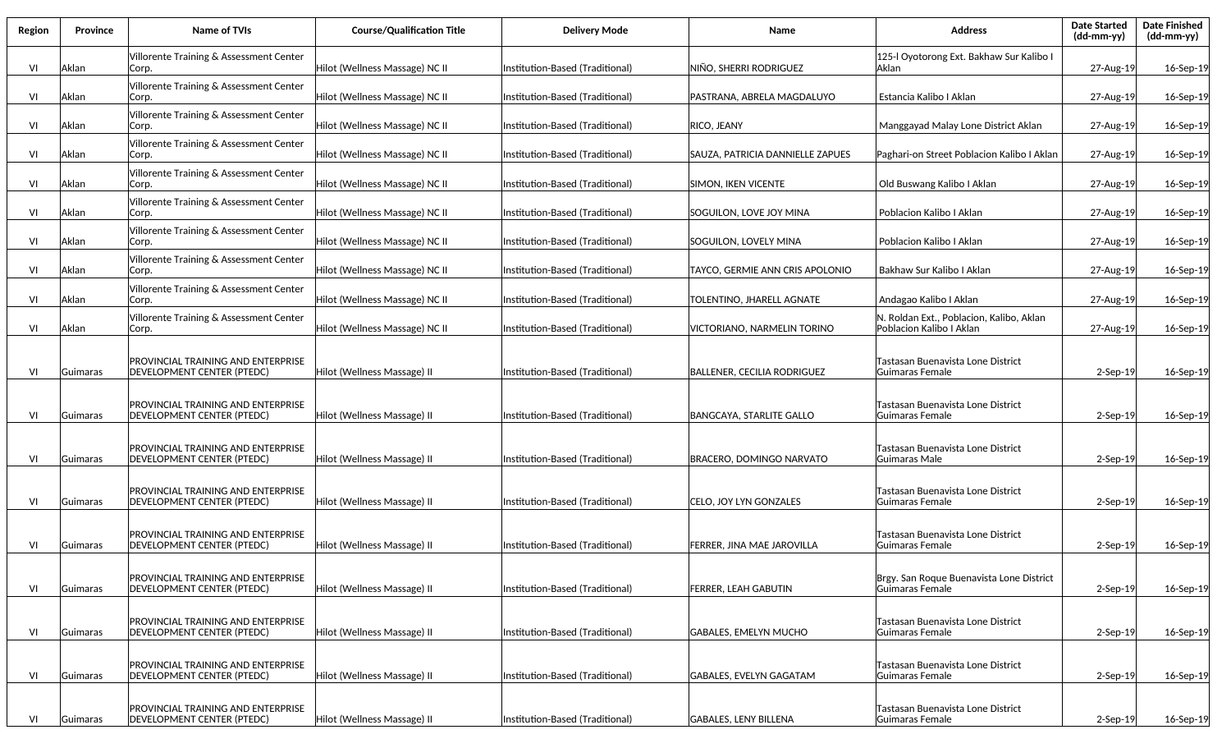| Region | <b>Province</b> | Name of TVIs                                                                   | <b>Course/Qualification Title</b> | <b>Delivery Mode</b>             | Name                             | <b>Address</b>                                                        | <b>Date Started</b><br>(dd-mm-yy) | <b>Date Finished</b><br>$(dd\text{-}\text{mm-}yy)$ |
|--------|-----------------|--------------------------------------------------------------------------------|-----------------------------------|----------------------------------|----------------------------------|-----------------------------------------------------------------------|-----------------------------------|----------------------------------------------------|
| VI     | Aklan           | Villorente Training & Assessment Center<br>Corp.                               | Hilot (Wellness Massage) NC II    | Institution-Based (Traditional)  | NIÑO, SHERRI RODRIGUEZ           | 125-I Oyotorong Ext. Bakhaw Sur Kalibo I<br>lAklan                    | 27-Aug-19                         | 16-Sep-19                                          |
| VI     | Aklan           | Villorente Training & Assessment Center<br>Corp.                               | Hilot (Wellness Massage) NC II    | Institution-Based (Traditional)  | PASTRANA, ABRELA MAGDALUYO       | Estancia Kalibo I Aklan                                               | 27-Aug-19                         | 16-Sep-19                                          |
| VI     | Aklan           | Villorente Training & Assessment Center<br>Corp.                               | Hilot (Wellness Massage) NC II    | Institution-Based (Traditional)  | RICO, JEANY                      | Manggayad Malay Lone District Aklan                                   | 27-Aug-19                         | 16-Sep-19                                          |
| VI     | Aklan           | Villorente Training & Assessment Center<br>Corp.                               | Hilot (Wellness Massage) NC II    | Institution-Based (Traditional)  | SAUZA, PATRICIA DANNIELLE ZAPUES | Paghari-on Street Poblacion Kalibo I Aklan                            | 27-Aug-19                         | 16-Sep-19                                          |
| VI     | Aklan           | Villorente Training & Assessment Center<br>Corp.                               | Hilot (Wellness Massage) NC II    | Institution-Based (Traditional)  | SIMON, IKEN VICENTE              | Old Buswang Kalibo I Aklan                                            | 27-Aug-19                         | 16-Sep-19                                          |
| VI     | Aklan           | Villorente Training & Assessment Center<br>Corp.                               | Hilot (Wellness Massage) NC II    | Institution-Based (Traditional)  | SOGUILON, LOVE JOY MINA          | Poblacion Kalibo I Aklan                                              | 27-Aug-19                         | 16-Sep-19                                          |
| VI     | Aklan           | Villorente Training & Assessment Center<br>Corp.                               | Hilot (Wellness Massage) NC II    | Institution-Based (Traditional)  | SOGUILON, LOVELY MINA            | Poblacion Kalibo I Aklan                                              | 27-Aug-19                         | 16-Sep-19                                          |
| VI     | Aklan           | Villorente Training & Assessment Center<br>Corp.                               | Hilot (Wellness Massage) NC II    | Institution-Based (Traditional)  | TAYCO, GERMIE ANN CRIS APOLONIO  | Bakhaw Sur Kalibo I Aklan                                             | 27-Aug-19                         | 16-Sep-19                                          |
| VI     | Aklan           | Villorente Training & Assessment Center<br>Corp.                               | Hilot (Wellness Massage) NC II    | Institution-Based (Traditional)  | TOLENTINO, JHARELL AGNATE        | Andagao Kalibo I Aklan                                                | 27-Aug-19                         | 16-Sep-19                                          |
| VI     | Aklan           | Villorente Training & Assessment Center<br>Corp.                               | Hilot (Wellness Massage) NC II    | lInstitution-Based (Traditional) | VICTORIANO, NARMELIN TORINO      | N. Roldan Ext., Poblacion, Kalibo, Aklan<br> Poblacion Kalibo I Aklan | 27-Aug-19                         | 16-Sep-19                                          |
| VI     | Guimaras        | PROVINCIAL TRAINING AND ENTERPRISE<br> DEVELOPMENT CENTER (PTEDC)              | Hilot (Wellness Massage) II       | Institution-Based (Traditional)  | BALLENER, CECILIA RODRIGUEZ      | Tastasan Buenavista Lone District<br>Guimaras Female                  | $2-$ Sep $-19$                    | 16-Sep-19                                          |
| VI     | Guimaras        | PROVINCIAL TRAINING AND ENTERPRISE<br><b>DEVELOPMENT CENTER (PTEDC)</b>        | Hilot (Wellness Massage) II       | Institution-Based (Traditional)  | BANGCAYA, STARLITE GALLO         | Tastasan Buenavista Lone District<br>Guimaras Female                  | $2-$ Sep $-19$                    | 16-Sep-19                                          |
| VI     | Guimaras        | PROVINCIAL TRAINING AND ENTERPRISE<br><b>DEVELOPMENT CENTER (PTEDC)</b>        | Hilot (Wellness Massage) II       | Institution-Based (Traditional)  | BRACERO, DOMINGO NARVATO         | Tastasan Buenavista Lone District<br> Guimaras Male                   | $2-$ Sep $-19$                    | 16-Sep-19                                          |
| VI     | Guimaras        | PROVINCIAL TRAINING AND ENTERPRISE<br><b>DEVELOPMENT CENTER (PTEDC)</b>        | Hilot (Wellness Massage) II       | Institution-Based (Traditional)  | CELO, JOY LYN GONZALES           | Tastasan Buenavista Lone District<br> Guimaras Female                 | $2-$ Sep $-19$                    | 16-Sep-19                                          |
| VI     | Guimaras        | PROVINCIAL TRAINING AND ENTERPRISE<br><b>DEVELOPMENT CENTER (PTEDC)</b>        | Hilot (Wellness Massage) II       | Institution-Based (Traditional)  | FERRER. JINA MAE JAROVILLA       | Tastasan Buenavista Lone District<br>Guimaras Female                  | $2-$ Sep $-19$                    | 16-Sep-19                                          |
| VI     | Guimaras        | <b>PROVINCIAL TRAINING AND ENTERPRISE</b><br><b>DEVELOPMENT CENTER (PTEDC)</b> | Hilot (Wellness Massage) II       | Institution-Based (Traditional)  | FERRER, LEAH GABUTIN             | Brgy. San Roque Buenavista Lone District<br>lGuimaras Female          | $2-$ Sep $-19$                    | 16-Sep-19                                          |
| VI     | Guimaras        | PROVINCIAL TRAINING AND ENTERPRISE<br><b>DEVELOPMENT CENTER (PTEDC)</b>        | Hilot (Wellness Massage) II       | Institution-Based (Traditional)  | <b>GABALES, EMELYN MUCHO</b>     | Tastasan Buenavista Lone District<br> Guimaras Female                 | 2-Sep-19                          | 16-Sep-19                                          |
| VI     | Guimaras        | PROVINCIAL TRAINING AND ENTERPRISE<br>DEVELOPMENT CENTER (PTEDC)               | Hilot (Wellness Massage) II       | Institution-Based (Traditional)  | GABALES, EVELYN GAGATAM          | Tastasan Buenavista Lone District<br> Guimaras Female                 | 2-Sep-19                          | 16-Sep-19                                          |
| VI     | Guimaras        | PROVINCIAL TRAINING AND ENTERPRISE<br>DEVELOPMENT CENTER (PTEDC)               | Hilot (Wellness Massage) II       | Institution-Based (Traditional)  | GABALES, LENY BILLENA            | Tastasan Buenavista Lone District<br>Guimaras Female                  | $2-$ Sep $-19$                    | 16-Sep-19                                          |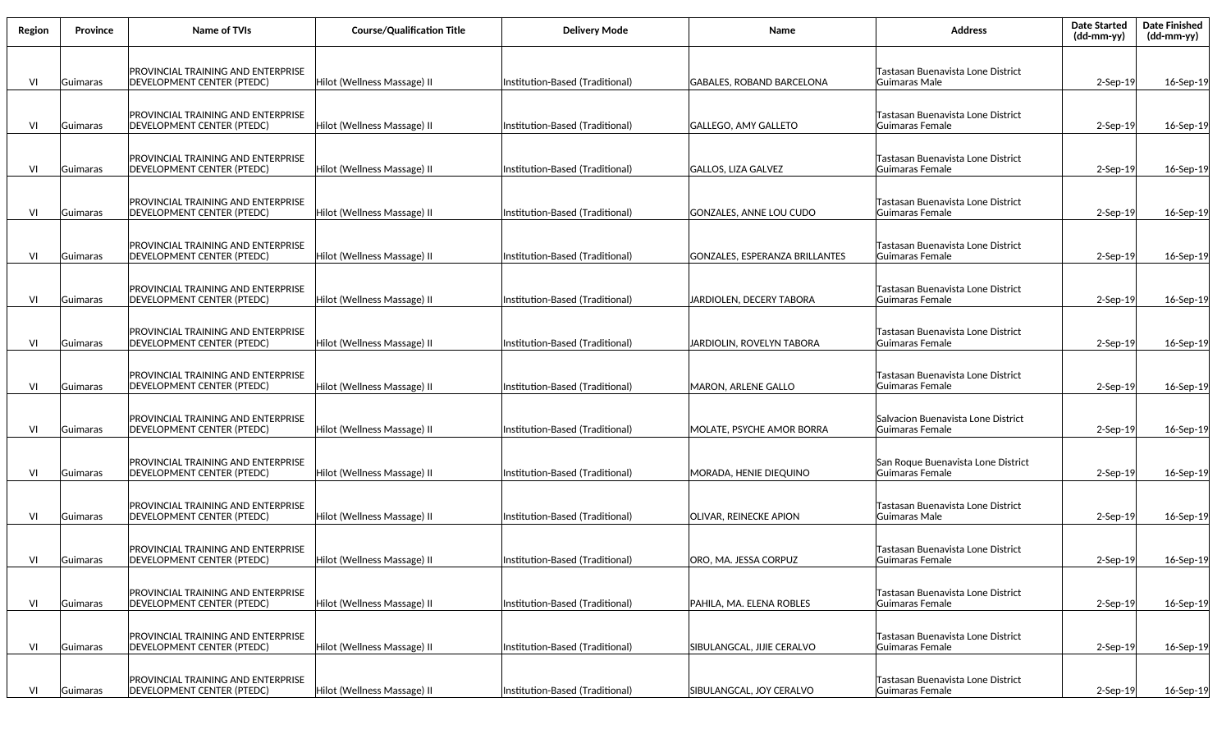| Region | Province | <b>Name of TVIs</b>                                                            | <b>Course/Qualification Title</b> | <b>Delivery Mode</b>            | Name                           | <b>Address</b>                                        | <b>Date Started</b><br>(dd-mm-yy) | <b>Date Finished</b><br>(dd-mm-yy) |
|--------|----------|--------------------------------------------------------------------------------|-----------------------------------|---------------------------------|--------------------------------|-------------------------------------------------------|-----------------------------------|------------------------------------|
| VI     | Guimaras | <b>PROVINCIAL TRAINING AND ENTERPRISE</b><br>DEVELOPMENT CENTER (PTEDC)        | Hilot (Wellness Massage) II       | Institution-Based (Traditional) | GABALES, ROBAND BARCELONA      | Tastasan Buenavista Lone District<br>Guimaras Male    | $2-$ Sep $-19$                    | 16-Sep-19                          |
| VI     | Guimaras | <b>PROVINCIAL TRAINING AND ENTERPRISE</b><br>DEVELOPMENT CENTER (PTEDC)        | Hilot (Wellness Massage) II       | Institution-Based (Traditional) | GALLEGO, AMY GALLETO           | Tastasan Buenavista Lone District<br>Guimaras Female  | $2-$ Sep $-19$                    | 16-Sep-19                          |
| VI     | Guimaras | <b>PROVINCIAL TRAINING AND ENTERPRISE</b><br><b>DEVELOPMENT CENTER (PTEDC)</b> | Hilot (Wellness Massage) II       | Institution-Based (Traditional) | GALLOS, LIZA GALVEZ            | Tastasan Buenavista Lone District<br>Guimaras Female  | $2-$ Sep $-19$                    | 16-Sep-19                          |
| VI     | Guimaras | PROVINCIAL TRAINING AND ENTERPRISE<br><b>DEVELOPMENT CENTER (PTEDC)</b>        | Hilot (Wellness Massage) II       | Institution-Based (Traditional) | GONZALES, ANNE LOU CUDO        | Tastasan Buenavista Lone District<br>Guimaras Female  | $2-$ Sep $-19$                    | 16-Sep-19                          |
| VI     | Guimaras | <b>PROVINCIAL TRAINING AND ENTERPRISE</b><br><b>DEVELOPMENT CENTER (PTEDC)</b> | Hilot (Wellness Massage) II       | Institution-Based (Traditional) | GONZALES, ESPERANZA BRILLANTES | Tastasan Buenavista Lone District<br>Guimaras Female  | $2-$ Sep $-19$                    | 16-Sep-19                          |
| VI     | Guimaras | PROVINCIAL TRAINING AND ENTERPRISE<br><b>DEVELOPMENT CENTER (PTEDC)</b>        | Hilot (Wellness Massage) II       | Institution-Based (Traditional) | JARDIOLEN, DECERY TABORA       | Tastasan Buenavista Lone District<br>Guimaras Female  | $2-$ Sep $-19$                    | 16-Sep-19                          |
| VI     | Guimaras | PROVINCIAL TRAINING AND ENTERPRISE<br><b>DEVELOPMENT CENTER (PTEDC)</b>        | Hilot (Wellness Massage) II       | Institution-Based (Traditional) | JARDIOLIN, ROVELYN TABORA      | Tastasan Buenavista Lone District<br>Guimaras Female  | $2-$ Sep $-19$                    | 16-Sep-19                          |
| VI     | Guimaras | <b>PROVINCIAL TRAINING AND ENTERPRISE</b><br><b>DEVELOPMENT CENTER (PTEDC)</b> | Hilot (Wellness Massage) II       | Institution-Based (Traditional) | <b>MARON, ARLENE GALLO</b>     | Tastasan Buenavista Lone District<br>Guimaras Female  | $2-$ Sep $-19$                    | 16-Sep-19                          |
| VI     | Guimaras | <b>PROVINCIAL TRAINING AND ENTERPRISE</b><br> DEVELOPMENT CENTER (PTEDC)       | Hilot (Wellness Massage) II       | Institution-Based (Traditional) | MOLATE, PSYCHE AMOR BORRA      | Salvacion Buenavista Lone District<br>Guimaras Female | $2-$ Sep $-19$                    | 16-Sep-19                          |
| VI     | Guimaras | <b>PROVINCIAL TRAINING AND ENTERPRISE</b><br> DEVELOPMENT CENTER (PTEDC)       | Hilot (Wellness Massage) II       | Institution-Based (Traditional) | MORADA, HENIE DIEQUINO         | San Roque Buenavista Lone District<br>Guimaras Female | $2-$ Sep $-19$                    | 16-Sep-19                          |
| VI     | Guimaras | <b>PROVINCIAL TRAINING AND ENTERPRISE</b><br><b>DEVELOPMENT CENTER (PTEDC)</b> | Hilot (Wellness Massage) II       | Institution-Based (Traditional) | <b>OLIVAR, REINECKE APION</b>  | Tastasan Buenavista Lone District<br>Guimaras Male    | $2-Sep-19$                        | 16-Sep-19                          |
| VI     | Guimaras | <b>PROVINCIAL TRAINING AND ENTERPRISE</b><br> DEVELOPMENT CENTER (PTEDC)       | Hilot (Wellness Massage) II       | Institution-Based (Traditional) | lORO. MA. JESSA CORPUZ         | Tastasan Buenavista Lone District<br>Guimaras Female  | $2-Sep-19$                        | 16-Sep-19                          |
| VI     | Guimaras | <b>PROVINCIAL TRAINING AND ENTERPRISE</b><br>DEVELOPMENT CENTER (PTEDC)        | Hilot (Wellness Massage) II       | Institution-Based (Traditional) | PAHILA. MA. ELENA ROBLES       | Tastasan Buenavista Lone District<br>Guimaras Female  | $2-$ Sep $-19$                    | 16-Sep-19                          |
| VI     | Guimaras | <b>PROVINCIAL TRAINING AND ENTERPRISE</b><br>DEVELOPMENT CENTER (PTEDC)        | Hilot (Wellness Massage) II       | Institution-Based (Traditional) | SIBULANGCAL, JIJIE CERALVO     | Tastasan Buenavista Lone District<br>Guimaras Female  | $2-$ Sep $-19$                    | 16-Sep-19                          |
| VI     | Guimaras | <b>PROVINCIAL TRAINING AND ENTERPRISE</b><br><b>DEVELOPMENT CENTER (PTEDC)</b> | Hilot (Wellness Massage) II       | Institution-Based (Traditional) | SIBULANGCAL, JOY CERALVO       | Tastasan Buenavista Lone District<br>Guimaras Female  | $2$ -Sep-19                       | 16-Sep-19                          |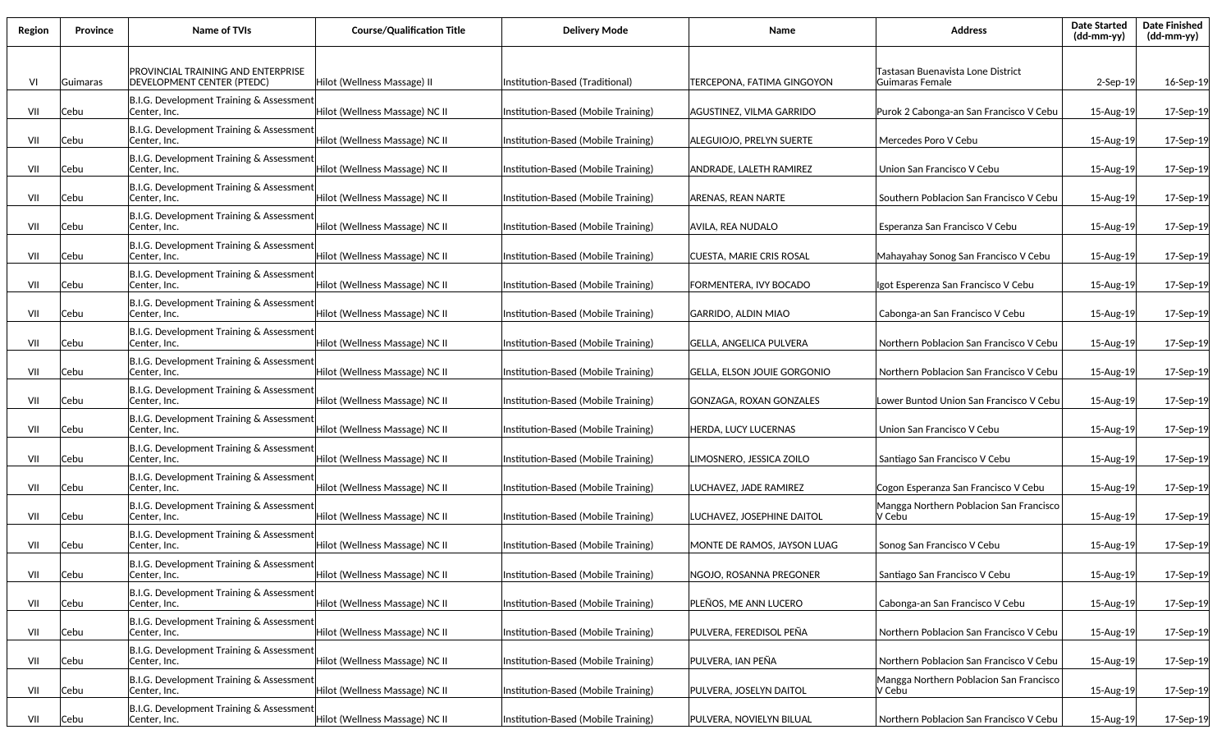| Region | Province | Name of TVIs                                                     | <b>Course/Qualification Title</b> | <b>Delivery Mode</b>                | Name                        | <b>Address</b>                                       | <b>Date Started</b><br>$(dd-mm-yy)$ | <b>Date Finished</b><br>(dd-mm-yy) |
|--------|----------|------------------------------------------------------------------|-----------------------------------|-------------------------------------|-----------------------------|------------------------------------------------------|-------------------------------------|------------------------------------|
| VI     | Guimaras | PROVINCIAL TRAINING AND ENTERPRISE<br>DEVELOPMENT CENTER (PTEDC) | Hilot (Wellness Massage) II       | Institution-Based (Traditional)     | TERCEPONA, FATIMA GINGOYON  | Tastasan Buenavista Lone District<br>Guimaras Female | $2-$ Sep $-19$                      | 16-Sep-19                          |
| VII    | Cebu     | B.I.G. Development Training & Assessment<br>Center, Inc.         | Hilot (Wellness Massage) NC II    | Institution-Based (Mobile Training) | AGUSTINEZ, VILMA GARRIDO    | Purok 2 Cabonga-an San Francisco V Cebu              | 15-Aug-19                           | 17-Sep-19                          |
| VII    | Cebu     | B.I.G. Development Training & Assessment<br>Center, Inc.         | Hilot (Wellness Massage) NC II    | Institution-Based (Mobile Training) | ALEGUIOJO, PRELYN SUERTE    | Mercedes Poro V Cebu                                 | 15-Aug-19                           | 17-Sep-19                          |
| VII    | Cebu     | B.I.G. Development Training & Assessment<br>Center, Inc.         | Hilot (Wellness Massage) NC II    | Institution-Based (Mobile Training) | ANDRADE. LALETH RAMIREZ     | Union San Francisco V Cebu                           | 15-Aug-19                           | 17-Sep-19                          |
| VII    | Cebu     | B.I.G. Development Training & Assessment<br>Center, Inc.         | Hilot (Wellness Massage) NC II    | Institution-Based (Mobile Training) | ARENAS, REAN NARTE          | Southern Poblacion San Francisco V Cebu              | 15-Aug-19                           | 17-Sep-19                          |
| VII    | Cebu     | B.I.G. Development Training & Assessment<br>Center, Inc.         | Hilot (Wellness Massage) NC II    | Institution-Based (Mobile Training) | AVILA, REA NUDALO           | Esperanza San Francisco V Cebu                       | 15-Aug-19                           | 17-Sep-19                          |
| VII    | Cebu     | B.I.G. Development Training & Assessment<br>Center, Inc.         | Hilot (Wellness Massage) NC II    | Institution-Based (Mobile Training) | CUESTA, MARIE CRIS ROSAL    | Mahayahay Sonog San Francisco V Cebu                 | 15-Aug-19                           | 17-Sep-19                          |
| VII    | Cebu     | B.I.G. Development Training & Assessment<br>Center, Inc.         | Hilot (Wellness Massage) NC II    | Institution-Based (Mobile Training) | FORMENTERA, IVY BOCADO      | Igot Esperenza San Francisco V Cebu                  | 15-Aug-19                           | 17-Sep-19                          |
| VII    | Cebu     | B.I.G. Development Training & Assessment<br>Center, Inc.         | Hilot (Wellness Massage) NC II    | Institution-Based (Mobile Training) | GARRIDO, ALDIN MIAO         | Cabonga-an San Francisco V Cebu                      | 15-Aug-19                           | 17-Sep-19                          |
| VII    | Cebu     | B.I.G. Development Training & Assessment<br>Center, Inc.         | Hilot (Wellness Massage) NC II    | Institution-Based (Mobile Training) | GELLA, ANGELICA PULVERA     | Northern Poblacion San Francisco V Cebu              | 15-Aug-19                           | 17-Sep-19                          |
| VII    | Cebu     | B.I.G. Development Training & Assessment<br>Center, Inc.         | Hilot (Wellness Massage) NC II    | Institution-Based (Mobile Training) | GELLA, ELSON JOUIE GORGONIO | Northern Poblacion San Francisco V Cebu              | 15-Aug-19                           | 17-Sep-19                          |
| VII    | Cebu     | B.I.G. Development Training & Assessment<br>Center, Inc.         | Hilot (Wellness Massage) NC II    | Institution-Based (Mobile Training) | GONZAGA, ROXAN GONZALES     | Lower Buntod Union San Francisco V Cebu              | 15-Aug-19                           | 17-Sep-19                          |
| VII    | Cebu     | B.I.G. Development Training & Assessment<br>Center, Inc.         | Hilot (Wellness Massage) NC II    | Institution-Based (Mobile Training) | <b>HERDA, LUCY LUCERNAS</b> | Union San Francisco V Cebu                           | 15-Aug-19                           | 17-Sep-19                          |
| VII    | Cebu     | B.I.G. Development Training & Assessment<br>Center, Inc.         | Hilot (Wellness Massage) NC II    | Institution-Based (Mobile Training) | LIMOSNERO, JESSICA ZOILO    | Santiago San Francisco V Cebu                        | 15-Aug-19                           | 17-Sep-19                          |
| VII    | Cebu     | B.I.G. Development Training & Assessment<br>Center, Inc.         | Hilot (Wellness Massage) NC II    | Institution-Based (Mobile Training) | LUCHAVEZ, JADE RAMIREZ      | Cogon Esperanza San Francisco V Cebu                 | 15-Aug-19                           | 17-Sep-19                          |
| VII    | Cebu     | B.I.G. Development Training & Assessment<br>Center, Inc.         | Hilot (Wellness Massage) NC II    | Institution-Based (Mobile Training) | LUCHAVEZ, JOSEPHINE DAITOL  | Mangga Northern Poblacion San Francisco<br>V Cebu    | 15-Aug-19                           | 17-Sep-19                          |
| VII    | Cebu     | B.I.G. Development Training & Assessment<br>Center, Inc.         | Hilot (Wellness Massage) NC II    | Institution-Based (Mobile Training) | MONTE DE RAMOS. JAYSON LUAG | Sonog San Francisco V Cebu                           | 15-Aug-19                           | 17-Sep-19                          |
| VII    | Cebu     | B.I.G. Development Training & Assessment<br>Center, Inc.         | Hilot (Wellness Massage) NC II    | Institution-Based (Mobile Training) | NGOJO, ROSANNA PREGONER     | Santiago San Francisco V Cebu                        | 15-Aug-19                           | 17-Sep-19                          |
| VII    | Cebu     | B.I.G. Development Training & Assessment<br>Center, Inc.         | Hilot (Wellness Massage) NC II    | Institution-Based (Mobile Training) | PLEÑOS, ME ANN LUCERO       | Cabonga-an San Francisco V Cebu                      | 15-Aug-19                           | 17-Sep-19                          |
| VII    | Cebu     | B.I.G. Development Training & Assessment<br>Center, Inc.         | Hilot (Wellness Massage) NC II    | Institution-Based (Mobile Training) | PULVERA, FEREDISOL PEÑA     | Northern Poblacion San Francisco V Cebu              | 15-Aug-19                           | 17-Sep-19                          |
| VII    | Cebu     | B.I.G. Development Training & Assessment<br>Center, Inc.         | Hilot (Wellness Massage) NC II    | Institution-Based (Mobile Training) | PULVERA. JAN PEÑA           | Northern Poblacion San Francisco V Cebu              | 15-Aug-19                           | 17-Sep-19                          |
| VII    | Cebu     | B.I.G. Development Training & Assessment<br>Center, Inc.         | Hilot (Wellness Massage) NC II    | Institution-Based (Mobile Training) | PULVERA, JOSELYN DAITOL     | Mangga Northern Poblacion San Francisco<br>V Cebu    | 15-Aug-19                           | 17-Sep-19                          |
| VII    | Cebu     | B.I.G. Development Training & Assessment<br>Center, Inc.         | Hilot (Wellness Massage) NC II    | Institution-Based (Mobile Training) | PULVERA, NOVIELYN BILUAL    | Northern Poblacion San Francisco V Cebu              | 15-Aug-19                           | 17-Sep-19                          |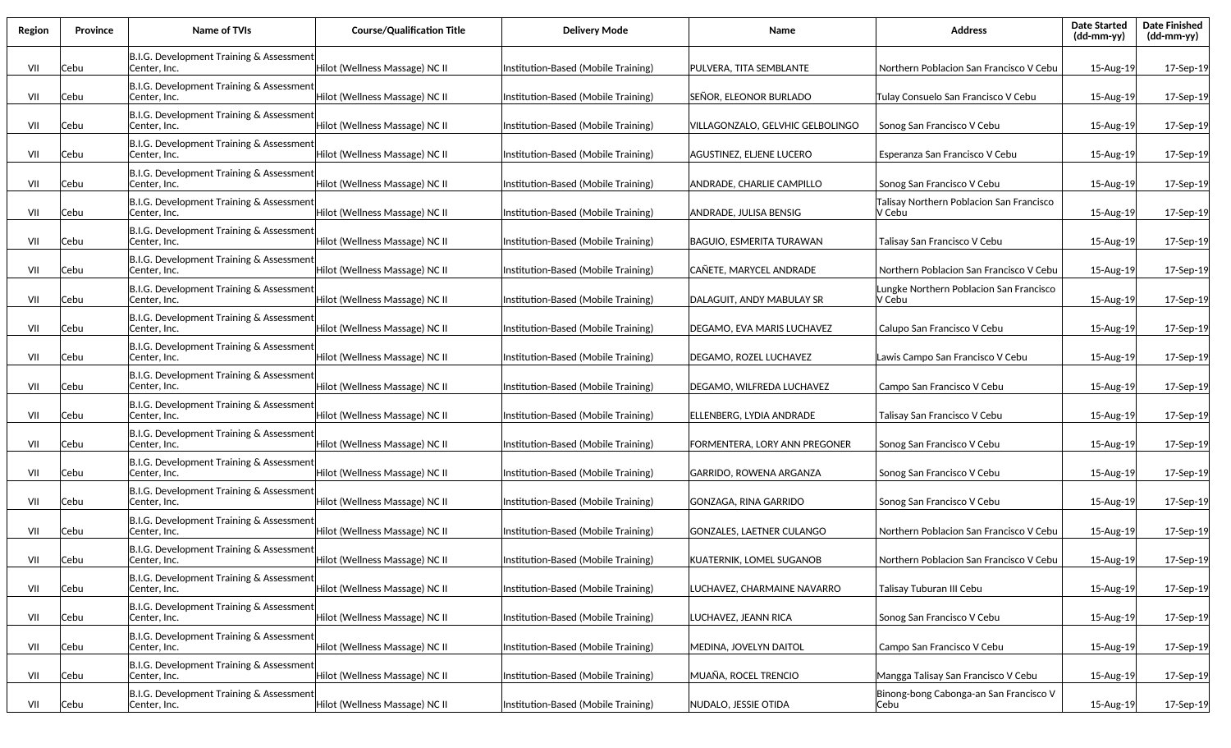| Region | Province | Name of TVIs                                             | <b>Course/Qualification Title</b> | <b>Delivery Mode</b>                | Name                             | <b>Address</b>                                     | <b>Date Started</b><br>$(dd-mm-yy)$ | <b>Date Finished</b><br>(dd-mm-yy) |
|--------|----------|----------------------------------------------------------|-----------------------------------|-------------------------------------|----------------------------------|----------------------------------------------------|-------------------------------------|------------------------------------|
| VII    | Cebu     | B.I.G. Development Training & Assessment<br>Center, Inc. | Hilot (Wellness Massage) NC II    | Institution-Based (Mobile Training) | PULVERA, TITA SEMBLANTE          | Northern Poblacion San Francisco V Cebu            | 15-Aug-19                           | 17-Sep-19                          |
| VII    | Cebu     | B.I.G. Development Training & Assessment<br>Center, Inc. | Hilot (Wellness Massage) NC II    | Institution-Based (Mobile Training) | SEÑOR, ELEONOR BURLADO           | Tulay Consuelo San Francisco V Cebu                | 15-Aug-19                           | 17-Sep-19                          |
| VII    | Cebu     | B.I.G. Development Training & Assessment<br>Center, Inc. | Hilot (Wellness Massage) NC II    | Institution-Based (Mobile Training) | VILLAGONZALO, GELVHIC GELBOLINGO | Sonog San Francisco V Cebu                         | 15-Aug-19                           | 17-Sep-19                          |
| VII    | Cebu     | B.I.G. Development Training & Assessment<br>Center, Inc. | Hilot (Wellness Massage) NC II    | Institution-Based (Mobile Training) | AGUSTINEZ, ELJENE LUCERO         | Esperanza San Francisco V Cebu                     | 15-Aug-19                           | 17-Sep-19                          |
| VII    | Cebu     | B.I.G. Development Training & Assessment<br>Center, Inc. | Hilot (Wellness Massage) NC II    | Institution-Based (Mobile Training) | ANDRADE, CHARLIE CAMPILLO        | Sonog San Francisco V Cebu                         | 15-Aug-19                           | 17-Sep-19                          |
| VII    | Cebu     | B.I.G. Development Training & Assessment<br>Center, Inc. | Hilot (Wellness Massage) NC II    | Institution-Based (Mobile Training) | ANDRADE, JULISA BENSIG           | Talisay Northern Poblacion San Francisco<br>V Cebu | 15-Aug-19                           | 17-Sep-19                          |
| VII    | Cebu     | B.I.G. Development Training & Assessment<br>Center, Inc. | Hilot (Wellness Massage) NC II    | Institution-Based (Mobile Training) | BAGUIO, ESMERITA TURAWAN         | Talisay San Francisco V Cebu                       | 15-Aug-19                           | 17-Sep-19                          |
| VII    | Cebu     | B.I.G. Development Training & Assessment<br>Center, Inc. | Hilot (Wellness Massage) NC II    | Institution-Based (Mobile Training) | CAÑETE. MARYCEL ANDRADE          | Northern Poblacion San Francisco V Cebu            | 15-Aug-19                           | 17-Sep-19                          |
| VII    | Cebu     | B.I.G. Development Training & Assessment<br>Center, Inc. | Hilot (Wellness Massage) NC II    | Institution-Based (Mobile Training) | DALAGUIT, ANDY MABULAY SR        | Lungke Northern Poblacion San Francisco<br>V Cebu  | 15-Aug-19                           | 17-Sep-19                          |
| VII    | Cebu     | B.I.G. Development Training & Assessment<br>Center, Inc. | Hilot (Wellness Massage) NC II    | Institution-Based (Mobile Training) | DEGAMO, EVA MARIS LUCHAVEZ       | Calupo San Francisco V Cebu                        | 15-Aug-19                           | 17-Sep-19                          |
| VII    | Cebu     | B.I.G. Development Training & Assessment<br>Center, Inc. | Hilot (Wellness Massage) NC II    | Institution-Based (Mobile Training) | DEGAMO, ROZEL LUCHAVEZ           | Lawis Campo San Francisco V Cebu                   | 15-Aug-19                           | 17-Sep-19                          |
| VII    | Cebu     | B.I.G. Development Training & Assessment<br>Center, Inc. | Hilot (Wellness Massage) NC II    | Institution-Based (Mobile Training) | DEGAMO, WILFREDA LUCHAVEZ        | Campo San Francisco V Cebu                         | 15-Aug-19                           | 17-Sep-19                          |
| VII    | Cebu     | B.I.G. Development Training & Assessment<br>Center, Inc. | Hilot (Wellness Massage) NC II    | Institution-Based (Mobile Training) | ELLENBERG, LYDIA ANDRADE         | Talisay San Francisco V Cebu                       | 15-Aug-19                           | 17-Sep-19                          |
| VII    | Cebu     | B.I.G. Development Training & Assessment<br>Center, Inc. | Hilot (Wellness Massage) NC II    | Institution-Based (Mobile Training) | FORMENTERA, LORY ANN PREGONER    | Sonog San Francisco V Cebu                         | 15-Aug-19                           | 17-Sep-19                          |
| VII    | Cebu     | B.I.G. Development Training & Assessment<br>Center, Inc. | Hilot (Wellness Massage) NC II    | Institution-Based (Mobile Training) | GARRIDO, ROWENA ARGANZA          | Sonog San Francisco V Cebu                         | 15-Aug-19                           | 17-Sep-19                          |
| VII    | Cebu     | B.I.G. Development Training & Assessment<br>Center, Inc. | Hilot (Wellness Massage) NC II    | Institution-Based (Mobile Training) | GONZAGA, RINA GARRIDO            | Sonog San Francisco V Cebu                         | 15-Aug-19                           | 17-Sep-19                          |
| VII    | Cebu     | B.I.G. Development Training & Assessment<br>Center, Inc. | Hilot (Wellness Massage) NC II    | Institution-Based (Mobile Training) | GONZALES, LAETNER CULANGO        | Northern Poblacion San Francisco V Cebu            | 15-Aug-19                           | 17-Sep-19                          |
| VII    | Cebu     | B.I.G. Development Training & Assessment<br>Center, Inc. | Hilot (Wellness Massage) NC II    | Institution-Based (Mobile Training) | KUATERNIK, LOMEL SUGANOB         | Northern Poblacion San Francisco V Cebu            | 15-Aug-19                           | 17-Sep-19                          |
| VII    | Cebu     | B.I.G. Development Training & Assessment<br>Center, Inc. | Hilot (Wellness Massage) NC II    | Institution-Based (Mobile Training) | LUCHAVEZ, CHARMAINE NAVARRO      | Talisay Tuburan III Cebu                           | 15-Aug-19                           | 17-Sep-19                          |
| VII    | Cebu     | B.I.G. Development Training & Assessment<br>Center, Inc. | Hilot (Wellness Massage) NC II    | Institution-Based (Mobile Training) | LUCHAVEZ, JEANN RICA             | Sonog San Francisco V Cebu                         | 15-Aug-19                           | 17-Sep-19                          |
| VII    | Cebu     | B.I.G. Development Training & Assessment<br>Center, Inc. | Hilot (Wellness Massage) NC II    | Institution-Based (Mobile Training) | MEDINA, JOVELYN DAITOL           | Campo San Francisco V Cebu                         | 15-Aug-19                           | 17-Sep-19                          |
| VII    | Cebu     | B.I.G. Development Training & Assessment<br>Center, Inc. | Hilot (Wellness Massage) NC II    | Institution-Based (Mobile Training) | MUAÑA, ROCEL TRENCIO             | Mangga Talisay San Francisco V Cebu                | 15-Aug-19                           | 17-Sep-19                          |
| VII    | Cebu     | B.I.G. Development Training & Assessment<br>Center, Inc. | Hilot (Wellness Massage) NC II    | Institution-Based (Mobile Training) | NUDALO, JESSIE OTIDA             | Binong-bong Cabonga-an San Francisco V<br> Cebu    | 15-Aug-19                           | 17-Sep-19                          |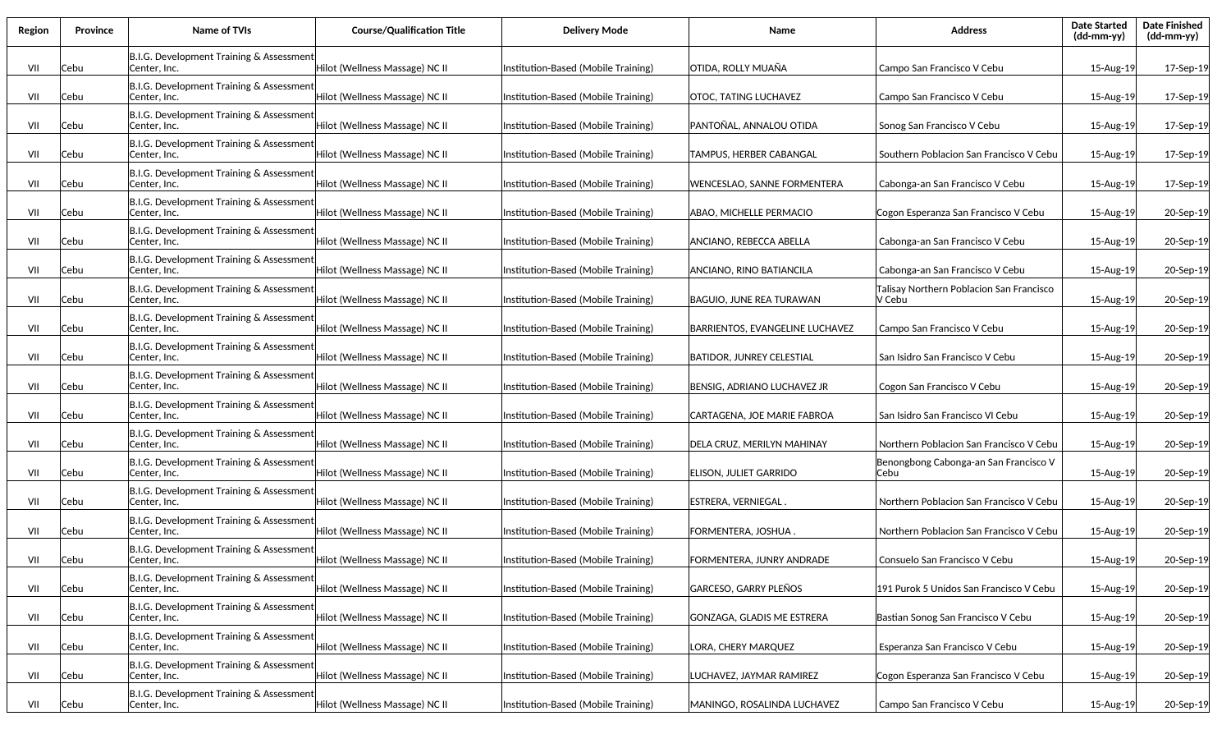| Region | <b>Province</b> | Name of TVIs                                             | <b>Course/Qualification Title</b> | <b>Delivery Mode</b>                | Name                            | <b>Address</b>                                     | <b>Date Started</b><br>(dd-mm-yy) | <b>Date Finished</b><br>(dd-mm-yy) |
|--------|-----------------|----------------------------------------------------------|-----------------------------------|-------------------------------------|---------------------------------|----------------------------------------------------|-----------------------------------|------------------------------------|
| VII    | Cebu            | B.I.G. Development Training & Assessment<br>Center, Inc. | Hilot (Wellness Massage) NC II    | Institution-Based (Mobile Training) | OTIDA, ROLLY MUAÑA              | Campo San Francisco V Cebu                         | 15-Aug-19                         | 17-Sep-19                          |
| VII    | Cebu            | B.I.G. Development Training & Assessment<br>Center, Inc. | Hilot (Wellness Massage) NC II    | Institution-Based (Mobile Training) | OTOC, TATING LUCHAVEZ           | Campo San Francisco V Cebu                         | 15-Aug-19                         | 17-Sep-19                          |
| VII    | Cebu            | B.I.G. Development Training & Assessment<br>Center, Inc. | Hilot (Wellness Massage) NC II    | Institution-Based (Mobile Training) | PANTOÑAL, ANNALOU OTIDA         | Sonog San Francisco V Cebu                         | 15-Aug-19                         | 17-Sep-19                          |
| VII    | Cebu            | B.I.G. Development Training & Assessment<br>Center, Inc. | Hilot (Wellness Massage) NC II    | Institution-Based (Mobile Training) | TAMPUS, HERBER CABANGAL         | Southern Poblacion San Francisco V Cebu            | 15-Aug-19                         | 17-Sep-19                          |
| VII    | Cebu            | B.I.G. Development Training & Assessment<br>Center, Inc. | Hilot (Wellness Massage) NC II    | Institution-Based (Mobile Training) | WENCESLAO, SANNE FORMENTERA     | Cabonga-an San Francisco V Cebu                    | 15-Aug-19                         | 17-Sep-19                          |
| VII    | Cebu            | B.I.G. Development Training & Assessment<br>Center, Inc. | Hilot (Wellness Massage) NC II    | Institution-Based (Mobile Training) | ABAO, MICHELLE PERMACIO         | Cogon Esperanza San Francisco V Cebu               | 15-Aug-19                         | 20-Sep-19                          |
| VII    | Cebu            | B.I.G. Development Training & Assessment<br>Center, Inc. | Hilot (Wellness Massage) NC II    | Institution-Based (Mobile Training) | ANCIANO, REBECCA ABELLA         | Cabonga-an San Francisco V Cebu                    | 15-Aug-19                         | 20-Sep-19                          |
| VII    | Cebu            | B.I.G. Development Training & Assessment<br>Center, Inc. | Hilot (Wellness Massage) NC II    | Institution-Based (Mobile Training) | ANCIANO, RINO BATIANCILA        | Cabonga-an San Francisco V Cebu                    | 15-Aug-19                         | 20-Sep-19                          |
| VII    | Cebu            | B.I.G. Development Training & Assessment<br>Center, Inc. | Hilot (Wellness Massage) NC II    | Institution-Based (Mobile Training) | BAGUIO. JUNE REA TURAWAN        | Talisay Northern Poblacion San Francisco<br>V Cebu | 15-Aug-19                         | 20-Sep-19                          |
| VII    | Cebu            | B.I.G. Development Training & Assessment<br>Center, Inc. | Hilot (Wellness Massage) NC II    | Institution-Based (Mobile Training) | BARRIENTOS, EVANGELINE LUCHAVEZ | Campo San Francisco V Cebu                         | 15-Aug-19                         | 20-Sep-19                          |
| VII    | Cebu            | B.I.G. Development Training & Assessment<br>Center, Inc. | Hilot (Wellness Massage) NC II    | Institution-Based (Mobile Training) | BATIDOR, JUNREY CELESTIAL       | San Isidro San Francisco V Cebu                    | 15-Aug-19                         | 20-Sep-19                          |
| VII    | Cebu            | B.I.G. Development Training & Assessment<br>Center, Inc. | Hilot (Wellness Massage) NC II    | Institution-Based (Mobile Training) | BENSIG, ADRIANO LUCHAVEZ JR     | Cogon San Francisco V Cebu                         | 15-Aug-19                         | 20-Sep-19                          |
| VII    | Cebu            | B.I.G. Development Training & Assessment<br>Center, Inc. | Hilot (Wellness Massage) NC II    | Institution-Based (Mobile Training) | CARTAGENA, JOE MARIE FABROA     | San Isidro San Francisco VI Cebu                   | 15-Aug-19                         | 20-Sep-19                          |
| VII    | Cebu            | B.I.G. Development Training & Assessment<br>Center, Inc. | Hilot (Wellness Massage) NC II    | Institution-Based (Mobile Training) | DELA CRUZ, MERILYN MAHINAY      | Northern Poblacion San Francisco V Cebu            | 15-Aug-19                         | 20-Sep-19                          |
| VII    | Cebu            | B.I.G. Development Training & Assessment<br>Center, Inc. | Hilot (Wellness Massage) NC II    | Institution-Based (Mobile Training) | ELISON, JULIET GARRIDO          | Benongbong Cabonga-an San Francisco V<br>Cebu      | 15-Aug-19                         | 20-Sep-19                          |
| VII    | Cebu            | B.I.G. Development Training & Assessment<br>Center, Inc. | Hilot (Wellness Massage) NC II    | Institution-Based (Mobile Training) | ESTRERA. VERNIEGAL.             | Northern Poblacion San Francisco V Cebu            | 15-Aug-19                         | 20-Sep-19                          |
| VII    | Cebu            | B.I.G. Development Training & Assessment<br>Center, Inc. | Hilot (Wellness Massage) NC II    | Institution-Based (Mobile Training) | FORMENTERA, JOSHUA .            | Northern Poblacion San Francisco V Cebu            | 15-Aug-19                         | 20-Sep-19                          |
| VII    | Cebu            | B.I.G. Development Training & Assessment<br>Center, Inc. | Hilot (Wellness Massage) NC II    | Institution-Based (Mobile Training) | FORMENTERA, JUNRY ANDRADE       | Consuelo San Francisco V Cebu                      | 15-Aug-19                         | 20-Sep-19                          |
| VII    | Cebu            | B.I.G. Development Training & Assessment<br>Center, Inc. | Hilot (Wellness Massage) NC II    | Institution-Based (Mobile Training) | GARCESO, GARRY PLEÑOS           | 191 Purok 5 Unidos San Francisco V Cebu            | 15-Aug-19                         | 20-Sep-19                          |
| VII    | Cebu            | B.I.G. Development Training & Assessment<br>Center, Inc. | Hilot (Wellness Massage) NC II    | Institution-Based (Mobile Training) | GONZAGA, GLADIS ME ESTRERA      | Bastian Sonog San Francisco V Cebu                 | 15-Aug-19                         | 20-Sep-19                          |
| VII    | Cebu            | B.I.G. Development Training & Assessment<br>Center, Inc. | Hilot (Wellness Massage) NC II    | Institution-Based (Mobile Training) | LORA, CHERY MARQUEZ             | Esperanza San Francisco V Cebu                     | 15-Aug-19                         | 20-Sep-19                          |
| VII    | Cebu            | B.I.G. Development Training & Assessment<br>Center, Inc. | Hilot (Wellness Massage) NC II    | Institution-Based (Mobile Training) | LUCHAVEZ, JAYMAR RAMIREZ        | Cogon Esperanza San Francisco V Cebu               | 15-Aug-19                         | 20-Sep-19                          |
| VII    | Cebu            | B.I.G. Development Training & Assessment<br>Center, Inc. | Hilot (Wellness Massage) NC II    | Institution-Based (Mobile Training) | MANINGO, ROSALINDA LUCHAVEZ     | Campo San Francisco V Cebu                         | 15-Aug-19                         | 20-Sep-19                          |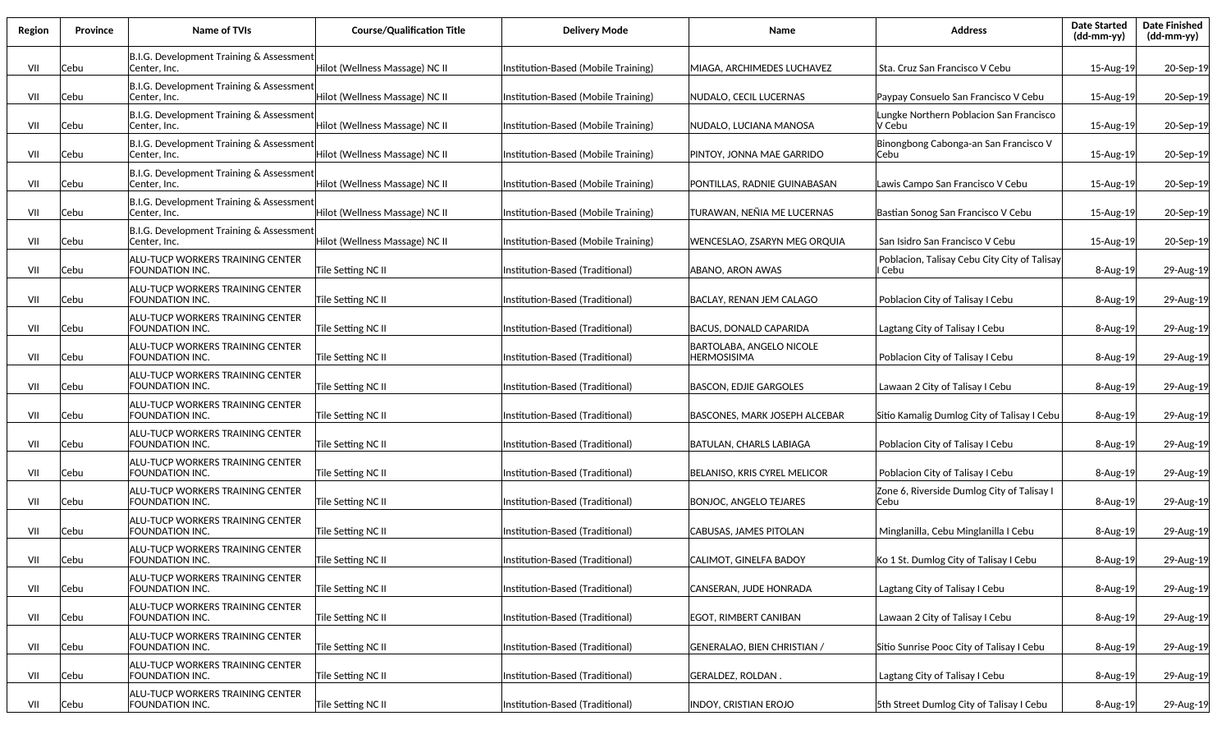| Region | <b>Province</b> | Name of TVIs                                               | <b>Course/Qualification Title</b> | <b>Delivery Mode</b>                | Name                                                  | <b>Address</b>                                         | <b>Date Started</b><br>(dd-mm-yy) | <b>Date Finished</b><br>(dd-mm-yy) |
|--------|-----------------|------------------------------------------------------------|-----------------------------------|-------------------------------------|-------------------------------------------------------|--------------------------------------------------------|-----------------------------------|------------------------------------|
| VII    | Cebu            | B.I.G. Development Training & Assessment<br>Center, Inc.   | Hilot (Wellness Massage) NC II    | Institution-Based (Mobile Training) | MIAGA, ARCHIMEDES LUCHAVEZ                            | Sta. Cruz San Francisco V Cebu                         | 15-Aug-19                         | 20-Sep-19                          |
| VII    | Cebu            | B.I.G. Development Training & Assessment<br>Center, Inc.   | Hilot (Wellness Massage) NC II    | Institution-Based (Mobile Training) | NUDALO, CECIL LUCERNAS                                | Paypay Consuelo San Francisco V Cebu                   | 15-Aug-19                         | 20-Sep-19                          |
| VII    | Cebu            | B.I.G. Development Training & Assessment<br>Center, Inc.   | Hilot (Wellness Massage) NC II    | Institution-Based (Mobile Training) | NUDALO, LUCIANA MANOSA                                | Lungke Northern Poblacion San Francisco<br>V Cebu      | 15-Aug-19                         | 20-Sep-19                          |
| VII    | Cebu            | B.I.G. Development Training & Assessment<br>Center, Inc.   | Hilot (Wellness Massage) NC II    | Institution-Based (Mobile Training) | PINTOY, JONNA MAE GARRIDO                             | Binongbong Cabonga-an San Francisco V<br>lCebu         | 15-Aug-19                         | 20-Sep-19                          |
| VII    | Cebu            | B.I.G. Development Training & Assessment<br>Center, Inc.   | Hilot (Wellness Massage) NC II    | Institution-Based (Mobile Training) | PONTILLAS. RADNIE GUINABASAN                          | Lawis Campo San Francisco V Cebu                       | 15-Aug-19                         | 20-Sep-19                          |
| VII    | Cebu            | B.I.G. Development Training & Assessment<br>Center, Inc.   | Hilot (Wellness Massage) NC II    | Institution-Based (Mobile Training) | TURAWAN, NEÑIA ME LUCERNAS                            | Bastian Sonog San Francisco V Cebu                     | 15-Aug-19                         | 20-Sep-19                          |
| VII    | Cebu            | B.I.G. Development Training & Assessment<br>Center, Inc.   | Hilot (Wellness Massage) NC II    | Institution-Based (Mobile Training) | WENCESLAO, ZSARYN MEG ORQUIA                          | San Isidro San Francisco V Cebu                        | 15-Aug-19                         | 20-Sep-19                          |
| VII    | Cebu            | ALU-TUCP WORKERS TRAINING CENTER<br>FOUNDATION INC.        | Tile Setting NC II                | Institution-Based (Traditional)     | ABANO, ARON AWAS                                      | Poblacion, Talisay Cebu City City of Talisay<br>I Cebu | 8-Aug-19                          | 29-Aug-19                          |
| VII    | Cebu            | ALU-TUCP WORKERS TRAINING CENTER<br>FOUNDATION INC.        | Tile Setting NC II                | Institution-Based (Traditional)     | BACLAY, RENAN JEM CALAGO                              | Poblacion City of Talisay I Cebu                       | 8-Aug-19                          | 29-Aug-19                          |
| VII    | Cebu            | ALU-TUCP WORKERS TRAINING CENTER<br>FOUNDATION INC.        | Tile Setting NC II                | Institution-Based (Traditional)     | BACUS, DONALD CAPARIDA                                | Lagtang City of Talisay I Cebu                         | 8-Aug-19                          | 29-Aug-19                          |
| VII    | Cebu            | ALU-TUCP WORKERS TRAINING CENTER<br>FOUNDATION INC.        | Tile Setting NC II                | Institution-Based (Traditional)     | <b>BARTOLABA, ANGELO NICOLE</b><br><b>HERMOSISIMA</b> | Poblacion City of Talisay I Cebu                       | $8 - Aug-19$                      | 29-Aug-19                          |
| VII    | Cebu            | ALU-TUCP WORKERS TRAINING CENTER<br>FOUNDATION INC.        | Tile Setting NC II                | Institution-Based (Traditional)     | <b>BASCON, EDJIE GARGOLES</b>                         | Lawaan 2 City of Talisay I Cebu                        | $8 - Aug-19$                      | 29-Aug-19                          |
| VII    | Cebu            | ALU-TUCP WORKERS TRAINING CENTER<br>FOUNDATION INC.        | Tile Setting NC II                | Institution-Based (Traditional)     | <b>BASCONES, MARK JOSEPH ALCEBAR</b>                  | Sitio Kamalig Dumlog City of Talisay I Cebu            | $8 - Aug-19$                      | 29-Aug-19                          |
| VII    | Cebu            | ALU-TUCP WORKERS TRAINING CENTER<br>FOUNDATION INC.        | Tile Setting NC II                | nstitution-Based (Traditional)      | BATULAN, CHARLS LABIAGA                               | Poblacion City of Talisay I Cebu                       | 8-Aug-19                          | 29-Aug-19                          |
| VII    | Cebu            | ALU-TUCP WORKERS TRAINING CENTER<br>FOUNDATION INC.        | Tile Setting NC II                | nstitution-Based (Traditional)      | BELANISO, KRIS CYREL MELICOR                          | Poblacion City of Talisay I Cebu                       | 8-Aug-19                          | 29-Aug-19                          |
| VII    | Cebu            | ALU-TUCP WORKERS TRAINING CENTER<br>FOUNDATION INC.        | Tile Setting NC II                | Institution-Based (Traditional)     | <b>BONJOC, ANGELO TEJARES</b>                         | Zone 6, Riverside Dumlog City of Talisay I<br>Cebu     | 8-Aug-19                          | 29-Aug-19                          |
| VII    | Cebu            | ALU-TUCP WORKERS TRAINING CENTER<br>FOUNDATION INC.        | Tile Setting NC II                | Institution-Based (Traditional)     | CABUSAS, JAMES PITOLAN                                | Minglanilla, Cebu Minglanilla I Cebu                   | 8-Aug-19                          | 29-Aug-19                          |
| VII    | Cebu            | ALU-TUCP WORKERS TRAINING CENTER<br>FOUNDATION INC.        | Tile Setting NC II                | Institution-Based (Traditional)     | CALIMOT, GINELFA BADOY                                | Ko 1 St. Dumlog City of Talisay I Cebu                 | $8 - Aug-19$                      | 29-Aug-19                          |
| VII    | Cebu            | <b>ALU-TUCP WORKERS TRAINING CENTER</b><br>FOUNDATION INC. | Tile Setting NC II                | Institution-Based (Traditional)     | CANSERAN, JUDE HONRADA                                | Lagtang City of Talisay I Cebu                         | 8-Aug-19                          | 29-Aug-19                          |
| VII    | Cebu            | ALU-TUCP WORKERS TRAINING CENTER<br>FOUNDATION INC.        | Tile Setting NC II                | Institution-Based (Traditional)     | EGOT, RIMBERT CANIBAN                                 | Lawaan 2 City of Talisay I Cebu                        | 8-Aug-19                          | 29-Aug-19                          |
| VII    | Cebu            | ALU-TUCP WORKERS TRAINING CENTER<br>FOUNDATION INC.        | Tile Setting NC II                | Institution-Based (Traditional)     | GENERALAO, BIEN CHRISTIAN /                           | Sitio Sunrise Pooc City of Talisay I Cebu              | 8-Aug-19                          | 29-Aug-19                          |
| VII    | Cebu            | <b>ALU-TUCP WORKERS TRAINING CENTER</b><br>FOUNDATION INC. | Tile Setting NC II                | Institution-Based (Traditional)     | GERALDEZ, ROLDAN.                                     | Lagtang City of Talisay I Cebu                         | 8-Aug-19                          | 29-Aug-19                          |
| VII    | Cebu            | <b>ALU-TUCP WORKERS TRAINING CENTER</b><br>FOUNDATION INC. | Tile Setting NC II                | Institution-Based (Traditional)     | INDOY, CRISTIAN EROJO                                 | 5th Street Dumlog City of Talisay I Cebu               | 8-Aug-19                          | 29-Aug-19                          |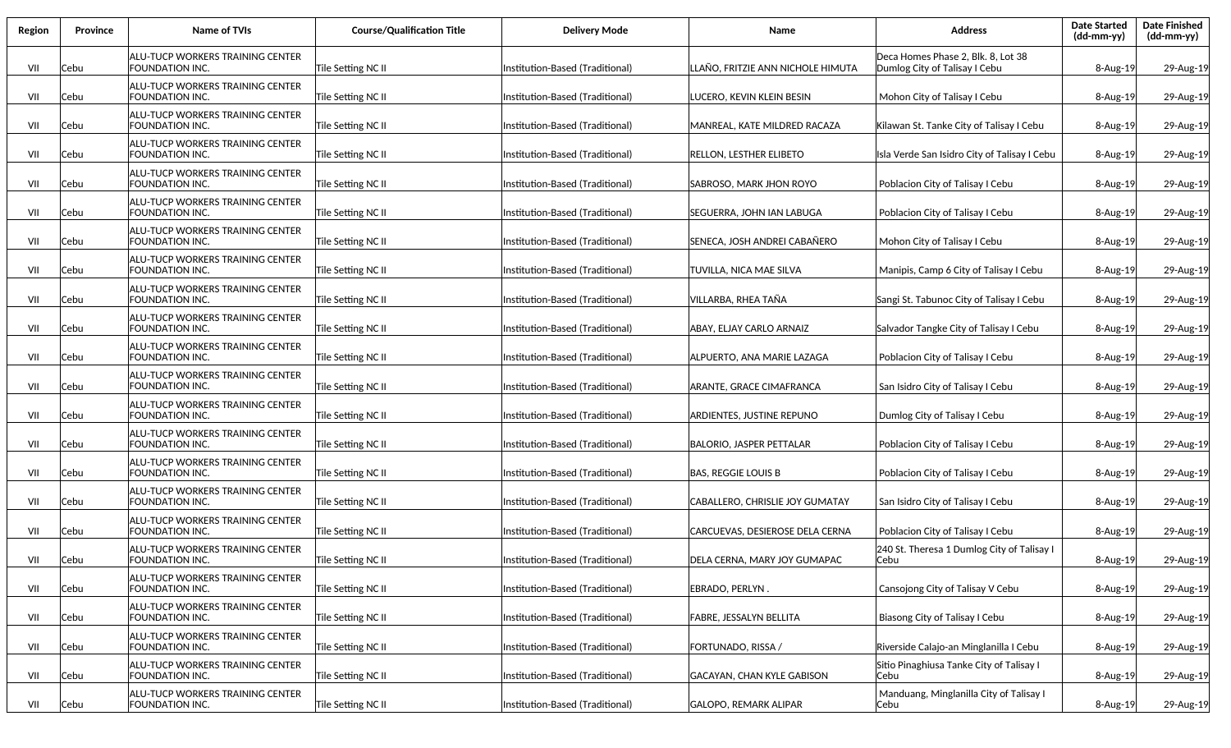| Region | Province | <b>Name of TVIs</b>                                 | <b>Course/Qualification Title</b> | <b>Delivery Mode</b>             | Name                              | <b>Address</b>                                                      | <b>Date Started</b><br>(dd-mm-yy) | <b>Date Finished</b><br>(dd-mm-yy) |
|--------|----------|-----------------------------------------------------|-----------------------------------|----------------------------------|-----------------------------------|---------------------------------------------------------------------|-----------------------------------|------------------------------------|
| VII    | Cebu     | ALU-TUCP WORKERS TRAINING CENTER<br>FOUNDATION INC. | Tile Setting NC II                | Institution-Based (Traditional)  | LLAÑO, FRITZIE ANN NICHOLE HIMUTA | Deca Homes Phase 2, Blk. 8, Lot 38<br>Dumlog City of Talisay I Cebu | 8-Aug-19                          | 29-Aug-19                          |
| VII    | Cebu     | ALU-TUCP WORKERS TRAINING CENTER<br>FOUNDATION INC. | Tile Setting NC II                | Institution-Based (Traditional)  | LUCERO, KEVIN KLEIN BESIN         | Mohon City of Talisay I Cebu                                        | 8-Aug-19                          | 29-Aug-19                          |
| VII    | Cebu     | ALU-TUCP WORKERS TRAINING CENTER<br>FOUNDATION INC. | Tile Setting NC II                | Institution-Based (Traditional)  | MANREAL, KATE MILDRED RACAZA      | Kilawan St. Tanke City of Talisay I Cebu                            | 8-Aug-19                          | 29-Aug-19                          |
| VII    | Cebu     | ALU-TUCP WORKERS TRAINING CENTER<br>FOUNDATION INC. | Tile Setting NC II                | Institution-Based (Traditional)  | <b>RELLON, LESTHER ELIBETO</b>    | Isla Verde San Isidro City of Talisay I Cebu                        | 8-Aug-19                          | 29-Aug-19                          |
| VII    | Cebu     | ALU-TUCP WORKERS TRAINING CENTER<br>FOUNDATION INC. | Tile Setting NC II                | Institution-Based (Traditional)  | SABROSO, MARK JHON ROYO           | Poblacion City of Talisay I Cebu                                    | 8-Aug-19                          | 29-Aug-19                          |
| VII    | Cebu     | ALU-TUCP WORKERS TRAINING CENTER<br>FOUNDATION INC. | Tile Setting NC II                | Institution-Based (Traditional)  | <b>SEGUERRA, JOHN IAN LABUGA</b>  | Poblacion City of Talisay I Cebu                                    | 8-Aug-19                          | 29-Aug-19                          |
| VII    | Cebu     | ALU-TUCP WORKERS TRAINING CENTER<br>FOUNDATION INC. | Tile Setting NC II                | Institution-Based (Traditional)  | SENECA, JOSH ANDREI CABAÑERO      | Mohon City of Talisay I Cebu                                        | $8 - Aug-19$                      | 29-Aug-19                          |
| VII    | Cebu     | ALU-TUCP WORKERS TRAINING CENTER<br>FOUNDATION INC. | Tile Setting NC II                | Institution-Based (Traditional)  | TUVILLA, NICA MAE SILVA           | Manipis, Camp 6 City of Talisay I Cebu                              | 8-Aug-19                          | 29-Aug-19                          |
| VII    | Cebu     | ALU-TUCP WORKERS TRAINING CENTER<br>FOUNDATION INC. | Tile Setting NC II                | Institution-Based (Traditional)  | VILLARBA, RHEA TAÑA               | Sangi St. Tabunoc City of Talisay I Cebu                            | $8 - Aug-19$                      | 29-Aug-19                          |
| VII    | Cebu     | ALU-TUCP WORKERS TRAINING CENTER<br>FOUNDATION INC. | Tile Setting NC II                | Institution-Based (Traditional)  | ABAY, ELJAY CARLO ARNAIZ          | Salvador Tangke City of Talisay I Cebu                              | 8-Aug-19                          | 29-Aug-19                          |
| VII    | Cebu     | ALU-TUCP WORKERS TRAINING CENTER<br>FOUNDATION INC. | Tile Setting NC II                | Institution-Based (Traditional)  | ALPUERTO, ANA MARIE LAZAGA        | Poblacion City of Talisay I Cebu                                    | 8-Aug-19                          | 29-Aug-19                          |
| VII    | Cebu     | ALU-TUCP WORKERS TRAINING CENTER<br>FOUNDATION INC. | Tile Setting NC II                | Institution-Based (Traditional)  | <b>ARANTE, GRACE CIMAFRANCA</b>   | San Isidro City of Talisay I Cebu                                   | 8-Aug-19                          | 29-Aug-19                          |
| VII    | Cebu     | ALU-TUCP WORKERS TRAINING CENTER<br>FOUNDATION INC. | Tile Setting NC II                | Institution-Based (Traditional)  | <b>ARDIENTES, JUSTINE REPUNO</b>  | Dumlog City of Talisay I Cebu                                       | $8 - Aug-19$                      | 29-Aug-19                          |
| VII    | Cebu     | ALU-TUCP WORKERS TRAINING CENTER<br>FOUNDATION INC. | Tile Setting NC II                | Institution-Based (Traditional)  | BALORIO, JASPER PETTALAR          | Poblacion City of Talisay I Cebu                                    | 8-Aug-19                          | 29-Aug-19                          |
| VII    | Cebu     | ALU-TUCP WORKERS TRAINING CENTER<br>FOUNDATION INC. | Tile Setting NC II                | Institution-Based (Traditional)  | <b>BAS, REGGIE LOUIS B</b>        | Poblacion City of Talisay I Cebu                                    | 8-Aug-19                          | 29-Aug-19                          |
| VII    | Cebu     | ALU-TUCP WORKERS TRAINING CENTER<br>FOUNDATION INC. | Tile Setting NC II                | Institution-Based (Traditional)  | CABALLERO, CHRISLIE JOY GUMATAY   | San Isidro City of Talisay I Cebu                                   | 8-Aug-19                          | 29-Aug-19                          |
| VII    | Cebu     | ALU-TUCP WORKERS TRAINING CENTER<br>FOUNDATION INC. | Tile Setting NC II                | Institution-Based (Traditional)  | CARCUEVAS, DESIEROSE DELA CERNA   | Poblacion City of Talisay I Cebu                                    | 8-Aug-19                          | 29-Aug-19                          |
| VII    | Cebu     | ALU-TUCP WORKERS TRAINING CENTER<br>FOUNDATION INC. | Tile Setting NC II                | (Institution-Based (Traditional) | DELA CERNA, MARY JOY GUMAPAC      | 240 St. Theresa 1 Dumlog City of Talisay I<br> Cebu                 | $8 - Aug-19$                      | 29-Aug-19                          |
| VII    | Cebu     | ALU-TUCP WORKERS TRAINING CENTER<br>FOUNDATION INC. | Tile Setting NC II                | Institution-Based (Traditional)  | EBRADO, PERLYN.                   | Cansojong City of Talisay V Cebu                                    | 8-Aug-19                          | 29-Aug-19                          |
| VII    | Cebu     | ALU-TUCP WORKERS TRAINING CENTER<br>FOUNDATION INC. | Tile Setting NC II                | Institution-Based (Traditional)  | <b>FABRE, JESSALYN BELLITA</b>    | Biasong City of Talisay I Cebu                                      | 8-Aug-19                          | 29-Aug-19                          |
| VII    | Cebu     | ALU-TUCP WORKERS TRAINING CENTER<br>FOUNDATION INC. | Tile Setting NC II                | Institution-Based (Traditional)  | FORTUNADO, RISSA /                | Riverside Calajo-an Minglanilla I Cebu                              | 8-Aug-19                          | 29-Aug-19                          |
| VII    | Cebu     | ALU-TUCP WORKERS TRAINING CENTER<br>FOUNDATION INC. | Tile Setting NC II                | Institution-Based (Traditional)  | GACAYAN, CHAN KYLE GABISON        | Sitio Pinaghiusa Tanke City of Talisay I<br> Cebu                   | 8-Aug-19                          | 29-Aug-19                          |
| VII    | Cebu     | ALU-TUCP WORKERS TRAINING CENTER<br>FOUNDATION INC. | Tile Setting NC II                | Institution-Based (Traditional)  | GALOPO, REMARK ALIPAR             | Manduang, Minglanilla City of Talisay I<br> Cebu                    | 8-Aug-19                          | 29-Aug-19                          |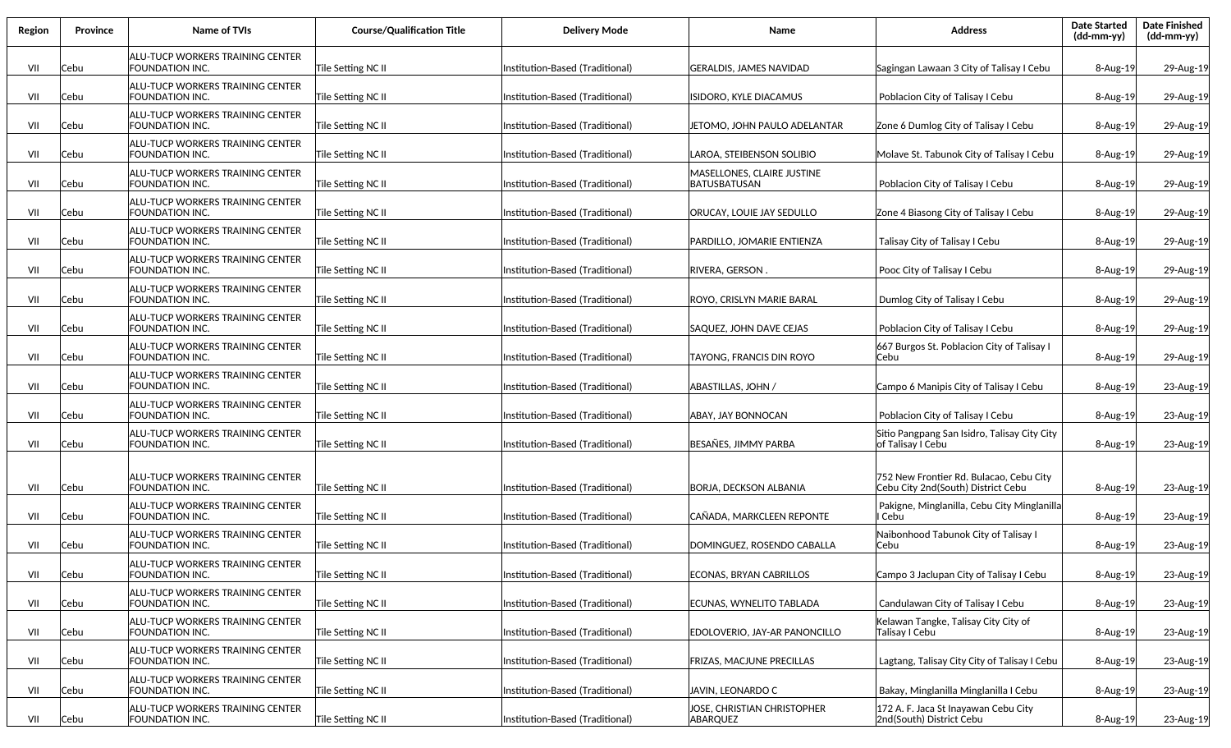| Region | Province | <b>Name of TVIs</b>                                        | <b>Course/Qualification Title</b> | <b>Delivery Mode</b>            | Name                                              | <b>Address</b>                                                                | <b>Date Started</b><br>$(dd-mm-yy)$ | <b>Date Finished</b><br>(dd-mm-yy) |
|--------|----------|------------------------------------------------------------|-----------------------------------|---------------------------------|---------------------------------------------------|-------------------------------------------------------------------------------|-------------------------------------|------------------------------------|
| VII    | Cebu     | ALU-TUCP WORKERS TRAINING CENTER<br>FOUNDATION INC.        | Tile Setting NC II                | Institution-Based (Traditional) | GERALDIS, JAMES NAVIDAD                           | Sagingan Lawaan 3 City of Talisay I Cebu                                      | 8-Aug-19                            | 29-Aug-19                          |
| VII    | Cebu     | ALU-TUCP WORKERS TRAINING CENTER<br>FOUNDATION INC.        | Tile Setting NC II                | Institution-Based (Traditional) | SIDORO, KYLE DIACAMUS                             | Poblacion City of Talisay I Cebu                                              | 8-Aug-19                            | 29-Aug-19                          |
| VII    | Cebu     | ALU-TUCP WORKERS TRAINING CENTER<br><b>FOUNDATION INC.</b> | Tile Setting NC II                | Institution-Based (Traditional) | IETOMO, JOHN PAULO ADELANTAR                      | Zone 6 Dumlog City of Talisay I Cebu                                          | 8-Aug-19                            | 29-Aug-19                          |
| VII    | Cebu     | ALU-TUCP WORKERS TRAINING CENTER<br>FOUNDATION INC.        | Tile Setting NC II                | Institution-Based (Traditional) | LAROA, STEIBENSON SOLIBIO                         | Molave St. Tabunok City of Talisay I Cebu                                     | 8-Aug-19                            | 29-Aug-19                          |
| VII    | Cebu     | ALU-TUCP WORKERS TRAINING CENTER<br>FOUNDATION INC.        | Tile Setting NC II                | Institution-Based (Traditional) | MASELLONES, CLAIRE JUSTINE<br><b>BATUSBATUSAN</b> | Poblacion City of Talisay I Cebu                                              | 8-Aug-19                            | 29-Aug-19                          |
| VII    | Cebu     | ALU-TUCP WORKERS TRAINING CENTER<br>FOUNDATION INC.        | Tile Setting NC II                | Institution-Based (Traditional) | ORUCAY, LOUIE JAY SEDULLO                         | Zone 4 Biasong City of Talisay I Cebu                                         | 8-Aug-19                            | 29-Aug-19                          |
| VII    | Cebu     | ALU-TUCP WORKERS TRAINING CENTER<br>FOUNDATION INC.        | Tile Setting NC II                | Institution-Based (Traditional) | PARDILLO, JOMARIE ENTIENZA                        | Talisay City of Talisay I Cebu                                                | 8-Aug-19                            | 29-Aug-19                          |
| VII    | Cebu     | ALU-TUCP WORKERS TRAINING CENTER<br><b>FOUNDATION INC.</b> | Tile Setting NC II                | Institution-Based (Traditional) | RIVERA, GERSON.                                   | Pooc City of Talisay I Cebu                                                   | 8-Aug-19                            | 29-Aug-19                          |
| VII    | Cebu     | ALU-TUCP WORKERS TRAINING CENTER<br>FOUNDATION INC.        | Tile Setting NC II                | Institution-Based (Traditional) | ROYO, CRISLYN MARIE BARAL                         | Dumlog City of Talisay I Cebu                                                 | 8-Aug-19                            | 29-Aug-19                          |
| VII    | Cebu     | ALU-TUCP WORKERS TRAINING CENTER<br><b>FOUNDATION INC.</b> | Tile Setting NC II                | Institution-Based (Traditional) | SAQUEZ, JOHN DAVE CEJAS                           | Poblacion City of Talisay I Cebu                                              | 8-Aug-19                            | 29-Aug-19                          |
| VII    | Cebu     | ALU-TUCP WORKERS TRAINING CENTER<br>FOUNDATION INC.        | Tile Setting NC II                | Institution-Based (Traditional) | TAYONG, FRANCIS DIN ROYO                          | 667 Burgos St. Poblacion City of Talisay I<br>Cebu                            | 8-Aug-19                            | 29-Aug-19                          |
| VII    | Cebu     | ALU-TUCP WORKERS TRAINING CENTER<br>FOUNDATION INC.        | Tile Setting NC II                | Institution-Based (Traditional) | ABASTILLAS, JOHN /                                | Campo 6 Manipis City of Talisay I Cebu                                        | 8-Aug-19                            | 23-Aug-19                          |
| VII    | Cebu     | ALU-TUCP WORKERS TRAINING CENTER<br>FOUNDATION INC.        | Tile Setting NC II                | Institution-Based (Traditional) | ABAY, JAY BONNOCAN                                | Poblacion City of Talisay I Cebu                                              | 8-Aug-19                            | 23-Aug-19                          |
| VII    | Cebu     | ALU-TUCP WORKERS TRAINING CENTER<br>FOUNDATION INC.        | Tile Setting NC II                | Institution-Based (Traditional) | BESAÑES, JIMMY PARBA                              | Sitio Pangpang San Isidro, Talisay City City<br>of Talisay I Cebu             | 8-Aug-19                            | 23-Aug-19                          |
| VII    | Cebu     | ALU-TUCP WORKERS TRAINING CENTER<br>FOUNDATION INC.        | Tile Setting NC II                | Institution-Based (Traditional) | <b>BORJA, DECKSON ALBANIA</b>                     | 752 New Frontier Rd. Bulacao, Cebu City<br>Cebu City 2nd(South) District Cebu | 8-Aug-19                            | 23-Aug-19                          |
| VII    | Cebu     | ALU-TUCP WORKERS TRAINING CENTER<br>FOUNDATION INC.        | Tile Setting NC II                | Institution-Based (Traditional) | CAÑADA, MARKCLEEN REPONTE                         | Pakigne, Minglanilla, Cebu City Minglanilla<br>I Cebu                         | 8-Aug-19                            | 23-Aug-19                          |
| VII    | Cebu     | ALU-TUCP WORKERS TRAINING CENTER<br>FOUNDATION INC.        | Tile Setting NC II                | nstitution-Based (Traditional)  | DOMINGUEZ, ROSENDO CABALLA                        | Naibonhood Tabunok City of Talisay I<br>Cebu                                  | 8-Aug-19                            | 23-Aug-19                          |
| VII    | Cebu     | ALU-TUCP WORKERS TRAINING CENTER<br>FOUNDATION INC.        | Tile Setting NC II                | Institution-Based (Traditional) | <b>ECONAS, BRYAN CABRILLOS</b>                    | Campo 3 Jaclupan City of Talisay I Cebu                                       | 8-Aug-19                            | 23-Aug-19                          |
| VII    | Cebu     | ALU-TUCP WORKERS TRAINING CENTER<br>FOUNDATION INC.        | Tile Setting NC II                | Institution-Based (Traditional) | ECUNAS, WYNELITO TABLADA                          | Candulawan City of Talisay I Cebu                                             | 8-Aug-19                            | 23-Aug-19                          |
| VII    | Cebu     | ALU-TUCP WORKERS TRAINING CENTER<br>FOUNDATION INC.        | Tile Setting NC II                | Institution-Based (Traditional) | <b>EDOLOVERIO, JAY-AR PANONCILLO</b>              | Kelawan Tangke, Talisay City City of<br>Talisay I Cebu                        | 8-Aug-19                            | 23-Aug-19                          |
| VII    | Cebu     | ALU-TUCP WORKERS TRAINING CENTER<br>FOUNDATION INC.        | Tile Setting NC II                | Institution-Based (Traditional) | FRIZAS, MACJUNE PRECILLAS                         | Lagtang, Talisay City City of Talisay I Cebu                                  | 8-Aug-19                            | 23-Aug-19                          |
| VII    | Cebu     | ALU-TUCP WORKERS TRAINING CENTER<br>FOUNDATION INC.        | Tile Setting NC II                | Institution-Based (Traditional) | JAVIN, LEONARDO C                                 | Bakay, Minglanilla Minglanilla I Cebu                                         | 8-Aug-19                            | 23-Aug-19                          |
| VII    | Cebu     | ALU-TUCP WORKERS TRAINING CENTER<br>FOUNDATION INC.        | Tile Setting NC II                | Institution-Based (Traditional) | IOSE, CHRISTIAN CHRISTOPHER<br>ABARQUEZ           | 172 A. F. Jaca St Inayawan Cebu City<br>2nd(South) District Cebu              | 8-Aug-19                            | 23-Aug-19                          |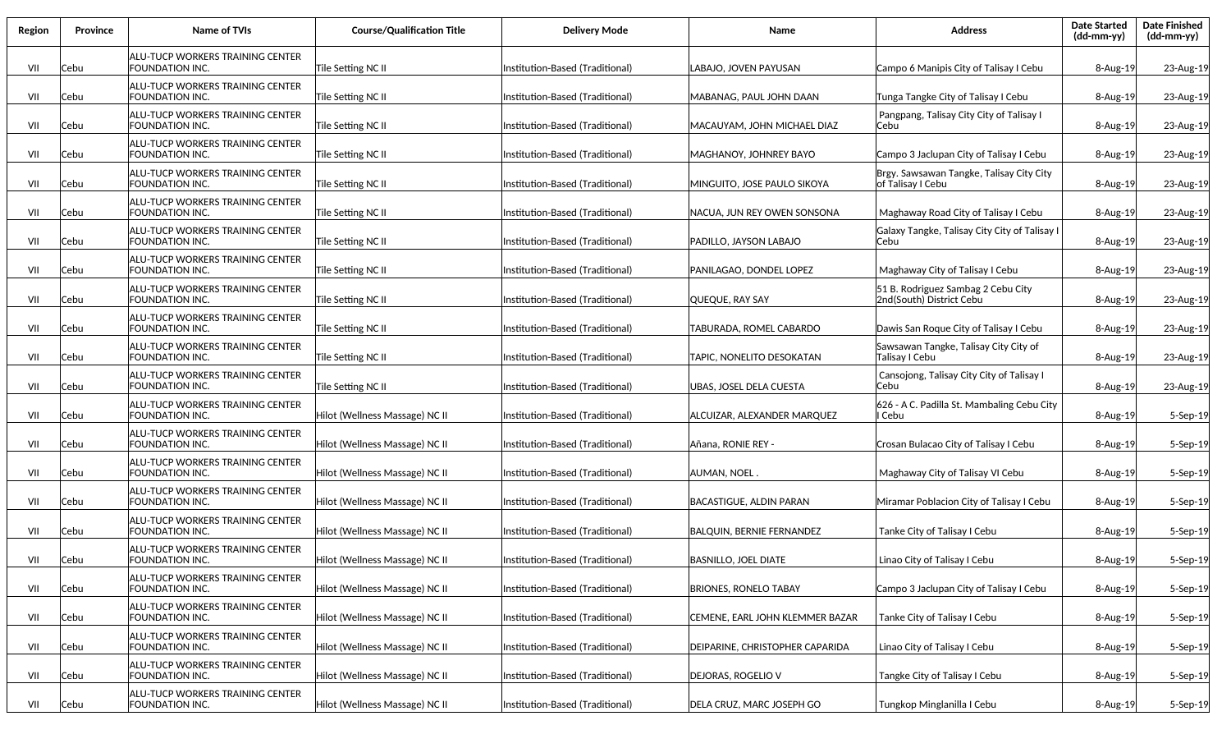| Region | Province | <b>Name of TVIs</b>                                        | <b>Course/Qualification Title</b> | <b>Delivery Mode</b>            | Name                             | <b>Address</b>                                                 | <b>Date Started</b><br>(dd-mm-yy) | <b>Date Finished</b><br>(dd-mm-yy) |
|--------|----------|------------------------------------------------------------|-----------------------------------|---------------------------------|----------------------------------|----------------------------------------------------------------|-----------------------------------|------------------------------------|
| VII    | Cebu     | ALU-TUCP WORKERS TRAINING CENTER<br>FOUNDATION INC.        | Tile Setting NC II                | Institution-Based (Traditional) | LABAJO, JOVEN PAYUSAN            | Campo 6 Manipis City of Talisay I Cebu                         | 8-Aug-19                          | 23-Aug-19                          |
| VII    | Cebu     | ALU-TUCP WORKERS TRAINING CENTER<br>FOUNDATION INC.        | Tile Setting NC II                | Institution-Based (Traditional) | MABANAG, PAUL JOHN DAAN          | Tunga Tangke City of Talisay I Cebu                            | 8-Aug-19                          | 23-Aug-19                          |
| VII    | Cebu     | ALU-TUCP WORKERS TRAINING CENTER<br>FOUNDATION INC.        | Tile Setting NC II                | Institution-Based (Traditional) | MACAUYAM, JOHN MICHAEL DIAZ      | Pangpang, Talisay City City of Talisay I<br>Cebu               | 8-Aug-19                          | 23-Aug-19                          |
| VII    | Cebu     | ALU-TUCP WORKERS TRAINING CENTER<br>FOUNDATION INC.        | Tile Setting NC II                | Institution-Based (Traditional) | MAGHANOY. JOHNREY BAYO           | Campo 3 Jaclupan City of Talisay I Cebu                        | 8-Aug-19                          | 23-Aug-19                          |
| VII    | Cebu     | ALU-TUCP WORKERS TRAINING CENTER<br>FOUNDATION INC.        | Tile Setting NC II                | Institution-Based (Traditional) | MINGUITO, JOSE PAULO SIKOYA      | Brgy. Sawsawan Tangke, Talisay City City<br>of Talisay I Cebu  | 8-Aug-19                          | 23-Aug-19                          |
| VII    | Cebu     | ALU-TUCP WORKERS TRAINING CENTER<br>FOUNDATION INC.        | Tile Setting NC II                | Institution-Based (Traditional) | NACUA, JUN REY OWEN SONSONA      | Maghaway Road City of Talisay I Cebu                           | 8-Aug-19                          | 23-Aug-19                          |
| VII    | Cebu     | ALU-TUCP WORKERS TRAINING CENTER<br>FOUNDATION INC.        | Tile Setting NC II                | Institution-Based (Traditional) | PADILLO, JAYSON LABAJO           | Galaxy Tangke, Talisay City City of Talisay I<br>Cebu          | $8 - Aug-19$                      | 23-Aug-19                          |
| VII    | Cebu     | ALU-TUCP WORKERS TRAINING CENTER<br>FOUNDATION INC.        | Tile Setting NC II                | Institution-Based (Traditional) | PANILAGAO, DONDEL LOPEZ          | Maghaway City of Talisay I Cebu                                | $8 - Aug-19$                      | 23-Aug-19                          |
| VII    | Cebu     | ALU-TUCP WORKERS TRAINING CENTER<br>FOUNDATION INC.        | Tile Setting NC II                | Institution-Based (Traditional) | QUEQUE, RAY SAY                  | 51 B. Rodriguez Sambag 2 Cebu City<br>2nd(South) District Cebu | $8 - Aug-19$                      | 23-Aug-19                          |
| VII    | Cebu     | ALU-TUCP WORKERS TRAINING CENTER<br>FOUNDATION INC.        | Tile Setting NC II                | Institution-Based (Traditional) | TABURADA, ROMEL CABARDO          | Dawis San Roque City of Talisay I Cebu                         | 8-Aug-19                          | 23-Aug-19                          |
| VII    | Cebu     | ALU-TUCP WORKERS TRAINING CENTER<br><b>FOUNDATION INC.</b> | Tile Setting NC II                | Institution-Based (Traditional) | TAPIC, NONELITO DESOKATAN        | Sawsawan Tangke, Talisay City City of<br>Talisay I Cebu        | 8-Aug-19                          | 23-Aug-19                          |
| VII    | Cebu     | ALU-TUCP WORKERS TRAINING CENTER<br>FOUNDATION INC.        | Tile Setting NC II                | Institution-Based (Traditional) | UBAS, JOSEL DELA CUESTA          | Cansojong, Talisay City City of Talisay I<br>Cebu              | 8-Aug-19                          | 23-Aug-19                          |
| VII    | Cebu     | ALU-TUCP WORKERS TRAINING CENTER<br>FOUNDATION INC.        | Hilot (Wellness Massage) NC II    | Institution-Based (Traditional) | ALCUIZAR, ALEXANDER MARQUEZ      | 626 - A C. Padilla St. Mambaling Cebu City<br>I Cebu           | 8-Aug-19                          | 5-Sep-19                           |
| VII    | Cebu     | ALU-TUCP WORKERS TRAINING CENTER<br>FOUNDATION INC.        | Hilot (Wellness Massage) NC II    | Institution-Based (Traditional) | Añana, RONIE REY -               | Crosan Bulacao City of Talisay I Cebu                          | 8-Aug-19                          | 5-Sep-19                           |
| VII    | Cebu     | ALU-TUCP WORKERS TRAINING CENTER<br>FOUNDATION INC.        | Hilot (Wellness Massage) NC II    | Institution-Based (Traditional) | AUMAN, NOEL                      | Maghaway City of Talisay VI Cebu                               | 8-Aug-19                          | 5-Sep-19                           |
| VII    | Cebu     | ALU-TUCP WORKERS TRAINING CENTER<br>FOUNDATION INC.        | Hilot (Wellness Massage) NC II    | Institution-Based (Traditional) | <b>BACASTIGUE, ALDIN PARAN</b>   | Miramar Poblacion City of Talisay I Cebu                       | $8 - Aug-19$                      | 5-Sep-19                           |
| VII    | Cebu     | ALU-TUCP WORKERS TRAINING CENTER<br>FOUNDATION INC.        | Hilot (Wellness Massage) NC II    | Institution-Based (Traditional) | <b>BALQUIN, BERNIE FERNANDEZ</b> | Tanke City of Talisay I Cebu                                   | $8 - Aug-19$                      | 5-Sep-19                           |
| VII    | Cebu     | ALU-TUCP WORKERS TRAINING CENTER<br>FOUNDATION INC.        | Hilot (Wellness Massage) NC II    | Institution-Based (Traditional) | <b>BASNILLO, JOEL DIATE</b>      | Linao City of Talisay I Cebu                                   | $8 - Aug-19$                      | $5-$ Sep $-19$                     |
| VII    | Cebu     | ALU-TUCP WORKERS TRAINING CENTER<br>FOUNDATION INC.        | Hilot (Wellness Massage) NC II    | Institution-Based (Traditional) | <b>BRIONES, RONELO TABAY</b>     | Campo 3 Jaclupan City of Talisay I Cebu                        | 8-Aug-19                          | 5-Sep-19                           |
| VII    | Cebu     | ALU-TUCP WORKERS TRAINING CENTER<br>FOUNDATION INC.        | Hilot (Wellness Massage) NC II    | Institution-Based (Traditional) | CEMENE, EARL JOHN KLEMMER BAZAR  | Tanke City of Talisay I Cebu                                   | 8-Aug-19                          | 5-Sep-19                           |
| VII    | Cebu     | ALU-TUCP WORKERS TRAINING CENTER<br>FOUNDATION INC.        | Hilot (Wellness Massage) NC II    | Institution-Based (Traditional) | DEIPARINE, CHRISTOPHER CAPARIDA  | Linao City of Talisay I Cebu                                   | 8-Aug-19                          | 5-Sep-19                           |
| VII    | Cebu     | ALU-TUCP WORKERS TRAINING CENTER<br>FOUNDATION INC.        | Hilot (Wellness Massage) NC II    | Institution-Based (Traditional) | <b>DEJORAS, ROGELIO V</b>        | Tangke City of Talisay I Cebu                                  | 8-Aug-19                          | 5-Sep-19                           |
| VII    | Cebu     | <b>ALU-TUCP WORKERS TRAINING CENTER</b><br>FOUNDATION INC. | Hilot (Wellness Massage) NC II    | Institution-Based (Traditional) | DELA CRUZ, MARC JOSEPH GO        | Tungkop Minglanilla I Cebu                                     | 8-Aug-19                          | 5-Sep-19                           |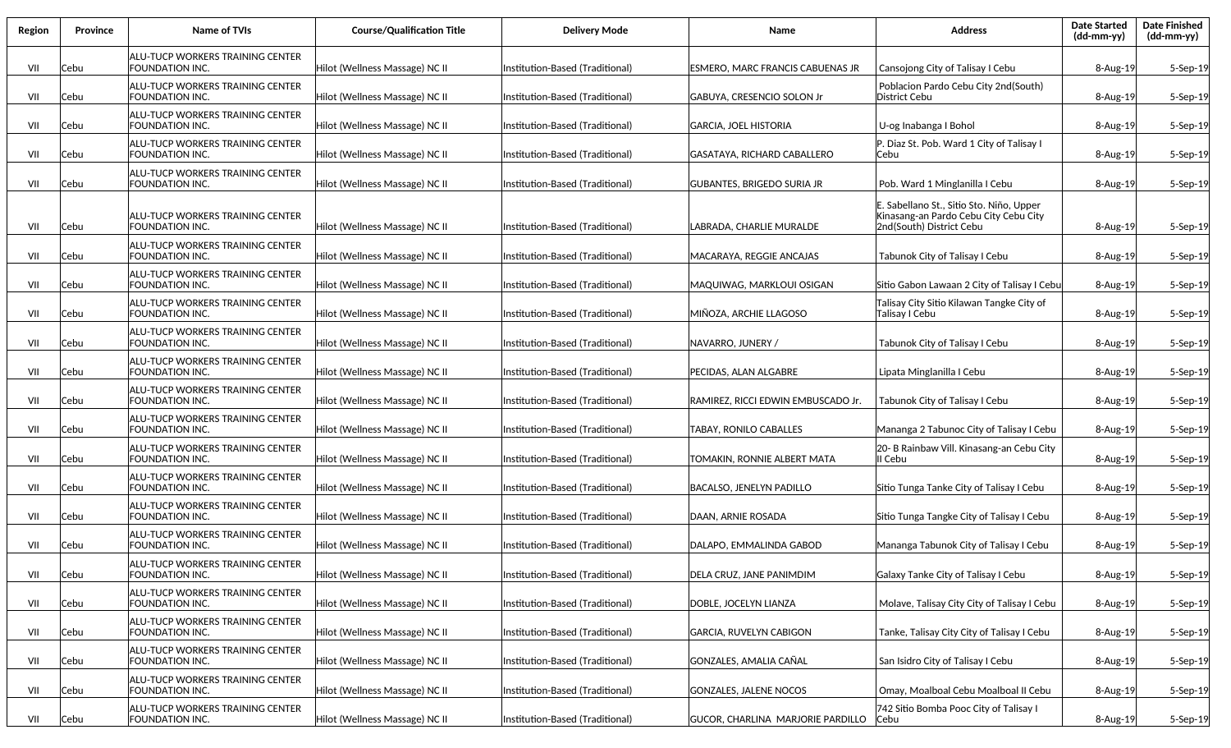| Region | Province | Name of TVIs                                               | <b>Course/Qualification Title</b> | Delivery Mode                    | <b>Name</b>                        | <b>Address</b>                                                                                                | <b>Date Started</b><br>(dd-mm-yy) | <b>Date Finished</b><br>(dd-mm-yy) |
|--------|----------|------------------------------------------------------------|-----------------------------------|----------------------------------|------------------------------------|---------------------------------------------------------------------------------------------------------------|-----------------------------------|------------------------------------|
| VII    | Cebu     | ALU-TUCP WORKERS TRAINING CENTER<br>FOUNDATION INC.        | Hilot (Wellness Massage) NC II    | Institution-Based (Traditional)  | ESMERO, MARC FRANCIS CABUENAS JR   | Cansojong City of Talisay I Cebu                                                                              | $8 - Aug-19$                      | 5-Sep-19                           |
| VII    | Cebu     | <b>ALU-TUCP WORKERS TRAINING CENTER</b><br>FOUNDATION INC. | Hilot (Wellness Massage) NC II    | Institution-Based (Traditional)  | GABUYA, CRESENCIO SOLON Jr         | Poblacion Pardo Cebu City 2nd (South)<br>District Cebu                                                        | 8-Aug-19                          | 5-Sep-19                           |
| VII    | Cebu     | ALU-TUCP WORKERS TRAINING CENTER<br>FOUNDATION INC.        | Hilot (Wellness Massage) NC II    | Institution-Based (Traditional)  | GARCIA, JOEL HISTORIA              | U-og Inabanga I Bohol                                                                                         | 8-Aug-19                          | 5-Sep-19                           |
| VII    | Cebu     | ALU-TUCP WORKERS TRAINING CENTER<br>FOUNDATION INC.        | Hilot (Wellness Massage) NC II    | Institution-Based (Traditional)  | GASATAYA, RICHARD CABALLERO        | P. Diaz St. Pob. Ward 1 City of Talisay I<br>Cebu                                                             | $8 - Aug-19$                      | 5-Sep-19                           |
| VII    | Cebu     | <b>ALU-TUCP WORKERS TRAINING CENTER</b><br>FOUNDATION INC. | Hilot (Wellness Massage) NC II    | (Institution-Based (Traditional) | GUBANTES, BRIGEDO SURIA JR         | Pob. Ward 1 Minglanilla I Cebu                                                                                | 8-Aug-19                          | 5-Sep-19                           |
| VII    | Cebu     | ALU-TUCP WORKERS TRAINING CENTER<br>FOUNDATION INC.        | Hilot (Wellness Massage) NC II    | Institution-Based (Traditional)  | LABRADA, CHARLIE MURALDE           | E. Sabellano St., Sitio Sto. Niño, Upper<br>Kinasang-an Pardo Cebu City Cebu City<br>2nd(South) District Cebu | 8-Aug-19                          | 5-Sep-19                           |
| VII    | Cebu     | ALU-TUCP WORKERS TRAINING CENTER<br>FOUNDATION INC.        | Hilot (Wellness Massage) NC II    | Institution-Based (Traditional)  | MACARAYA, REGGIE ANCAJAS           | Tabunok City of Talisay I Cebu                                                                                | 8-Aug-19                          | 5-Sep-19                           |
| VII    | Cebu     | ALU-TUCP WORKERS TRAINING CENTER<br>FOUNDATION INC.        | Hilot (Wellness Massage) NC II    | Institution-Based (Traditional)  | MAQUIWAG, MARKLOUI OSIGAN          | Sitio Gabon Lawaan 2 City of Talisay I Cebu                                                                   | 8-Aug-19                          | 5-Sep-19                           |
| VII    | Cebu     | ALU-TUCP WORKERS TRAINING CENTER<br>FOUNDATION INC.        | Hilot (Wellness Massage) NC II    | Institution-Based (Traditional)  | MIÑOZA, ARCHIE LLAGOSO             | Talisay City Sitio Kilawan Tangke City of<br>Talisay I Cebu                                                   | $8 - Aug-19$                      | 5-Sep-19                           |
| VII    | Cebu     | ALU-TUCP WORKERS TRAINING CENTER<br>FOUNDATION INC.        | Hilot (Wellness Massage) NC II    | Institution-Based (Traditional)  | NAVARRO, JUNERY /                  | Tabunok City of Talisay I Cebu                                                                                | $8 - Aug-19$                      | 5-Sep-19                           |
| VII    | Cebu     | ALU-TUCP WORKERS TRAINING CENTER<br>FOUNDATION INC.        | Hilot (Wellness Massage) NC II    | Institution-Based (Traditional)  | PECIDAS, ALAN ALGABRE              | Lipata Minglanilla I Cebu                                                                                     | $8 - Aug-19$                      | 5-Sep-19                           |
| VII    | Cebu     | ALU-TUCP WORKERS TRAINING CENTER<br>FOUNDATION INC.        | Hilot (Wellness Massage) NC II    | Institution-Based (Traditional)  | RAMIREZ, RICCI EDWIN EMBUSCADO Jr. | Tabunok City of Talisay I Cebu                                                                                | $8 - Aug-19$                      | 5-Sep-19                           |
| VII    | Cebu     | ALU-TUCP WORKERS TRAINING CENTER<br>FOUNDATION INC.        | Hilot (Wellness Massage) NC II    | Institution-Based (Traditional)  | TABAY, RONILO CABALLES             | Mananga 2 Tabunoc City of Talisay I Cebu                                                                      | $8 - Aug-19$                      | 5-Sep-19                           |
| VII    | Cebu     | ALU-TUCP WORKERS TRAINING CENTER<br><b>FOUNDATION INC.</b> | Hilot (Wellness Massage) NC II    | Institution-Based (Traditional)  | TOMAKIN, RONNIE ALBERT MATA        | 20- B Rainbaw Vill. Kinasang-an Cebu City<br>lII Cebu                                                         | $8 - Aug-19$                      | $5-$ Sep $-19$                     |
| VII    | Cebu     | ALU-TUCP WORKERS TRAINING CENTER<br>FOUNDATION INC.        | Hilot (Wellness Massage) NC II    | Institution-Based (Traditional)  | <b>BACALSO, JENELYN PADILLO</b>    | Sitio Tunga Tanke City of Talisay I Cebu                                                                      | 8-Aug-19                          | 5-Sep-19                           |
| VII    | Cebu     | ALU-TUCP WORKERS TRAINING CENTER<br>FOUNDATION INC.        | Hilot (Wellness Massage) NC II    | Institution-Based (Traditional)  | DAAN, ARNIE ROSADA                 | Sitio Tunga Tangke City of Talisay I Cebu                                                                     | 8-Aug-19                          | 5-Sep-19                           |
| VII    | Cebu     | ALU-TUCP WORKERS TRAINING CENTER<br>FOUNDATION INC.        | Hilot (Wellness Massage) NC II    | Institution-Based (Traditional)  | DALAPO, EMMALINDA GABOD            | Mananga Tabunok City of Talisay I Cebu                                                                        | 8-Aug-19                          | 5-Sep-19                           |
| VII    | Cebu     | ALU-TUCP WORKERS TRAINING CENTER<br><b>FOUNDATION INC.</b> | Hilot (Wellness Massage) NC II    | Institution-Based (Traditional)  | DELA CRUZ, JANE PANIMDIM           | Galaxy Tanke City of Talisay I Cebu                                                                           | 8-Aug-19                          | 5-Sep-19                           |
| VII    | Cebu     | <b>ALU-TUCP WORKERS TRAINING CENTER</b><br>FOUNDATION INC. | Hilot (Wellness Massage) NC II    | Institution-Based (Traditional)  | DOBLE, JOCELYN LIANZA              | Molave, Talisay City City of Talisay I Cebu                                                                   | 8-Aug-19                          | 5-Sep-19                           |
| VII    | Cebu     | <b>ALU-TUCP WORKERS TRAINING CENTER</b><br>FOUNDATION INC. | Hilot (Wellness Massage) NC II    | Institution-Based (Traditional)  | GARCIA, RUVELYN CABIGON            | Tanke, Talisay City City of Talisay I Cebu                                                                    | 8-Aug-19                          | 5-Sep-19                           |
| VII    | Cebu     | <b>ALU-TUCP WORKERS TRAINING CENTER</b><br>FOUNDATION INC. | Hilot (Wellness Massage) NC II    | Institution-Based (Traditional)  | GONZALES, AMALIA CAÑAL             | San Isidro City of Talisay I Cebu                                                                             | 8-Aug-19                          | 5-Sep-19                           |
| VII    | Cebu     | <b>ALU-TUCP WORKERS TRAINING CENTER</b><br>FOUNDATION INC. | Hilot (Wellness Massage) NC II    | Institution-Based (Traditional)  | GONZALES, JALENE NOCOS             | Omay, Moalboal Cebu Moalboal II Cebu                                                                          | 8-Aug-19                          | 5-Sep-19                           |
| VII    | Cebu     | ALU-TUCP WORKERS TRAINING CENTER<br>FOUNDATION INC.        | Hilot (Wellness Massage) NC II    | Institution-Based (Traditional)  | GUCOR, CHARLINA MARJORIE PARDILLO  | 742 Sitio Bomba Pooc City of Talisay I<br> Cebu                                                               | 8-Aug-19                          | 5-Sep-19                           |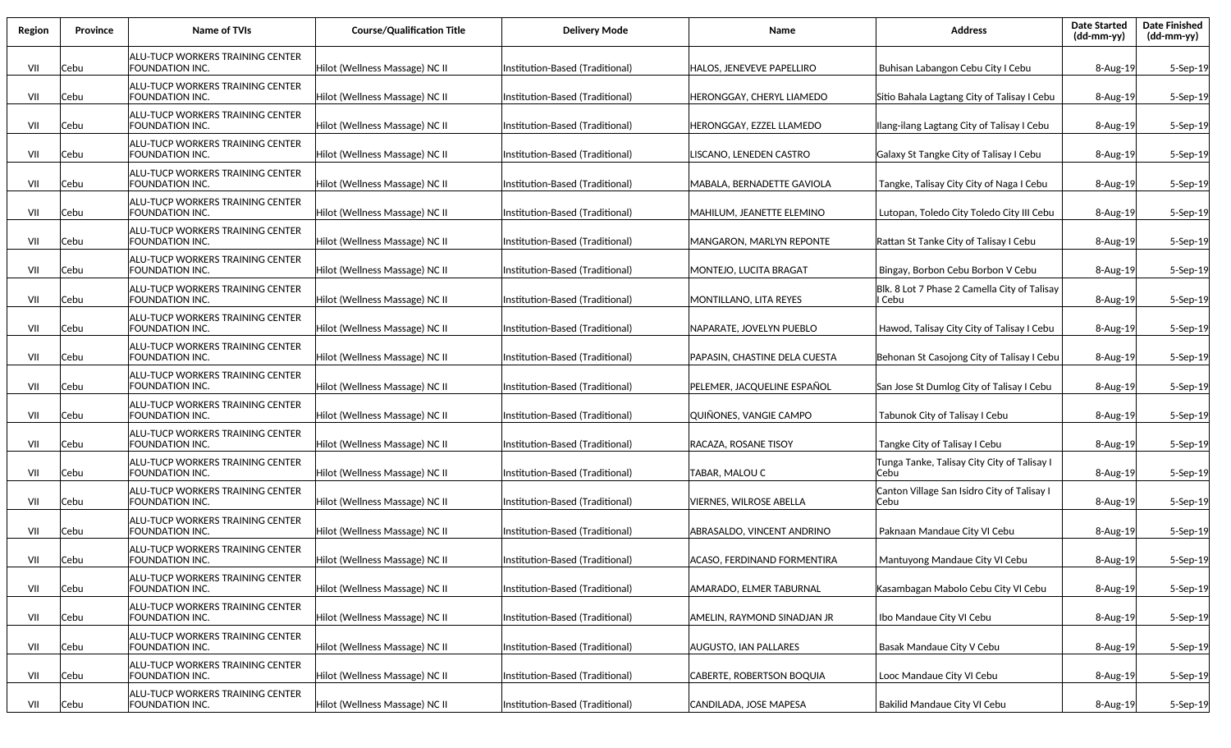| Region | Province | Name of TVIs                                               | <b>Course/Qualification Title</b> | <b>Delivery Mode</b>            | Name                            | <b>Address</b>                                         | <b>Date Started</b><br>(dd-mm-yy) | <b>Date Finished</b><br>(dd-mm-yy) |
|--------|----------|------------------------------------------------------------|-----------------------------------|---------------------------------|---------------------------------|--------------------------------------------------------|-----------------------------------|------------------------------------|
| VII    | Cebu     | ALU-TUCP WORKERS TRAINING CENTER<br>FOUNDATION INC.        | Hilot (Wellness Massage) NC II    | Institution-Based (Traditional) | HALOS, JENEVEVE PAPELLIRO       | Buhisan Labangon Cebu City I Cebu                      | 8-Aug-19                          | 5-Sep-19                           |
| VII    | Cebu     | ALU-TUCP WORKERS TRAINING CENTER<br>FOUNDATION INC.        | Hilot (Wellness Massage) NC II    | Institution-Based (Traditional) | HERONGGAY, CHERYL LIAMEDO       | Sitio Bahala Lagtang City of Talisay I Cebu            | 8-Aug-19                          | 5-Sep-19                           |
| VII    | Cebu     | ALU-TUCP WORKERS TRAINING CENTER<br>FOUNDATION INC.        | Hilot (Wellness Massage) NC II    | Institution-Based (Traditional) | HERONGGAY, EZZEL LLAMEDO        | Ilang-ilang Lagtang City of Talisay I Cebu             | 8-Aug-19                          | 5-Sep-19                           |
| VII    | Cebu     | ALU-TUCP WORKERS TRAINING CENTER<br>FOUNDATION INC.        | Hilot (Wellness Massage) NC II    | Institution-Based (Traditional) | LISCANO, LENEDEN CASTRO         | Galaxy St Tangke City of Talisay I Cebu                | 8-Aug-19                          | 5-Sep-19                           |
| VII    | Cebu     | ALU-TUCP WORKERS TRAINING CENTER<br>FOUNDATION INC.        | Hilot (Wellness Massage) NC II    | Institution-Based (Traditional) | MABALA, BERNADETTE GAVIOLA      | Tangke, Talisay City City of Naga I Cebu               | 8-Aug-19                          | 5-Sep-19                           |
| VII    | Cebu     | ALU-TUCP WORKERS TRAINING CENTER<br>FOUNDATION INC.        | Hilot (Wellness Massage) NC II    | Institution-Based (Traditional) | MAHILUM, JEANETTE ELEMINO       | Lutopan, Toledo City Toledo City III Cebu              | 8-Aug-19                          | 5-Sep-19                           |
| VII    | Cebu     | ALU-TUCP WORKERS TRAINING CENTER<br>FOUNDATION INC.        | Hilot (Wellness Massage) NC II    | Institution-Based (Traditional) | MANGARON, MARLYN REPONTE        | <b>Rattan St Tanke City of Talisay I Cebu</b>          | 8-Aug-19                          | 5-Sep-19                           |
| VII    | Cebu     | ALU-TUCP WORKERS TRAINING CENTER<br>FOUNDATION INC.        | Hilot (Wellness Massage) NC II    | Institution-Based (Traditional) | MONTEJO, LUCITA BRAGAT          | Bingay, Borbon Cebu Borbon V Cebu                      | 8-Aug-19                          | 5-Sep-19                           |
| VII    | Cebu     | ALU-TUCP WORKERS TRAINING CENTER<br>FOUNDATION INC.        | Hilot (Wellness Massage) NC II    | Institution-Based (Traditional) | MONTILLANO, LITA REYES          | Blk. 8 Lot 7 Phase 2 Camella City of Talisay<br>l Cebu | 8-Aug-19                          | 5-Sep-19                           |
| VII    | Cebu     | ALU-TUCP WORKERS TRAINING CENTER<br>FOUNDATION INC.        | Hilot (Wellness Massage) NC II    | Institution-Based (Traditional) | <b>NAPARATE. JOVELYN PUEBLO</b> | Hawod, Talisay City City of Talisay I Cebu             | 8-Aug-19                          | 5-Sep-19                           |
| VII    | Cebu     | ALU-TUCP WORKERS TRAINING CENTER<br>FOUNDATION INC.        | Hilot (Wellness Massage) NC II    | Institution-Based (Traditional) | PAPASIN, CHASTINE DELA CUESTA   | Behonan St Casojong City of Talisay I Cebu             | 8-Aug-19                          | 5-Sep-19                           |
| VII    | Cebu     | ALU-TUCP WORKERS TRAINING CENTER<br><b>FOUNDATION INC.</b> | Hilot (Wellness Massage) NC II    | Institution-Based (Traditional) | PELEMER, JACQUELINE ESPAÑOL     | San Jose St Dumlog City of Talisay I Cebu              | $8 - Aug-19$                      | 5-Sep-19                           |
| VII    | Cebu     | ALU-TUCP WORKERS TRAINING CENTER<br>FOUNDATION INC.        | Hilot (Wellness Massage) NC II    | Institution-Based (Traditional) | QUIÑONES, VANGIE CAMPO          | Tabunok City of Talisay I Cebu                         | 8-Aug-19                          | 5-Sep-19                           |
| VII    | Cebu     | ALU-TUCP WORKERS TRAINING CENTER<br>FOUNDATION INC.        | Hilot (Wellness Massage) NC II    | Institution-Based (Traditional) | RACAZA, ROSANE TISOY            | Tangke City of Talisay I Cebu                          | 8-Aug-19                          | 5-Sep-19                           |
| VII    | Cebu     | ALU-TUCP WORKERS TRAINING CENTER<br>FOUNDATION INC.        | Hilot (Wellness Massage) NC II    | Institution-Based (Traditional) | TABAR, MALOU C                  | Tunga Tanke, Talisay City City of Talisay I<br>Cebu    | 8-Aug-19                          | 5-Sep-19                           |
| VII    | Cebu     | ALU-TUCP WORKERS TRAINING CENTER<br>FOUNDATION INC.        | Hilot (Wellness Massage) NC II    | Institution-Based (Traditional) | VIERNES, WILROSE ABELLA         | Canton Village San Isidro City of Talisay I<br>Cebu    | 8-Aug-19                          | 5-Sep-19                           |
| VII    | Cebu     | ALU-TUCP WORKERS TRAINING CENTER<br>FOUNDATION INC.        | Hilot (Wellness Massage) NC II    | Institution-Based (Traditional) | ABRASALDO, VINCENT ANDRINO      | Paknaan Mandaue City VI Cebu                           | $8 - Aug-19$                      | 5-Sep-19                           |
| VII    | Cebu     | ALU-TUCP WORKERS TRAINING CENTER<br>FOUNDATION INC.        | Hilot (Wellness Massage) NC II    | Institution-Based (Traditional) | ACASO, FERDINAND FORMENTIRA     | Mantuyong Mandaue City VI Cebu                         | $8 - Aug-19$                      | $5-$ Sep $-19$                     |
| VII    | Cebu     | <b>ALU-TUCP WORKERS TRAINING CENTER</b><br>FOUNDATION INC. | Hilot (Wellness Massage) NC II    | Institution-Based (Traditional) | AMARADO, ELMER TABURNAL         | Kasambagan Mabolo Cebu City VI Cebu                    | 8-Aug-19                          | 5-Sep-19                           |
| VII    | Cebu     | <b>ALU-TUCP WORKERS TRAINING CENTER</b><br>FOUNDATION INC. | Hilot (Wellness Massage) NC II    | Institution-Based (Traditional) | AMELIN, RAYMOND SINADJAN JR     | Ibo Mandaue City VI Cebu                               | 8-Aug-19                          | 5-Sep-19                           |
| VII    | Cebu     | <b>ALU-TUCP WORKERS TRAINING CENTER</b><br>FOUNDATION INC. | Hilot (Wellness Massage) NC II    | Institution-Based (Traditional) | AUGUSTO, IAN PALLARES           | Basak Mandaue City V Cebu                              | 8-Aug-19                          | 5-Sep-19                           |
| VII    | Cebu     | <b>ALU-TUCP WORKERS TRAINING CENTER</b><br>FOUNDATION INC. | Hilot (Wellness Massage) NC II    | Institution-Based (Traditional) | CABERTE, ROBERTSON BOQUIA       | Looc Mandaue City VI Cebu                              | 8-Aug-19                          | 5-Sep-19                           |
| VII    | Cebu     | <b>ALU-TUCP WORKERS TRAINING CENTER</b><br>FOUNDATION INC. | Hilot (Wellness Massage) NC II    | Institution-Based (Traditional) | CANDILADA, JOSE MAPESA          | Bakilid Mandaue City VI Cebu                           | 8-Aug-19                          | 5-Sep-19                           |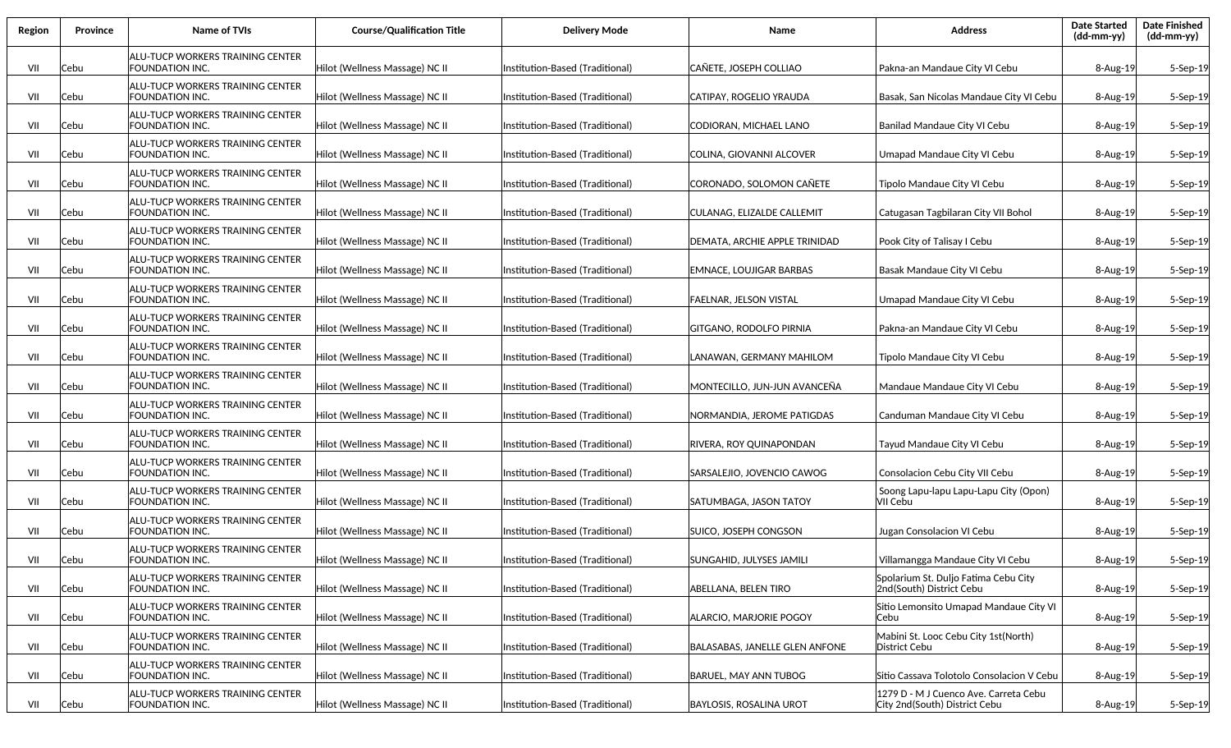| Region | Province | <b>Name of TVIs</b>                                 | <b>Course/Qualification Title</b> | <b>Delivery Mode</b>            | Name                           | <b>Address</b>                                                         | <b>Date Started</b><br>(dd-mm-yy) | <b>Date Finished</b><br>(dd-mm-yy) |
|--------|----------|-----------------------------------------------------|-----------------------------------|---------------------------------|--------------------------------|------------------------------------------------------------------------|-----------------------------------|------------------------------------|
| VII    | Cebu     | ALU-TUCP WORKERS TRAINING CENTER<br>FOUNDATION INC. | Hilot (Wellness Massage) NC II    | Institution-Based (Traditional) | CAÑETE, JOSEPH COLLIAO         | Pakna-an Mandaue City VI Cebu                                          | $8 - Aug-19$                      | 5-Sep-19                           |
| VII    | Cebu     | ALU-TUCP WORKERS TRAINING CENTER<br>FOUNDATION INC. | Hilot (Wellness Massage) NC II    | Institution-Based (Traditional) | CATIPAY, ROGELIO YRAUDA        | Basak, San Nicolas Mandaue City VI Cebu                                | 8-Aug-19                          | 5-Sep-19                           |
| VII    | Cebu     | ALU-TUCP WORKERS TRAINING CENTER<br>FOUNDATION INC. | Hilot (Wellness Massage) NC II    | Institution-Based (Traditional) | CODIORAN, MICHAEL LANO         | Banilad Mandaue City VI Cebu                                           | 8-Aug-19                          | 5-Sep-19                           |
| VII    | Cebu     | ALU-TUCP WORKERS TRAINING CENTER<br>FOUNDATION INC. | Hilot (Wellness Massage) NC II    | Institution-Based (Traditional) | COLINA, GIOVANNI ALCOVER       | Umapad Mandaue City VI Cebu                                            | 8-Aug-19                          | 5-Sep-19                           |
| VII    | Cebu     | ALU-TUCP WORKERS TRAINING CENTER<br>FOUNDATION INC. | Hilot (Wellness Massage) NC II    | Institution-Based (Traditional) | CORONADO, SOLOMON CAÑETE       | Tipolo Mandaue City VI Cebu                                            | 8-Aug-19                          | 5-Sep-19                           |
| VII    | Cebu     | ALU-TUCP WORKERS TRAINING CENTER<br>FOUNDATION INC. | Hilot (Wellness Massage) NC II    | Institution-Based (Traditional) | CULANAG, ELIZALDE CALLEMIT     | Catugasan Tagbilaran City VII Bohol                                    | $8 - Aug-19$                      | 5-Sep-19                           |
| VII    | Cebu     | ALU-TUCP WORKERS TRAINING CENTER<br>FOUNDATION INC. | Hilot (Wellness Massage) NC II    | Institution-Based (Traditional) | DEMATA, ARCHIE APPLE TRINIDAD  | Pook City of Talisay I Cebu                                            | $8 - Aug-19$                      | 5-Sep-19                           |
| VII    | Cebu     | ALU-TUCP WORKERS TRAINING CENTER<br>FOUNDATION INC. | Hilot (Wellness Massage) NC II    | Institution-Based (Traditional) | EMNACE, LOUJIGAR BARBAS        | Basak Mandaue City VI Cebu                                             | $8 - Aug-19$                      | 5-Sep-19                           |
| VII    | Cebu     | ALU-TUCP WORKERS TRAINING CENTER<br>FOUNDATION INC. | Hilot (Wellness Massage) NC II    | Institution-Based (Traditional) | <b>FAELNAR, JELSON VISTAL</b>  | Umapad Mandaue City VI Cebu                                            | 8-Aug-19                          | 5-Sep-19                           |
| VII    | Cebu     | ALU-TUCP WORKERS TRAINING CENTER<br>FOUNDATION INC. | Hilot (Wellness Massage) NC II    | Institution-Based (Traditional) | GITGANO, RODOLFO PIRNIA        | Pakna-an Mandaue City VI Cebu                                          | $8 - Aug-19$                      | 5-Sep-19                           |
| VII    | Cebu     | ALU-TUCP WORKERS TRAINING CENTER<br>FOUNDATION INC. | Hilot (Wellness Massage) NC II    | Institution-Based (Traditional) | LANAWAN, GERMANY MAHILOM       | Tipolo Mandaue City VI Cebu                                            | 8-Aug-19                          | 5-Sep-19                           |
| VII    | Cebu     | ALU-TUCP WORKERS TRAINING CENTER<br>FOUNDATION INC. | Hilot (Wellness Massage) NC II    | Institution-Based (Traditional) | MONTECILLO, JUN-JUN AVANCEÑA   | Mandaue Mandaue City VI Cebu                                           | $8 - Aug-19$                      | $5-$ Sep $-19$                     |
| VII    | Cebu     | ALU-TUCP WORKERS TRAINING CENTER<br>FOUNDATION INC. | Hilot (Wellness Massage) NC II    | Institution-Based (Traditional) | NORMANDIA, JEROME PATIGDAS     | Canduman Mandaue City VI Cebu                                          | $8 - Aug-19$                      | 5-Sep-19                           |
| VII    | Cebu     | ALU-TUCP WORKERS TRAINING CENTER<br>FOUNDATION INC. | Hilot (Wellness Massage) NC II    | Institution-Based (Traditional) | RIVERA, ROY QUINAPONDAN        | Tayud Mandaue City VI Cebu                                             | 8-Aug-19                          | 5-Sep-19                           |
| VII    | Cebu     | ALU-TUCP WORKERS TRAINING CENTER<br>FOUNDATION INC. | Hilot (Wellness Massage) NC II    | Institution-Based (Traditional) | SARSALEJIO, JOVENCIO CAWOG     | Consolacion Cebu City VII Cebu                                         | 8-Aug-19                          | 5-Sep-19                           |
| VII    | Cebu     | ALU-TUCP WORKERS TRAINING CENTER<br>FOUNDATION INC. | Hilot (Wellness Massage) NC II    | Institution-Based (Traditional) | SATUMBAGA, JASON TATOY         | Soong Lapu-lapu Lapu-Lapu City (Opon)<br>VII Cebu                      | $8 - Aug-19$                      | 5-Sep-19                           |
| VII    | Cebu     | ALU-TUCP WORKERS TRAINING CENTER<br>FOUNDATION INC. | Hilot (Wellness Massage) NC II    | Institution-Based (Traditional) | SUICO, JOSEPH CONGSON          | Jugan Consolacion VI Cebu                                              | $8 - Aug-19$                      | 5-Sep-19                           |
| VII    | Cebu     | ALU-TUCP WORKERS TRAINING CENTER<br>FOUNDATION INC. | Hilot (Wellness Massage) NC II    | Institution-Based (Traditional) | SUNGAHID, JULYSES JAMILI       | Villamangga Mandaue City VI Cebu                                       | $8 - Aug-19$                      | $5-$ Sep $-19$                     |
| VII    | Cebu     | ALU-TUCP WORKERS TRAINING CENTER<br>FOUNDATION INC. | Hilot (Wellness Massage) NC II    | Institution-Based (Traditional) | ABELLANA, BELEN TIRO           | Spolarium St. Duljo Fatima Cebu City<br>2nd(South) District Cebu       | 8-Aug-19                          | 5-Sep-19                           |
| VII    | Cebu     | ALU-TUCP WORKERS TRAINING CENTER<br>FOUNDATION INC. | Hilot (Wellness Massage) NC II    | Institution-Based (Traditional) | ALARCIO, MARJORIE POGOY        | Sitio Lemonsito Umapad Mandaue City VI<br>Cebu                         | 8-Aug-19                          | 5-Sep-19                           |
| VII    | Cebu     | ALU-TUCP WORKERS TRAINING CENTER<br>FOUNDATION INC. | Hilot (Wellness Massage) NC II    | Institution-Based (Traditional) | BALASABAS, JANELLE GLEN ANFONE | Mabini St. Looc Cebu City 1st(North)<br>District Cebu                  | 8-Aug-19                          | 5-Sep-19                           |
| VII    | Cebu     | ALU-TUCP WORKERS TRAINING CENTER<br>FOUNDATION INC. | Hilot (Wellness Massage) NC II    | Institution-Based (Traditional) | BARUEL, MAY ANN TUBOG          | Sitio Cassava Tolotolo Consolacion V Cebu                              | 8-Aug-19                          | 5-Sep-19                           |
| VII    | Cebu     | ALU-TUCP WORKERS TRAINING CENTER<br>FOUNDATION INC. | Hilot (Wellness Massage) NC II    | Institution-Based (Traditional) | <b>BAYLOSIS, ROSALINA UROT</b> | 1279 D - M J Cuenco Ave. Carreta Cebu<br>City 2nd(South) District Cebu | 8-Aug-19                          | 5-Sep-19                           |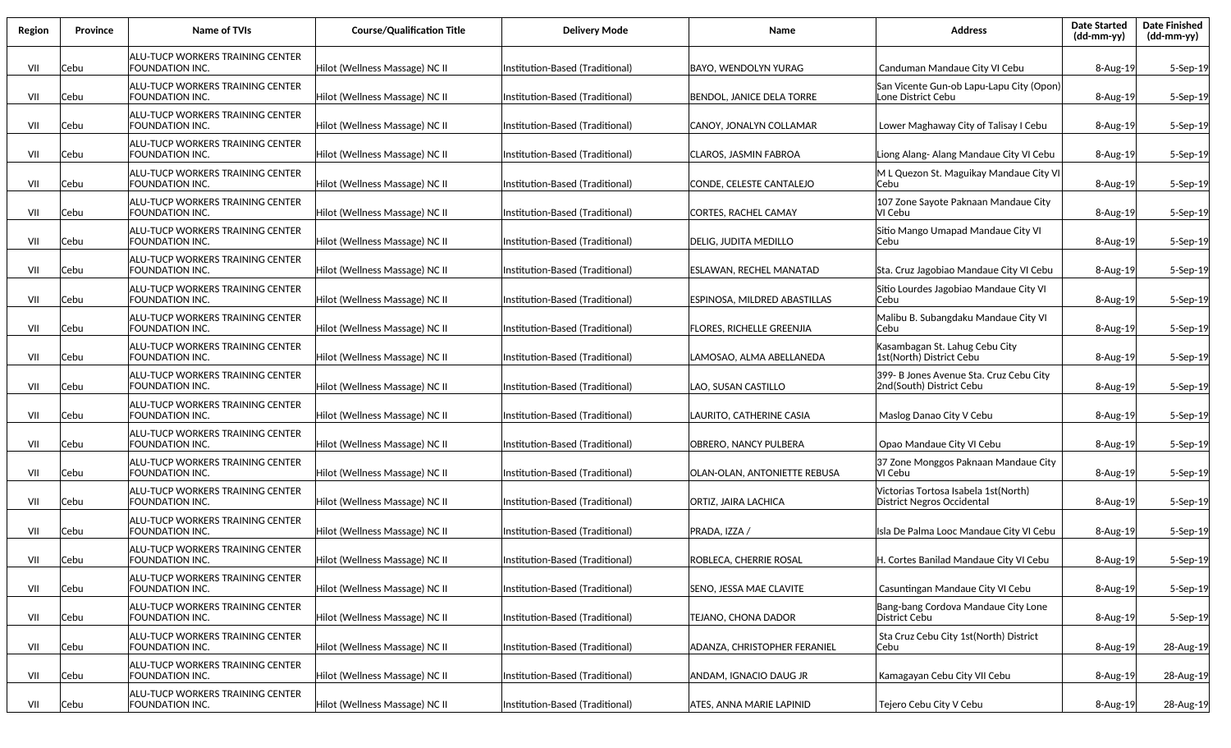| Region | Province | Name of TVIs                                                      | <b>Course/Qualification Title</b> | <b>Delivery Mode</b>             | <b>Name</b>                         | <b>Address</b>                                                      | <b>Date Started</b><br>(dd-mm-yy) | <b>Date Finished</b><br>(dd-mm-yy) |
|--------|----------|-------------------------------------------------------------------|-----------------------------------|----------------------------------|-------------------------------------|---------------------------------------------------------------------|-----------------------------------|------------------------------------|
| VII    | Cebu     | ALU-TUCP WORKERS TRAINING CENTER<br>FOUNDATION INC.               | Hilot (Wellness Massage) NC II    | Institution-Based (Traditional)  | BAYO, WENDOLYN YURAG                | Canduman Mandaue City VI Cebu                                       | $8 - Aug-19$                      | 5-Sep-19                           |
| VII    | Cebu     | ALU-TUCP WORKERS TRAINING CENTER<br><b>FOUNDATION INC.</b>        | Hilot (Wellness Massage) NC II    | (Institution-Based (Traditional) | BENDOL, JANICE DELA TORRE           | San Vicente Gun-ob Lapu-Lapu City (Opon)<br>Lone District Cebu      | $8 - Aug-19$                      | 5-Sep-19                           |
| VII    | Cebu     | <b>ALU-TUCP WORKERS TRAINING CENTER</b><br>FOUNDATION INC.        | Hilot (Wellness Massage) NC II    | Institution-Based (Traditional)  | ICANOY, JONALYN COLLAMAR            | Lower Maghaway City of Talisay I Cebu                               | 8-Aug-19                          | 5-Sep-19                           |
| VII    | Cebu     | ALU-TUCP WORKERS TRAINING CENTER<br>FOUNDATION INC.               | Hilot (Wellness Massage) NC II    | Institution-Based (Traditional)  | ICLAROS. JASMIN FABROA              | Liong Alang- Alang Mandaue City VI Cebu                             | $8 - Aug-19$                      | 5-Sep-19                           |
| VII    | Cebu     | ALU-TUCP WORKERS TRAINING CENTER<br>FOUNDATION INC.               | Hilot (Wellness Massage) NC II    | Institution-Based (Traditional)  | CONDE, CELESTE CANTALEJO            | M L Quezon St. Maguikay Mandaue City VI<br>Cebu                     | 8-Aug-19                          | 5-Sep-19                           |
| VII    | Cebu     | ALU-TUCP WORKERS TRAINING CENTER<br>FOUNDATION INC.               | Hilot (Wellness Massage) NC II    | Institution-Based (Traditional)  | CORTES, RACHEL CAMAY                | 107 Zone Sayote Paknaan Mandaue City<br>VI Cebu                     | 8-Aug-19                          | 5-Sep-19                           |
| VII    | Cebu     | ALU-TUCP WORKERS TRAINING CENTER<br>FOUNDATION INC.               | Hilot (Wellness Massage) NC II    | Institution-Based (Traditional)  | DELIG, JUDITA MEDILLO               | Sitio Mango Umapad Mandaue City VI<br>Cebu                          | $8 - Aug-19$                      | 5-Sep-19                           |
| VII    | Cebu     | ALU-TUCP WORKERS TRAINING CENTER<br>FOUNDATION INC.               | Hilot (Wellness Massage) NC II    | Institution-Based (Traditional)  | <b>ESLAWAN, RECHEL MANATAD</b>      | Sta. Cruz Jagobiao Mandaue City VI Cebu                             | $8 - Aug-19$                      | 5-Sep-19                           |
| VII    | Cebu     | ALU-TUCP WORKERS TRAINING CENTER<br>FOUNDATION INC.               | Hilot (Wellness Massage) NC II    | Institution-Based (Traditional)  | ESPINOSA, MILDRED ABASTILLAS        | Sitio Lourdes Jagobiao Mandaue City VI<br>lCebu                     | 8-Aug-19                          | 5-Sep-19                           |
| VII    | Cebu     | ALU-TUCP WORKERS TRAINING CENTER<br>FOUNDATION INC.               | Hilot (Wellness Massage) NC II    | Institution-Based (Traditional)  | <b>FLORES, RICHELLE GREENJIA</b>    | Malibu B. Subangdaku Mandaue City VI<br>Cebu                        | $8 - Aug-19$                      | 5-Sep-19                           |
| VII    | Cebu     | ALU-TUCP WORKERS TRAINING CENTER<br>FOUNDATION INC.               | Hilot (Wellness Massage) NC II    | Institution-Based (Traditional)  | LAMOSAO, ALMA ABELLANEDA            | Kasambagan St. Lahug Cebu City<br>1st(North) District Cebu          | $8 - Aug-19$                      | 5-Sep-19                           |
| VII    | Cebu     | ALU-TUCP WORKERS TRAINING CENTER<br><b>FOUNDATION INC.</b>        | Hilot (Wellness Massage) NC II    | Institution-Based (Traditional)  | LAO, SUSAN CASTILLO                 | 399- B Jones Avenue Sta. Cruz Cebu City<br>2nd(South) District Cebu | $8 - Aug-19$                      | $5-$ Sep $-19$                     |
| VII    | Cebu     | ALU-TUCP WORKERS TRAINING CENTER<br>FOUNDATION INC.               | Hilot (Wellness Massage) NC II    | Institution-Based (Traditional)  | LAURITO, CATHERINE CASIA            | Maslog Danao City V Cebu                                            | $8 - Aug-19$                      | 5-Sep-19                           |
| VII    | Cebu     | ALU-TUCP WORKERS TRAINING CENTER<br>FOUNDATION INC.               | Hilot (Wellness Massage) NC II    | Institution-Based (Traditional)  | <b>OBRERO, NANCY PULBERA</b>        | Opao Mandaue City VI Cebu                                           | 8-Aug-19                          | 5-Sep-19                           |
| VII    | Cebu     | ALU-TUCP WORKERS TRAINING CENTER<br>FOUNDATION INC.               | Hilot (Wellness Massage) NC II    | Institution-Based (Traditional)  | OLAN-OLAN, ANTONIETTE REBUSA        | 37 Zone Monggos Paknaan Mandaue City<br>VI Cebu                     | 8-Aug-19                          | 5-Sep-19                           |
| VII    | Cebu     | <b>ALU-TUCP WORKERS TRAINING CENTER</b><br>FOUNDATION INC.        | Hilot (Wellness Massage) NC II    | Institution-Based (Traditional)  | ORTIZ, JAIRA LACHICA                | Victorias Tortosa Isabela 1st(North)<br> District Negros Occidental | $8 - Aug-19$                      | 5-Sep-19                           |
| VII    | Cebu     | <b>ALU-TUCP WORKERS TRAINING CENTER</b><br>FOUNDATION INC.        | Hilot (Wellness Massage) NC II    | Institution-Based (Traditional)  | PRADA, IZZA /                       | Isla De Palma Looc Mandaue City VI Cebu                             | $8 - Aug-19$                      | 5-Sep-19                           |
| VII    | Cebu     | <b>ALU-TUCP WORKERS TRAINING CENTER</b><br><b>FOUNDATION INC.</b> | Hilot (Wellness Massage) NC II    | (Institution-Based (Traditional) | ROBLECA, CHERRIE ROSAL              | H. Cortes Banilad Mandaue City VI Cebu                              | $8 - Aug-19$                      | $5-$ Sep $-19$                     |
| VII    | Cebu     | <b>ALU-TUCP WORKERS TRAINING CENTER</b><br>FOUNDATION INC.        | Hilot (Wellness Massage) NC II    | Institution-Based (Traditional)  | SENO, JESSA MAE CLAVITE             | Casuntingan Mandaue City VI Cebu                                    | 8-Aug-19                          | 5-Sep-19                           |
| VII    | Cebu     | <b>ALU-TUCP WORKERS TRAINING CENTER</b><br>FOUNDATION INC.        | Hilot (Wellness Massage) NC II    | Institution-Based (Traditional)  | TEJANO, CHONA DADOR                 | Bang-bang Cordova Mandaue City Lone<br>District Cebu                | 8-Aug-19                          | 5-Sep-19                           |
| VII    | Cebu     | <b>ALU-TUCP WORKERS TRAINING CENTER</b><br>FOUNDATION INC.        | Hilot (Wellness Massage) NC II    | Institution-Based (Traditional)  | <b>ADANZA, CHRISTOPHER FERANIEL</b> | Sta Cruz Cebu City 1st(North) District<br> Cebu                     | 8-Aug-19                          | 28-Aug-19                          |
| VII    | Cebu     | <b>ALU-TUCP WORKERS TRAINING CENTER</b><br>FOUNDATION INC.        | Hilot (Wellness Massage) NC II    | Institution-Based (Traditional)  | ANDAM, IGNACIO DAUG JR              | Kamagayan Cebu City VII Cebu                                        | 8-Aug-19                          | 28-Aug-19                          |
| VII    | Cebu     | <b>ALU-TUCP WORKERS TRAINING CENTER</b><br>FOUNDATION INC.        | Hilot (Wellness Massage) NC II    | Institution-Based (Traditional)  | <b>ATES, ANNA MARIE LAPINID</b>     | Tejero Cebu City V Cebu                                             | 8-Aug-19                          | 28-Aug-19                          |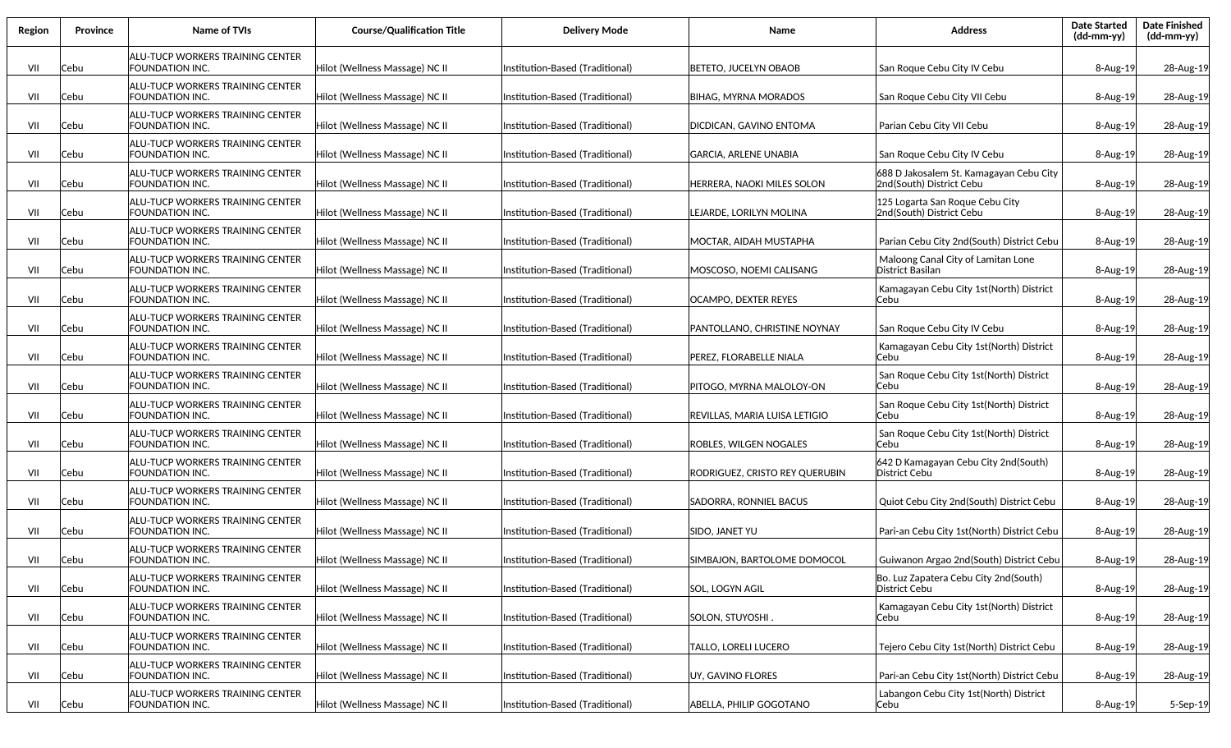| Region | Province | <b>Name of TVIs</b>                                        | <b>Course/Qualification Title</b> | <b>Delivery Mode</b>             | Name                           | <b>Address</b>                                                      | <b>Date Started</b><br>(dd-mm-yy) | <b>Date Finished</b><br>(dd-mm-yy) |
|--------|----------|------------------------------------------------------------|-----------------------------------|----------------------------------|--------------------------------|---------------------------------------------------------------------|-----------------------------------|------------------------------------|
| VII    | Cebu     | ALU-TUCP WORKERS TRAINING CENTER<br>FOUNDATION INC.        | Hilot (Wellness Massage) NC II    | Institution-Based (Traditional)  | BETETO, JUCELYN OBAOB          | San Roque Cebu City IV Cebu                                         | 8-Aug-19                          | 28-Aug-19                          |
| VII    | Cebu     | ALU-TUCP WORKERS TRAINING CENTER<br>FOUNDATION INC.        | Hilot (Wellness Massage) NC II    | Institution-Based (Traditional)  | <b>BIHAG, MYRNA MORADOS</b>    | San Roque Cebu City VII Cebu                                        | 8-Aug-19                          | 28-Aug-19                          |
| VII    | Cebu     | ALU-TUCP WORKERS TRAINING CENTER<br>FOUNDATION INC.        | Hilot (Wellness Massage) NC II    | Institution-Based (Traditional)  | DICDICAN, GAVINO ENTOMA        | Parian Cebu City VII Cebu                                           | 8-Aug-19                          | 28-Aug-19                          |
| VII    | Cebu     | ALU-TUCP WORKERS TRAINING CENTER<br>FOUNDATION INC.        | Hilot (Wellness Massage) NC II    | Institution-Based (Traditional)  | <b>GARCIA. ARLENE UNABIA</b>   | San Roque Cebu City IV Cebu                                         | 8-Aug-19                          | 28-Aug-19                          |
| VII    | Cebu     | ALU-TUCP WORKERS TRAINING CENTER<br>FOUNDATION INC.        | Hilot (Wellness Massage) NC II    | Institution-Based (Traditional)  | HERRERA, NAOKI MILES SOLON     | 688 D Jakosalem St. Kamagayan Cebu City<br>2nd(South) District Cebu | 8-Aug-19                          | 28-Aug-19                          |
| VII    | Cebu     | ALU-TUCP WORKERS TRAINING CENTER<br>FOUNDATION INC.        | Hilot (Wellness Massage) NC II    | Institution-Based (Traditional)  | LEJARDE, LORILYN MOLINA        | 125 Logarta San Roque Cebu City<br>2nd(South) District Cebu         | 8-Aug-19                          | 28-Aug-19                          |
| VII    | Cebu     | ALU-TUCP WORKERS TRAINING CENTER<br>FOUNDATION INC.        | Hilot (Wellness Massage) NC II    | Institution-Based (Traditional)  | MOCTAR, AIDAH MUSTAPHA         | Parian Cebu City 2nd (South) District Cebu                          | $8 - Aug-19$                      | 28-Aug-19                          |
| VII    | Cebu     | ALU-TUCP WORKERS TRAINING CENTER<br>FOUNDATION INC.        | Hilot (Wellness Massage) NC II    | Institution-Based (Traditional)  | MOSCOSO, NOEMI CALISANG        | Maloong Canal City of Lamitan Lone<br> District Basilan             | $8 - Aug-19$                      | 28-Aug-19                          |
| VII    | Cebu     | ALU-TUCP WORKERS TRAINING CENTER<br>FOUNDATION INC.        | Hilot (Wellness Massage) NC II    | Institution-Based (Traditional)  | OCAMPO, DEXTER REYES           | Kamagayan Cebu City 1st(North) District<br>lCebu                    | $8 - Aug-19$                      | 28-Aug-19                          |
| VII    | Cebu     | ALU-TUCP WORKERS TRAINING CENTER<br>FOUNDATION INC.        | Hilot (Wellness Massage) NC II    | Institution-Based (Traditional)  | PANTOLLANO, CHRISTINE NOYNAY   | San Roque Cebu City IV Cebu                                         | 8-Aug-19                          | 28-Aug-19                          |
| VII    | Cebu     | ALU-TUCP WORKERS TRAINING CENTER<br><b>FOUNDATION INC.</b> | Hilot (Wellness Massage) NC II    | Institution-Based (Traditional)  | PEREZ, FLORABELLE NIALA        | Kamagayan Cebu City 1st(North) District<br>Cebu                     | 8-Aug-19                          | 28-Aug-19                          |
| VII    | Cebu     | ALU-TUCP WORKERS TRAINING CENTER<br>FOUNDATION INC.        | Hilot (Wellness Massage) NC II    | Institution-Based (Traditional)  | PITOGO, MYRNA MALOLOY-ON       | San Roque Cebu City 1st(North) District<br>Cebu                     | 8-Aug-19                          | 28-Aug-19                          |
| VII    | Cebu     | ALU-TUCP WORKERS TRAINING CENTER<br>FOUNDATION INC.        | Hilot (Wellness Massage) NC II    | Institution-Based (Traditional)  | REVILLAS, MARIA LUISA LETIGIO  | San Roque Cebu City 1st(North) District<br>Cebu                     | $8 - Aug-19$                      | 28-Aug-19                          |
| VII    | Cebu     | ALU-TUCP WORKERS TRAINING CENTER<br>FOUNDATION INC.        | Hilot (Wellness Massage) NC II    | Institution-Based (Traditional)  | ROBLES, WILGEN NOGALES         | San Roque Cebu City 1st(North) District<br>Cebu                     | 8-Aug-19                          | 28-Aug-19                          |
| VII    | Cebu     | <b>ALU-TUCP WORKERS TRAINING CENTER</b><br>FOUNDATION INC. | Hilot (Wellness Massage) NC II    | Institution-Based (Traditional)  | RODRIGUEZ, CRISTO REY QUERUBIN | 642 D Kamagayan Cebu City 2nd(South)<br>District Cebu               | 8-Aug-19                          | 28-Aug-19                          |
| VII    | Cebu     | ALU-TUCP WORKERS TRAINING CENTER<br>FOUNDATION INC.        | Hilot (Wellness Massage) NC II    | Institution-Based (Traditional)  | SADORRA, RONNIEL BACUS         | Quiot Cebu City 2nd(South) District Cebu                            | 8-Aug-19                          | 28-Aug-19                          |
| VII    | Cebu     | ALU-TUCP WORKERS TRAINING CENTER<br>FOUNDATION INC.        | Hilot (Wellness Massage) NC II    | Institution-Based (Traditional)  | SIDO, JANET YU                 | Pari-an Cebu City 1st(North) District Cebu                          | $8 - Aug-19$                      | 28-Aug-19                          |
| VII    | Cebu     | ALU-TUCP WORKERS TRAINING CENTER<br>FOUNDATION INC.        | Hilot (Wellness Massage) NC II    | (Institution-Based (Traditional) | SIMBAJON, BARTOLOME DOMOCOL    | Guiwanon Argao 2nd(South) District Cebu                             | $8 - Aug-19$                      | 28-Aug-19                          |
| VII    | Cebu     | ALU-TUCP WORKERS TRAINING CENTER<br>FOUNDATION INC.        | Hilot (Wellness Massage) NC II    | Institution-Based (Traditional)  | SOL, LOGYN AGIL                | Bo. Luz Zapatera Cebu City 2nd(South)<br>District Cebu              | 8-Aug-19                          | 28-Aug-19                          |
| VII    | Cebu     | <b>ALU-TUCP WORKERS TRAINING CENTER</b><br>FOUNDATION INC. | Hilot (Wellness Massage) NC II    | Institution-Based (Traditional)  | SOLON, STUYOSHI.               | Kamagayan Cebu City 1st(North) District<br>Cebu                     | 8-Aug-19                          | 28-Aug-19                          |
| VII    | Cebu     | <b>ALU-TUCP WORKERS TRAINING CENTER</b><br>FOUNDATION INC. | Hilot (Wellness Massage) NC II    | Institution-Based (Traditional)  | <b>TALLO, LORELI LUCERO</b>    | Tejero Cebu City 1st(North) District Cebu                           | 8-Aug-19                          | 28-Aug-19                          |
| VII    | Cebu     | ALU-TUCP WORKERS TRAINING CENTER<br>FOUNDATION INC.        | Hilot (Wellness Massage) NC II    | Institution-Based (Traditional)  | UY, GAVINO FLORES              | Pari-an Cebu City 1st(North) District Cebu                          | 8-Aug-19                          | 28-Aug-19                          |
| VII    | Cebu     | <b>ALU-TUCP WORKERS TRAINING CENTER</b><br>FOUNDATION INC. | Hilot (Wellness Massage) NC II    | Institution-Based (Traditional)  | ABELLA, PHILIP GOGOTANO        | Labangon Cebu City 1st(North) District<br> Cebu                     | 8-Aug-19                          | 5-Sep-19                           |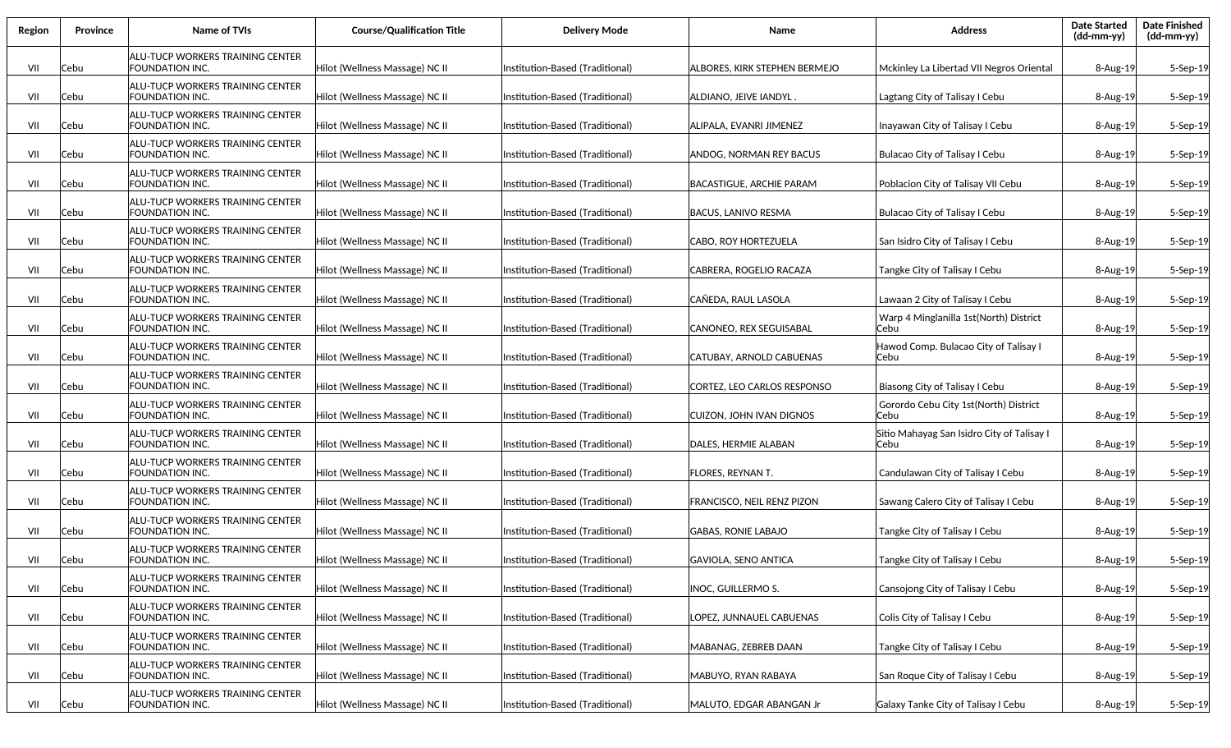| Region | Province | <b>Name of TVIs</b>                                        | <b>Course/Qualification Title</b> | <b>Delivery Mode</b>             | Name                            | <b>Address</b>                                     | <b>Date Started</b><br>(dd-mm-yy) | <b>Date Finished</b><br>(dd-mm-yy) |
|--------|----------|------------------------------------------------------------|-----------------------------------|----------------------------------|---------------------------------|----------------------------------------------------|-----------------------------------|------------------------------------|
| VII    | Cebu     | ALU-TUCP WORKERS TRAINING CENTER<br>FOUNDATION INC.        | Hilot (Wellness Massage) NC II    | Institution-Based (Traditional)  | ALBORES, KIRK STEPHEN BERMEJO   | Mckinley La Libertad VII Negros Oriental           | 8-Aug-19                          | 5-Sep-19                           |
| VII    | Cebu     | ALU-TUCP WORKERS TRAINING CENTER<br>FOUNDATION INC.        | Hilot (Wellness Massage) NC II    | Institution-Based (Traditional)  | ALDIANO, JEIVE IANDYL .         | Lagtang City of Talisay I Cebu                     | $8-Aug-19$                        | 5-Sep-19                           |
| VII    | Cebu     | ALU-TUCP WORKERS TRAINING CENTER<br>FOUNDATION INC.        | Hilot (Wellness Massage) NC II    | Institution-Based (Traditional)  | ALIPALA, EVANRI JIMENEZ         | Inayawan City of Talisay I Cebu                    | 8-Aug-19                          | 5-Sep-19                           |
| VII    | Cebu     | ALU-TUCP WORKERS TRAINING CENTER<br>FOUNDATION INC.        | Hilot (Wellness Massage) NC II    | Institution-Based (Traditional)  | ANDOG, NORMAN REY BACUS         | Bulacao City of Talisay I Cebu                     | 8-Aug-19                          | 5-Sep-19                           |
| VII    | Cebu     | ALU-TUCP WORKERS TRAINING CENTER<br>FOUNDATION INC.        | Hilot (Wellness Massage) NC II    | Institution-Based (Traditional)  | BACASTIGUE. ARCHIE PARAM        | Poblacion City of Talisay VII Cebu                 | 8-Aug-19                          | 5-Sep-19                           |
| VII    | Cebu     | ALU-TUCP WORKERS TRAINING CENTER<br>FOUNDATION INC.        | Hilot (Wellness Massage) NC II    | Institution-Based (Traditional)  | BACUS, LANIVO RESMA             | <b>Bulacao City of Talisay I Cebu</b>              | 8-Aug-19                          | 5-Sep-19                           |
| VII    | Cebu     | ALU-TUCP WORKERS TRAINING CENTER<br>FOUNDATION INC.        | Hilot (Wellness Massage) NC II    | (Institution-Based (Traditional) | CABO, ROY HORTEZUELA            | San Isidro City of Talisay I Cebu                  | $8-Aug-19$                        | 5-Sep-19                           |
| VII    | Cebu     | ALU-TUCP WORKERS TRAINING CENTER<br>FOUNDATION INC.        | Hilot (Wellness Massage) NC II    | Institution-Based (Traditional)  | CABRERA, ROGELIO RACAZA         | Tangke City of Talisay I Cebu                      | 8-Aug-19                          | 5-Sep-19                           |
| VII    | Cebu     | ALU-TUCP WORKERS TRAINING CENTER<br>FOUNDATION INC.        | Hilot (Wellness Massage) NC II    | Institution-Based (Traditional)  | CAÑEDA, RAUL LASOLA             | Lawaan 2 City of Talisay I Cebu                    | 8-Aug-19                          | 5-Sep-19                           |
| VII    | Cebu     | ALU-TUCP WORKERS TRAINING CENTER<br>FOUNDATION INC.        | Hilot (Wellness Massage) NC II    | Institution-Based (Traditional)  | CANONEO, REX SEGUISABAL         | Warp 4 Minglanilla 1st (North) District<br>Cebu    | 8-Aug-19                          | 5-Sep-19                           |
| VII    | Cebu     | ALU-TUCP WORKERS TRAINING CENTER<br>FOUNDATION INC.        | Hilot (Wellness Massage) NC II    | Institution-Based (Traditional)  | <b>CATUBAY. ARNOLD CABUENAS</b> | Hawod Comp. Bulacao City of Talisay I<br>Cebu      | $8 - Aug-19$                      | 5-Sep-19                           |
| VII    | Cebu     | ALU-TUCP WORKERS TRAINING CENTER<br>FOUNDATION INC.        | Hilot (Wellness Massage) NC II    | Institution-Based (Traditional)  | CORTEZ, LEO CARLOS RESPONSO     | Biasong City of Talisay I Cebu                     | $8-Aug-19$                        | 5-Sep-19                           |
| VII    | Cebu     | ALU-TUCP WORKERS TRAINING CENTER<br>FOUNDATION INC.        | Hilot (Wellness Massage) NC II    | Institution-Based (Traditional)  | CUIZON, JOHN IVAN DIGNOS        | Gorordo Cebu City 1st(North) District<br>Cebu      | 8-Aug-19                          | 5-Sep-19                           |
| VII    | Cebu     | ALU-TUCP WORKERS TRAINING CENTER<br>FOUNDATION INC.        | Hilot (Wellness Massage) NC II    | Institution-Based (Traditional)  | DALES, HERMIE ALABAN            | Sitio Mahayag San Isidro City of Talisay I<br>Cebu | 8-Aug-19                          | 5-Sep-19                           |
| VII    | Cebu     | ALU-TUCP WORKERS TRAINING CENTER<br>FOUNDATION INC.        | Hilot (Wellness Massage) NC II    | Institution-Based (Traditional)  | <b>FLORES, REYNAN T.</b>        | Candulawan City of Talisay I Cebu                  | 8-Aug-19                          | 5-Sep-19                           |
| VII    | Cebu     | ALU-TUCP WORKERS TRAINING CENTER<br>FOUNDATION INC.        | Hilot (Wellness Massage) NC II    | Institution-Based (Traditional)  | FRANCISCO, NEIL RENZ PIZON      | Sawang Calero City of Talisay I Cebu               | 8-Aug-19                          | 5-Sep-19                           |
| VII    | Cebu     | ALU-TUCP WORKERS TRAINING CENTER<br>FOUNDATION INC.        | Hilot (Wellness Massage) NC II    | Institution-Based (Traditional)  | <b>GABAS, RONIE LABAJO</b>      | Tangke City of Talisay I Cebu                      | $8 - Aug-19$                      | 5-Sep-19                           |
| VII    | Cebu     | ALU-TUCP WORKERS TRAINING CENTER<br>FOUNDATION INC.        | Hilot (Wellness Massage) NC II    | Institution-Based (Traditional)  | GAVIOLA, SENO ANTICA            | Tangke City of Talisay I Cebu                      | 8-Aug-19                          | $5-$ Sep $-19$                     |
| VII    | Cebu     | <b>ALU-TUCP WORKERS TRAINING CENTER</b><br>FOUNDATION INC. | Hilot (Wellness Massage) NC II    | Institution-Based (Traditional)  | INOC, GUILLERMO S.              | Cansojong City of Talisay I Cebu                   | 8-Aug-19                          | 5-Sep-19                           |
| VII    | Cebu     | <b>ALU-TUCP WORKERS TRAINING CENTER</b><br>FOUNDATION INC. | Hilot (Wellness Massage) NC II    | Institution-Based (Traditional)  | LOPEZ, JUNNAUEL CABUENAS        | Colis City of Talisay I Cebu                       | 8-Aug-19                          | 5-Sep-19                           |
| VII    | Cebu     | <b>ALU-TUCP WORKERS TRAINING CENTER</b><br>FOUNDATION INC. | Hilot (Wellness Massage) NC II    | Institution-Based (Traditional)  | MABANAG, ZEBREB DAAN            | Tangke City of Talisay I Cebu                      | 8-Aug-19                          | 5-Sep-19                           |
| VII    | Cebu     | <b>ALU-TUCP WORKERS TRAINING CENTER</b><br>FOUNDATION INC. | Hilot (Wellness Massage) NC II    | Institution-Based (Traditional)  | MABUYO, RYAN RABAYA             | San Roque City of Talisay I Cebu                   | 8-Aug-19                          | 5-Sep-19                           |
| VII    | Cebu     | <b>ALU-TUCP WORKERS TRAINING CENTER</b><br>FOUNDATION INC. | Hilot (Wellness Massage) NC II    | Institution-Based (Traditional)  | MALUTO, EDGAR ABANGAN Jr        | Galaxy Tanke City of Talisay I Cebu                | 8-Aug-19                          | 5-Sep-19                           |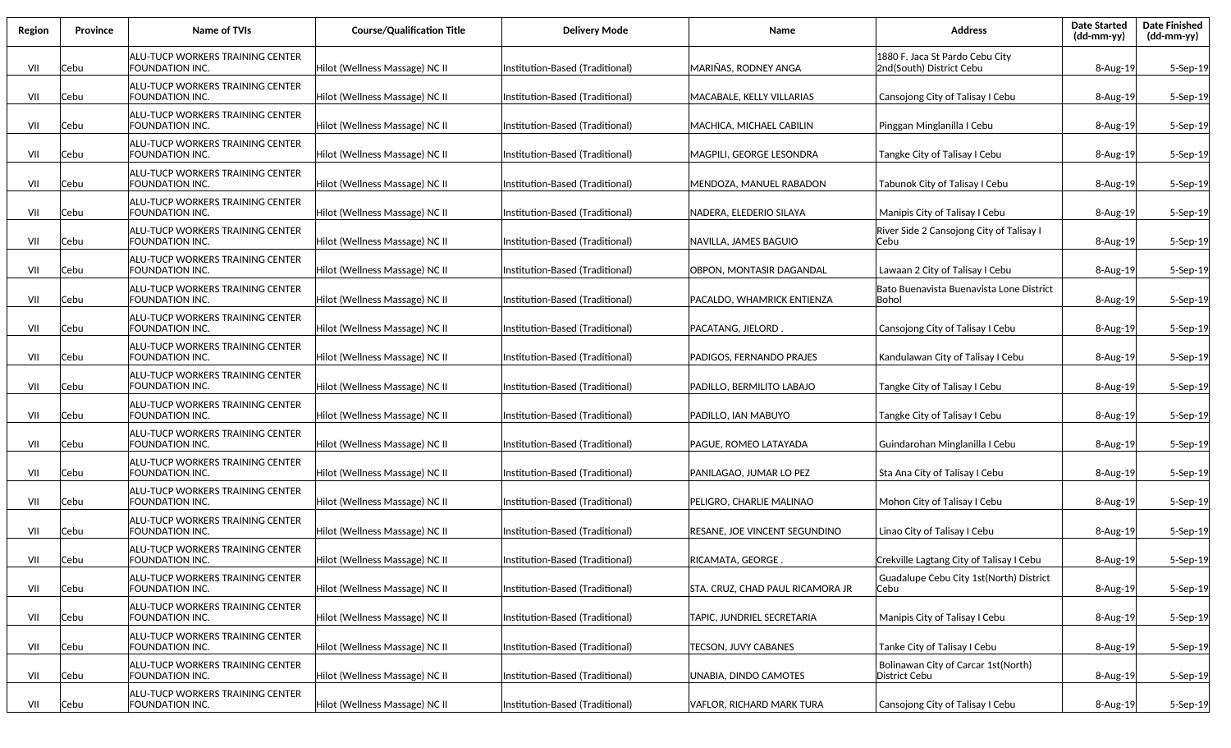| Region | Province | <b>Name of TVIs</b>                                        | <b>Course/Qualification Title</b> | <b>Delivery Mode</b>             | Name                                 | <b>Address</b>                                              | <b>Date Started</b><br>(dd-mm-yy) | <b>Date Finished</b><br>(dd-mm-yy) |
|--------|----------|------------------------------------------------------------|-----------------------------------|----------------------------------|--------------------------------------|-------------------------------------------------------------|-----------------------------------|------------------------------------|
| VII    | Cebu     | ALU-TUCP WORKERS TRAINING CENTER<br>FOUNDATION INC.        | Hilot (Wellness Massage) NC II    | Institution-Based (Traditional)  | MARIÑAS, RODNEY ANGA                 | 1880 F. Jaca St Pardo Cebu City<br>2nd(South) District Cebu | $8-Aug-19$                        | 5-Sep-19                           |
| VII    | Cebu     | ALU-TUCP WORKERS TRAINING CENTER<br>FOUNDATION INC.        | Hilot (Wellness Massage) NC II    | Institution-Based (Traditional)  | MACABALE, KELLY VILLARIAS            | Cansojong City of Talisay I Cebu                            | $8-Aug-19$                        | 5-Sep-19                           |
| VII    | Cebu     | ALU-TUCP WORKERS TRAINING CENTER<br>FOUNDATION INC.        | Hilot (Wellness Massage) NC II    | Institution-Based (Traditional)  | MACHICA, MICHAEL CABILIN             | Pinggan Minglanilla I Cebu                                  | 8-Aug-19                          | 5-Sep-19                           |
| VII    | Cebu     | ALU-TUCP WORKERS TRAINING CENTER<br>FOUNDATION INC.        | Hilot (Wellness Massage) NC II    | Institution-Based (Traditional)  | MAGPILI. GEORGE LESONDRA             | Tangke City of Talisay I Cebu                               | 8-Aug-19                          | 5-Sep-19                           |
| VII    | Cebu     | ALU-TUCP WORKERS TRAINING CENTER<br>FOUNDATION INC.        | Hilot (Wellness Massage) NC II    | Institution-Based (Traditional)  | MENDOZA, MANUEL RABADON              | Tabunok City of Talisay I Cebu                              | 8-Aug-19                          | 5-Sep-19                           |
| VII    | Cebu     | ALU-TUCP WORKERS TRAINING CENTER<br>FOUNDATION INC.        | Hilot (Wellness Massage) NC II    | Institution-Based (Traditional)  | NADERA, ELEDERIO SILAYA              | Manipis City of Talisay I Cebu                              | 8-Aug-19                          | 5-Sep-19                           |
| VII    | Cebu     | ALU-TUCP WORKERS TRAINING CENTER<br>FOUNDATION INC.        | Hilot (Wellness Massage) NC II    | Institution-Based (Traditional)  | NAVILLA, JAMES BAGUIO                | River Side 2 Cansojong City of Talisay I<br>Cebu            | $8-Aug-19$                        | 5-Sep-19                           |
| VII    | Cebu     | ALU-TUCP WORKERS TRAINING CENTER<br>FOUNDATION INC.        | Hilot (Wellness Massage) NC II    | Institution-Based (Traditional)  | OBPON, MONTASIR DAGANDAL             | Lawaan 2 City of Talisay I Cebu                             | 8-Aug-19                          | 5-Sep-19                           |
| VII    | Cebu     | ALU-TUCP WORKERS TRAINING CENTER<br>FOUNDATION INC.        | Hilot (Wellness Massage) NC II    | Institution-Based (Traditional)  | PACALDO. WHAMRICK ENTIENZA           | Bato Buenavista Buenavista Lone District<br>lBohol          | 8-Aug-19                          | 5-Sep-19                           |
| VII    | Cebu     | ALU-TUCP WORKERS TRAINING CENTER<br>FOUNDATION INC.        | Hilot (Wellness Massage) NC II    | Institution-Based (Traditional)  | PACATANG, JIELORD.                   | Cansojong City of Talisay I Cebu                            | $8 - Aug-19$                      | 5-Sep-19                           |
| VII    | Cebu     | ALU-TUCP WORKERS TRAINING CENTER<br>FOUNDATION INC.        | Hilot (Wellness Massage) NC II    | Institution-Based (Traditional)  | PADIGOS. FERNANDO PRAJES             | Kandulawan City of Talisay I Cebu                           | $8-Aug-19$                        | 5-Sep-19                           |
| VII    | Cebu     | ALU-TUCP WORKERS TRAINING CENTER<br>FOUNDATION INC.        | Hilot (Wellness Massage) NC II    | Institution-Based (Traditional)  | PADILLO, BERMILITO LABAJO            | Tangke City of Talisay I Cebu                               | 8-Aug-19                          | 5-Sep-19                           |
| VII    | Cebu     | ALU-TUCP WORKERS TRAINING CENTER<br>FOUNDATION INC.        | Hilot (Wellness Massage) NC II    | Institution-Based (Traditional)  | PADILLO, IAN MABUYO                  | Tangke City of Talisay I Cebu                               | 8-Aug-19                          | 5-Sep-19                           |
| VII    | Cebu     | ALU-TUCP WORKERS TRAINING CENTER<br>FOUNDATION INC.        | Hilot (Wellness Massage) NC II    | Institution-Based (Traditional)  | PAGUE, ROMEO LATAYADA                | Guindarohan Minglanilla I Cebu                              | 8-Aug-19                          | 5-Sep-19                           |
| VII    | Cebu     | ALU-TUCP WORKERS TRAINING CENTER<br>FOUNDATION INC.        | Hilot (Wellness Massage) NC II    | Institution-Based (Traditional)  | PANILAGAO, JUMAR LO PEZ              | Sta Ana City of Talisay I Cebu                              | 8-Aug-19                          | 5-Sep-19                           |
| VII    | Cebu     | ALU-TUCP WORKERS TRAINING CENTER<br>FOUNDATION INC.        | Hilot (Wellness Massage) NC II    | Institution-Based (Traditional)  | PELIGRO, CHARLIE MALINAO             | Mohon City of Talisay I Cebu                                | 8-Aug-19                          | 5-Sep-19                           |
| VII    | Cebu     | ALU-TUCP WORKERS TRAINING CENTER<br>FOUNDATION INC.        | Hilot (Wellness Massage) NC II    | Institution-Based (Traditional)  | <b>RESANE, JOE VINCENT SEGUNDINO</b> | Linao City of Talisay I Cebu                                | 8-Aug-19                          | 5-Sep-19                           |
| VII    | Cebu     | ALU-TUCP WORKERS TRAINING CENTER<br>FOUNDATION INC.        | Hilot (Wellness Massage) NC II    | (Institution-Based (Traditional) | RICAMATA, GEORGE .                   | Crekville Lagtang City of Talisay I Cebu                    | $8 - Aug-19$                      | $5-$ Sep $-19$                     |
| VII    | Cebu     | ALU-TUCP WORKERS TRAINING CENTER<br>FOUNDATION INC.        | Hilot (Wellness Massage) NC II    | Institution-Based (Traditional)  | STA. CRUZ, CHAD PAUL RICAMORA JR     | Guadalupe Cebu City 1st(North) District<br>Cebu             | 8-Aug-19                          | 5-Sep-19                           |
| VII    | Cebu     | <b>ALU-TUCP WORKERS TRAINING CENTER</b><br>FOUNDATION INC. | Hilot (Wellness Massage) NC II    | Institution-Based (Traditional)  | TAPIC, JUNDRIEL SECRETARIA           | Manipis City of Talisay I Cebu                              | 8-Aug-19                          | 5-Sep-19                           |
| VII    | Cebu     | <b>ALU-TUCP WORKERS TRAINING CENTER</b><br>FOUNDATION INC. | Hilot (Wellness Massage) NC II    | Institution-Based (Traditional)  | <b>TECSON, JUVY CABANES</b>          | Tanke City of Talisay I Cebu                                | 8-Aug-19                          | 5-Sep-19                           |
| VII    | Cebu     | ALU-TUCP WORKERS TRAINING CENTER<br>FOUNDATION INC.        | Hilot (Wellness Massage) NC II    | Institution-Based (Traditional)  | UNABIA, DINDO CAMOTES                | Bolinawan City of Carcar 1st(North)<br>District Cebu        | 8-Aug-19                          | 5-Sep-19                           |
| VII    | Cebu     | <b>ALU-TUCP WORKERS TRAINING CENTER</b><br>FOUNDATION INC. | Hilot (Wellness Massage) NC II    | Institution-Based (Traditional)  | VAFLOR, RICHARD MARK TURA            | Cansojong City of Talisay I Cebu                            | 8-Aug-19                          | 5-Sep-19                           |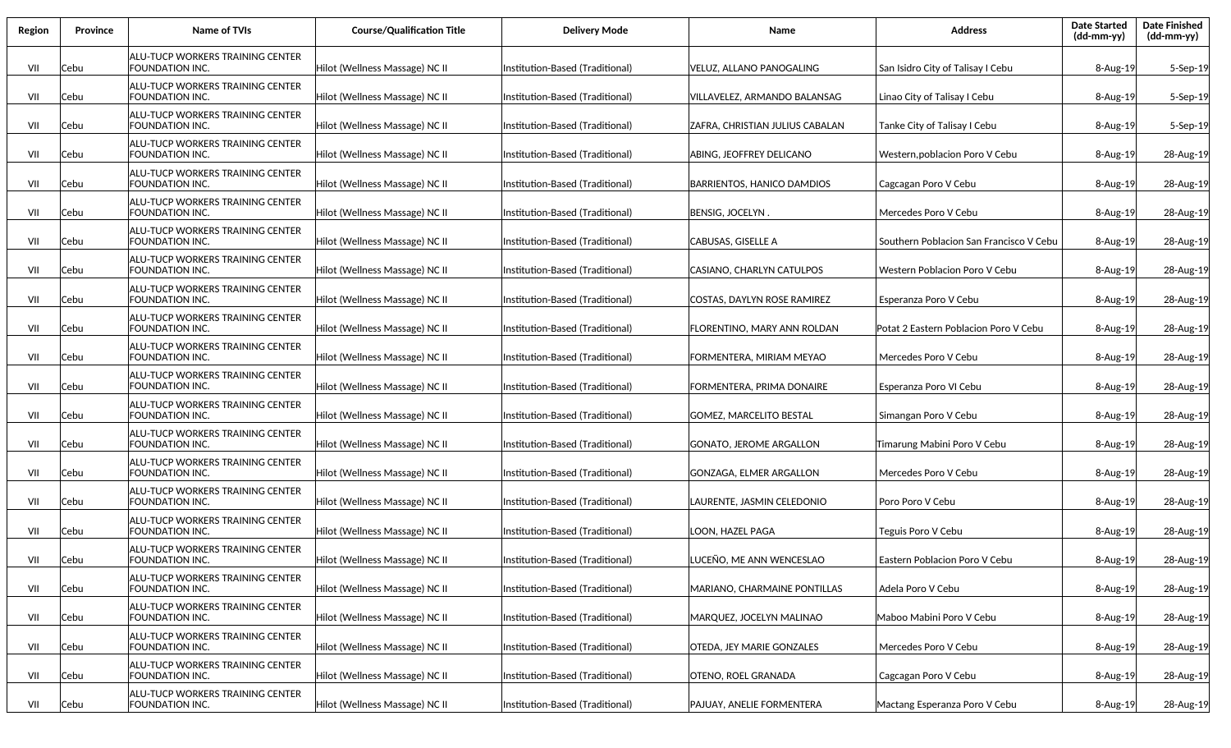| Region | Province | <b>Name of TVIs</b>                                        | <b>Course/Qualification Title</b> | <b>Delivery Mode</b>             | Name                            | <b>Address</b>                          | <b>Date Started</b><br>$(dd-mm-yy)$ | <b>Date Finished</b><br>(dd-mm-yy) |
|--------|----------|------------------------------------------------------------|-----------------------------------|----------------------------------|---------------------------------|-----------------------------------------|-------------------------------------|------------------------------------|
| VII    | Cebu     | ALU-TUCP WORKERS TRAINING CENTER<br>FOUNDATION INC.        | Hilot (Wellness Massage) NC II    | Institution-Based (Traditional)  | VELUZ, ALLANO PANOGALING        | San Isidro City of Talisay I Cebu       | $8 - Aug-19$                        | 5-Sep-19                           |
| VII    | Cebu     | ALU-TUCP WORKERS TRAINING CENTER<br>FOUNDATION INC.        | Hilot (Wellness Massage) NC II    | Institution-Based (Traditional)  | VILLAVELEZ, ARMANDO BALANSAG    | Linao City of Talisay I Cebu            | 8-Aug-19                            | 5-Sep-19                           |
| VII    | Cebu     | ALU-TUCP WORKERS TRAINING CENTER<br>FOUNDATION INC.        | Hilot (Wellness Massage) NC II    | Institution-Based (Traditional)  | ZAFRA, CHRISTIAN JULIUS CABALAN | Tanke City of Talisay I Cebu            | 8-Aug-19                            | 5-Sep-19                           |
| VII    | Cebu     | ALU-TUCP WORKERS TRAINING CENTER<br>FOUNDATION INC.        | Hilot (Wellness Massage) NC II    | Institution-Based (Traditional)  | ABING, JEOFFREY DELICANO        | Western, poblacion Poro V Cebu          | 8-Aug-19                            | 28-Aug-19                          |
| VII    | Cebu     | ALU-TUCP WORKERS TRAINING CENTER<br>FOUNDATION INC.        | Hilot (Wellness Massage) NC II    | Institution-Based (Traditional)  | BARRIENTOS, HANICO DAMDIOS      | Cagcagan Poro V Cebu                    | 8-Aug-19                            | 28-Aug-19                          |
| VII    | Cebu     | ALU-TUCP WORKERS TRAINING CENTER<br>FOUNDATION INC.        | Hilot (Wellness Massage) NC II    | Institution-Based (Traditional)  | <b>BENSIG, JOCELYN</b>          | Mercedes Poro V Cebu                    | 8-Aug-19                            | 28-Aug-19                          |
| VII    | Cebu     | ALU-TUCP WORKERS TRAINING CENTER<br>FOUNDATION INC.        | Hilot (Wellness Massage) NC II    | Institution-Based (Traditional)  | CABUSAS, GISELLE A              | Southern Poblacion San Francisco V Cebu | 8-Aug-19                            | 28-Aug-19                          |
| VII    | Cebu     | ALU-TUCP WORKERS TRAINING CENTER<br>FOUNDATION INC.        | Hilot (Wellness Massage) NC II    | Institution-Based (Traditional)  | CASIANO, CHARLYN CATULPOS       | Western Poblacion Poro V Cebu           | $8 - Aug-19$                        | 28-Aug-19                          |
| VII    | Cebu     | ALU-TUCP WORKERS TRAINING CENTER<br>FOUNDATION INC.        | Hilot (Wellness Massage) NC II    | Institution-Based (Traditional)  | COSTAS, DAYLYN ROSE RAMIREZ     | Esperanza Poro V Cebu                   | 8-Aug-19                            | 28-Aug-19                          |
| VII    | Cebu     | ALU-TUCP WORKERS TRAINING CENTER<br>FOUNDATION INC.        | Hilot (Wellness Massage) NC II    | Institution-Based (Traditional)  | FLORENTINO. MARY ANN ROLDAN     | Potat 2 Eastern Poblacion Poro V Cebu   | $8 - Aug-19$                        | 28-Aug-19                          |
| VII    | Cebu     | ALU-TUCP WORKERS TRAINING CENTER<br>FOUNDATION INC.        | Hilot (Wellness Massage) NC II    | Institution-Based (Traditional)  | FORMENTERA, MIRIAM MEYAO        | Mercedes Poro V Cebu                    | 8-Aug-19                            | 28-Aug-19                          |
| VII    | Cebu     | ALU-TUCP WORKERS TRAINING CENTER<br>FOUNDATION INC.        | Hilot (Wellness Massage) NC II    | Institution-Based (Traditional)  | FORMENTERA, PRIMA DONAIRE       | Esperanza Poro VI Cebu                  | 8-Aug-19                            | 28-Aug-19                          |
| VII    | Cebu     | ALU-TUCP WORKERS TRAINING CENTER<br>FOUNDATION INC.        | Hilot (Wellness Massage) NC II    | Institution-Based (Traditional)  | GOMEZ, MARCELITO BESTAL         | Simangan Poro V Cebu                    | 8-Aug-19                            | 28-Aug-19                          |
| VII    | Cebu     | ALU-TUCP WORKERS TRAINING CENTER<br>FOUNDATION INC.        | Hilot (Wellness Massage) NC II    | Institution-Based (Traditional)  | GONATO, JEROME ARGALLON         | Timarung Mabini Poro V Cebu             | 8-Aug-19                            | 28-Aug-19                          |
| VII    | Cebu     | ALU-TUCP WORKERS TRAINING CENTER<br>FOUNDATION INC.        | Hilot (Wellness Massage) NC II    | Institution-Based (Traditional)  | GONZAGA, ELMER ARGALLON         | Mercedes Poro V Cebu                    | 8-Aug-19                            | 28-Aug-19                          |
| VII    | Cebu     | ALU-TUCP WORKERS TRAINING CENTER<br>FOUNDATION INC.        | Hilot (Wellness Massage) NC II    | Institution-Based (Traditional)  | LAURENTE, JASMIN CELEDONIO      | Poro Poro V Cebu                        | $8 - Aug-19$                        | 28-Aug-19                          |
| VII    | Cebu     | ALU-TUCP WORKERS TRAINING CENTER<br>FOUNDATION INC.        | Hilot (Wellness Massage) NC II    | Institution-Based (Traditional)  | LOON, HAZEL PAGA                | Teguis Poro V Cebu                      | $8 - Aug-19$                        | 28-Aug-19                          |
| VII    | Cebu     | ALU-TUCP WORKERS TRAINING CENTER<br><b>FOUNDATION INC.</b> | Hilot (Wellness Massage) NC II    | (Institution-Based (Traditional) | LUCEÑO. ME ANN WENCESLAO        | Eastern Poblacion Poro V Cebu           | $8 - Aug-19$                        | 28-Aug-19                          |
| VII    | Cebu     | ALU-TUCP WORKERS TRAINING CENTER<br>FOUNDATION INC.        | Hilot (Wellness Massage) NC II    | Institution-Based (Traditional)  | MARIANO, CHARMAINE PONTILLAS    | Adela Poro V Cebu                       | 8-Aug-19                            | 28-Aug-19                          |
| VII    | Cebu     | ALU-TUCP WORKERS TRAINING CENTER<br>FOUNDATION INC.        | Hilot (Wellness Massage) NC II    | Institution-Based (Traditional)  | MARQUEZ, JOCELYN MALINAO        | Maboo Mabini Poro V Cebu                | 8-Aug-19                            | 28-Aug-19                          |
| VII    | Cebu     | ALU-TUCP WORKERS TRAINING CENTER<br>FOUNDATION INC.        | Hilot (Wellness Massage) NC II    | Institution-Based (Traditional)  | OTEDA, JEY MARIE GONZALES       | Mercedes Poro V Cebu                    | 8-Aug-19                            | 28-Aug-19                          |
| VII    | Cebu     | ALU-TUCP WORKERS TRAINING CENTER<br>FOUNDATION INC.        | Hilot (Wellness Massage) NC II    | Institution-Based (Traditional)  | OTENO, ROEL GRANADA             | Cagcagan Poro V Cebu                    | 8-Aug-19                            | 28-Aug-19                          |
| VII    | Cebu     | ALU-TUCP WORKERS TRAINING CENTER<br>FOUNDATION INC.        | Hilot (Wellness Massage) NC II    | Institution-Based (Traditional)  | PAJUAY, ANELIE FORMENTERA       | Mactang Esperanza Poro V Cebu           | 8-Aug-19                            | 28-Aug-19                          |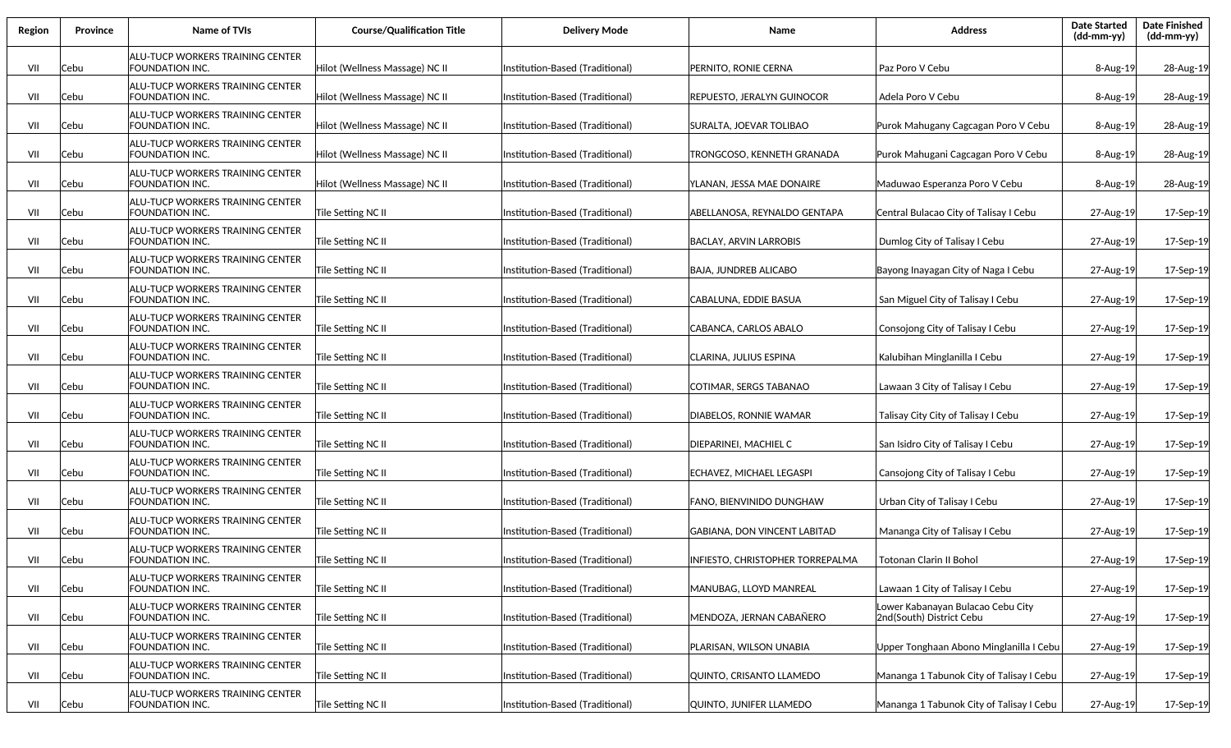| Region | Province | <b>Name of TVIs</b>                                        | <b>Course/Qualification Title</b> | <b>Delivery Mode</b>             | Name                             | <b>Address</b>                                                | <b>Date Started</b><br>(dd-mm-yy) | <b>Date Finished</b><br>(dd-mm-yy) |
|--------|----------|------------------------------------------------------------|-----------------------------------|----------------------------------|----------------------------------|---------------------------------------------------------------|-----------------------------------|------------------------------------|
| VII    | Cebu     | ALU-TUCP WORKERS TRAINING CENTER<br>FOUNDATION INC.        | Hilot (Wellness Massage) NC II    | Institution-Based (Traditional)  | PERNITO, RONIE CERNA             | Paz Poro V Cebu                                               | 8-Aug-19                          | 28-Aug-19                          |
| VII    | Cebu     | ALU-TUCP WORKERS TRAINING CENTER<br>FOUNDATION INC.        | Hilot (Wellness Massage) NC II    | Institution-Based (Traditional)  | REPUESTO. JERALYN GUINOCOR       | Adela Poro V Cebu                                             | 8-Aug-19                          | 28-Aug-19                          |
| VII    | Cebu     | ALU-TUCP WORKERS TRAINING CENTER<br>FOUNDATION INC.        | Hilot (Wellness Massage) NC II    | Institution-Based (Traditional)  | SURALTA, JOEVAR TOLIBAO          | Purok Mahugany Cagcagan Poro V Cebu                           | 8-Aug-19                          | 28-Aug-19                          |
| VII    | Cebu     | ALU-TUCP WORKERS TRAINING CENTER<br>FOUNDATION INC.        | Hilot (Wellness Massage) NC II    | Institution-Based (Traditional)  | TRONGCOSO, KENNETH GRANADA       | Purok Mahugani Cagcagan Poro V Cebu                           | 8-Aug-19                          | 28-Aug-19                          |
| VII    | Cebu     | ALU-TUCP WORKERS TRAINING CENTER<br>FOUNDATION INC.        | Hilot (Wellness Massage) NC II    | Institution-Based (Traditional)  | YLANAN. JESSA MAE DONAIRE        | Maduwao Esperanza Poro V Cebu                                 | 8-Aug-19                          | 28-Aug-19                          |
| VII    | Cebu     | ALU-TUCP WORKERS TRAINING CENTER<br>FOUNDATION INC.        | Tile Setting NC II                | Institution-Based (Traditional)  | ABELLANOSA, REYNALDO GENTAPA     | Central Bulacao City of Talisay I Cebu                        | 27-Aug-19                         | 17-Sep-19                          |
| VII    | Cebu     | ALU-TUCP WORKERS TRAINING CENTER<br>FOUNDATION INC.        | Tile Setting NC II                | (Institution-Based (Traditional) | BACLAY, ARVIN LARROBIS           | Dumlog City of Talisay I Cebu                                 | 27-Aug-19                         | 17-Sep-19                          |
| VII    | Cebu     | ALU-TUCP WORKERS TRAINING CENTER<br>FOUNDATION INC.        | Tile Setting NC II                | Institution-Based (Traditional)  | BAJA, JUNDREB ALICABO            | Bayong Inayagan City of Naga I Cebu                           | 27-Aug-19                         | 17-Sep-19                          |
| VII    | Cebu     | ALU-TUCP WORKERS TRAINING CENTER<br>FOUNDATION INC.        | Tile Setting NC II                | Institution-Based (Traditional)  | CABALUNA, EDDIE BASUA            | San Miguel City of Talisay I Cebu                             | 27-Aug-19                         | 17-Sep-19                          |
| VII    | Cebu     | ALU-TUCP WORKERS TRAINING CENTER<br>FOUNDATION INC.        | Tile Setting NC II                | Institution-Based (Traditional)  | ICABANCA, CARLOS ABALO           | Consojong City of Talisay I Cebu                              | 27-Aug-19                         | 17-Sep-19                          |
| VII    | Cebu     | ALU-TUCP WORKERS TRAINING CENTER<br><b>FOUNDATION INC.</b> | Tile Setting NC II                | Institution-Based (Traditional)  | ICLARINA, JULIUS ESPINA          | Kalubihan Minglanilla I Cebu                                  | 27-Aug-19                         | 17-Sep-19                          |
| VII    | Cebu     | ALU-TUCP WORKERS TRAINING CENTER<br>FOUNDATION INC.        | Tile Setting NC II                | Institution-Based (Traditional)  | COTIMAR, SERGS TABANAO           | Lawaan 3 City of Talisay I Cebu                               | 27-Aug-19                         | 17-Sep-19                          |
| VII    | Cebu     | ALU-TUCP WORKERS TRAINING CENTER<br>FOUNDATION INC.        | Tile Setting NC II                | Institution-Based (Traditional)  | DIABELOS, RONNIE WAMAR           | Talisay City City of Talisay I Cebu                           | 27-Aug-19                         | 17-Sep-19                          |
| VII    | Cebu     | ALU-TUCP WORKERS TRAINING CENTER<br>FOUNDATION INC.        | Tile Setting NC II                | Institution-Based (Traditional)  | DIEPARINEI, MACHIEL C            | San Isidro City of Talisay I Cebu                             | 27-Aug-19                         | 17-Sep-19                          |
| VII    | Cebu     | ALU-TUCP WORKERS TRAINING CENTER<br>FOUNDATION INC.        | Tile Setting NC II                | Institution-Based (Traditional)  | ECHAVEZ, MICHAEL LEGASPI         | Cansojong City of Talisay I Cebu                              | 27-Aug-19                         | 17-Sep-19                          |
| VII    | Cebu     | ALU-TUCP WORKERS TRAINING CENTER<br>FOUNDATION INC.        | Tile Setting NC II                | Institution-Based (Traditional)  | FANO, BIENVINIDO DUNGHAW         | Urban City of Talisay I Cebu                                  | 27-Aug-19                         | 17-Sep-19                          |
| VII    | Cebu     | ALU-TUCP WORKERS TRAINING CENTER<br>FOUNDATION INC.        | Tile Setting NC II                | Institution-Based (Traditional)  | GABIANA, DON VINCENT LABITAD     | Mananga City of Talisay I Cebu                                | 27-Aug-19                         | 17-Sep-19                          |
| VII    | Cebu     | ALU-TUCP WORKERS TRAINING CENTER<br>FOUNDATION INC.        | Tile Setting NC II                | (Institution-Based (Traditional) | INFIESTO. CHRISTOPHER TORREPALMA | Totonan Clarin II Bohol                                       | 27-Aug-19                         | 17-Sep-19                          |
| VII    | Cebu     | ALU-TUCP WORKERS TRAINING CENTER<br>FOUNDATION INC.        | Tile Setting NC II                | Institution-Based (Traditional)  | MANUBAG, LLOYD MANREAL           | Lawaan 1 City of Talisay I Cebu                               | 27-Aug-19                         | 17-Sep-19                          |
| VII    | Cebu     | <b>ALU-TUCP WORKERS TRAINING CENTER</b><br>FOUNDATION INC. | Tile Setting NC II                | Institution-Based (Traditional)  | MENDOZA, JERNAN CABAÑERO         | Lower Kabanayan Bulacao Cebu City<br>2nd(South) District Cebu | 27-Aug-19                         | 17-Sep-19                          |
| VII    | Cebu     | <b>ALU-TUCP WORKERS TRAINING CENTER</b><br>FOUNDATION INC. | Tile Setting NC II                | Institution-Based (Traditional)  | PLARISAN, WILSON UNABIA          | Upper Tonghaan Abono Minglanilla I Cebu                       | 27-Aug-19                         | 17-Sep-19                          |
| VII    | Cebu     | ALU-TUCP WORKERS TRAINING CENTER<br>FOUNDATION INC.        | Tile Setting NC II                | Institution-Based (Traditional)  | QUINTO, CRISANTO LLAMEDO         | Mananga 1 Tabunok City of Talisay I Cebu                      | 27-Aug-19                         | 17-Sep-19                          |
| VII    | Cebu     | <b>ALU-TUCP WORKERS TRAINING CENTER</b><br>FOUNDATION INC. | Tile Setting NC II                | Institution-Based (Traditional)  | QUINTO, JUNIFER LLAMEDO          | Mananga 1 Tabunok City of Talisay I Cebu                      | 27-Aug-19                         | 17-Sep-19                          |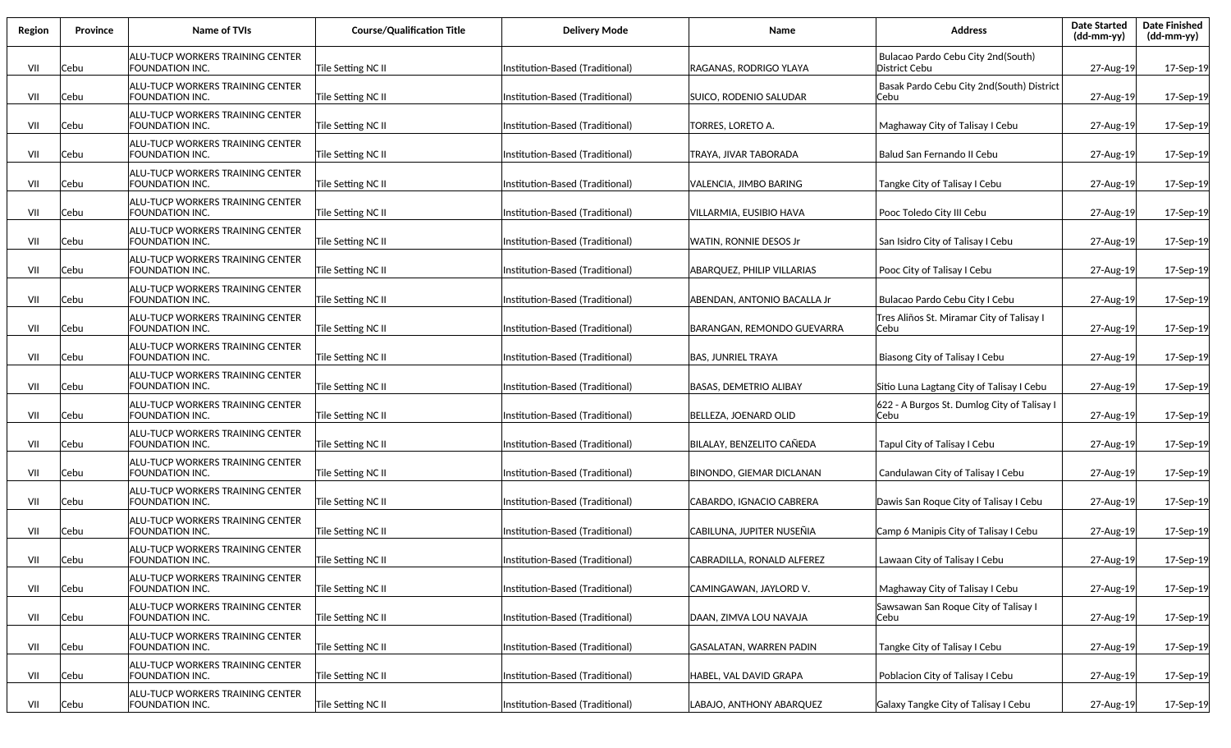| Region | Province | <b>Name of TVIs</b>                                        | <b>Course/Qualification Title</b> | <b>Delivery Mode</b>            | Name                            | <b>Address</b>                                       | <b>Date Started</b><br>(dd-mm-yy) | <b>Date Finished</b><br>(dd-mm-yy) |
|--------|----------|------------------------------------------------------------|-----------------------------------|---------------------------------|---------------------------------|------------------------------------------------------|-----------------------------------|------------------------------------|
| VII    | Cebu     | ALU-TUCP WORKERS TRAINING CENTER<br>FOUNDATION INC.        | Tile Setting NC II                | Institution-Based (Traditional) | RAGANAS, RODRIGO YLAYA          | Bulacao Pardo Cebu City 2nd(South)<br>District Cebu  | 27-Aug-19                         | 17-Sep-19                          |
| VII    | Cebu     | ALU-TUCP WORKERS TRAINING CENTER<br>FOUNDATION INC.        | Tile Setting NC II                | Institution-Based (Traditional) | SUICO, RODENIO SALUDAR          | Basak Pardo Cebu City 2nd(South) District<br>Cebu    | 27-Aug-19                         | 17-Sep-19                          |
| VII    | Cebu     | ALU-TUCP WORKERS TRAINING CENTER<br>FOUNDATION INC.        | Tile Setting NC II                | Institution-Based (Traditional) | TORRES, LORETO A.               | Maghaway City of Talisay I Cebu                      | 27-Aug-19                         | 17-Sep-19                          |
| VII    | Cebu     | ALU-TUCP WORKERS TRAINING CENTER<br>FOUNDATION INC.        | Tile Setting NC II                | Institution-Based (Traditional) | TRAYA, JIVAR TABORADA           | Balud San Fernando II Cebu                           | 27-Aug-19                         | 17-Sep-19                          |
| VII    | Cebu     | ALU-TUCP WORKERS TRAINING CENTER<br>FOUNDATION INC.        | Tile Setting NC II                | Institution-Based (Traditional) | VALENCIA, JIMBO BARING          | Tangke City of Talisay I Cebu                        | 27-Aug-19                         | 17-Sep-19                          |
| VII    | Cebu     | ALU-TUCP WORKERS TRAINING CENTER<br>FOUNDATION INC.        | Tile Setting NC II                | Institution-Based (Traditional) | VILLARMIA, EUSIBIO HAVA         | Pooc Toledo City III Cebu                            | 27-Aug-19                         | 17-Sep-19                          |
| VII    | Cebu     | ALU-TUCP WORKERS TRAINING CENTER<br>FOUNDATION INC.        | Tile Setting NC II                | Institution-Based (Traditional) | <b>WATIN, RONNIE DESOS Jr</b>   | San Isidro City of Talisay I Cebu                    | 27-Aug-19                         | 17-Sep-19                          |
| VII    | Cebu     | ALU-TUCP WORKERS TRAINING CENTER<br>FOUNDATION INC.        | Tile Setting NC II                | Institution-Based (Traditional) | ABARQUEZ, PHILIP VILLARIAS      | Pooc City of Talisay I Cebu                          | 27-Aug-19                         | 17-Sep-19                          |
| VII    | Cebu     | ALU-TUCP WORKERS TRAINING CENTER<br>FOUNDATION INC.        | Tile Setting NC II                | Institution-Based (Traditional) | ABENDAN, ANTONIO BACALLA Jr     | Bulacao Pardo Cebu City I Cebu                       | 27-Aug-19                         | 17-Sep-19                          |
| VII    | Cebu     | ALU-TUCP WORKERS TRAINING CENTER<br>FOUNDATION INC.        | Tile Setting NC II                | Institution-Based (Traditional) | BARANGAN, REMONDO GUEVARRA      | Tres Aliños St. Miramar City of Talisay I<br>Cebu    | 27-Aug-19                         | 17-Sep-19                          |
| VII    | Cebu     | ALU-TUCP WORKERS TRAINING CENTER<br>FOUNDATION INC.        | Tile Setting NC II                | Institution-Based (Traditional) | <b>BAS, JUNRIEL TRAYA</b>       | Biasong City of Talisay I Cebu                       | 27-Aug-19                         | 17-Sep-19                          |
| VII    | Cebu     | ALU-TUCP WORKERS TRAINING CENTER<br>FOUNDATION INC.        | Tile Setting NC II                | Institution-Based (Traditional) | <b>BASAS, DEMETRIO ALIBAY</b>   | Sitio Luna Lagtang City of Talisay I Cebu            | 27-Aug-19                         | 17-Sep-19                          |
| VII    | Cebu     | ALU-TUCP WORKERS TRAINING CENTER<br>FOUNDATION INC.        | Tile Setting NC II                | Institution-Based (Traditional) | BELLEZA, JOENARD OLID           | 622 - A Burgos St. Dumlog City of Talisay I<br>lCebu | 27-Aug-19                         | 17-Sep-19                          |
| VII    | Cebu     | ALU-TUCP WORKERS TRAINING CENTER<br>FOUNDATION INC.        | Tile Setting NC II                | Institution-Based (Traditional) | BILALAY, BENZELITO CAÑEDA       | Tapul City of Talisay I Cebu                         | 27-Aug-19                         | 17-Sep-19                          |
| VII    | Cebu     | ALU-TUCP WORKERS TRAINING CENTER<br>FOUNDATION INC.        | Tile Setting NC II                | Institution-Based (Traditional) | <b>BINONDO, GIEMAR DICLANAN</b> | Candulawan City of Talisay I Cebu                    | 27-Aug-19                         | 17-Sep-19                          |
| VII    | Cebu     | ALU-TUCP WORKERS TRAINING CENTER<br>FOUNDATION INC.        | Tile Setting NC II                | Institution-Based (Traditional) | CABARDO, IGNACIO CABRERA        | Dawis San Roque City of Talisay I Cebu               | 27-Aug-19                         | 17-Sep-19                          |
| VII    | Cebu     | ALU-TUCP WORKERS TRAINING CENTER<br>FOUNDATION INC.        | Tile Setting NC II                | Institution-Based (Traditional) | CABILUNA, JUPITER NUSEÑIA       | Camp 6 Manipis City of Talisay I Cebu                | 27-Aug-19                         | 17-Sep-19                          |
| VII    | Cebu     | ALU-TUCP WORKERS TRAINING CENTER<br>FOUNDATION INC.        | Tile Setting NC II                | Institution-Based (Traditional) | CABRADILLA, RONALD ALFEREZ      | Lawaan City of Talisay I Cebu                        | 27-Aug-19                         | 17-Sep-19                          |
| VII    | Cebu     | ALU-TUCP WORKERS TRAINING CENTER<br>FOUNDATION INC.        | Tile Setting NC II                | Institution-Based (Traditional) | ICAMINGAWAN, JAYLORD V.         | Maghaway City of Talisay I Cebu                      | 27-Aug-19                         | 17-Sep-19                          |
| VII    | Cebu     | ALU-TUCP WORKERS TRAINING CENTER<br>FOUNDATION INC.        | Tile Setting NC II                | Institution-Based (Traditional) | DAAN, ZIMVA LOU NAVAJA          | Sawsawan San Roque City of Talisay I<br> Cebu        | 27-Aug-19                         | 17-Sep-19                          |
| VII    | Cebu     | ALU-TUCP WORKERS TRAINING CENTER<br>FOUNDATION INC.        | Tile Setting NC II                | Institution-Based (Traditional) | GASALATAN, WARREN PADIN         | Tangke City of Talisay I Cebu                        | 27-Aug-19                         | 17-Sep-19                          |
| VII    | Cebu     | <b>ALU-TUCP WORKERS TRAINING CENTER</b><br>FOUNDATION INC. | Tile Setting NC II                | Institution-Based (Traditional) | HABEL, VAL DAVID GRAPA          | Poblacion City of Talisay I Cebu                     | 27-Aug-19                         | 17-Sep-19                          |
| VII    | Cebu     | <b>ALU-TUCP WORKERS TRAINING CENTER</b><br>FOUNDATION INC. | Tile Setting NC II                | Institution-Based (Traditional) | LABAJO, ANTHONY ABARQUEZ        | Galaxy Tangke City of Talisay I Cebu                 | 27-Aug-19                         | 17-Sep-19                          |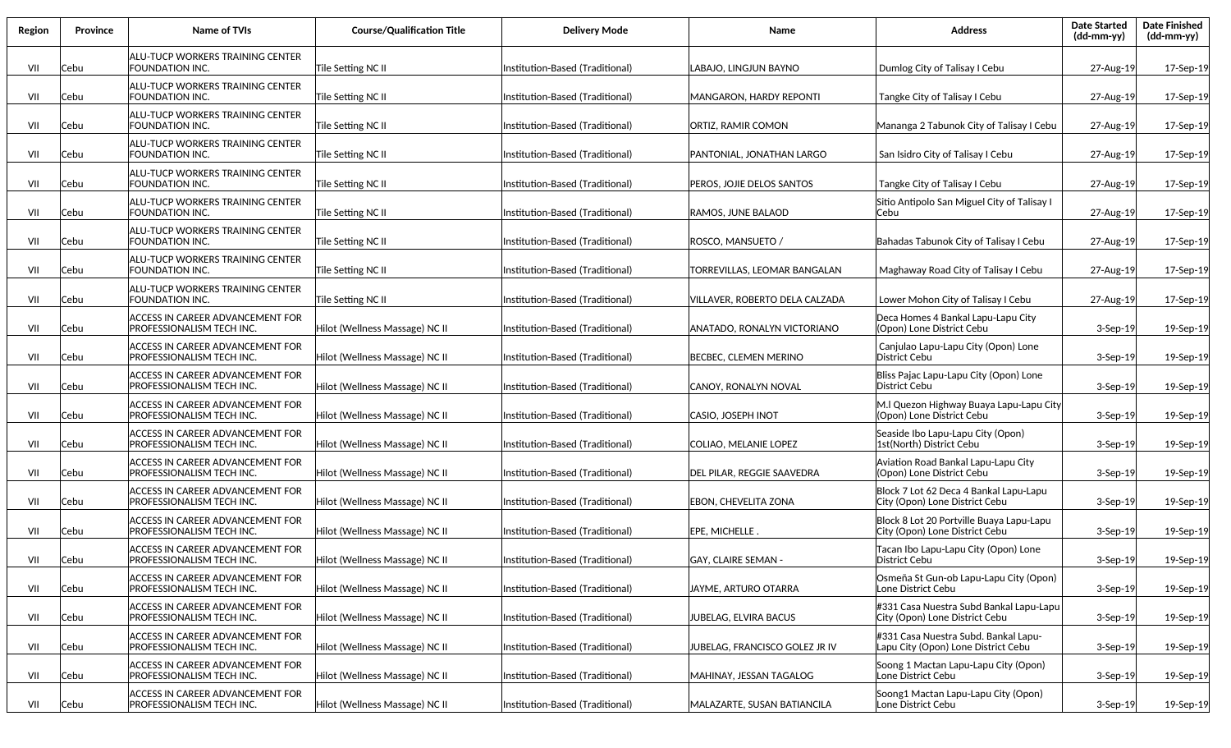| Region | <b>Province</b> | Name of TVIs                                                         | <b>Course/Qualification Title</b> | <b>Delivery Mode</b>             | Name                           | <b>Address</b>                                                              | <b>Date Started</b><br>(dd-mm-yy) | <b>Date Finished</b><br>(dd-mm-yy) |
|--------|-----------------|----------------------------------------------------------------------|-----------------------------------|----------------------------------|--------------------------------|-----------------------------------------------------------------------------|-----------------------------------|------------------------------------|
| VII    | Cebu            | ALU-TUCP WORKERS TRAINING CENTER<br>FOUNDATION INC.                  | Tile Setting NC II                | Institution-Based (Traditional)  | LABAJO, LINGJUN BAYNO          | Dumlog City of Talisay I Cebu                                               | 27-Aug-19                         | 17-Sep-19                          |
| VII    | Cebu            | ALU-TUCP WORKERS TRAINING CENTER<br>FOUNDATION INC.                  | Tile Setting NC II                | Institution-Based (Traditional)  | MANGARON, HARDY REPONTI        | Tangke City of Talisay I Cebu                                               | 27-Aug-19                         | 17-Sep-19                          |
| VII    | Cebu            | ALU-TUCP WORKERS TRAINING CENTER<br>FOUNDATION INC.                  | Tile Setting NC II                | Institution-Based (Traditional)  | ORTIZ, RAMIR COMON             | Mananga 2 Tabunok City of Talisay I Cebu                                    | 27-Aug-19                         | 17-Sep-19                          |
| VII    | Cebu            | ALU-TUCP WORKERS TRAINING CENTER<br>FOUNDATION INC.                  | Tile Setting NC II                | Institution-Based (Traditional)  | PANTONIAL, JONATHAN LARGO      | San Isidro City of Talisay I Cebu                                           | 27-Aug-19                         | 17-Sep-19                          |
| VII    | Cebu            | ALU-TUCP WORKERS TRAINING CENTER<br>FOUNDATION INC.                  | Tile Setting NC II                | Institution-Based (Traditional   | PEROS, JOJIE DELOS SANTOS      | Tangke City of Talisay I Cebu                                               | 27-Aug-19                         | 17-Sep-19                          |
| VII    | Cebu            | ALU-TUCP WORKERS TRAINING CENTER<br>FOUNDATION INC.                  | Tile Setting NC II                | Institution-Based (Traditional)  | RAMOS, JUNE BALAOD             | Sitio Antipolo San Miguel City of Talisay I<br>Cebu                         | 27-Aug-19                         | 17-Sep-19                          |
| VII    | Cebu            | ALU-TUCP WORKERS TRAINING CENTER<br>FOUNDATION INC.                  | Tile Setting NC II                | Institution-Based (Traditional)  | ROSCO, MANSUETO /              | Bahadas Tabunok City of Talisay I Cebu                                      | 27-Aug-19                         | 17-Sep-19                          |
| VII    | Cebu            | ALU-TUCP WORKERS TRAINING CENTER<br>FOUNDATION INC.                  | Tile Setting NC II                | Institution-Based (Traditional)  | TORREVILLAS, LEOMAR BANGALAN   | Maghaway Road City of Talisay I Cebu                                        | 27-Aug-19                         | 17-Sep-19                          |
| VII    | Cebu            | ALU-TUCP WORKERS TRAINING CENTER<br>FOUNDATION INC.                  | Tile Setting NC II                | Institution-Based (Traditional)  | VILLAVER, ROBERTO DELA CALZADA | Lower Mohon City of Talisay I Cebu                                          | 27-Aug-19                         | 17-Sep-19                          |
| VII    | Cebu            | <b>ACCESS IN CAREER ADVANCEMENT FOR</b><br>PROFESSIONALISM TECH INC. | Hilot (Wellness Massage) NC II    | Institution-Based (Traditional)  | ANATADO, RONALYN VICTORIANO    | Deca Homes 4 Bankal Lapu-Lapu City<br>(Opon) Lone District Cebu             | $3-$ Sep $-19$                    | 19-Sep-19                          |
| VII    | Cebu            | ACCESS IN CAREER ADVANCEMENT FOR<br>PROFESSIONALISM TECH INC.        | Hilot (Wellness Massage) NC II    | Institution-Based (Traditional)  | BECBEC, CLEMEN MERINO          | Canjulao Lapu-Lapu City (Opon) Lone<br>District Cebu                        | 3-Sep-19                          | 19-Sep-19                          |
| VII    | Cebu            | ACCESS IN CAREER ADVANCEMENT FOR<br>PROFESSIONALISM TECH INC.        | Hilot (Wellness Massage) NC II    | Institution-Based (Traditional)  | CANOY, RONALYN NOVAL           | Bliss Pajac Lapu-Lapu City (Opon) Lone<br>District Cebu                     | 3-Sep-19                          | 19-Sep-19                          |
| VII    | Cebu            | ACCESS IN CAREER ADVANCEMENT FOR<br>PROFESSIONALISM TECH INC.        | Hilot (Wellness Massage) NC II    | Institution-Based (Traditional)  | CASIO, JOSEPH INOT             | M.I Quezon Highway Buaya Lapu-Lapu City<br>(Opon) Lone District Cebu        | $3-$ Sep $-19$                    | 19-Sep-19                          |
| VII    | Cebu            | ACCESS IN CAREER ADVANCEMENT FOR<br>PROFESSIONALISM TECH INC.        | Hilot (Wellness Massage) NC II    | nstitution-Based (Traditional)   | COLIAO, MELANIE LOPEZ          | Seaside Ibo Lapu-Lapu City (Opon)<br>1st(North) District Cebu               | $3-$ Sep $-19$                    | 19-Sep-19                          |
| VII    | Cebu            | ACCESS IN CAREER ADVANCEMENT FOR<br>PROFESSIONALISM TECH INC.        | Hilot (Wellness Massage) NC II    | nstitution-Based (Traditional)   | DEL PILAR, REGGIE SAAVEDRA     | Aviation Road Bankal Lapu-Lapu City<br>(Opon) Lone District Cebu            | $3-$ Sep $-19$                    | 19-Sep-19                          |
| VII    | Cebu            | ACCESS IN CAREER ADVANCEMENT FOR<br>PROFESSIONALISM TECH INC.        | Hilot (Wellness Massage) NC II    | Institution-Based (Traditional)  | <b>EBON, CHEVELITA ZONA</b>    | Block 7 Lot 62 Deca 4 Bankal Lapu-Lapu<br>City (Opon) Lone District Cebu    | $3-$ Sep $-19$                    | 19-Sep-19                          |
| VII    | Cebu            | ACCESS IN CAREER ADVANCEMENT FOR<br>PROFESSIONALISM TECH INC.        | Hilot (Wellness Massage) NC II    | Institution-Based (Traditional)  | EPE, MICHELLE.                 | Block 8 Lot 20 Portville Buaya Lapu-Lapu<br>City (Opon) Lone District Cebu  | $3-$ Sep $-19$                    | 19-Sep-19                          |
| VII    | Cebu            | ACCESS IN CAREER ADVANCEMENT FOR<br>PROFESSIONALISM TECH INC.        | Hilot (Wellness Massage) NC II    | Institution-Based (Traditional)  | lgay. Claire Seman -           | Tacan Ibo Lapu-Lapu City (Opon) Lone<br>District Cebu                       | $3-Sep-19$                        | 19-Sep-19                          |
| VII    | Cebu            | ACCESS IN CAREER ADVANCEMENT FOR<br>PROFESSIONALISM TECH INC.        | Hilot (Wellness Massage) NC II    | lInstitution-Based (Traditional) | JAYME, ARTURO OTARRA           | Osmeña St Gun-ob Lapu-Lapu City (Opon)<br>Lone District Cebu                | 3-Sep-19                          | 19-Sep-19                          |
| VII    | Cebu            | ACCESS IN CAREER ADVANCEMENT FOR<br>PROFESSIONALISM TECH INC.        | Hilot (Wellness Massage) NC II    | Institution-Based (Traditional)  | IUBELAG, ELVIRA BACUS          | #331 Casa Nuestra Subd Bankal Lapu-Lapu<br>City (Opon) Lone District Cebu   | 3-Sep-19                          | 19-Sep-19                          |
| VII    | Cebu            | ACCESS IN CAREER ADVANCEMENT FOR<br>PROFESSIONALISM TECH INC.        | Hilot (Wellness Massage) NC II    | Institution-Based (Traditional)  | JUBELAG, FRANCISCO GOLEZ JR IV | #331 Casa Nuestra Subd. Bankal Lapu-<br>Lapu City (Opon) Lone District Cebu | 3-Sep-19                          | 19-Sep-19                          |
| VII    | Cebu            | ACCESS IN CAREER ADVANCEMENT FOR<br>PROFESSIONALISM TECH INC.        | Hilot (Wellness Massage) NC II    | Institution-Based (Traditional)  | MAHINAY, JESSAN TAGALOG        | Soong 1 Mactan Lapu-Lapu City (Opon)<br>Lone District Cebu                  | 3-Sep-19                          | 19-Sep-19                          |
| VII    | Cebu            | ACCESS IN CAREER ADVANCEMENT FOR<br>PROFESSIONALISM TECH INC.        | Hilot (Wellness Massage) NC II    | Institution-Based (Traditional)  | MALAZARTE, SUSAN BATIANCILA    | Soong1 Mactan Lapu-Lapu City (Opon)<br>Lone District Cebu                   | 3-Sep-19                          | 19-Sep-19                          |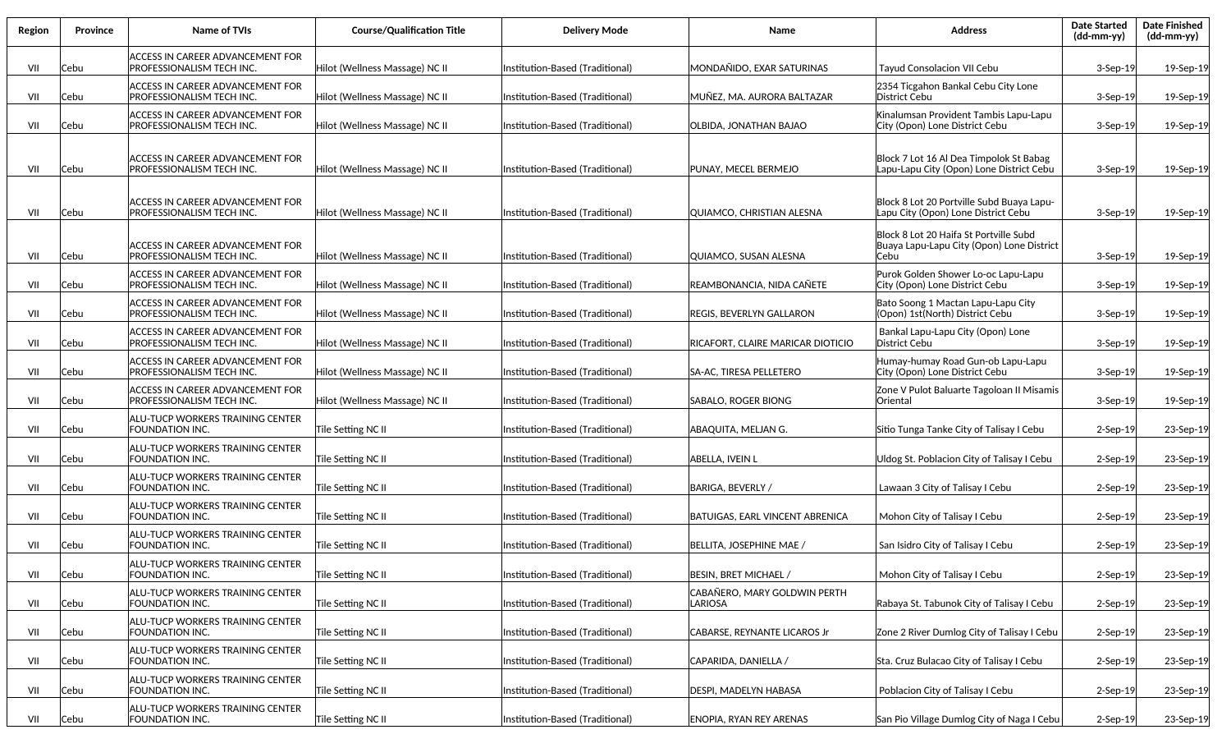| Region | Province | Name of TVIs                                                         | <b>Course/Qualification Title</b> | <b>Delivery Mode</b>            | Name                                    | <b>Address</b>                                                                              | <b>Date Started</b><br>(dd-mm-yy) | <b>Date Finished</b><br>(dd-mm-yy) |
|--------|----------|----------------------------------------------------------------------|-----------------------------------|---------------------------------|-----------------------------------------|---------------------------------------------------------------------------------------------|-----------------------------------|------------------------------------|
| VII    | Cebu     | ACCESS IN CAREER ADVANCEMENT FOR<br>PROFESSIONALISM TECH INC.        | Hilot (Wellness Massage) NC II    | Institution-Based (Traditional) | MONDAÑIDO, EXAR SATURINAS               | <b>Tayud Consolacion VII Cebu</b>                                                           | $3-$ Sep $-19$                    | 19-Sep-19                          |
| VII    | Cebu     | ACCESS IN CAREER ADVANCEMENT FOR<br>PROFESSIONALISM TECH INC.        | Hilot (Wellness Massage) NC II    | Institution-Based (Traditional) | MUÑEZ, MA. AURORA BALTAZAR              | 2354 Ticgahon Bankal Cebu City Lone<br>District Cebu                                        | $3-$ Sep $-19$                    | 19-Sep-19                          |
| VII    | Cebu     | ACCESS IN CAREER ADVANCEMENT FOR<br>PROFESSIONALISM TECH INC.        | Hilot (Wellness Massage) NC II    | Institution-Based (Traditional) | OLBIDA, JONATHAN BAJAO                  | Kinalumsan Provident Tambis Lapu-Lapu<br>City (Opon) Lone District Cebu                     | $3-$ Sep $-19$                    | 19-Sep-19                          |
| VII    | Cebu     | ACCESS IN CAREER ADVANCEMENT FOR<br>PROFESSIONALISM TECH INC.        | Hilot (Wellness Massage) NC II    | Institution-Based (Traditional) | PUNAY, MECEL BERMEJO                    | Block 7 Lot 16 Al Dea Timpolok St Babag<br>Lapu-Lapu City (Opon) Lone District Cebu         | $3-$ Sep $-19$                    | 19-Sep-19                          |
| VII    | Cebu     | ACCESS IN CAREER ADVANCEMENT FOR<br>PROFESSIONALISM TECH INC.        | Hilot (Wellness Massage) NC II    | Institution-Based (Traditional) | QUIAMCO, CHRISTIAN ALESNA               | Block 8 Lot 20 Portville Subd Buaya Lapu-<br>Lapu City (Opon) Lone District Cebu            | $3-$ Sep $-19$                    | 19-Sep-19                          |
| VII    | Cebu     | <b>ACCESS IN CAREER ADVANCEMENT FOR</b><br>PROFESSIONALISM TECH INC. | Hilot (Wellness Massage) NC II    | Institution-Based (Traditional) | QUIAMCO, SUSAN ALESNA                   | Block 8 Lot 20 Haifa St Portville Subd<br>Buaya Lapu-Lapu City (Opon) Lone District<br>Cebu | 3-Sep-19                          | 19-Sep-19                          |
| VII    | Cebu     | ACCESS IN CAREER ADVANCEMENT FOR<br>PROFESSIONALISM TECH INC.        | Hilot (Wellness Massage) NC II    | Institution-Based (Traditional) | REAMBONANCIA, NIDA CAÑETE               | Purok Golden Shower Lo-oc Lapu-Lapu<br>City (Opon) Lone District Cebu                       | $3-$ Sep $-19$                    | 19-Sep-19                          |
| VII    | Cebu     | ACCESS IN CAREER ADVANCEMENT FOR<br>PROFESSIONALISM TECH INC.        | Hilot (Wellness Massage) NC II    | Institution-Based (Traditional) | REGIS, BEVERLYN GALLARON                | Bato Soong 1 Mactan Lapu-Lapu City<br>(Opon) 1st(North) District Cebu                       | $3-$ Sep $-19$                    | 19-Sep-19                          |
| VII    | Cebu     | ACCESS IN CAREER ADVANCEMENT FOR<br>PROFESSIONALISM TECH INC.        | Hilot (Wellness Massage) NC II    | Institution-Based (Traditional) | RICAFORT, CLAIRE MARICAR DIOTICIO       | Bankal Lapu-Lapu City (Opon) Lone<br>District Cebu                                          | $3-$ Sep $-19$                    | 19-Sep-19                          |
| VII    | Cebu     | ACCESS IN CAREER ADVANCEMENT FOR<br>PROFESSIONALISM TECH INC.        | Hilot (Wellness Massage) NC II    | Institution-Based (Traditional) | SA-AC, TIRESA PELLETERO                 | Humay-humay Road Gun-ob Lapu-Lapu<br>City (Opon) Lone District Cebu                         | $3-$ Sep $-19$                    | 19-Sep-19                          |
| VII    | Cebu     | ACCESS IN CAREER ADVANCEMENT FOR<br>PROFESSIONALISM TECH INC.        | Hilot (Wellness Massage) NC II    | Institution-Based (Traditional) | SABALO, ROGER BIONG                     | Zone V Pulot Baluarte Tagoloan II Misamis<br>Oriental                                       | $3-$ Sep $-19$                    | 19-Sep-19                          |
| VII    | Cebu     | ALU-TUCP WORKERS TRAINING CENTER<br>FOUNDATION INC.                  | Tile Setting NC II                | Institution-Based (Traditional) | ABAQUITA, MELJAN G.                     | Sitio Tunga Tanke City of Talisay I Cebu                                                    | $2-$ Sep $-19$                    | 23-Sep-19                          |
| VII    | Cebu     | ALU-TUCP WORKERS TRAINING CENTER<br><b>FOUNDATION INC.</b>           | Tile Setting NC II                | Institution-Based (Traditional) | ABELLA, IVEIN L                         | Uldog St. Poblacion City of Talisay I Cebu                                                  | $2-$ Sep $-19$                    | 23-Sep-19                          |
| VII    | Cebu     | ALU-TUCP WORKERS TRAINING CENTER<br><b>FOUNDATION INC.</b>           | Tile Setting NC II                | Institution-Based (Traditional) | BARIGA, BEVERLY /                       | Lawaan 3 City of Talisay I Cebu                                                             | $2-$ Sep $-19$                    | 23-Sep-19                          |
| VII    | Cebu     | ALU-TUCP WORKERS TRAINING CENTER<br>FOUNDATION INC.                  | Tile Setting NC II                | Institution-Based (Traditional) | <b>BATUIGAS, EARL VINCENT ABRENICA</b>  | Mohon City of Talisay I Cebu                                                                | $2-$ Sep $-19$                    | 23-Sep-19                          |
| VII    | Cebu     | ALU-TUCP WORKERS TRAINING CENTER<br>FOUNDATION INC.                  | Tile Setting NC II                | Institution-Based (Traditional) | BELLITA, JOSEPHINE MAE /                | San Isidro City of Talisay I Cebu                                                           | $2-$ Sep $-19$                    | 23-Sep-19                          |
| VII    | Cebu     | ALU-TUCP WORKERS TRAINING CENTER<br>FOUNDATION INC.                  | Tile Setting NC II                | Institution-Based (Traditional) | BESIN, BRET MICHAEL /                   | Mohon City of Talisay I Cebu                                                                | 2-Sep-19                          | 23-Sep-19                          |
| VII    | Cebu     | ALU-TUCP WORKERS TRAINING CENTER<br>FOUNDATION INC.                  | Tile Setting NC II                | Institution-Based (Traditional) | CABAÑERO, MARY GOLDWIN PERTH<br>LARIOSA | Rabaya St. Tabunok City of Talisay I Cebu                                                   | 2-Sep-19                          | 23-Sep-19                          |
| VII    | Cebu     | ALU-TUCP WORKERS TRAINING CENTER<br>FOUNDATION INC.                  | Tile Setting NC II                | Institution-Based (Traditional) | CABARSE, REYNANTE LICAROS Jr            | Zone 2 River Dumlog City of Talisay I Cebu                                                  | 2-Sep-19                          | 23-Sep-19                          |
| VII    | Cebu     | ALU-TUCP WORKERS TRAINING CENTER<br>FOUNDATION INC.                  | Tile Setting NC II                | Institution-Based (Traditional) | CAPARIDA, DANIELLA /                    | Sta. Cruz Bulacao City of Talisay I Cebu                                                    | $2-$ Sep $-19$                    | 23-Sep-19                          |
| VII    | Cebu     | <b>ALU-TUCP WORKERS TRAINING CENTER</b><br>FOUNDATION INC.           | Tile Setting NC II                | Institution-Based (Traditional) | DESPI, MADELYN HABASA                   | Poblacion City of Talisay I Cebu                                                            | $2-$ Sep $-19$                    | 23-Sep-19                          |
| VII    | Cebu     | ALU-TUCP WORKERS TRAINING CENTER<br>FOUNDATION INC.                  | Tile Setting NC II                | Institution-Based (Traditional) | <b>ENOPIA, RYAN REY ARENAS</b>          | San Pio Village Dumlog City of Naga I Cebu                                                  | 2-Sep-19                          | 23-Sep-19                          |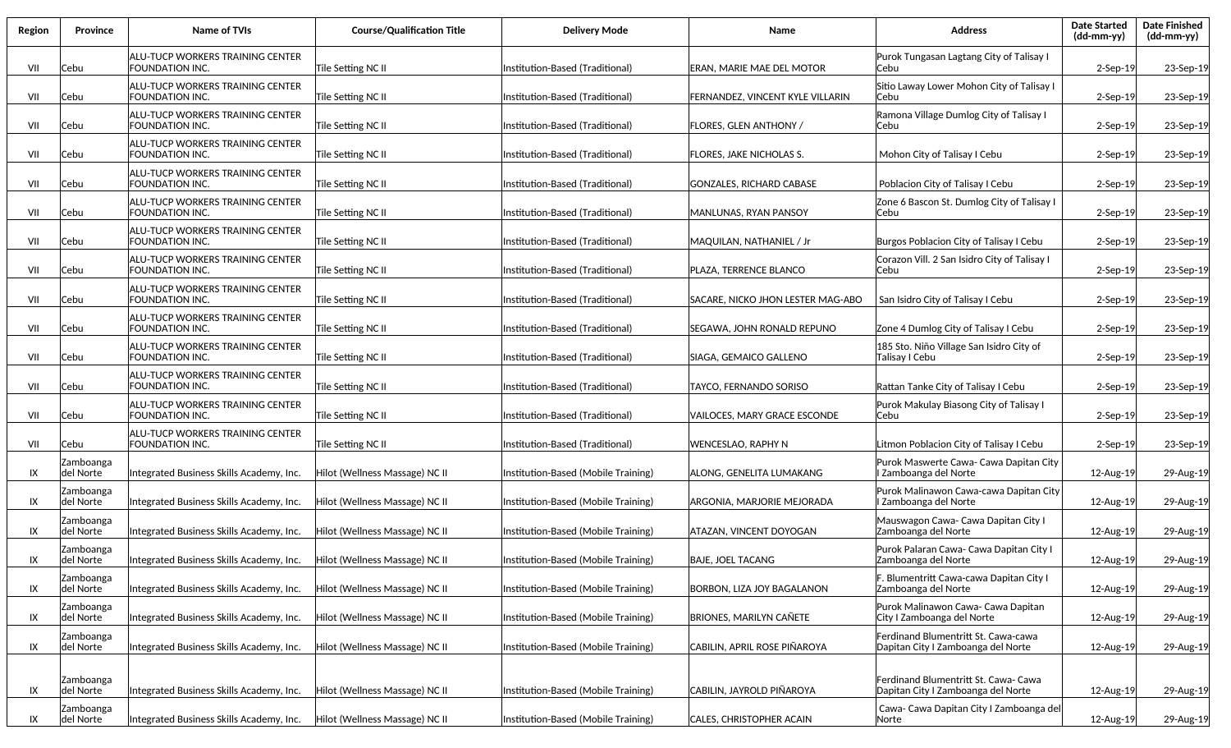| Region | Province               | <b>Name of TVIs</b>                                               | <b>Course/Qualification Title</b> | <b>Delivery Mode</b>                | Name                              | <b>Address</b>                                                             | <b>Date Started</b><br>$(dd-mm-yy)$ | <b>Date Finished</b><br>(dd-mm-yy) |
|--------|------------------------|-------------------------------------------------------------------|-----------------------------------|-------------------------------------|-----------------------------------|----------------------------------------------------------------------------|-------------------------------------|------------------------------------|
| VII    | Cebu                   | ALU-TUCP WORKERS TRAINING CENTER<br>FOUNDATION INC.               | Tile Setting NC II                | Institution-Based (Traditional)     | ERAN, MARIE MAE DEL MOTOR         | Purok Tungasan Lagtang City of Talisay I<br>Cebu                           | $2-$ Sep $-19$                      | 23-Sep-19                          |
| VII    | Cebu                   | <b>ALU-TUCP WORKERS TRAINING CENTER</b><br>FOUNDATION INC.        | Tile Setting NC II                | Institution-Based (Traditional)     | FERNANDEZ, VINCENT KYLE VILLARIN  | Sitio Laway Lower Mohon City of Talisay I<br>lCebu                         | $2-$ Sep $-19$                      | 23-Sep-19                          |
| VII    | Cebu                   | <b>ALU-TUCP WORKERS TRAINING CENTER</b><br>FOUNDATION INC.        | Tile Setting NC II                | Institution-Based (Traditional)     | <b>FLORES, GLEN ANTHONY /</b>     | Ramona Village Dumlog City of Talisay I<br>Cebu                            | $2-$ Sep $-19$                      | 23-Sep-19                          |
| VII    | Cebu                   | ALU-TUCP WORKERS TRAINING CENTER<br>FOUNDATION INC.               | Tile Setting NC II                | Institution-Based (Traditional)     | <b>FLORES, JAKE NICHOLAS S.</b>   | Mohon City of Talisay I Cebu                                               | $2-$ Sep $-19$                      | 23-Sep-19                          |
| VII    | Cebu                   | ALU-TUCP WORKERS TRAINING CENTER<br>FOUNDATION INC.               | Tile Setting NC II                | Institution-Based (Traditional)     | <b>GONZALES, RICHARD CABASE</b>   | Poblacion City of Talisay I Cebu                                           | 2-Sep-19                            | 23-Sep-19                          |
| VII    | Cebu                   | ALU-TUCP WORKERS TRAINING CENTER<br>FOUNDATION INC.               | Tile Setting NC II                | Institution-Based (Traditional)     | <b>MANLUNAS, RYAN PANSOY</b>      | Zone 6 Bascon St. Dumlog City of Talisay I<br>Cebu                         | $2-$ Sep $-19$                      | 23-Sep-19                          |
| VII    | Cebu                   | ALU-TUCP WORKERS TRAINING CENTER<br>FOUNDATION INC.               | Tile Setting NC II                | Institution-Based (Traditional)     | MAQUILAN, NATHANIEL / Jr          | Burgos Poblacion City of Talisay I Cebu                                    | 2-Sep-19                            | 23-Sep-19                          |
| VII    | Cebu                   | <b>ALU-TUCP WORKERS TRAINING CENTER</b><br>FOUNDATION INC.        | Tile Setting NC II                | Institution-Based (Traditional)     | PLAZA, TERRENCE BLANCO            | Corazon Vill. 2 San Isidro City of Talisay I<br>Cebu                       | $2-$ Sep $-19$                      | 23-Sep-19                          |
| VII    | Cebu                   | ALU-TUCP WORKERS TRAINING CENTER<br><b>FOUNDATION INC.</b>        | Tile Setting NC II                | Institution-Based (Traditional)     | SACARE, NICKO JHON LESTER MAG-ABO | San Isidro City of Talisay I Cebu                                          | $2-$ Sep $-19$                      | 23-Sep-19                          |
| VII    | Cebu                   | ALU-TUCP WORKERS TRAINING CENTER<br>FOUNDATION INC.               | Tile Setting NC II                | Institution-Based (Traditional)     | SEGAWA, JOHN RONALD REPUNO        | Zone 4 Dumlog City of Talisay I Cebu                                       | $2-$ Sep $-19$                      | 23-Sep-19                          |
| VII    | Cebu                   | ALU-TUCP WORKERS TRAINING CENTER<br>FOUNDATION INC.               | Tile Setting NC II                | Institution-Based (Traditional)     | SIAGA, GEMAICO GALLENO            | 185 Sto. Niño Village San Isidro City of<br>Talisay I Cebu                 | $2-$ Sep $-19$                      | 23-Sep-19                          |
| VII    | Cebu                   | ALU-TUCP WORKERS TRAINING CENTER<br>FOUNDATION INC.               | Tile Setting NC II                | Institution-Based (Traditional)     | TAYCO, FERNANDO SORISO            | Rattan Tanke City of Talisay I Cebu                                        | $2-Sep-19$                          | 23-Sep-19                          |
| VII    | Cebu                   | <b>ALU-TUCP WORKERS TRAINING CENTER</b><br><b>FOUNDATION INC.</b> | Tile Setting NC II                | Institution-Based (Traditional)     | VAILOCES, MARY GRACE ESCONDE      | Purok Makulay Biasong City of Talisay I<br>Cebu                            | $2-$ Sep $-19$                      | 23-Sep-19                          |
| VII    | Cebu                   | ALU-TUCP WORKERS TRAINING CENTER<br>FOUNDATION INC.               | Tile Setting NC II                | Institution-Based (Traditional)     | WENCESLAO, RAPHY N                | Litmon Poblacion City of Talisay I Cebu                                    | $2-$ Sep $-19$                      | 23-Sep-19                          |
| IX     | Zamboanga<br>del Norte | Integrated Business Skills Academy, Inc.                          | Hilot (Wellness Massage) NC II    | Institution-Based (Mobile Training) | ALONG, GENELITA LUMAKANG          | Purok Maswerte Cawa- Cawa Dapitan City<br>I Zamboanga del Norte            | 12-Aug-19                           | 29-Aug-19                          |
| IX     | Zamboanga<br>del Norte | Integrated Business Skills Academy, Inc.                          | Hilot (Wellness Massage) NC II    | Institution-Based (Mobile Training) | ARGONIA, MARJORIE MEJORADA        | Purok Malinawon Cawa-cawa Dapitan City<br>Zamboanga del Norte              | 12-Aug-19                           | 29-Aug-19                          |
| IX     | Zamboanga<br>del Norte | Integrated Business Skills Academy, Inc.                          | Hilot (Wellness Massage) NC II    | Institution-Based (Mobile Training) | ATAZAN, VINCENT DOYOGAN           | Mauswagon Cawa- Cawa Dapitan City I<br>Zamboanga del Norte                 | 12-Aug-19                           | 29-Aug-19                          |
| IX     | Zamboanga<br>del Norte | Integrated Business Skills Academy, Inc.                          | Hilot (Wellness Massage) NC II    | Institution-Based (Mobile Training) | <b>BAJE, JOEL TACANG</b>          | Purok Palaran Cawa- Cawa Dapitan City I<br>Zamboanga del Norte             | 12-Aug-19                           | 29-Aug-19                          |
| IX     | Zamboanga<br>del Norte | Integrated Business Skills Academy, Inc.                          | Hilot (Wellness Massage) NC II    | Institution-Based (Mobile Training) | BORBON, LIZA JOY BAGALANON        | F. Blumentritt Cawa-cawa Dapitan City I<br>Zamboanga del Norte             | 12-Aug-19                           | 29-Aug-19                          |
| IX     | Zamboanga<br>del Norte | Integrated Business Skills Academy, Inc.                          | Hilot (Wellness Massage) NC II    | Institution-Based (Mobile Training) | <b>BRIONES, MARILYN CAÑETE</b>    | Purok Malinawon Cawa- Cawa Dapitan<br>City I Zamboanga del Norte           | 12-Aug-19                           | 29-Aug-19                          |
| IX     | Zamboanga<br>del Norte | Integrated Business Skills Academy, Inc.                          | Hilot (Wellness Massage) NC II    | Institution-Based (Mobile Training) | CABILIN, APRIL ROSE PIÑAROYA      | Ferdinand Blumentritt St. Cawa-cawa<br>Dapitan City I Zamboanga del Norte  | 12-Aug-19                           | 29-Aug-19                          |
| IX     | Zamboanga<br>del Norte | Integrated Business Skills Academy, Inc.                          | Hilot (Wellness Massage) NC II    | Institution-Based (Mobile Training) | CABILIN, JAYROLD PIÑAROYA         | Ferdinand Blumentritt St. Cawa- Cawa<br>Dapitan City I Zamboanga del Norte | 12-Aug-19                           | 29-Aug-19                          |
| IX     | Zamboanga<br>del Norte | Integrated Business Skills Academy, Inc.                          | Hilot (Wellness Massage) NC II    | Institution-Based (Mobile Training) | CALES, CHRISTOPHER ACAIN          | Cawa- Cawa Dapitan City I Zamboanga del<br>Norte                           | 12-Aug-19                           | 29-Aug-19                          |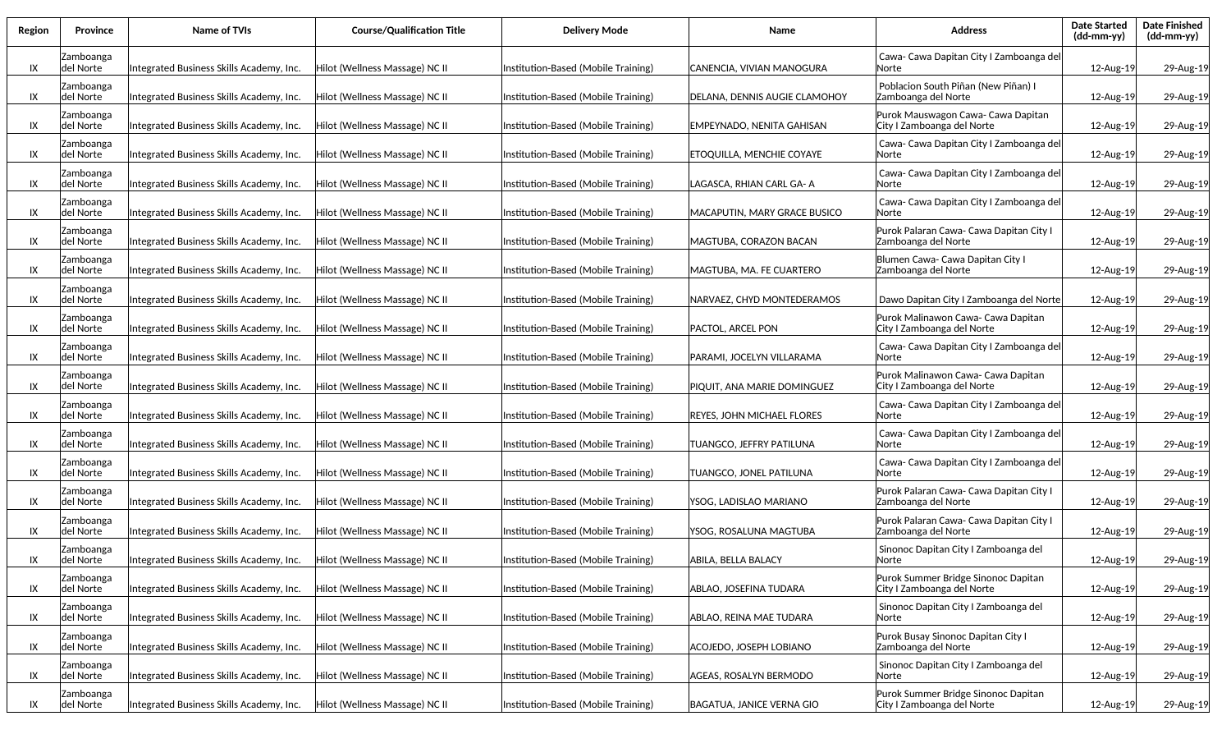| Region | Province                      | Name of TVIs                             | <b>Course/Qualification Title</b> | <b>Delivery Mode</b>                | Name                             | Address                                                           | <b>Date Started</b><br>(dd-mm-yy) | <b>Date Finished</b><br>(dd-mm-yy) |
|--------|-------------------------------|------------------------------------------|-----------------------------------|-------------------------------------|----------------------------------|-------------------------------------------------------------------|-----------------------------------|------------------------------------|
| IX     | Zamboanga<br>del Norte        | Integrated Business Skills Academy, Inc. | Hilot (Wellness Massage) NC II    | Institution-Based (Mobile Training) | CANENCIA, VIVIAN MANOGURA        | Cawa- Cawa Dapitan City I Zamboanga del<br>lNorte                 | 12-Aug-19                         | 29-Aug-19                          |
| IX     | Zamboanga<br>ldel Norte       | Integrated Business Skills Academy, Inc. | Hilot (Wellness Massage) NC II    | Institution-Based (Mobile Training) | DELANA. DENNIS AUGIE CLAMOHOY    | Poblacion South Piñan (New Piñan) I<br>Zamboanga del Norte        | 12-Aug-19                         | 29-Aug-19                          |
| IX     | Zamboanga<br> del Norte       | Integrated Business Skills Academy, Inc. | Hilot (Wellness Massage) NC II    | Institution-Based (Mobile Training) | EMPEYNADO, NENITA GAHISAN        | Purok Mauswagon Cawa- Cawa Dapitan<br>City I Zamboanga del Norte  | 12-Aug-19                         | 29-Aug-19                          |
| IX     | Zamboanga<br>ldel Norte       | Integrated Business Skills Academy, Inc. | Hilot (Wellness Massage) NC II    | Institution-Based (Mobile Training) | ETOQUILLA, MENCHIE COYAYE        | Cawa- Cawa Dapitan City I Zamboanga del<br> Norte                 | 12-Aug-19                         | 29-Aug-19                          |
| IX     | Zamboanga<br> del Norte       | Integrated Business Skills Academy, Inc. | Hilot (Wellness Massage) NC II    | Institution-Based (Mobile Training) | LAGASCA. RHIAN CARL GA- A        | Cawa- Cawa Dapitan City I Zamboanga del<br> Norte                 | 12-Aug-19                         | 29-Aug-19                          |
| IX     | Zamboanga<br>del Norte        | Integrated Business Skills Academy, Inc. | Hilot (Wellness Massage) NC II    | Institution-Based (Mobile Training) | MACAPUTIN, MARY GRACE BUSICO     | Cawa- Cawa Dapitan City I Zamboanga del<br>lNorte                 | 12-Aug-19                         | 29-Aug-19                          |
| IX     | Zamboanga<br>del Norte        | Integrated Business Skills Academy, Inc. | Hilot (Wellness Massage) NC II    | Institution-Based (Mobile Training) | MAGTUBA, CORAZON BACAN           | Purok Palaran Cawa- Cawa Dapitan City I<br>Zamboanga del Norte    | 12-Aug-19                         | 29-Aug-19                          |
| IX     | Zamboanga<br>del Norte        | Integrated Business Skills Academy, Inc. | Hilot (Wellness Massage) NC II    | Institution-Based (Mobile Training) | MAGTUBA. MA. FE CUARTERO         | Blumen Cawa- Cawa Dapitan City I<br>Zamboanga del Norte           | 12-Aug-19                         | 29-Aug-19                          |
| IX     | Zamboanga<br>del Norte        | Integrated Business Skills Academy, Inc. | Hilot (Wellness Massage) NC II    | Institution-Based (Mobile Training) | NARVAEZ, CHYD MONTEDERAMOS       | Dawo Dapitan City I Zamboanga del Norte                           | 12-Aug-19                         | 29-Aug-19                          |
| IX     | Zamboanga<br>del Norte        | Integrated Business Skills Academy, Inc. | Hilot (Wellness Massage) NC II    | Institution-Based (Mobile Training) | PACTOL, ARCEL PON                | Purok Malinawon Cawa- Cawa Dapitan<br>City I Zamboanga del Norte  | 12-Aug-19                         | 29-Aug-19                          |
| IX     | Zamboanga<br>del Norte        | Integrated Business Skills Academy, Inc. | Hilot (Wellness Massage) NC II    | Institution-Based (Mobile Training) | PARAMI, JOCELYN VILLARAMA        | Cawa- Cawa Dapitan City I Zamboanga del<br>lNorte                 | 12-Aug-19                         | 29-Aug-19                          |
| IX     | Zamboanga<br>del Norte        | Integrated Business Skills Academy, Inc. | Hilot (Wellness Massage) NC II    | Institution-Based (Mobile Training) | PIQUIT, ANA MARIE DOMINGUEZ      | Purok Malinawon Cawa- Cawa Dapitan<br>City I Zamboanga del Norte  | 12-Aug-19                         | 29-Aug-19                          |
| IX     | Zamboanga<br>ldel Norte       | Integrated Business Skills Academy, Inc. | Hilot (Wellness Massage) NC II    | Institution-Based (Mobile Training) | REYES, JOHN MICHAEL FLORES       | Cawa- Cawa Dapitan City I Zamboanga del<br>lNorte                 | 12-Aug-19                         | 29-Aug-19                          |
| IX     | Zamboanga<br> del Norte       | Integrated Business Skills Academy, Inc. | Hilot (Wellness Massage) NC II    | Institution-Based (Mobile Training) | TUANGCO, JEFFRY PATILUNA         | Cawa- Cawa Dapitan City I Zamboanga del<br> Norte                 | 12-Aug-19                         | 29-Aug-19                          |
| IX     | Zamboanga<br>del Norte        | Integrated Business Skills Academy, Inc. | Hilot (Wellness Massage) NC II    | Institution-Based (Mobile Training) | TUANGCO, JONEL PATILUNA          | Cawa- Cawa Dapitan City I Zamboanga del<br> Norte                 | 12-Aug-19                         | 29-Aug-19                          |
| IX     | Zamboanga<br>del Norte        | Integrated Business Skills Academy, Inc. | Hilot (Wellness Massage) NC II    | Institution-Based (Mobile Training) | YSOG, LADISLAO MARIANO           | Purok Palaran Cawa- Cawa Dapitan City I<br>Zamboanga del Norte    | 12-Aug-19                         | 29-Aug-19                          |
| IX     | Zamboanga<br>del Norte        | Integrated Business Skills Academy, Inc. | Hilot (Wellness Massage) NC II    | Institution-Based (Mobile Training) | YSOG, ROSALUNA MAGTUBA           | Purok Palaran Cawa- Cawa Dapitan City I<br>Zamboanga del Norte    | 12-Aug-19                         | 29-Aug-19                          |
| IX     | Zamboanga<br>del Norte        | Integrated Business Skills Academy, Inc. | Hilot (Wellness Massage) NC II    | Institution-Based (Mobile Training) | ABILA, BELLA BALACY              | Sinonoc Dapitan City I Zamboanga del<br> Norte                    | 12-Aug-19                         | 29-Aug-19                          |
| IX     | <b>Zamboanga</b><br>del Norte | Integrated Business Skills Academy, Inc. | Hilot (Wellness Massage) NC II    | Institution-Based (Mobile Training) | ABLAO. JOSEFINA TUDARA           | Purok Summer Bridge Sinonoc Dapitan<br>City I Zamboanga del Norte | 12-Aug-19                         | 29-Aug-19                          |
| IX     | Zamboanga<br>del Norte        | Integrated Business Skills Academy, Inc. | Hilot (Wellness Massage) NC II    | Institution-Based (Mobile Training) | ABLAO, REINA MAE TUDARA          | Sinonoc Dapitan City I Zamboanga del<br> Norte                    | 12-Aug-19                         | 29-Aug-19                          |
| IX     | Zamboanga<br>del Norte        | Integrated Business Skills Academy, Inc. | Hilot (Wellness Massage) NC II    | Institution-Based (Mobile Training) | <b>ACOJEDO, JOSEPH LOBIANO</b>   | Purok Busay Sinonoc Dapitan City I<br>Zamboanga del Norte         | 12-Aug-19                         | 29-Aug-19                          |
| IX     | Zamboanga<br>del Norte        | Integrated Business Skills Academy, Inc. | Hilot (Wellness Massage) NC II    | Institution-Based (Mobile Training) | AGEAS, ROSALYN BERMODO           | Sinonoc Dapitan City I Zamboanga del<br><b>Norte</b>              | 12-Aug-19                         | 29-Aug-19                          |
| IX     | Zamboanga<br>del Norte        | Integrated Business Skills Academy, Inc. | Hilot (Wellness Massage) NC II    | Institution-Based (Mobile Training) | <b>BAGATUA, JANICE VERNA GIO</b> | Purok Summer Bridge Sinonoc Dapitan<br>City I Zamboanga del Norte | 12-Aug-19                         | 29-Aug-19                          |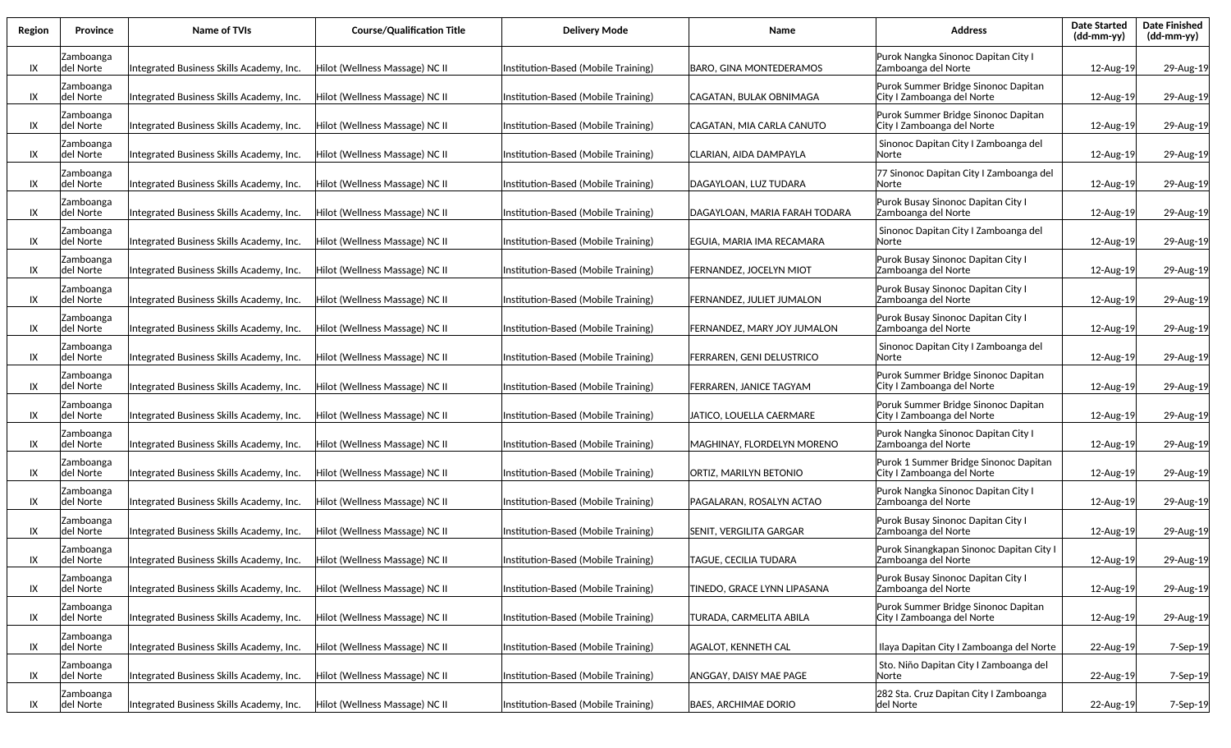| Region | Province                      | Name of TVIs                             | <b>Course/Qualification Title</b> | <b>Delivery Mode</b>                | Name                             | <b>Address</b>                                                      | <b>Date Started</b><br>(dd-mm-yy) | <b>Date Finished</b><br>$(dd\text{-}\text{mm-}yy)$ |
|--------|-------------------------------|------------------------------------------|-----------------------------------|-------------------------------------|----------------------------------|---------------------------------------------------------------------|-----------------------------------|----------------------------------------------------|
| IX     | Zamboanga<br>del Norte        | Integrated Business Skills Academy, Inc. | Hilot (Wellness Massage) NC II    | Institution-Based (Mobile Training) | BARO, GINA MONTEDERAMOS          | Purok Nangka Sinonoc Dapitan City I<br>Zamboanga del Norte          | 12-Aug-19                         | 29-Aug-19                                          |
| IX     | Zamboanga<br> del Norte       | Integrated Business Skills Academy, Inc. | Hilot (Wellness Massage) NC II    | Institution-Based (Mobile Training) | CAGATAN, BULAK OBNIMAGA          | Purok Summer Bridge Sinonoc Dapitan<br>City I Zamboanga del Norte   | 12-Aug-19                         | 29-Aug-19                                          |
| IX     | Zamboanga<br> del Norte       | Integrated Business Skills Academy, Inc. | Hilot (Wellness Massage) NC II    | Institution-Based (Mobile Training) | CAGATAN, MIA CARLA CANUTO        | Purok Summer Bridge Sinonoc Dapitan<br>City I Zamboanga del Norte   | 12-Aug-19                         | 29-Aug-19                                          |
| IX     | Zamboanga<br> del Norte       | Integrated Business Skills Academy, Inc. | Hilot (Wellness Massage) NC II    | Institution-Based (Mobile Training) | CLARIAN, AIDA DAMPAYLA           | Sinonoc Dapitan City I Zamboanga del<br> Norte                      | 12-Aug-19                         | 29-Aug-19                                          |
| IX     | Zamboanga<br> del Norte       | Integrated Business Skills Academy, Inc. | Hilot (Wellness Massage) NC II    | Institution-Based (Mobile Training) | DAGAYLOAN, LUZ TUDARA            | 77 Sinonoc Dapitan City I Zamboanga del<br>lNorte                   | 12-Aug-19                         | 29-Aug-19                                          |
| IX     | Zamboanga<br>del Norte        | Integrated Business Skills Academy, Inc. | Hilot (Wellness Massage) NC II    | Institution-Based (Mobile Training) | DAGAYLOAN, MARIA FARAH TODARA    | Purok Busay Sinonoc Dapitan City I<br>Zamboanga del Norte           | 12-Aug-19                         | 29-Aug-19                                          |
| IX     | Zamboanga<br>del Norte        | Integrated Business Skills Academy, Inc. | Hilot (Wellness Massage) NC II    | Institution-Based (Mobile Training) | EGUIA, MARIA IMA RECAMARA        | Sinonoc Dapitan City I Zamboanga del<br>lNorte                      | 12-Aug-19                         | 29-Aug-19                                          |
| IX     | Zamboanga<br>del Norte        | Integrated Business Skills Academy, Inc. | Hilot (Wellness Massage) NC II    | Institution-Based (Mobile Training) | FERNANDEZ, JOCELYN MIOT          | Purok Busay Sinonoc Dapitan City I<br>Zamboanga del Norte           | 12-Aug-19                         | 29-Aug-19                                          |
| IX     | Zamboanga<br>del Norte        | Integrated Business Skills Academy, Inc. | Hilot (Wellness Massage) NC II    | Institution-Based (Mobile Training) | <b>FERNANDEZ, JULIET JUMALON</b> | Purok Busay Sinonoc Dapitan City I<br>Zamboanga del Norte           | 12-Aug-19                         | 29-Aug-19                                          |
| IX     | Zamboanga<br>del Norte        | Integrated Business Skills Academy, Inc. | Hilot (Wellness Massage) NC II    | Institution-Based (Mobile Training) | FERNANDEZ, MARY JOY JUMALON      | Purok Busay Sinonoc Dapitan City I<br>Zamboanga del Norte           | 12-Aug-19                         | 29-Aug-19                                          |
| IX     | Zamboanga<br>del Norte        | Integrated Business Skills Academy, Inc. | Hilot (Wellness Massage) NC II    | Institution-Based (Mobile Training) | FERRAREN, GENI DELUSTRICO        | Sinonoc Dapitan City I Zamboanga del<br> Norte                      | 12-Aug-19                         | 29-Aug-19                                          |
| IX     | Zamboanga<br>del Norte        | Integrated Business Skills Academy, Inc. | Hilot (Wellness Massage) NC II    | Institution-Based (Mobile Training) | FERRAREN, JANICE TAGYAM          | Purok Summer Bridge Sinonoc Dapitan<br>City I Zamboanga del Norte   | 12-Aug-19                         | 29-Aug-19                                          |
| IX     | Zamboanga<br>ldel Norte       | Integrated Business Skills Academy, Inc. | Hilot (Wellness Massage) NC II    | Institution-Based (Mobile Training) | JATICO, LOUELLA CAERMARE         | Poruk Summer Bridge Sinonoc Dapitan<br>City I Zamboanga del Norte   | 12-Aug-19                         | 29-Aug-19                                          |
| IX     | Zamboanga<br>del Norte        | Integrated Business Skills Academy, Inc. | Hilot (Wellness Massage) NC II    | Institution-Based (Mobile Training) | MAGHINAY, FLORDELYN MORENO       | Purok Nangka Sinonoc Dapitan City I<br>Zamboanga del Norte          | 12-Aug-19                         | 29-Aug-19                                          |
| IX     | Zamboanga<br>del Norte        | Integrated Business Skills Academy, Inc. | Hilot (Wellness Massage) NC II    | Institution-Based (Mobile Training) | ORTIZ, MARILYN BETONIO           | Purok 1 Summer Bridge Sinonoc Dapitan<br>City I Zamboanga del Norte | 12-Aug-19                         | 29-Aug-19                                          |
| IX     | Zamboanga<br>del Norte        | Integrated Business Skills Academy, Inc. | Hilot (Wellness Massage) NC II    | Institution-Based (Mobile Training) | PAGALARAN, ROSALYN ACTAO         | Purok Nangka Sinonoc Dapitan City I<br>Zamboanga del Norte          | 12-Aug-19                         | 29-Aug-19                                          |
| IX     | Zamboanga<br>ldel Norte       | Integrated Business Skills Academy, Inc. | Hilot (Wellness Massage) NC II    | Institution-Based (Mobile Training) | <b>SENIT, VERGILITA GARGAR</b>   | Purok Busay Sinonoc Dapitan City I<br>Zamboanga del Norte           | 12-Aug-19                         | 29-Aug-19                                          |
| IX     | Zamboanga<br>del Norte        | Integrated Business Skills Academy, Inc. | Hilot (Wellness Massage) NC II    | Institution-Based (Mobile Training) | TAGUE, CECILIA TUDARA            | Purok Sinangkapan Sinonoc Dapitan City I<br>Zamboanga del Norte     | 12-Aug-19                         | 29-Aug-19                                          |
| IX     | <b>Zamboanga</b><br>del Norte | Integrated Business Skills Academy, Inc. | Hilot (Wellness Massage) NC II    | Institution-Based (Mobile Training) | TINEDO, GRACE LYNN LIPASANA      | Purok Busay Sinonoc Dapitan City I<br>Zamboanga del Norte           | 12-Aug-19                         | 29-Aug-19                                          |
| IX     | Zamboanga<br>del Norte        | Integrated Business Skills Academy, Inc. | Hilot (Wellness Massage) NC II    | Institution-Based (Mobile Training) | TURADA, CARMELITA ABILA          | Purok Summer Bridge Sinonoc Dapitan<br>City I Zamboanga del Norte   | 12-Aug-19                         | 29-Aug-19                                          |
| IX     | Zamboanga<br>del Norte        | Integrated Business Skills Academy, Inc. | Hilot (Wellness Massage) NC II    | Institution-Based (Mobile Training) | <b>AGALOT, KENNETH CAL</b>       | Ilaya Dapitan City I Zamboanga del Norte                            | 22-Aug-19                         | 7-Sep-19                                           |
| IX     | Zamboanga<br>del Norte        | Integrated Business Skills Academy, Inc. | Hilot (Wellness Massage) NC II    | Institution-Based (Mobile Training) | <b>ANGGAY, DAISY MAE PAGE</b>    | Sto. Niño Dapitan City I Zamboanga del<br> Norte                    | 22-Aug-19                         | 7-Sep-19                                           |
| IX     | Zamboanga<br>del Norte        | Integrated Business Skills Academy, Inc. | Hilot (Wellness Massage) NC II    | Institution-Based (Mobile Training) | <b>BAES, ARCHIMAE DORIO</b>      | 282 Sta. Cruz Dapitan City I Zamboanga<br>del Norte                 | 22-Aug-19                         | 7-Sep-19                                           |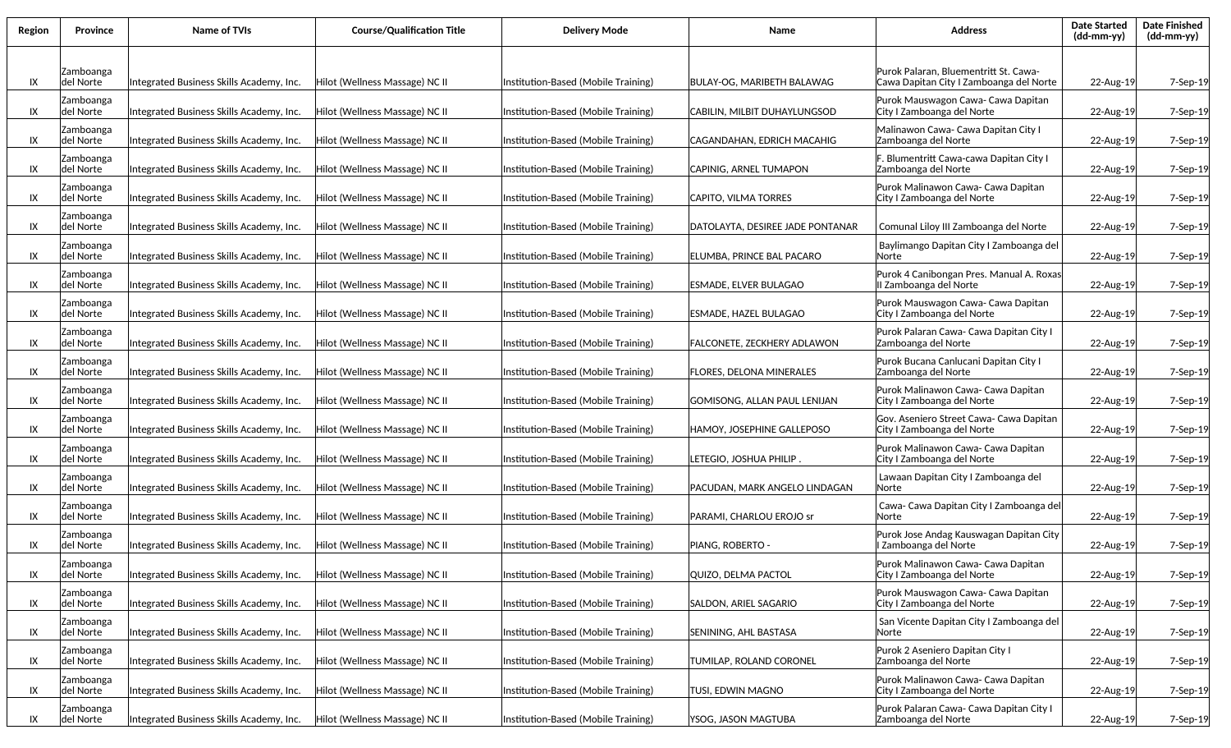| Region | Province               | <b>Name of TVIs</b>                      | <b>Course/Qualification Title</b> | <b>Delivery Mode</b>                | Name                             | <b>Address</b>                                                                   | <b>Date Started</b><br>$(dd-mm-yy)$ | <b>Date Finished</b><br>$(dd-mm-yy)$ |
|--------|------------------------|------------------------------------------|-----------------------------------|-------------------------------------|----------------------------------|----------------------------------------------------------------------------------|-------------------------------------|--------------------------------------|
| IX     | Zamboanga<br>del Norte | Integrated Business Skills Academy, Inc. | Hilot (Wellness Massage) NC II    | Institution-Based (Mobile Training) | BULAY-OG, MARIBETH BALAWAG       | Purok Palaran, Bluementritt St. Cawa-<br>Cawa Dapitan City I Zamboanga del Norte | 22-Aug-19                           | 7-Sep-19                             |
| IX     | Zamboanga<br>del Norte | Integrated Business Skills Academy, Inc. | Hilot (Wellness Massage) NC II    | Institution-Based (Mobile Training) | CABILIN, MILBIT DUHAYLUNGSOD     | Purok Mauswagon Cawa- Cawa Dapitan<br>City I Zamboanga del Norte                 | 22-Aug-19                           | 7-Sep-19                             |
| IX     | Zamboanga<br>del Norte | Integrated Business Skills Academy, Inc. | Hilot (Wellness Massage) NC II    | Institution-Based (Mobile Training) | CAGANDAHAN. EDRICH MACAHIG       | Malinawon Cawa- Cawa Dapitan City I<br>Zamboanga del Norte                       | 22-Aug-19                           | 7-Sep-19                             |
| IX     | Zamboanga<br>del Norte | Integrated Business Skills Academy, Inc. | Hilot (Wellness Massage) NC II    | Institution-Based (Mobile Training) | <b>CAPINIG. ARNEL TUMAPON</b>    | F. Blumentritt Cawa-cawa Dapitan City I<br>Zamboanga del Norte                   | 22-Aug-19                           | 7-Sep-19                             |
| IX     | Zamboanga<br>del Norte | Integrated Business Skills Academy, Inc. | Hilot (Wellness Massage) NC II    | Institution-Based (Mobile Training) | CAPITO, VILMA TORRES             | Purok Malinawon Cawa- Cawa Dapitan<br>City I Zamboanga del Norte                 | 22-Aug-19                           | 7-Sep-19                             |
|        | Zamboanga              |                                          |                                   |                                     |                                  |                                                                                  |                                     |                                      |
| IX     | del Norte<br>Zamboanga | Integrated Business Skills Academy, Inc. | Hilot (Wellness Massage) NC II    | Institution-Based (Mobile Training) | DATOLAYTA, DESIREE JADE PONTANAR | Comunal Liloy III Zamboanga del Norte<br>Baylimango Dapitan City I Zamboanga del | 22-Aug-19                           | 7-Sep-19                             |
| IX     | del Norte<br>Zamboanga | Integrated Business Skills Academy, Inc. | Hilot (Wellness Massage) NC II    | Institution-Based (Mobile Training) | ELUMBA, PRINCE BAL PACARO        | lNorte<br>Purok 4 Canibongan Pres. Manual A. Roxas                               | 22-Aug-19                           | 7-Sep-19                             |
| IX     | del Norte              | Integrated Business Skills Academy, Inc. | Hilot (Wellness Massage) NC II    | Institution-Based (Mobile Training) | ESMADE, ELVER BULAGAO            | II Zamboanga del Norte                                                           | 22-Aug-19                           | 7-Sep-19                             |
| IX     | Zamboanga<br>del Norte | Integrated Business Skills Academy, Inc. | Hilot (Wellness Massage) NC II    | Institution-Based (Mobile Training) | ESMADE, HAZEL BULAGAO            | Purok Mauswagon Cawa- Cawa Dapitan<br>City I Zamboanga del Norte                 | 22-Aug-19                           | 7-Sep-19                             |
| IX     | Zamboanga<br>del Norte | Integrated Business Skills Academy, Inc. | Hilot (Wellness Massage) NC II    | Institution-Based (Mobile Training) | FALCONETE, ZECKHERY ADLAWON      | Purok Palaran Cawa- Cawa Dapitan City I<br>Zamboanga del Norte                   | 22-Aug-19                           | 7-Sep-19                             |
| IX     | Zamboanga<br>del Norte | Integrated Business Skills Academy, Inc. | Hilot (Wellness Massage) NC II    | Institution-Based (Mobile Training) | FLORES, DELONA MINERALES         | Purok Bucana Canlucani Dapitan City I<br>Zamboanga del Norte                     | 22-Aug-19                           | 7-Sep-19                             |
| IX     | Zamboanga<br>del Norte | Integrated Business Skills Academy, Inc. | Hilot (Wellness Massage) NC II    | Institution-Based (Mobile Training) | GOMISONG, ALLAN PAUL LENIJAN     | Purok Malinawon Cawa- Cawa Dapitan<br>City I Zamboanga del Norte                 | 22-Aug-19                           | 7-Sep-19                             |
| IX     | Zamboanga<br>del Norte | Integrated Business Skills Academy, Inc. | Hilot (Wellness Massage) NC II    | Institution-Based (Mobile Training) | HAMOY, JOSEPHINE GALLEPOSO       | Gov. Aseniero Street Cawa- Cawa Dapitan<br>City I Zamboanga del Norte            | 22-Aug-19                           | 7-Sep-19                             |
| IX     | Zamboanga<br>del Norte | Integrated Business Skills Academy, Inc. | Hilot (Wellness Massage) NC II    | Institution-Based (Mobile Training) | letegio, Joshua Philip .         | Purok Malinawon Cawa- Cawa Dapitan<br>City I Zamboanga del Norte                 | 22-Aug-19                           | 7-Sep-19                             |
| IX     | Zamboanga<br>del Norte | Integrated Business Skills Academy, Inc. | Hilot (Wellness Massage) NC II    | Institution-Based (Mobile Training) | PACUDAN, MARK ANGELO LINDAGAN    | Lawaan Dapitan City I Zamboanga del<br>Norte                                     | 22-Aug-19                           | 7-Sep-19                             |
| IX     | Zamboanga<br>del Norte | Integrated Business Skills Academy, Inc. | Hilot (Wellness Massage) NC II    | Institution-Based (Mobile Training) | PARAMI, CHARLOU EROJO sr         | Cawa- Cawa Dapitan City I Zamboanga del<br>Norte                                 | 22-Aug-19                           | 7-Sep-19                             |
| IX     | Zamboanga<br>del Norte | Integrated Business Skills Academy, Inc. | Hilot (Wellness Massage) NC II    | Institution-Based (Mobile Training) | PIANG, ROBERTO ·                 | Purok Jose Andag Kauswagan Dapitan City<br>I Zamboanga del Norte                 | 22-Aug-19                           | 7-Sep-19                             |
| IX     | Zamboanga<br>del Norte | Integrated Business Skills Academy, Inc. | Hilot (Wellness Massage) NC II    | Institution-Based (Mobile Training) | QUIZO, DELMA PACTOL              | Purok Malinawon Cawa- Cawa Dapitan<br>City I Zamboanga del Norte                 | 22-Aug-19                           | 7-Sep-19                             |
| IX     | Zamboanga<br>del Norte | Integrated Business Skills Academy, Inc. | Hilot (Wellness Massage) NC II    | Institution-Based (Mobile Training) | SALDON, ARIEL SAGARIO            | Purok Mauswagon Cawa- Cawa Dapitan<br>City I Zamboanga del Norte                 | 22-Aug-19                           | 7-Sep-19                             |
| IX     | Zamboanga<br>del Norte | Integrated Business Skills Academy, Inc. | Hilot (Wellness Massage) NC II    | Institution-Based (Mobile Training) | SENINING, AHL BASTASA            | San Vicente Dapitan City I Zamboanga del<br>Norte                                | 22-Aug-19                           | 7-Sep-19                             |
| IX     | Zamboanga<br>del Norte | Integrated Business Skills Academy, Inc. | Hilot (Wellness Massage) NC II    | Institution-Based (Mobile Training) | TUMILAP, ROLAND CORONEL          | Purok 2 Aseniero Dapitan City I<br>Zamboanga del Norte                           | 22-Aug-19                           | 7-Sep-19                             |
| IX     | Zamboanga<br>del Norte | Integrated Business Skills Academy, Inc. | Hilot (Wellness Massage) NC II    | Institution-Based (Mobile Training) | TUSI, EDWIN MAGNO                | Purok Malinawon Cawa- Cawa Dapitan<br>City I Zamboanga del Norte                 | 22-Aug-19                           | 7-Sep-19                             |
| IX     | Zamboanga<br>del Norte | Integrated Business Skills Academy, Inc. | Hilot (Wellness Massage) NC II    | Institution-Based (Mobile Training) | YSOG, JASON MAGTUBA              | Purok Palaran Cawa- Cawa Dapitan City I<br>Zamboanga del Norte                   | 22-Aug-19                           | 7-Sep-19                             |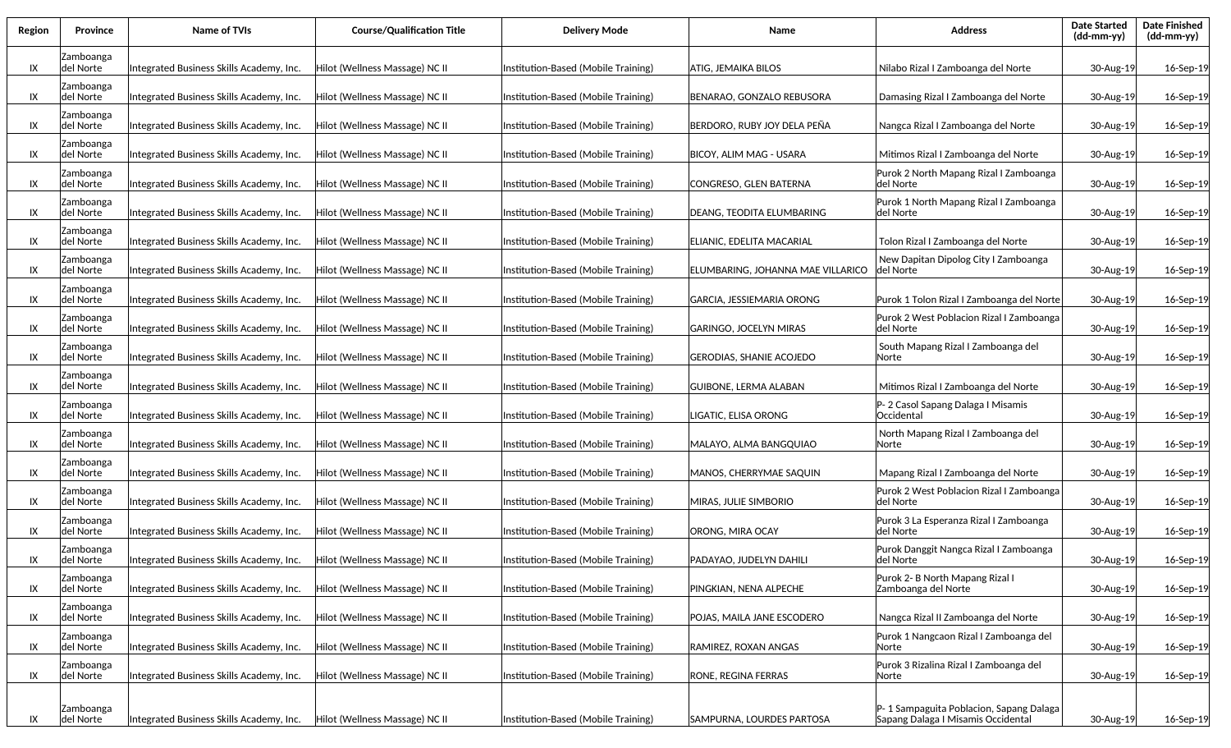| Region | Province                | Name of TVIs                             | <b>Course/Qualification Title</b> | <b>Delivery Mode</b>                | Name                              | <b>Address</b>                                                                | <b>Date Started</b><br>$(dd-mm-yy)$ | <b>Date Finished</b><br>$(dd-mm-yy)$ |
|--------|-------------------------|------------------------------------------|-----------------------------------|-------------------------------------|-----------------------------------|-------------------------------------------------------------------------------|-------------------------------------|--------------------------------------|
| IX     | Zamboanga<br>ldel Norte | Integrated Business Skills Academy, Inc. | Hilot (Wellness Massage) NC II    | Institution-Based (Mobile Training) | ATIG, JEMAIKA BILOS               | Nilabo Rizal I Zamboanga del Norte                                            | 30-Aug-19                           | 16-Sep-19                            |
| IX     | Zamboanga<br> del Norte | Integrated Business Skills Academy, Inc. | Hilot (Wellness Massage) NC II    | Institution-Based (Mobile Training) | BENARAO, GONZALO REBUSORA         | Damasing Rizal I Zamboanga del Norte                                          | 30-Aug-19                           | 16-Sep-19                            |
| IX     | Zamboanga<br> del Norte | Integrated Business Skills Academy, Inc. | Hilot (Wellness Massage) NC II    | Institution-Based (Mobile Training) | BERDORO, RUBY JOY DELA PEÑA       | Nangca Rizal I Zamboanga del Norte                                            | 30-Aug-19                           | 16-Sep-19                            |
| IX     | Zamboanga<br> del Norte | Integrated Business Skills Academy, Inc. | Hilot (Wellness Massage) NC II    | Institution-Based (Mobile Training) | BICOY, ALIM MAG - USARA           | Mitimos Rizal I Zamboanga del Norte                                           | 30-Aug-19                           | 16-Sep-19                            |
| IX     | Zamboanga<br> del Norte | Integrated Business Skills Academy, Inc. | Hilot (Wellness Massage) NC II    | Institution-Based (Mobile Training) | CONGRESO, GLEN BATERNA            | Purok 2 North Mapang Rizal I Zamboanga<br>del Norte                           | 30-Aug-19                           | 16-Sep-19                            |
| IX     | Zamboanga<br> del Norte | Integrated Business Skills Academy, Inc. | Hilot (Wellness Massage) NC II    | Institution-Based (Mobile Training) | DEANG, TEODITA ELUMBARING         | Purok 1 North Mapang Rizal I Zamboanga<br>del Norte                           | 30-Aug-19                           | 16-Sep-19                            |
| IX     | Zamboanga<br> del Norte | Integrated Business Skills Academy, Inc. | Hilot (Wellness Massage) NC II    | Institution-Based (Mobile Training) | ELIANIC, EDELITA MACARIAL         | Tolon Rizal I Zamboanga del Norte                                             | 30-Aug-19                           | 16-Sep-19                            |
| IX     | Zamboanga<br>ldel Norte | Integrated Business Skills Academy, Inc. | Hilot (Wellness Massage) NC II    | Institution-Based (Mobile Training) | ELUMBARING, JOHANNA MAE VILLARICO | New Dapitan Dipolog City I Zamboanga<br>ldel Norte                            | 30-Aug-19                           | 16-Sep-19                            |
| IX     | Zamboanga<br> del Norte | Integrated Business Skills Academy, Inc. | Hilot (Wellness Massage) NC II    | Institution-Based (Mobile Training) | GARCIA, JESSIEMARIA ORONG         | Purok 1 Tolon Rizal I Zamboanga del Norte                                     | 30-Aug-19                           | 16-Sep-19                            |
| IX     | Zamboanga<br>del Norte  | Integrated Business Skills Academy, Inc. | Hilot (Wellness Massage) NC II    | Institution-Based (Mobile Training) | <b>GARINGO, JOCELYN MIRAS</b>     | Purok 2 West Poblacion Rizal I Zamboanga<br>ldel Norte                        | 30-Aug-19                           | 16-Sep-19                            |
| IX     | Zamboanga<br>del Norte  | Integrated Business Skills Academy, Inc. | Hilot (Wellness Massage) NC II    | Institution-Based (Mobile Training) | GERODIAS, SHANIE ACOJEDO          | South Mapang Rizal I Zamboanga del<br> Norte                                  | 30-Aug-19                           | 16-Sep-19                            |
| IX     | Zamboanga<br>del Norte  | Integrated Business Skills Academy, Inc. | Hilot (Wellness Massage) NC II    | Institution-Based (Mobile Training) | <b>GUIBONE, LERMA ALABAN</b>      | Mitimos Rizal I Zamboanga del Norte                                           | 30-Aug-19                           | 16-Sep-19                            |
| IX     | Zamboanga<br>del Norte  | Integrated Business Skills Academy, Inc. | Hilot (Wellness Massage) NC II    | Institution-Based (Mobile Training) | LIGATIC, ELISA ORONG              | P-2 Casol Sapang Dalaga I Misamis<br>lOccidental                              | 30-Aug-19                           | 16-Sep-19                            |
| IX     | Zamboanga<br>del Norte  | Integrated Business Skills Academy, Inc. | Hilot (Wellness Massage) NC II    | Institution-Based (Mobile Training) | MALAYO, ALMA BANGQUIAO            | North Mapang Rizal I Zamboanga del<br> Norte                                  | 30-Aug-19                           | 16-Sep-19                            |
| IX     | Zamboanga<br> del Norte | Integrated Business Skills Academy, Inc. | Hilot (Wellness Massage) NC II    | Institution-Based (Mobile Training) | MANOS, CHERRYMAE SAQUIN           | Mapang Rizal I Zamboanga del Norte                                            | 30-Aug-19                           | 16-Sep-19                            |
| IX     | Zamboanga<br>ldel Norte | Integrated Business Skills Academy, Inc. | Hilot (Wellness Massage) NC II    | Institution-Based (Mobile Training) | MIRAS, JULIE SIMBORIO             | Purok 2 West Poblacion Rizal I Zamboanga<br>del Norte                         | 30-Aug-19                           | 16-Sep-19                            |
| IX     | Zamboanga<br> del Norte | Integrated Business Skills Academy, Inc. | Hilot (Wellness Massage) NC II    | Institution-Based (Mobile Training) | <b>ORONG, MIRA OCAY</b>           | Purok 3 La Esperanza Rizal I Zamboanga<br> del Norte                          | 30-Aug-19                           | 16-Sep-19                            |
| IX     | Zamboanga<br>del Norte  | Integrated Business Skills Academy, Inc. | Hilot (Wellness Massage) NC II    | Institution-Based (Mobile Training) | PADAYAO, JUDELYN DAHILI           | Purok Danggit Nangca Rizal I Zamboanga<br> del Norte                          | 30-Aug-19                           | 16-Sep-19                            |
| IX     | Zamboanga<br>del Norte  | Integrated Business Skills Academy, Inc. | Hilot (Wellness Massage) NC II    | Institution-Based (Mobile Training) | PINGKIAN, NENA ALPECHE            | Purok 2- B North Mapang Rizal I<br>Zamboanga del Norte                        | 30-Aug-19                           | 16-Sep-19                            |
| IX     | Zamboanga<br>del Norte  | Integrated Business Skills Academy, Inc. | Hilot (Wellness Massage) NC II    | Institution-Based (Mobile Training) | POJAS, MAILA JANE ESCODERO        | Nangca Rizal II Zamboanga del Norte                                           | 30-Aug-19                           | 16-Sep-19                            |
| IX     | Zamboanga<br>del Norte  | Integrated Business Skills Academy, Inc. | Hilot (Wellness Massage) NC II    | Institution-Based (Mobile Training) | RAMIREZ, ROXAN ANGAS              | Purok 1 Nangcaon Rizal I Zamboanga del<br> Norte                              | 30-Aug-19                           | 16-Sep-19                            |
| IX     | Zamboanga<br>del Norte  | Integrated Business Skills Academy, Inc. | Hilot (Wellness Massage) NC II    | Institution-Based (Mobile Training) | RONE, REGINA FERRAS               | Purok 3 Rizalina Rizal I Zamboanga del<br> Norte                              | 30-Aug-19                           | 16-Sep-19                            |
| IX     | Zamboanga<br>del Norte  | Integrated Business Skills Academy, Inc. | Hilot (Wellness Massage) NC II    | Institution-Based (Mobile Training) | SAMPURNA, LOURDES PARTOSA         | P-1 Sampaguita Poblacion, Sapang Dalaga<br>Sapang Dalaga I Misamis Occidental | 30-Aug-19                           | 16-Sep-19                            |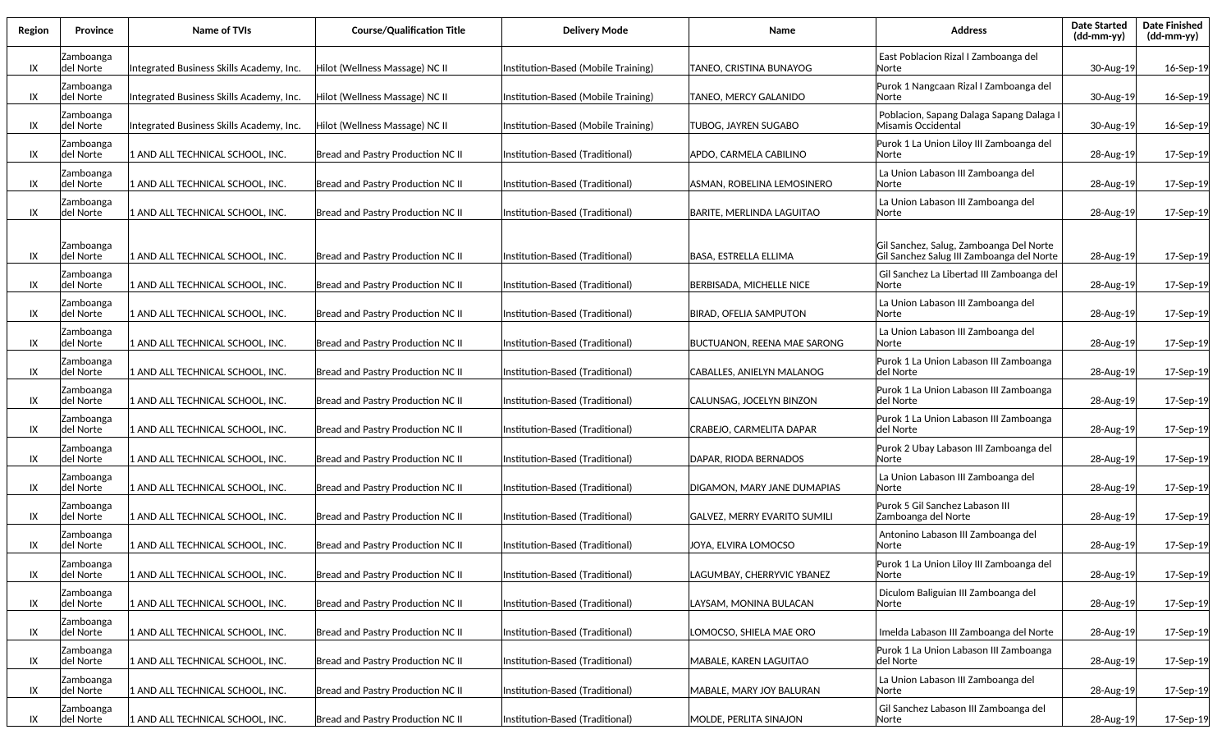| Region | <b>Province</b>         | <b>Name of TVIs</b>                      | <b>Course/Qualification Title</b>        | <b>Delivery Mode</b>                | Name                               | <b>Address</b>                                                                       | <b>Date Started</b><br>(dd-mm-yy) | <b>Date Finished</b><br>(dd-mm-yy) |
|--------|-------------------------|------------------------------------------|------------------------------------------|-------------------------------------|------------------------------------|--------------------------------------------------------------------------------------|-----------------------------------|------------------------------------|
| IX     | Zamboanga<br>del Norte  | Integrated Business Skills Academy, Inc. | Hilot (Wellness Massage) NC II           | Institution-Based (Mobile Training) | TANEO, CRISTINA BUNAYOG            | East Poblacion Rizal I Zamboanga del<br>Norte                                        | 30-Aug-19                         | 16-Sep-19                          |
| IX     | Zamboanga<br> del Norte | Integrated Business Skills Academy, Inc. | Hilot (Wellness Massage) NC II           | Institution-Based (Mobile Training) | TANEO. MERCY GALANIDO              | Purok 1 Nangcaan Rizal I Zamboanga del<br>lNorte                                     | 30-Aug-19                         | 16-Sep-19                          |
| IX     | Zamboanga<br>del Norte  | Integrated Business Skills Academy, Inc. | Hilot (Wellness Massage) NC II           | Institution-Based (Mobile Training) | TUBOG, JAYREN SUGABO               | Poblacion, Sapang Dalaga Sapang Dalaga I<br>Misamis Occidental                       | 30-Aug-19                         | 16-Sep-19                          |
| IX     | Zamboanga<br>del Norte  | 1 AND ALL TECHNICAL SCHOOL, INC.         | Bread and Pastry Production NC II        | Institution-Based (Traditional)     | APDO, CARMELA CABILINO             | Purok 1 La Union Liloy III Zamboanga del<br>Norte                                    | 28-Aug-19                         | 17-Sep-19                          |
| IX     | Zamboanga<br>del Norte  | 1 AND ALL TECHNICAL SCHOOL, INC.         | Bread and Pastry Production NC II        | Institution-Based (Traditional)     | ASMAN, ROBELINA LEMOSINERO         | La Union Labason III Zamboanga del<br>Norte                                          | 28-Aug-19                         | 17-Sep-19                          |
| IX     | Zamboanga<br>del Norte  | 1 AND ALL TECHNICAL SCHOOL, INC.         | <b>Bread and Pastry Production NC II</b> | Institution-Based (Traditional)     | BARITE, MERLINDA LAGUITAO          | La Union Labason III Zamboanga del<br>Norte                                          | 28-Aug-19                         | 17-Sep-19                          |
| IX     | Zamboanga<br>del Norte  | 1 AND ALL TECHNICAL SCHOOL, INC.         | Bread and Pastry Production NC II        | Institution-Based (Traditional)     | BASA, ESTRELLA ELLIMA              | Gil Sanchez, Salug, Zamboanga Del Norte<br>Gil Sanchez Salug III Zamboanga del Norte | 28-Aug-19                         | 17-Sep-19                          |
| IX     | Zamboanga<br>del Norte  | 1 AND ALL TECHNICAL SCHOOL, INC.         | Bread and Pastry Production NC II        | Institution-Based (Traditional)     | BERBISADA, MICHELLE NICE           | Gil Sanchez La Libertad III Zamboanga del<br>lNorte                                  | 28-Aug-19                         | 17-Sep-19                          |
| IX     | Zamboanga<br>del Norte  | 1 AND ALL TECHNICAL SCHOOL, INC.         | Bread and Pastry Production NC II        | Institution-Based (Traditional)     | <b>BIRAD, OFELIA SAMPUTON</b>      | La Union Labason III Zamboanga del<br>lNorte                                         | 28-Aug-19                         | 17-Sep-19                          |
| IX     | Zamboanga<br>del Norte  | 1 AND ALL TECHNICAL SCHOOL, INC.         | Bread and Pastry Production NC II        | Institution-Based (Traditional)     | <b>BUCTUANON, REENA MAE SARONG</b> | La Union Labason III Zamboanga del<br>lNorte                                         | 28-Aug-19                         | 17-Sep-19                          |
| IX     | Zamboanga<br>del Norte  | 1 AND ALL TECHNICAL SCHOOL, INC.         | Bread and Pastry Production NC II        | Institution-Based (Traditional)     | CABALLES. ANIELYN MALANOG          | Purok 1 La Union Labason III Zamboanga<br>ldel Norte                                 | 28-Aug-19                         | 17-Sep-19                          |
| IX     | Zamboanga<br>del Norte  | 1 AND ALL TECHNICAL SCHOOL, INC.         | Bread and Pastry Production NC II        | Institution-Based (Traditional)     | CALUNSAG, JOCELYN BINZON           | Purok 1 La Union Labason III Zamboanga<br>del Norte                                  | 28-Aug-19                         | 17-Sep-19                          |
| IX     | Zamboanga<br>del Norte  | 1 AND ALL TECHNICAL SCHOOL, INC.         | Bread and Pastry Production NC II        | Institution-Based (Traditional)     | CRABEJO, CARMELITA DAPAR           | Purok 1 La Union Labason III Zamboanga<br>del Norte                                  | 28-Aug-19                         | 17-Sep-19                          |
| IX     | Zamboanga<br>del Norte  | 1 AND ALL TECHNICAL SCHOOL, INC.         | Bread and Pastry Production NC II        | Institution-Based (Traditional)     | DAPAR, RIODA BERNADOS              | Purok 2 Ubay Labason III Zamboanga del<br>lNorte                                     | 28-Aug-19                         | 17-Sep-19                          |
| IX     | Zamboanga<br>del Norte  | 1 AND ALL TECHNICAL SCHOOL, INC.         | Bread and Pastry Production NC II        | Institution-Based (Traditional)     | DIGAMON, MARY JANE DUMAPIAS        | La Union Labason III Zamboanga del<br>lNorte                                         | 28-Aug-19                         | 17-Sep-19                          |
| IX     | Zamboanga<br>del Norte  | 1 AND ALL TECHNICAL SCHOOL, INC.         | Bread and Pastry Production NC II        | Institution-Based (Traditional)     | GALVEZ, MERRY EVARITO SUMILI       | Purok 5 Gil Sanchez Labason III<br>Zamboanga del Norte                               | 28-Aug-19                         | 17-Sep-19                          |
| IX     | Zamboanga<br>del Norte  | 1 AND ALL TECHNICAL SCHOOL, INC.         | Bread and Pastry Production NC II        | Institution-Based (Traditional)     | JOYA, ELVIRA LOMOCSO               | Antonino Labason III Zamboanga del<br>Norte                                          | 28-Aug-19                         | 17-Sep-19                          |
| IX     | Zamboanga<br>del Norte  | 1 AND ALL TECHNICAL SCHOOL, INC.         | Bread and Pastry Production NC II        | Institution-Based (Traditional)     | LAGUMBAY, CHERRYVIC YBANEZ         | Purok 1 La Union Liloy III Zamboanga del<br>Norte                                    | 28-Aug-19                         | 17-Sep-19                          |
| IX     | Zamboanga<br>del Norte  | 1 AND ALL TECHNICAL SCHOOL, INC.         | Bread and Pastry Production NC II        | Institution-Based (Traditional)     | LAYSAM, MONINA BULACAN             | Diculom Baliguian III Zamboanga del<br>lNorte                                        | 28-Aug-19                         | 17-Sep-19                          |
| IX     | Zamboanga<br>del Norte  | 1 AND ALL TECHNICAL SCHOOL, INC.         | Bread and Pastry Production NC II        | Institution-Based (Traditional)     | .OMOCSO, SHIELA MAE ORO            | Imelda Labason III Zamboanga del Norte                                               | 28-Aug-19                         | 17-Sep-19                          |
| IX     | Zamboanga<br>del Norte  | 1 AND ALL TECHNICAL SCHOOL, INC.         | Bread and Pastry Production NC II        | Institution-Based (Traditional)     | MABALE, KAREN LAGUITAO             | Purok 1 La Union Labason III Zamboanga<br>del Norte                                  | 28-Aug-19                         | 17-Sep-19                          |
| IX     | Zamboanga<br>del Norte  | 1 AND ALL TECHNICAL SCHOOL, INC.         | Bread and Pastry Production NC II        | Institution-Based (Traditional)     | MABALE, MARY JOY BALURAN           | La Union Labason III Zamboanga del<br>Norte                                          | 28-Aug-19                         | 17-Sep-19                          |
| IX     | Zamboanga<br>del Norte  | 1 AND ALL TECHNICAL SCHOOL, INC.         | Bread and Pastry Production NC II        | Institution-Based (Traditional)     | MOLDE, PERLITA SINAJON             | Gil Sanchez Labason III Zamboanga del<br>Norte                                       | 28-Aug-19                         | 17-Sep-19                          |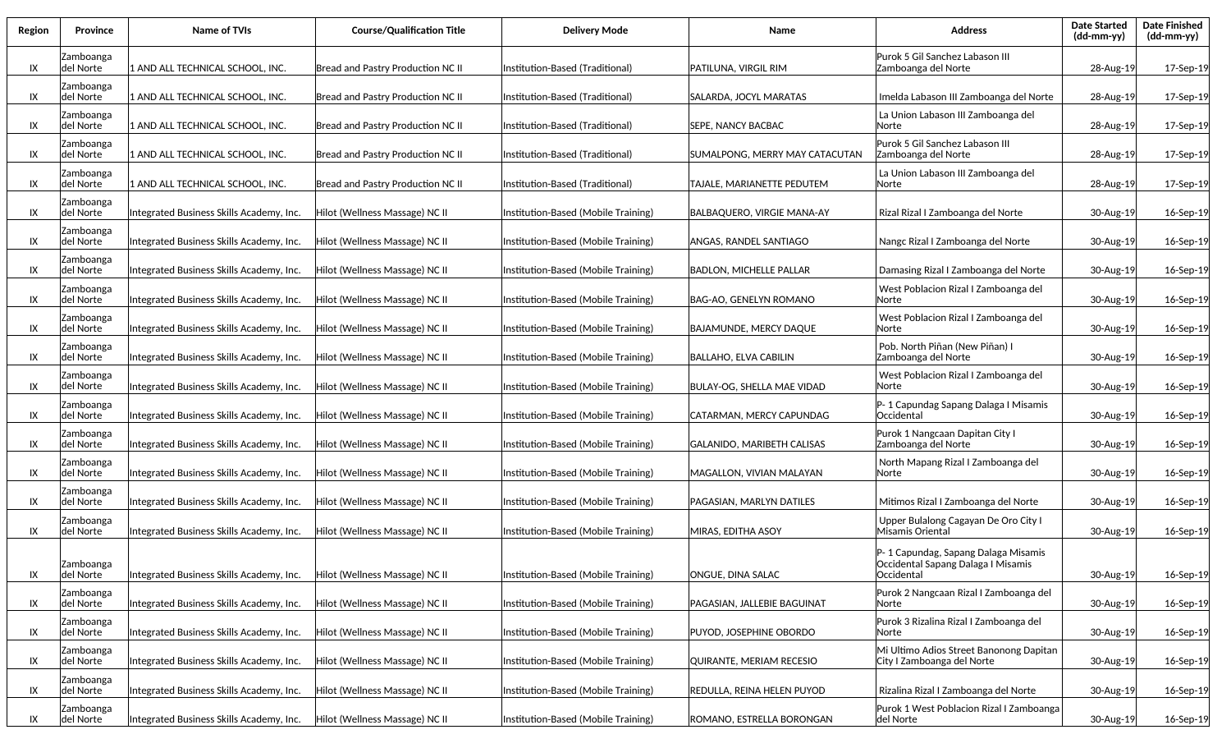| Region | Province               | <b>Name of TVIs</b>                      | <b>Course/Qualification Title</b> | <b>Delivery Mode</b>                | Name                              | <b>Address</b>                                                                          | <b>Date Started</b><br>$(dd-mm-yy)$ | <b>Date Finished</b><br>(dd-mm-yy) |
|--------|------------------------|------------------------------------------|-----------------------------------|-------------------------------------|-----------------------------------|-----------------------------------------------------------------------------------------|-------------------------------------|------------------------------------|
| IX     | Zamboanga<br>del Norte | 1 AND ALL TECHNICAL SCHOOL, INC.         | Bread and Pastry Production NC II | Institution-Based (Traditional)     | PATILUNA, VIRGIL RIM              | Purok 5 Gil Sanchez Labason III<br>Zamboanga del Norte                                  | 28-Aug-19                           | 17-Sep-19                          |
| IX     | Zamboanga<br>del Norte | 1 AND ALL TECHNICAL SCHOOL, INC.         | Bread and Pastry Production NC II | Institution-Based (Traditional)     | SALARDA, JOCYL MARATAS            | Imelda Labason III Zamboanga del Norte                                                  | 28-Aug-19                           | 17-Sep-19                          |
| IX     | Zamboanga<br>del Norte | 1 AND ALL TECHNICAL SCHOOL, INC.         | Bread and Pastry Production NC II | Institution-Based (Traditional)     | <b>SEPE, NANCY BACBAC</b>         | La Union Labason III Zamboanga del<br>Norte                                             | 28-Aug-19                           | 17-Sep-19                          |
| IX     | Zamboanga<br>del Norte | 1 AND ALL TECHNICAL SCHOOL, INC.         | Bread and Pastry Production NC II | Institution-Based (Traditional)     | SUMALPONG, MERRY MAY CATACUTAN    | Purok 5 Gil Sanchez Labason III<br>Zamboanga del Norte                                  | 28-Aug-19                           | 17-Sep-19                          |
| IX     | Zamboanga<br>del Norte | 1 AND ALL TECHNICAL SCHOOL, INC.         | Bread and Pastry Production NC II | Institution-Based (Traditional)     | TAJALE, MARIANETTE PEDUTEM        | La Union Labason III Zamboanga del<br>Norte                                             | 28-Aug-19                           | 17-Sep-19                          |
| IX     | Zamboanga<br>del Norte | Integrated Business Skills Academy, Inc. | Hilot (Wellness Massage) NC II    | Institution-Based (Mobile Training) | BALBAQUERO, VIRGIE MANA-AY        | Rizal Rizal I Zamboanga del Norte                                                       | 30-Aug-19                           | 16-Sep-19                          |
| IX     | Zamboanga<br>del Norte | Integrated Business Skills Academy, Inc. | Hilot (Wellness Massage) NC II    | Institution-Based (Mobile Training) | <b>ANGAS, RANDEL SANTIAGO</b>     | Nangc Rizal I Zamboanga del Norte                                                       | 30-Aug-19                           | 16-Sep-19                          |
| IX     | Zamboanga<br>del Norte | Integrated Business Skills Academy, Inc. | Hilot (Wellness Massage) NC II    | Institution-Based (Mobile Training) | <b>BADLON, MICHELLE PALLAR</b>    | Damasing Rizal I Zamboanga del Norte                                                    | 30-Aug-19                           | 16-Sep-19                          |
| IX     | Zamboanga<br>del Norte | Integrated Business Skills Academy, Inc. | Hilot (Wellness Massage) NC II    | Institution-Based (Mobile Training) | BAG-AO, GENELYN ROMANO            | West Poblacion Rizal I Zamboanga del<br>Norte                                           | 30-Aug-19                           | 16-Sep-19                          |
| IX     | Zamboanga<br>del Norte | Integrated Business Skills Academy, Inc. | Hilot (Wellness Massage) NC II    | Institution-Based (Mobile Training) | BAJAMUNDE. MERCY DAQUE            | West Poblacion Rizal I Zamboanga del<br>Norte                                           | 30-Aug-19                           | 16-Sep-19                          |
| IX     | Zamboanga<br>del Norte | Integrated Business Skills Academy, Inc. | Hilot (Wellness Massage) NC II    | Institution-Based (Mobile Training) | BALLAHO, ELVA CABILIN             | Pob. North Piñan (New Piñan) I<br>Zamboanga del Norte                                   | 30-Aug-19                           | 16-Sep-19                          |
| IX     | Zamboanga<br>del Norte | Integrated Business Skills Academy, Inc. | Hilot (Wellness Massage) NC II    | Institution-Based (Mobile Training) | <b>BULAY-OG, SHELLA MAE VIDAD</b> | West Poblacion Rizal I Zamboanga del<br>Norte                                           | 30-Aug-19                           | 16-Sep-19                          |
| IX     | Zamboanga<br>del Norte | Integrated Business Skills Academy, Inc. | Hilot (Wellness Massage) NC II    | Institution-Based (Mobile Training) | CATARMAN, MERCY CAPUNDAG          | P- 1 Capundag Sapang Dalaga I Misamis<br>Occidental                                     | 30-Aug-19                           | 16-Sep-19                          |
| IX     | Zamboanga<br>del Norte | Integrated Business Skills Academy, Inc. | Hilot (Wellness Massage) NC II    | Institution-Based (Mobile Training) | GALANIDO, MARIBETH CALISAS        | Purok 1 Nangcaan Dapitan City I<br>Zamboanga del Norte                                  | 30-Aug-19                           | 16-Sep-19                          |
| IX     | Zamboanga<br>del Norte | Integrated Business Skills Academy, Inc. | Hilot (Wellness Massage) NC II    | Institution-Based (Mobile Training) | MAGALLON, VIVIAN MALAYAN          | North Mapang Rizal I Zamboanga del<br>Norte                                             | 30-Aug-19                           | 16-Sep-19                          |
| IX     | Zamboanga<br>del Norte | Integrated Business Skills Academy, Inc. | Hilot (Wellness Massage) NC II    | Institution-Based (Mobile Training) | PAGASIAN, MARLYN DATILES          | Mitimos Rizal I Zamboanga del Norte                                                     | 30-Aug-19                           | 16-Sep-19                          |
| IX     | Zamboanga<br>del Norte | Integrated Business Skills Academy, Inc. | Hilot (Wellness Massage) NC II    | Institution-Based (Mobile Training) | MIRAS, EDITHA ASOY                | Upper Bulalong Cagayan De Oro City I<br>Misamis Oriental                                | 30-Aug-19                           | 16-Sep-19                          |
| IX     | Zamboanga<br>del Norte | Integrated Business Skills Academy, Inc. | Hilot (Wellness Massage) NC II    | Institution-Based (Mobile Training) | ONGUE, DINA SALAC                 | P-1 Capundag, Sapang Dalaga Misamis<br>Occidental Sapang Dalaga I Misamis<br>Occidental | 30-Aug-19                           | 16-Sep-19                          |
| IX     | Zamboanga<br>del Norte | Integrated Business Skills Academy, Inc. | Hilot (Wellness Massage) NC II    | Institution-Based (Mobile Training) | PAGASIAN, JALLEBIE BAGUINAT       | Purok 2 Nangcaan Rizal I Zamboanga del<br>Norte                                         | 30-Aug-19                           | 16-Sep-19                          |
| IX     | Zamboanga<br>del Norte | Integrated Business Skills Academy, Inc. | Hilot (Wellness Massage) NC II    | Institution-Based (Mobile Training) | PUYOD, JOSEPHINE OBORDO           | Purok 3 Rizalina Rizal I Zamboanga del<br>Norte                                         | 30-Aug-19                           | 16-Sep-19                          |
| IX     | Zamboanga<br>del Norte | Integrated Business Skills Academy, Inc. | Hilot (Wellness Massage) NC II    | Institution-Based (Mobile Training) | QUIRANTE, MERIAM RECESIO          | Mi Ultimo Adios Street Banonong Dapitan<br>City I Zamboanga del Norte                   | 30-Aug-19                           | 16-Sep-19                          |
| IX     | Zamboanga<br>del Norte | Integrated Business Skills Academy, Inc. | Hilot (Wellness Massage) NC II    | Institution-Based (Mobile Training) | <b>REDULLA, REINA HELEN PUYOD</b> | Rizalina Rizal I Zamboanga del Norte                                                    | 30-Aug-19                           | 16-Sep-19                          |
| IX     | Zamboanga<br>del Norte | Integrated Business Skills Academy, Inc. | Hilot (Wellness Massage) NC II    | Institution-Based (Mobile Training) | ROMANO, ESTRELLA BORONGAN         | Purok 1 West Poblacion Rizal I Zamboanga<br>del Norte                                   | 30-Aug-19                           | 16-Sep-19                          |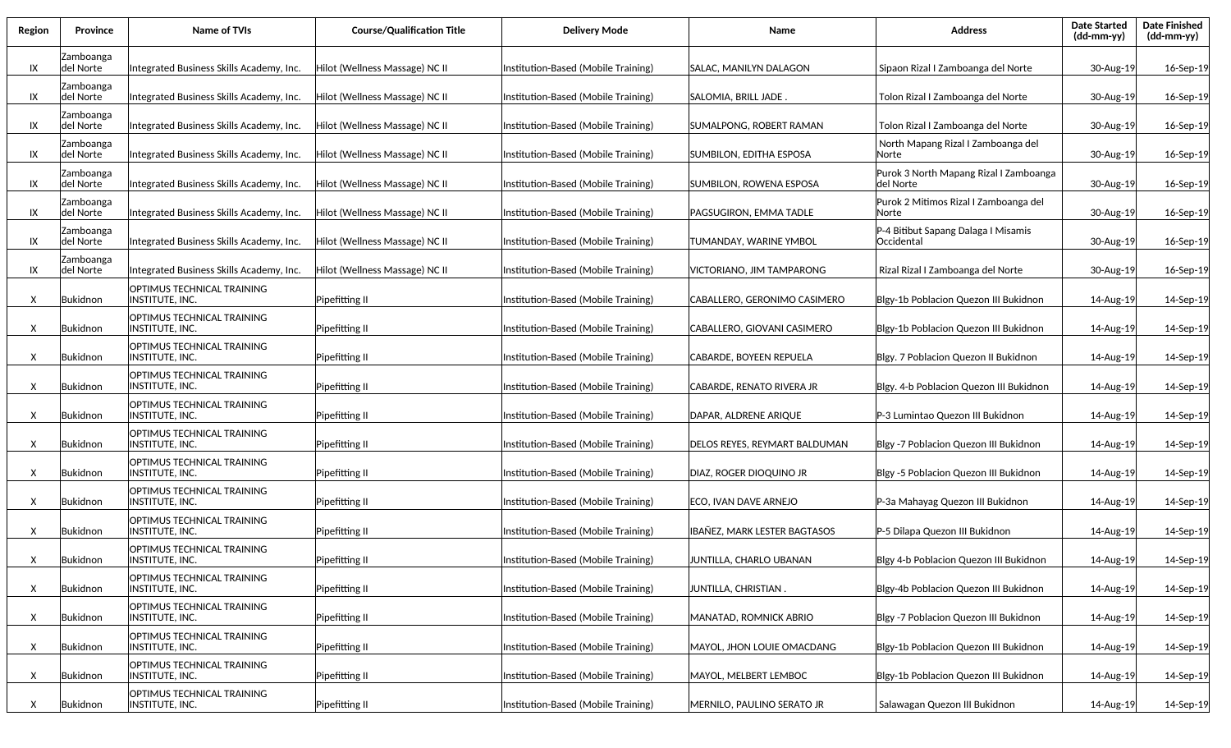| Region | <b>Province</b>         | <b>Name of TVIs</b>                                  | <b>Course/Qualification Title</b> | Delivery Mode                       | <b>Name</b>                    | <b>Address</b>                                      | <b>Date Started</b><br>$(dd-mm-yy)$ | <b>Date Finished</b><br>(dd-mm-yy) |
|--------|-------------------------|------------------------------------------------------|-----------------------------------|-------------------------------------|--------------------------------|-----------------------------------------------------|-------------------------------------|------------------------------------|
| IX     | Zamboanga<br>del Norte  | Integrated Business Skills Academy, Inc.             | Hilot (Wellness Massage) NC II    | Institution-Based (Mobile Training) | SALAC, MANILYN DALAGON         | Sipaon Rizal I Zamboanga del Norte                  | 30-Aug-19                           | 16-Sep-19                          |
| IX     | Zamboanga<br>ldel Norte | Integrated Business Skills Academy, Inc.             | Hilot (Wellness Massage) NC II    | Institution-Based (Mobile Training) | SALOMIA, BRILL JADE.           | Tolon Rizal I Zamboanga del Norte                   | 30-Aug-19                           | 16-Sep-19                          |
| IX     | Zamboanga<br> del Norte | Integrated Business Skills Academy, Inc.             | Hilot (Wellness Massage) NC II    | Institution-Based (Mobile Training) | SUMALPONG, ROBERT RAMAN        | Tolon Rizal I Zamboanga del Norte                   | 30-Aug-19                           | 16-Sep-19                          |
| IX     | Zamboanga<br> del Norte | Integrated Business Skills Academy, Inc.             | Hilot (Wellness Massage) NC II    | Institution-Based (Mobile Training) | SUMBILON, EDITHA ESPOSA        | North Mapang Rizal I Zamboanga del<br>Norte         | 30-Aug-19                           | 16-Sep-19                          |
| IX     | Zamboanga<br>ldel Norte | Integrated Business Skills Academy, Inc.             | Hilot (Wellness Massage) NC II    | Institution-Based (Mobile Training) | SUMBILON, ROWENA ESPOSA        | Purok 3 North Mapang Rizal I Zamboanga<br>del Norte | 30-Aug-19                           | 16-Sep-19                          |
| IX     | Zamboanga<br>ldel Norte | Integrated Business Skills Academy, Inc.             | Hilot (Wellness Massage) NC II    | Institution-Based (Mobile Training) | PAGSUGIRON, EMMA TADLE         | Purok 2 Mitimos Rizal I Zamboanga del<br>Norte      | 30-Aug-19                           | 16-Sep-19                          |
| IX     | Zamboanga<br>del Norte  | Integrated Business Skills Academy, Inc.             | Hilot (Wellness Massage) NC II    | Institution-Based (Mobile Training) | TUMANDAY, WARINE YMBOL         | P-4 Bitibut Sapang Dalaga I Misamis<br>Occidental   | 30-Aug-19                           | 16-Sep-19                          |
| IX     | Zamboanga<br>del Norte  | Integrated Business Skills Academy, Inc.             | Hilot (Wellness Massage) NC II    | Institution-Based (Mobile Training) | VICTORIANO. JIM TAMPARONG      | Rizal Rizal I Zamboanga del Norte                   | 30-Aug-19                           | 16-Sep-19                          |
| X      | Bukidnon                | OPTIMUS TECHNICAL TRAINING<br>INSTITUTE, INC.        | Pipefitting II                    | Institution-Based (Mobile Training) | CABALLERO, GERONIMO CASIMERO   | Blgy-1b Poblacion Quezon III Bukidnon               | 14-Aug-19                           | 14-Sep-19                          |
| X      | Bukidnon                | OPTIMUS TECHNICAL TRAINING<br>INSTITUTE, INC.        | Pipefitting II                    | Institution-Based (Mobile Training) | CABALLERO, GIOVANI CASIMERO    | Blgy-1b Poblacion Quezon III Bukidnon               | 14-Aug-19                           | 14-Sep-19                          |
| X      | Bukidnon                | OPTIMUS TECHNICAL TRAINING<br>INSTITUTE, INC.        | Pipefitting II                    | Institution-Based (Mobile Training) | CABARDE, BOYEEN REPUELA        | Blgy. 7 Poblacion Quezon II Bukidnon                | 14-Aug-19                           | 14-Sep-19                          |
| X      | Bukidnon                | OPTIMUS TECHNICAL TRAINING<br><b>INSTITUTE, INC.</b> | Pipefitting II                    | Institution-Based (Mobile Training) | CABARDE, RENATO RIVERA JR      | Blgy. 4-b Poblacion Quezon III Bukidnon             | 14-Aug-19                           | 14-Sep-19                          |
| X      | Bukidnon                | OPTIMUS TECHNICAL TRAINING<br>INSTITUTE, INC.        | Pipefitting II                    | Institution-Based (Mobile Training) | DAPAR, ALDRENE ARIQUE          | P-3 Lumintao Quezon III Bukidnon                    | 14-Aug-19                           | 14-Sep-19                          |
| X      | Bukidnon                | OPTIMUS TECHNICAL TRAINING<br><b>INSTITUTE, INC.</b> | Pipefitting II                    | Institution-Based (Mobile Training) | DELOS REYES, REYMART BALDUMAN  | Blgy -7 Poblacion Quezon III Bukidnon               | 14-Aug-19                           | 14-Sep-19                          |
| X      | Bukidnon                | OPTIMUS TECHNICAL TRAINING<br><b>INSTITUTE, INC.</b> | Pipefitting II                    | Institution-Based (Mobile Training) | <b>DIAZ, ROGER DIOQUINO JR</b> | Blgy -5 Poblacion Quezon III Bukidnon               | 14-Aug-19                           | 14-Sep-19                          |
| X      | Bukidnon                | OPTIMUS TECHNICAL TRAINING<br><b>INSTITUTE, INC.</b> | Pipefitting II                    | Institution-Based (Mobile Training) | ECO, IVAN DAVE ARNEJO          | P-3a Mahayag Quezon III Bukidnon                    | 14-Aug-19                           | 14-Sep-19                          |
| X      | Bukidnon                | OPTIMUS TECHNICAL TRAINING<br>INSTITUTE, INC.        | Pipefitting II                    | Institution-Based (Mobile Training) | IBAÑEZ, MARK LESTER BAGTASOS   | P-5 Dilapa Quezon III Bukidnon                      | 14-Aug-19                           | 14-Sep-19                          |
| X      | Bukidnon                | OPTIMUS TECHNICAL TRAINING<br>INSTITUTE, INC.        | Pipefitting II                    | Institution-Based (Mobile Training) | JUNTILLA, CHARLO UBANAN        | Blgy 4-b Poblacion Quezon III Bukidnon              | 14-Aug-19                           | 14-Sep-19                          |
| X      | Bukidnon                | OPTIMUS TECHNICAL TRAINING<br><b>INSTITUTE, INC.</b> | Pipefitting II                    | Institution-Based (Mobile Training) | JUNTILLA, CHRISTIAN .          | Blgy-4b Poblacion Quezon III Bukidnon               | 14-Aug-19                           | 14-Sep-19                          |
| X      | Bukidnon                | OPTIMUS TECHNICAL TRAINING<br>INSTITUTE, INC.        | Pipefitting II                    | Institution-Based (Mobile Training) | MANATAD, ROMNICK ABRIO         | Blgy -7 Poblacion Quezon III Bukidnon               | 14-Aug-19                           | 14-Sep-19                          |
| X      | Bukidnon                | OPTIMUS TECHNICAL TRAINING<br>INSTITUTE, INC.        | Pipefitting II                    | Institution-Based (Mobile Training) | MAYOL, JHON LOUIE OMACDANG     | Blgy-1b Poblacion Quezon III Bukidnon               | 14-Aug-19                           | 14-Sep-19                          |
| X      | Bukidnon                | OPTIMUS TECHNICAL TRAINING<br>INSTITUTE, INC.        | Pipefitting II                    | Institution-Based (Mobile Training) | MAYOL, MELBERT LEMBOC          | Blgy-1b Poblacion Quezon III Bukidnon               | 14-Aug-19                           | 14-Sep-19                          |
| X      | Bukidnon                | OPTIMUS TECHNICAL TRAINING<br>INSTITUTE, INC.        | Pipefitting II                    | Institution-Based (Mobile Training) | MERNILO, PAULINO SERATO JR     | Salawagan Quezon III Bukidnon                       | 14-Aug-19                           | 14-Sep-19                          |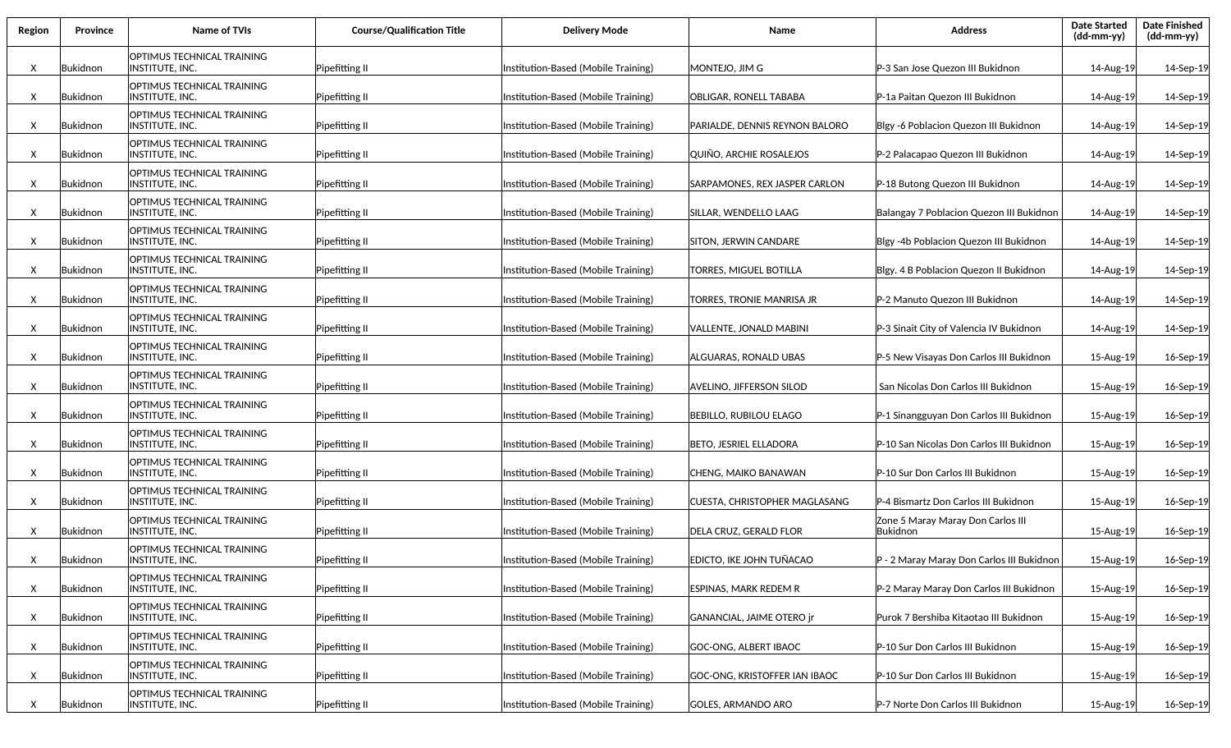| Region | <b>Province</b> | <b>Name of TVIs</b>                                  | <b>Course/Qualification Title</b> | <b>Delivery Mode</b>                | Name                           | <b>Address</b>                                | <b>Date Started</b><br>(dd-mm-yy) | <b>Date Finished</b><br>(dd-mm-yy) |
|--------|-----------------|------------------------------------------------------|-----------------------------------|-------------------------------------|--------------------------------|-----------------------------------------------|-----------------------------------|------------------------------------|
| X      | Bukidnon        | OPTIMUS TECHNICAL TRAINING<br>INSTITUTE, INC.        | Pipefitting II                    | Institution-Based (Mobile Training) | MONTEJO, JIM G                 | P-3 San Jose Quezon III Bukidnon              | 14-Aug-19                         | 14-Sep-19                          |
| X      | Bukidnon        | OPTIMUS TECHNICAL TRAINING<br>INSTITUTE, INC.        | Pipefitting II                    | Institution-Based (Mobile Training) | OBLIGAR, RONELL TABABA         | P-1a Paitan Quezon III Bukidnon               | 14-Aug-19                         | 14-Sep-19                          |
| X      | Bukidnon        | OPTIMUS TECHNICAL TRAINING<br>INSTITUTE, INC.        | Pipefitting II                    | Institution-Based (Mobile Training) | PARIALDE, DENNIS REYNON BALORO | Blgy -6 Poblacion Quezon III Bukidnon         | 14-Aug-19                         | 14-Sep-19                          |
| X      | Bukidnon        | OPTIMUS TECHNICAL TRAINING<br>INSTITUTE, INC.        | Pipefitting II                    | Institution-Based (Mobile Training) | QUIÑO. ARCHIE ROSALEJOS        | P-2 Palacapao Quezon III Bukidnon             | 14-Aug-19                         | 14-Sep-19                          |
| X      | Bukidnon        | OPTIMUS TECHNICAL TRAINING<br>INSTITUTE, INC.        | Pipefitting II                    | Institution-Based (Mobile Training) | SARPAMONES, REX JASPER CARLON  | P-18 Butong Quezon III Bukidnon               | 14-Aug-19                         | 14-Sep-19                          |
| X      | Bukidnon        | OPTIMUS TECHNICAL TRAINING<br>INSTITUTE, INC.        | Pipefitting II                    | Institution-Based (Mobile Training) | SILLAR, WENDELLO LAAG          | Balangay 7 Poblacion Quezon III Bukidnon      | 14-Aug-19                         | 14-Sep-19                          |
| X      | Bukidnon        | OPTIMUS TECHNICAL TRAINING<br>INSTITUTE, INC.        | Pipefitting II                    | Institution-Based (Mobile Training) | SITON, JERWIN CANDARE          | Blgy -4b Poblacion Quezon III Bukidnon        | 14-Aug-19                         | 14-Sep-19                          |
| X      | Bukidnon        | OPTIMUS TECHNICAL TRAINING<br><b>INSTITUTE, INC.</b> | Pipefitting II                    | Institution-Based (Mobile Training) | TORRES, MIGUEL BOTILLA         | Blgy. 4 B Poblacion Quezon II Bukidnon        | 14-Aug-19                         | 14-Sep-19                          |
| X      | Bukidnon        | OPTIMUS TECHNICAL TRAINING<br>INSTITUTE, INC.        | Pipefitting II                    | Institution-Based (Mobile Training) | TORRES, TRONIE MANRISA JR      | P-2 Manuto Quezon III Bukidnon                | 14-Aug-19                         | 14-Sep-19                          |
| X      | Bukidnon        | OPTIMUS TECHNICAL TRAINING<br>INSTITUTE, INC.        | Pipefitting II                    | Institution-Based (Mobile Training) | VALLENTE, JONALD MABINI        | P-3 Sinait City of Valencia IV Bukidnon       | 14-Aug-19                         | 14-Sep-19                          |
| X      | Bukidnon        | OPTIMUS TECHNICAL TRAINING<br>INSTITUTE, INC.        | Pipefitting II                    | Institution-Based (Mobile Training) | ALGUARAS, RONALD UBAS          | P-5 New Visayas Don Carlos III Bukidnon       | 15-Aug-19                         | 16-Sep-19                          |
| X      | Bukidnon        | OPTIMUS TECHNICAL TRAINING<br>INSTITUTE, INC.        | Pipefitting II                    | Institution-Based (Mobile Training) | AVELINO, JIFFERSON SILOD       | San Nicolas Don Carlos III Bukidnon           | 15-Aug-19                         | 16-Sep-19                          |
| Χ      | Bukidnon        | OPTIMUS TECHNICAL TRAINING<br>INSTITUTE, INC.        | Pipefitting II                    | Institution-Based (Mobile Training) | <b>BEBILLO, RUBILOU ELAGO</b>  | P-1 Sinangguyan Don Carlos III Bukidnon       | 15-Aug-19                         | 16-Sep-19                          |
| X      | Bukidnon        | OPTIMUS TECHNICAL TRAINING<br>INSTITUTE, INC.        | Pipefitting II                    | Institution-Based (Mobile Training) | BETO, JESRIEL ELLADORA         | P-10 San Nicolas Don Carlos III Bukidnon      | 15-Aug-19                         | 16-Sep-19                          |
| X      | Bukidnon        | OPTIMUS TECHNICAL TRAINING<br>INSTITUTE, INC.        | Pipefitting II                    | Institution-Based (Mobile Training) | CHENG, MAIKO BANAWAN           | P-10 Sur Don Carlos III Bukidnon              | 15-Aug-19                         | 16-Sep-19                          |
| Χ      | Bukidnon        | OPTIMUS TECHNICAL TRAINING<br>INSTITUTE, INC.        | Pipefitting II                    | Institution-Based (Mobile Training) | CUESTA, CHRISTOPHER MAGLASANG  | P-4 Bismartz Don Carlos III Bukidnon          | 15-Aug-19                         | 16-Sep-19                          |
| Χ      | Bukidnon        | OPTIMUS TECHNICAL TRAINING<br>INSTITUTE, INC.        | Pipefitting II                    | Institution-Based (Mobile Training) | <b>DELA CRUZ, GERALD FLOR</b>  | Zone 5 Maray Maray Don Carlos III<br>Bukidnon | 15-Aug-19                         | 16-Sep-19                          |
| X      | Bukidnon        | OPTIMUS TECHNICAL TRAINING<br>INSTITUTE, INC.        | Pipefitting II                    | Institution-Based (Mobile Training) | IEDICTO. IKE JOHN TUÑACAO      | IP - 2 Maray Maray Don Carlos III Bukidnon    | 15-Aug-19                         | 16-Sep-19                          |
| X      | Bukidnon        | OPTIMUS TECHNICAL TRAINING<br>INSTITUTE, INC.        | Pipefitting II                    | Institution-Based (Mobile Training) | ESPINAS. MARK REDEM R          | P-2 Maray Maray Don Carlos III Bukidnon       | 15-Aug-19                         | 16-Sep-19                          |
| Χ      | Bukidnon        | OPTIMUS TECHNICAL TRAINING<br>INSTITUTE, INC.        | Pipefitting II                    | Institution-Based (Mobile Training) | GANANCIAL, JAIME OTERO jr      | Purok 7 Bershiba Kitaotao III Bukidnon        | 15-Aug-19                         | 16-Sep-19                          |
| Χ      | Bukidnon        | OPTIMUS TECHNICAL TRAINING<br>INSTITUTE, INC.        | Pipefitting II                    | Institution-Based (Mobile Training) | GOC-ONG, ALBERT IBAOC          | P-10 Sur Don Carlos III Bukidnon              | 15-Aug-19                         | 16-Sep-19                          |
| X      | Bukidnon        | <b>OPTIMUS TECHNICAL TRAINING</b><br>INSTITUTE, INC. | Pipefitting II                    | Institution-Based (Mobile Training) | GOC-ONG, KRISTOFFER IAN IBAOC  | P-10 Sur Don Carlos III Bukidnon              | 15-Aug-19                         | 16-Sep-19                          |
| X      | Bukidnon        | OPTIMUS TECHNICAL TRAINING<br>INSTITUTE, INC.        | Pipefitting II                    | Institution-Based (Mobile Training) | GOLES, ARMANDO ARO             | P-7 Norte Don Carlos III Bukidnon             | 15-Aug-19                         | 16-Sep-19                          |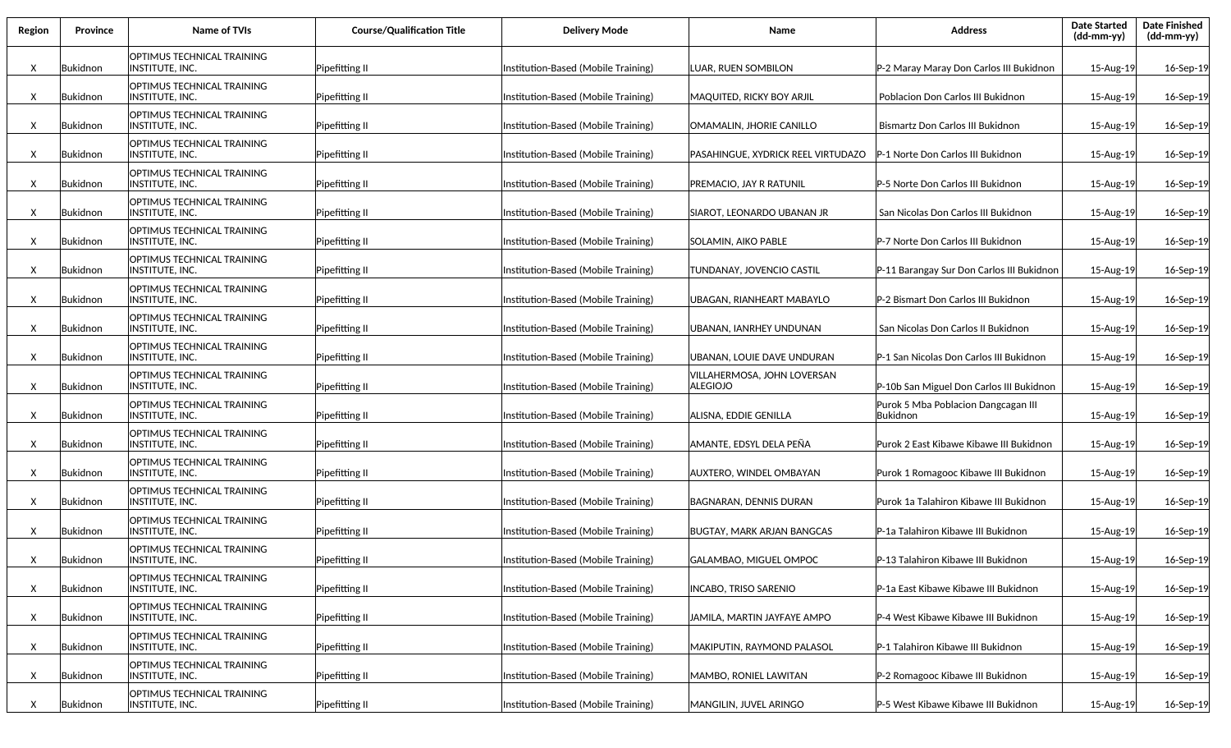| Region | <b>Province</b> | Name of TVIs                                  | <b>Course/Qualification Title</b> | <b>Delivery Mode</b>                | Name                                    | <b>Address</b>                                  | <b>Date Started</b><br>(dd-mm-yy) | <b>Date Finished</b><br>(dd-mm-yy) |
|--------|-----------------|-----------------------------------------------|-----------------------------------|-------------------------------------|-----------------------------------------|-------------------------------------------------|-----------------------------------|------------------------------------|
| X      | Bukidnon        | OPTIMUS TECHNICAL TRAINING<br>INSTITUTE, INC. | Pipefitting II                    | Institution-Based (Mobile Training) | LUAR, RUEN SOMBILON                     | P-2 Maray Maray Don Carlos III Bukidnon         | 15-Aug-19                         | 16-Sep-19                          |
| X      | Bukidnon        | OPTIMUS TECHNICAL TRAINING<br>INSTITUTE, INC. | Pipefitting II                    | Institution-Based (Mobile Training) | <b>MAQUITED, RICKY BOY ARJIL</b>        | Poblacion Don Carlos III Bukidnon               | 15-Aug-19                         | 16-Sep-19                          |
| X      | Bukidnon        | OPTIMUS TECHNICAL TRAINING<br>INSTITUTE, INC. | Pipefitting II                    | Institution-Based (Mobile Training) | OMAMALIN, JHORIE CANILLO                | Bismartz Don Carlos III Bukidnon                | 15-Aug-19                         | 16-Sep-19                          |
| X      | Bukidnon        | OPTIMUS TECHNICAL TRAINING<br>INSTITUTE, INC. | Pipefitting II                    | Institution-Based (Mobile Training) | PASAHINGUE, XYDRICK REEL VIRTUDAZO      | P-1 Norte Don Carlos III Bukidnon               | 15-Aug-19                         | 16-Sep-19                          |
| X      | Bukidnon        | OPTIMUS TECHNICAL TRAINING<br>INSTITUTE, INC. | Pipefitting II                    | Institution-Based (Mobile Training) | PREMACIO, JAY R RATUNIL                 | P-5 Norte Don Carlos III Bukidnon               | 15-Aug-19                         | 16-Sep-19                          |
| X      | Bukidnon        | OPTIMUS TECHNICAL TRAINING<br>INSTITUTE, INC. | Pipefitting II                    | Institution-Based (Mobile Training) | SIAROT, LEONARDO UBANAN JR              | San Nicolas Don Carlos III Bukidnon             | 15-Aug-19                         | 16-Sep-19                          |
| X      | Bukidnon        | OPTIMUS TECHNICAL TRAINING<br>INSTITUTE, INC. | Pipefitting II                    | Institution-Based (Mobile Training) | SOLAMIN, AIKO PABLE                     | P-7 Norte Don Carlos III Bukidnon               | 15-Aug-19                         | 16-Sep-19                          |
| X      | Bukidnon        | OPTIMUS TECHNICAL TRAINING<br>INSTITUTE, INC. | Pipefitting II                    | Institution-Based (Mobile Training) | TUNDANAY, JOVENCIO CASTIL               | P-11 Barangay Sur Don Carlos III Bukidnon       | 15-Aug-19                         | 16-Sep-19                          |
| X      | Bukidnon        | OPTIMUS TECHNICAL TRAINING<br>INSTITUTE, INC. | Pipefitting II                    | Institution-Based (Mobile Training) | UBAGAN. RIANHEART MABAYLO               | P-2 Bismart Don Carlos III Bukidnon             | 15-Aug-19                         | 16-Sep-19                          |
| X      | Bukidnon        | OPTIMUS TECHNICAL TRAINING<br>INSTITUTE, INC. | Pipefitting II                    | Institution-Based (Mobile Training) | UBANAN. IANRHEY UNDUNAN                 | San Nicolas Don Carlos II Bukidnon              | 15-Aug-19                         | 16-Sep-19                          |
| X      | Bukidnon        | OPTIMUS TECHNICAL TRAINING<br>INSTITUTE, INC. | Pipefitting II                    | Institution-Based (Mobile Training) | UBANAN, LOUIE DAVE UNDURAN              | P-1 San Nicolas Don Carlos III Bukidnon         | 15-Aug-19                         | 16-Sep-19                          |
| X      | Bukidnon        | OPTIMUS TECHNICAL TRAINING<br>INSTITUTE, INC. | Pipefitting II                    | Institution-Based (Mobile Training) | VILLAHERMOSA, JOHN LOVERSAN<br>ALEGIOJO | P-10b San Miguel Don Carlos III Bukidnon        | 15-Aug-19                         | 16-Sep-19                          |
| Χ      | Bukidnon        | OPTIMUS TECHNICAL TRAINING<br>INSTITUTE, INC. | Pipefitting II                    | Institution-Based (Mobile Training) | ALISNA, EDDIE GENILLA                   | Purok 5 Mba Poblacion Dangcagan III<br>Bukidnon | 15-Aug-19                         | 16-Sep-19                          |
| Χ      | Bukidnon        | OPTIMUS TECHNICAL TRAINING<br>INSTITUTE, INC. | Pipefitting II                    | Institution-Based (Mobile Training) | AMANTE, EDSYL DELA PEÑA                 | Purok 2 East Kibawe Kibawe III Bukidnon         | 15-Aug-19                         | 16-Sep-19                          |
| X      | Bukidnon        | OPTIMUS TECHNICAL TRAINING<br>INSTITUTE, INC. | Pipefitting II                    | Institution-Based (Mobile Training) | AUXTERO, WINDEL OMBAYAN                 | Purok 1 Romagooc Kibawe III Bukidnon            | 15-Aug-19                         | 16-Sep-19                          |
| Χ      | Bukidnon        | OPTIMUS TECHNICAL TRAINING<br>INSTITUTE, INC. | Pipefitting II                    | Institution-Based (Mobile Training) | <b>BAGNARAN, DENNIS DURAN</b>           | Purok 1a Talahiron Kibawe III Bukidnon          | 15-Aug-19                         | 16-Sep-19                          |
| Χ      | Bukidnon        | OPTIMUS TECHNICAL TRAINING<br>INSTITUTE, INC. | Pipefitting II                    | Institution-Based (Mobile Training) | <b>BUGTAY, MARK ARJAN BANGCAS</b>       | P-1a Talahiron Kibawe III Bukidnon              | 15-Aug-19                         | 16-Sep-19                          |
| X      | Bukidnon        | OPTIMUS TECHNICAL TRAINING<br>INSTITUTE, INC. | Pipefitting II                    | Institution-Based (Mobile Training) | GALAMBAO, MIGUEL OMPOC                  | <b>IP-13 Talahiron Kibawe III Bukidnon</b>      | 15-Aug-19                         | 16-Sep-19                          |
| X      | Bukidnon        | OPTIMUS TECHNICAL TRAINING<br>INSTITUTE, INC. | Pipefitting II                    | Institution-Based (Mobile Training) | INCABO, TRISO SARENIO                   | P-1a East Kibawe Kibawe III Bukidnon            | 15-Aug-19                         | 16-Sep-19                          |
| Χ      | Bukidnon        | OPTIMUS TECHNICAL TRAINING<br>INSTITUTE, INC. | Pipefitting II                    | Institution-Based (Mobile Training) | JAMILA, MARTIN JAYFAYE AMPO             | P-4 West Kibawe Kibawe III Bukidnon             | 15-Aug-19                         | 16-Sep-19                          |
| Χ      | Bukidnon        | OPTIMUS TECHNICAL TRAINING<br>INSTITUTE, INC. | Pipefitting II                    | Institution-Based (Mobile Training) | MAKIPUTIN, RAYMOND PALASOL              | P-1 Talahiron Kibawe III Bukidnon               | 15-Aug-19                         | 16-Sep-19                          |
| X      | Bukidnon        | OPTIMUS TECHNICAL TRAINING<br>INSTITUTE, INC. | Pipefitting II                    | Institution-Based (Mobile Training) | MAMBO, RONIEL LAWITAN                   | P-2 Romagooc Kibawe III Bukidnon                | 15-Aug-19                         | 16-Sep-19                          |
| Χ      | Bukidnon        | OPTIMUS TECHNICAL TRAINING<br>INSTITUTE, INC. | Pipefitting II                    | Institution-Based (Mobile Training) | MANGILIN, JUVEL ARINGO                  | P-5 West Kibawe Kibawe III Bukidnon             | 15-Aug-19                         | 16-Sep-19                          |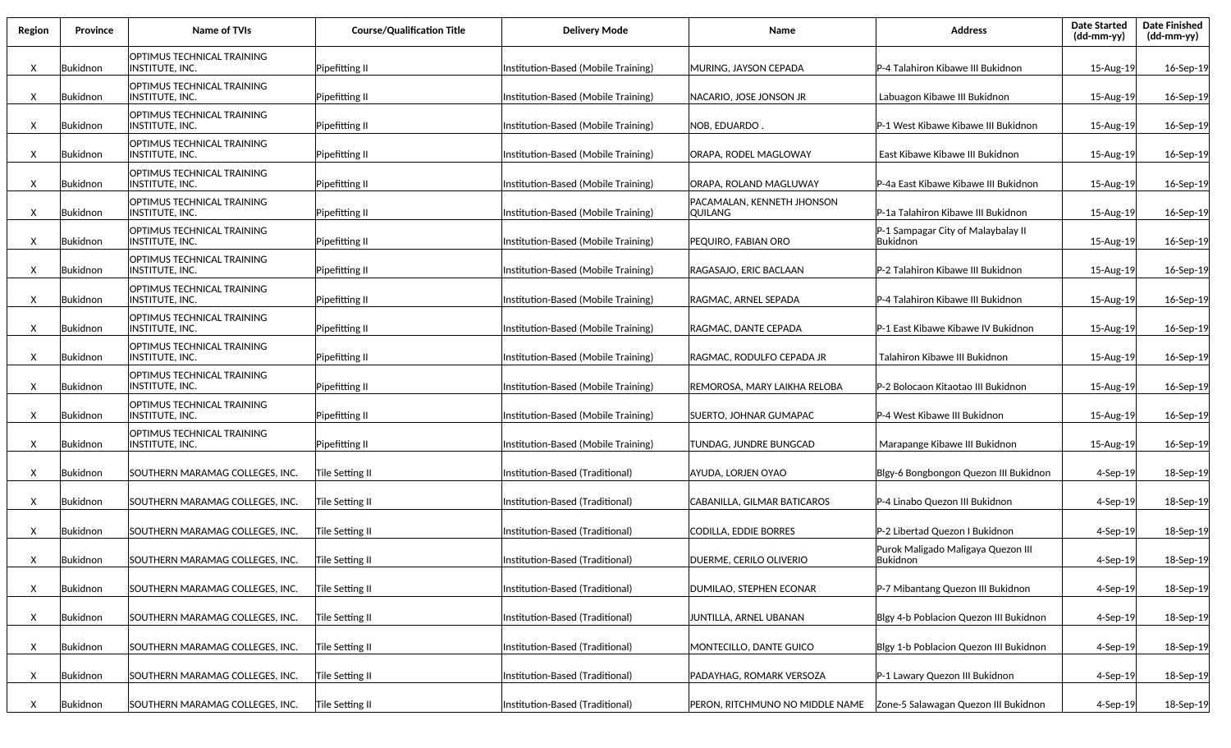| Region | <b>Province</b> | Name of TVIs                                          | <b>Course/Qualification Title</b> | <b>Delivery Mode</b>                | Name                                  | <b>Address</b>                                        | <b>Date Started</b><br>(dd-mm-yy) | <b>Date Finished</b><br>(dd-mm-yy) |
|--------|-----------------|-------------------------------------------------------|-----------------------------------|-------------------------------------|---------------------------------------|-------------------------------------------------------|-----------------------------------|------------------------------------|
| X      | Bukidnon        | OPTIMUS TECHNICAL TRAINING<br><b>INSTITUTE, INC.</b>  | Pipefitting II                    | Institution-Based (Mobile Training) | MURING, JAYSON CEPADA                 | P-4 Talahiron Kibawe III Bukidnon                     | 15-Aug-19                         | 16-Sep-19                          |
| X      | Bukidnon        | OPTIMUS TECHNICAL TRAINING<br>INSTITUTE, INC.         | Pipefitting II                    | Institution-Based (Mobile Training) | NACARIO, JOSE JONSON JR               | Labuagon Kibawe III Bukidnon                          | 15-Aug-19                         | 16-Sep-19                          |
| X      | Bukidnon        | OPTIMUS TECHNICAL TRAINING<br>INSTITUTE, INC.         | Pipefitting II                    | Institution-Based (Mobile Training) | NOB, EDUARDO                          | P-1 West Kibawe Kibawe III Bukidnon                   | 15-Aug-19                         | 16-Sep-19                          |
| X      | Bukidnon        | OPTIMUS TECHNICAL TRAINING<br>INSTITUTE, INC.         | Pipefitting II                    | Institution-Based (Mobile Training) | ORAPA, RODEL MAGLOWAY                 | East Kibawe Kibawe III Bukidnon                       | 15-Aug-19                         | 16-Sep-19                          |
| X      | Bukidnon        | OPTIMUS TECHNICAL TRAINING<br>INSTITUTE, INC.         | Pipefitting II                    | Institution-Based (Mobile Training) | ORAPA, ROLAND MAGLUWAY                | P-4a East Kibawe Kibawe III Bukidnon                  | 15-Aug-19                         | 16-Sep-19                          |
| X      | Bukidnon        | OPTIMUS TECHNICAL TRAINING<br> INSTITUTE, INC.        | Pipefitting II                    | Institution-Based (Mobile Training) | PACAMALAN, KENNETH JHONSON<br>QUILANG | P-1a Talahiron Kibawe III Bukidnon                    | 15-Aug-19                         | 16-Sep-19                          |
| X      | Bukidnon        | <b>OPTIMUS TECHNICAL TRAINING</b><br> INSTITUTE, INC. | Pipefitting II                    | Institution-Based (Mobile Training) | PEQUIRO, FABIAN ORO                   | P-1 Sampagar City of Malaybalay II<br><b>Bukidnon</b> | 15-Aug-19                         | 16-Sep-19                          |
| X      | Bukidnon        | OPTIMUS TECHNICAL TRAINING<br> INSTITUTE, INC.        | Pipefitting II                    | Institution-Based (Mobile Training) | IRAGASAJO. ERIC BACLAAN               | P-2 Talahiron Kibawe III Bukidnon                     | 15-Aug-19                         | 16-Sep-19                          |
| X      | Bukidnon        | OPTIMUS TECHNICAL TRAINING<br> INSTITUTE, INC.        | Pipefitting II                    | Institution-Based (Mobile Training) | RAGMAC, ARNEL SEPADA                  | P-4 Talahiron Kibawe III Bukidnon                     | 15-Aug-19                         | 16-Sep-19                          |
| X      | Bukidnon        | OPTIMUS TECHNICAL TRAINING<br>INSTITUTE, INC.         | Pipefitting II                    | Institution-Based (Mobile Training) | RAGMAC, DANTE CEPADA                  | P-1 East Kibawe Kibawe IV Bukidnon                    | 15-Aug-19                         | 16-Sep-19                          |
| X      | Bukidnon        | <b>OPTIMUS TECHNICAL TRAINING</b><br>INSTITUTE, INC.  | Pipefitting II                    | Institution-Based (Mobile Training) | RAGMAC, RODULFO CEPADA JR             | Talahiron Kibawe III Bukidnon                         | 15-Aug-19                         | 16-Sep-19                          |
| X      | Bukidnon        | OPTIMUS TECHNICAL TRAINING<br>INSTITUTE, INC.         | Pipefitting II                    | Institution-Based (Mobile Training) | REMOROSA, MARY LAIKHA RELOBA          | P-2 Bolocaon Kitaotao III Bukidnon                    | 15-Aug-19                         | 16-Sep-19                          |
| X      | Bukidnon        | OPTIMUS TECHNICAL TRAINING<br><b>INSTITUTE, INC.</b>  | Pipefitting II                    | Institution-Based (Mobile Training) | SUERTO, JOHNAR GUMAPAC                | P-4 West Kibawe III Bukidnon                          | 15-Aug-19                         | 16-Sep-19                          |
| X      | Bukidnon        | OPTIMUS TECHNICAL TRAINING<br>INSTITUTE, INC.         | Pipefitting II                    | Institution-Based (Mobile Training) | TUNDAG, JUNDRE BUNGCAD                | Marapange Kibawe III Bukidnon                         | 15-Aug-19                         | 16-Sep-19                          |
| X      | Bukidnon        | SOUTHERN MARAMAG COLLEGES, INC.                       | Tile Setting II                   | Institution-Based (Traditional)     | AYUDA, LORJEN OYAO                    | Blgy-6 Bongbongon Quezon III Bukidnon                 | $4-$ Sep $-19$                    | 18-Sep-19                          |
| X      | Bukidnon        | SOUTHERN MARAMAG COLLEGES, INC.                       | Tile Setting II                   | Institution-Based (Traditional)     | CABANILLA, GILMAR BATICAROS           | P-4 Linabo Quezon III Bukidnon                        | $4-$ Sep $-19$                    | 18-Sep-19                          |
| X      | Bukidnon        | SOUTHERN MARAMAG COLLEGES, INC.                       | Tile Setting II                   | Institution-Based (Traditional)     | CODILLA, EDDIE BORRES                 | P-2 Libertad Quezon I Bukidnon                        | $4-$ Sep $-19$                    | 18-Sep-19                          |
| X      | Bukidnon        | SOUTHERN MARAMAG COLLEGES, INC.                       | Tile Setting II                   | Institution-Based (Traditional)     | DUERME, CERILO OLIVERIO               | Purok Maligado Maligaya Quezon III<br> Bukidnon       | $4-Sep-19$                        | 18-Sep-19                          |
| X      | Bukidnon        | SOUTHERN MARAMAG COLLEGES, INC.                       | Tile Setting II                   | Institution-Based (Traditional)     | DUMILAO, STEPHEN ECONAR               | P-7 Mibantang Quezon III Bukidnon                     | 4-Sep-19                          | 18-Sep-19                          |
| X      | Bukidnon        | SOUTHERN MARAMAG COLLEGES, INC.                       | Tile Setting II                   | Institution-Based (Traditional)     | JUNTILLA, ARNEL UBANAN                | Blgy 4-b Poblacion Quezon III Bukidnon                | 4-Sep-19                          | 18-Sep-19                          |
| X      | Bukidnon        | SOUTHERN MARAMAG COLLEGES, INC.                       | Tile Setting II                   | Institution-Based (Traditional)     | MONTECILLO, DANTE GUICO               | Blgy 1-b Poblacion Quezon III Bukidnon                | 4-Sep-19                          | 18-Sep-19                          |
| X      | Bukidnon        | SOUTHERN MARAMAG COLLEGES, INC.                       | Tile Setting II                   | Institution-Based (Traditional)     | PADAYHAG, ROMARK VERSOZA              | P-1 Lawary Quezon III Bukidnon                        | 4-Sep-19                          | 18-Sep-19                          |
| X      | Bukidnon        | SOUTHERN MARAMAG COLLEGES, INC.                       | Tile Setting II                   | Institution-Based (Traditional)     |                                       |                                                       | 4-Sep-19                          | 18-Sep-19                          |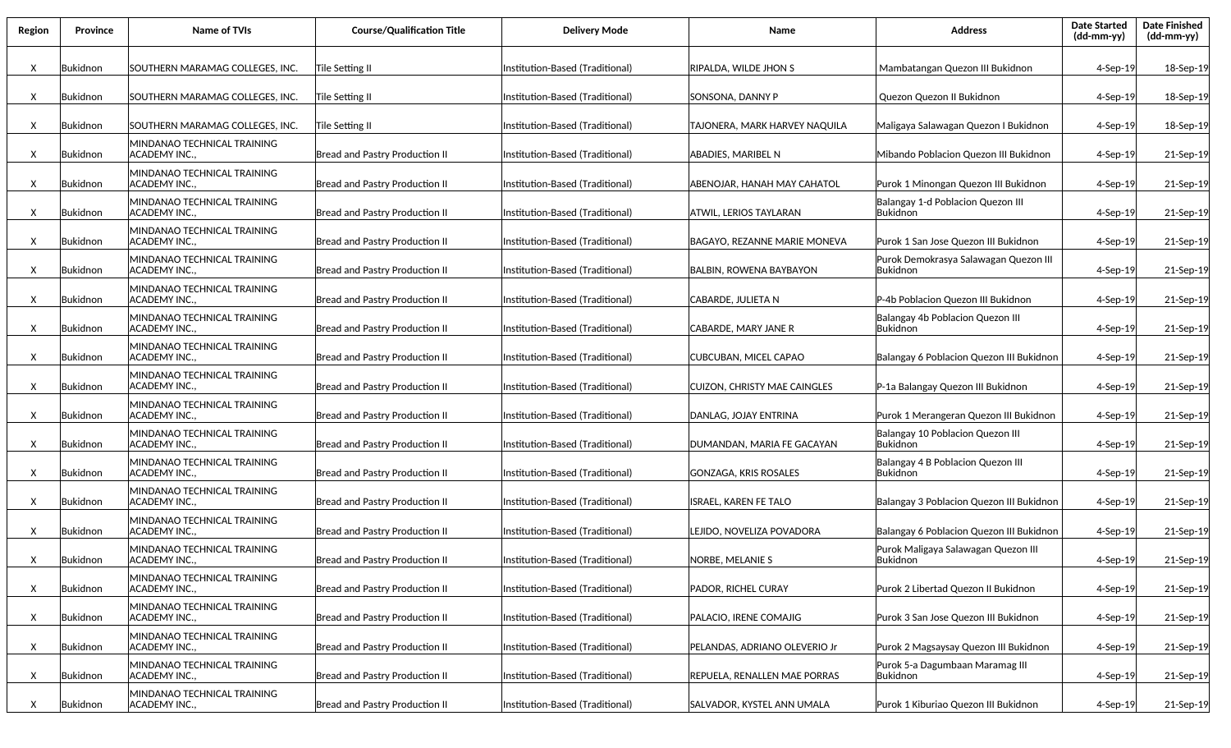| Region | <b>Province</b> | <b>Name of TVIs</b>                                | <b>Course/Qualification Title</b>     | <b>Delivery Mode</b>            | <b>Name</b>                         | <b>Address</b>                                    | <b>Date Started</b><br>(dd-mm-yy) | <b>Date Finished</b><br>(dd-mm-yy) |
|--------|-----------------|----------------------------------------------------|---------------------------------------|---------------------------------|-------------------------------------|---------------------------------------------------|-----------------------------------|------------------------------------|
| Χ      | Bukidnon        | SOUTHERN MARAMAG COLLEGES, INC.                    | Tile Setting II                       | Institution-Based (Traditional) | RIPALDA, WILDE JHON S               | Mambatangan Quezon III Bukidnon                   | $4-Sep-19$                        | 18-Sep-19                          |
| X      | Bukidnon        | SOUTHERN MARAMAG COLLEGES, INC.                    | Tile Setting II                       | Institution-Based (Traditional) | SONSONA. DANNY P                    | Quezon Quezon II Bukidnon                         | $4-Sep-19$                        | 18-Sep-19                          |
| X      | Bukidnon        | SOUTHERN MARAMAG COLLEGES, INC.                    | Tile Setting II                       | Institution-Based (Traditional) | TAJONERA, MARK HARVEY NAQUILA       | Maligaya Salawagan Quezon I Bukidnon              | $4-$ Sep $-19$                    | 18-Sep-19                          |
| X      | Bukidnon        | MINDANAO TECHNICAL TRAINING<br>ACADEMY INC         | <b>Bread and Pastry Production II</b> | Institution-Based (Traditional) | ABADIES, MARIBEL N                  | Mibando Poblacion Quezon III Bukidnon             | $4-$ Sep $-19$                    | 21-Sep-19                          |
| Χ      | Bukidnon        | MINDANAO TECHNICAL TRAINING<br>ACADEMY INC         | <b>Bread and Pastry Production II</b> | Institution-Based (Traditional) | ABENOJAR, HANAH MAY CAHATOL         | Purok 1 Minongan Quezon III Bukidnon              | $4-$ Sep $-19$                    | 21-Sep-19                          |
| X      | <b>Bukidnon</b> | MINDANAO TECHNICAL TRAINING<br>ACADEMY INC         | <b>Bread and Pastry Production II</b> | Institution-Based (Traditional) | ATWIL, LERIOS TAYLARAN              | Balangay 1-d Poblacion Quezon III<br>Bukidnon     | 4-Sep-19                          | 21-Sep-19                          |
| X      | Bukidnon        | MINDANAO TECHNICAL TRAINING<br>ACADEMY INC         | <b>Bread and Pastry Production II</b> | Institution-Based (Traditional) | BAGAYO, REZANNE MARIE MONEVA        | Purok 1 San Jose Quezon III Bukidnon              | 4-Sep-19                          | 21-Sep-19                          |
| X      | Bukidnon        | MINDANAO TECHNICAL TRAINING<br>ACADEMY INC.,       | <b>Bread and Pastry Production II</b> | Institution-Based (Traditional) | BALBIN, ROWENA BAYBAYON             | Purok Demokrasya Salawagan Quezon III<br>Bukidnon | 4-Sep-19                          | 21-Sep-19                          |
| X      | Bukidnon        | MINDANAO TECHNICAL TRAINING<br>ACADEMY INC         | <b>Bread and Pastry Production II</b> | Institution-Based (Traditional) | CABARDE. JULIETA N                  | P-4b Poblacion Quezon III Bukidnon                | 4-Sep-19                          | 21-Sep-19                          |
| X      | Bukidnon        | MINDANAO TECHNICAL TRAINING<br>ACADEMY INC.,       | <b>Bread and Pastry Production II</b> | Institution-Based (Traditional) | CABARDE. MARY JANE R                | Balangay 4b Poblacion Quezon III<br>Bukidnon      | 4-Sep-19                          | 21-Sep-19                          |
| X      | Bukidnon        | MINDANAO TECHNICAL TRAINING<br>ACADEMY INC.,       | <b>Bread and Pastry Production II</b> | Institution-Based (Traditional) | CUBCUBAN, MICEL CAPAO               | Balangay 6 Poblacion Quezon III Bukidnon          | 4-Sep-19                          | 21-Sep-19                          |
| X      | Bukidnon        | MINDANAO TECHNICAL TRAINING<br>ACADEMY INC         | <b>Bread and Pastry Production II</b> | Institution-Based (Traditional) | <b>CUIZON, CHRISTY MAE CAINGLES</b> | P-1a Balangay Quezon III Bukidnon                 | $4-$ Sep $-19$                    | 21-Sep-19                          |
| X      | Bukidnon        | MINDANAO TECHNICAL TRAINING<br>ACADEMY INC         | <b>Bread and Pastry Production II</b> | Institution-Based (Traditional) | DANLAG, JOJAY ENTRINA               | Purok 1 Merangeran Quezon III Bukidnon            | $4-$ Sep $-19$                    | 21-Sep-19                          |
| Χ      | Bukidnon        | MINDANAO TECHNICAL TRAINING<br><b>ACADEMY INC.</b> | Bread and Pastry Production II        | Institution-Based (Traditional) | DUMANDAN, MARIA FE GACAYAN          | Balangay 10 Poblacion Quezon III<br>Bukidnon      | $4-$ Sep $-19$                    | 21-Sep-19                          |
| X      | Bukidnon        | MINDANAO TECHNICAL TRAINING<br><b>ACADEMY INC.</b> | Bread and Pastry Production II        | Institution-Based (Traditional) | GONZAGA, KRIS ROSALES               | Balangay 4 B Poblacion Quezon III<br>Bukidnon     | $4-$ Sep $-19$                    | 21-Sep-19                          |
| X      | Bukidnon        | MINDANAO TECHNICAL TRAINING<br><b>ACADEMY INC.</b> | Bread and Pastry Production II        | Institution-Based (Traditional) | <b>ISRAEL, KAREN FE TALO</b>        | Balangay 3 Poblacion Quezon III Bukidnon          | $4-$ Sep $-19$                    | 21-Sep-19                          |
| X      | Bukidnon        | MINDANAO TECHNICAL TRAINING<br><b>ACADEMY INC.</b> | Bread and Pastry Production II        | Institution-Based (Traditional) | LEJIDO, NOVELIZA POVADORA           | Balangay 6 Poblacion Quezon III Bukidnon          | $4-$ Sep $-19$                    | 21-Sep-19                          |
| X      | Bukidnon        | MINDANAO TECHNICAL TRAINING<br>ACADEMY INC.,       | <b>Bread and Pastry Production II</b> | Institution-Based (Traditional) | NORBE, MELANIE S                    | Purok Maligaya Salawagan Quezon III<br>Bukidnon   | 4-Sep-19                          | 21-Sep-19                          |
| X      | Bukidnon        | MINDANAO TECHNICAL TRAINING<br>ACADEMY INC.,       | <b>Bread and Pastry Production II</b> | Institution-Based (Traditional) | PADOR, RICHEL CURAY                 | Purok 2 Libertad Quezon II Bukidnon               | $4-Sep-19$                        | 21-Sep-19                          |
| X      | Bukidnon        | MINDANAO TECHNICAL TRAINING<br>ACADEMY INC.,       | Bread and Pastry Production II        | Institution-Based (Traditional) | PALACIO, IRENE COMAJIG              | Purok 3 San Jose Quezon III Bukidnon              | $4$ -Sep-19                       | 21-Sep-19                          |
| X      | Bukidnon        | MINDANAO TECHNICAL TRAINING<br>ACADEMY INC.,       | Bread and Pastry Production II        | Institution-Based (Traditional) | PELANDAS, ADRIANO OLEVERIO Jr       | Purok 2 Magsaysay Quezon III Bukidnon             | 4-Sep-19                          | 21-Sep-19                          |
| X      | Bukidnon        | MINDANAO TECHNICAL TRAINING<br>ACADEMY INC.,       | Bread and Pastry Production II        | Institution-Based (Traditional) | REPUELA, RENALLEN MAE PORRAS        | Purok 5-a Dagumbaan Maramag III<br>Bukidnon       | 4-Sep-19                          | 21-Sep-19                          |
| X      | Bukidnon        | MINDANAO TECHNICAL TRAINING<br>ACADEMY INC.,       | Bread and Pastry Production II        | Institution-Based (Traditional) | SALVADOR, KYSTEL ANN UMALA          | Purok 1 Kiburiao Quezon III Bukidnon              | 4-Sep-19                          | 21-Sep-19                          |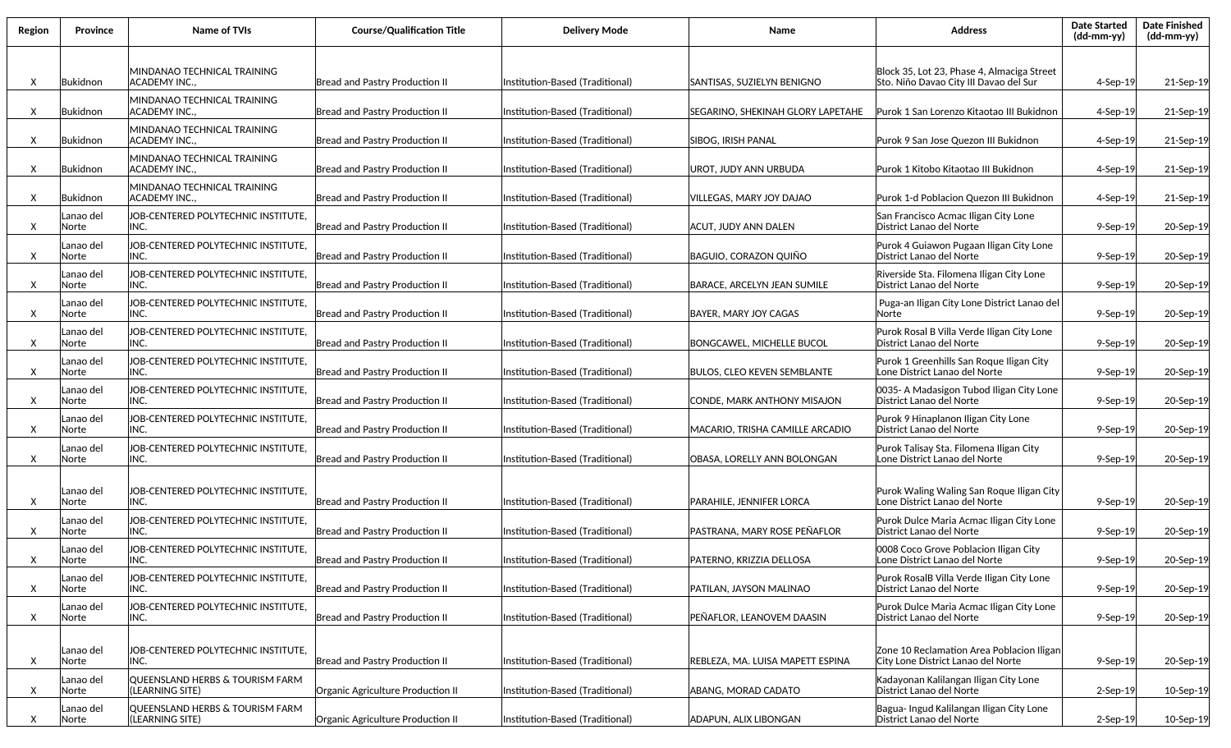| Region | Province           | Name of TVIs                                       | <b>Course/Qualification Title</b>     | <b>Delivery Mode</b>            | Name                               | <b>Address</b>                                                                       | <b>Date Started</b><br>(dd-mm-yy) | <b>Date Finished</b><br>(dd-mm-yy) |
|--------|--------------------|----------------------------------------------------|---------------------------------------|---------------------------------|------------------------------------|--------------------------------------------------------------------------------------|-----------------------------------|------------------------------------|
| X      | Bukidnon           | MINDANAO TECHNICAL TRAINING<br>ACADEMY INC         | <b>Bread and Pastry Production II</b> | Institution-Based (Traditional) | SANTISAS, SUZIELYN BENIGNO         | Block 35, Lot 23, Phase 4, Almaciga Street<br>Sto. Niño Davao City III Davao del Sur | 4-Sep-19                          | 21-Sep-19                          |
| X      | Bukidnon           | MINDANAO TECHNICAL TRAINING<br>ACADEMY INC.,       | Bread and Pastry Production II        | Institution-Based (Traditional) | SEGARINO, SHEKINAH GLORY LAPETAHE  | Purok 1 San Lorenzo Kitaotao III Bukidnon                                            | 4-Sep-19                          | 21-Sep-19                          |
| X      | Bukidnon           | MINDANAO TECHNICAL TRAINING<br>ACADEMY INC.,       | <b>Bread and Pastry Production II</b> | Institution-Based (Traditional) | <b>SIBOG, IRISH PANAL</b>          | Purok 9 San Jose Quezon III Bukidnon                                                 | $4-$ Sep $-19$                    | 21-Sep-19                          |
| Χ      | Bukidnon           | MINDANAO TECHNICAL TRAINING<br>ACADEMY INC.,       | <b>Bread and Pastry Production II</b> | Institution-Based (Traditional) | UROT, JUDY ANN URBUDA              | Purok 1 Kitobo Kitaotao III Bukidnon                                                 | $4-Sep-19$                        | 21-Sep-19                          |
| X      | Bukidnon           | MINDANAO TECHNICAL TRAINING<br>ACADEMY INC.,       | Bread and Pastry Production II        | Institution-Based (Traditional) | VILLEGAS, MARY JOY DAJAO           | Purok 1-d Poblacion Quezon III Bukidnon                                              | $4-Sep-19$                        | 21-Sep-19                          |
| X      | anao del.<br>Norte | JOB-CENTERED POLYTECHNIC INSTITUTE,<br>INC.        | <b>Bread and Pastry Production II</b> | Institution-Based (Traditional) | ACUT, JUDY ANN DALEN               | San Francisco Acmac Iligan City Lone<br>District Lanao del Norte                     | $9-$ Sep $-19$                    | 20-Sep-19                          |
| X      | Lanao del<br>Norte | JOB-CENTERED POLYTECHNIC INSTITUTE,<br>INC.        | Bread and Pastry Production II        | Institution-Based (Traditional) | <b>BAGUIO, CORAZON QUIÑO</b>       | Purok 4 Guiawon Pugaan Iligan City Lone<br> District Lanao del Norte                 | $9-$ Sep $-19$                    | 20-Sep-19                          |
| X      | Lanao del<br>Norte | JOB-CENTERED POLYTECHNIC INSTITUTE,<br>INC.        | <b>Bread and Pastry Production II</b> | Institution-Based (Traditional) | <b>BARACE, ARCELYN JEAN SUMILE</b> | Riverside Sta. Filomena Iligan City Lone<br>District Lanao del Norte                 | $9-$ Sep $-19$                    | 20-Sep-19                          |
| X      | Lanao del<br>Norte | JOB-CENTERED POLYTECHNIC INSTITUTE,<br>INC.        | <b>Bread and Pastry Production II</b> | Institution-Based (Traditional) | BAYER. MARY JOY CAGAS              | Puga-an Iligan City Lone District Lanao del<br>Norte                                 | 9-Sep-19                          | 20-Sep-19                          |
| X      | Lanao del<br>Norte | JOB-CENTERED POLYTECHNIC INSTITUTE,<br>INC.        | <b>Bread and Pastry Production II</b> | Institution-Based (Traditional) | BONGCAWEL. MICHELLE BUCOL          | Purok Rosal B Villa Verde Iligan City Lone<br>District Lanao del Norte               | $9-$ Sep $-19$                    | 20-Sep-19                          |
| X      | Lanao del<br>Norte | JOB-CENTERED POLYTECHNIC INSTITUTE,<br>INC.        | Bread and Pastry Production II        | Institution-Based (Traditional) | BULOS, CLEO KEVEN SEMBLANTE        | Purok 1 Greenhills San Roque Iligan City<br>Lone District Lanao del Norte            | $9-$ Sep $-19$                    | 20-Sep-19                          |
| X      | Lanao del<br>Norte | JOB-CENTERED POLYTECHNIC INSTITUTE,<br>INC.        | Bread and Pastry Production II        | Institution-Based (Traditional) | ICONDE, MARK ANTHONY MISAJON       | 0035- A Madasigon Tubod Iligan City Lone<br>District Lanao del Norte                 | $9-$ Sep $-19$                    | 20-Sep-19                          |
| X      | Lanao del<br>Norte | JOB-CENTERED POLYTECHNIC INSTITUTE,<br>INC.        | Bread and Pastry Production II        | Institution-Based (Traditional) | MACARIO, TRISHA CAMILLE ARCADIO    | Purok 9 Hinaplanon Iligan City Lone<br>District Lanao del Norte                      | $9-$ Sep $-19$                    | 20-Sep-19                          |
| X      | Lanao del<br>Norte | JOB-CENTERED POLYTECHNIC INSTITUTE,<br>INC.        | <b>Bread and Pastry Production II</b> | Institution-Based (Traditional) | OBASA, LORELLY ANN BOLONGAN        | Purok Talisay Sta. Filomena Iligan City<br>Lone District Lanao del Norte             | $9-$ Sep $-19$                    | 20-Sep-19                          |
| X      | Lanao del<br>Norte | JOB-CENTERED POLYTECHNIC INSTITUTE.<br>INC.        | <b>Bread and Pastry Production II</b> | Institution-Based (Traditional) | PARAHILE, JENNIFER LORCA           | Purok Waling Waling San Roque Iligan City<br>Lone District Lanao del Norte           | $9-$ Sep $-19$                    | 20-Sep-19                          |
| X      | Lanao del<br>Norte | JOB-CENTERED POLYTECHNIC INSTITUTE.<br>INC.        | Bread and Pastry Production II        | Institution-Based (Traditional) | PASTRANA, MARY ROSE PEÑAFLOR       | Purok Dulce Maria Acmac Iligan City Lone<br>District Lanao del Norte                 | $9-$ Sep $-19$                    | 20-Sep-19                          |
| Χ      | Lanao del<br>Norte | JOB-CENTERED POLYTECHNIC INSTITUTE.<br>INC.        | Bread and Pastry Production II        | Institution-Based (Traditional) | PATERNO, KRIZZIA DELLOSA           | 0008 Coco Grove Poblacion Iligan City<br>Lone District Lanao del Norte               | $9-$ Sep $-19$                    | 20-Sep-19                          |
| Χ      | Lanao del<br>Norte | JOB-CENTERED POLYTECHNIC INSTITUTE,<br>INC.        | <b>Bread and Pastry Production II</b> | Institution-Based (Traditional) | PATILAN, JAYSON MALINAO            | Purok RosalB Villa Verde Iligan City Lone<br>District Lanao del Norte                | 9-Sep-19                          | 20-Sep-19                          |
| X      | Lanao del<br>Norte | JOB-CENTERED POLYTECHNIC INSTITUTE,<br>INC.        | Bread and Pastry Production II        | Institution-Based (Traditional) | PEÑAFLOR, LEANOVEM DAASIN          | Purok Dulce Maria Acmac Iligan City Lone<br>District Lanao del Norte                 | 9-Sep-19                          | 20-Sep-19                          |
| X      | Lanao del<br>Norte | JOB-CENTERED POLYTECHNIC INSTITUTE,<br>INC.        | <b>Bread and Pastry Production II</b> | Institution-Based (Traditional) | REBLEZA, MA. LUISA MAPETT ESPINA   | Zone 10 Reclamation Area Poblacion Iligan<br>City Lone District Lanao del Norte      | 9-Sep-19                          | 20-Sep-19                          |
| X      | Lanao del<br>Norte | QUEENSLAND HERBS & TOURISM FARM<br>(LEARNING SITE) | Organic Agriculture Production II     | Institution-Based (Traditional) | ABANG, MORAD CADATO                | Kadayonan Kalilangan Iligan City Lone<br>District Lanao del Norte                    | $2$ -Sep-19                       | 10-Sep-19                          |
| X      | Lanao del<br>Norte | QUEENSLAND HERBS & TOURISM FARM<br>(LEARNING SITE) | Organic Agriculture Production II     | Institution-Based (Traditional) | ADAPUN, ALIX LIBONGAN              | Bagua- Ingud Kalilangan Iligan City Lone<br>District Lanao del Norte                 | 2-Sep-19                          | 10-Sep-19                          |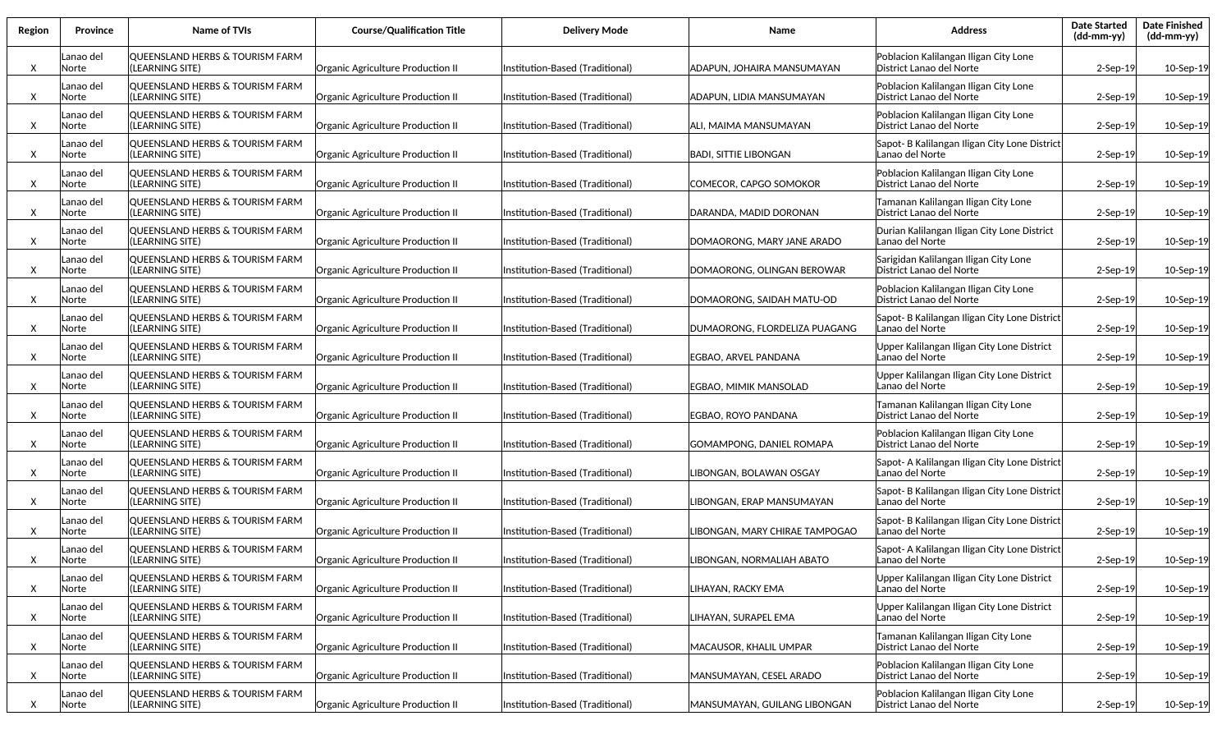| Region | <b>Province</b>    | Name of TVIs                                                  | <b>Course/Qualification Title</b> | <b>Delivery Mode</b>            | Name                          | <b>Address</b>                                                    | <b>Date Started</b><br>(dd-mm-yy) | <b>Date Finished</b><br>$(dd-mm-yy)$ |
|--------|--------------------|---------------------------------------------------------------|-----------------------------------|---------------------------------|-------------------------------|-------------------------------------------------------------------|-----------------------------------|--------------------------------------|
| Χ      | anao del.<br>Norte | QUEENSLAND HERBS & TOURISM FARM<br>(LEARNING SITE)            | Organic Agriculture Production II | Institution-Based (Traditional) | ADAPUN, JOHAIRA MANSUMAYAN    | Poblacion Kalilangan Iligan City Lone<br>District Lanao del Norte | $2-$ Sep $-19$                    | 10-Sep-19                            |
| X      | anao del<br>Norte  | QUEENSLAND HERBS & TOURISM FARM<br>(LEARNING SITE)            | Organic Agriculture Production II | Institution-Based (Traditional) | ADAPUN, LIDIA MANSUMAYAN      | Poblacion Kalilangan Iligan City Lone<br>District Lanao del Norte | $2-$ Sep $-19$                    | 10-Sep-19                            |
| Χ      | Lanao del<br>Norte | QUEENSLAND HERBS & TOURISM FARM<br>(LEARNING SITE)            | Organic Agriculture Production II | Institution-Based (Traditional) | ALI, MAIMA MANSUMAYAN         | Poblacion Kalilangan Iligan City Lone<br>District Lanao del Norte | $2-$ Sep $-19$                    | 10-Sep-19                            |
| X      | anao del<br>Norte  | QUEENSLAND HERBS & TOURISM FARM<br>(LEARNING SITE)            | Organic Agriculture Production II | Institution-Based (Traditional) | BADI, SITTIE LIBONGAN         | Sapot- B Kalilangan Iligan City Lone District<br>Lanao del Norte  | $2-$ Sep $-19$                    | 10-Sep-19                            |
| X      | anao del<br>Norte  | QUEENSLAND HERBS & TOURISM FARM<br>(LEARNING SITE)            | Organic Agriculture Production II | Institution-Based (Traditional) | COMECOR, CAPGO SOMOKOR        | Poblacion Kalilangan Iligan City Lone<br>District Lanao del Norte | $2-$ Sep $-19$                    | 10-Sep-19                            |
| Χ      | anao del<br>Norte  | QUEENSLAND HERBS & TOURISM FARM<br>(LEARNING SITE)            | Organic Agriculture Production II | Institution-Based (Traditional) | DARANDA, MADID DORONAN        | Tamanan Kalilangan Iligan City Lone<br>District Lanao del Norte   | $2-$ Sep $-19$                    | 10-Sep-19                            |
| Χ      | anao del<br>Norte  | QUEENSLAND HERBS & TOURISM FARM<br>(LEARNING SITE)            | Organic Agriculture Production II | Institution-Based (Traditional) | DOMAORONG, MARY JANE ARADO    | Durian Kalilangan Iligan City Lone District<br>Lanao del Norte    | $2-$ Sep $-19$                    | 10-Sep-19                            |
| Χ      | Lanao del<br>Norte | <b>OUEENSLAND HERBS &amp; TOURISM FARM</b><br>(LEARNING SITE) | Organic Agriculture Production II | Institution-Based (Traditional) | DOMAORONG, OLINGAN BEROWAR    | Sarigidan Kalilangan Iligan City Lone<br>District Lanao del Norte | $2-Sep-19$                        | 10-Sep-19                            |
| X      | anao del<br>Norte  | QUEENSLAND HERBS & TOURISM FARM<br>(LEARNING SITE)            | Organic Agriculture Production II | nstitution-Based (Traditional)  | DOMAORONG, SAIDAH MATU-OD     | Poblacion Kalilangan Iligan City Lone<br>District Lanao del Norte | $2-$ Sep $-19$                    | 10-Sep-19                            |
| X      | anao del<br>Norte  | QUEENSLAND HERBS & TOURISM FARM<br>(LEARNING SITE)            | Organic Agriculture Production II | Institution-Based (Traditional) | DUMAORONG, FLORDELIZA PUAGANG | Sapot- B Kalilangan Iligan City Lone District<br>Lanao del Norte  | $2-$ Sep $-19$                    | 10-Sep-19                            |
| X      | anao del<br>Norte  | QUEENSLAND HERBS & TOURISM FARM<br>(LEARNING SITE)            | Organic Agriculture Production II | Institution-Based (Traditional) | EGBAO, ARVEL PANDANA          | Upper Kalilangan Iligan City Lone District<br>Lanao del Norte     | $2-$ Sep $-19$                    | 10-Sep-19                            |
| X      | Lanao del<br>Norte | QUEENSLAND HERBS & TOURISM FARM<br>(LEARNING SITE)            | Organic Agriculture Production II | Institution-Based (Traditional) | EGBAO, MIMIK MANSOLAD         | Upper Kalilangan Iligan City Lone District<br>Lanao del Norte     | $2-$ Sep $-19$                    | 10-Sep-19                            |
| X      | Lanao del<br>Norte | QUEENSLAND HERBS & TOURISM FARM<br>(LEARNING SITE)            | Organic Agriculture Production II | Institution-Based (Traditional) | EGBAO, ROYO PANDANA           | Tamanan Kalilangan Iligan City Lone<br>District Lanao del Norte   | $2-$ Sep $-19$                    | 10-Sep-19                            |
| Χ      | anao del<br>Norte  | QUEENSLAND HERBS & TOURISM FARM<br>(LEARNING SITE)            | Organic Agriculture Production II | nstitution-Based (Traditional)  | GOMAMPONG, DANIEL ROMAPA      | Poblacion Kalilangan Iligan City Lone<br>District Lanao del Norte | $2-$ Sep $-19$                    | 10-Sep-19                            |
| Χ      | Lanao del<br>Norte | QUEENSLAND HERBS & TOURISM FARM<br>(LEARNING SITE)            | Organic Agriculture Production II | nstitution-Based (Traditional)  | IBONGAN, BOLAWAN OSGAY        | Sapot- A Kalilangan Iligan City Lone District<br>Lanao del Norte  | $2-$ Sep $-19$                    | 10-Sep-19                            |
| X      | Lanao del<br>Norte | QUEENSLAND HERBS & TOURISM FARM<br>(LEARNING SITE)            | Organic Agriculture Production II | Institution-Based (Traditional) | IBONGAN, ERAP MANSUMAYAN      | Sapot- B Kalilangan Iligan City Lone District<br>Lanao del Norte  | $2-$ Sep $-19$                    | 10-Sep-19                            |
| Χ      | Lanao del<br>Norte | QUEENSLAND HERBS & TOURISM FARM<br>(LEARNING SITE)            | Organic Agriculture Production II | Institution-Based (Traditional) | IBONGAN, MARY CHIRAE TAMPOGAO | Sapot- B Kalilangan Iligan City Lone District<br>Lanao del Norte  | $2-$ Sep $-19$                    | 10-Sep-19                            |
| X      | Lanao del<br>Norte | QUEENSLAND HERBS & TOURISM FARM<br>(LEARNING SITE)            | Organic Agriculture Production II | Institution-Based (Traditional) | LIBONGAN, NORMALIAH ABATO     | Sapot- A Kalilangan Iligan City Lone District<br>Lanao del Norte  | $2-$ Sep $-19$                    | 10-Sep-19                            |
| X      | Lanao del<br>Norte | QUEENSLAND HERBS & TOURISM FARM<br>(LEARNING SITE)            | Organic Agriculture Production II | Institution-Based (Traditional) | LIHAYAN, RACKY EMA            | Upper Kalilangan Iligan City Lone District<br>Lanao del Norte     | $2-$ Sep $-19$                    | 10-Sep-19                            |
| X      | anao del<br>Norte  | QUEENSLAND HERBS & TOURISM FARM<br>(LEARNING SITE)            | Organic Agriculture Production II | Institution-Based (Traditional) | LIHAYAN, SURAPEL EMA          | Upper Kalilangan Iligan City Lone District<br>Lanao del Norte     | $2-$ Sep $-19$                    | 10-Sep-19                            |
| X      | Lanao del<br>Norte | QUEENSLAND HERBS & TOURISM FARM<br>(LEARNING SITE)            | Organic Agriculture Production II | Institution-Based (Traditional) | MACAUSOR, KHALIL UMPAR        | Tamanan Kalilangan Iligan City Lone<br>District Lanao del Norte   | $2-$ Sep $-19$                    | 10-Sep-19                            |
| X      | Lanao del<br>Norte | QUEENSLAND HERBS & TOURISM FARM<br>(LEARNING SITE)            | Organic Agriculture Production II | Institution-Based (Traditional) | MANSUMAYAN, CESEL ARADO       | Poblacion Kalilangan Iligan City Lone<br>District Lanao del Norte | 2-Sep-19                          | 10-Sep-19                            |
| X      | Lanao del<br>Norte | QUEENSLAND HERBS & TOURISM FARM<br>(LEARNING SITE)            | Organic Agriculture Production II | Institution-Based (Traditional) | MANSUMAYAN, GUILANG LIBONGAN  | Poblacion Kalilangan Iligan City Lone<br>District Lanao del Norte | $2-Sep-19$                        | 10-Sep-19                            |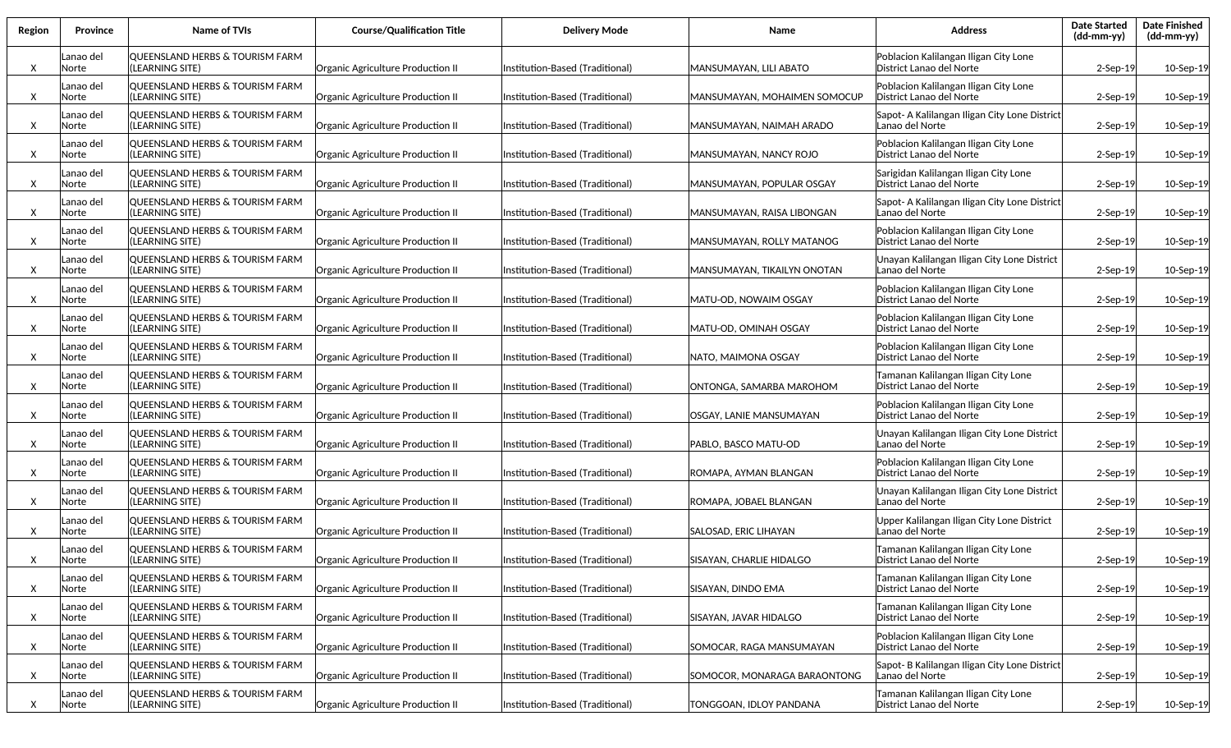| Region | <b>Province</b>           | Name of TVIs                                        | <b>Course/Qualification Title</b> | <b>Delivery Mode</b>            | Name                          | <b>Address</b>                                                    | <b>Date Started</b><br>$(dd-mm-yy)$ | <b>Date Finished</b><br>(dd-mm-yy) |
|--------|---------------------------|-----------------------------------------------------|-----------------------------------|---------------------------------|-------------------------------|-------------------------------------------------------------------|-------------------------------------|------------------------------------|
| X      | Lanao del<br>Norte        | QUEENSLAND HERBS & TOURISM FARM<br>(LEARNING SITE)  | Organic Agriculture Production II | Institution-Based (Traditional) | MANSUMAYAN, LILI ABATO        | Poblacion Kalilangan Iligan City Lone<br>District Lanao del Norte | $2-$ Sep $-19$                      | 10-Sep-19                          |
| X      | anao del<br>Norte         | QUEENSLAND HERBS & TOURISM FARM<br>(LEARNING SITE)  | Organic Agriculture Production II | Institution-Based (Traditional) | MANSUMAYAN, MOHAIMEN SOMOCUP  | Poblacion Kalilangan Iligan City Lone<br>District Lanao del Norte | $2-$ Sep $-19$                      | 10-Sep-19                          |
| X      | anao del.<br>Norte        | QUEENSLAND HERBS & TOURISM FARM<br>(LEARNING SITE)  | Organic Agriculture Production II | Institution-Based (Traditional) | MANSUMAYAN, NAIMAH ARADO      | Sapot- A Kalilangan Iligan City Lone District<br>Lanao del Norte  | $2-$ Sep $-19$                      | 10-Sep-19                          |
| X      | Lanao del<br>Norte        | QUEENSLAND HERBS & TOURISM FARM<br>(LEARNING SITE)  | Organic Agriculture Production II | Institution-Based (Traditional) | <b>MANSUMAYAN, NANCY ROJO</b> | Poblacion Kalilangan Iligan City Lone<br>District Lanao del Norte | $2-$ Sep $-19$                      | 10-Sep-19                          |
| X      | Lanao del<br>Norte        | QUEENSLAND HERBS & TOURISM FARM<br>(LEARNING SITE)  | Organic Agriculture Production II | Institution-Based (Traditional) | MANSUMAYAN, POPULAR OSGAY     | Sarigidan Kalilangan Iligan City Lone<br>District Lanao del Norte | $2-$ Sep $-19$                      | 10-Sep-19                          |
| X      | Lanao del<br>Norte        | QUEENSLAND HERBS & TOURISM FARM<br>(LEARNING SITE)  | Organic Agriculture Production II | Institution-Based (Traditional) | MANSUMAYAN, RAISA LIBONGAN    | Sapot- A Kalilangan Iligan City Lone District<br>Lanao del Norte  | $2-$ Sep $-19$                      | 10-Sep-19                          |
| X      | Lanao del<br>Norte        | QUEENSLAND HERBS & TOURISM FARM<br>(LEARNING SITE)  | Organic Agriculture Production II | Institution-Based (Traditional) | MANSUMAYAN, ROLLY MATANOG     | Poblacion Kalilangan Iligan City Lone<br>District Lanao del Norte | $2-$ Sep $-19$                      | 10-Sep-19                          |
| X      | Lanao del<br><b>Norte</b> | QUEENSLAND HERBS & TOURISM FARM<br>(LEARNING SITE)  | Organic Agriculture Production II | Institution-Based (Traditional) | MANSUMAYAN. TIKAILYN ONOTAN   | Unayan Kalilangan Iligan City Lone District<br>Lanao del Norte    | $2-Sep-19$                          | 10-Sep-19                          |
| X      | Lanao del<br>Norte        | QUEENSLAND HERBS & TOURISM FARM<br>(LEARNING SITE)  | Organic Agriculture Production II | Institution-Based (Traditional) | MATU-OD, NOWAIM OSGAY         | Poblacion Kalilangan Iligan City Lone<br>District Lanao del Norte | $2-$ Sep $-19$                      | 10-Sep-19                          |
| X      | Lanao del<br><b>Norte</b> | QUEENSLAND HERBS & TOURISM FARM<br>l(LEARNING SITE) | Organic Agriculture Production II | Institution-Based (Traditional) | MATU-OD, OMINAH OSGAY         | Poblacion Kalilangan Iligan City Lone<br>District Lanao del Norte | $2-$ Sep $-19$                      | 10-Sep-19                          |
| X      | Lanao del<br>Norte        | QUEENSLAND HERBS & TOURISM FARM<br>(LEARNING SITE)  | Organic Agriculture Production II | Institution-Based (Traditional) | NATO, MAIMONA OSGAY           | Poblacion Kalilangan Iligan City Lone<br>District Lanao del Norte | $2-$ Sep $-19$                      | 10-Sep-19                          |
| X      | Lanao del<br>Norte        | QUEENSLAND HERBS & TOURISM FARM<br>(LEARNING SITE)  | Organic Agriculture Production II | Institution-Based (Traditional) | ONTONGA, SAMARBA MAROHOM      | Tamanan Kalilangan Iligan City Lone<br>District Lanao del Norte   | $2-$ Sep $-19$                      | 10-Sep-19                          |
| X      | Lanao del<br>Norte        | QUEENSLAND HERBS & TOURISM FARM<br>(LEARNING SITE)  | Organic Agriculture Production II | Institution-Based (Traditional) | OSGAY, LANIE MANSUMAYAN       | Poblacion Kalilangan Iligan City Lone<br>District Lanao del Norte | 2-Sep-19                            | 10-Sep-19                          |
| X      | Lanao del<br>Norte        | QUEENSLAND HERBS & TOURISM FARM<br>(LEARNING SITE)  | Organic Agriculture Production II | Institution-Based (Traditional) | PABLO, BASCO MATU-OD          | Unayan Kalilangan Iligan City Lone District<br>Lanao del Norte    | 2-Sep-19                            | 10-Sep-19                          |
| X      | Lanao del<br>Norte        | QUEENSLAND HERBS & TOURISM FARM<br>(LEARNING SITE)  | Organic Agriculture Production II | Institution-Based (Traditional) | ROMAPA, AYMAN BLANGAN         | Poblacion Kalilangan Iligan City Lone<br>District Lanao del Norte | $2-$ Sep $-19$                      | 10-Sep-19                          |
| X      | Lanao del<br>Norte        | QUEENSLAND HERBS & TOURISM FARM<br>(LEARNING SITE)  | Organic Agriculture Production II | Institution-Based (Traditional) | ROMAPA, JOBAEL BLANGAN        | Unayan Kalilangan Iligan City Lone District<br>Lanao del Norte    | $2-$ Sep $-19$                      | 10-Sep-19                          |
| X      | Lanao del<br>Norte        | QUEENSLAND HERBS & TOURISM FARM<br>(LEARNING SITE)  | Organic Agriculture Production II | Institution-Based (Traditional) | SALOSAD, ERIC LIHAYAN         | Upper Kalilangan Iligan City Lone District<br>Lanao del Norte     | $2-$ Sep $-19$                      | 10-Sep-19                          |
| X      | Lanao del<br>Norte        | QUEENSLAND HERBS & TOURISM FARM<br>(LEARNING SITE)  | Organic Agriculture Production II | Institution-Based (Traditional) | ISISAYAN. CHARLIE HIDALGO     | Tamanan Kalilangan Iligan City Lone<br>District Lanao del Norte   | $2-$ Sep $-19$                      | 10-Sep-19                          |
| X      | Lanao del<br>Norte        | QUEENSLAND HERBS & TOURISM FARM<br>(LEARNING SITE)  | Organic Agriculture Production II | Institution-Based (Traditional) | SISAYAN, DINDO EMA            | Tamanan Kalilangan Iligan City Lone<br>District Lanao del Norte   | $2-$ Sep $-19$                      | 10-Sep-19                          |
| X      | Lanao del<br>Norte        | QUEENSLAND HERBS & TOURISM FARM<br>(LEARNING SITE)  | Organic Agriculture Production II | Institution-Based (Traditional) | SISAYAN, JAVAR HIDALGO        | Tamanan Kalilangan Iligan City Lone<br>District Lanao del Norte   | $2-$ Sep $-19$                      | 10-Sep-19                          |
| X      | Lanao del<br>Norte        | QUEENSLAND HERBS & TOURISM FARM<br>(LEARNING SITE)  | Organic Agriculture Production II | Institution-Based (Traditional) | SOMOCAR, RAGA MANSUMAYAN      | Poblacion Kalilangan Iligan City Lone<br>District Lanao del Norte | $2-Sep-19$                          | 10-Sep-19                          |
| X      | Lanao del<br>Norte        | QUEENSLAND HERBS & TOURISM FARM<br>(LEARNING SITE)  | Organic Agriculture Production II | Institution-Based (Traditional) | SOMOCOR, MONARAGA BARAONTONG  | Sapot- B Kalilangan Iligan City Lone District<br>Lanao del Norte  | $2-Sep-19$                          | 10-Sep-19                          |
| X      | Lanao del<br>Norte        | QUEENSLAND HERBS & TOURISM FARM<br>(LEARNING SITE)  | Organic Agriculture Production II | Institution-Based (Traditional) | TONGGOAN, IDLOY PANDANA       | Tamanan Kalilangan Iligan City Lone<br>District Lanao del Norte   | 2-Sep-19                            | 10-Sep-19                          |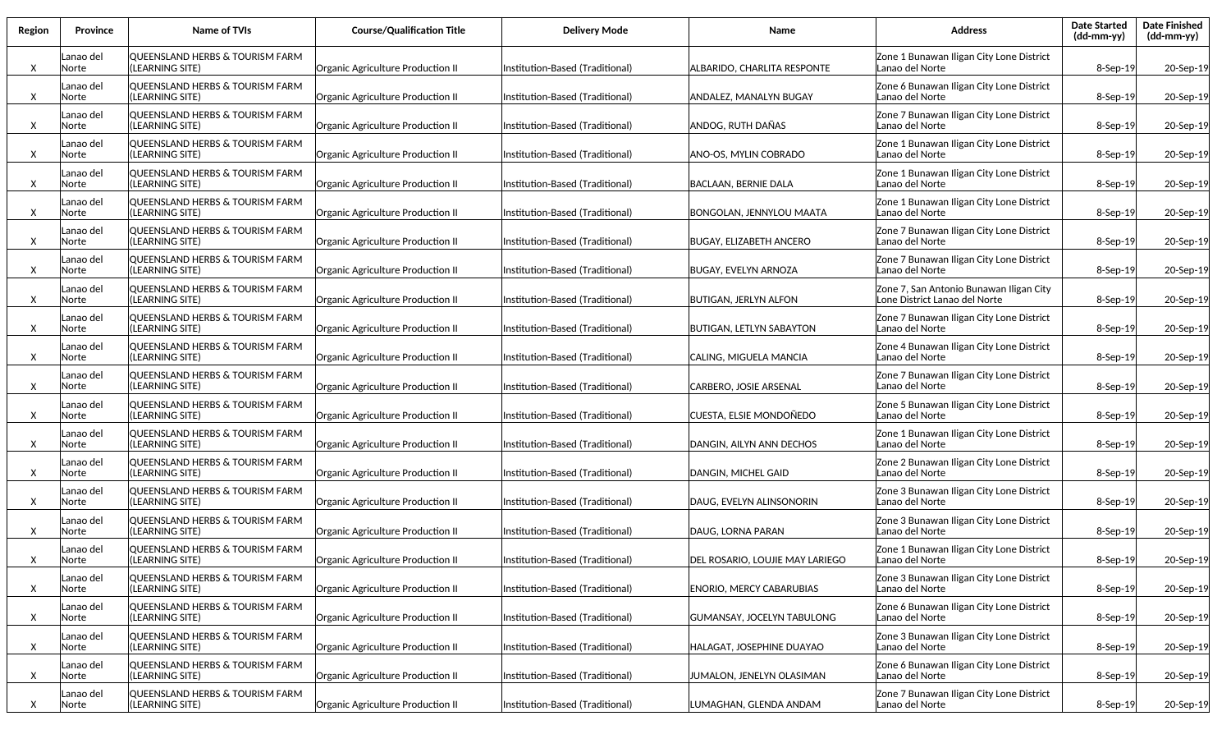| Region | <b>Province</b>    | Name of TVIs                                                  | <b>Course/Qualification Title</b> | <b>Delivery Mode</b>            | Name                            | <b>Address</b>                                                           | <b>Date Started</b><br>$(dd-mm-yy)$ | <b>Date Finished</b><br>(dd-mm-yy) |
|--------|--------------------|---------------------------------------------------------------|-----------------------------------|---------------------------------|---------------------------------|--------------------------------------------------------------------------|-------------------------------------|------------------------------------|
| Χ      | anao del.<br>Norte | QUEENSLAND HERBS & TOURISM FARM<br>(LEARNING SITE)            | Organic Agriculture Production II | Institution-Based (Traditional) | ALBARIDO, CHARLITA RESPONTE     | Zone 1 Bunawan Iligan City Lone District<br>Lanao del Norte              | 8-Sep-19                            | 20-Sep-19                          |
| Χ      | anao del<br>Norte  | QUEENSLAND HERBS & TOURISM FARM<br>(LEARNING SITE)            | Organic Agriculture Production II | Institution-Based (Traditional) | ANDALEZ, MANALYN BUGAY          | Zone 6 Bunawan Iligan City Lone District<br>Lanao del Norte              | 8-Sep-19                            | 20-Sep-19                          |
| Χ      | anao del<br>Norte  | QUEENSLAND HERBS & TOURISM FARM<br>(LEARNING SITE)            | Organic Agriculture Production II | Institution-Based (Traditional) | ANDOG, RUTH DAÑAS               | Zone 7 Bunawan Iligan City Lone District<br>Lanao del Norte              | 8-Sep-19                            | 20-Sep-19                          |
| X      | Lanao del<br>Norte | QUEENSLAND HERBS & TOURISM FARM<br>(LEARNING SITE)            | Organic Agriculture Production II | Institution-Based (Traditional) | ANO-OS, MYLIN COBRADO           | Zone 1 Bunawan Iligan City Lone District<br>Lanao del Norte              | 8-Sep-19                            | 20-Sep-19                          |
| X      | anao del<br>Norte  | QUEENSLAND HERBS & TOURISM FARM<br>(LEARNING SITE)            | Organic Agriculture Production II | Institution-Based (Traditional) | BACLAAN, BERNIE DALA            | Zone 1 Bunawan Iligan City Lone District<br>Lanao del Norte              | 8-Sep-19                            | 20-Sep-19                          |
| Χ      | anao del<br>Norte  | QUEENSLAND HERBS & TOURISM FARM<br>(LEARNING SITE)            | Organic Agriculture Production II | Institution-Based (Traditional) | BONGOLAN, JENNYLOU MAATA        | Zone 1 Bunawan Iligan City Lone District<br>Lanao del Norte              | 8-Sep-19                            | 20-Sep-19                          |
| X      | anao del.<br>Norte | QUEENSLAND HERBS & TOURISM FARM<br>(LEARNING SITE)            | Organic Agriculture Production II | Institution-Based (Traditional) | BUGAY, ELIZABETH ANCERO         | Zone 7 Bunawan Iligan City Lone District<br>Lanao del Norte              | 8-Sep-19                            | 20-Sep-19                          |
| Χ      | anao del<br>Norte  | QUEENSLAND HERBS & TOURISM FARM<br>(LEARNING SITE)            | Organic Agriculture Production II | Institution-Based (Traditional) | BUGAY, EVELYN ARNOZA            | Zone 7 Bunawan Iligan City Lone District<br>Lanao del Norte              | 8-Sep-19                            | 20-Sep-19                          |
| Χ      | Lanao del<br>Norte | QUEENSLAND HERBS & TOURISM FARM<br>(LEARNING SITE)            | Organic Agriculture Production II | Institution-Based (Traditional) | BUTIGAN, JERLYN ALFON           | Zone 7, San Antonio Bunawan Iligan City<br>Lone District Lanao del Norte | 8-Sep-19                            | 20-Sep-19                          |
| Χ      | anao del<br>Norte  | QUEENSLAND HERBS & TOURISM FARM<br>(LEARNING SITE)            | Organic Agriculture Production II | Institution-Based (Traditional) | BUTIGAN, LETLYN SABAYTON        | Zone 7 Bunawan Iligan City Lone District<br>Lanao del Norte              | 8-Sep-19                            | 20-Sep-19                          |
| Χ      | Lanao del<br>Norte | <b>OUEENSLAND HERBS &amp; TOURISM FARM</b><br>(LEARNING SITE) | Organic Agriculture Production II | nstitution-Based (Traditional)  | CALING, MIGUELA MANCIA          | Zone 4 Bunawan Iligan City Lone District<br>Lanao del Norte              | 8-Sep-19                            | 20-Sep-19                          |
| X      | anao del<br>Norte  | QUEENSLAND HERBS & TOURISM FARM<br>(LEARNING SITE)            | Organic Agriculture Production II | Institution-Based (Traditional) | CARBERO, JOSIE ARSENAL          | Zone 7 Bunawan Iligan City Lone District<br>Lanao del Norte              | 8-Sep-19                            | 20-Sep-19                          |
| X      | Lanao del<br>Norte | QUEENSLAND HERBS & TOURISM FARM<br>(LEARNING SITE)            | Organic Agriculture Production II | Institution-Based (Traditional) | CUESTA, ELSIE MONDOÑEDO         | Zone 5 Bunawan Iligan City Lone District<br>Lanao del Norte              | 8-Sep-19                            | 20-Sep-19                          |
| X      | Lanao del<br>Norte | QUEENSLAND HERBS & TOURISM FARM<br>(LEARNING SITE)            | Organic Agriculture Production II | Institution-Based (Traditional) | DANGIN, AILYN ANN DECHOS        | Zone 1 Bunawan Iligan City Lone District<br>Lanao del Norte              | 8-Sep-19                            | 20-Sep-19                          |
| X      | Lanao del<br>Norte | QUEENSLAND HERBS & TOURISM FARM<br>(LEARNING SITE)            | Organic Agriculture Production II | Institution-Based (Traditional) | DANGIN, MICHEL GAID             | Zone 2 Bunawan Iligan City Lone District<br>Lanao del Norte              | 8-Sep-19                            | 20-Sep-19                          |
| X      | Lanao del<br>Norte | <b>QUEENSLAND HERBS &amp; TOURISM FARM</b><br>(LEARNING SITE) | Organic Agriculture Production II | nstitution-Based (Traditional)  | DAUG, EVELYN ALINSONORIN        | Zone 3 Bunawan Iligan City Lone District<br>Lanao del Norte              | 8-Sep-19                            | 20-Sep-19                          |
| X      | Lanao del<br>Norte | <b>QUEENSLAND HERBS &amp; TOURISM FARM</b><br>(LEARNING SITE) | Organic Agriculture Production II | Institution-Based (Traditional) | DAUG, LORNA PARAN               | Zone 3 Bunawan Iligan City Lone District<br>Lanao del Norte              | 8-Sep-19                            | 20-Sep-19                          |
| X      | Lanao del<br>Norte | QUEENSLAND HERBS & TOURISM FARM<br>(LEARNING SITE)            | Organic Agriculture Production II | Institution-Based (Traditional) | DEL ROSARIO, LOUJIE MAY LARIEGO | Zone 1 Bunawan Iligan City Lone District<br>Lanao del Norte              | 8-Sep-19                            | 20-Sep-19                          |
| Χ      | Lanao del<br>Norte | QUEENSLAND HERBS & TOURISM FARM<br>(LEARNING SITE)            | Organic Agriculture Production II | Institution-Based (Traditional) | <b>ENORIO, MERCY CABARUBIAS</b> | Zone 3 Bunawan Iligan City Lone District<br>Lanao del Norte              | 8-Sep-19                            | 20-Sep-19                          |
| X      | Lanao del<br>Norte | QUEENSLAND HERBS & TOURISM FARM<br>(LEARNING SITE)            | Organic Agriculture Production II | Institution-Based (Traditional) | GUMANSAY, JOCELYN TABULONG      | Zone 6 Bunawan Iligan City Lone District<br>Lanao del Norte              | 8-Sep-19                            | 20-Sep-19                          |
| X      | Lanao del<br>Norte | QUEENSLAND HERBS & TOURISM FARM<br>(LEARNING SITE)            | Organic Agriculture Production II | Institution-Based (Traditional) | HALAGAT, JOSEPHINE DUAYAO       | Zone 3 Bunawan Iligan City Lone District<br>Lanao del Norte              | 8-Sep-19                            | 20-Sep-19                          |
| X      | Lanao del<br>Norte | QUEENSLAND HERBS & TOURISM FARM<br>(LEARNING SITE)            | Organic Agriculture Production II | Institution-Based (Traditional) | JUMALON, JENELYN OLASIMAN       | Zone 6 Bunawan Iligan City Lone District<br>Lanao del Norte              | 8-Sep-19                            | 20-Sep-19                          |
| X      | Lanao del<br>Norte | QUEENSLAND HERBS & TOURISM FARM<br>(LEARNING SITE)            | Organic Agriculture Production II | Institution-Based (Traditional) | LUMAGHAN, GLENDA ANDAM          | Zone 7 Bunawan Iligan City Lone District<br>Lanao del Norte              | 8-Sep-19                            | 20-Sep-19                          |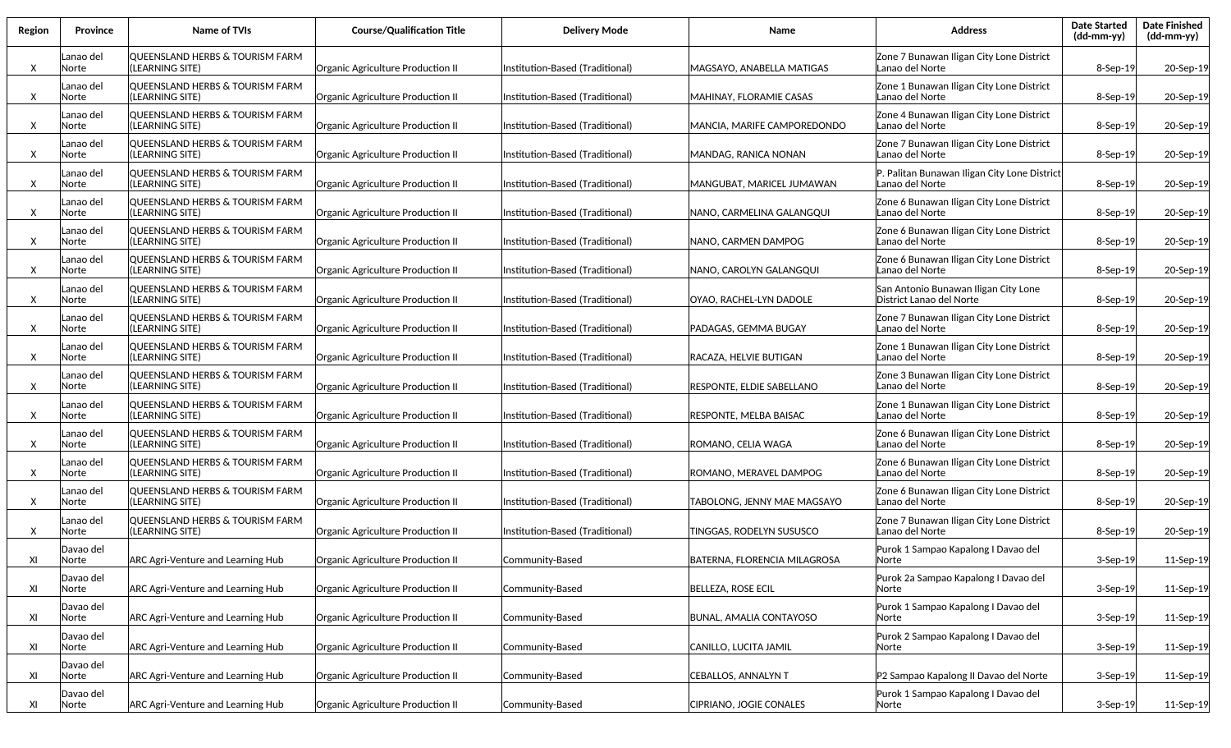| Region | <b>Province</b>    | Name of TVIs                                                  | <b>Course/Qualification Title</b> | <b>Delivery Mode</b>            | <b>Name</b>                        | <b>Address</b>                                                   | <b>Date Started</b><br>$(dd-mm-yy)$ | <b>Date Finished</b><br>$(dd-mm-yy)$ |
|--------|--------------------|---------------------------------------------------------------|-----------------------------------|---------------------------------|------------------------------------|------------------------------------------------------------------|-------------------------------------|--------------------------------------|
| X      | Lanao del<br>Norte | QUEENSLAND HERBS & TOURISM FARM<br>(LEARNING SITE)            | Organic Agriculture Production II | Institution-Based (Traditional) | MAGSAYO, ANABELLA MATIGAS          | Zone 7 Bunawan Iligan City Lone District<br>Lanao del Norte      | 8-Sep-19                            | 20-Sep-19                            |
| X      | anao del<br>Norte  | <b>QUEENSLAND HERBS &amp; TOURISM FARM</b><br>(LEARNING SITE) | Organic Agriculture Production II | Institution-Based (Traditional) | MAHINAY, FLORAMIE CASAS            | Zone 1 Bunawan Iligan City Lone District<br>Lanao del Norte      | 8-Sep-19                            | 20-Sep-19                            |
| X      | anao del<br>Norte  | QUEENSLAND HERBS & TOURISM FARM<br>(LEARNING SITE)            | Organic Agriculture Production II | Institution-Based (Traditional) | MANCIA, MARIFE CAMPOREDONDO        | Zone 4 Bunawan Iligan City Lone District<br>Lanao del Norte      | 8-Sep-19                            | 20-Sep-19                            |
| X      | Lanao del<br>Norte | QUEENSLAND HERBS & TOURISM FARM<br>(LEARNING SITE)            | Organic Agriculture Production II | Institution-Based (Traditional) | MANDAG, RANICA NONAN               | Zone 7 Bunawan Iligan City Lone District<br>Lanao del Norte      | 8-Sep-19                            | 20-Sep-19                            |
| X      | Lanao del<br>Norte | QUEENSLAND HERBS & TOURISM FARM<br>(LEARNING SITE)            | Organic Agriculture Production II | Institution-Based (Traditional) | MANGUBAT, MARICEL JUMAWAN          | P. Palitan Bunawan Iligan City Lone District<br>Lanao del Norte  | 8-Sep-19                            | 20-Sep-19                            |
| X      | Lanao del<br>Norte | QUEENSLAND HERBS & TOURISM FARM<br>(LEARNING SITE)            | Organic Agriculture Production II | Institution-Based (Traditional) | NANO, CARMELINA GALANGQUI          | Zone 6 Bunawan Iligan City Lone District<br>Lanao del Norte      | 8-Sep-19                            | 20-Sep-19                            |
| X      | Lanao del<br>Norte | QUEENSLAND HERBS & TOURISM FARM<br>(LEARNING SITE)            | Organic Agriculture Production II | Institution-Based (Traditional) | NANO, CARMEN DAMPOG                | Zone 6 Bunawan Iligan City Lone District<br>Lanao del Norte      | 8-Sep-19                            | 20-Sep-19                            |
| X      | Lanao del<br>Norte | lQUEENSLAND HERBS & TOURISM FARM<br>(LEARNING SITE)           | Organic Agriculture Production II | Institution-Based (Traditional) | NANO, CAROLYN GALANGQUI            | Zone 6 Bunawan Iligan City Lone District<br>Lanao del Norte      | 8-Sep-19                            | 20-Sep-19                            |
| X      | Lanao del<br>Norte | QUEENSLAND HERBS & TOURISM FARM<br>(LEARNING SITE)            | Organic Agriculture Production II | Institution-Based (Traditional) | OYAO, RACHEL-LYN DADOLE            | San Antonio Bunawan Iligan City Lone<br>District Lanao del Norte | 8-Sep-19                            | 20-Sep-19                            |
| X      | Lanao del<br>Norte | QUEENSLAND HERBS & TOURISM FARM<br>(LEARNING SITE)            | Organic Agriculture Production II | Institution-Based (Traditional) | PADAGAS, GEMMA BUGAY               | Zone 7 Bunawan Iligan City Lone District<br>Lanao del Norte      | 8-Sep-19                            | 20-Sep-19                            |
| X      | Lanao del<br>Norte | QUEENSLAND HERBS & TOURISM FARM<br>(LEARNING SITE)            | Organic Agriculture Production II | Institution-Based (Traditional) | RACAZA, HELVIE BUTIGAN             | Zone 1 Bunawan Iligan City Lone District<br>Lanao del Norte      | 8-Sep-19                            | 20-Sep-19                            |
| X      | Lanao del<br>Norte | QUEENSLAND HERBS & TOURISM FARM<br>(LEARNING SITE)            | Organic Agriculture Production II | Institution-Based (Traditional) | RESPONTE, ELDIE SABELLANO          | Zone 3 Bunawan Iligan City Lone District<br>Lanao del Norte      | 8-Sep-19                            | 20-Sep-19                            |
| X      | Lanao del<br>Norte | QUEENSLAND HERBS & TOURISM FARM<br>(LEARNING SITE)            | Organic Agriculture Production II | Institution-Based (Traditional) | RESPONTE, MELBA BAISAC             | Zone 1 Bunawan Iligan City Lone District<br>Lanao del Norte      | 8-Sep-19                            | 20-Sep-19                            |
| X      | Lanao del<br>Norte | QUEENSLAND HERBS & TOURISM FARM<br>(LEARNING SITE)            | Organic Agriculture Production II | Institution-Based (Traditional) | ROMANO, CELIA WAGA                 | Zone 6 Bunawan Iligan City Lone District<br>Lanao del Norte      | 8-Sep-19                            | 20-Sep-19                            |
| X      | Lanao del<br>Norte | QUEENSLAND HERBS & TOURISM FARM<br>(LEARNING SITE)            | Organic Agriculture Production II | Institution-Based (Traditional) | ROMANO, MERAVEL DAMPOG             | Zone 6 Bunawan Iligan City Lone District<br>Lanao del Norte      | 8-Sep-19                            | 20-Sep-19                            |
| X      | Lanao del<br>Norte | <b>QUEENSLAND HERBS &amp; TOURISM FARM</b><br>(LEARNING SITE) | Organic Agriculture Production II | Institution-Based (Traditional) | <b>FABOLONG. JENNY MAE MAGSAYO</b> | Zone 6 Bunawan Iligan City Lone District<br>Lanao del Norte      | $8-$ Sep $-19$                      | 20-Sep-19                            |
| X      | Lanao del<br>Norte | <b>QUEENSLAND HERBS &amp; TOURISM FARM</b><br>(LEARNING SITE) | Organic Agriculture Production II | Institution-Based (Traditional) | TINGGAS, RODELYN SUSUSCO           | Zone 7 Bunawan Iligan City Lone District<br>Lanao del Norte      | $8-$ Sep $-19$                      | 20-Sep-19                            |
| XI     | Davao del<br>Norte | ARC Agri-Venture and Learning Hub                             | Organic Agriculture Production II | Community-Based                 | BATERNA, FLORENCIA MILAGROSA       | Purok 1 Sampao Kapalong I Davao del<br> Norte                    | 3-Sep-19                            | 11-Sep-19                            |
| XI     | Davao del<br>Norte | <b>ARC Agri-Venture and Learning Hub</b>                      | Organic Agriculture Production II | Community-Based                 | <b>BELLEZA, ROSE ECIL</b>          | Purok 2a Sampao Kapalong I Davao del<br>lNorte                   | 3-Sep-19                            | 11-Sep-19                            |
| XI     | Davao del<br>Norte | ARC Agri-Venture and Learning Hub                             | Organic Agriculture Production II | Community-Based                 | <b>BUNAL, AMALIA CONTAYOSO</b>     | Purok 1 Sampao Kapalong I Davao del<br> Norte                    | 3-Sep-19                            | 11-Sep-19                            |
| XI     | Davao del<br>Norte | ARC Agri-Venture and Learning Hub                             | Organic Agriculture Production II | Community-Based                 | CANILLO, LUCITA JAMIL              | Purok 2 Sampao Kapalong I Davao del<br> Norte                    | 3-Sep-19                            | 11-Sep-19                            |
| XI     | Davao del<br>Norte | ARC Agri-Venture and Learning Hub                             | Organic Agriculture Production II | Community-Based                 | <b>CEBALLOS, ANNALYN T</b>         | P2 Sampao Kapalong II Davao del Norte                            | 3-Sep-19                            | 11-Sep-19                            |
| XI     | Davao del<br>Norte | ARC Agri-Venture and Learning Hub                             | Organic Agriculture Production II | Community-Based                 | CIPRIANO, JOGIE CONALES            | Purok 1 Sampao Kapalong I Davao del<br> Norte                    | 3-Sep-19                            | 11-Sep-19                            |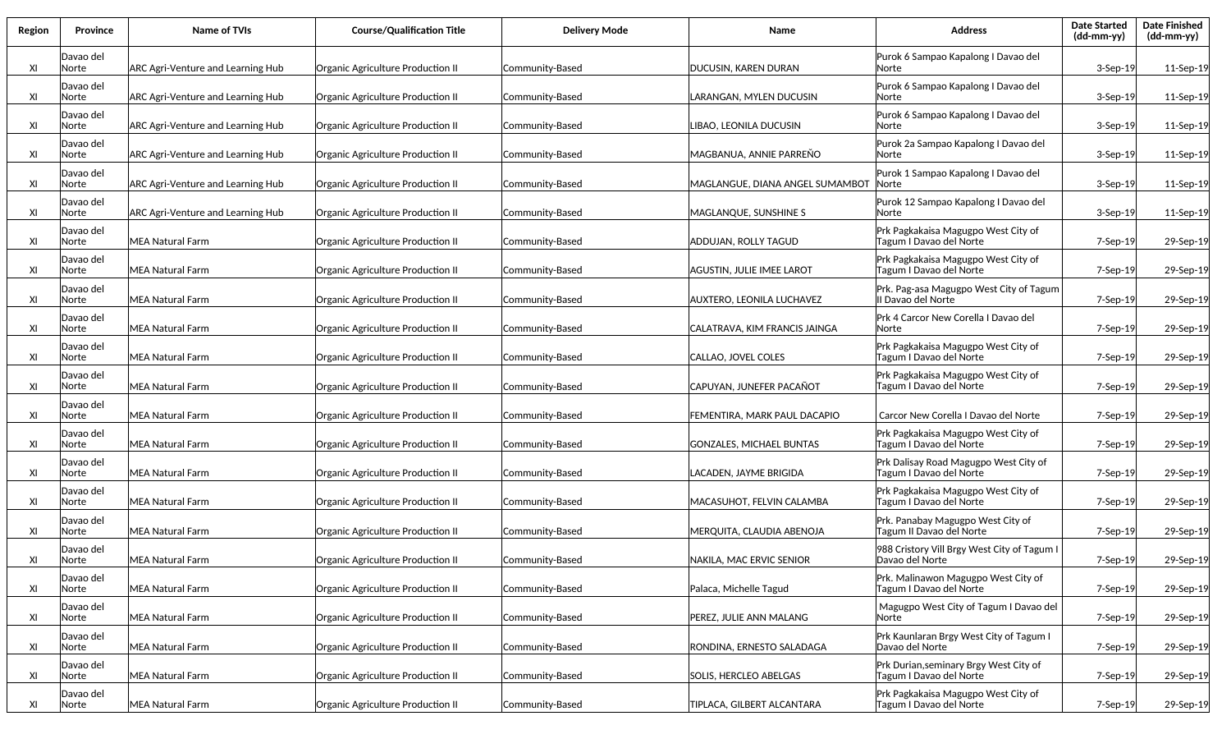| Region | <b>Province</b>    | <b>Name of TVIs</b>                      | <b>Course/Qualification Title</b> | <b>Delivery Mode</b> | Name                              | <b>Address</b>                                                    | <b>Date Started</b><br>(dd-mm-yy) | <b>Date Finished</b><br>$(dd-mm-yy)$ |
|--------|--------------------|------------------------------------------|-----------------------------------|----------------------|-----------------------------------|-------------------------------------------------------------------|-----------------------------------|--------------------------------------|
| XI     | Davao del<br>Norte | ARC Agri-Venture and Learning Hub        | Organic Agriculture Production II | Community-Based      | DUCUSIN, KAREN DURAN              | Purok 6 Sampao Kapalong I Davao del<br>lNorte                     | $3-Sep-19$                        | 11-Sep-19                            |
| XI     | Davao del<br>Norte | <b>ARC Agri-Venture and Learning Hub</b> | Organic Agriculture Production II | Community-Based      | ARANGAN, MYLEN DUCUSIN            | Purok 6 Sampao Kapalong I Davao del<br>lNorte                     | $3-Sep-19$                        | 11-Sep-19                            |
| XI     | Davao del<br>Norte | <b>ARC Agri-Venture and Learning Hub</b> | Organic Agriculture Production II | Community-Based      | .IBAO, LEONILA DUCUSIN            | Purok 6 Sampao Kapalong I Davao del<br>lNorte                     | $3-$ Sep $-19$                    | 11-Sep-19                            |
| XI     | Davao del<br>Norte | <b>ARC Agri-Venture and Learning Hub</b> | Organic Agriculture Production II | Community-Based      | MAGBANUA, ANNIE PARREŇO           | Purok 2a Sampao Kapalong I Davao del<br>lNorte                    | $3-$ Sep $-19$                    | 11-Sep-19                            |
| XI     | Davao del<br>Norte | <b>ARC Agri-Venture and Learning Hub</b> | Organic Agriculture Production II | Community-Based      | MAGLANGUE, DIANA ANGEL SUMAMBOT   | Purok 1 Sampao Kapalong I Davao del<br> Norte                     | $3-Sep-19$                        | 11-Sep-19                            |
| XI     | Davao del<br>Norte | <b>ARC Agri-Venture and Learning Hub</b> | Organic Agriculture Production II | Community-Based      | MAGLANQUE, SUNSHINE S             | Purok 12 Sampao Kapalong I Davao del<br>lNorte                    | $3-Sep-19$                        | 11-Sep-19                            |
| XI     | Davao del<br>Norte | MEA Natural Farm                         | Organic Agriculture Production II | Community-Based      | ADDUJAN, ROLLY TAGUD              | Prk Pagkakaisa Magugpo West City of<br>Tagum I Davao del Norte    | 7-Sep-19                          | 29-Sep-19                            |
| XI     | Davao del<br>Norte | MEA Natural Farm                         | Organic Agriculture Production II | Community-Based      | AGUSTIN, JULIE IMEE LAROT         | Prk Pagkakaisa Magugpo West City of<br>Tagum I Davao del Norte    | 7-Sep-19                          | 29-Sep-19                            |
| XI     | Davao del<br>Norte | MEA Natural Farm                         | Organic Agriculture Production II | Community-Based      | AUXTERO. LEONILA LUCHAVEZ         | Prk. Pag-asa Magugpo West City of Tagum<br>Il Davao del Norte     | 7-Sep-19                          | 29-Sep-19                            |
| XI     | Davao del<br>Norte | MEA Natural Farm                         | Organic Agriculture Production II | Community-Based      | CALATRAVA. KIM FRANCIS JAINGA     | Prk 4 Carcor New Corella I Davao del<br> Norte                    | 7-Sep-19                          | 29-Sep-19                            |
| XI     | Davao del<br>Norte | MEA Natural Farm                         | Organic Agriculture Production II | Community-Based      | CALLAO, JOVEL COLES               | Prk Pagkakaisa Magugpo West City of<br>Tagum I Davao del Norte    | 7-Sep-19                          | 29-Sep-19                            |
| XI     | Davao del<br>Norte | MEA Natural Farm                         | Organic Agriculture Production II | Community-Based      | CAPUYAN, JUNEFER PACAÑOT          | Prk Pagkakaisa Magugpo West City of<br>Tagum I Davao del Norte    | 7-Sep-19                          | 29-Sep-19                            |
| XI     | Davao del<br>Norte | MEA Natural Farm                         | Organic Agriculture Production II | Community-Based      | FEMENTIRA, MARK PAUL DACAPIO      | Carcor New Corella I Davao del Norte                              | $7-$ Sep $-19$                    | 29-Sep-19                            |
| XI     | Davao del<br>Norte | MEA Natural Farm                         | Organic Agriculture Production II | Community-Based      | <b>GONZALES, MICHAEL BUNTAS</b>   | Prk Pagkakaisa Magugpo West City of<br>Tagum I Davao del Norte    | 7-Sep-19                          | 29-Sep-19                            |
| XI     | Davao del<br>Norte | MEA Natural Farm                         | Organic Agriculture Production II | Community-Based      | ACADEN, JAYME BRIGIDA             | Prk Dalisay Road Magugpo West City of<br>Tagum I Davao del Norte  | 7-Sep-19                          | 29-Sep-19                            |
| XI     | Davao del<br>Norte | MEA Natural Farm                         | Organic Agriculture Production II | Community-Based      | MACASUHOT, FELVIN CALAMBA         | Prk Pagkakaisa Magugpo West City of<br>Tagum I Davao del Norte    | 7-Sep-19                          | 29-Sep-19                            |
| XI     | Davao del<br>Norte | MEA Natural Farm                         | Organic Agriculture Production II | Community-Based      | MERQUITA, CLAUDIA ABENOJA         | Prk. Panabay Magugpo West City of<br>Tagum II Davao del Norte     | 7-Sep-19                          | 29-Sep-19                            |
| XI     | Davao del<br>Norte | MEA Natural Farm                         | Organic Agriculture Production II | Community-Based      | NAKILA, MAC ERVIC SENIOR          | 988 Cristory Vill Brgy West City of Tagum I<br>Davao del Norte    | 7-Sep-19                          | 29-Sep-19                            |
| XI     | Davao del<br>Norte | MEA Natural Farm                         | Organic Agriculture Production II | Community-Based      | Palaca, Michelle Tagud            | Prk. Malinawon Magugpo West City of<br>Tagum I Davao del Norte    | 7-Sep-19                          | 29-Sep-19                            |
| XI     | Davao del<br>Norte | MEA Natural Farm                         | Organic Agriculture Production II | Community-Based      | PEREZ, JULIE ANN MALANG           | Magugpo West City of Tagum I Davao del<br> Norte                  | 7-Sep-19                          | 29-Sep-19                            |
| XI     | Davao del<br>Norte | MEA Natural Farm                         | Organic Agriculture Production II | Community-Based      | RONDINA, ERNESTO SALADAGA         | Prk Kaunlaran Brgy West City of Tagum I<br>Davao del Norte        | 7-Sep-19                          | 29-Sep-19                            |
| XI     | Davao del<br>Norte | MEA Natural Farm                         | Organic Agriculture Production II | Community-Based      | SOLIS, HERCLEO ABELGAS            | Prk Durian, seminary Brgy West City of<br>Tagum I Davao del Norte | 7-Sep-19                          | 29-Sep-19                            |
| XI     | Davao del<br>Norte | MEA Natural Farm                         | Organic Agriculture Production II | Community-Based      | <b>TIPLACA, GILBERT ALCANTARA</b> | Prk Pagkakaisa Magugpo West City of<br>Tagum I Davao del Norte    | 7-Sep-19                          | 29-Sep-19                            |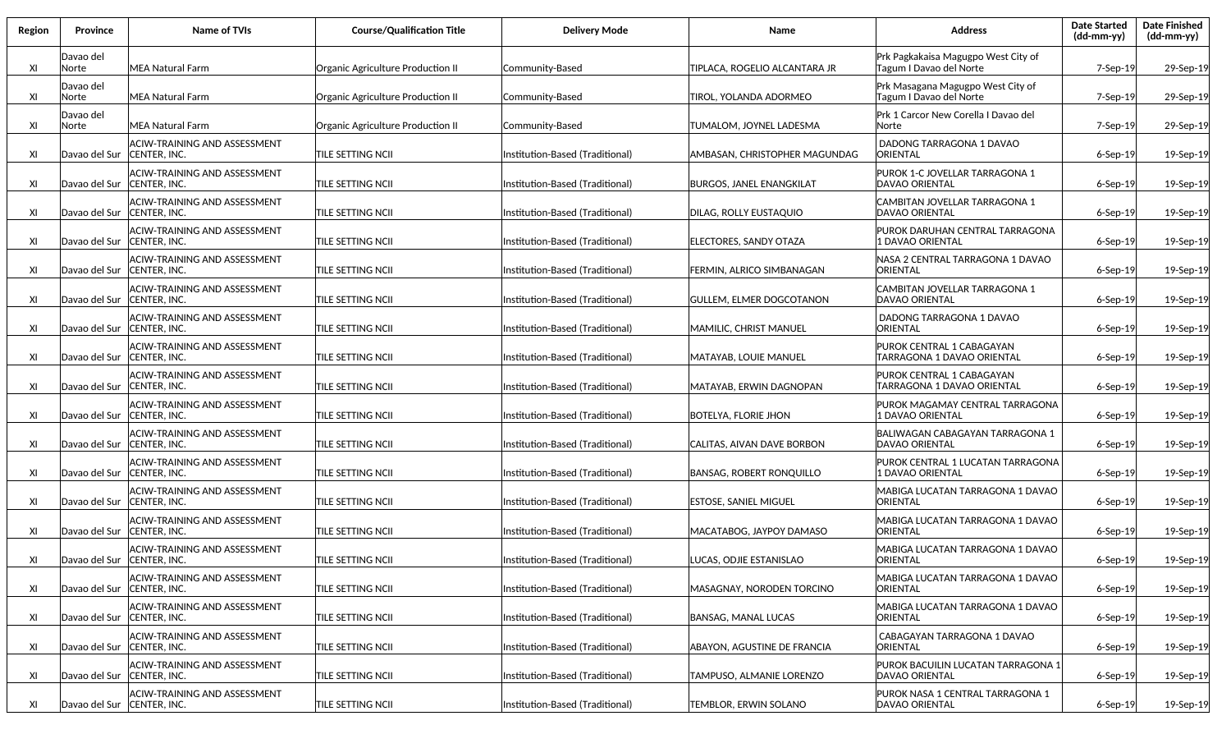| Region | <b>Province</b>              | Name of TVIs                                               | <b>Course/Qualification Title</b> | <b>Delivery Mode</b>            | <b>Name</b>                     | <b>Address</b>                                                 | <b>Date Started</b><br>(dd-mm-yy) | <b>Date Finished</b><br>(dd-mm-yy) |
|--------|------------------------------|------------------------------------------------------------|-----------------------------------|---------------------------------|---------------------------------|----------------------------------------------------------------|-----------------------------------|------------------------------------|
| XI     | Davao del<br>Norte           | <b>MEA Natural Farm</b>                                    | Organic Agriculture Production II | Community-Based                 | TIPLACA, ROGELIO ALCANTARA JR   | Prk Pagkakaisa Magugpo West City of<br>Tagum I Davao del Norte | 7-Sep-19                          | 29-Sep-19                          |
| XI     | Davao del<br>Norte           | MEA Natural Farm                                           | Organic Agriculture Production II | Community-Based                 | TIROL, YOLANDA ADORMEO          | Prk Masagana Magugpo West City of<br>Tagum I Davao del Norte   | 7-Sep-19                          | 29-Sep-19                          |
| XI     | Davao del<br>Norte           | <b>MEA Natural Farm</b>                                    | Organic Agriculture Production II | Community-Based                 | TUMALOM, JOYNEL LADESMA         | Prk 1 Carcor New Corella I Davao del<br>Norte                  | 7-Sep-19                          | 29-Sep-19                          |
| XI     | Davao del Sur                | <b>ACIW-TRAINING AND ASSESSMENT</b><br>CENTER, INC.        | TILE SETTING NCII                 | Institution-Based (Traditional) | AMBASAN, CHRISTOPHER MAGUNDAG   | DADONG TARRAGONA 1 DAVAO<br>ORIENTAL                           | $6-$ Sep $-19$                    | 19-Sep-19                          |
| XI     | Davao del Sur                | <b>ACIW-TRAINING AND ASSESSMENT</b><br>CENTER, INC.        | TILE SETTING NCII                 | Institution-Based (Traditional) | <b>BURGOS, JANEL ENANGKILAT</b> | PUROK 1-C JOVELLAR TARRAGONA 1<br><b>DAVAO ORIENTAL</b>        | $6-$ Sep $-19$                    | 19-Sep-19                          |
| XI     | Davao del Sur                | <b>ACIW-TRAINING AND ASSESSMENT</b><br>CENTER, INC.        | TILE SETTING NCII                 | Institution-Based (Traditional) | <b>DILAG, ROLLY EUSTAQUIO</b>   | CAMBITAN JOVELLAR TARRAGONA 1<br><b>DAVAO ORIENTAL</b>         | $6-$ Sep $-19$                    | 19-Sep-19                          |
| XI     | Davao del Sur                | ACIW-TRAINING AND ASSESSMENT<br>CENTER, INC.               | TILE SETTING NCII                 | Institution-Based (Traditional) | ELECTORES, SANDY OTAZA          | PUROK DARUHAN CENTRAL TARRAGONA<br><b>1 DAVAO ORIENTAL</b>     | $6-$ Sep $-19$                    | 19-Sep-19                          |
| XI     | Davao del Sur                | ACIW-TRAINING AND ASSESSMENT<br>CENTER, INC.               | TILE SETTING NCII                 | Institution-Based (Traditional) | FERMIN, ALRICO SIMBANAGAN       | NASA 2 CENTRAL TARRAGONA 1 DAVAO<br>ORIENTAL                   | $6-$ Sep $-19$                    | 19-Sep-19                          |
| XI     | Davao del Sur                | ACIW-TRAINING AND ASSESSMENT<br>CENTER, INC.               | TILE SETTING NCII                 | Institution-Based (Traditional) | GULLEM. ELMER DOGCOTANON        | CAMBITAN JOVELLAR TARRAGONA 1<br>DAVAO ORIENTAL                | $6-$ Sep $-19$                    | 19-Sep-19                          |
| XI     | Davao del Sur                | <b>ACIW-TRAINING AND ASSESSMENT</b><br>CENTER, INC.        | TILE SETTING NCII                 | Institution-Based (Traditional) | MAMILIC, CHRIST MANUEL          | DADONG TARRAGONA 1 DAVAO<br>ORIENTAL                           | $6-$ Sep $-19$                    | 19-Sep-19                          |
| XI     | Davao del Sur                | <b>ACIW-TRAINING AND ASSESSMENT</b><br><b>CENTER. INC.</b> | TILE SETTING NCII                 | Institution-Based (Traditional) | MATAYAB, LOUIE MANUEL           | PUROK CENTRAL 1 CABAGAYAN<br>TARRAGONA 1 DAVAO ORIENTAL        | 6-Sep-19                          | 19-Sep-19                          |
| XI     | Davao del Sur                | <b>ACIW-TRAINING AND ASSESSMENT</b><br>CENTER, INC.        | TILE SETTING NCII                 | Institution-Based (Traditional) | MATAYAB, ERWIN DAGNOPAN         | PUROK CENTRAL 1 CABAGAYAN<br>TARRAGONA 1 DAVAO ORIENTAL        | $6-$ Sep $-19$                    | 19-Sep-19                          |
| XI     | Davao del Sur                | ACIW-TRAINING AND ASSESSMENT<br>CENTER, INC.               | TILE SETTING NCII                 | Institution-Based (Traditional) | BOTELYA, FLORIE JHON            | PUROK MAGAMAY CENTRAL TARRAGONA<br>1 DAVAO ORIENTAL            | $6-$ Sep $-19$                    | 19-Sep-19                          |
| XI     | Davao del Sur                | ACIW-TRAINING AND ASSESSMENT<br>CENTER, INC.               | TILE SETTING NCII                 | Institution-Based (Traditional) | CALITAS, AIVAN DAVE BORBON      | BALIWAGAN CABAGAYAN TARRAGONA 1<br>DAVAO ORIENTAL              | $6-$ Sep $-19$                    | 19-Sep-19                          |
| XI     | Davao del Sur                | <b>ACIW-TRAINING AND ASSESSMENT</b><br>CENTER, INC.        | TILE SETTING NCII                 | Institution-Based (Traditional) | <b>BANSAG, ROBERT RONQUILLO</b> | PUROK CENTRAL 1 LUCATAN TARRAGONA<br>1 DAVAO ORIENTAL          | 6-Sep-19                          | 19-Sep-19                          |
| XI     | Davao del Sur                | <b>ACIW-TRAINING AND ASSESSMENT</b><br>CENTER, INC.        | TILE SETTING NCII                 | Institution-Based (Traditional) | <b>ESTOSE, SANIEL MIGUEL</b>    | MABIGA LUCATAN TARRAGONA 1 DAVAO<br>ORIENTAL                   | $6-$ Sep $-19$                    | 19-Sep-19                          |
| XI     | Davao del Sur                | ACIW-TRAINING AND ASSESSMENT<br>CENTER, INC.               | TILE SETTING NCII                 | Institution-Based (Traditional) | MACATABOG, JAYPOY DAMASO        | MABIGA LUCATAN TARRAGONA 1 DAVAO<br>ORIENTAL                   | $6-$ Sep $-19$                    | 19-Sep-19                          |
| XI     | Davao del Sur   CENTER, INC. | <b>ACIW-TRAINING AND ASSESSMENT</b>                        | TILE SETTING NCII                 | Institution-Based (Traditional) | ILUCAS, ODJIE ESTANISLAO        | MABIGA LUCATAN TARRAGONA 1 DAVAO<br>ORIENTAL                   | $6-$ Sep $-19$                    | 19-Sep-19                          |
| XI     | Davao del Sur                | ACIW-TRAINING AND ASSESSMENT<br>CENTER, INC.               | TILE SETTING NCII                 | Institution-Based (Traditional) | MASAGNAY, NORODEN TORCINO       | MABIGA LUCATAN TARRAGONA 1 DAVAO<br>ORIENTAL                   | $6-$ Sep $-19$                    | 19-Sep-19                          |
| XI     | Davao del Sur                | ACIW-TRAINING AND ASSESSMENT<br>CENTER, INC.               | TILE SETTING NCII                 | Institution-Based (Traditional) | BANSAG, MANAL LUCAS             | MABIGA LUCATAN TARRAGONA 1 DAVAO<br>ORIENTAL                   | $6-$ Sep $-19$                    | 19-Sep-19                          |
| XI     | Davao del Sur                | <b>ACIW-TRAINING AND ASSESSMENT</b><br>CENTER, INC.        | TILE SETTING NCII                 | Institution-Based (Traditional) | ABAYON, AGUSTINE DE FRANCIA     | CABAGAYAN TARRAGONA 1 DAVAO<br>ORIENTAL                        | 6-Sep-19                          | 19-Sep-19                          |
| XI     | Davao del Sur                | ACIW-TRAINING AND ASSESSMENT<br>CENTER, INC.               | TILE SETTING NCII                 | Institution-Based (Traditional) | TAMPUSO, ALMANIE LORENZO        | PUROK BACUILIN LUCATAN TARRAGONA 1<br><b>DAVAO ORIENTAL</b>    | 6-Sep-19                          | 19-Sep-19                          |
| XI     | Davao del Sur                | ACIW-TRAINING AND ASSESSMENT<br><b>ICENTER. INC.</b>       | TILE SETTING NCII                 | Institution-Based (Traditional) | TEMBLOR, ERWIN SOLANO           | PUROK NASA 1 CENTRAL TARRAGONA 1<br><b>DAVAO ORIENTAL</b>      | 6-Sep-19                          | 19-Sep-19                          |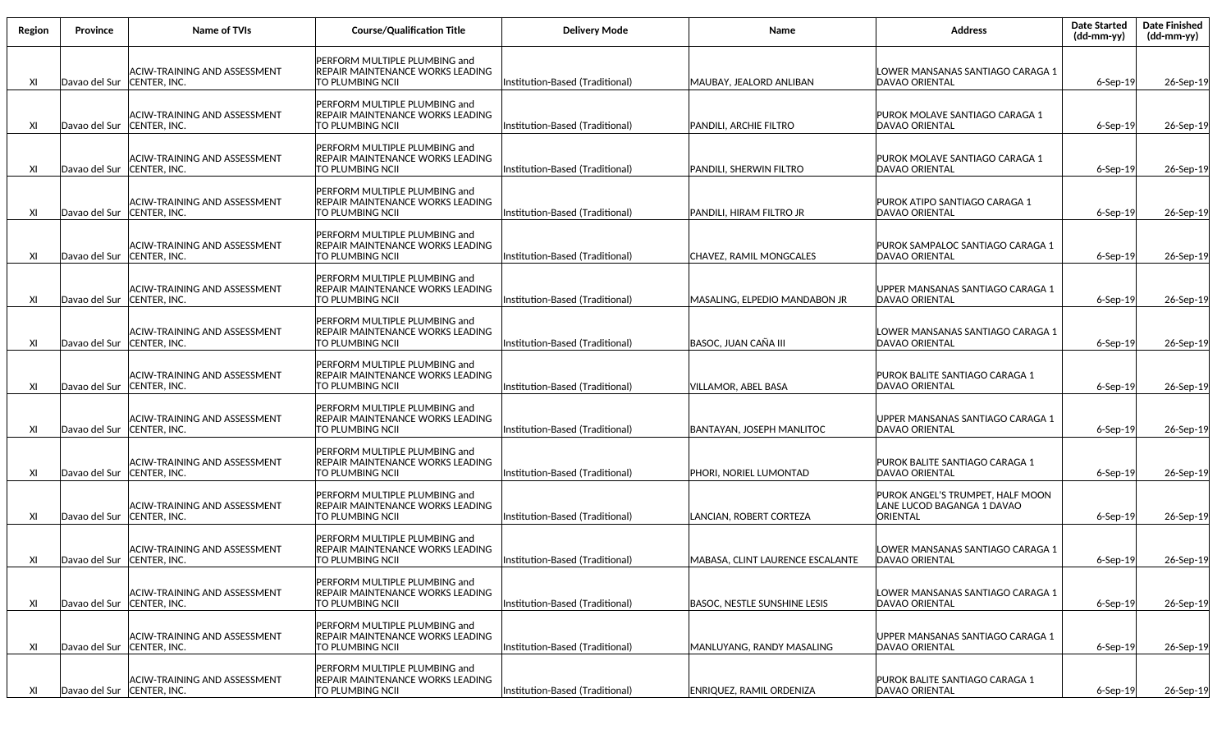| Region | Province                   | <b>Name of TVIs</b>                                 | <b>Course/Qualification Title</b>                                                                           | <b>Delivery Mode</b>            | Name                                | <b>Address</b>                                                             | <b>Date Started</b><br>$(dd-mm-yy)$ | <b>Date Finished</b><br>(dd-mm-yy) |
|--------|----------------------------|-----------------------------------------------------|-------------------------------------------------------------------------------------------------------------|---------------------------------|-------------------------------------|----------------------------------------------------------------------------|-------------------------------------|------------------------------------|
| XI     | Davao del Sur              | ACIW-TRAINING AND ASSESSMENT<br><b>CENTER. INC.</b> | <b>PERFORM MULTIPLE PLUMBING and</b><br><b>REPAIR MAINTENANCE WORKS LEADING</b><br><b>TO PLUMBING NCII</b>  | Institution-Based (Traditional) | MAUBAY, JEALORD ANLIBAN             | LOWER MANSANAS SANTIAGO CARAGA 1<br><b>DAVAO ORIENTAL</b>                  | $6-$ Sep $-19$                      | 26-Sep-19                          |
| XI     | Davao del Sur              | ACIW-TRAINING AND ASSESSMENT<br>CENTER, INC.        | <b>PERFORM MULTIPLE PLUMBING and</b><br><b>REPAIR MAINTENANCE WORKS LEADING</b><br><b>TO PLUMBING NCIL</b>  | Institution-Based (Traditional) | PANDILI, ARCHIE FILTRO              | PUROK MOLAVE SANTIAGO CARAGA 1<br><b>DAVAO ORIENTAL</b>                    | $6-$ Sep $-19$                      | 26-Sep-19                          |
| XI     | Davao del Sur              | ACIW-TRAINING AND ASSESSMENT<br> CENTER, INC.       | <b>PERFORM MULTIPLE PLUMBING and</b><br><b>REPAIR MAINTENANCE WORKS LEADING</b><br><b>TO PLUMBING NCII</b>  | Institution-Based (Traditional) | PANDILI. SHERWIN FILTRO             | PUROK MOLAVE SANTIAGO CARAGA 1<br><b>DAVAO ORIENTAL</b>                    | $6-$ Sep $-19$                      | 26-Sep-19                          |
| XI     | Davao del Sur              | ACIW-TRAINING AND ASSESSMENT<br>CENTER, INC.        | <b>PERFORM MULTIPLE PLUMBING and</b><br><b>REPAIR MAINTENANCE WORKS LEADING</b><br><b>TO PLUMBING NCII</b>  | Institution-Based (Traditional) | PANDILI, HIRAM FILTRO JR            | PUROK ATIPO SANTIAGO CARAGA 1<br><b>DAVAO ORIENTAL</b>                     | $6-$ Sep $-19$                      | 26-Sep-19                          |
| XI     | Davao del Sur              | ACIW-TRAINING AND ASSESSMENT<br>CENTER, INC.        | <b>PERFORM MULTIPLE PLUMBING and</b><br><b>REPAIR MAINTENANCE WORKS LEADING</b><br><b>TO PLUMBING NCII</b>  | Institution-Based (Traditional) | CHAVEZ, RAMIL MONGCALES             | PUROK SAMPALOC SANTIAGO CARAGA 1<br><b>DAVAO ORIENTAL</b>                  | $6-$ Sep $-19$                      | 26-Sep-19                          |
| XI     | Davao del Sur              | ACIW-TRAINING AND ASSESSMENT<br>CENTER, INC.        | <b>IPERFORM MULTIPLE PLUMBING and</b><br><b>REPAIR MAINTENANCE WORKS LEADING</b><br><b>TO PLUMBING NCII</b> | Institution-Based (Traditional) | MASALING, ELPEDIO MANDABON JR       | UPPER MANSANAS SANTIAGO CARAGA 1<br><b>DAVAO ORIENTAL</b>                  | $6-$ Sep $-19$                      | 26-Sep-19                          |
| XI     | Davao del Sur              | ACIW-TRAINING AND ASSESSMENT<br>CENTER, INC.        | <b>IPERFORM MULTIPLE PLUMBING and</b><br><b>REPAIR MAINTENANCE WORKS LEADING</b><br><b>TO PLUMBING NCII</b> | Institution-Based (Traditional) | BASOC, JUAN CAÑA III                | LOWER MANSANAS SANTIAGO CARAGA 1<br><b>DAVAO ORIENTAL</b>                  | 6-Sep-19                            | 26-Sep-19                          |
| XI     | Davao del Sur              | ACIW-TRAINING AND ASSESSMENT<br>CENTER, INC.        | <b>PERFORM MULTIPLE PLUMBING and</b><br><b>REPAIR MAINTENANCE WORKS LEADING</b><br><b>TO PLUMBING NCII</b>  | Institution-Based (Traditional) | VILLAMOR, ABEL BASA                 | PUROK BALITE SANTIAGO CARAGA 1<br><b>DAVAO ORIENTAL</b>                    | $6-$ Sep $-19$                      | 26-Sep-19                          |
| XI     | Davao del Sur              | ACIW-TRAINING AND ASSESSMENT<br>CENTER, INC.        | <b>PERFORM MULTIPLE PLUMBING and</b><br><b>REPAIR MAINTENANCE WORKS LEADING</b><br><b>TO PLUMBING NCII</b>  | Institution-Based (Traditional) | <b>BANTAYAN, JOSEPH MANLITOC</b>    | UPPER MANSANAS SANTIAGO CARAGA 1<br><b>DAVAO ORIENTAL</b>                  | $6-$ Sep $-19$                      | 26-Sep-19                          |
| XI     | Davao del Sur              | ACIW-TRAINING AND ASSESSMENT<br>CENTER, INC.        | <b>PERFORM MULTIPLE PLUMBING and</b><br><b>REPAIR MAINTENANCE WORKS LEADING</b><br><b>TO PLUMBING NCII</b>  | Institution-Based (Traditional) | PHORI, NORIEL LUMONTAD              | PUROK BALITE SANTIAGO CARAGA 1<br><b>DAVAO ORIENTAL</b>                    | $6-$ Sep $-19$                      | 26-Sep-19                          |
| XI     | Davao del Sur              | <b>ACIW-TRAINING AND ASSESSMENT</b><br>CENTER, INC. | PERFORM MULTIPLE PLUMBING and<br><b>REPAIR MAINTENANCE WORKS LEADING</b><br><b>TO PLUMBING NCII</b>         | Institution-Based (Traditional) | LANCIAN, ROBERT CORTEZA             | PUROK ANGEL'S TRUMPET, HALF MOON<br>LANE LUCOD BAGANGA 1 DAVAO<br>ORIENTAL | $6-$ Sep $-19$                      | 26-Sep-19                          |
| XI     | Davao del Sur CENTER, INC. | ACIW-TRAINING AND ASSESSMENT                        | PERFORM MULTIPLE PLUMBING and<br><b>REPAIR MAINTENANCE WORKS LEADING</b><br><b>TO PLUMBING NCII</b>         | (Institution-Based (Traditional | MABASA, CLINT LAURENCE ESCALANTE    | LOWER MANSANAS SANTIAGO CARAGA 1<br><b>DAVAO ORIENTAL</b>                  | $6-$ Sep $-19$                      | 26-Sep-19                          |
| XI     | Davao del Sur              | ACIW-TRAINING AND ASSESSMENT<br>CENTER, INC.        | <b>IPERFORM MULTIPLE PLUMBING and</b><br><b>REPAIR MAINTENANCE WORKS LEADING</b><br><b>TO PLUMBING NCII</b> | Institution-Based (Traditional) | <b>BASOC, NESTLE SUNSHINE LESIS</b> | LOWER MANSANAS SANTIAGO CARAGA 1<br><b>DAVAO ORIENTAL</b>                  | $6-$ Sep $-19$                      | 26-Sep-19                          |
| XI     | Davao del Sur              | ACIW-TRAINING AND ASSESSMENT<br>CENTER, INC.        | <b>PERFORM MULTIPLE PLUMBING and</b><br><b>REPAIR MAINTENANCE WORKS LEADING</b><br><b>TO PLUMBING NCII</b>  | Institution-Based (Traditional) | MANLUYANG. RANDY MASALING           | UPPER MANSANAS SANTIAGO CARAGA 1<br><b>DAVAO ORIENTAL</b>                  | $6-$ Sep $-19$                      | 26-Sep-19                          |
| XI     | Davao del Sur              | ACIW-TRAINING AND ASSESSMENT<br>CENTER, INC.        | <b>PERFORM MULTIPLE PLUMBING and</b><br><b>REPAIR MAINTENANCE WORKS LEADING</b><br><b>TO PLUMBING NCII</b>  | Institution-Based (Traditional) | ENRIQUEZ, RAMIL ORDENIZA            | PUROK BALITE SANTIAGO CARAGA 1<br>DAVAO ORIENTAL                           | $6-$ Sep $-19$                      | 26-Sep-19                          |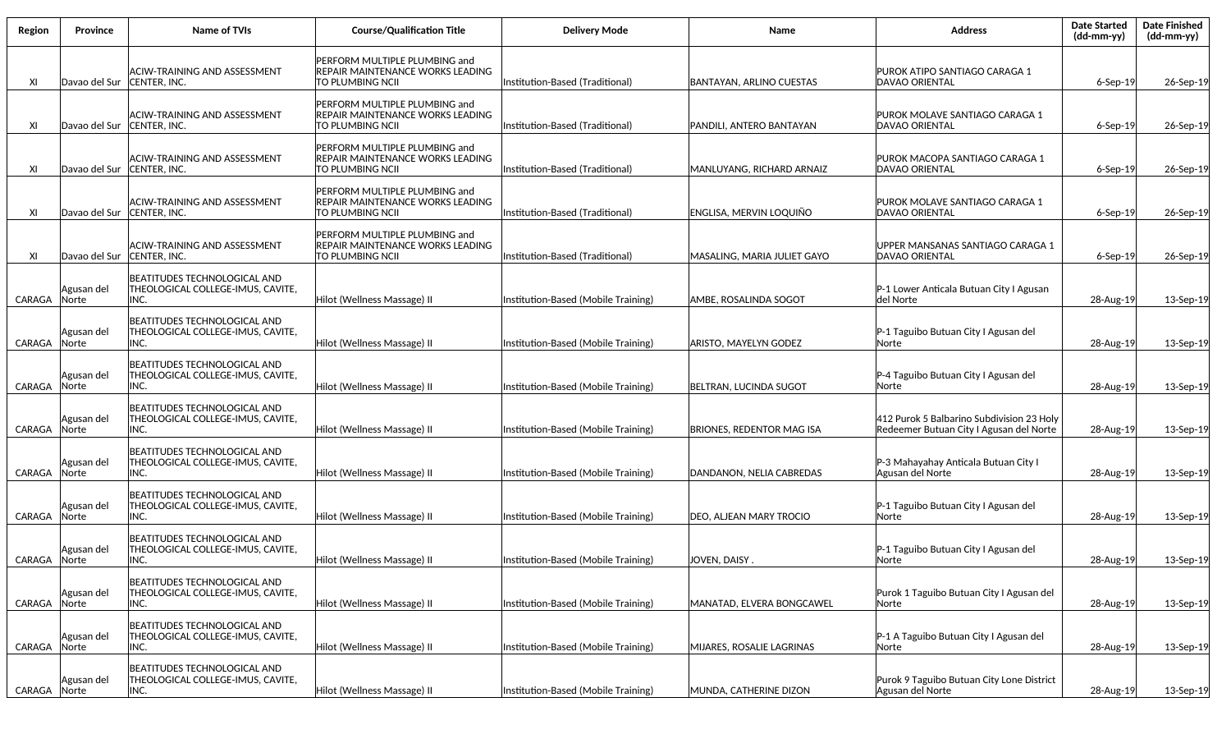| Region | Province            | Name of TVIs                                                                     | <b>Course/Qualification Title</b>                                                     | <b>Delivery Mode</b>                | Name                             | <b>Address</b>                                                                       | <b>Date Started</b><br>$(dd\text{-}\text{mm-}yy)$ | <b>Date Finished</b><br>(dd-mm-yy) |
|--------|---------------------|----------------------------------------------------------------------------------|---------------------------------------------------------------------------------------|-------------------------------------|----------------------------------|--------------------------------------------------------------------------------------|---------------------------------------------------|------------------------------------|
| XI     | Davao del Sur       | ACIW-TRAINING AND ASSESSMENT<br>CENTER, INC.                                     | PERFORM MULTIPLE PLUMBING and<br>REPAIR MAINTENANCE WORKS LEADING<br>TO PLUMBING NCII | Institution-Based (Traditional)     | BANTAYAN, ARLINO CUESTAS         | PUROK ATIPO SANTIAGO CARAGA 1<br>DAVAO ORIENTAL                                      | 6-Sep-19                                          | 26-Sep-19                          |
| XI     | Davao del Sur       | ACIW-TRAINING AND ASSESSMENT<br>CENTER, INC.                                     | PERFORM MULTIPLE PLUMBING and<br>REPAIR MAINTENANCE WORKS LEADING<br>TO PLUMBING NCII | Institution-Based (Traditional)     | PANDILI, ANTERO BANTAYAN         | PUROK MOLAVE SANTIAGO CARAGA 1<br>DAVAO ORIENTAL                                     | $6-Sep-19$                                        | 26-Sep-19                          |
| XI     | Davao del Sur       | ACIW-TRAINING AND ASSESSMENT<br><b>CENTER. INC.</b>                              | PERFORM MULTIPLE PLUMBING and<br>REPAIR MAINTENANCE WORKS LEADING<br>TO PLUMBING NCII | Institution-Based (Traditional)     | MANLUYANG, RICHARD ARNAIZ        | PUROK MACOPA SANTIAGO CARAGA 1<br>DAVAO ORIENTAL                                     | $6-Sep-19$                                        | 26-Sep-19                          |
| XI     | Davao del Sur       | ACIW-TRAINING AND ASSESSMENT<br>CENTER, INC.                                     | PERFORM MULTIPLE PLUMBING and<br>REPAIR MAINTENANCE WORKS LEADING<br>TO PLUMBING NCII | Institution-Based (Traditional)     | ENGLISA, MERVIN LOQUIÑO          | PUROK MOLAVE SANTIAGO CARAGA 1<br>DAVAO ORIENTAL                                     | $6-$ Sep $-19$                                    | 26-Sep-19                          |
| XI     | Davao del Sur       | ACIW-TRAINING AND ASSESSMENT<br>CENTER, INC.                                     | PERFORM MULTIPLE PLUMBING and<br>REPAIR MAINTENANCE WORKS LEADING<br>TO PLUMBING NCII | Institution-Based (Traditional)     | MASALING, MARIA JULIET GAYO      | UPPER MANSANAS SANTIAGO CARAGA 1<br>DAVAO ORIENTAL                                   | $6-$ Sep $-19$                                    | 26-Sep-19                          |
| CARAGA | Agusan del<br>Norte | BEATITUDES TECHNOLOGICAL AND<br>THEOLOGICAL COLLEGE-IMUS, CAVITE,<br>INC.        | Hilot (Wellness Massage) II                                                           | Institution-Based (Mobile Training) | AMBE, ROSALINDA SOGOT            | P-1 Lower Anticala Butuan City I Agusan<br>del Norte                                 | 28-Aug-19                                         | 13-Sep-19                          |
| CARAGA | Agusan del<br>Norte | BEATITUDES TECHNOLOGICAL AND<br>THEOLOGICAL COLLEGE-IMUS, CAVITE,<br>INC.        | Hilot (Wellness Massage) II                                                           | Institution-Based (Mobile Training) | ARISTO, MAYELYN GODEZ            | P-1 Taguibo Butuan City I Agusan del<br>Norte                                        | 28-Aug-19                                         | 13-Sep-19                          |
| CARAGA | Agusan del<br>Norte | BEATITUDES TECHNOLOGICAL AND<br>THEOLOGICAL COLLEGE-IMUS, CAVITE,<br>INC.        | Hilot (Wellness Massage) II                                                           | Institution-Based (Mobile Training) | BELTRAN, LUCINDA SUGOT           | P-4 Taguibo Butuan City I Agusan del<br>Norte                                        | 28-Aug-19                                         | 13-Sep-19                          |
| CARAGA | Agusan del<br>Norte | BEATITUDES TECHNOLOGICAL AND<br>THEOLOGICAL COLLEGE-IMUS, CAVITE,<br>INC.        | Hilot (Wellness Massage) II                                                           | Institution-Based (Mobile Training) | <b>BRIONES, REDENTOR MAG ISA</b> | 412 Purok 5 Balbarino Subdivision 23 Holy<br>Redeemer Butuan City I Agusan del Norte | 28-Aug-19                                         | 13-Sep-19                          |
| CARAGA | Agusan del<br>Norte | BEATITUDES TECHNOLOGICAL AND<br>THEOLOGICAL COLLEGE-IMUS, CAVITE,<br>INC.        | Hilot (Wellness Massage) II                                                           | Institution-Based (Mobile Training) | DANDANON, NELIA CABREDAS         | P-3 Mahayahay Anticala Butuan City I<br>Agusan del Norte                             | 28-Aug-19                                         | 13-Sep-19                          |
| CARAGA | Agusan del<br>Norte | BEATITUDES TECHNOLOGICAL AND<br>THEOLOGICAL COLLEGE-IMUS, CAVITE,<br>INC.        | Hilot (Wellness Massage) II                                                           | Institution-Based (Mobile Training) | DEO, ALJEAN MARY TROCIO          | P-1 Taguibo Butuan City I Agusan del<br>Norte                                        | 28-Aug-19                                         | 13-Sep-19                          |
| CARAGA | Agusan del<br>Norte | <b>BEATITUDES TECHNOLOGICAL AND</b><br>THEOLOGICAL COLLEGE-IMUS, CAVITE,<br>INC. | Hilot (Wellness Massage) II                                                           | Institution-Based (Mobile Training) | JOVEN, DAISY.                    | P-1 Taguibo Butuan City I Agusan del<br> Norte                                       | 28-Aug-19                                         | 13-Sep-19                          |
| CARAGA | Agusan del<br>Norte | BEATITUDES TECHNOLOGICAL AND<br>THEOLOGICAL COLLEGE-IMUS, CAVITE,<br>INC.        | Hilot (Wellness Massage) II                                                           | Institution-Based (Mobile Training) | MANATAD, ELVERA BONGCAWEL        | Purok 1 Taguibo Butuan City I Agusan del<br>Norte                                    | 28-Aug-19                                         | 13-Sep-19                          |
| CARAGA | Agusan del<br>Norte | BEATITUDES TECHNOLOGICAL AND<br>THEOLOGICAL COLLEGE-IMUS, CAVITE,<br>INC.        | Hilot (Wellness Massage) II                                                           | Institution-Based (Mobile Training) | MIJARES, ROSALIE LAGRINAS        | P-1 A Taguibo Butuan City I Agusan del<br>Norte                                      | 28-Aug-19                                         | 13-Sep-19                          |
| CARAGA | Agusan del<br>Norte | BEATITUDES TECHNOLOGICAL AND<br>THEOLOGICAL COLLEGE-IMUS, CAVITE,<br>INC.        | Hilot (Wellness Massage) II                                                           | Institution-Based (Mobile Training) | MUNDA, CATHERINE DIZON           | Purok 9 Taguibo Butuan City Lone District<br>Agusan del Norte                        | 28-Aug-19                                         | 13-Sep-19                          |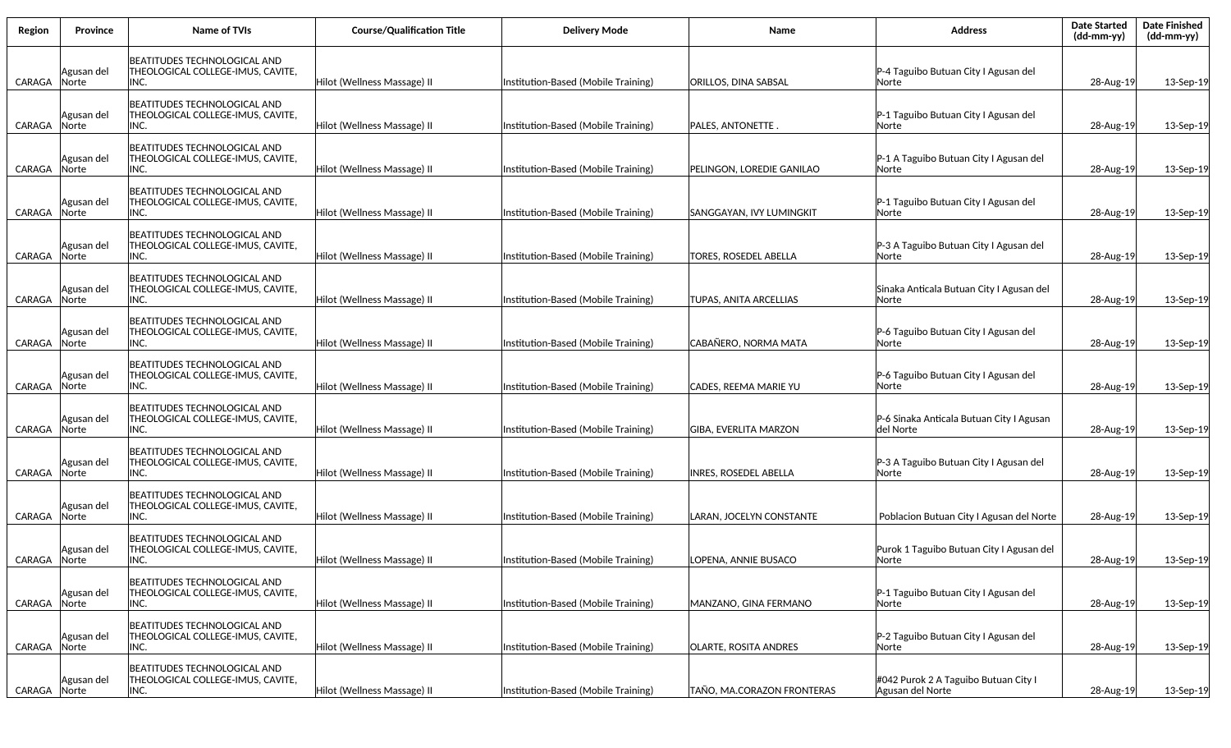| Region | <b>Province</b>            | Name of TVIs                                                               | <b>Course/Qualification Title</b> | <b>Delivery Mode</b>                | <b>Name</b>                  | <b>Address</b>                                           | <b>Date Started</b><br>(dd-mm-yy) | <b>Date Finished</b><br>$(dd-mm-yy)$ |
|--------|----------------------------|----------------------------------------------------------------------------|-----------------------------------|-------------------------------------|------------------------------|----------------------------------------------------------|-----------------------------------|--------------------------------------|
| CARAGA | Agusan del<br>Norte        | BEATITUDES TECHNOLOGICAL AND<br>THEOLOGICAL COLLEGE-IMUS, CAVITE,<br>INC.  | Hilot (Wellness Massage) II       | Institution-Based (Mobile Training) | ORILLOS, DINA SABSAL         | P-4 Taguibo Butuan City I Agusan del<br> Norte           | 28-Aug-19                         | 13-Sep-19                            |
| CARAGA | Agusan del<br>Norte        | BEATITUDES TECHNOLOGICAL AND<br>THEOLOGICAL COLLEGE-IMUS, CAVITE,<br>INC.  | Hilot (Wellness Massage) II       | Institution-Based (Mobile Training) | <b>PALES, ANTONETTE.</b>     | P-1 Taguibo Butuan City I Agusan del<br> Norte           | 28-Aug-19                         | 13-Sep-19                            |
| CARAGA | Agusan del<br>Norte        | BEATITUDES TECHNOLOGICAL AND<br>THEOLOGICAL COLLEGE-IMUS, CAVITE,<br>INC.  | Hilot (Wellness Massage) II       | Institution-Based (Mobile Training) | PELINGON, LOREDIE GANILAO    | P-1 A Taguibo Butuan City I Agusan del<br> Norte         | 28-Aug-19                         | 13-Sep-19                            |
| CARAGA | Agusan del<br>Norte        | BEATITUDES TECHNOLOGICAL AND<br>THEOLOGICAL COLLEGE-IMUS, CAVITE,<br>INC.  | Hilot (Wellness Massage) II       | Institution-Based (Mobile Training) | SANGGAYAN, IVY LUMINGKIT     | P-1 Taguibo Butuan City I Agusan del<br> Norte           | 28-Aug-19                         | 13-Sep-19                            |
| CARAGA | Agusan del<br><b>Norte</b> | BEATITUDES TECHNOLOGICAL AND<br>THEOLOGICAL COLLEGE-IMUS, CAVITE,<br>INC.  | Hilot (Wellness Massage) II       | Institution-Based (Mobile Training) | <b>TORES, ROSEDEL ABELLA</b> | P-3 A Taguibo Butuan City I Agusan del<br> Norte         | 28-Aug-19                         | 13-Sep-19                            |
| CARAGA | Agusan del<br>Norte        | IBEATITUDES TECHNOLOGICAL AND<br>THEOLOGICAL COLLEGE-IMUS, CAVITE,<br>INC. | Hilot (Wellness Massage) II       | Institution-Based (Mobile Training) | TUPAS, ANITA ARCELLIAS       | Sinaka Anticala Butuan City I Agusan del<br>lNorte       | 28-Aug-19                         | 13-Sep-19                            |
| CARAGA | Agusan del<br><b>Norte</b> | BEATITUDES TECHNOLOGICAL AND<br>THEOLOGICAL COLLEGE-IMUS, CAVITE,<br>INC.  | Hilot (Wellness Massage) II       | Institution-Based (Mobile Training) | CABAÑERO. NORMA MATA         | P-6 Taguibo Butuan City I Agusan del<br> Norte           | 28-Aug-19                         | 13-Sep-19                            |
| CARAGA | Agusan del<br><b>Norte</b> | BEATITUDES TECHNOLOGICAL AND<br>THEOLOGICAL COLLEGE-IMUS, CAVITE,<br>INC.  | Hilot (Wellness Massage) II       | Institution-Based (Mobile Training) | <b>CADES, REEMA MARIE YU</b> | P-6 Taguibo Butuan City I Agusan del<br> Norte           | 28-Aug-19                         | 13-Sep-19                            |
| CARAGA | Agusan del<br>Norte        | BEATITUDES TECHNOLOGICAL AND<br> THEOLOGICAL COLLEGE-IMUS, CAVITE,<br>INC. | Hilot (Wellness Massage) II       | Institution-Based (Mobile Training) | <b>GIBA, EVERLITA MARZON</b> | P-6 Sinaka Anticala Butuan City I Agusan<br> del Norte   | 28-Aug-19                         | 13-Sep-19                            |
| CARAGA | Agusan del<br>Norte        | BEATITUDES TECHNOLOGICAL AND<br>THEOLOGICAL COLLEGE-IMUS, CAVITE,<br>INC.  | Hilot (Wellness Massage) II       | Institution-Based (Mobile Training) | <b>INRES, ROSEDEL ABELLA</b> | P-3 A Taguibo Butuan City I Agusan del<br> Norte         | 28-Aug-19                         | 13-Sep-19                            |
| CARAGA | Agusan del<br>Norte        | BEATITUDES TECHNOLOGICAL AND<br>THEOLOGICAL COLLEGE-IMUS, CAVITE,<br>INC.  | Hilot (Wellness Massage) II       | Institution-Based (Mobile Training) | LARAN, JOCELYN CONSTANTE     | Poblacion Butuan City I Agusan del Norte                 | 28-Aug-19                         | 13-Sep-19                            |
| CARAGA | Agusan del<br>Norte        | BEATITUDES TECHNOLOGICAL AND<br>THEOLOGICAL COLLEGE-IMUS, CAVITE,<br>INC.  | Hilot (Wellness Massage) II       | Institution-Based (Mobile Training) | LOPENA, ANNIE BUSACO         | Purok 1 Taguibo Butuan City I Agusan del<br> Norte       | 28-Aug-19                         | 13-Sep-19                            |
| CARAGA | Agusan del<br>Norte        | BEATITUDES TECHNOLOGICAL AND<br>THEOLOGICAL COLLEGE-IMUS, CAVITE,<br>INC.  | Hilot (Wellness Massage) II       | Institution-Based (Mobile Training) | MANZANO, GINA FERMANO        | P-1 Taguibo Butuan City I Agusan del<br> Norte           | 28-Aug-19                         | 13-Sep-19                            |
| CARAGA | Agusan del<br>Norte        | BEATITUDES TECHNOLOGICAL AND<br>THEOLOGICAL COLLEGE-IMUS, CAVITE,<br>INC.  | Hilot (Wellness Massage) II       | Institution-Based (Mobile Training) | <b>OLARTE, ROSITA ANDRES</b> | P-2 Taguibo Butuan City I Agusan del<br> Norte           | 28-Aug-19                         | 13-Sep-19                            |
| CARAGA | Agusan del<br>Norte        | BEATITUDES TECHNOLOGICAL AND<br>THEOLOGICAL COLLEGE-IMUS, CAVITE,<br>INC.  | Hilot (Wellness Massage) II       | Institution-Based (Mobile Training) | TAÑO, MA.CORAZON FRONTERAS   | #042 Purok 2 A Taguibo Butuan City I<br>Agusan del Norte | 28-Aug-19                         | 13-Sep-19                            |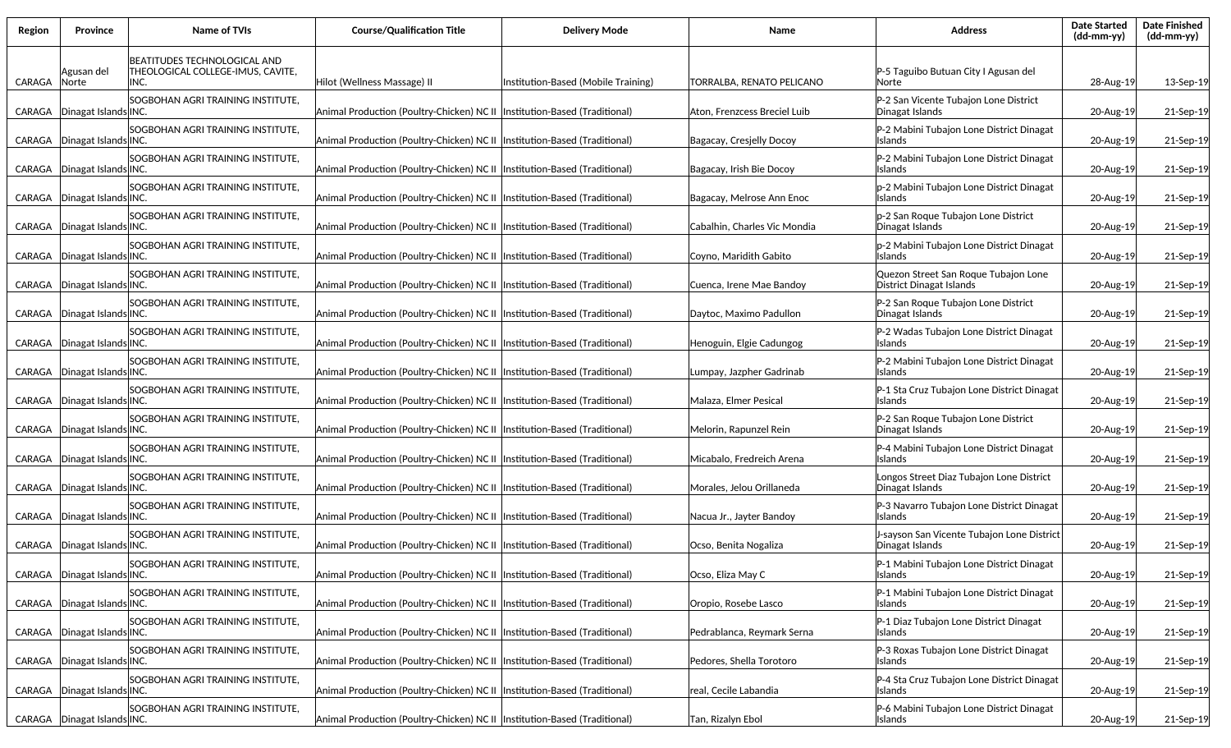| Region | Province             | <b>Name of TVIs</b>                                                       | <b>Course/Qualification Title</b>                                          | Delivery Mode                       | <b>Name</b>                  | <b>Address</b>                                                   | <b>Date Started</b><br>$(dd\text{-}\text{mm-}yy)$ | <b>Date Finished</b><br>(dd-mm-yy) |
|--------|----------------------|---------------------------------------------------------------------------|----------------------------------------------------------------------------|-------------------------------------|------------------------------|------------------------------------------------------------------|---------------------------------------------------|------------------------------------|
| CARAGA | Agusan del<br>Norte  | BEATITUDES TECHNOLOGICAL AND<br>THEOLOGICAL COLLEGE-IMUS, CAVITE,<br>INC. | Hilot (Wellness Massage) II                                                | Institution-Based (Mobile Training) | TORRALBA, RENATO PELICANO    | P-5 Taguibo Butuan City I Agusan del<br>lNorte                   | 28-Aug-19                                         | 13-Sep-19                          |
| CARAGA | Dinagat Islands INC. | SOGBOHAN AGRI TRAINING INSTITUTE,                                         | Animal Production (Poultry-Chicken) NC II  Institution-Based (Traditional) |                                     | Aton, Frenzcess Breciel Luib | P-2 San Vicente Tubajon Lone District<br>Dinagat Islands         | 20-Aug-19                                         | 21-Sep-19                          |
| CARAGA | Dinagat Islands INC. | SOGBOHAN AGRI TRAINING INSTITUTE,                                         | Animal Production (Poultry-Chicken) NC II  Institution-Based (Traditional) |                                     | Bagacay, Cresjelly Docoy     | P-2 Mabini Tubajon Lone District Dinagat<br><b>Islands</b>       | 20-Aug-19                                         | 21-Sep-19                          |
| CARAGA | Dinagat Islands INC. | SOGBOHAN AGRI TRAINING INSTITUTE,                                         | Animal Production (Poultry-Chicken) NC II  Institution-Based (Traditional) |                                     | Bagacay, Irish Bie Docoy     | P-2 Mabini Tubajon Lone District Dinagat<br>Islands              | 20-Aug-19                                         | 21-Sep-19                          |
| CARAGA | Dinagat Islands INC. | SOGBOHAN AGRI TRAINING INSTITUTE.                                         | Animal Production (Poultry-Chicken) NC II  Institution-Based (Traditional) |                                     | Bagacay, Melrose Ann Enoc    | p-2 Mabini Tubajon Lone District Dinagat<br>Islands              | 20-Aug-19                                         | 21-Sep-19                          |
| CARAGA | Dinagat Islands INC. | SOGBOHAN AGRI TRAINING INSTITUTE,                                         | Animal Production (Poultry-Chicken) NC II  Institution-Based (Traditional) |                                     | Cabalhin, Charles Vic Mondia | p-2 San Roque Tubajon Lone District<br>Dinagat Islands           | 20-Aug-19                                         | 21-Sep-19                          |
| CARAGA | Dinagat Islands INC. | SOGBOHAN AGRI TRAINING INSTITUTE,                                         | Animal Production (Poultry-Chicken) NC II  Institution-Based (Traditional) |                                     | Coyno, Maridith Gabito       | p-2 Mabini Tubajon Lone District Dinagat<br>lIslands             | 20-Aug-19                                         | 21-Sep-19                          |
| CARAGA | Dinagat Islands INC. | SOGBOHAN AGRI TRAINING INSTITUTE,                                         | Animal Production (Poultry-Chicken) NC II  Institution-Based (Traditional) |                                     | Cuenca, Irene Mae Bandoy     | Quezon Street San Roque Tubajon Lone<br>District Dinagat Islands | 20-Aug-19                                         | 21-Sep-19                          |
| CARAGA | Dinagat Islands INC. | SOGBOHAN AGRI TRAINING INSTITUTE.                                         | Animal Production (Poultry-Chicken) NC II  Institution-Based (Traditional) |                                     | Daytoc, Maximo Padullon      | P-2 San Roque Tubajon Lone District<br>Dinagat Islands           | 20-Aug-19                                         | 21-Sep-19                          |
| CARAGA | Dinagat Islands INC. | SOGBOHAN AGRI TRAINING INSTITUTE.                                         | Animal Production (Poultry-Chicken) NC II  Institution-Based (Traditional) |                                     | Henoguin, Elgie Cadungog     | P-2 Wadas Tubajon Lone District Dinagat<br>Islands               | 20-Aug-19                                         | 21-Sep-19                          |
| CARAGA | Dinagat Islands INC. | SOGBOHAN AGRI TRAINING INSTITUTE,                                         | Animal Production (Poultry-Chicken) NC II  Institution-Based (Traditional) |                                     | Lumpay, Jazpher Gadrinab     | P-2 Mabini Tubajon Lone District Dinagat<br><b>Islands</b>       | 20-Aug-19                                         | 21-Sep-19                          |
| CARAGA | Dinagat Islands INC. | SOGBOHAN AGRI TRAINING INSTITUTE,                                         | Animal Production (Poultry-Chicken) NC II  Institution-Based (Traditional) |                                     | Malaza, Elmer Pesical        | P-1 Sta Cruz Tubajon Lone District Dinagat<br>lIslands           | 20-Aug-19                                         | 21-Sep-19                          |
| CARAGA | Dinagat Islands INC. | SOGBOHAN AGRI TRAINING INSTITUTE,                                         | Animal Production (Poultry-Chicken) NC II  Institution-Based (Traditional) |                                     | Melorin, Rapunzel Rein       | P-2 San Roque Tubajon Lone District<br>Dinagat Islands           | 20-Aug-19                                         | 21-Sep-19                          |
| CARAGA | Dinagat Islands INC. | SOGBOHAN AGRI TRAINING INSTITUTE,                                         | Animal Production (Poultry-Chicken) NC II  Institution-Based (Traditional) |                                     | Micabalo, Fredreich Arena    | P-4 Mabini Tubajon Lone District Dinagat<br>Islands              | 20-Aug-19                                         | 21-Sep-19                          |
| CARAGA | Dinagat Islands INC. | SOGBOHAN AGRI TRAINING INSTITUTE.                                         | Animal Production (Poultry-Chicken) NC II  Institution-Based (Traditional) |                                     | Morales, Jelou Orillaneda    | Longos Street Diaz Tubajon Lone District<br>Dinagat Islands      | 20-Aug-19                                         | 21-Sep-19                          |
| CARAGA | Dinagat Islands INC. | SOGBOHAN AGRI TRAINING INSTITUTE,                                         | Animal Production (Poultry-Chicken) NC II  Institution-Based (Traditional) |                                     | Nacua Jr., Jayter Bandoy     | P-3 Navarro Tubajon Lone District Dinagat<br><b>Islands</b>      | 20-Aug-19                                         | 21-Sep-19                          |
| CARAGA | Dinagat Islands INC. | SOGBOHAN AGRI TRAINING INSTITUTE.                                         | Animal Production (Poultry-Chicken) NC II  Institution-Based (Traditional) |                                     | Ocso, Benita Nogaliza        | J-sayson San Vicente Tubajon Lone District<br> Dinagat Islands   | 20-Aug-19                                         | 21-Sep-19                          |
| CARAGA | Dinagat Islands INC. | SOGBOHAN AGRI TRAINING INSTITUTE,                                         | Animal Production (Poultry-Chicken) NC II  Institution-Based (Traditional) |                                     | Ocso, Eliza May C            | P-1 Mabini Tubajon Lone District Dinagat<br>Islands              | 20-Aug-19                                         | 21-Sep-19                          |
| CARAGA | Dinagat Islands INC. | SOGBOHAN AGRI TRAINING INSTITUTE.                                         | Animal Production (Poultry-Chicken) NC II  Institution-Based (Traditional) |                                     | Oropio, Rosebe Lasco         | P-1 Mabini Tubajon Lone District Dinagat<br>lIslands             | 20-Aug-19                                         | 21-Sep-19                          |
| CARAGA | Dinagat Islands INC. | SOGBOHAN AGRI TRAINING INSTITUTE,                                         | Animal Production (Poultry-Chicken) NC II  Institution-Based (Traditional) |                                     | Pedrablanca, Reymark Serna   | P-1 Diaz Tubajon Lone District Dinagat<br>IIslands               | 20-Aug-19                                         | 21-Sep-19                          |
| CARAGA | Dinagat Islands INC. | SOGBOHAN AGRI TRAINING INSTITUTE,                                         | Animal Production (Poultry-Chicken) NC II  Institution-Based (Traditional) |                                     | Pedores, Shella Torotoro     | P-3 Roxas Tubajon Lone District Dinagat<br>IIslands              | 20-Aug-19                                         | 21-Sep-19                          |
| CARAGA | Dinagat Islands INC. | SOGBOHAN AGRI TRAINING INSTITUTE,                                         | Animal Production (Poultry-Chicken) NC II  Institution-Based (Traditional) |                                     | real, Cecile Labandia        | P-4 Sta Cruz Tubajon Lone District Dinagat<br>IIslands           | 20-Aug-19                                         | 21-Sep-19                          |
| CARAGA | Dinagat Islands INC. | SOGBOHAN AGRI TRAINING INSTITUTE,                                         | Animal Production (Poultry-Chicken) NC II  Institution-Based (Traditional) |                                     | Tan, Rizalyn Ebol            | P-6 Mabini Tubajon Lone District Dinagat<br>Islands              | 20-Aug-19                                         | 21-Sep-19                          |